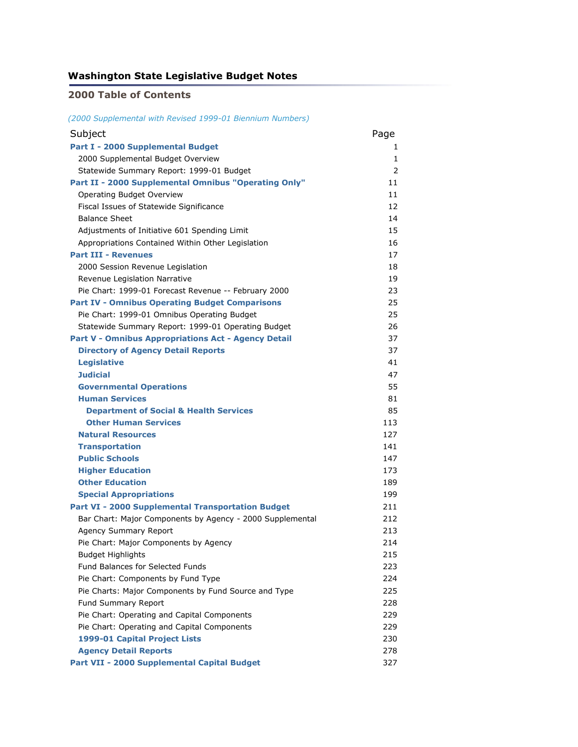#### **Washington State Legislative Budget Notes**

#### **2000 Table of Contents**

*(2000 Supplemental with Revised 1999-01 Biennium Numbers)*

| Subject                                                    | Page |
|------------------------------------------------------------|------|
| Part I - 2000 Supplemental Budget                          | 1    |
| 2000 Supplemental Budget Overview                          | 1    |
| Statewide Summary Report: 1999-01 Budget                   | 2    |
| Part II - 2000 Supplemental Omnibus "Operating Only"       | 11   |
| Operating Budget Overview                                  | 11   |
| Fiscal Issues of Statewide Significance                    | 12   |
| <b>Balance Sheet</b>                                       | 14   |
| Adjustments of Initiative 601 Spending Limit               | 15   |
| Appropriations Contained Within Other Legislation          | 16   |
| <b>Part III - Revenues</b>                                 | 17   |
| 2000 Session Revenue Legislation                           | 18   |
| Revenue Legislation Narrative                              | 19   |
| Pie Chart: 1999-01 Forecast Revenue -- February 2000       | 23   |
| <b>Part IV - Omnibus Operating Budget Comparisons</b>      | 25   |
| Pie Chart: 1999-01 Omnibus Operating Budget                | 25   |
| Statewide Summary Report: 1999-01 Operating Budget         | 26   |
| <b>Part V - Omnibus Appropriations Act - Agency Detail</b> | 37   |
| <b>Directory of Agency Detail Reports</b>                  | 37   |
| <b>Legislative</b>                                         | 41   |
| <b>Judicial</b>                                            | 47   |
| <b>Governmental Operations</b>                             | 55   |
| <b>Human Services</b>                                      | 81   |
| <b>Department of Social &amp; Health Services</b>          | 85   |
| <b>Other Human Services</b>                                | 113  |
| <b>Natural Resources</b>                                   | 127  |
| <b>Transportation</b>                                      | 141  |
| <b>Public Schools</b>                                      | 147  |
| <b>Higher Education</b>                                    | 173  |
| <b>Other Education</b>                                     | 189  |
| <b>Special Appropriations</b>                              | 199  |
| <b>Part VI - 2000 Supplemental Transportation Budget</b>   | 211  |
| Bar Chart: Major Components by Agency - 2000 Supplemental  | 212  |
| <b>Agency Summary Report</b>                               | 213  |
| Pie Chart: Major Components by Agency                      | 214  |
| <b>Budget Highlights</b>                                   | 215  |
| <b>Fund Balances for Selected Funds</b>                    | 223  |
| Pie Chart: Components by Fund Type                         | 224  |
| Pie Charts: Major Components by Fund Source and Type       | 225  |
| Fund Summary Report                                        | 228  |
| Pie Chart: Operating and Capital Components                | 229  |
| Pie Chart: Operating and Capital Components                | 229  |
| 1999-01 Capital Project Lists                              | 230  |
| <b>Agency Detail Reports</b>                               | 278  |
| Part VII - 2000 Supplemental Capital Budget                | 327  |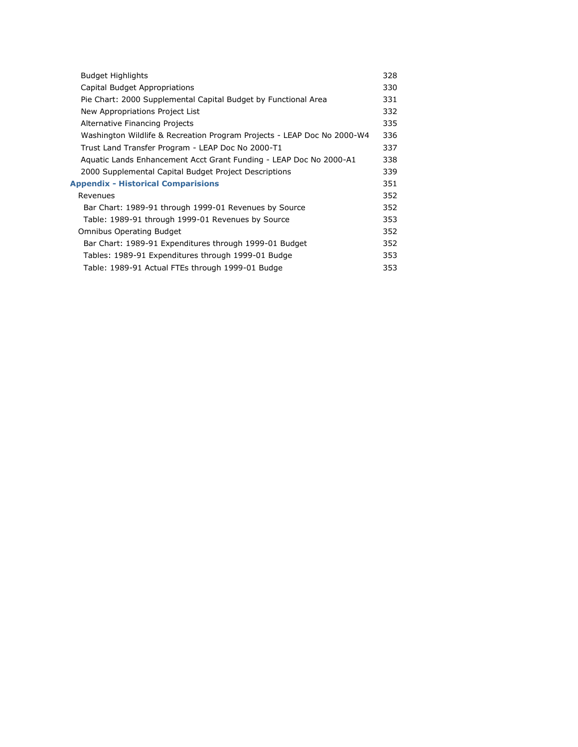| <b>Budget Highlights</b>                                                | 328 |
|-------------------------------------------------------------------------|-----|
| Capital Budget Appropriations                                           | 330 |
| Pie Chart: 2000 Supplemental Capital Budget by Functional Area          | 331 |
| New Appropriations Project List                                         | 332 |
| Alternative Financing Projects                                          | 335 |
| Washington Wildlife & Recreation Program Projects - LEAP Doc No 2000-W4 | 336 |
| Trust Land Transfer Program - LEAP Doc No 2000-T1                       | 337 |
| Aquatic Lands Enhancement Acct Grant Funding - LEAP Doc No 2000-A1      | 338 |
| 2000 Supplemental Capital Budget Project Descriptions                   | 339 |
| <b>Appendix - Historical Comparisions</b>                               | 351 |
| Revenues                                                                | 352 |
| Bar Chart: 1989-91 through 1999-01 Revenues by Source                   | 352 |
| Table: 1989-91 through 1999-01 Revenues by Source                       | 353 |
| <b>Omnibus Operating Budget</b>                                         | 352 |
| Bar Chart: 1989-91 Expenditures through 1999-01 Budget                  | 352 |
| Tables: 1989-91 Expenditures through 1999-01 Budge                      | 353 |
| Table: 1989-91 Actual FTEs through 1999-01 Budge                        | 353 |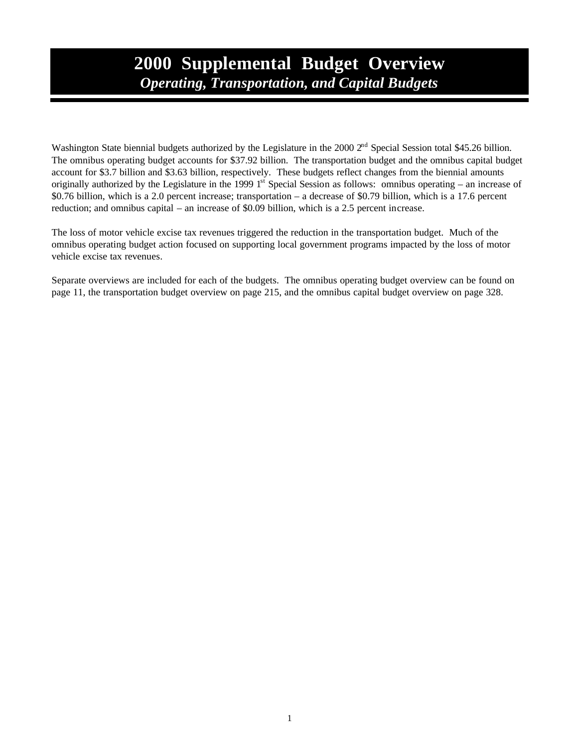## **2000 Supplemental Budget Overview** *Operating, Transportation, and Capital Budgets*

Washington State biennial budgets authorized by the Legislature in the 2000 2<sup>nd</sup> Special Session total \$45.26 billion. The omnibus operating budget accounts for \$37.92 billion. The transportation budget and the omnibus capital budget account for \$3.7 billion and \$3.63 billion, respectively. These budgets reflect changes from the biennial amounts originally authorized by the Legislature in the 1999  $1<sup>st</sup>$  Special Session as follows: omnibus operating – an increase of \$0.76 billion, which is a 2.0 percent increase; transportation – a decrease of \$0.79 billion, which is a 17.6 percent reduction; and omnibus capital – an increase of \$0.09 billion, which is a 2.5 percent increase.

The loss of motor vehicle excise tax revenues triggered the reduction in the transportation budget. Much of the omnibus operating budget action focused on supporting local government programs impacted by the loss of motor vehicle excise tax revenues.

Separate overviews are included for each of the budgets. The omnibus operating budget overview can be found on page 11, the transportation budget overview on page 215, and the omnibus capital budget overview on page 328.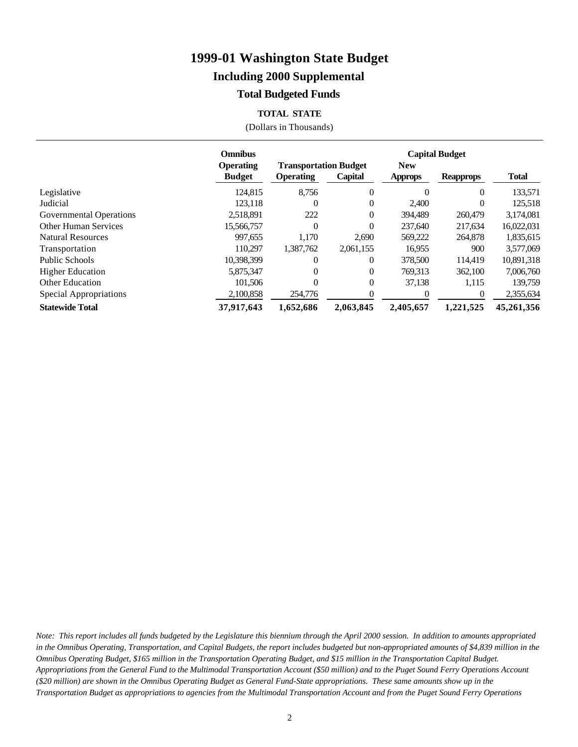#### **Including 2000 Supplemental**

#### **Total Budgeted Funds**

#### **TOTAL STATE**

(Dollars in Thousands)

|                             | <b>Omnibus</b>                    |                                                  |           |                              | <b>Capital Budget</b> |              |
|-----------------------------|-----------------------------------|--------------------------------------------------|-----------|------------------------------|-----------------------|--------------|
|                             | <b>Operating</b><br><b>Budget</b> | <b>Transportation Budget</b><br><b>Operating</b> | Capital   | <b>New</b><br><b>Approps</b> | <b>Reapprops</b>      | <b>Total</b> |
| Legislative                 | 124,815                           | 8.756                                            | $\theta$  | $\Omega$                     | $\Omega$              | 133,571      |
| Judicial                    | 123,118                           | $\Omega$                                         | 0         | 2,400                        | 0                     | 125,518      |
| Governmental Operations     | 2,518,891                         | 222                                              | $\theta$  | 394.489                      | 260,479               | 3,174,081    |
| <b>Other Human Services</b> | 15,566,757                        | $\Omega$                                         | 0         | 237,640                      | 217,634               | 16,022,031   |
| <b>Natural Resources</b>    | 997,655                           | 1.170                                            | 2,690     | 569,222                      | 264,878               | 1,835,615    |
| Transportation              | 110.297                           | 1,387,762                                        | 2,061,155 | 16,955                       | 900                   | 3,577,069    |
| Public Schools              | 10,398,399                        | $\Omega$                                         | 0         | 378,500                      | 114.419               | 10,891,318   |
| <b>Higher Education</b>     | 5,875,347                         | $\Omega$                                         | 0         | 769,313                      | 362,100               | 7,006,760    |
| <b>Other Education</b>      | 101.506                           | $\theta$                                         | $\Omega$  | 37,138                       | 1,115                 | 139,759      |
| Special Appropriations      | 2,100,858                         | 254,776                                          | 0         | $\theta$                     | $\Omega$              | 2,355,634    |
| <b>Statewide Total</b>      | 37,917,643                        | 1,652,686                                        | 2,063,845 | 2,405,657                    | 1,221,525             | 45,261,356   |

*Note: This report includes all funds budgeted by the Legislature this biennium through the April 2000 session. In addition to amounts appropriated in the Omnibus Operating, Transportation, and Capital Budgets, the report includes budgeted but non-appropriated amounts of \$4,839 million in the Omnibus Operating Budget, \$165 million in the Transportation Operating Budget, and \$15 million in the Transportation Capital Budget. Appropriations from the General Fund to the Multimodal Transportation Account (\$50 million) and to the Puget Sound Ferry Operations Account (\$20 million) are shown in the Omnibus Operating Budget as General Fund-State appropriations. These same amounts show up in the Transportation Budget as appropriations to agencies from the Multimodal Transportation Account and from the Puget Sound Ferry Operations*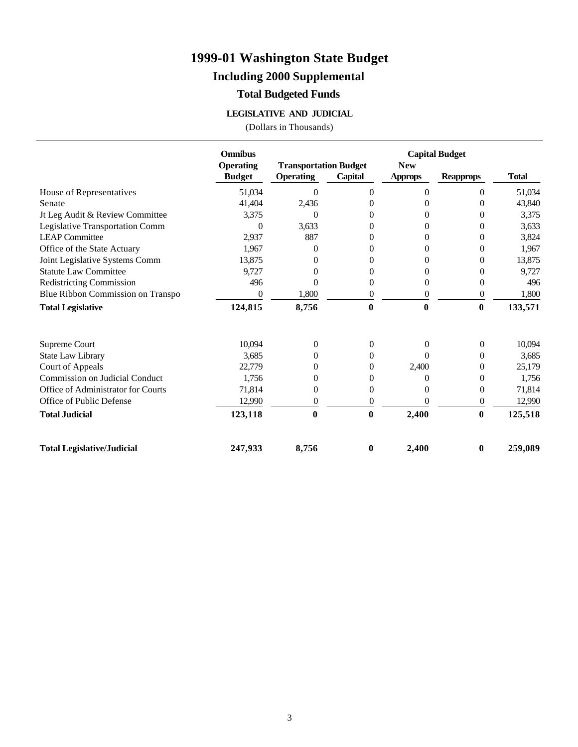### **Including 2000 Supplemental**

#### **Total Budgeted Funds**

#### **LEGISLATIVE AND JUDICIAL**

|                                    | <b>Omnibus</b>   |                              |                |                | <b>Capital Budget</b> |              |
|------------------------------------|------------------|------------------------------|----------------|----------------|-----------------------|--------------|
|                                    | <b>Operating</b> | <b>Transportation Budget</b> |                | <b>New</b>     |                       |              |
|                                    | <b>Budget</b>    | <b>Operating</b>             | Capital        | <b>Approps</b> | <b>Reapprops</b>      | <b>Total</b> |
| House of Representatives           | 51,034           | $\theta$                     | $\overline{0}$ | $\overline{0}$ | $\overline{0}$        | 51,034       |
| Senate                             | 41,404           | 2,436                        | 0              | $\Omega$       | $\Omega$              | 43,840       |
| Jt Leg Audit & Review Committee    | 3,375            | $\theta$                     | 0              | 0              | $\theta$              | 3,375        |
| Legislative Transportation Comm    | $\Omega$         | 3,633                        | 0              | $\Omega$       | $\theta$              | 3,633        |
| <b>LEAP Committee</b>              | 2,937            | 887                          | $\Omega$       | $\Omega$       | $\theta$              | 3,824        |
| Office of the State Actuary        | 1,967            | 0                            | 0              | $\Omega$       | $\theta$              | 1,967        |
| Joint Legislative Systems Comm     | 13,875           | $\theta$                     | $\theta$       | 0              | $\mathbf{0}$          | 13,875       |
| <b>Statute Law Committee</b>       | 9,727            | 0                            | 0              | $\Omega$       | 0                     | 9,727        |
| <b>Redistricting Commission</b>    | 496              | $\Omega$                     | 0              | 0              | $\theta$              | 496          |
| Blue Ribbon Commission on Transpo  | $\Omega$         | 1,800                        | $\overline{0}$ | $\overline{0}$ | $\overline{0}$        | 1,800        |
| <b>Total Legislative</b>           | 124,815          | 8,756                        | $\bf{0}$       | $\bf{0}$       | $\bf{0}$              | 133,571      |
|                                    |                  |                              |                |                |                       |              |
| Supreme Court                      | 10,094           | $\overline{0}$               | $\Omega$       | 0              | $\overline{0}$        | 10,094       |
| <b>State Law Library</b>           | 3,685            | $\overline{0}$               | $\overline{0}$ | 0              | $\theta$              | 3,685        |
| Court of Appeals                   | 22,779           | 0                            | 0              | 2,400          | 0                     | 25,179       |
| Commission on Judicial Conduct     | 1,756            | 0                            | $\Omega$       | 0              | 0                     | 1,756        |
| Office of Administrator for Courts | 71,814           | 0                            | 0              | $\Omega$       | $\theta$              | 71,814       |
| Office of Public Defense           | 12,990           | $\theta$                     | $\overline{0}$ | 0              | $\overline{0}$        | 12,990       |
| <b>Total Judicial</b>              | 123,118          | $\bf{0}$                     | $\bf{0}$       | 2,400          | $\bf{0}$              | 125,518      |
| <b>Total Legislative/Judicial</b>  | 247,933          | 8,756                        | 0              | 2,400          | $\bf{0}$              | 259,089      |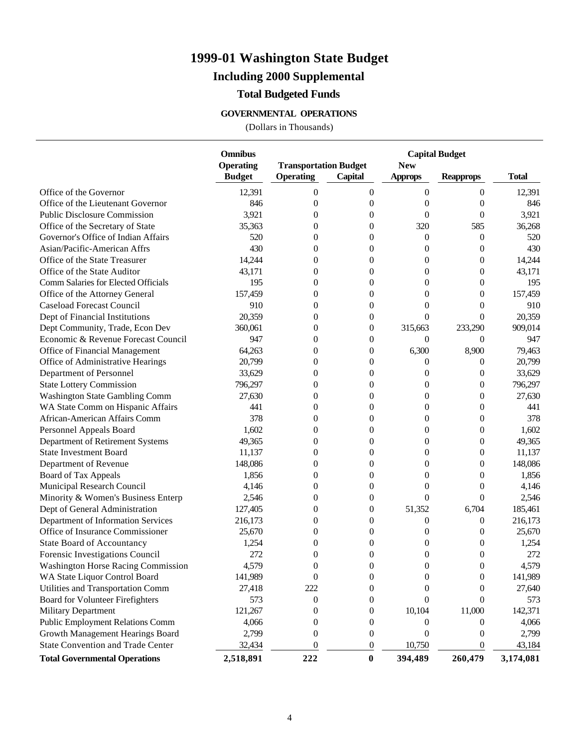### **Including 2000 Supplemental**

#### **Total Budgeted Funds**

#### **GOVERNMENTAL OPERATIONS**

|                                           | <b>Omnibus</b>   |                              |                | <b>Capital Budget</b> |                  |              |
|-------------------------------------------|------------------|------------------------------|----------------|-----------------------|------------------|--------------|
|                                           | <b>Operating</b> | <b>Transportation Budget</b> |                | <b>New</b>            |                  |              |
|                                           | <b>Budget</b>    | <b>Operating</b>             | Capital        | <b>Approps</b>        | <b>Reapprops</b> | <b>Total</b> |
| Office of the Governor                    | 12,391           | $\theta$                     | $\mathbf{0}$   | $\theta$              | $\boldsymbol{0}$ | 12,391       |
| Office of the Lieutenant Governor         | 846              | $\overline{0}$               | $\overline{0}$ | $\overline{0}$        | $\theta$         | 846          |
| <b>Public Disclosure Commission</b>       | 3,921            | $\overline{0}$               | $\overline{0}$ | $\overline{0}$        | $\overline{0}$   | 3,921        |
| Office of the Secretary of State          | 35,363           | $\overline{0}$               | $\theta$       | 320                   | 585              | 36,268       |
| Governor's Office of Indian Affairs       | 520              | $\overline{0}$               | $\overline{0}$ | $\theta$              | $\mathbf{0}$     | 520          |
| Asian/Pacific-American Affrs              | 430              | $\overline{0}$               | $\overline{0}$ | $\theta$              | $\overline{0}$   | 430          |
| Office of the State Treasurer             | 14,244           | $\overline{0}$               | $\overline{0}$ | $\overline{0}$        | $\overline{0}$   | 14,244       |
| Office of the State Auditor               | 43,171           | $\overline{0}$               | $\overline{0}$ | $\overline{0}$        | $\overline{0}$   | 43,171       |
| Comm Salaries for Elected Officials       | 195              | $\overline{0}$               | $\overline{0}$ | $\overline{0}$        | $\mathbf{0}$     | 195          |
| Office of the Attorney General            | 157,459          | $\overline{0}$               | $\overline{0}$ | $\overline{0}$        | $\overline{0}$   | 157,459      |
| <b>Caseload Forecast Council</b>          | 910              | $\overline{0}$               | $\overline{0}$ | $\overline{0}$        | $\theta$         | 910          |
| Dept of Financial Institutions            | 20,359           | $\overline{0}$               | $\theta$       | $\theta$              | 0                | 20,359       |
| Dept Community, Trade, Econ Dev           | 360,061          | $\overline{0}$               | 0              | 315,663               | 233,290          | 909,014      |
| Economic & Revenue Forecast Council       | 947              | $\overline{0}$               | $\theta$       | $\theta$              | $\theta$         | 947          |
| Office of Financial Management            | 64,263           | $\overline{0}$               | $\theta$       | 6,300                 | 8,900            | 79,463       |
| Office of Administrative Hearings         | 20,799           | $\overline{0}$               | $\overline{0}$ | $\overline{0}$        | $\theta$         | 20,799       |
| Department of Personnel                   | 33,629           | $\overline{0}$               | $\overline{0}$ | $\theta$              | $\theta$         | 33,629       |
| <b>State Lottery Commission</b>           | 796,297          | $\overline{0}$               | $\overline{0}$ | $\overline{0}$        | $\boldsymbol{0}$ | 796,297      |
| Washington State Gambling Comm            | 27,630           | $\overline{0}$               | $\overline{0}$ | $\overline{0}$        | $\mathbf{0}$     | 27,630       |
| WA State Comm on Hispanic Affairs         | 441              | $\overline{0}$               | $\overline{0}$ | $\overline{0}$        | $\mathbf{0}$     | 441          |
| African-American Affairs Comm             | 378              | $\overline{0}$               | $\overline{0}$ | $\overline{0}$        | $\mathbf{0}$     | 378          |
| Personnel Appeals Board                   | 1,602            | $\overline{0}$               | $\overline{0}$ | $\overline{0}$        | $\mathbf{0}$     | 1,602        |
| Department of Retirement Systems          | 49,365           | $\overline{0}$               | $\overline{0}$ | $\overline{0}$        | $\mathbf{0}$     | 49,365       |
| <b>State Investment Board</b>             | 11,137           | $\overline{0}$               | $\overline{0}$ | $\overline{0}$        | $\mathbf{0}$     | 11,137       |
| Department of Revenue                     | 148,086          | $\overline{0}$               | $\overline{0}$ | $\overline{0}$        | $\mathbf{0}$     | 148,086      |
| Board of Tax Appeals                      | 1,856            | $\overline{0}$               | $\overline{0}$ | $\overline{0}$        | $\overline{0}$   | 1,856        |
| Municipal Research Council                | 4,146            | $\overline{0}$               | $\overline{0}$ | $\overline{0}$        | $\overline{0}$   | 4,146        |
| Minority & Women's Business Enterp        | 2,546            | $\overline{0}$               | $\theta$       | $\theta$              | $\overline{0}$   | 2,546        |
| Dept of General Administration            | 127,405          | $\overline{0}$               | $\theta$       | 51,352                | 6,704            | 185,461      |
| Department of Information Services        | 216,173          | $\overline{0}$               | $\overline{0}$ | $\overline{0}$        | $\boldsymbol{0}$ | 216,173      |
| Office of Insurance Commissioner          | 25,670           | $\overline{0}$               | $\overline{0}$ | $\overline{0}$        | $\overline{0}$   | 25,670       |
| <b>State Board of Accountancy</b>         | 1,254            | 0                            | $\overline{0}$ | 0                     | $\overline{0}$   | 1,254        |
| Forensic Investigations Council           | 272              | $\overline{0}$               | $\overline{0}$ | $\overline{0}$        | $\overline{0}$   | 272          |
| <b>Washington Horse Racing Commission</b> | 4,579            | $\theta$                     | $\theta$       | $\Omega$              | $\Omega$         | 4,579        |
| WA State Liquor Control Board             | 141,989          | $\boldsymbol{0}$             | 0              | 0                     | $\boldsymbol{0}$ | 141,989      |
| Utilities and Transportation Comm         | 27,418           | 222                          | 0              | 0                     | $\theta$         | 27,640       |
| Board for Volunteer Firefighters          | 573              | $\boldsymbol{0}$             | 0              | 0                     | $\theta$         | 573          |
| <b>Military Department</b>                | 121,267          | 0                            | 0              | 10,104                | 11,000           | 142,371      |
| <b>Public Employment Relations Comm</b>   | 4,066            | 0                            | 0              | 0                     | 0                | 4,066        |
| Growth Management Hearings Board          | 2,799            | $\theta$                     | 0              | 0                     | $\theta$         | 2,799        |
| <b>State Convention and Trade Center</b>  | 32,434           | $\boldsymbol{0}$             | 0              | 10,750                | $\theta$         | 43,184       |
| <b>Total Governmental Operations</b>      | 2,518,891        | 222                          | $\pmb{0}$      | 394,489               | 260,479          | 3,174,081    |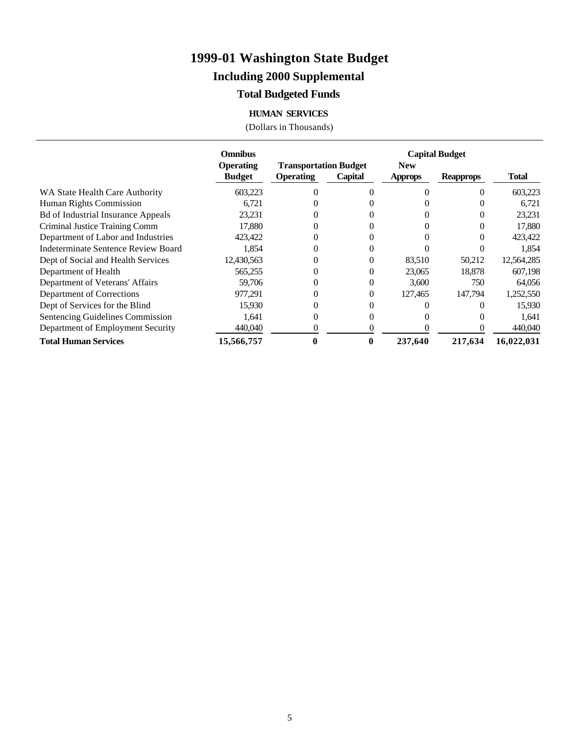### **Including 2000 Supplemental**

#### **Total Budgeted Funds**

#### **HUMAN SERVICES**

|                                           | <b>Omnibus</b>   |                              |         |                | <b>Capital Budget</b> |              |
|-------------------------------------------|------------------|------------------------------|---------|----------------|-----------------------|--------------|
|                                           | <b>Operating</b> | <b>Transportation Budget</b> |         | <b>New</b>     |                       |              |
|                                           | <b>Budget</b>    | <b>Operating</b>             | Capital | <b>Approps</b> | <b>Reapprops</b>      | <b>Total</b> |
| WA State Health Care Authority            | 603,223          | 0                            |         |                |                       | 603,223      |
| Human Rights Commission                   | 6,721            |                              |         |                |                       | 6,721        |
| <b>Bd of Industrial Insurance Appeals</b> | 23,231           | 0                            |         |                |                       | 23,231       |
| Criminal Justice Training Comm            | 17,880           | $\Omega$                     |         |                |                       | 17,880       |
| Department of Labor and Industries        | 423,422          | 0                            |         |                |                       | 423,422      |
| Indeterminate Sentence Review Board       | 1,854            | 0                            |         |                |                       | 1,854        |
| Dept of Social and Health Services        | 12,430,563       |                              |         | 83,510         | 50,212                | 12,564,285   |
| Department of Health                      | 565,255          | 0                            |         | 23,065         | 18,878                | 607,198      |
| Department of Veterans' Affairs           | 59,706           | 0                            |         | 3,600          | 750                   | 64,056       |
| Department of Corrections                 | 977,291          | $\Omega$                     |         | 127,465        | 147,794               | 1,252,550    |
| Dept of Services for the Blind            | 15,930           | 0                            |         |                |                       | 15,930       |
| Sentencing Guidelines Commission          | 1,641            | 0                            |         |                |                       | 1,641        |
| Department of Employment Security         | 440,040          | 0                            |         |                |                       | 440,040      |
| <b>Total Human Services</b>               | 15,566,757       |                              |         | 237,640        | 217,634               | 16,022,031   |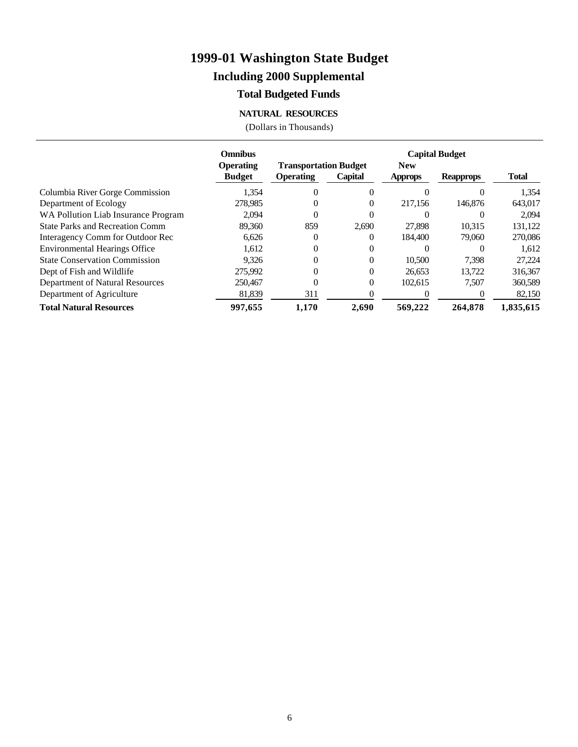### **Including 2000 Supplemental**

### **Total Budgeted Funds**

#### **NATURAL RESOURCES**

|                                        | <b>Omnibus</b>                    |                                                  |          |                              | <b>Capital Budget</b> |              |
|----------------------------------------|-----------------------------------|--------------------------------------------------|----------|------------------------------|-----------------------|--------------|
|                                        | <b>Operating</b><br><b>Budget</b> | <b>Transportation Budget</b><br><b>Operating</b> | Capital  | <b>New</b><br><b>Approps</b> | <b>Reapprops</b>      | <b>Total</b> |
| Columbia River Gorge Commission        | 1,354                             | $\Omega$                                         |          |                              |                       | 1,354        |
| Department of Ecology                  | 278,985                           | $\Omega$                                         | $\theta$ | 217,156                      | 146,876               | 643,017      |
| WA Pollution Liab Insurance Program    | 2.094                             | $\Omega$                                         |          |                              |                       | 2.094        |
| <b>State Parks and Recreation Comm</b> | 89.360                            | 859                                              | 2,690    | 27.898                       | 10,315                | 131,122      |
| Interagency Comm for Outdoor Rec       | 6,626                             | $\Omega$                                         |          | 184.400                      | 79,060                | 270,086      |
| <b>Environmental Hearings Office</b>   | 1,612                             | $\Omega$                                         | $\Omega$ | $\Omega$                     |                       | 1,612        |
| <b>State Conservation Commission</b>   | 9.326                             | $\theta$                                         | 0        | 10.500                       | 7.398                 | 27.224       |
| Dept of Fish and Wildlife              | 275,992                           | $\Omega$                                         | 0        | 26,653                       | 13.722                | 316,367      |
| Department of Natural Resources        | 250,467                           | $\Omega$                                         | 0        | 102.615                      | 7.507                 | 360,589      |
| Department of Agriculture              | 81,839                            | 311                                              |          | $\Omega$                     |                       | 82,150       |
| <b>Total Natural Resources</b>         | 997.655                           | 1.170                                            | 2.690    | 569,222                      | 264,878               | 1,835,615    |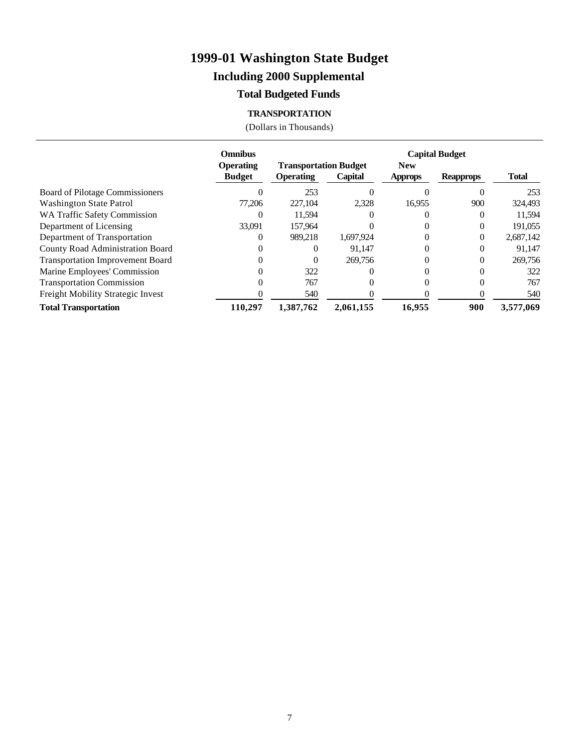### **Including 2000 Supplemental**

#### **Total Budgeted Funds**

#### **TRANSPORTATION**

|                                         | <b>Omnibus</b>                    |                                                  |           |                              | <b>Capital Budget</b> |              |
|-----------------------------------------|-----------------------------------|--------------------------------------------------|-----------|------------------------------|-----------------------|--------------|
|                                         | <b>Operating</b><br><b>Budget</b> | <b>Transportation Budget</b><br><b>Operating</b> | Capital   | <b>New</b><br><b>Approps</b> | <b>Reapprops</b>      | <b>Total</b> |
| Board of Pilotage Commissioners         |                                   | 253                                              |           |                              |                       | 253          |
| <b>Washington State Patrol</b>          | 77.206                            | 227,104                                          | 2,328     | 16,955                       | 900                   | 324,493      |
| <b>WA Traffic Safety Commission</b>     |                                   | 11,594                                           |           |                              |                       | 11,594       |
| Department of Licensing                 | 33,091                            | 157.964                                          |           |                              | $\Omega$              | 191.055      |
| Department of Transportation            |                                   | 989.218                                          | 1,697,924 |                              |                       | 2,687,142    |
| County Road Administration Board        |                                   |                                                  | 91.147    |                              | $_{0}$                | 91,147       |
| <b>Transportation Improvement Board</b> |                                   |                                                  | 269,756   |                              |                       | 269,756      |
| Marine Employees' Commission            |                                   | 322                                              |           |                              |                       | 322          |
| <b>Transportation Commission</b>        |                                   | 767                                              |           |                              |                       | 767          |
| Freight Mobility Strategic Invest       |                                   | 540                                              |           |                              |                       | 540          |
| <b>Total Transportation</b>             | 110.297                           | 1,387,762                                        | 2,061,155 | 16,955                       | 900                   | 3,577,069    |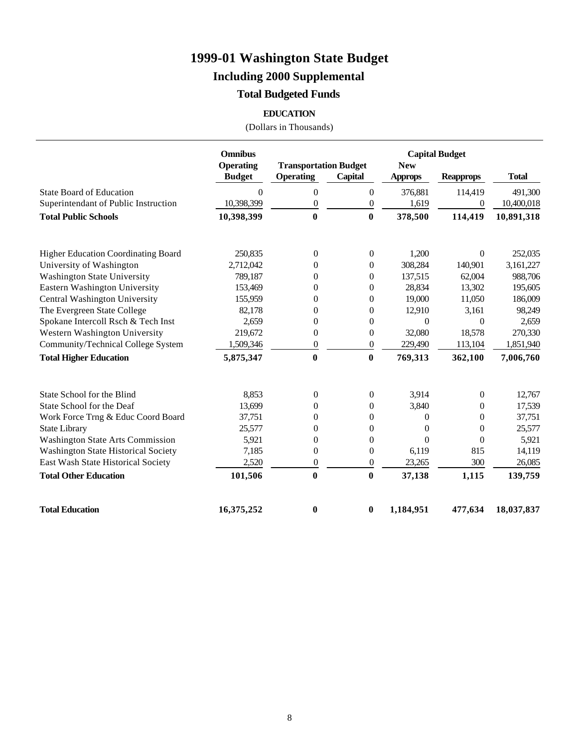### **Including 2000 Supplemental**

### **Total Budgeted Funds**

#### **EDUCATION**

|                                            | <b>Omnibus</b>                    |                                                  |                  | <b>Capital Budget</b>        |                  |              |
|--------------------------------------------|-----------------------------------|--------------------------------------------------|------------------|------------------------------|------------------|--------------|
|                                            | <b>Operating</b><br><b>Budget</b> | <b>Transportation Budget</b><br><b>Operating</b> | <b>Capital</b>   | <b>New</b><br><b>Approps</b> | <b>Reapprops</b> | <b>Total</b> |
|                                            |                                   |                                                  |                  |                              |                  |              |
| <b>State Board of Education</b>            | $\Omega$                          | $\boldsymbol{0}$                                 | $\boldsymbol{0}$ | 376,881                      | 114,419          | 491,300      |
| Superintendant of Public Instruction       | 10,398,399                        | $\boldsymbol{0}$                                 | $\boldsymbol{0}$ | 1,619                        | $\boldsymbol{0}$ | 10,400,018   |
| <b>Total Public Schools</b>                | 10,398,399                        | $\bf{0}$                                         | $\bf{0}$         | 378,500                      | 114,419          | 10,891,318   |
| <b>Higher Education Coordinating Board</b> | 250,835                           | $\boldsymbol{0}$                                 | $\boldsymbol{0}$ | 1,200                        | $\overline{0}$   | 252,035      |
| University of Washington                   | 2,712,042                         | $\theta$                                         | $\overline{0}$   | 308,284                      | 140,901          | 3,161,227    |
| <b>Washington State University</b>         | 789,187                           | $\overline{0}$                                   | $\overline{0}$   | 137,515                      | 62,004           | 988,706      |
| Eastern Washington University              | 153,469                           | $\theta$                                         | $\theta$         | 28,834                       | 13,302           | 195,605      |
| Central Washington University              | 155,959                           | $\boldsymbol{0}$                                 | $\boldsymbol{0}$ | 19,000                       | 11,050           | 186,009      |
| The Evergreen State College                | 82,178                            | $\theta$                                         | $\overline{0}$   | 12,910                       | 3,161            | 98,249       |
| Spokane Intercoll Rsch & Tech Inst         | 2,659                             | 0                                                | $\overline{0}$   | $\mathbf{0}$                 | $\overline{0}$   | 2,659        |
| Western Washington University              | 219,672                           | $\boldsymbol{0}$                                 | $\boldsymbol{0}$ | 32,080                       | 18,578           | 270,330      |
| Community/Technical College System         | 1,509,346                         | $\boldsymbol{0}$                                 | $\boldsymbol{0}$ | 229,490                      | 113,104          | 1,851,940    |
| <b>Total Higher Education</b>              | 5,875,347                         | $\bf{0}$                                         | $\bf{0}$         | 769,313                      | 362,100          | 7,006,760    |
| State School for the Blind                 | 8,853                             | $\boldsymbol{0}$                                 | $\boldsymbol{0}$ | 3,914                        | $\boldsymbol{0}$ | 12,767       |
| State School for the Deaf                  | 13,699                            | $\theta$                                         | $\overline{0}$   | 3,840                        | 0                | 17,539       |
| Work Force Trng & Educ Coord Board         | 37,751                            | $\overline{0}$                                   | $\boldsymbol{0}$ | $\Omega$                     | 0                | 37,751       |
| <b>State Library</b>                       | 25,577                            | $\theta$                                         | $\overline{0}$   | $\Omega$                     | $\theta$         | 25,577       |
| <b>Washington State Arts Commission</b>    | 5,921                             | $\theta$                                         | $\overline{0}$   | $\Omega$                     | $\overline{0}$   | 5,921        |
| <b>Washington State Historical Society</b> | 7,185                             | $\overline{0}$                                   | $\theta$         | 6,119                        | 815              | 14,119       |
| East Wash State Historical Society         | 2,520                             | $\boldsymbol{0}$                                 | $\boldsymbol{0}$ | 23,265                       | 300              | 26,085       |
| <b>Total Other Education</b>               | 101,506                           | $\bf{0}$                                         | $\bf{0}$         | 37,138                       | 1,115            | 139,759      |
| <b>Total Education</b>                     | 16,375,252                        | 0                                                | $\boldsymbol{0}$ | 1,184,951                    | 477,634          | 18,037,837   |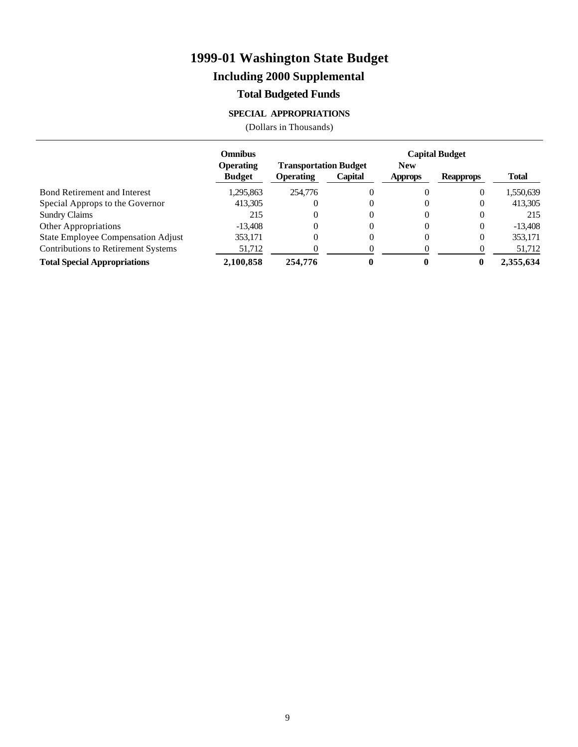### **Including 2000 Supplemental**

#### **Total Budgeted Funds**

#### **SPECIAL APPROPRIATIONS**

|                                           | <b>Omnibus</b>                    |                                                  |          |                | <b>Capital Budget</b> |              |
|-------------------------------------------|-----------------------------------|--------------------------------------------------|----------|----------------|-----------------------|--------------|
|                                           | <b>Operating</b><br><b>Budget</b> | <b>Transportation Budget</b><br><b>Operating</b> | Capital  | <b>New</b>     |                       | <b>Total</b> |
|                                           |                                   |                                                  |          | <b>Approps</b> | <b>Reapprops</b>      |              |
| <b>Bond Retirement and Interest</b>       | 1,295,863                         | 254,776                                          |          | 0              | 0                     | 1,550,639    |
| Special Approps to the Governor           | 413,305                           | $\theta$                                         | $\theta$ | 0              | 0                     | 413,305      |
| <b>Sundry Claims</b>                      | 215                               | $\Omega$                                         | $\theta$ | 0              | $_{0}$                | 215          |
| Other Appropriations                      | $-13,408$                         | 0                                                |          | 0              | 0                     | $-13,408$    |
| <b>State Employee Compensation Adjust</b> | 353,171                           | 0                                                | O        | 0              | 0                     | 353,171      |
| Contributions to Retirement Systems       | 51,712                            |                                                  |          | 0              |                       | 51,712       |
| <b>Total Special Appropriations</b>       | 2,100,858                         | 254,776                                          |          |                | $\mathbf{0}$          | 2,355,634    |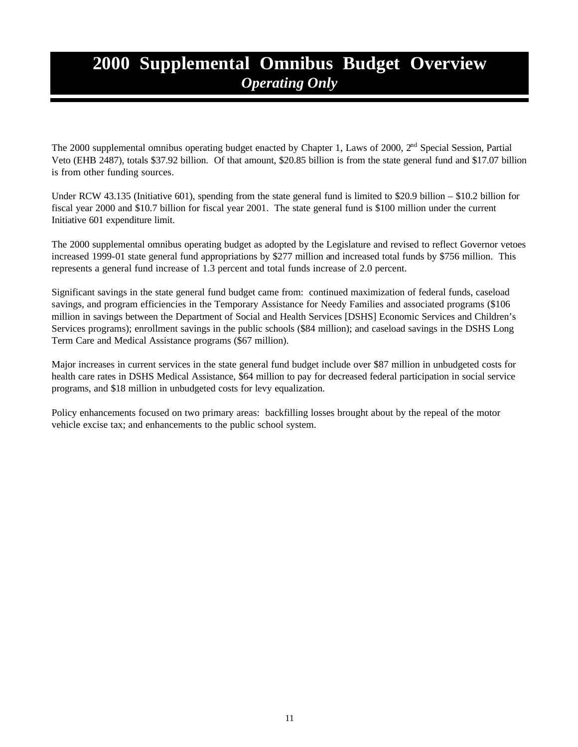## **2000 Supplemental Omnibus Budget Overview** *Operating Only*

The 2000 supplemental omnibus operating budget enacted by Chapter 1, Laws of 2000, 2<sup>nd</sup> Special Session, Partial Veto (EHB 2487), totals \$37.92 billion. Of that amount, \$20.85 billion is from the state general fund and \$17.07 billion is from other funding sources.

Under RCW 43.135 (Initiative 601), spending from the state general fund is limited to \$20.9 billion – \$10.2 billion for fiscal year 2000 and \$10.7 billion for fiscal year 2001. The state general fund is \$100 million under the current Initiative 601 expenditure limit.

The 2000 supplemental omnibus operating budget as adopted by the Legislature and revised to reflect Governor vetoes increased 1999-01 state general fund appropriations by \$277 million and increased total funds by \$756 million. This represents a general fund increase of 1.3 percent and total funds increase of 2.0 percent.

Significant savings in the state general fund budget came from: continued maximization of federal funds, caseload savings, and program efficiencies in the Temporary Assistance for Needy Families and associated programs (\$106 million in savings between the Department of Social and Health Services [DSHS] Economic Services and Children's Services programs); enrollment savings in the public schools (\$84 million); and caseload savings in the DSHS Long Term Care and Medical Assistance programs (\$67 million).

Major increases in current services in the state general fund budget include over \$87 million in unbudgeted costs for health care rates in DSHS Medical Assistance, \$64 million to pay for decreased federal participation in social service programs, and \$18 million in unbudgeted costs for levy equalization.

Policy enhancements focused on two primary areas: backfilling losses brought about by the repeal of the motor vehicle excise tax; and enhancements to the public school system.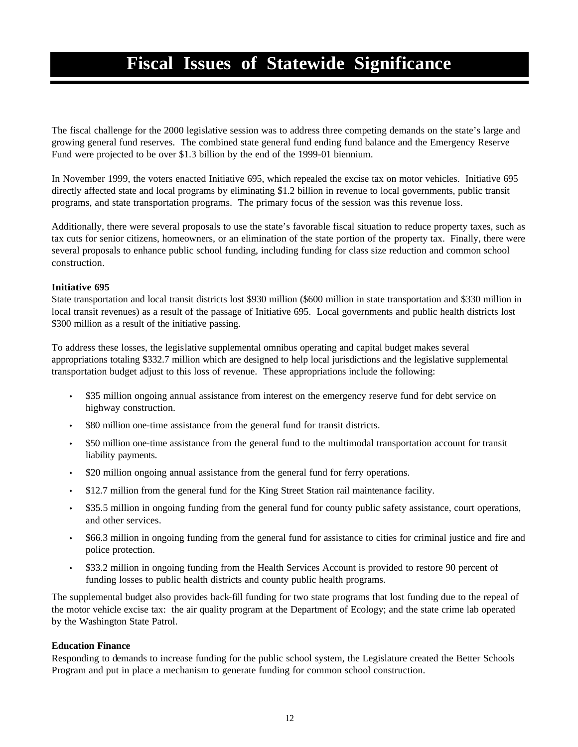# **Fiscal Issues of Statewide Significance**

The fiscal challenge for the 2000 legislative session was to address three competing demands on the state's large and growing general fund reserves. The combined state general fund ending fund balance and the Emergency Reserve Fund were projected to be over \$1.3 billion by the end of the 1999-01 biennium.

In November 1999, the voters enacted Initiative 695, which repealed the excise tax on motor vehicles. Initiative 695 directly affected state and local programs by eliminating \$1.2 billion in revenue to local governments, public transit programs, and state transportation programs. The primary focus of the session was this revenue loss.

Additionally, there were several proposals to use the state's favorable fiscal situation to reduce property taxes, such as tax cuts for senior citizens, homeowners, or an elimination of the state portion of the property tax. Finally, there were several proposals to enhance public school funding, including funding for class size reduction and common school construction.

#### **Initiative 695**

State transportation and local transit districts lost \$930 million (\$600 million in state transportation and \$330 million in local transit revenues) as a result of the passage of Initiative 695. Local governments and public health districts lost \$300 million as a result of the initiative passing.

To address these losses, the legislative supplemental omnibus operating and capital budget makes several appropriations totaling \$332.7 million which are designed to help local jurisdictions and the legislative supplemental transportation budget adjust to this loss of revenue. These appropriations include the following:

- \$35 million ongoing annual assistance from interest on the emergency reserve fund for debt service on highway construction.
- \$80 million one-time assistance from the general fund for transit districts.
- \$50 million one-time assistance from the general fund to the multimodal transportation account for transit liability payments.
- \$20 million ongoing annual assistance from the general fund for ferry operations.
- \$12.7 million from the general fund for the King Street Station rail maintenance facility.
- \$35.5 million in ongoing funding from the general fund for county public safety assistance, court operations, and other services.
- \$66.3 million in ongoing funding from the general fund for assistance to cities for criminal justice and fire and police protection.
- \$33.2 million in ongoing funding from the Health Services Account is provided to restore 90 percent of funding losses to public health districts and county public health programs.

The supplemental budget also provides back-fill funding for two state programs that lost funding due to the repeal of the motor vehicle excise tax: the air quality program at the Department of Ecology; and the state crime lab operated by the Washington State Patrol.

#### **Education Finance**

Responding to demands to increase funding for the public school system, the Legislature created the Better Schools Program and put in place a mechanism to generate funding for common school construction.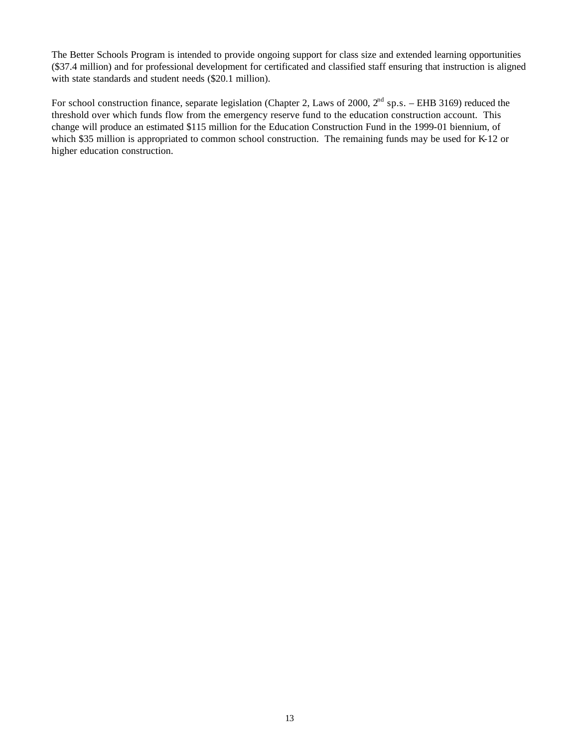The Better Schools Program is intended to provide ongoing support for class size and extended learning opportunities (\$37.4 million) and for professional development for certificated and classified staff ensuring that instruction is aligned with state standards and student needs (\$20.1 million).

For school construction finance, separate legislation (Chapter 2, Laws of 2000,  $2^{nd}$  sp.s. – EHB 3169) reduced the threshold over which funds flow from the emergency reserve fund to the education construction account. This change will produce an estimated \$115 million for the Education Construction Fund in the 1999-01 biennium, of which \$35 million is appropriated to common school construction. The remaining funds may be used for K-12 or higher education construction.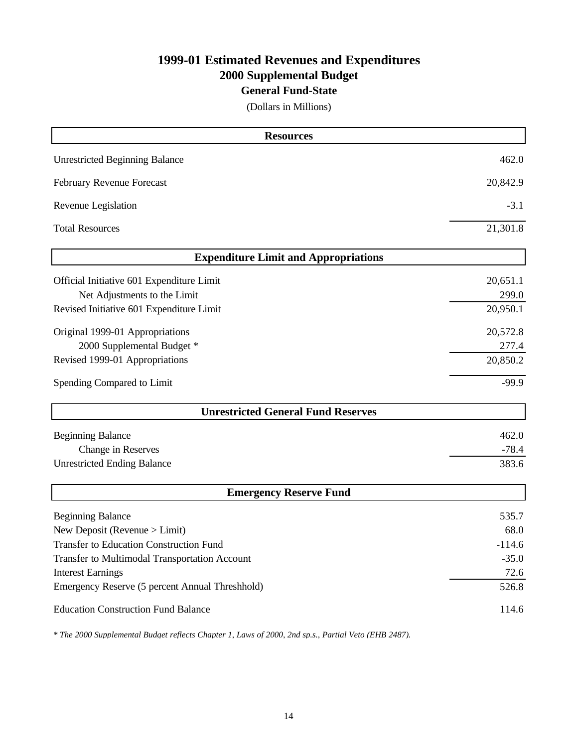### **1999-01 Estimated Revenues and Expenditures 2000 Supplemental Budget**

#### **General Fund-State**

(Dollars in Millions)

| <b>Resources</b>                                |          |
|-------------------------------------------------|----------|
| <b>Unrestricted Beginning Balance</b>           | 462.0    |
| February Revenue Forecast                       | 20,842.9 |
| Revenue Legislation                             | $-3.1$   |
| <b>Total Resources</b>                          | 21,301.8 |
| <b>Expenditure Limit and Appropriations</b>     |          |
| Official Initiative 601 Expenditure Limit       | 20,651.1 |
| Net Adjustments to the Limit                    | 299.0    |
| Revised Initiative 601 Expenditure Limit        | 20,950.1 |
| Original 1999-01 Appropriations                 | 20,572.8 |
| 2000 Supplemental Budget *                      | 277.4    |
| Revised 1999-01 Appropriations                  | 20,850.2 |
| Spending Compared to Limit                      | $-99.9$  |
| <b>Unrestricted General Fund Reserves</b>       |          |
| <b>Beginning Balance</b>                        | 462.0    |
| Change in Reserves                              | $-78.4$  |
| <b>Unrestricted Ending Balance</b>              | 383.6    |
| <b>Emergency Reserve Fund</b>                   |          |
| <b>Beginning Balance</b>                        | 535.7    |
| New Deposit (Revenue > Limit)                   | 68.0     |
| <b>Transfer to Education Construction Fund</b>  | $-114.6$ |
| Transfer to Multimodal Transportation Account   | $-35.0$  |
| <b>Interest Earnings</b>                        | 72.6     |
| Emergency Reserve (5 percent Annual Threshhold) | 526.8    |
| <b>Education Construction Fund Balance</b>      | 114.6    |

*\* The 2000 Supplemental Budget reflects Chapter 1, Laws of 2000, 2nd sp.s., Partial Veto (EHB 2487).*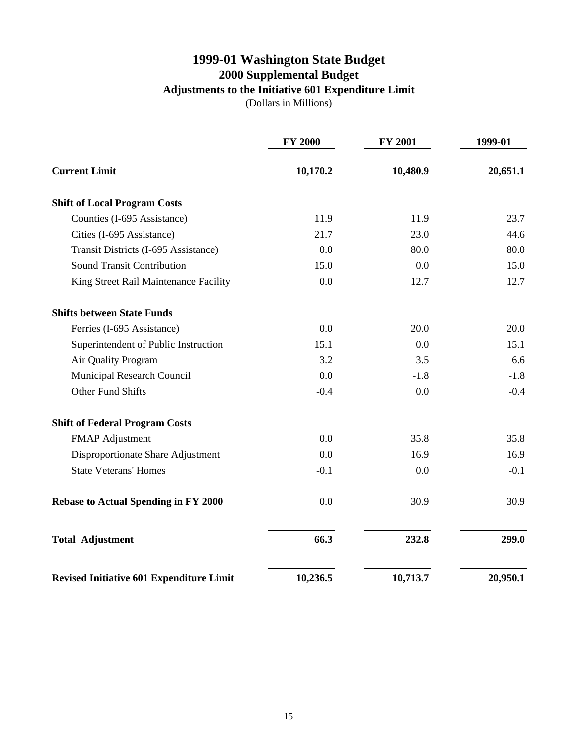### **1999-01 Washington State Budget 2000 Supplemental Budget Adjustments to the Initiative 601 Expenditure Limit**

(Dollars in Millions)

|                                                 | <b>FY 2000</b> | <b>FY 2001</b> | 1999-01  |  |
|-------------------------------------------------|----------------|----------------|----------|--|
| <b>Current Limit</b>                            | 10,170.2       | 10,480.9       | 20,651.1 |  |
| <b>Shift of Local Program Costs</b>             |                |                |          |  |
| Counties (I-695 Assistance)                     | 11.9           | 11.9           | 23.7     |  |
| Cities (I-695 Assistance)                       | 21.7           | 23.0           | 44.6     |  |
| Transit Districts (I-695 Assistance)            | 0.0            | 80.0           | 80.0     |  |
| <b>Sound Transit Contribution</b>               | 15.0           | 0.0            | 15.0     |  |
| King Street Rail Maintenance Facility           | 0.0            | 12.7           | 12.7     |  |
| <b>Shifts between State Funds</b>               |                |                |          |  |
| Ferries (I-695 Assistance)                      | 0.0            | 20.0           | 20.0     |  |
| Superintendent of Public Instruction            | 15.1           | 0.0            | 15.1     |  |
| Air Quality Program                             | 3.2            | 3.5            | 6.6      |  |
| Municipal Research Council                      | 0.0            | $-1.8$         | $-1.8$   |  |
| <b>Other Fund Shifts</b>                        | $-0.4$         | 0.0            | $-0.4$   |  |
| <b>Shift of Federal Program Costs</b>           |                |                |          |  |
| <b>FMAP Adjustment</b>                          | 0.0            | 35.8           | 35.8     |  |
| Disproportionate Share Adjustment               | 0.0            | 16.9           | 16.9     |  |
| <b>State Veterans' Homes</b>                    | $-0.1$         | 0.0            | $-0.1$   |  |
| <b>Rebase to Actual Spending in FY 2000</b>     | 0.0            | 30.9           | 30.9     |  |
| <b>Total Adjustment</b>                         | 66.3           | 232.8          | 299.0    |  |
| <b>Revised Initiative 601 Expenditure Limit</b> | 10,236.5       | 10,713.7       | 20,950.1 |  |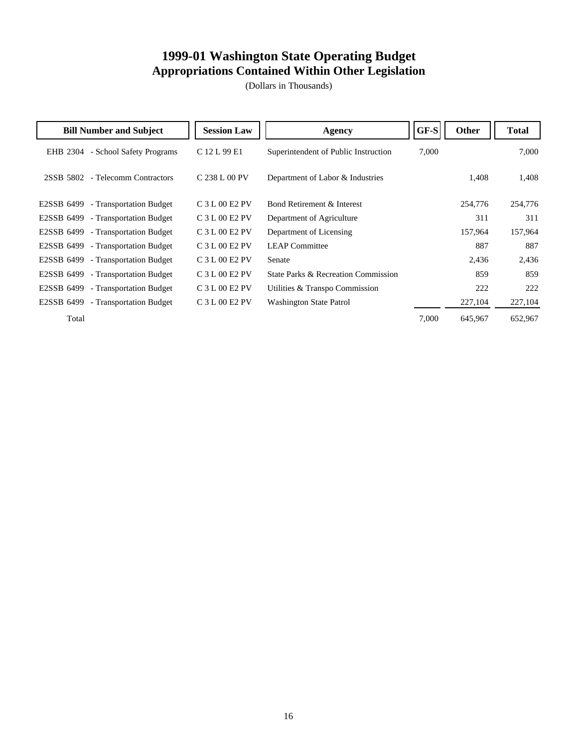### **1999-01 Washington State Operating Budget Appropriations Contained Within Other Legislation**

| <b>Bill Number and Subject</b>        | <b>Session Law</b> | <b>Agency</b>                        | GF-S  | Other   | <b>Total</b> |
|---------------------------------------|--------------------|--------------------------------------|-------|---------|--------------|
| - School Safety Programs<br>EHB 2304  | C 12 L 99 E1       | Superintendent of Public Instruction | 7,000 |         | 7,000        |
| 2SSB 5802 - Telecomm Contractors      | C 238 L 00 PV      | Department of Labor & Industries     |       | 1,408   | 1,408        |
| E2SSB 6499 - Transportation Budget    | C 3 L 00 E2 PV     | Bond Retirement & Interest           |       | 254,776 | 254,776      |
| E2SSB 6499<br>- Transportation Budget | C 3 L 00 E2 PV     | Department of Agriculture            |       | 311     | 311          |
| E2SSB 6499 - Transportation Budget    | $C3 L00 E2 PV$     | Department of Licensing              |       | 157,964 | 157,964      |
| E2SSB 6499 - Transportation Budget    | $C3 L00 E2 PV$     | <b>LEAP</b> Committee                |       | 887     | 887          |
| E2SSB 6499 - Transportation Budget    | $C3 L00 E2 PV$     | Senate                               |       | 2,436   | 2,436        |
| E2SSB 6499 - Transportation Budget    | C 3 L 00 E2 PV     | State Parks & Recreation Commission  |       | 859     | 859          |
| - Transportation Budget<br>E2SSB 6499 | C 3 L 00 E2 PV     | Utilities & Transpo Commission       |       | 222     | 222          |
| E2SSB 6499 - Transportation Budget    | C 3 L 00 E2 PV     | Washington State Patrol              |       | 227,104 | 227,104      |
| Total                                 |                    |                                      | 7,000 | 645,967 | 652,967      |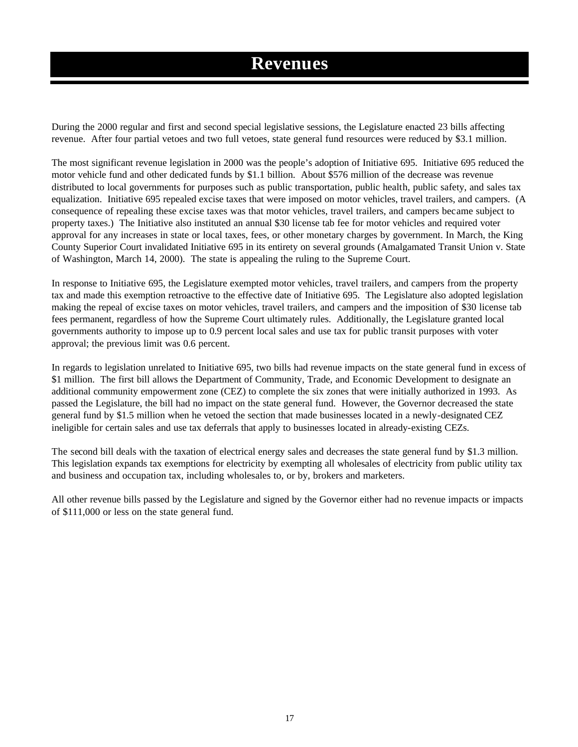### **Revenues**

During the 2000 regular and first and second special legislative sessions, the Legislature enacted 23 bills affecting revenue. After four partial vetoes and two full vetoes, state general fund resources were reduced by \$3.1 million.

The most significant revenue legislation in 2000 was the people's adoption of Initiative 695. Initiative 695 reduced the motor vehicle fund and other dedicated funds by \$1.1 billion. About \$576 million of the decrease was revenue distributed to local governments for purposes such as public transportation, public health, public safety, and sales tax equalization. Initiative 695 repealed excise taxes that were imposed on motor vehicles, travel trailers, and campers. (A consequence of repealing these excise taxes was that motor vehicles, travel trailers, and campers became subject to property taxes.) The Initiative also instituted an annual \$30 license tab fee for motor vehicles and required voter approval for any increases in state or local taxes, fees, or other monetary charges by government. In March, the King County Superior Court invalidated Initiative 695 in its entirety on several grounds (Amalgamated Transit Union v. State of Washington, March 14, 2000). The state is appealing the ruling to the Supreme Court.

In response to Initiative 695, the Legislature exempted motor vehicles, travel trailers, and campers from the property tax and made this exemption retroactive to the effective date of Initiative 695. The Legislature also adopted legislation making the repeal of excise taxes on motor vehicles, travel trailers, and campers and the imposition of \$30 license tab fees permanent, regardless of how the Supreme Court ultimately rules. Additionally, the Legislature granted local governments authority to impose up to 0.9 percent local sales and use tax for public transit purposes with voter approval; the previous limit was 0.6 percent.

In regards to legislation unrelated to Initiative 695, two bills had revenue impacts on the state general fund in excess of \$1 million. The first bill allows the Department of Community, Trade, and Economic Development to designate an additional community empowerment zone (CEZ) to complete the six zones that were initially authorized in 1993. As passed the Legislature, the bill had no impact on the state general fund. However, the Governor decreased the state general fund by \$1.5 million when he vetoed the section that made businesses located in a newly-designated CEZ ineligible for certain sales and use tax deferrals that apply to businesses located in already-existing CEZs.

The second bill deals with the taxation of electrical energy sales and decreases the state general fund by \$1.3 million. This legislation expands tax exemptions for electricity by exempting all wholesales of electricity from public utility tax and business and occupation tax, including wholesales to, or by, brokers and marketers.

All other revenue bills passed by the Legislature and signed by the Governor either had no revenue impacts or impacts of \$111,000 or less on the state general fund.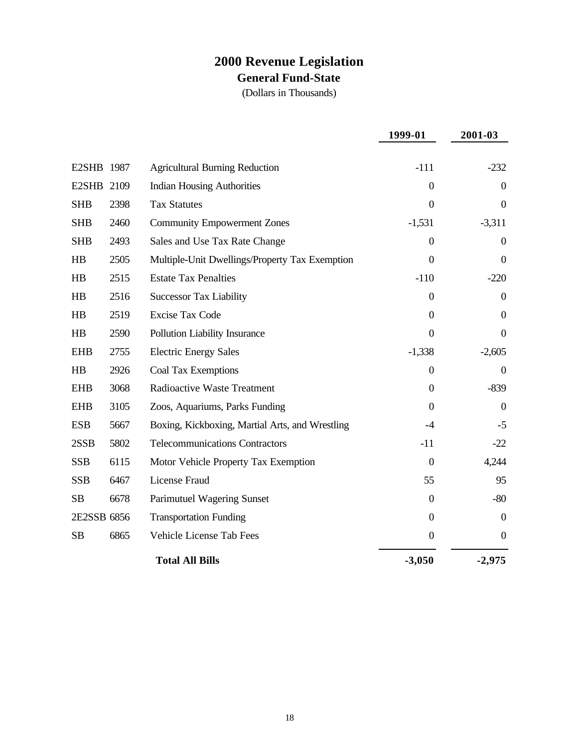### **2000 Revenue Legislation General Fund-State**

|             |      |                                                 | 1999-01          | 2001-03        |
|-------------|------|-------------------------------------------------|------------------|----------------|
|             |      |                                                 |                  |                |
| E2SHB 1987  |      | <b>Agricultural Burning Reduction</b>           | $-111$           | $-232$         |
| E2SHB 2109  |      | <b>Indian Housing Authorities</b>               | $\Omega$         | $\Omega$       |
| <b>SHB</b>  | 2398 | <b>Tax Statutes</b>                             | $\overline{0}$   | $\overline{0}$ |
| <b>SHB</b>  | 2460 | <b>Community Empowerment Zones</b>              | $-1,531$         | $-3,311$       |
| <b>SHB</b>  | 2493 | Sales and Use Tax Rate Change                   | $\overline{0}$   | $\Omega$       |
| HB          | 2505 | Multiple-Unit Dwellings/Property Tax Exemption  | $\mathbf{0}$     | $\mathbf{0}$   |
| HB          | 2515 | <b>Estate Tax Penalties</b>                     | $-110$           | $-220$         |
| HB          | 2516 | <b>Successor Tax Liability</b>                  | $\mathbf{0}$     | $\Omega$       |
| HB          | 2519 | <b>Excise Tax Code</b>                          | $\overline{0}$   | $\theta$       |
| HB          | 2590 | Pollution Liability Insurance                   | $\boldsymbol{0}$ | $\theta$       |
| <b>EHB</b>  | 2755 | <b>Electric Energy Sales</b>                    | $-1,338$         | $-2,605$       |
| HB          | 2926 | <b>Coal Tax Exemptions</b>                      | $\theta$         | $\theta$       |
| <b>EHB</b>  | 3068 | <b>Radioactive Waste Treatment</b>              | $\overline{0}$   | $-839$         |
| <b>EHB</b>  | 3105 | Zoos, Aquariums, Parks Funding                  | $\theta$         | $\Omega$       |
| <b>ESB</b>  | 5667 | Boxing, Kickboxing, Martial Arts, and Wrestling | $-4$             | $-5$           |
| 2SSB        | 5802 | <b>Telecommunications Contractors</b>           | $-11$            | $-22$          |
| <b>SSB</b>  | 6115 | Motor Vehicle Property Tax Exemption            | $\boldsymbol{0}$ | 4,244          |
| <b>SSB</b>  | 6467 | License Fraud                                   | 55               | 95             |
| <b>SB</b>   | 6678 | <b>Parimutuel Wagering Sunset</b>               | $\theta$         | $-80$          |
| 2E2SSB 6856 |      | <b>Transportation Funding</b>                   | $\overline{0}$   | $\theta$       |
| <b>SB</b>   | 6865 | Vehicle License Tab Fees                        | $\boldsymbol{0}$ | $\mathbf{0}$   |
|             |      | <b>Total All Bills</b>                          | $-3,050$         | $-2,975$       |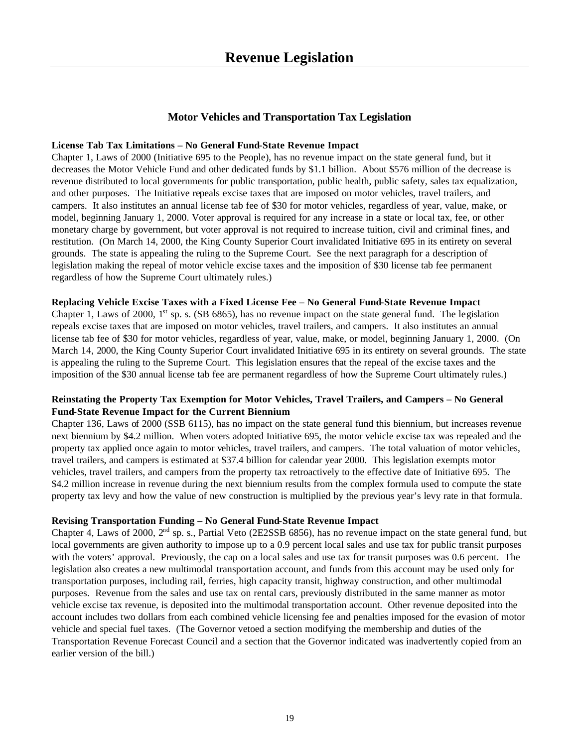#### **Motor Vehicles and Transportation Tax Legislation**

#### **License Tab Tax Limitations – No General Fund-State Revenue Impact**

Chapter 1, Laws of 2000 (Initiative 695 to the People), has no revenue impact on the state general fund, but it decreases the Motor Vehicle Fund and other dedicated funds by \$1.1 billion. About \$576 million of the decrease is revenue distributed to local governments for public transportation, public health, public safety, sales tax equalization, and other purposes. The Initiative repeals excise taxes that are imposed on motor vehicles, travel trailers, and campers. It also institutes an annual license tab fee of \$30 for motor vehicles, regardless of year, value, make, or model, beginning January 1, 2000. Voter approval is required for any increase in a state or local tax, fee, or other monetary charge by government, but voter approval is not required to increase tuition, civil and criminal fines, and restitution. (On March 14, 2000, the King County Superior Court invalidated Initiative 695 in its entirety on several grounds. The state is appealing the ruling to the Supreme Court. See the next paragraph for a description of legislation making the repeal of motor vehicle excise taxes and the imposition of \$30 license tab fee permanent regardless of how the Supreme Court ultimately rules.)

#### **Replacing Vehicle Excise Taxes with a Fixed License Fee – No General Fund-State Revenue Impact**

Chapter 1, Laws of 2000,  $1<sup>st</sup>$  sp. s. (SB 6865), has no revenue impact on the state general fund. The legislation repeals excise taxes that are imposed on motor vehicles, travel trailers, and campers. It also institutes an annual license tab fee of \$30 for motor vehicles, regardless of year, value, make, or model, beginning January 1, 2000. (On March 14, 2000, the King County Superior Court invalidated Initiative 695 in its entirety on several grounds. The state is appealing the ruling to the Supreme Court. This legislation ensures that the repeal of the excise taxes and the imposition of the \$30 annual license tab fee are permanent regardless of how the Supreme Court ultimately rules.)

#### **Reinstating the Property Tax Exemption for Motor Vehicles, Travel Trailers, and Campers – No General Fund-State Revenue Impact for the Current Biennium**

Chapter 136, Laws of 2000 (SSB 6115), has no impact on the state general fund this biennium, but increases revenue next biennium by \$4.2 million. When voters adopted Initiative 695, the motor vehicle excise tax was repealed and the property tax applied once again to motor vehicles, travel trailers, and campers. The total valuation of motor vehicles, travel trailers, and campers is estimated at \$37.4 billion for calendar year 2000. This legislation exempts motor vehicles, travel trailers, and campers from the property tax retroactively to the effective date of Initiative 695. The \$4.2 million increase in revenue during the next biennium results from the complex formula used to compute the state property tax levy and how the value of new construction is multiplied by the previous year's levy rate in that formula.

#### **Revising Transportation Funding – No General Fund-State Revenue Impact**

Chapter 4, Laws of 2000,  $2<sup>nd</sup>$  sp. s., Partial Veto (2E2SSB 6856), has no revenue impact on the state general fund, but local governments are given authority to impose up to a 0.9 percent local sales and use tax for public transit purposes with the voters' approval. Previously, the cap on a local sales and use tax for transit purposes was 0.6 percent. The legislation also creates a new multimodal transportation account, and funds from this account may be used only for transportation purposes, including rail, ferries, high capacity transit, highway construction, and other multimodal purposes. Revenue from the sales and use tax on rental cars, previously distributed in the same manner as motor vehicle excise tax revenue, is deposited into the multimodal transportation account. Other revenue deposited into the account includes two dollars from each combined vehicle licensing fee and penalties imposed for the evasion of motor vehicle and special fuel taxes. (The Governor vetoed a section modifying the membership and duties of the Transportation Revenue Forecast Council and a section that the Governor indicated was inadvertently copied from an earlier version of the bill.)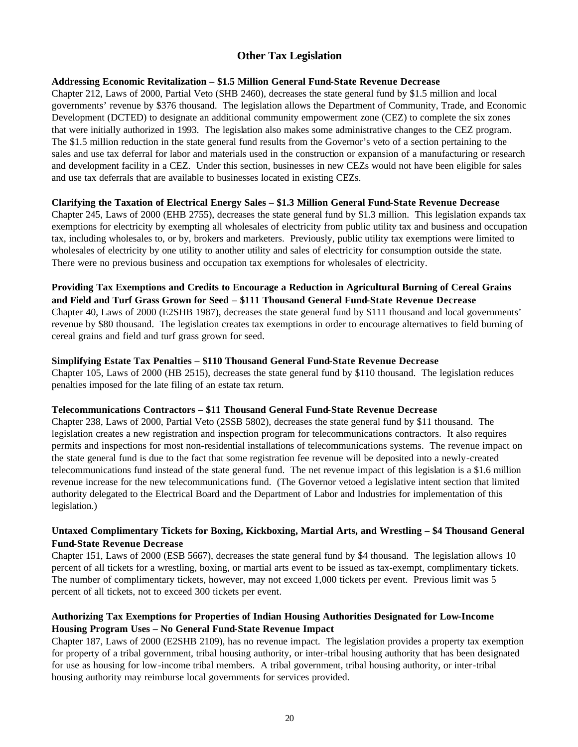#### **Other Tax Legislation**

#### **Addressing Economic Revitalization** – **\$1.5 Million General Fund-State Revenue Decrease**

Chapter 212, Laws of 2000, Partial Veto (SHB 2460), decreases the state general fund by \$1.5 million and local governments' revenue by \$376 thousand. The legislation allows the Department of Community, Trade, and Economic Development (DCTED) to designate an additional community empowerment zone (CEZ) to complete the six zones that were initially authorized in 1993. The legislation also makes some administrative changes to the CEZ program. The \$1.5 million reduction in the state general fund results from the Governor's veto of a section pertaining to the sales and use tax deferral for labor and materials used in the construction or expansion of a manufacturing or research and development facility in a CEZ. Under this section, businesses in new CEZs would not have been eligible for sales and use tax deferrals that are available to businesses located in existing CEZs.

#### **Clarifying the Taxation of Electrical Energy Sales** – **\$1.3 Million General Fund-State Revenue Decrease**

Chapter 245, Laws of 2000 (EHB 2755), decreases the state general fund by \$1.3 million. This legislation expands tax exemptions for electricity by exempting all wholesales of electricity from public utility tax and business and occupation tax, including wholesales to, or by, brokers and marketers. Previously, public utility tax exemptions were limited to wholesales of electricity by one utility to another utility and sales of electricity for consumption outside the state. There were no previous business and occupation tax exemptions for wholesales of electricity.

#### **Providing Tax Exemptions and Credits to Encourage a Reduction in Agricultural Burning of Cereal Grains and Field and Turf Grass Grown for Seed – \$111 Thousand General Fund-State Revenue Decrease** Chapter 40, Laws of 2000 (E2SHB 1987), decreases the state general fund by \$111 thousand and local governments' revenue by \$80 thousand. The legislation creates tax exemptions in order to encourage alternatives to field burning of cereal grains and field and turf grass grown for seed.

#### **Simplifying Estate Tax Penalties – \$110 Thousand General Fund-State Revenue Decrease**

Chapter 105, Laws of 2000 (HB 2515), decreases the state general fund by \$110 thousand. The legislation reduces penalties imposed for the late filing of an estate tax return.

#### **Telecommunications Contractors – \$11 Thousand General Fund-State Revenue Decrease**

Chapter 238, Laws of 2000, Partial Veto (2SSB 5802), decreases the state general fund by \$11 thousand. The legislation creates a new registration and inspection program for telecommunications contractors. It also requires permits and inspections for most non-residential installations of telecommunications systems. The revenue impact on the state general fund is due to the fact that some registration fee revenue will be deposited into a newly-created telecommunications fund instead of the state general fund. The net revenue impact of this legislation is a \$1.6 million revenue increase for the new telecommunications fund. (The Governor vetoed a legislative intent section that limited authority delegated to the Electrical Board and the Department of Labor and Industries for implementation of this legislation.)

#### **Untaxed Complimentary Tickets for Boxing, Kickboxing, Martial Arts, and Wrestling – \$4 Thousand General Fund-State Revenue Decrease**

Chapter 151, Laws of 2000 (ESB 5667), decreases the state general fund by \$4 thousand. The legislation allows 10 percent of all tickets for a wrestling, boxing, or martial arts event to be issued as tax-exempt, complimentary tickets. The number of complimentary tickets, however, may not exceed 1,000 tickets per event. Previous limit was 5 percent of all tickets, not to exceed 300 tickets per event.

#### **Authorizing Tax Exemptions for Properties of Indian Housing Authorities Designated for Low-Income Housing Program Uses – No General Fund-State Revenue Impact**

Chapter 187, Laws of 2000 (E2SHB 2109), has no revenue impact. The legislation provides a property tax exemption for property of a tribal government, tribal housing authority, or inter-tribal housing authority that has been designated for use as housing for low-income tribal members. A tribal government, tribal housing authority, or inter-tribal housing authority may reimburse local governments for services provided.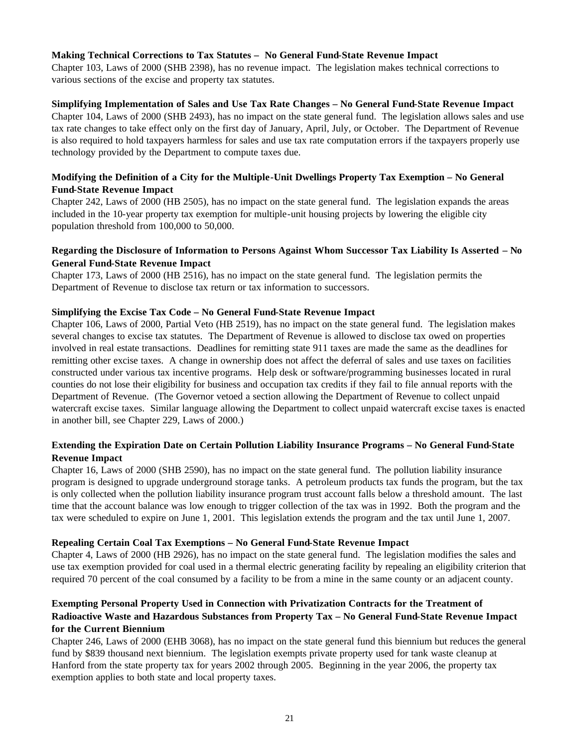#### **Making Technical Corrections to Tax Statutes – No General Fund-State Revenue Impact**

Chapter 103, Laws of 2000 (SHB 2398), has no revenue impact. The legislation makes technical corrections to various sections of the excise and property tax statutes.

#### **Simplifying Implementation of Sales and Use Tax Rate Changes – No General Fund-State Revenue Impact**

Chapter 104, Laws of 2000 (SHB 2493), has no impact on the state general fund. The legislation allows sales and use tax rate changes to take effect only on the first day of January, April, July, or October. The Department of Revenue is also required to hold taxpayers harmless for sales and use tax rate computation errors if the taxpayers properly use technology provided by the Department to compute taxes due.

#### **Modifying the Definition of a City for the Multiple-Unit Dwellings Property Tax Exemption – No General Fund-State Revenue Impact**

Chapter 242, Laws of 2000 (HB 2505), has no impact on the state general fund. The legislation expands the areas included in the 10-year property tax exemption for multiple-unit housing projects by lowering the eligible city population threshold from 100,000 to 50,000.

#### **Regarding the Disclosure of Information to Persons Against Whom Successor Tax Liability Is Asserted – No General Fund-State Revenue Impact**

Chapter 173, Laws of 2000 (HB 2516), has no impact on the state general fund. The legislation permits the Department of Revenue to disclose tax return or tax information to successors.

#### **Simplifying the Excise Tax Code – No General Fund-State Revenue Impact**

Chapter 106, Laws of 2000, Partial Veto (HB 2519), has no impact on the state general fund. The legislation makes several changes to excise tax statutes. The Department of Revenue is allowed to disclose tax owed on properties involved in real estate transactions. Deadlines for remitting state 911 taxes are made the same as the deadlines for remitting other excise taxes. A change in ownership does not affect the deferral of sales and use taxes on facilities constructed under various tax incentive programs. Help desk or software/programming businesses located in rural counties do not lose their eligibility for business and occupation tax credits if they fail to file annual reports with the Department of Revenue. (The Governor vetoed a section allowing the Department of Revenue to collect unpaid watercraft excise taxes. Similar language allowing the Department to collect unpaid watercraft excise taxes is enacted in another bill, see Chapter 229, Laws of 2000.)

#### **Extending the Expiration Date on Certain Pollution Liability Insurance Programs – No General Fund-State Revenue Impact**

Chapter 16, Laws of 2000 (SHB 2590), has no impact on the state general fund. The pollution liability insurance program is designed to upgrade underground storage tanks. A petroleum products tax funds the program, but the tax is only collected when the pollution liability insurance program trust account falls below a threshold amount. The last time that the account balance was low enough to trigger collection of the tax was in 1992. Both the program and the tax were scheduled to expire on June 1, 2001. This legislation extends the program and the tax until June 1, 2007.

#### **Repealing Certain Coal Tax Exemptions – No General Fund-State Revenue Impact**

Chapter 4, Laws of 2000 (HB 2926), has no impact on the state general fund. The legislation modifies the sales and use tax exemption provided for coal used in a thermal electric generating facility by repealing an eligibility criterion that required 70 percent of the coal consumed by a facility to be from a mine in the same county or an adjacent county.

#### **Exempting Personal Property Used in Connection with Privatization Contracts for the Treatment of Radioactive Waste and Hazardous Substances from Property Tax – No General Fund-State Revenue Impact for the Current Biennium**

Chapter 246, Laws of 2000 (EHB 3068), has no impact on the state general fund this biennium but reduces the general fund by \$839 thousand next biennium. The legislation exempts private property used for tank waste cleanup at Hanford from the state property tax for years 2002 through 2005. Beginning in the year 2006, the property tax exemption applies to both state and local property taxes.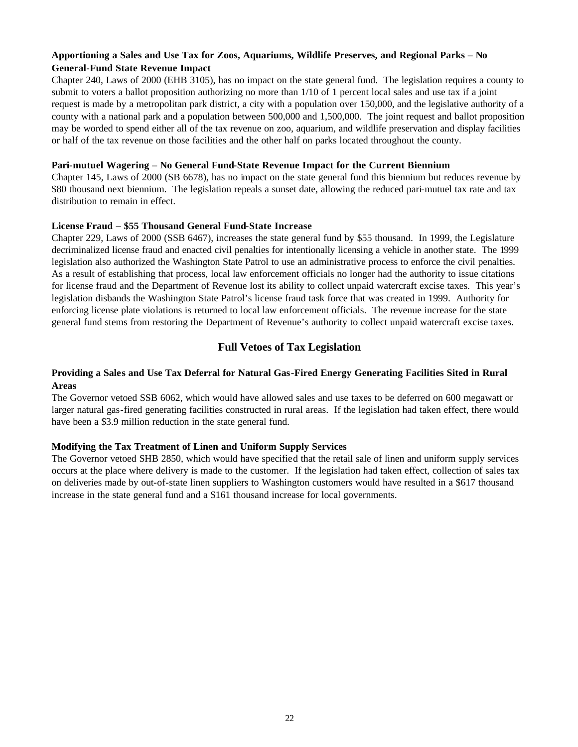#### **Apportioning a Sales and Use Tax for Zoos, Aquariums, Wildlife Preserves, and Regional Parks – No General-Fund State Revenue Impact**

Chapter 240, Laws of 2000 (EHB 3105), has no impact on the state general fund. The legislation requires a county to submit to voters a ballot proposition authorizing no more than 1/10 of 1 percent local sales and use tax if a joint request is made by a metropolitan park district, a city with a population over 150,000, and the legislative authority of a county with a national park and a population between 500,000 and 1,500,000. The joint request and ballot proposition may be worded to spend either all of the tax revenue on zoo, aquarium, and wildlife preservation and display facilities or half of the tax revenue on those facilities and the other half on parks located throughout the county.

#### **Pari-mutuel Wagering – No General Fund-State Revenue Impact for the Current Biennium**

Chapter 145, Laws of 2000 (SB 6678), has no impact on the state general fund this biennium but reduces revenue by \$80 thousand next biennium. The legislation repeals a sunset date, allowing the reduced pari-mutuel tax rate and tax distribution to remain in effect.

#### **License Fraud – \$55 Thousand General Fund-State Increase**

Chapter 229, Laws of 2000 (SSB 6467), increases the state general fund by \$55 thousand. In 1999, the Legislature decriminalized license fraud and enacted civil penalties for intentionally licensing a vehicle in another state. The 1999 legislation also authorized the Washington State Patrol to use an administrative process to enforce the civil penalties. As a result of establishing that process, local law enforcement officials no longer had the authority to issue citations for license fraud and the Department of Revenue lost its ability to collect unpaid watercraft excise taxes. This year's legislation disbands the Washington State Patrol's license fraud task force that was created in 1999. Authority for enforcing license plate violations is returned to local law enforcement officials. The revenue increase for the state general fund stems from restoring the Department of Revenue's authority to collect unpaid watercraft excise taxes.

#### **Full Vetoes of Tax Legislation**

#### **Providing a Sales and Use Tax Deferral for Natural Gas-Fired Energy Generating Facilities Sited in Rural Areas**

The Governor vetoed SSB 6062, which would have allowed sales and use taxes to be deferred on 600 megawatt or larger natural gas-fired generating facilities constructed in rural areas. If the legislation had taken effect, there would have been a \$3.9 million reduction in the state general fund.

#### **Modifying the Tax Treatment of Linen and Uniform Supply Services**

The Governor vetoed SHB 2850, which would have specified that the retail sale of linen and uniform supply services occurs at the place where delivery is made to the customer. If the legislation had taken effect, collection of sales tax on deliveries made by out-of-state linen suppliers to Washington customers would have resulted in a \$617 thousand increase in the state general fund and a \$161 thousand increase for local governments.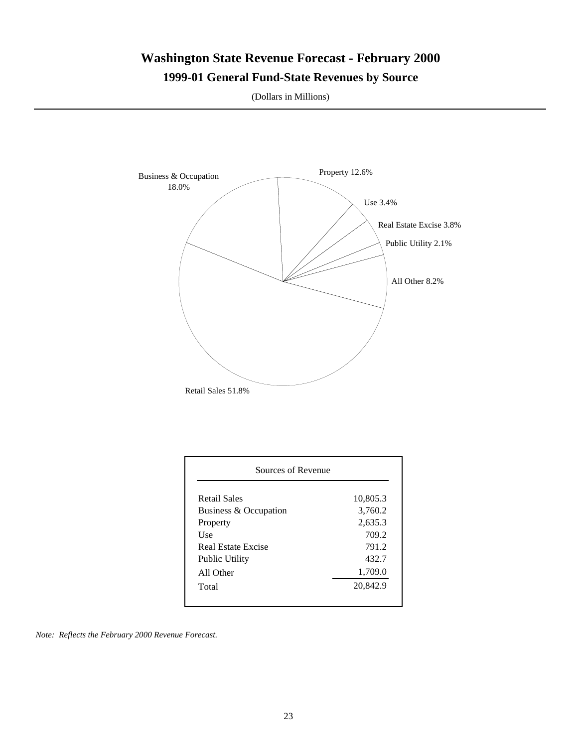# **Washington State Revenue Forecast - February 2000**

### **1999-01 General Fund-State Revenues by Source**

(Dollars in Millions)



| Sources of Revenue    |          |
|-----------------------|----------|
| Retail Sales          | 10,805.3 |
| Business & Occupation | 3,760.2  |
| Property              | 2,635.3  |
| Use                   | 709.2    |
| Real Estate Excise    | 791.2    |
| <b>Public Utility</b> | 432.7    |
| All Other             | 1,709.0  |
| Total                 | 20,842.9 |

*Note: Reflects the February 2000 Revenue Forecast.*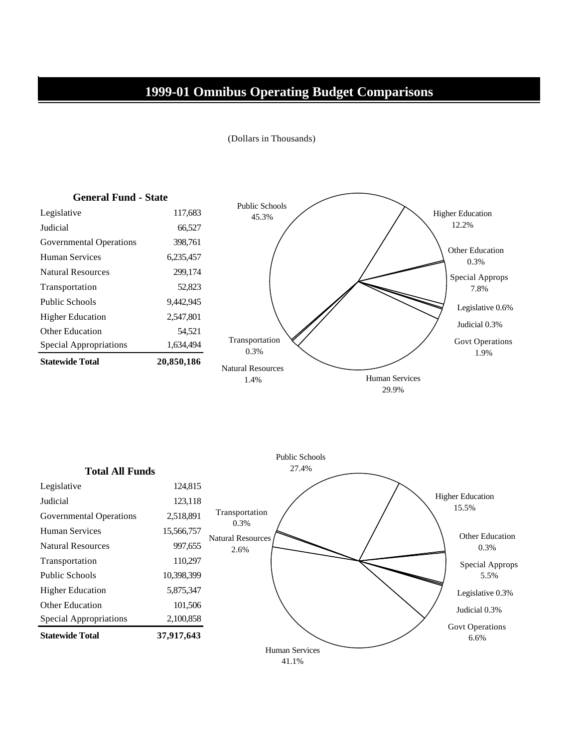### **1999-01 Omnibus Operating Budget Comparisons**





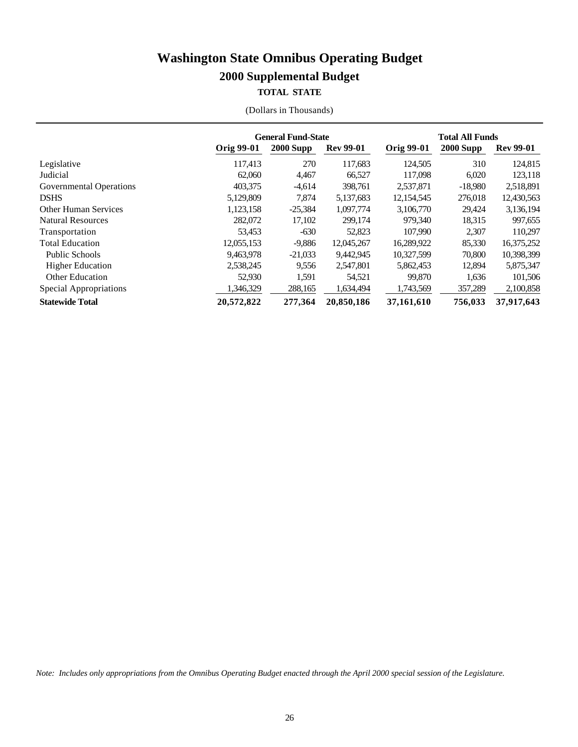### **TOTAL STATE**

|  |  | (Dollars in Thousands) |
|--|--|------------------------|
|--|--|------------------------|

|                             | <b>General Fund-State</b> |             |                  | <b>Total All Funds</b> |                  |                  |  |
|-----------------------------|---------------------------|-------------|------------------|------------------------|------------------|------------------|--|
|                             | Orig 99-01                | $2000$ Supp | <b>Rev 99-01</b> | Orig 99-01             | <b>2000 Supp</b> | <b>Rev 99-01</b> |  |
| Legislative                 | 117,413                   | 270         | 117,683          | 124,505                | 310              | 124,815          |  |
| Judicial                    | 62,060                    | 4,467       | 66,527           | 117,098                | 6,020            | 123,118          |  |
| Governmental Operations     | 403.375                   | $-4,614$    | 398.761          | 2.537.871              | $-18.980$        | 2,518,891        |  |
| <b>DSHS</b>                 | 5,129,809                 | 7.874       | 5,137,683        | 12,154,545             | 276,018          | 12,430,563       |  |
| <b>Other Human Services</b> | 1,123,158                 | $-25,384$   | 1,097,774        | 3,106,770              | 29,424           | 3,136,194        |  |
| <b>Natural Resources</b>    | 282,072                   | 17,102      | 299,174          | 979.340                | 18,315           | 997,655          |  |
| Transportation              | 53,453                    | $-630$      | 52,823           | 107,990                | 2,307            | 110,297          |  |
| <b>Total Education</b>      | 12,055,153                | $-9,886$    | 12,045,267       | 16,289,922             | 85,330           | 16,375,252       |  |
| <b>Public Schools</b>       | 9,463,978                 | $-21,033$   | 9,442,945        | 10,327,599             | 70,800           | 10,398,399       |  |
| <b>Higher Education</b>     | 2,538,245                 | 9,556       | 2,547,801        | 5,862,453              | 12,894           | 5,875,347        |  |
| <b>Other Education</b>      | 52,930                    | 1,591       | 54,521           | 99.870                 | 1,636            | 101,506          |  |
| Special Appropriations      | 346,329                   | 288,165     | 1,634,494        | 1,743,569              | 357,289          | 2,100,858        |  |
| <b>Statewide Total</b>      | 20,572,822                | 277,364     | 20,850,186       | 37,161,610             | 756,033          | 37,917,643       |  |

*Note: Includes only appropriations from the Omnibus Operating Budget enacted through the April 2000 special session of the Legislature.*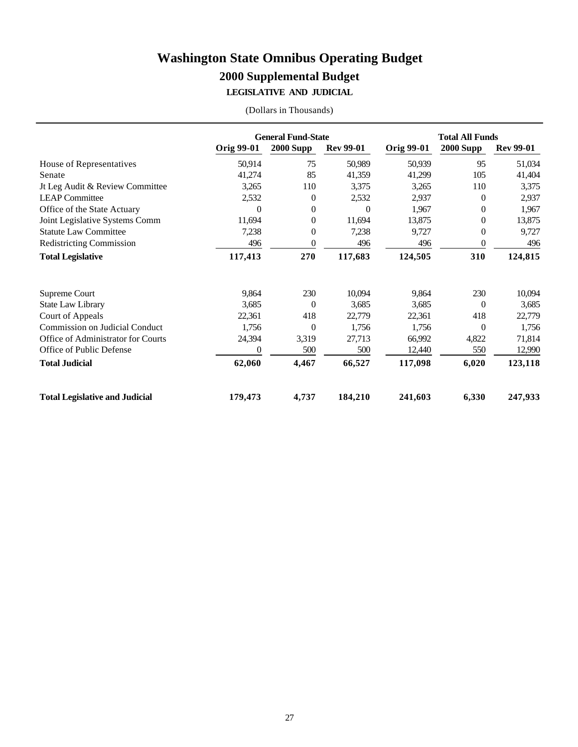**LEGISLATIVE AND JUDICIAL**

|  | (Dollars in Thousands) |
|--|------------------------|
|--|------------------------|

|                                       | <b>General Fund-State</b> |                  |                  | <b>Total All Funds</b> |                  |                  |
|---------------------------------------|---------------------------|------------------|------------------|------------------------|------------------|------------------|
|                                       | <b>Orig 99-01</b>         | <b>2000 Supp</b> | <b>Rev 99-01</b> | <b>Orig 99-01</b>      | <b>2000 Supp</b> | <b>Rev 99-01</b> |
| House of Representatives              | 50,914                    | 75               | 50,989           | 50,939                 | 95               | 51,034           |
| Senate                                | 41,274                    | 85               | 41,359           | 41,299                 | 105              | 41,404           |
| Jt Leg Audit & Review Committee       | 3,265                     | 110              | 3,375            | 3,265                  | 110              | 3,375            |
| <b>LEAP Committee</b>                 | 2,532                     | $\overline{0}$   | 2,532            | 2,937                  | $\overline{0}$   | 2,937            |
| Office of the State Actuary           | $\Omega$                  | $\theta$         | 0                | 1,967                  | $\overline{0}$   | 1,967            |
| Joint Legislative Systems Comm        | 11,694                    | 0                | 11,694           | 13,875                 | 0                | 13,875           |
| <b>Statute Law Committee</b>          | 7,238                     | $\theta$         | 7,238            | 9,727                  | $\theta$         | 9,727            |
| <b>Redistricting Commission</b>       | 496                       | 0                | 496              | 496                    | 0                | 496              |
| <b>Total Legislative</b>              | 117,413                   | 270              | 117,683          | 124,505                | 310              | 124,815          |
|                                       |                           |                  |                  |                        |                  |                  |
| Supreme Court                         | 9,864                     | 230              | 10,094           | 9,864                  | 230              | 10,094           |
| <b>State Law Library</b>              | 3,685                     | $\Omega$         | 3,685            | 3,685                  | $\Omega$         | 3,685            |
| Court of Appeals                      | 22,361                    | 418              | 22,779           | 22,361                 | 418              | 22,779           |
| Commission on Judicial Conduct        | 1,756                     | $\Omega$         | 1,756            | 1,756                  | $\Omega$         | 1,756            |
| Office of Administrator for Courts    | 24,394                    | 3,319            | 27,713           | 66,992                 | 4,822            | 71,814           |
| Office of Public Defense              | $\Omega$                  | 500              | 500              | 12,440                 | 550              | 12,990           |
| <b>Total Judicial</b>                 | 62,060                    | 4,467            | 66,527           | 117,098                | 6,020            | 123,118          |
| <b>Total Legislative and Judicial</b> | 179,473                   | 4,737            | 184,210          | 241,603                | 6,330            | 247,933          |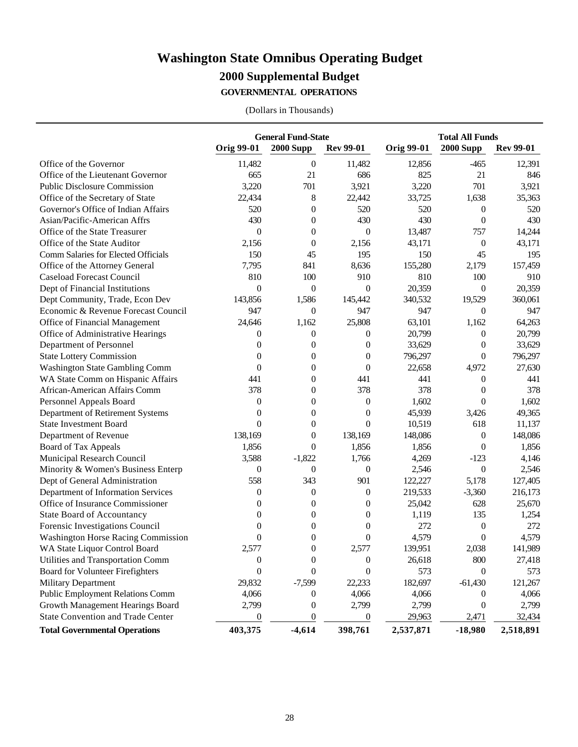### **Washington State Omnibus Operating Budget**

### **2000 Supplemental Budget**

**GOVERNMENTAL OPERATIONS**

|                                           | <b>General Fund-State</b> |                  |                  | <b>Total All Funds</b> |                  |                  |  |
|-------------------------------------------|---------------------------|------------------|------------------|------------------------|------------------|------------------|--|
|                                           | <b>Orig 99-01</b>         | <b>2000 Supp</b> | <b>Rev 99-01</b> | <b>Orig 99-01</b>      | <b>2000 Supp</b> | <b>Rev 99-01</b> |  |
| Office of the Governor                    | 11,482                    | $\mathbf{0}$     | 11,482           | 12,856                 | $-465$           | 12,391           |  |
| Office of the Lieutenant Governor         | 665                       | 21               | 686              | 825                    | 21               | 846              |  |
| <b>Public Disclosure Commission</b>       | 3,220                     | 701              | 3,921            | 3,220                  | 701              | 3,921            |  |
| Office of the Secretary of State          | 22,434                    | $8\,$            | 22,442           | 33,725                 | 1,638            | 35,363           |  |
| Governor's Office of Indian Affairs       | 520                       | $\theta$         | 520              | 520                    | $\mathbf{0}$     | 520              |  |
| Asian/Pacific-American Affrs              | 430                       | $\theta$         | 430              | 430                    | $\theta$         | 430              |  |
| Office of the State Treasurer             | $\theta$                  | $\theta$         | $\theta$         | 13,487                 | 757              | 14,244           |  |
| Office of the State Auditor               | 2,156                     | $\theta$         | 2,156            | 43,171                 | $\boldsymbol{0}$ | 43,171           |  |
| Comm Salaries for Elected Officials       | 150                       | 45               | 195              | 150                    | 45               | 195              |  |
| Office of the Attorney General            | 7,795                     | 841              | 8,636            | 155,280                | 2,179            | 157,459          |  |
| Caseload Forecast Council                 | 810                       | 100              | 910              | 810                    | 100              | 910              |  |
| Dept of Financial Institutions            | $\overline{0}$            | $\theta$         | $\theta$         | 20,359                 | $\theta$         | 20,359           |  |
| Dept Community, Trade, Econ Dev           | 143,856                   | 1,586            | 145,442          | 340,532                | 19,529           | 360,061          |  |
| Economic & Revenue Forecast Council       | 947                       | $\overline{0}$   | 947              | 947                    | $\theta$         | 947              |  |
| Office of Financial Management            | 24,646                    | 1,162            | 25,808           | 63,101                 | 1,162            | 64,263           |  |
| Office of Administrative Hearings         | $\theta$                  | $\overline{0}$   | $\theta$         | 20,799                 | $\theta$         | 20,799           |  |
| Department of Personnel                   | $\theta$                  | $\theta$         | $\theta$         | 33,629                 | $\theta$         | 33,629           |  |
| <b>State Lottery Commission</b>           | $\theta$                  | $\theta$         | $\theta$         | 796,297                | $\theta$         | 796,297          |  |
| <b>Washington State Gambling Comm</b>     | $\theta$                  | $\theta$         | $\theta$         | 22,658                 | 4,972            | 27,630           |  |
| WA State Comm on Hispanic Affairs         | 441                       | $\theta$         | 441              | 441                    | $\theta$         | 441              |  |
| African-American Affairs Comm             | 378                       | $\theta$         | 378              | 378                    | $\theta$         | 378              |  |
| Personnel Appeals Board                   | $\boldsymbol{0}$          | $\theta$         | $\boldsymbol{0}$ | 1,602                  | $\theta$         | 1,602            |  |
| Department of Retirement Systems          | $\theta$                  | $\theta$         | $\theta$         | 45,939                 | 3,426            | 49,365           |  |
| <b>State Investment Board</b>             | $\overline{0}$            | $\theta$         | $\theta$         | 10,519                 | 618              | 11,137           |  |
| Department of Revenue                     | 138,169                   | $\theta$         | 138,169          | 148,086                | $\mathbf{0}$     | 148,086          |  |
| Board of Tax Appeals                      | 1,856                     | $\theta$         | 1,856            | 1,856                  | $\theta$         | 1,856            |  |
| Municipal Research Council                | 3,588                     | $-1,822$         | 1,766            | 4,269                  | $-123$           | 4,146            |  |
| Minority & Women's Business Enterp        | $\theta$                  | $\overline{0}$   | $\theta$         | 2,546                  | $\theta$         | 2,546            |  |
| Dept of General Administration            | 558                       | 343              | 901              | 122,227                | 5,178            | 127,405          |  |
| Department of Information Services        | $\theta$                  | $\theta$         | $\boldsymbol{0}$ | 219,533                | $-3,360$         | 216,173          |  |
| Office of Insurance Commissioner          | $\theta$                  | $\theta$         | $\theta$         | 25,042                 | 628              | 25,670           |  |
| <b>State Board of Accountancy</b>         | $\Omega$                  | $\theta$         | $\theta$         | 1,119                  | 135              | 1,254            |  |
| Forensic Investigations Council           | $\Omega$                  | $\theta$         | $\theta$         | 272                    | $\mathbf{0}$     | 272              |  |
| <b>Washington Horse Racing Commission</b> | $\overline{0}$            | $\theta$         | $\theta$         | 4,579                  | $\theta$         | 4,579            |  |
| WA State Liquor Control Board             | 2,577                     | $\Omega$         | 2,577            | 139,951                | 2,038            | 141,989          |  |
| Utilities and Transportation Comm         | $\boldsymbol{0}$          | $\boldsymbol{0}$ | $\boldsymbol{0}$ | 26,618                 | 800              | 27,418           |  |
| <b>Board for Volunteer Firefighters</b>   | $\boldsymbol{0}$          | $\mathbf{0}$     | $\theta$         | 573                    | $\theta$         | 573              |  |
| <b>Military Department</b>                | 29,832                    | $-7,599$         | 22,233           | 182,697                | $-61,430$        | 121,267          |  |
| <b>Public Employment Relations Comm</b>   | 4,066                     | $\theta$         | 4,066            | 4,066                  | $\bf{0}$         | 4,066            |  |
| Growth Management Hearings Board          | 2,799                     | $\boldsymbol{0}$ | 2,799            | 2,799                  | $\boldsymbol{0}$ | 2,799            |  |
| <b>State Convention and Trade Center</b>  | $\boldsymbol{0}$          | $\boldsymbol{0}$ | $\boldsymbol{0}$ | 29,963                 | 2,471            | 32,434           |  |
| <b>Total Governmental Operations</b>      | 403,375                   | $-4,614$         | 398,761          | 2,537,871              | $-18,980$        | 2,518,891        |  |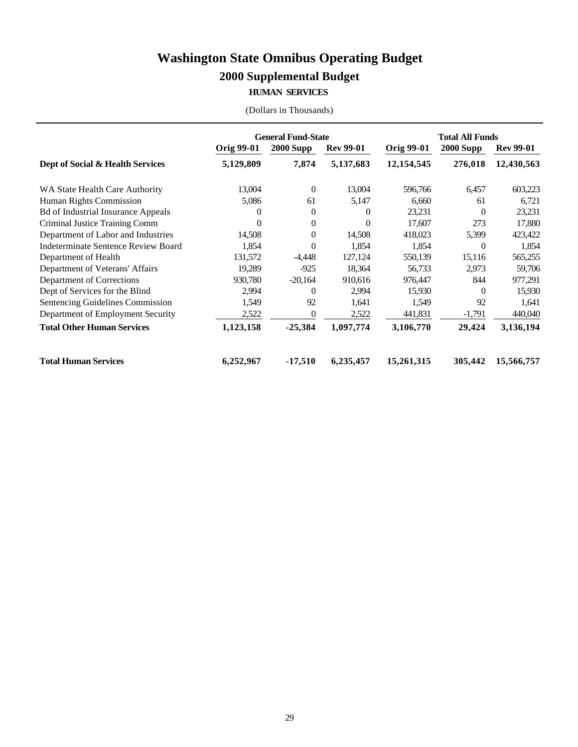### **Washington State Omnibus Operating Budget**

### **2000 Supplemental Budget**

#### **HUMAN SERVICES**

|                                           | <b>General Fund-State</b> |                  |                  | <b>Total All Funds</b> |                  |                  |  |
|-------------------------------------------|---------------------------|------------------|------------------|------------------------|------------------|------------------|--|
|                                           | <b>Orig 99-01</b>         | <b>2000 Supp</b> | <b>Rev 99-01</b> | <b>Orig 99-01</b>      | <b>2000 Supp</b> | <b>Rev 99-01</b> |  |
| Dept of Social & Health Services          | 5,129,809                 | 7,874            | 5,137,683        | 12, 154, 545           | 276,018          | 12,430,563       |  |
| WA State Health Care Authority            | 13,004                    | $\theta$         | 13,004           | 596,766                | 6,457            | 603,223          |  |
| Human Rights Commission                   | 5,086                     | 61               | 5,147            | 6,660                  | 61               | 6,721            |  |
| <b>Bd of Industrial Insurance Appeals</b> | $\Omega$                  | 0                | 0                | 23,231                 | $\Omega$         | 23,231           |  |
| Criminal Justice Training Comm            | $\Omega$                  | $\Omega$         | 0                | 17,607                 | 273              | 17,880           |  |
| Department of Labor and Industries        | 14,508                    | 0                | 14,508           | 418,023                | 5,399            | 423,422          |  |
| Indeterminate Sentence Review Board       | 1,854                     | $\Omega$         | 1,854            | 1,854                  | $\Omega$         | 1,854            |  |
| Department of Health                      | 131,572                   | $-4,448$         | 127,124          | 550,139                | 15,116           | 565,255          |  |
| Department of Veterans' Affairs           | 19.289                    | $-925$           | 18.364           | 56,733                 | 2,973            | 59,706           |  |
| Department of Corrections                 | 930,780                   | $-20,164$        | 910,616          | 976,447                | 844              | 977,291          |  |
| Dept of Services for the Blind            | 2,994                     | $\Omega$         | 2,994            | 15,930                 | $\Omega$         | 15,930           |  |
| Sentencing Guidelines Commission          | 1,549                     | 92               | 1,641            | 1,549                  | 92               | 1,641            |  |
| Department of Employment Security         | 2,522                     | $\Omega$         | 2,522            | 441,831                | $-1,791$         | 440,040          |  |
| <b>Total Other Human Services</b>         | 1,123,158                 | $-25,384$        | 1,097,774        | 3,106,770              | 29,424           | 3,136,194        |  |
| <b>Total Human Services</b>               | 6,252,967                 | $-17,510$        | 6,235,457        | 15,261,315             | 305,442          | 15,566,757       |  |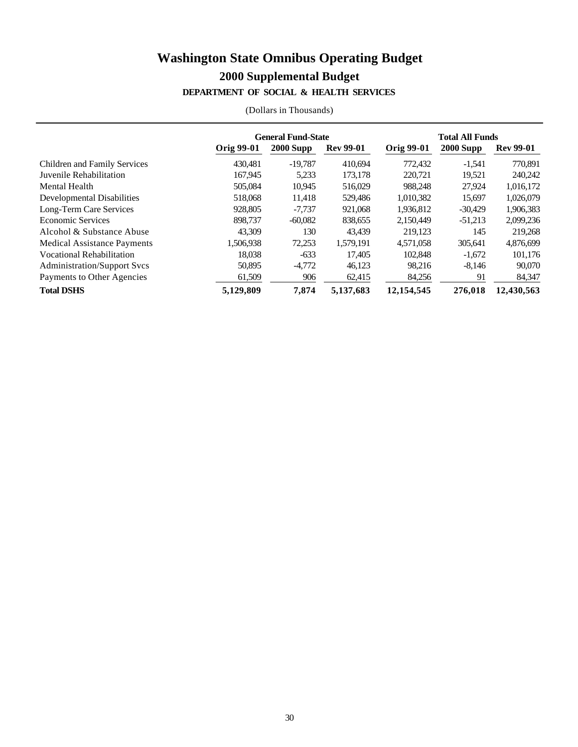### **Washington State Omnibus Operating Budget 2000 Supplemental Budget DEPARTMENT OF SOCIAL & HEALTH SERVICES**

|                                     | <b>General Fund-State</b> |                  |                  | <b>Total All Funds</b> |                  |                  |  |
|-------------------------------------|---------------------------|------------------|------------------|------------------------|------------------|------------------|--|
|                                     | Orig 99-01                | <b>2000 Supp</b> | <b>Rev 99-01</b> | Orig 99-01             | <b>2000 Supp</b> | <b>Rev 99-01</b> |  |
| <b>Children and Family Services</b> | 430.481                   | $-19.787$        | 410.694          | 772,432                | $-1,541$         | 770,891          |  |
| Juvenile Rehabilitation             | 167,945                   | 5,233            | 173,178          | 220,721                | 19,521           | 240,242          |  |
| Mental Health                       | 505,084                   | 10.945           | 516,029          | 988.248                | 27,924           | 1,016,172        |  |
| Developmental Disabilities          | 518,068                   | 11,418           | 529,486          | 1,010,382              | 15,697           | 1,026,079        |  |
| Long-Term Care Services             | 928,805                   | $-7.737$         | 921,068          | 1.936.812              | $-30,429$        | 1,906,383        |  |
| Economic Services                   | 898,737                   | $-60,082$        | 838,655          | 2,150,449              | $-51,213$        | 2,099,236        |  |
| Alcohol & Substance Abuse           | 43.309                    | 130              | 43.439           | 219.123                | 145              | 219,268          |  |
| <b>Medical Assistance Payments</b>  | 1,506,938                 | 72,253           | 1,579,191        | 4,571,058              | 305,641          | 4,876,699        |  |
| <b>Vocational Rehabilitation</b>    | 18.038                    | $-633$           | 17.405           | 102.848                | $-1,672$         | 101,176          |  |
| <b>Administration/Support Svcs</b>  | 50,895                    | $-4,772$         | 46,123           | 98,216                 | $-8,146$         | 90,070           |  |
| Payments to Other Agencies          | 61,509                    | 906              | 62,415           | 84,256                 | 91               | 84,347           |  |
| <b>Total DSHS</b>                   | 5,129,809                 | 7,874            | 5,137,683        | 12,154,545             | 276,018          | 12,430,563       |  |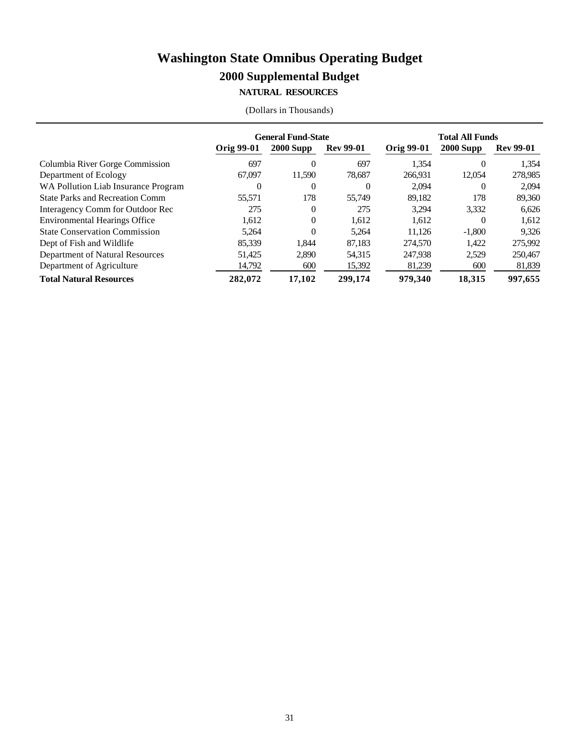#### **NATURAL RESOURCES**

|                                        | <b>General Fund-State</b> |             |                  | <b>Total All Funds</b> |                  |                  |
|----------------------------------------|---------------------------|-------------|------------------|------------------------|------------------|------------------|
|                                        | Orig 99-01                | $2000$ Supp | <b>Rev 99-01</b> | Orig 99-01             | <b>2000 Supp</b> | <b>Rev 99-01</b> |
| Columbia River Gorge Commission        | 697                       | 0           | 697              | 1.354                  | $\Omega$         | 1.354            |
| Department of Ecology                  | 67,097                    | 11.590      | 78.687           | 266.931                | 12,054           | 278,985          |
| WA Pollution Liab Insurance Program    | $\Omega$                  | 0           | 0                | 2.094                  | $\Omega$         | 2.094            |
| <b>State Parks and Recreation Comm</b> | 55.571                    | 178         | 55,749           | 89.182                 | 178              | 89,360           |
| Interagency Comm for Outdoor Rec       | 275                       | 0           | 275              | 3.294                  | 3,332            | 6,626            |
| <b>Environmental Hearings Office</b>   | 1.612                     | $\Omega$    | 1.612            | 1.612                  | $\Omega$         | 1,612            |
| <b>State Conservation Commission</b>   | 5.264                     | 0           | 5.264            | 11.126                 | $-1,800$         | 9.326            |
| Dept of Fish and Wildlife              | 85.339                    | 1.844       | 87,183           | 274,570                | 1,422            | 275,992          |
| Department of Natural Resources        | 51.425                    | 2,890       | 54,315           | 247,938                | 2,529            | 250,467          |
| Department of Agriculture              | 14,792                    | 600         | 15,392           | 81,239                 | 600              | 81,839           |
| <b>Total Natural Resources</b>         | 282,072                   | 17.102      | 299,174          | 979,340                | 18,315           | 997,655          |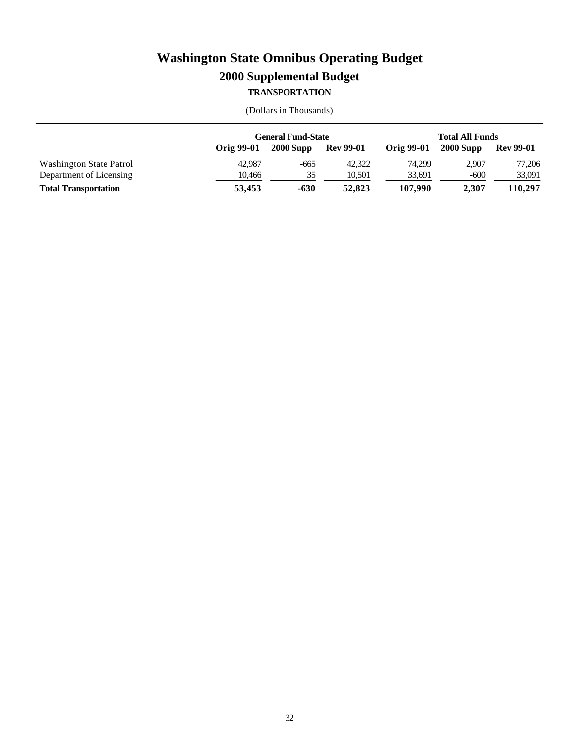### **TRANSPORTATION**

|                             |            | <b>General Fund-State</b> |                  |                   | <b>Total All Funds</b> |                  |  |
|-----------------------------|------------|---------------------------|------------------|-------------------|------------------------|------------------|--|
|                             | Orig 99-01 | $2000$ Supp               | <b>Rev 99-01</b> | <b>Orig 99-01</b> | $2000$ Supp            | <b>Rev 99-01</b> |  |
| Washington State Patrol     | 42.987     | $-665$                    | 42,322           | 74.299            | 2.907                  | 77.206           |  |
| Department of Licensing     | 10.466     | 35                        | 10.501           | 33,691            | $-600$                 | 33,091           |  |
| <b>Total Transportation</b> | 53.453     | $-630$                    | 52,823           | 107.990           | 2.307                  | 110,297          |  |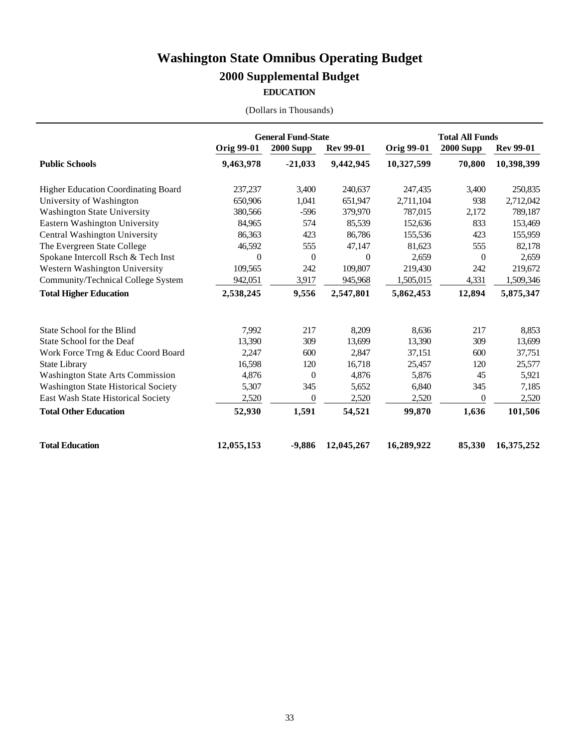#### **EDUCATION**

|  |  | (Dollars in Thousands) |
|--|--|------------------------|
|--|--|------------------------|

|                                            | <b>General Fund-State</b> |                  |                  | <b>Total All Funds</b> |                  |                  |
|--------------------------------------------|---------------------------|------------------|------------------|------------------------|------------------|------------------|
|                                            | <b>Orig 99-01</b>         | <b>2000 Supp</b> | <b>Rev 99-01</b> | <b>Orig 99-01</b>      | <b>2000 Supp</b> | <b>Rev 99-01</b> |
| <b>Public Schools</b>                      | 9,463,978                 | $-21,033$        | 9,442,945        | 10,327,599             | 70,800           | 10,398,399       |
| Higher Education Coordinating Board        | 237,237                   | 3,400            | 240,637          | 247,435                | 3,400            | 250,835          |
| University of Washington                   | 650,906                   | 1,041            | 651,947          | 2,711,104              | 938              | 2,712,042        |
| <b>Washington State University</b>         | 380,566                   | $-596$           | 379,970          | 787,015                | 2,172            | 789,187          |
| Eastern Washington University              | 84,965                    | 574              | 85,539           | 152,636                | 833              | 153,469          |
| Central Washington University              | 86,363                    | 423              | 86,786           | 155,536                | 423              | 155,959          |
| The Evergreen State College                | 46,592                    | 555              | 47,147           | 81,623                 | 555              | 82,178           |
| Spokane Intercoll Rsch & Tech Inst         | $\theta$                  | $\theta$         | $\theta$         | 2,659                  | $\overline{0}$   | 2,659            |
| Western Washington University              | 109,565                   | 242              | 109,807          | 219,430                | 242              | 219,672          |
| Community/Technical College System         | 942,051                   | 3,917            | 945,968          | 1,505,015              | 4,331            | 1,509,346        |
| <b>Total Higher Education</b>              | 2,538,245                 | 9,556            | 2,547,801        | 5,862,453              | 12,894           | 5,875,347        |
| State School for the Blind                 | 7,992                     | 217              | 8,209            | 8,636                  | 217              | 8,853            |
| State School for the Deaf                  | 13,390                    | 309              | 13,699           | 13,390                 | 309              | 13,699           |
| Work Force Trng & Educ Coord Board         | 2,247                     | 600              | 2,847            | 37,151                 | 600              | 37,751           |
| <b>State Library</b>                       | 16,598                    | 120              | 16,718           | 25,457                 | 120              | 25,577           |
| <b>Washington State Arts Commission</b>    | 4,876                     | $\theta$         | 4,876            | 5,876                  | 45               | 5,921            |
| <b>Washington State Historical Society</b> | 5,307                     | 345              | 5,652            | 6,840                  | 345              | 7,185            |
| East Wash State Historical Society         | 2,520                     | $\theta$         | 2,520            | 2,520                  | $\theta$         | 2,520            |
| <b>Total Other Education</b>               | 52,930                    | 1,591            | 54,521           | 99,870                 | 1,636            | 101,506          |
| <b>Total Education</b>                     | 12,055,153                | $-9,886$         | 12,045,267       | 16,289,922             | 85,330           | 16,375,252       |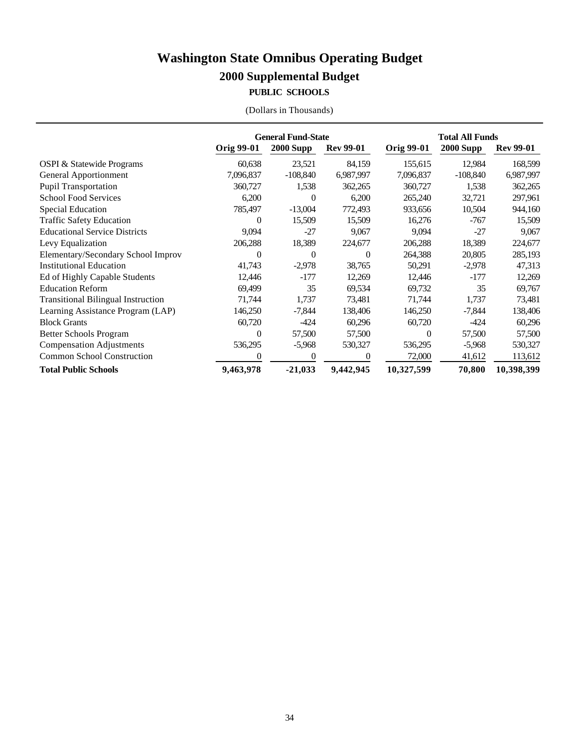### **PUBLIC SCHOOLS**

|  |  | (Dollars in Thousands) |
|--|--|------------------------|
|--|--|------------------------|

|                                           | <b>General Fund-State</b> |                  |                  | <b>Total All Funds</b> |                  |                  |
|-------------------------------------------|---------------------------|------------------|------------------|------------------------|------------------|------------------|
|                                           | <b>Orig 99-01</b>         | <b>2000 Supp</b> | <b>Rev 99-01</b> | <b>Orig 99-01</b>      | <b>2000 Supp</b> | <b>Rev 99-01</b> |
| <b>OSPI &amp; Statewide Programs</b>      | 60,638                    | 23,521           | 84,159           | 155,615                | 12,984           | 168,599          |
| <b>General Apportionment</b>              | 7,096,837                 | $-108,840$       | 6,987,997        | 7,096,837              | $-108,840$       | 6,987,997        |
| <b>Pupil Transportation</b>               | 360,727                   | 1,538            | 362,265          | 360,727                | 1,538            | 362,265          |
| <b>School Food Services</b>               | 6,200                     | $\Omega$         | 6,200            | 265,240                | 32,721           | 297,961          |
| <b>Special Education</b>                  | 785,497                   | $-13,004$        | 772,493          | 933,656                | 10,504           | 944,160          |
| <b>Traffic Safety Education</b>           | $\overline{0}$            | 15,509           | 15,509           | 16,276                 | -767             | 15,509           |
| <b>Educational Service Districts</b>      | 9,094                     | $-27$            | 9,067            | 9,094                  | $-27$            | 9,067            |
| Levy Equalization                         | 206,288                   | 18,389           | 224,677          | 206,288                | 18,389           | 224,677          |
| Elementary/Secondary School Improv        | $\Omega$                  | $\Omega$         | $\Omega$         | 264,388                | 20,805           | 285,193          |
| <b>Institutional Education</b>            | 41,743                    | $-2,978$         | 38,765           | 50,291                 | $-2,978$         | 47,313           |
| Ed of Highly Capable Students             | 12,446                    | $-177$           | 12,269           | 12,446                 | $-177$           | 12,269           |
| <b>Education Reform</b>                   | 69,499                    | 35               | 69,534           | 69,732                 | 35               | 69,767           |
| <b>Transitional Bilingual Instruction</b> | 71,744                    | 1,737            | 73,481           | 71,744                 | 1,737            | 73,481           |
| Learning Assistance Program (LAP)         | 146,250                   | -7,844           | 138,406          | 146,250                | -7,844           | 138,406          |
| <b>Block Grants</b>                       | 60,720                    | $-424$           | 60,296           | 60,720                 | $-424$           | 60,296           |
| <b>Better Schools Program</b>             | $\Omega$                  | 57,500           | 57,500           | 0                      | 57,500           | 57,500           |
| <b>Compensation Adjustments</b>           | 536,295                   | $-5,968$         | 530,327          | 536,295                | $-5,968$         | 530,327          |
| <b>Common School Construction</b>         | $\theta$                  | $\Omega$         | $\Omega$         | 72,000                 | 41,612           | 113,612          |
| <b>Total Public Schools</b>               | 9,463,978                 | $-21,033$        | 9,442,945        | 10,327,599             | 70,800           | 10,398,399       |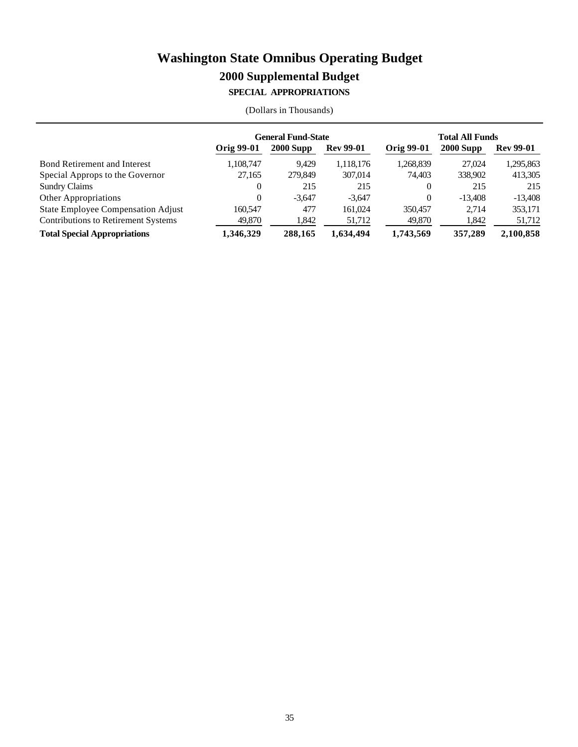#### **SPECIAL APPROPRIATIONS**

|                                           | <b>General Fund-State</b> |             |                  | <b>Total All Funds</b> |             |                  |
|-------------------------------------------|---------------------------|-------------|------------------|------------------------|-------------|------------------|
|                                           | <b>Orig 99-01</b>         | $2000$ Supp | <b>Rev 99-01</b> | Orig 99-01             | $2000$ Supp | <b>Rev 99-01</b> |
| <b>Bond Retirement and Interest</b>       | 1,108,747                 | 9.429       | 1.118.176        | 1,268,839              | 27.024      | 1,295,863        |
| Special Approps to the Governor           | 27.165                    | 279,849     | 307,014          | 74.403                 | 338,902     | 413,305          |
| <b>Sundry Claims</b>                      | 0                         | 215         | 215              | 0                      | 215         | 215              |
| <b>Other Appropriations</b>               | 0                         | $-3.647$    | $-3.647$         | 0                      | $-13,408$   | $-13.408$        |
| <b>State Employee Compensation Adjust</b> | 160.547                   | 477         | 161.024          | 350,457                | 2.714       | 353,171          |
| Contributions to Retirement Systems       | 49,870                    | 1,842       | 51,712           | 49,870                 | 1,842       | 51,712           |
| <b>Total Special Appropriations</b>       | 1.346.329                 | 288,165     | 1,634,494        | 1,743,569              | 357,289     | 2.100.858        |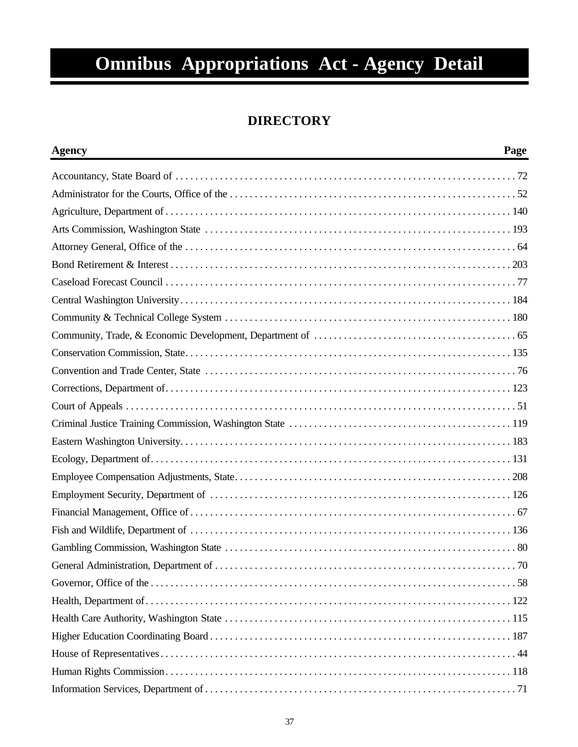# **Omnibus Appropriations Act - Agency Detail**

### **DIRECTORY**

| <b>Agency</b> | Page |
|---------------|------|
|               |      |
|               |      |
|               |      |
|               |      |
|               |      |
|               |      |
|               |      |
|               |      |
|               |      |
|               |      |
|               |      |
|               |      |
|               |      |
|               |      |
|               |      |
|               |      |
|               |      |
|               |      |
|               |      |
|               |      |
|               |      |
|               |      |
|               |      |
|               |      |
|               |      |
|               |      |
|               |      |
|               |      |
|               |      |
|               |      |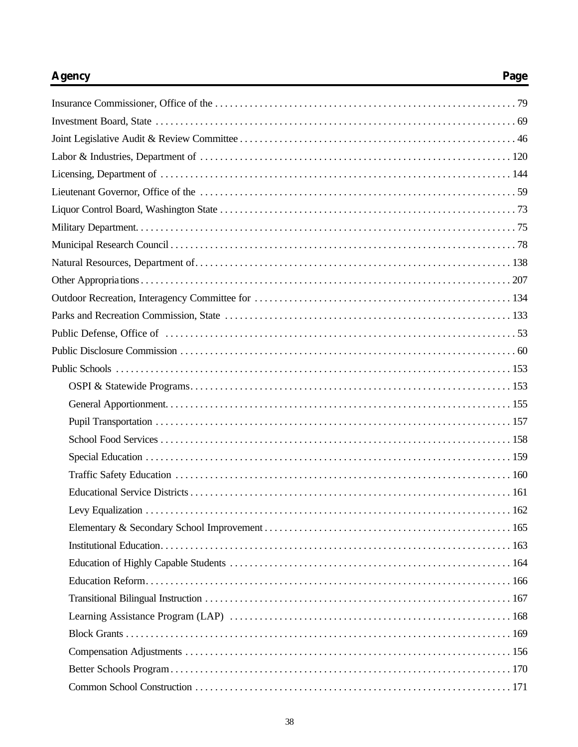# **Agency**

# Page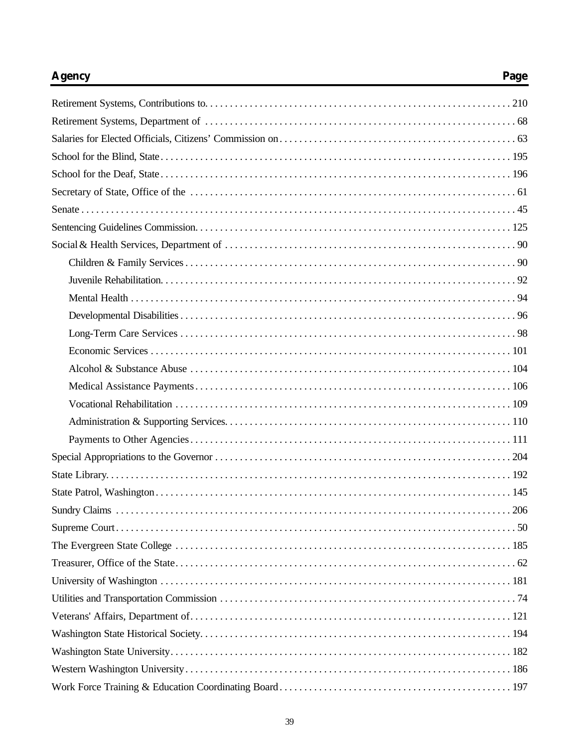# **Agency**

# Page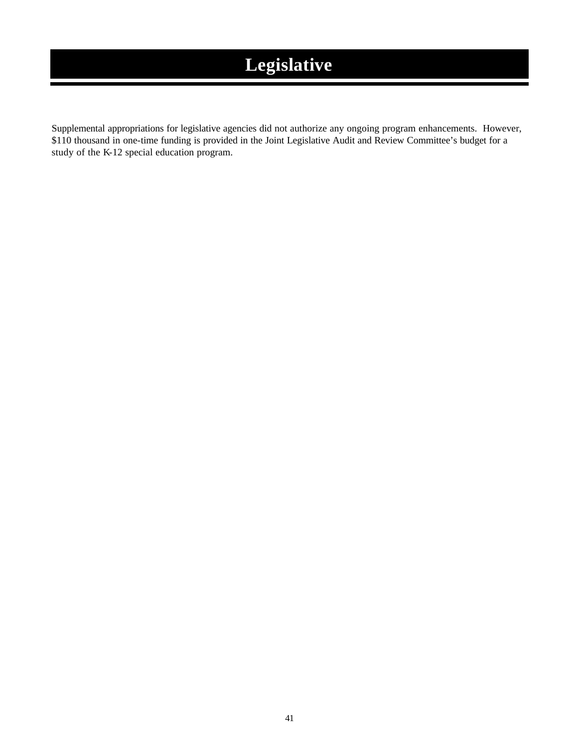# **Legislative**

Supplemental appropriations for legislative agencies did not authorize any ongoing program enhancements. However, \$110 thousand in one-time funding is provided in the Joint Legislative Audit and Review Committee's budget for a study of the K-12 special education program.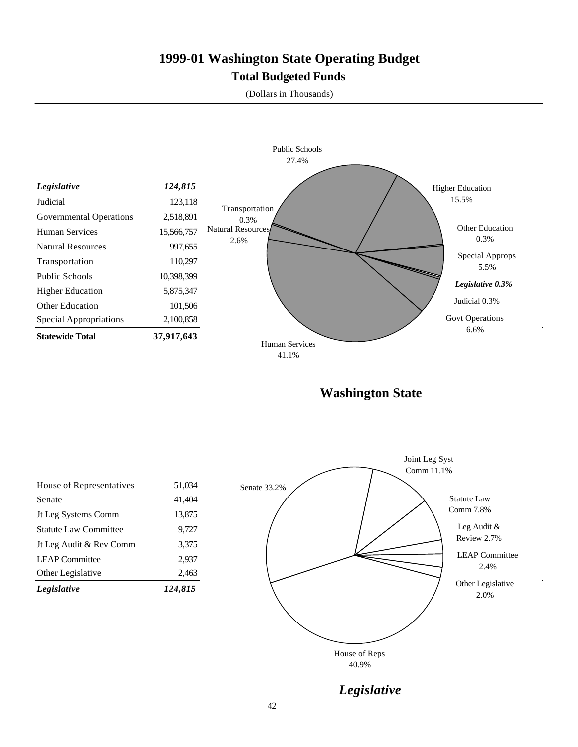# **1999-01 Washington State Operating Budget Total Budgeted Funds**

(Dollars in Thousands)



**Washington State**

| Legislative                  | 124.815 |
|------------------------------|---------|
| Other Legislative            | 2,463   |
| <b>LEAP</b> Committee        | 2.937   |
| Jt Leg Audit & Rev Comm      | 3,375   |
| <b>Statute Law Committee</b> | 9,727   |
| Jt Leg Systems Comm          | 13,875  |
| Senate                       | 41,404  |
| House of Representatives     | 51,034  |
|                              |         |



*Legislative*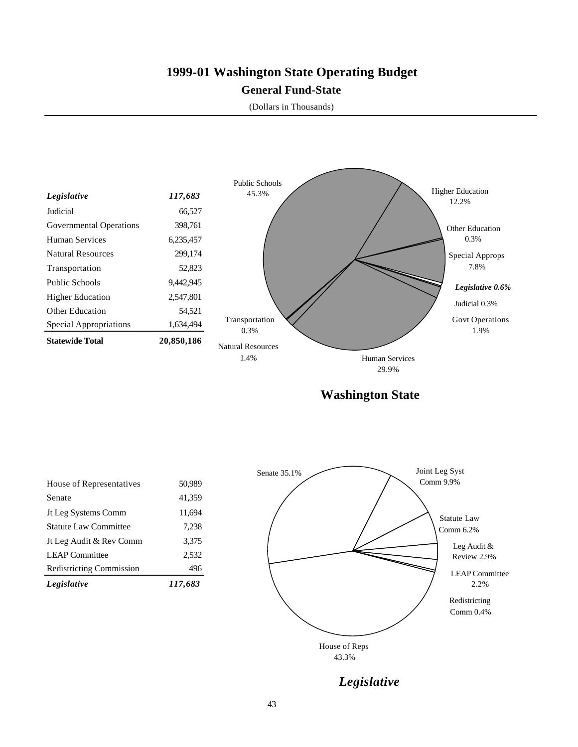# **1999-01 Washington State Operating Budget General Fund-State**

(Dollars in Thousands)



**Washington State**

| Legislative                     | 117,683 |
|---------------------------------|---------|
| <b>Redistricting Commission</b> | 496     |
| <b>LEAP Committee</b>           | 2,532   |
| Jt Leg Audit & Rev Comm         | 3,375   |
| <b>Statute Law Committee</b>    | 7,238   |
| Jt Leg Systems Comm             | 11,694  |
| Senate                          | 41,359  |
| House of Representatives        | 50,989  |
|                                 |         |



*Legislative*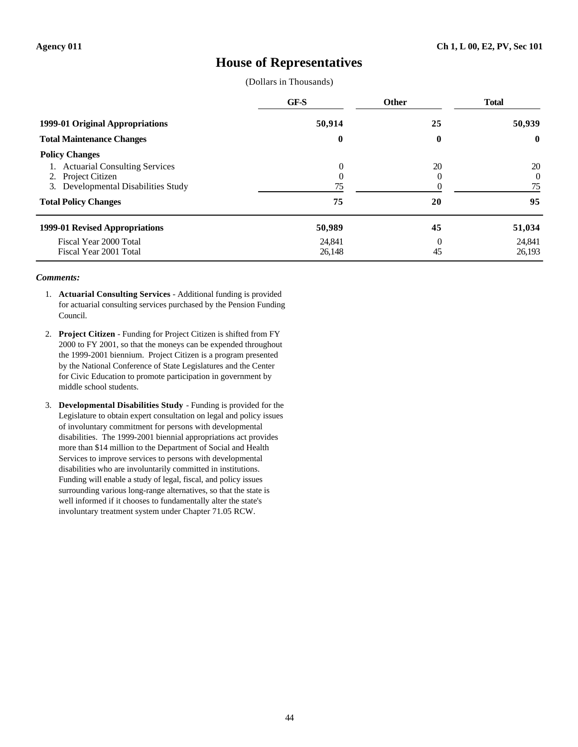### **House of Representatives**

(Dollars in Thousands)

|                                      | <b>GF-S</b> | <b>Other</b> | <b>Total</b> |
|--------------------------------------|-------------|--------------|--------------|
| 1999-01 Original Appropriations      | 50,914      | 25           | 50,939       |
| <b>Total Maintenance Changes</b>     | $\bf{0}$    | 0            | $\bf{0}$     |
| <b>Policy Changes</b>                |             |              |              |
| <b>Actuarial Consulting Services</b> | $\theta$    | 20           | 20           |
| 2. Project Citizen                   | $\Omega$    |              | 0            |
| 3. Developmental Disabilities Study  | 75          |              | 75           |
| <b>Total Policy Changes</b>          | 75          | 20           | 95           |
| 1999-01 Revised Appropriations       | 50,989      | 45           | 51,034       |
| Fiscal Year 2000 Total               | 24,841      | $\Omega$     | 24,841       |
| Fiscal Year 2001 Total               | 26,148      | 45           | 26,193       |

- 1. **Actuarial Consulting Services** Additional funding is provided for actuarial consulting services purchased by the Pension Funding Council.
- 2. **Project Citizen** Funding for Project Citizen is shifted from FY 2000 to FY 2001, so that the moneys can be expended throughout the 1999-2001 biennium. Project Citizen is a program presented by the National Conference of State Legislatures and the Center for Civic Education to promote participation in government by middle school students.
- 3. **Developmental Disabilities Study** Funding is provided for the Legislature to obtain expert consultation on legal and policy issues of involuntary commitment for persons with developmental disabilities. The 1999-2001 biennial appropriations act provides more than \$14 million to the Department of Social and Health Services to improve services to persons with developmental disabilities who are involuntarily committed in institutions. Funding will enable a study of legal, fiscal, and policy issues surrounding various long-range alternatives, so that the state is well informed if it chooses to fundamentally alter the state's involuntary treatment system under Chapter 71.05 RCW.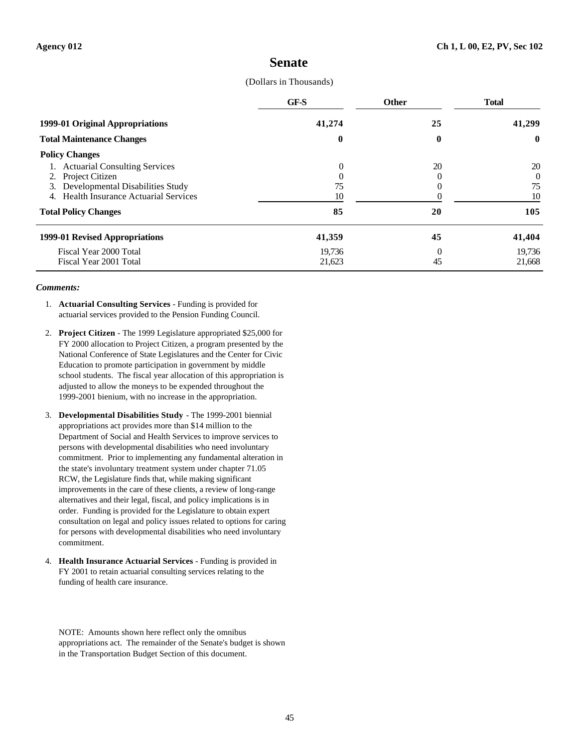### **Senate**

#### (Dollars in Thousands)

|                                                  | GF-S     | <b>Other</b> | <b>Total</b> |
|--------------------------------------------------|----------|--------------|--------------|
| 1999-01 Original Appropriations                  | 41,274   | 25           | 41,299       |
| <b>Total Maintenance Changes</b>                 | $\bf{0}$ | 0            | $\mathbf 0$  |
| <b>Policy Changes</b>                            |          |              |              |
| 1. Actuarial Consulting Services                 | $\theta$ | 20           | 20           |
| 2. Project Citizen                               |          |              | 0            |
| 3. Developmental Disabilities Study              | 75       |              | 75           |
| <b>Health Insurance Actuarial Services</b><br>4. | 10       |              | 10           |
| <b>Total Policy Changes</b>                      | 85       | 20           | 105          |
| 1999-01 Revised Appropriations                   | 41,359   | 45           | 41,404       |
| Fiscal Year 2000 Total                           | 19,736   | $\theta$     | 19,736       |
| Fiscal Year 2001 Total                           | 21,623   | 45           | 21,668       |

#### *Comments:*

- 1. **Actuarial Consulting Services** Funding is provided for actuarial services provided to the Pension Funding Council.
- 2. **Project Citizen** The 1999 Legislature appropriated \$25,000 for FY 2000 allocation to Project Citizen, a program presented by the National Conference of State Legislatures and the Center for Civic Education to promote participation in government by middle school students. The fiscal year allocation of this appropriation is adjusted to allow the moneys to be expended throughout the 1999-2001 bienium, with no increase in the appropriation.
- 3. **Developmental Disabilities Study** The 1999-2001 biennial appropriations act provides more than \$14 million to the Department of Social and Health Services to improve services to persons with developmental disabilities who need involuntary commitment. Prior to implementing any fundamental alteration in the state's involuntary treatment system under chapter 71.05 RCW, the Legislature finds that, while making significant improvements in the care of these clients, a review of long-range alternatives and their legal, fiscal, and policy implications is in order. Funding is provided for the Legislature to obtain expert consultation on legal and policy issues related to options for caring for persons with developmental disabilities who need involuntary commitment.
- 4. **Health Insurance Actuarial Services** Funding is provided in FY 2001 to retain actuarial consulting services relating to the funding of health care insurance.

NOTE: Amounts shown here reflect only the omnibus appropriations act. The remainder of the Senate's budget is shown in the Transportation Budget Section of this document.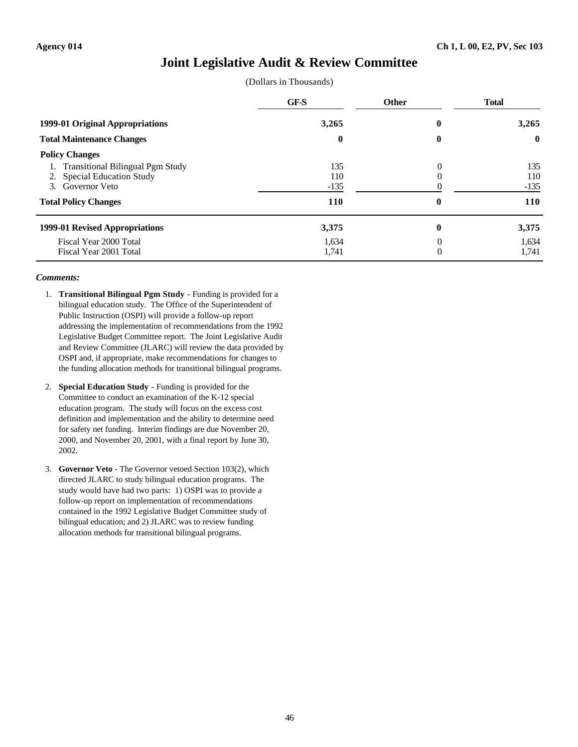### **Joint Legislative Audit & Review Committee**

|  | (Dollars in Thousands) |
|--|------------------------|
|--|------------------------|

|                                                                                                                          | GF-S                               | <b>Other</b> | <b>Total</b>                       |
|--------------------------------------------------------------------------------------------------------------------------|------------------------------------|--------------|------------------------------------|
| 1999-01 Original Appropriations<br><b>Total Maintenance Changes</b>                                                      | 3,265<br>$\bf{0}$                  | 0            | 3,265<br>$\bf{0}$                  |
|                                                                                                                          |                                    | $\bf{0}$     |                                    |
| <b>Policy Changes</b>                                                                                                    |                                    |              |                                    |
| <b>Transitional Bilingual Pgm Study</b><br>2. Special Education Study<br>3. Governor Veto<br><b>Total Policy Changes</b> | 135<br>110<br>$-135$<br><b>110</b> | 0            | 135<br>110<br>$-135$<br><b>110</b> |
|                                                                                                                          |                                    | 0            |                                    |
| 1999-01 Revised Appropriations                                                                                           | 3,375                              | 0            | 3,375                              |
| Fiscal Year 2000 Total<br>Fiscal Year 2001 Total                                                                         | 1,634<br>1,741                     | 0<br>0       | 1,634<br>1,741                     |

- 1. **Transitional Bilingual Pgm Study** Funding is provided for a bilingual education study. The Office of the Superintendent of Public Instruction (OSPI) will provide a follow-up report addressing the implementation of recommendations from the 1992 Legislative Budget Committee report. The Joint Legislative Audit and Review Committee (JLARC) will review the data provided by OSPI and, if appropriate, make recommendations for changes to the funding allocation methods for transitional bilingual programs.
- 2. **Special Education Study** Funding is provided for the Committee to conduct an examination of the K-12 special education program. The study will focus on the excess cost definition and implementation and the ability to determine need for safety net funding. Interim findings are due November 20, 2000, and November 20, 2001, with a final report by June 30, 2002.
- 3. **Governor Veto** The Governor vetoed Section 103(2), which directed JLARC to study bilingual education programs. The study would have had two parts: 1) OSPI was to provide a follow-up report on implementation of recommendations contained in the 1992 Legislative Budget Committee study of bilingual education; and 2) JLARC was to review funding allocation methods for transitional bilingual programs.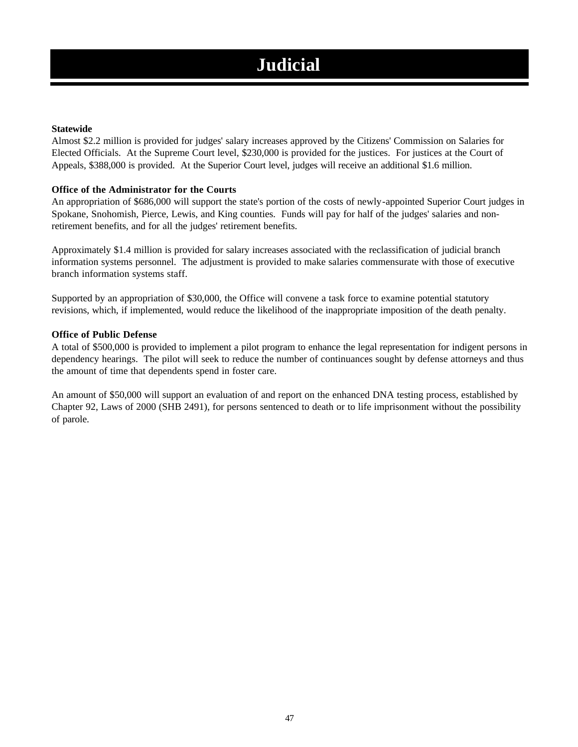# **Judicial**

### **Statewide**

Almost \$2.2 million is provided for judges' salary increases approved by the Citizens' Commission on Salaries for Elected Officials. At the Supreme Court level, \$230,000 is provided for the justices. For justices at the Court of Appeals, \$388,000 is provided. At the Superior Court level, judges will receive an additional \$1.6 million.

### **Office of the Administrator for the Courts**

An appropriation of \$686,000 will support the state's portion of the costs of newly-appointed Superior Court judges in Spokane, Snohomish, Pierce, Lewis, and King counties. Funds will pay for half of the judges' salaries and nonretirement benefits, and for all the judges' retirement benefits.

Approximately \$1.4 million is provided for salary increases associated with the reclassification of judicial branch information systems personnel. The adjustment is provided to make salaries commensurate with those of executive branch information systems staff.

Supported by an appropriation of \$30,000, the Office will convene a task force to examine potential statutory revisions, which, if implemented, would reduce the likelihood of the inappropriate imposition of the death penalty.

#### **Office of Public Defense**

A total of \$500,000 is provided to implement a pilot program to enhance the legal representation for indigent persons in dependency hearings. The pilot will seek to reduce the number of continuances sought by defense attorneys and thus the amount of time that dependents spend in foster care.

An amount of \$50,000 will support an evaluation of and report on the enhanced DNA testing process, established by Chapter 92, Laws of 2000 (SHB 2491), for persons sentenced to death or to life imprisonment without the possibility of parole.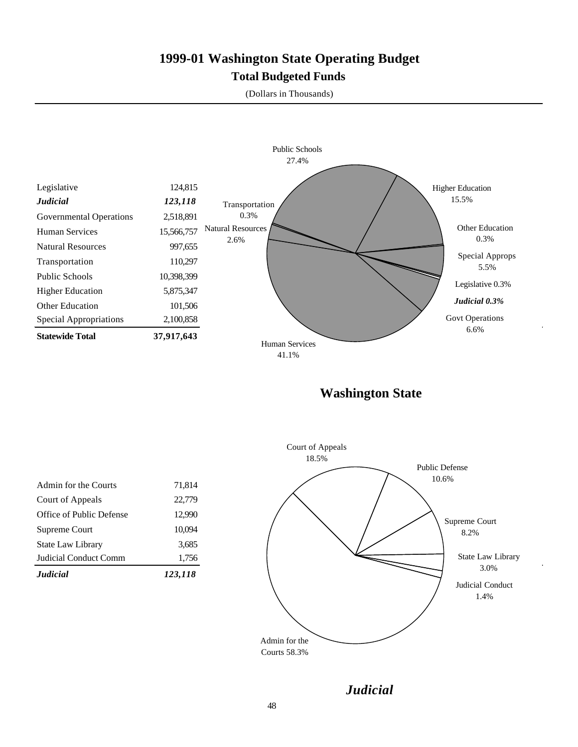# **1999-01 Washington State Operating Budget Total Budgeted Funds**

(Dollars in Thousands)



**Washington State**

| <b>Judicial</b>          | 123,118 |
|--------------------------|---------|
| Judicial Conduct Comm    | 1,756   |
| <b>State Law Library</b> | 3,685   |
| Supreme Court            | 10,094  |
| Office of Public Defense | 12,990  |
| Court of Appeals         | 22,779  |
| Admin for the Courts     | 71,814  |
|                          |         |



*Judicial*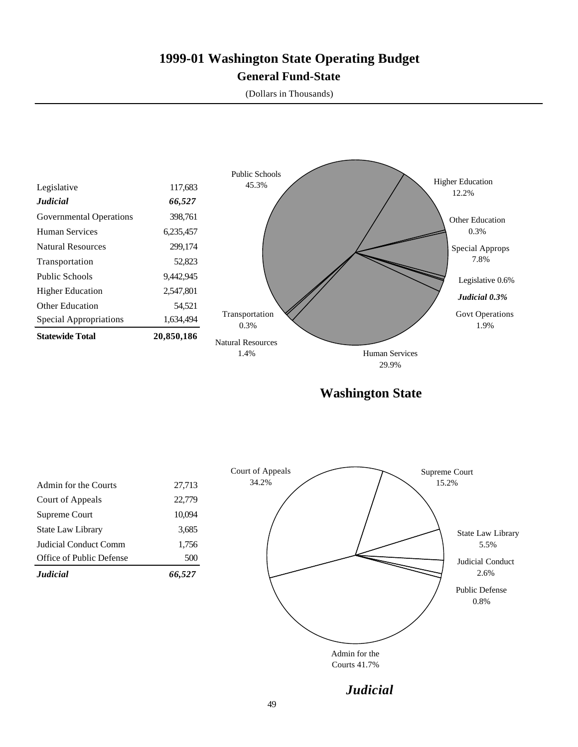# **1999-01 Washington State Operating Budget General Fund-State**

(Dollars in Thousands)



**Washington State**

| <b>Judicial</b>          | 66.527 |
|--------------------------|--------|
| Office of Public Defense | 500    |
| Judicial Conduct Comm    | 1,756  |
| <b>State Law Library</b> | 3,685  |
| Supreme Court            | 10,094 |
| Court of Appeals         | 22,779 |
| Admin for the Courts     | 27,713 |
|                          |        |



*Judicial*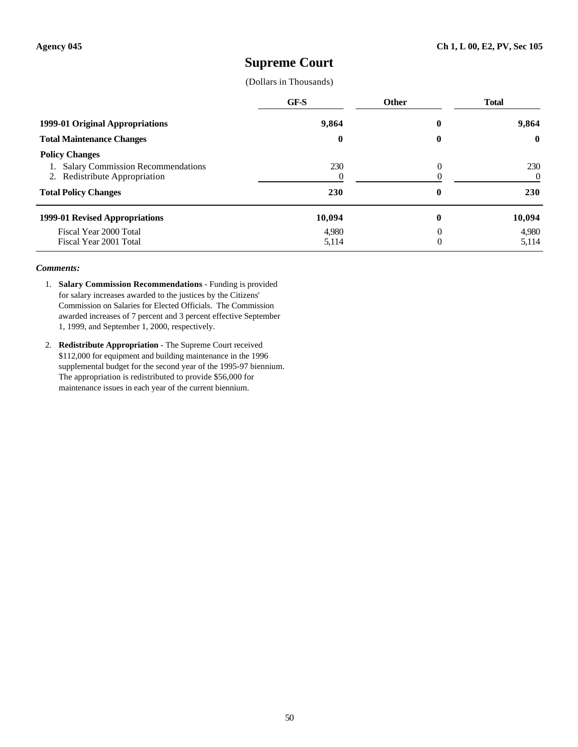### **Supreme Court**

(Dollars in Thousands)

|                                                                                                                                   | <b>GF-S</b>    | Other             | <b>Total</b>           |
|-----------------------------------------------------------------------------------------------------------------------------------|----------------|-------------------|------------------------|
| 1999-01 Original Appropriations                                                                                                   | 9,864          | $\bf{0}$          | 9.864                  |
| <b>Total Maintenance Changes</b>                                                                                                  | $\bf{0}$       | 0                 | $\mathbf{0}$           |
| <b>Policy Changes</b><br><b>Salary Commission Recommendations</b><br>2. Redistribute Appropriation<br><b>Total Policy Changes</b> | 230<br>230     | 0<br>$\mathbf{0}$ | 230<br>0<br><b>230</b> |
| 1999-01 Revised Appropriations                                                                                                    | 10,094         | $\bf{0}$          | 10,094                 |
| Fiscal Year 2000 Total<br>Fiscal Year 2001 Total                                                                                  | 4.980<br>5,114 | $\Omega$          | 4,980<br>5,114         |

- 1. **Salary Commission Recommendations** Funding is provided for salary increases awarded to the justices by the Citizens' Commission on Salaries for Elected Officials. The Commission awarded increases of 7 percent and 3 percent effective September 1, 1999, and September 1, 2000, respectively.
- 2. **Redistribute Appropriation** The Supreme Court received \$112,000 for equipment and building maintenance in the 1996 supplemental budget for the second year of the 1995-97 biennium. The appropriation is redistributed to provide \$56,000 for maintenance issues in each year of the current biennium.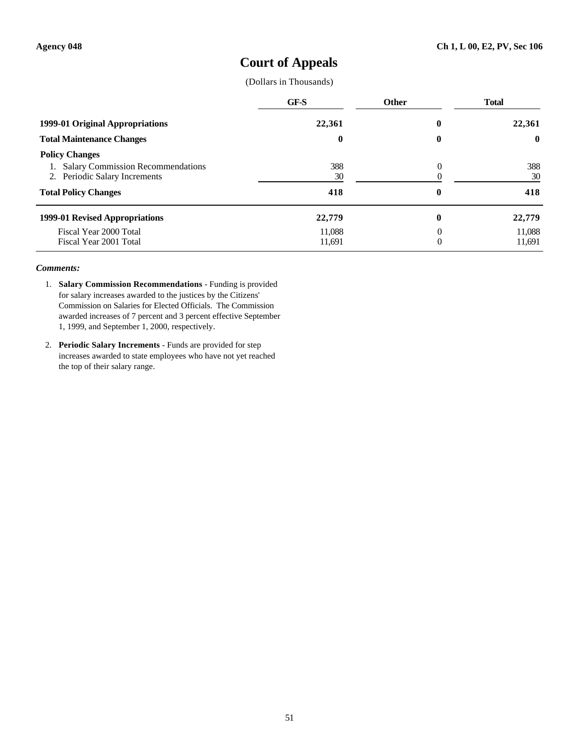## **Court of Appeals**

(Dollars in Thousands)

|                                                                                                | GF-S             | <b>Other</b> | <b>Total</b>     |
|------------------------------------------------------------------------------------------------|------------------|--------------|------------------|
| 1999-01 Original Appropriations                                                                | 22.361           | 0            | 22,361           |
| <b>Total Maintenance Changes</b>                                                               | 0                | $\bf{0}$     | $\mathbf{0}$     |
| <b>Policy Changes</b><br>1. Salary Commission Recommendations<br>2. Periodic Salary Increments | 388<br>30        | 0            | 388<br>30        |
| <b>Total Policy Changes</b>                                                                    | 418              | 0            | 418              |
| 1999-01 Revised Appropriations                                                                 | 22,779           | 0            | 22,779           |
| Fiscal Year 2000 Total<br>Fiscal Year 2001 Total                                               | 11,088<br>11,691 | $\Omega$     | 11,088<br>11,691 |

- 1. **Salary Commission Recommendations** Funding is provided for salary increases awarded to the justices by the Citizens' Commission on Salaries for Elected Officials. The Commission awarded increases of 7 percent and 3 percent effective September 1, 1999, and September 1, 2000, respectively.
- 2. **Periodic Salary Increments** Funds are provided for step increases awarded to state employees who have not yet reached the top of their salary range.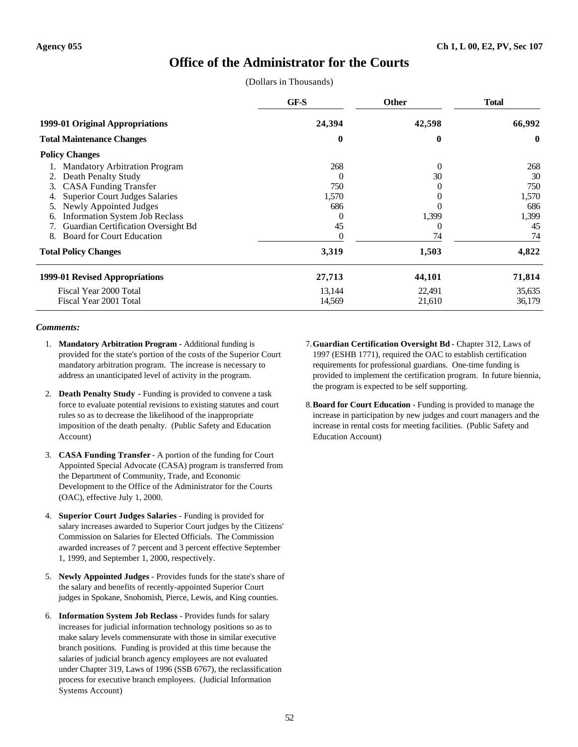### **Office of the Administrator for the Courts**

(Dollars in Thousands)

|                                             | GF-S     | <b>Other</b> | <b>Total</b> |
|---------------------------------------------|----------|--------------|--------------|
| 1999-01 Original Appropriations             | 24,394   | 42,598       | 66,992       |
| <b>Total Maintenance Changes</b>            | $\bf{0}$ | $\bf{0}$     | $\bf{0}$     |
| <b>Policy Changes</b>                       |          |              |              |
| <b>Mandatory Arbitration Program</b>        | 268      | $\Omega$     | 268          |
| Death Penalty Study<br>2.                   | $\Omega$ | 30           | 30           |
| <b>CASA Funding Transfer</b><br>3.          | 750      |              | 750          |
| <b>Superior Court Judges Salaries</b><br>4. | 1,570    |              | 1,570        |
| Newly Appointed Judges                      | 686      |              | 686          |
| Information System Job Reclass<br>6.        | $\theta$ | 1,399        | 1,399        |
| Guardian Certification Oversight Bd         | 45       | 0            | 45           |
| <b>Board for Court Education</b><br>8.      |          | 74           | 74           |
| <b>Total Policy Changes</b>                 | 3,319    | 1,503        | 4,822        |
| 1999-01 Revised Appropriations              | 27,713   | 44,101       | 71,814       |
| Fiscal Year 2000 Total                      | 13,144   | 22,491       | 35,635       |
| Fiscal Year 2001 Total                      | 14,569   | 21,610       | 36,179       |

- 1. **Mandatory Arbitration Program** Additional funding is provided for the state's portion of the costs of the Superior Court mandatory arbitration program. The increase is necessary to address an unanticipated level of activity in the program.
- 2. **Death Penalty Study** Funding is provided to convene a task force to evaluate potential revisions to existing statutes and court rules so as to decrease the likelihood of the inappropriate imposition of the death penalty. (Public Safety and Education Account)
- 3. **CASA Funding Transfer** A portion of the funding for Court Appointed Special Advocate (CASA) program is transferred from the Department of Community, Trade, and Economic Development to the Office of the Administrator for the Courts (OAC), effective July 1, 2000.
- 4. **Superior Court Judges Salaries** Funding is provided for salary increases awarded to Superior Court judges by the Citizens' Commission on Salaries for Elected Officials. The Commission awarded increases of 7 percent and 3 percent effective September 1, 1999, and September 1, 2000, respectively.
- 5. **Newly Appointed Judges** Provides funds for the state's share of the salary and benefits of recently-appointed Superior Court judges in Spokane, Snohomish, Pierce, Lewis, and King counties.
- 6. **Information System Job Reclass** Provides funds for salary increases for judicial information technology positions so as to make salary levels commensurate with those in similar executive branch positions. Funding is provided at this time because the salaries of judicial branch agency employees are not evaluated under Chapter 319, Laws of 1996 (SSB 6767), the reclassification process for executive branch employees. (Judicial Information Systems Account)
- 7.**Guardian Certification Oversight Bd** Chapter 312, Laws of 1997 (ESHB 1771), required the OAC to establish certification requirements for professional guardians. One-time funding is provided to implement the certification program. In future biennia, the program is expected to be self supporting.
- 8.**Board for Court Education** Funding is provided to manage the increase in participation by new judges and court managers and the increase in rental costs for meeting facilities. (Public Safety and Education Account)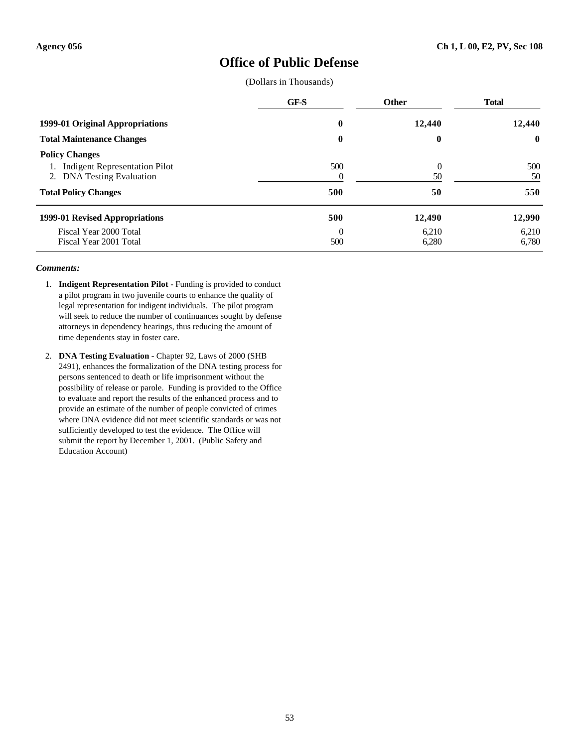### **Office of Public Defense**

(Dollars in Thousands)

|                                                                                                                                     | <b>GF-S</b>     | <b>Other</b>         | <b>Total</b>     |
|-------------------------------------------------------------------------------------------------------------------------------------|-----------------|----------------------|------------------|
| 1999-01 Original Appropriations                                                                                                     | 0               | 12,440               | 12,440           |
| <b>Total Maintenance Changes</b>                                                                                                    | $\bf{0}$        | 0                    | $\mathbf{0}$     |
| <b>Policy Changes</b><br><b>Indigent Representation Pilot</b><br><b>DNA Testing Evaluation</b><br>2.<br><b>Total Policy Changes</b> | 500<br>500      | $\theta$<br>50<br>50 | 500<br>50<br>550 |
| 1999-01 Revised Appropriations                                                                                                      | 500             | 12,490               | 12,990           |
| Fiscal Year 2000 Total<br>Fiscal Year 2001 Total                                                                                    | $\Omega$<br>500 | 6,210<br>6,280       | 6,210<br>6,780   |

- 1. **Indigent Representation Pilot** Funding is provided to conduct a pilot program in two juvenile courts to enhance the quality of legal representation for indigent individuals. The pilot program will seek to reduce the number of continuances sought by defense attorneys in dependency hearings, thus reducing the amount of time dependents stay in foster care.
- 2. **DNA Testing Evaluation** Chapter 92, Laws of 2000 (SHB 2491), enhances the formalization of the DNA testing process for persons sentenced to death or life imprisonment without the possibility of release or parole. Funding is provided to the Office to evaluate and report the results of the enhanced process and to provide an estimate of the number of people convicted of crimes where DNA evidence did not meet scientific standards or was not sufficiently developed to test the evidence. The Office will submit the report by December 1, 2001. (Public Safety and Education Account)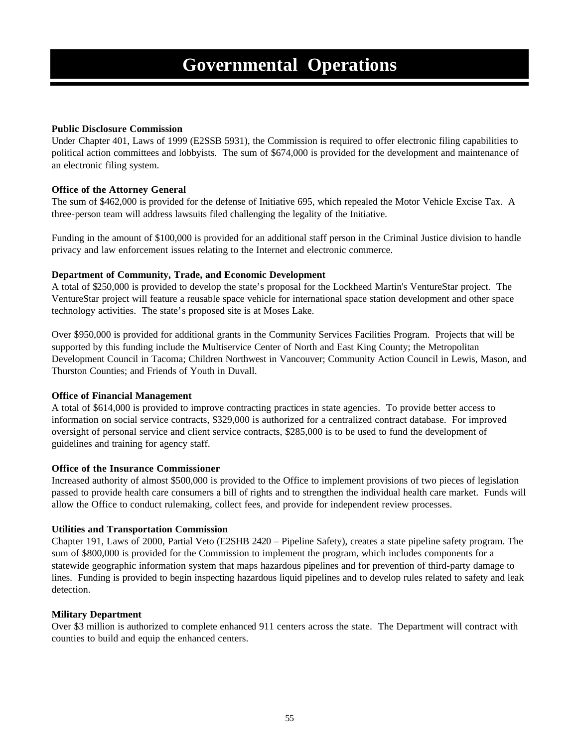### **Public Disclosure Commission**

Under Chapter 401, Laws of 1999 (E2SSB 5931), the Commission is required to offer electronic filing capabilities to political action committees and lobbyists. The sum of \$674,000 is provided for the development and maintenance of an electronic filing system.

### **Office of the Attorney General**

The sum of \$462,000 is provided for the defense of Initiative 695, which repealed the Motor Vehicle Excise Tax. A three-person team will address lawsuits filed challenging the legality of the Initiative.

Funding in the amount of \$100,000 is provided for an additional staff person in the Criminal Justice division to handle privacy and law enforcement issues relating to the Internet and electronic commerce.

### **Department of Community, Trade, and Economic Development**

A total of \$250,000 is provided to develop the state's proposal for the Lockheed Martin's VentureStar project. The VentureStar project will feature a reusable space vehicle for international space station development and other space technology activities. The state's proposed site is at Moses Lake.

Over \$950,000 is provided for additional grants in the Community Services Facilities Program. Projects that will be supported by this funding include the Multiservice Center of North and East King County; the Metropolitan Development Council in Tacoma; Children Northwest in Vancouver; Community Action Council in Lewis, Mason, and Thurston Counties; and Friends of Youth in Duvall.

#### **Office of Financial Management**

A total of \$614,000 is provided to improve contracting practices in state agencies. To provide better access to information on social service contracts, \$329,000 is authorized for a centralized contract database. For improved oversight of personal service and client service contracts, \$285,000 is to be used to fund the development of guidelines and training for agency staff.

#### **Office of the Insurance Commissioner**

Increased authority of almost \$500,000 is provided to the Office to implement provisions of two pieces of legislation passed to provide health care consumers a bill of rights and to strengthen the individual health care market. Funds will allow the Office to conduct rulemaking, collect fees, and provide for independent review processes.

#### **Utilities and Transportation Commission**

Chapter 191, Laws of 2000, Partial Veto (E2SHB 2420 – Pipeline Safety), creates a state pipeline safety program. The sum of \$800,000 is provided for the Commission to implement the program, which includes components for a statewide geographic information system that maps hazardous pipelines and for prevention of third-party damage to lines. Funding is provided to begin inspecting hazardous liquid pipelines and to develop rules related to safety and leak detection.

#### **Military Department**

Over \$3 million is authorized to complete enhanced 911 centers across the state. The Department will contract with counties to build and equip the enhanced centers.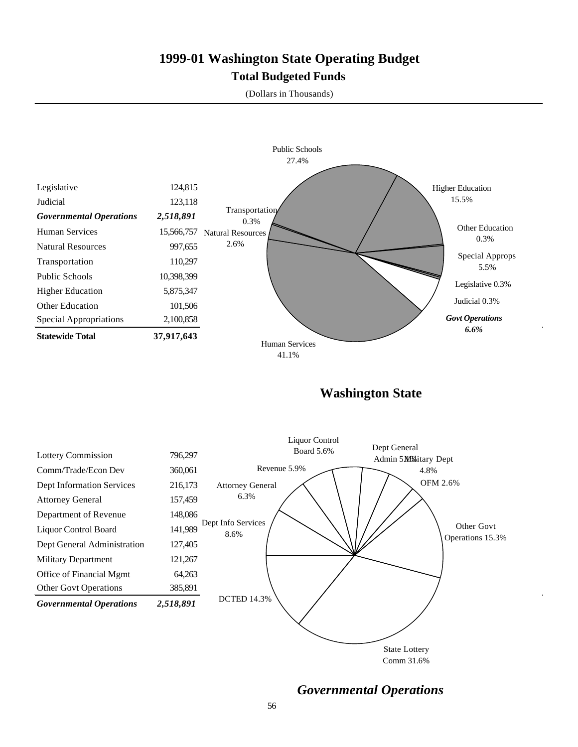# **1999-01 Washington State Operating Budget Total Budgeted Funds**

(Dollars in Thousands)



**Washington State**



*Governmental Operations*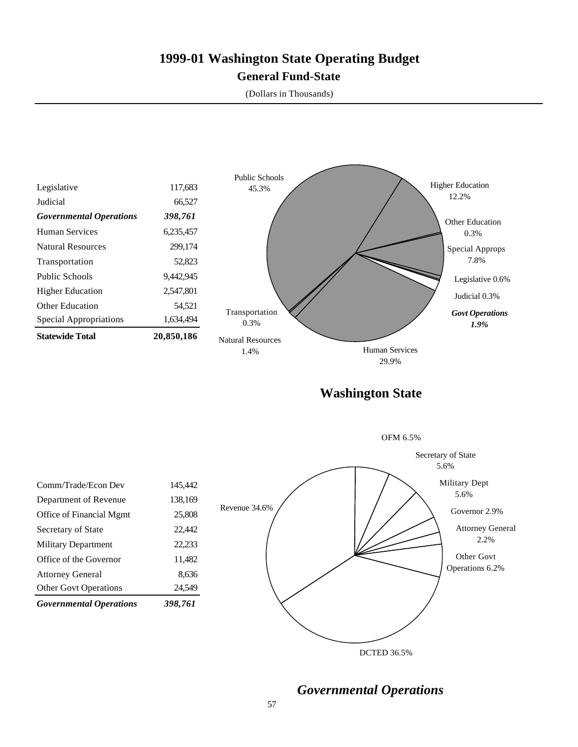## **1999-01 Washington State Operating Budget General Fund-State**

(Dollars in Thousands)



DCTED 36.5%

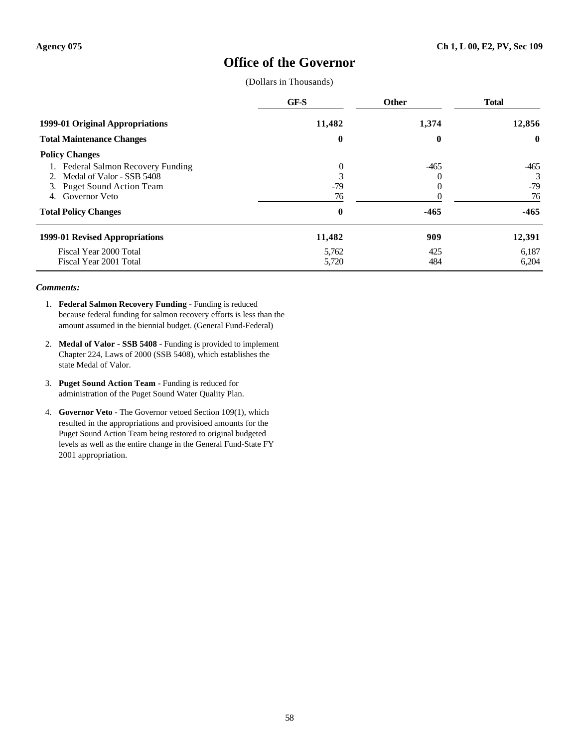## **Office of the Governor**

(Dollars in Thousands)

|                                                                                                                      | GF-S                               | <b>Other</b> | <b>Total</b>               |
|----------------------------------------------------------------------------------------------------------------------|------------------------------------|--------------|----------------------------|
| 1999-01 Original Appropriations                                                                                      | 11,482                             | 1,374        | 12,856                     |
| <b>Total Maintenance Changes</b>                                                                                     | 0                                  | 0            | $\mathbf{0}$               |
| <b>Policy Changes</b>                                                                                                |                                    |              |                            |
| Federal Salmon Recovery Funding<br>2. Medal of Valor - SSB 5408<br>3. Puget Sound Action Team<br>Governor Veto<br>4. | $\overline{0}$<br>3<br>$-79$<br>76 | $-465$       | $-465$<br>3<br>$-79$<br>76 |
| <b>Total Policy Changes</b>                                                                                          | $\mathbf 0$                        | $-465$       | $-465$                     |
| 1999-01 Revised Appropriations                                                                                       | 11,482                             | 909          | 12,391                     |
| Fiscal Year 2000 Total<br>Fiscal Year 2001 Total                                                                     | 5,762<br>5,720                     | 425<br>484   | 6,187<br>6,204             |

- 1. **Federal Salmon Recovery Funding** Funding is reduced because federal funding for salmon recovery efforts is less than the amount assumed in the biennial budget. (General Fund-Federal)
- 2. **Medal of Valor SSB 5408** Funding is provided to implement Chapter 224, Laws of 2000 (SSB 5408), which establishes the state Medal of Valor.
- 3. **Puget Sound Action Team** Funding is reduced for administration of the Puget Sound Water Quality Plan.
- 4. **Governor Veto** The Governor vetoed Section 109(1), which resulted in the appropriations and provisioed amounts for the Puget Sound Action Team being restored to original budgeted levels as well as the entire change in the General Fund-State FY 2001 appropriation.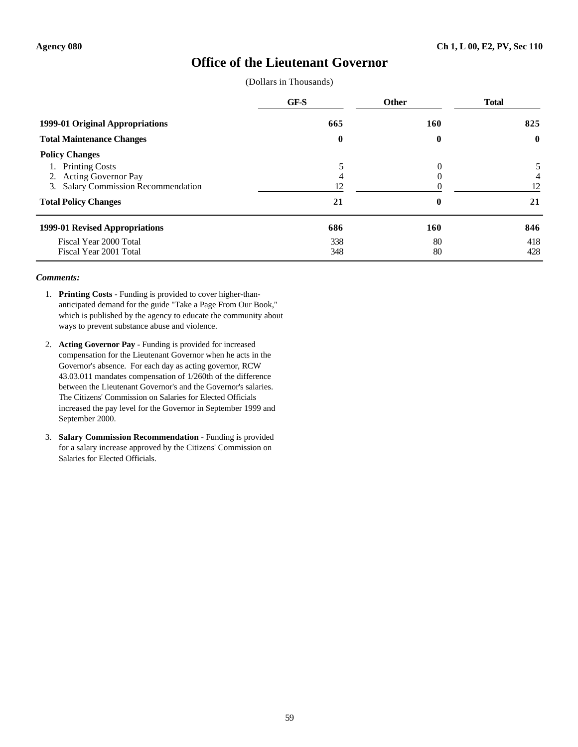### **Office of the Lieutenant Governor**

(Dollars in Thousands)

|                                     | GF-S     | <b>Other</b> | <b>Total</b> |
|-------------------------------------|----------|--------------|--------------|
| 1999-01 Original Appropriations     | 665      | <b>160</b>   | 825          |
| <b>Total Maintenance Changes</b>    | $\bf{0}$ | $\bf{0}$     | $\bf{0}$     |
| <b>Policy Changes</b>               |          |              |              |
| <b>Printing Costs</b>               |          | 0            |              |
| 2. Acting Governor Pay              |          |              | 4            |
| 3. Salary Commission Recommendation | 12       |              | 12           |
| <b>Total Policy Changes</b>         | 21       | 0            | 21           |
| 1999-01 Revised Appropriations      | 686      | 160          | 846          |
| Fiscal Year 2000 Total              | 338      | 80           | 418          |
| Fiscal Year 2001 Total              | 348      | 80           | 428          |

- 1. **Printing Costs** Funding is provided to cover higher-thananticipated demand for the guide "Take a Page From Our Book," which is published by the agency to educate the community about ways to prevent substance abuse and violence.
- 2. **Acting Governor Pay** Funding is provided for increased compensation for the Lieutenant Governor when he acts in the Governor's absence. For each day as acting governor, RCW 43.03.011 mandates compensation of 1/260th of the difference between the Lieutenant Governor's and the Governor's salaries. The Citizens' Commission on Salaries for Elected Officials increased the pay level for the Governor in September 1999 and September 2000.
- 3. **Salary Commission Recommendation** Funding is provided for a salary increase approved by the Citizens' Commission on Salaries for Elected Officials.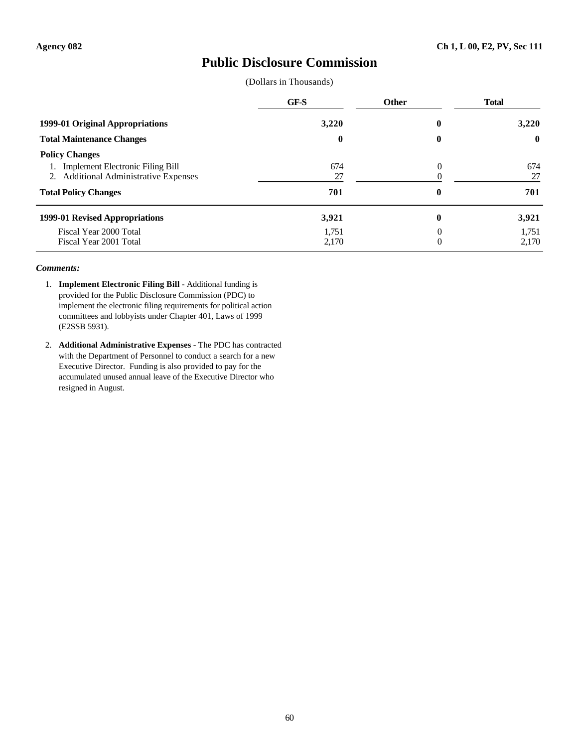## **Public Disclosure Commission**

(Dollars in Thousands)

|                                                                                                                                      | GF-S             | <b>Other</b>  | <b>Total</b>     |
|--------------------------------------------------------------------------------------------------------------------------------------|------------------|---------------|------------------|
| 1999-01 Original Appropriations                                                                                                      | 3,220            | 0             | 3,220            |
| <b>Total Maintenance Changes</b>                                                                                                     | $\bf{0}$         | 0             | $\mathbf{0}$     |
| <b>Policy Changes</b><br>1. Implement Electronic Filing Bill<br>2. Additional Administrative Expenses<br><b>Total Policy Changes</b> | 674<br>27<br>701 | $\theta$<br>0 | 674<br>27<br>701 |
| 1999-01 Revised Appropriations                                                                                                       | 3,921            | 0             | 3,921            |
| Fiscal Year 2000 Total<br>Fiscal Year 2001 Total                                                                                     | 1,751<br>2,170   | 0<br>$\Omega$ | 1,751<br>2,170   |

- 1. **Implement Electronic Filing Bill** Additional funding is provided for the Public Disclosure Commission (PDC) to implement the electronic filing requirements for political action committees and lobbyists under Chapter 401, Laws of 1999 (E2SSB 5931).
- 2. **Additional Administrative Expenses** The PDC has contracted with the Department of Personnel to conduct a search for a new Executive Director. Funding is also provided to pay for the accumulated unused annual leave of the Executive Director who resigned in August.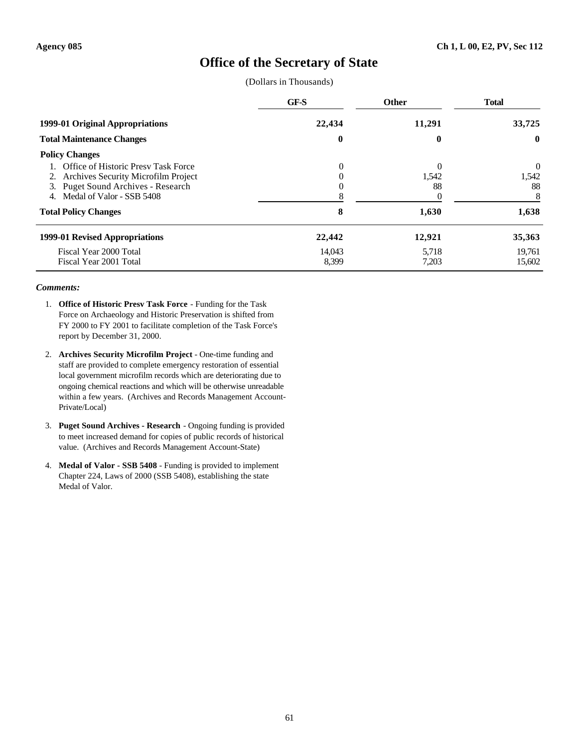## **Office of the Secretary of State**

(Dollars in Thousands)

|                                                                                                                                                        | GF-S            | <b>Other</b>                        | <b>Total</b>          |
|--------------------------------------------------------------------------------------------------------------------------------------------------------|-----------------|-------------------------------------|-----------------------|
| 1999-01 Original Appropriations                                                                                                                        | 22,434          | 11,291                              | 33,725                |
| <b>Total Maintenance Changes</b>                                                                                                                       | 0               | 0                                   | $\mathbf{0}$          |
| <b>Policy Changes</b>                                                                                                                                  |                 |                                     |                       |
| Office of Historic Presy Task Force<br>2. Archives Security Microfilm Project<br>3. Puget Sound Archives - Research<br>Medal of Valor - SSB 5408<br>4. | $\theta$<br>U   | $\Omega$<br>1,542<br>88<br>$\theta$ | 0<br>1,542<br>88<br>8 |
| <b>Total Policy Changes</b>                                                                                                                            | 8               | 1,630                               | 1,638                 |
| 1999-01 Revised Appropriations                                                                                                                         | 22,442          | 12,921                              | 35,363                |
| Fiscal Year 2000 Total<br>Fiscal Year 2001 Total                                                                                                       | 14,043<br>8,399 | 5,718<br>7,203                      | 19,761<br>15,602      |

- 1. **Office of Historic Presv Task Force** Funding for the Task Force on Archaeology and Historic Preservation is shifted from FY 2000 to FY 2001 to facilitate completion of the Task Force's report by December 31, 2000.
- 2. **Archives Security Microfilm Project** One-time funding and staff are provided to complete emergency restoration of essential local government microfilm records which are deteriorating due to ongoing chemical reactions and which will be otherwise unreadable within a few years. (Archives and Records Management Account-Private/Local)
- 3. **Puget Sound Archives Research** Ongoing funding is provided to meet increased demand for copies of public records of historical value. (Archives and Records Management Account-State)
- 4. **Medal of Valor SSB 5408** Funding is provided to implement Chapter 224, Laws of 2000 (SSB 5408), establishing the state Medal of Valor.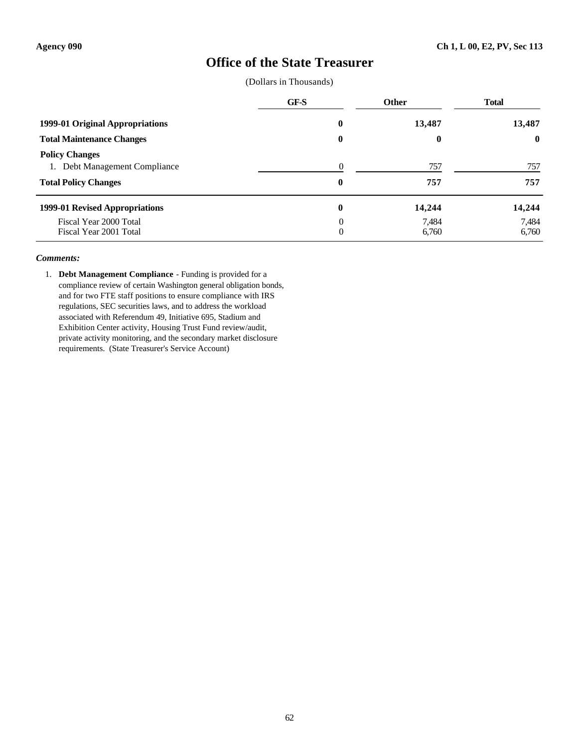## **Office of the State Treasurer**

(Dollars in Thousands)

|                                                                                          | GF-S          | <b>Other</b>   | <b>Total</b>   |
|------------------------------------------------------------------------------------------|---------------|----------------|----------------|
| 1999-01 Original Appropriations                                                          | $\bf{0}$      | 13,487         | 13,487         |
| <b>Total Maintenance Changes</b>                                                         | $\bf{0}$      | $\bf{0}$       | $\bf{0}$       |
| <b>Policy Changes</b><br>Debt Management Compliance<br>1.<br><b>Total Policy Changes</b> | 0<br>$\bf{0}$ | 757<br>757     | 757<br>757     |
| 1999-01 Revised Appropriations                                                           | $\bf{0}$      | 14,244         | 14,244         |
| Fiscal Year 2000 Total<br>Fiscal Year 2001 Total                                         | 0<br>0        | 7.484<br>6,760 | 7,484<br>6,760 |

#### *Comments:*

1. **Debt Management Compliance** - Funding is provided for a compliance review of certain Washington general obligation bonds, and for two FTE staff positions to ensure compliance with IRS regulations, SEC securities laws, and to address the workload associated with Referendum 49, Initiative 695, Stadium and Exhibition Center activity, Housing Trust Fund review/audit, private activity monitoring, and the secondary market disclosure requirements. (State Treasurer's Service Account)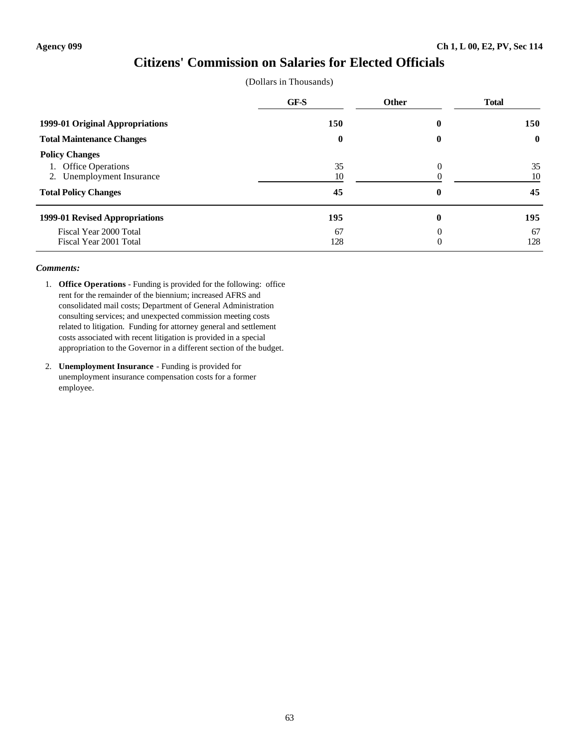### **Citizens' Commission on Salaries for Elected Officials**

|  | (Dollars in Thousands) |
|--|------------------------|
|--|------------------------|

|                                                                                                           | GF-S             | <b>Other</b> | <b>Total</b>     |
|-----------------------------------------------------------------------------------------------------------|------------------|--------------|------------------|
| 1999-01 Original Appropriations                                                                           | 150              | 0            | 150              |
| <b>Total Maintenance Changes</b>                                                                          | $\bf{0}$         | 0            | $\mathbf{0}$     |
| <b>Policy Changes</b><br>1. Office Operations<br>2. Unemployment Insurance<br><b>Total Policy Changes</b> | 35<br>10<br>45   | 0<br>0       | 35<br>10<br>45   |
| 1999-01 Revised Appropriations<br>Fiscal Year 2000 Total<br>Fiscal Year 2001 Total                        | 195<br>67<br>128 | 0<br>0       | 195<br>67<br>128 |

- 1. **Office Operations** Funding is provided for the following: office rent for the remainder of the biennium; increased AFRS and consolidated mail costs; Department of General Administration consulting services; and unexpected commission meeting costs related to litigation. Funding for attorney general and settlement costs associated with recent litigation is provided in a special appropriation to the Governor in a different section of the budget.
- 2. **Unemployment Insurance** Funding is provided for unemployment insurance compensation costs for a former employee.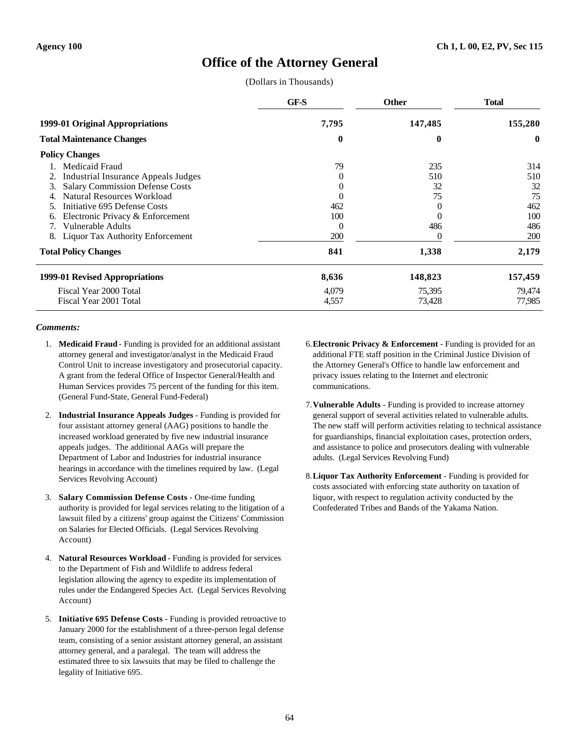# **Office of the Attorney General**

(Dollars in Thousands)

|                                              | GF-S     | <b>Other</b> | <b>Total</b> |
|----------------------------------------------|----------|--------------|--------------|
| 1999-01 Original Appropriations              | 7,795    | 147,485      | 155,280      |
| <b>Total Maintenance Changes</b>             | $\bf{0}$ | 0            | $\bf{0}$     |
| <b>Policy Changes</b>                        |          |              |              |
| Medicaid Fraud                               | 79       | 235          | 314          |
| <b>Industrial Insurance Appeals Judges</b>   | $\theta$ | 510          | 510          |
| <b>Salary Commission Defense Costs</b><br>3. |          | 32           | 32           |
| Natural Resources Workload                   |          | 75           | 75           |
| Initiative 695 Defense Costs                 | 462      | $_{0}$       | 462          |
| Electronic Privacy & Enforcement<br>6.       | 100      | $\theta$     | 100          |
| <b>Vulnerable Adults</b><br>7.               | $\Omega$ | 486          | 486          |
| Liquor Tax Authority Enforcement<br>8.       | 200      |              | 200          |
| <b>Total Policy Changes</b>                  | 841      | 1,338        | 2,179        |
| 1999-01 Revised Appropriations               | 8,636    | 148,823      | 157,459      |
| Fiscal Year 2000 Total                       | 4,079    | 75,395       | 79,474       |
| Fiscal Year 2001 Total                       | 4,557    | 73,428       | 77,985       |

- 1. **Medicaid Fraud** Funding is provided for an additional assistant attorney general and investigator/analyst in the Medicaid Fraud Control Unit to increase investigatory and prosecutorial capacity. A grant from the federal Office of Inspector General/Health and Human Services provides 75 percent of the funding for this item. (General Fund-State, General Fund-Federal)
- 2. **Industrial Insurance Appeals Judges** Funding is provided for four assistant attorney general (AAG) positions to handle the increased workload generated by five new industrial insurance appeals judges. The additional AAGs will prepare the Department of Labor and Industries for industrial insurance hearings in accordance with the timelines required by law. (Legal Services Revolving Account)
- 3. **Salary Commission Defense Costs** One-time funding authority is provided for legal services relating to the litigation of a lawsuit filed by a citizens' group against the Citizens' Commission on Salaries for Elected Officials. (Legal Services Revolving Account)
- 4. **Natural Resources Workload** Funding is provided for services to the Department of Fish and Wildlife to address federal legislation allowing the agency to expedite its implementation of rules under the Endangered Species Act. (Legal Services Revolving Account)
- 5. **Initiative 695 Defense Costs** Funding is provided retroactive to January 2000 for the establishment of a three-person legal defense team, consisting of a senior assistant attorney general, an assistant attorney general, and a paralegal. The team will address the estimated three to six lawsuits that may be filed to challenge the legality of Initiative 695.
- 6.**Electronic Privacy & Enforcement** Funding is provided for an additional FTE staff position in the Criminal Justice Division of the Attorney General's Office to handle law enforcement and privacy issues relating to the Internet and electronic communications.
- 7.**Vulnerable Adults** Funding is provided to increase attorney general support of several activities related to vulnerable adults. The new staff will perform activities relating to technical assistance for guardianships, financial exploitation cases, protection orders, and assistance to police and prosecutors dealing with vulnerable adults. (Legal Services Revolving Fund)
- 8.**Liquor Tax Authority Enforcement** Funding is provided for costs associated with enforcing state authority on taxation of liquor, with respect to regulation activity conducted by the Confederated Tribes and Bands of the Yakama Nation.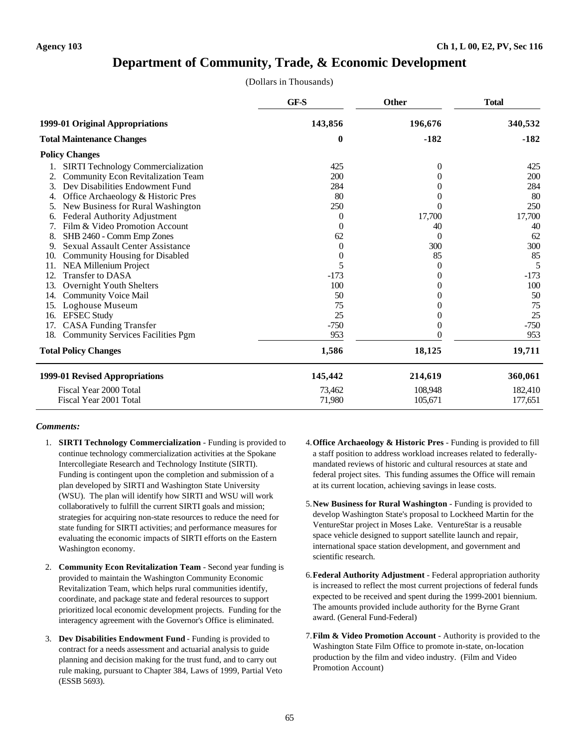### **Department of Community, Trade, & Economic Development**

(Dollars in Thousands)

|     |                                           | GF-S     | <b>Other</b> | <b>Total</b> |
|-----|-------------------------------------------|----------|--------------|--------------|
|     | 1999-01 Original Appropriations           | 143,856  | 196,676      | 340,532      |
|     | <b>Total Maintenance Changes</b>          | 0        | $-182$       | $-182$       |
|     | <b>Policy Changes</b>                     |          |              |              |
|     | <b>SIRTI Technology Commercialization</b> | 425      | 0            | 425          |
| 2.  | <b>Community Econ Revitalization Team</b> | 200      |              | 200          |
| 3.  | Dev Disabilities Endowment Fund           | 284      |              | 284          |
|     | Office Archaeology & Historic Pres        | 80       |              | 80           |
| 5.  | New Business for Rural Washington         | 250      |              | 250          |
| 6.  | Federal Authority Adjustment              | 0        | 17,700       | 17,700       |
|     | Film & Video Promotion Account            | 0        | 40           | 40           |
| 8.  | SHB 2460 - Comm Emp Zones                 | 62       | 0            | 62           |
| 9.  | <b>Sexual Assault Center Assistance</b>   | $\theta$ | 300          | 300          |
| 10. | Community Housing for Disabled            | 0        | 85           | 85           |
| 11. | NEA Millenium Project                     | 5        | $^{(1)}$     | 5            |
| 12. | <b>Transfer to DASA</b>                   | $-173$   |              | $-173$       |
| 13. | Overnight Youth Shelters                  | 100      |              | 100          |
| 14. | <b>Community Voice Mail</b>               | 50       |              | 50           |
| 15. | Loghouse Museum                           | 75       |              | 75           |
| 16. | <b>EFSEC Study</b>                        | 25       |              | 25           |
| 17. | <b>CASA Funding Transfer</b>              | $-750$   |              | $-750$       |
| 18. | <b>Community Services Facilities Pgm</b>  | 953      |              | 953          |
|     | <b>Total Policy Changes</b>               | 1,586    | 18,125       | 19,711       |
|     | 1999-01 Revised Appropriations            | 145,442  | 214,619      | 360,061      |
|     | Fiscal Year 2000 Total                    | 73,462   | 108,948      | 182,410      |
|     | Fiscal Year 2001 Total                    | 71,980   | 105,671      | 177,651      |

- 1. **SIRTI Technology Commercialization** Funding is provided to continue technology commercialization activities at the Spokane Intercollegiate Research and Technology Institute (SIRTI). Funding is contingent upon the completion and submission of a plan developed by SIRTI and Washington State University (WSU). The plan will identify how SIRTI and WSU will work collaboratively to fulfill the current SIRTI goals and mission; strategies for acquiring non-state resources to reduce the need for state funding for SIRTI activities; and performance measures for evaluating the economic impacts of SIRTI efforts on the Eastern Washington economy.
- 2. **Community Econ Revitalization Team** Second year funding is provided to maintain the Washington Community Economic Revitalization Team, which helps rural communities identify, coordinate, and package state and federal resources to support prioritized local economic development projects. Funding for the interagency agreement with the Governor's Office is eliminated.
- 3. **Dev Disabilities Endowment Fund** Funding is provided to contract for a needs assessment and actuarial analysis to guide planning and decision making for the trust fund, and to carry out rule making, pursuant to Chapter 384, Laws of 1999, Partial Veto (ESSB 5693).
- 4.**Office Archaeology & Historic Pres** Funding is provided to fill a staff position to address workload increases related to federallymandated reviews of historic and cultural resources at state and federal project sites. This funding assumes the Office will remain at its current location, achieving savings in lease costs.
- 5.**New Business for Rural Washington** Funding is provided to develop Washington State's proposal to Lockheed Martin for the VentureStar project in Moses Lake. VentureStar is a reusable space vehicle designed to support satellite launch and repair, international space station development, and government and scientific research.
- 6.**Federal Authority Adjustment** Federal appropriation authority is increased to reflect the most current projections of federal funds expected to be received and spent during the 1999-2001 biennium. The amounts provided include authority for the Byrne Grant award. (General Fund-Federal)
- 7.**Film & Video Promotion Account** Authority is provided to the Washington State Film Office to promote in-state, on-location production by the film and video industry. (Film and Video Promotion Account)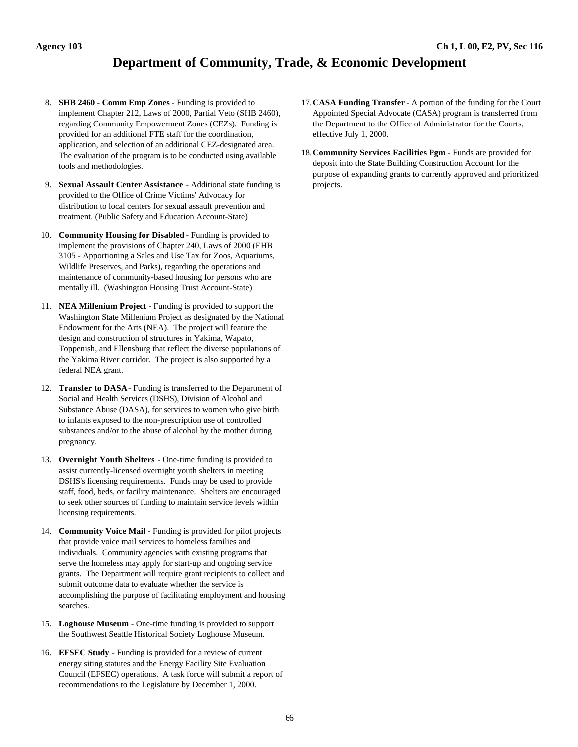# **Department of Community, Trade, & Economic Development**

- 8. **SHB 2460 Comm Emp Zones** Funding is provided to implement Chapter 212, Laws of 2000, Partial Veto (SHB 2460), regarding Community Empowerment Zones (CEZs). Funding is provided for an additional FTE staff for the coordination, application, and selection of an additional CEZ-designated area. The evaluation of the program is to be conducted using available tools and methodologies.
- 9. **Sexual Assault Center Assistance** Additional state funding is provided to the Office of Crime Victims' Advocacy for distribution to local centers for sexual assault prevention and treatment. (Public Safety and Education Account-State)
- 10. **Community Housing for Disabled** Funding is provided to implement the provisions of Chapter 240, Laws of 2000 (EHB 3105 - Apportioning a Sales and Use Tax for Zoos, Aquariums, Wildlife Preserves, and Parks), regarding the operations and maintenance of community-based housing for persons who are mentally ill. (Washington Housing Trust Account-State)
- 11. **NEA Millenium Project** Funding is provided to support the Washington State Millenium Project as designated by the National Endowment for the Arts (NEA). The project will feature the design and construction of structures in Yakima, Wapato, Toppenish, and Ellensburg that reflect the diverse populations of the Yakima River corridor. The project is also supported by a federal NEA grant.
- 12. **Transfer to DASA** Funding is transferred to the Department of Social and Health Services (DSHS), Division of Alcohol and Substance Abuse (DASA), for services to women who give birth to infants exposed to the non-prescription use of controlled substances and/or to the abuse of alcohol by the mother during pregnancy.
- 13. **Overnight Youth Shelters** One-time funding is provided to assist currently-licensed overnight youth shelters in meeting DSHS's licensing requirements. Funds may be used to provide staff, food, beds, or facility maintenance. Shelters are encouraged to seek other sources of funding to maintain service levels within licensing requirements.
- 14. **Community Voice Mail** Funding is provided for pilot projects that provide voice mail services to homeless families and individuals. Community agencies with existing programs that serve the homeless may apply for start-up and ongoing service grants. The Department will require grant recipients to collect and submit outcome data to evaluate whether the service is accomplishing the purpose of facilitating employment and housing searches.
- 15. **Loghouse Museum** One-time funding is provided to support the Southwest Seattle Historical Society Loghouse Museum.
- 16. **EFSEC Study** Funding is provided for a review of current energy siting statutes and the Energy Facility Site Evaluation Council (EFSEC) operations. A task force will submit a report of recommendations to the Legislature by December 1, 2000.
- 17.**CASA Funding Transfer** A portion of the funding for the Court Appointed Special Advocate (CASA) program is transferred from the Department to the Office of Administrator for the Courts, effective July 1, 2000.
- 18.**Community Services Facilities Pgm** Funds are provided for deposit into the State Building Construction Account for the purpose of expanding grants to currently approved and prioritized projects.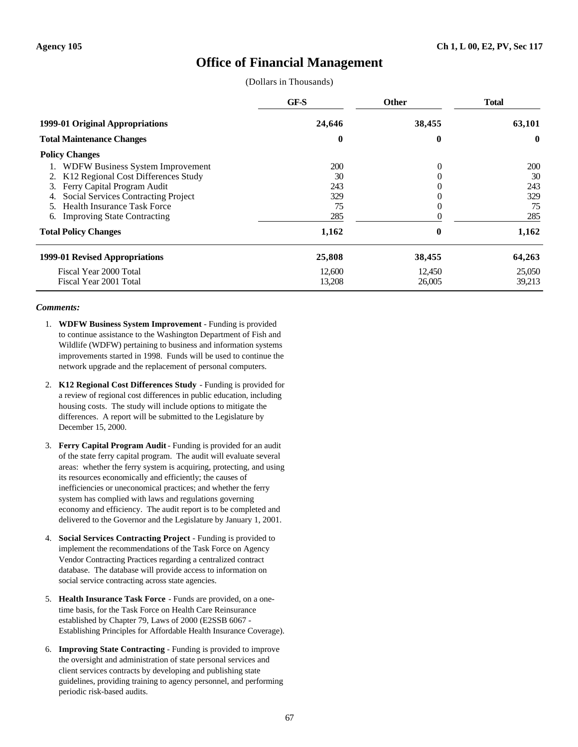### **Office of Financial Management**

(Dollars in Thousands)

|                                           | GF-S   | <b>Other</b> | <b>Total</b> |
|-------------------------------------------|--------|--------------|--------------|
| 1999-01 Original Appropriations           | 24,646 | 38,455       | 63,101       |
| <b>Total Maintenance Changes</b>          | 0      | 0            | $\mathbf{0}$ |
| <b>Policy Changes</b>                     |        |              |              |
| WDFW Business System Improvement          | 200    | $\Omega$     | 200          |
| K12 Regional Cost Differences Study<br>2. | 30     |              | 30           |
| Ferry Capital Program Audit<br>3.         | 243    |              | 243          |
| Social Services Contracting Project       | 329    |              | 329          |
| <b>Health Insurance Task Force</b>        | 75     |              | 75           |
| <b>Improving State Contracting</b><br>6.  | 285    |              | 285          |
| <b>Total Policy Changes</b>               | 1,162  | 0            | 1,162        |
| 1999-01 Revised Appropriations            | 25,808 | 38,455       | 64,263       |
| Fiscal Year 2000 Total                    | 12,600 | 12,450       | 25,050       |
| Fiscal Year 2001 Total                    | 13,208 | 26,005       | 39,213       |

- 1. **WDFW Business System Improvement** Funding is provided to continue assistance to the Washington Department of Fish and Wildlife (WDFW) pertaining to business and information systems improvements started in 1998. Funds will be used to continue the network upgrade and the replacement of personal computers.
- 2. **K12 Regional Cost Differences Study** Funding is provided for a review of regional cost differences in public education, including housing costs. The study will include options to mitigate the differences. A report will be submitted to the Legislature by December 15, 2000.
- 3. **Ferry Capital Program Audit** Funding is provided for an audit of the state ferry capital program. The audit will evaluate several areas: whether the ferry system is acquiring, protecting, and using its resources economically and efficiently; the causes of inefficiencies or uneconomical practices; and whether the ferry system has complied with laws and regulations governing economy and efficiency. The audit report is to be completed and delivered to the Governor and the Legislature by January 1, 2001.
- 4. **Social Services Contracting Project** Funding is provided to implement the recommendations of the Task Force on Agency Vendor Contracting Practices regarding a centralized contract database. The database will provide access to information on social service contracting across state agencies.
- 5. **Health Insurance Task Force** Funds are provided, on a onetime basis, for the Task Force on Health Care Reinsurance established by Chapter 79, Laws of 2000 (E2SSB 6067 - Establishing Principles for Affordable Health Insurance Coverage).
- 6. **Improving State Contracting** Funding is provided to improve the oversight and administration of state personal services and client services contracts by developing and publishing state guidelines, providing training to agency personnel, and performing periodic risk-based audits.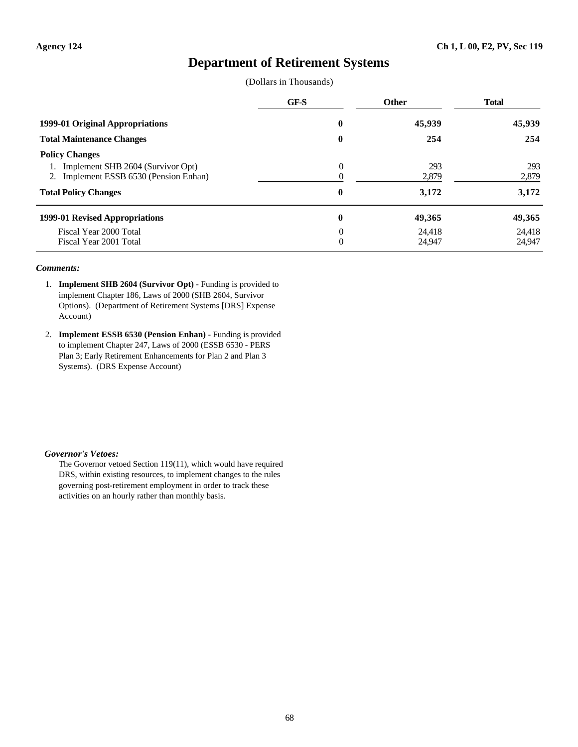### **Department of Retirement Systems**

|  | (Dollars in Thousands) |
|--|------------------------|
|--|------------------------|

|                                                                                                                                     | GF-S                 | <b>Other</b>          | <b>Total</b>          |
|-------------------------------------------------------------------------------------------------------------------------------------|----------------------|-----------------------|-----------------------|
| 1999-01 Original Appropriations                                                                                                     | 0                    | 45,939                | 45,939                |
| <b>Total Maintenance Changes</b>                                                                                                    | $\bf{0}$             | 254                   | 254                   |
| <b>Policy Changes</b><br>Implement SHB 2604 (Survivor Opt)<br>2. Implement ESSB 6530 (Pension Enhan)<br><b>Total Policy Changes</b> | $\theta$<br>$\bf{0}$ | 293<br>2,879<br>3,172 | 293<br>2,879<br>3,172 |
| 1999-01 Revised Appropriations                                                                                                      | $\bf{0}$             | 49,365                | 49,365                |
| Fiscal Year 2000 Total<br>Fiscal Year 2001 Total                                                                                    | $\theta$<br>$\theta$ | 24.418<br>24,947      | 24.418<br>24.947      |

#### *Comments:*

- 1. **Implement SHB 2604 (Survivor Opt)** Funding is provided to implement Chapter 186, Laws of 2000 (SHB 2604, Survivor Options). (Department of Retirement Systems [DRS] Expense Account)
- 2. **Implement ESSB 6530 (Pension Enhan)** Funding is provided to implement Chapter 247, Laws of 2000 (ESSB 6530 - PERS Plan 3; Early Retirement Enhancements for Plan 2 and Plan 3 Systems). (DRS Expense Account)

#### *Governor's Vetoes:*

The Governor vetoed Section 119(11), which would have required DRS, within existing resources, to implement changes to the rules governing post-retirement employment in order to track these activities on an hourly rather than monthly basis.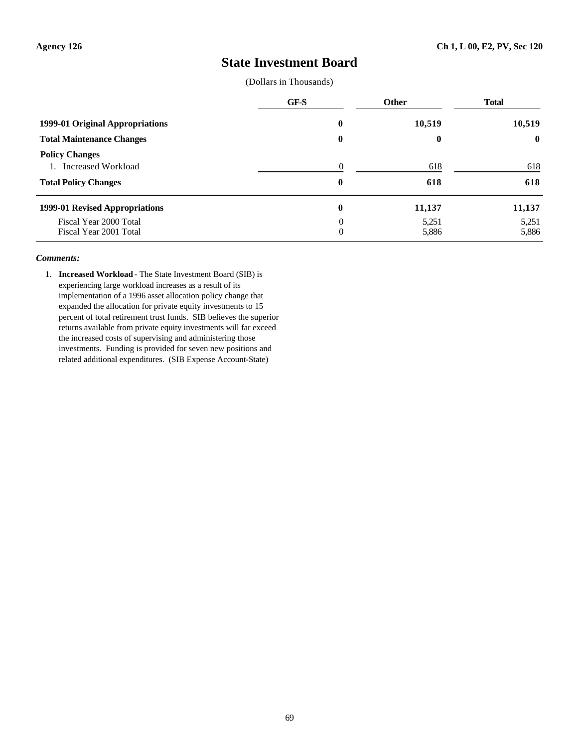### **State Investment Board**

(Dollars in Thousands)

|                                                                                  | GF-S                 | <b>Other</b>   | <b>Total</b>   |
|----------------------------------------------------------------------------------|----------------------|----------------|----------------|
| 1999-01 Original Appropriations                                                  | $\bf{0}$             | 10,519         | 10,519         |
| <b>Total Maintenance Changes</b>                                                 | $\bf{0}$             | $\bf{0}$       | $\mathbf{0}$   |
| <b>Policy Changes</b><br>Increased Workload<br>1.<br><b>Total Policy Changes</b> | 0<br>$\bf{0}$        | 618<br>618     | 618<br>618     |
| 1999-01 Revised Appropriations                                                   | $\bf{0}$             | 11,137         | 11,137         |
| Fiscal Year 2000 Total<br>Fiscal Year 2001 Total                                 | $\Omega$<br>$\theta$ | 5,251<br>5,886 | 5,251<br>5,886 |

#### *Comments:*

1. **Increased Workload** - The State Investment Board (SIB) is experiencing large workload increases as a result of its implementation of a 1996 asset allocation policy change that expanded the allocation for private equity investments to 15 percent of total retirement trust funds. SIB believes the superior returns available from private equity investments will far exceed the increased costs of supervising and administering those investments. Funding is provided for seven new positions and related additional expenditures. (SIB Expense Account-State)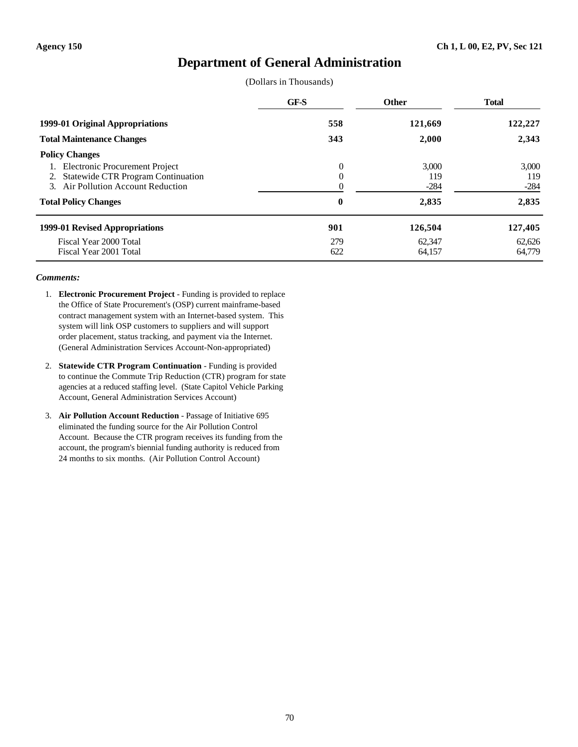## **Department of General Administration**

(Dollars in Thousands)

|                                                                                                                         | GF-S          | <b>Other</b>           | <b>Total</b>           |
|-------------------------------------------------------------------------------------------------------------------------|---------------|------------------------|------------------------|
| 1999-01 Original Appropriations                                                                                         | 558           | 121,669                | 122,227                |
| <b>Total Maintenance Changes</b>                                                                                        | 343           | 2,000                  | 2,343                  |
| <b>Policy Changes</b>                                                                                                   |               |                        |                        |
| Electronic Procurement Project<br><b>Statewide CTR Program Continuation</b><br>2.<br>3. Air Pollution Account Reduction | $\Omega$<br>0 | 3,000<br>119<br>$-284$ | 3,000<br>119<br>$-284$ |
| <b>Total Policy Changes</b>                                                                                             | $\bf{0}$      | 2,835                  | 2,835                  |
| 1999-01 Revised Appropriations                                                                                          | 901           | 126,504                | 127,405                |
| Fiscal Year 2000 Total<br>Fiscal Year 2001 Total                                                                        | 279<br>622    | 62,347<br>64,157       | 62,626<br>64,779       |

- 1. **Electronic Procurement Project** Funding is provided to replace the Office of State Procurement's (OSP) current mainframe-based contract management system with an Internet-based system. This system will link OSP customers to suppliers and will support order placement, status tracking, and payment via the Internet. (General Administration Services Account-Non-appropriated)
- 2. **Statewide CTR Program Continuation** Funding is provided to continue the Commute Trip Reduction (CTR) program for state agencies at a reduced staffing level. (State Capitol Vehicle Parking Account, General Administration Services Account)
- 3. **Air Pollution Account Reduction** Passage of Initiative 695 eliminated the funding source for the Air Pollution Control Account. Because the CTR program receives its funding from the account, the program's biennial funding authority is reduced from 24 months to six months. (Air Pollution Control Account)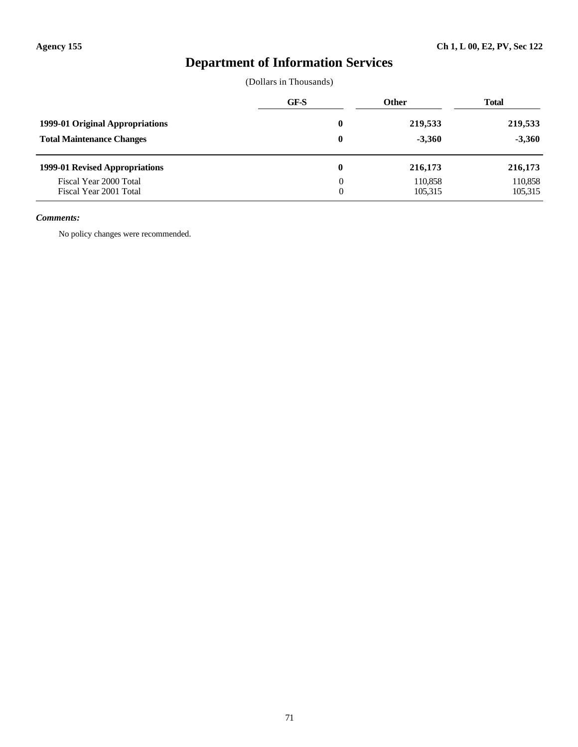# **Department of Information Services**

### (Dollars in Thousands)

|                                                  | GF-S             | <b>Other</b>       | <b>Total</b>       |
|--------------------------------------------------|------------------|--------------------|--------------------|
| 1999-01 Original Appropriations                  | 0                | 219,533            | 219,533            |
| <b>Total Maintenance Changes</b>                 | $\boldsymbol{0}$ | $-3,360$           | $-3,360$           |
| 1999-01 Revised Appropriations                   | 0                | 216,173            | 216,173            |
| Fiscal Year 2000 Total<br>Fiscal Year 2001 Total |                  | 110.858<br>105,315 | 110,858<br>105,315 |

### *Comments:*

No policy changes were recommended.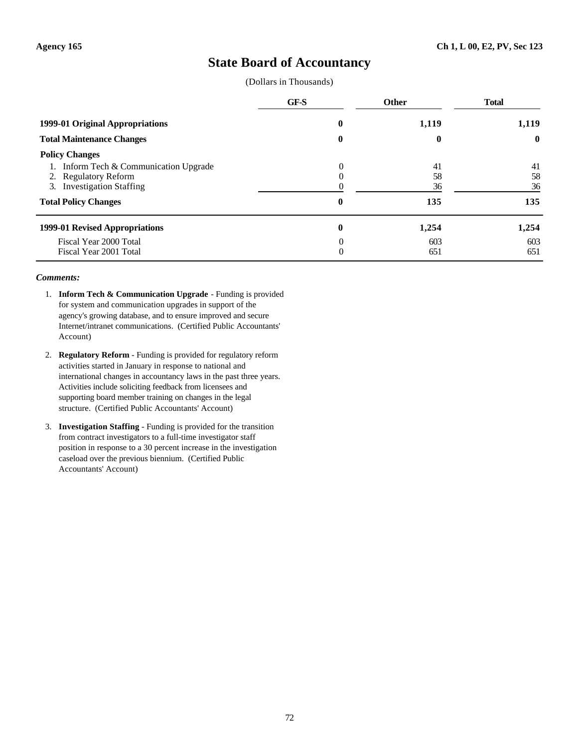### **State Board of Accountancy**

(Dollars in Thousands)

|                                     | GF-S     | <b>Other</b> | <b>Total</b> |
|-------------------------------------|----------|--------------|--------------|
| 1999-01 Original Appropriations     | 0        | 1,119        | 1,119        |
| <b>Total Maintenance Changes</b>    | $\bf{0}$ | 0            | $\bf{0}$     |
| <b>Policy Changes</b>               |          |              |              |
| Inform Tech & Communication Upgrade | 0        | 41           | 41           |
| 2. Regulatory Reform                |          | 58           | 58           |
| 3. Investigation Staffing           |          | 36           | 36           |
| <b>Total Policy Changes</b>         | $\bf{0}$ | 135          | 135          |
| 1999-01 Revised Appropriations      | 0        | 1,254        | 1,254        |
| Fiscal Year 2000 Total              | 0        | 603          | 603          |
| Fiscal Year 2001 Total              | 0        | 651          | 651          |

- 1. **Inform Tech & Communication Upgrade** Funding is provided for system and communication upgrades in support of the agency's growing database, and to ensure improved and secure Internet/intranet communications. (Certified Public Accountants' Account)
- 2. **Regulatory Reform** Funding is provided for regulatory reform activities started in January in response to national and international changes in accountancy laws in the past three years. Activities include soliciting feedback from licensees and supporting board member training on changes in the legal structure. (Certified Public Accountants' Account)
- 3. **Investigation Staffing** Funding is provided for the transition from contract investigators to a full-time investigator staff position in response to a 30 percent increase in the investigation caseload over the previous biennium. (Certified Public Accountants' Account)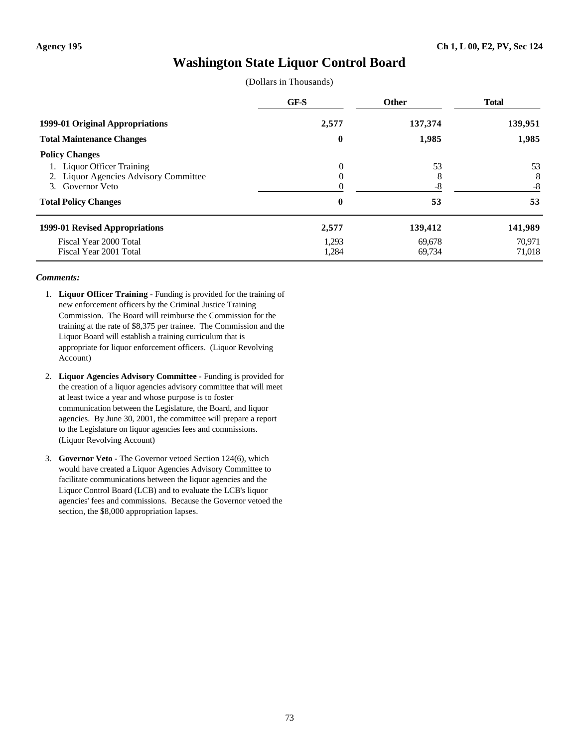## **Washington State Liquor Control Board**

(Dollars in Thousands)

|                                                                                                  | GF-S                 | Other            | <b>Total</b>     |
|--------------------------------------------------------------------------------------------------|----------------------|------------------|------------------|
| 1999-01 Original Appropriations                                                                  | 2,577                | 137,374          | 139,951          |
| <b>Total Maintenance Changes</b>                                                                 | $\bf{0}$             | 1,985            | 1,985            |
| <b>Policy Changes</b><br><b>Liquor Officer Training</b><br>2. Liquor Agencies Advisory Committee | $\theta$<br>$\theta$ | 53               | 53<br>8          |
| 3. Governor Veto<br><b>Total Policy Changes</b>                                                  | 0                    | -8<br>53         | $-8$<br>53       |
| 1999-01 Revised Appropriations                                                                   | 2,577                | 139,412          | 141,989          |
| Fiscal Year 2000 Total<br>Fiscal Year 2001 Total                                                 | 1,293<br>1,284       | 69,678<br>69,734 | 70.971<br>71,018 |

- 1. **Liquor Officer Training** Funding is provided for the training of new enforcement officers by the Criminal Justice Training Commission. The Board will reimburse the Commission for the training at the rate of \$8,375 per trainee. The Commission and the Liquor Board will establish a training curriculum that is appropriate for liquor enforcement officers. (Liquor Revolving Account)
- 2. **Liquor Agencies Advisory Committee** Funding is provided for the creation of a liquor agencies advisory committee that will meet at least twice a year and whose purpose is to foster communication between the Legislature, the Board, and liquor agencies. By June 30, 2001, the committee will prepare a report to the Legislature on liquor agencies fees and commissions. (Liquor Revolving Account)
- 3. **Governor Veto** The Governor vetoed Section 124(6), which would have created a Liquor Agencies Advisory Committee to facilitate communications between the liquor agencies and the Liquor Control Board (LCB) and to evaluate the LCB's liquor agencies' fees and commissions. Because the Governor vetoed the section, the \$8,000 appropriation lapses.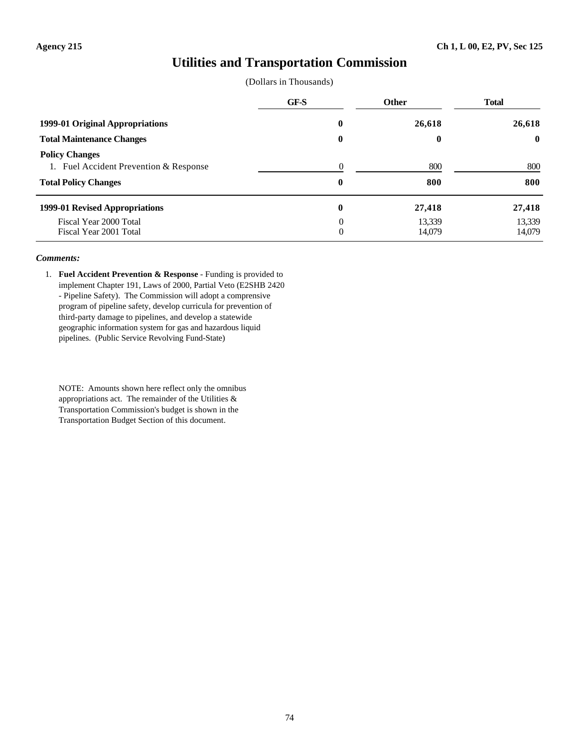### **Utilities and Transportation Commission**

|  | (Dollars in Thousands) |
|--|------------------------|
|--|------------------------|

|                                                                                                | GF-S          | <b>Other</b>     | <b>Total</b>     |
|------------------------------------------------------------------------------------------------|---------------|------------------|------------------|
| 1999-01 Original Appropriations                                                                | $\bf{0}$      | 26,618           | 26,618           |
| <b>Total Maintenance Changes</b>                                                               | $\bf{0}$      | $\boldsymbol{0}$ | $\mathbf{0}$     |
| <b>Policy Changes</b><br>1. Fuel Accident Prevention & Response<br><b>Total Policy Changes</b> | 0<br>$\bf{0}$ | 800<br>800       | 800<br>800       |
| 1999-01 Revised Appropriations                                                                 | $\bf{0}$      | 27,418           | 27,418           |
| Fiscal Year 2000 Total<br>Fiscal Year 2001 Total                                               | $\theta$<br>0 | 13,339<br>14,079 | 13,339<br>14,079 |

#### *Comments:*

1. **Fuel Accident Prevention & Response** - Funding is provided to implement Chapter 191, Laws of 2000, Partial Veto (E2SHB 2420 - Pipeline Safety). The Commission will adopt a comprensive program of pipeline safety, develop curricula for prevention of third-party damage to pipelines, and develop a statewide geographic information system for gas and hazardous liquid pipelines. (Public Service Revolving Fund-State)

NOTE: Amounts shown here reflect only the omnibus appropriations act. The remainder of the Utilities  $\&$ Transportation Commission's budget is shown in the Transportation Budget Section of this document.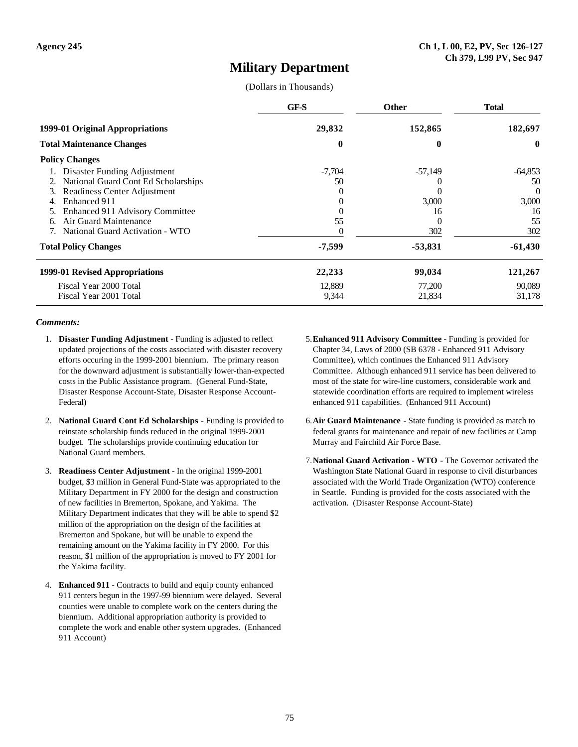### **Military Department**

#### (Dollars in Thousands)

|                                     | GF-S     | <b>Other</b> | <b>Total</b> |
|-------------------------------------|----------|--------------|--------------|
| 1999-01 Original Appropriations     | 29,832   | 152,865      | 182,697      |
| <b>Total Maintenance Changes</b>    | $\bf{0}$ | 0            | $\mathbf{0}$ |
| <b>Policy Changes</b>               |          |              |              |
| Disaster Funding Adjustment         | $-7.704$ | $-57,149$    | $-64,853$    |
| National Guard Cont Ed Scholarships | 50       |              | 50           |
| Readiness Center Adjustment<br>3.   |          |              | $\Omega$     |
| Enhanced 911                        |          | 3,000        | 3,000        |
| Enhanced 911 Advisory Committee     |          | 16           | 16           |
| Air Guard Maintenance<br>6.         | 55       | $\theta$     | 55           |
| National Guard Activation - WTO     |          | 302          | 302          |
| <b>Total Policy Changes</b>         | -7,599   | -53,831      | $-61,430$    |
| 1999-01 Revised Appropriations      | 22,233   | 99,034       | 121,267      |
| Fiscal Year 2000 Total              | 12,889   | 77,200       | 90,089       |
| Fiscal Year 2001 Total              | 9,344    | 21,834       | 31,178       |

- 1. **Disaster Funding Adjustment** Funding is adjusted to reflect updated projections of the costs associated with disaster recovery efforts occuring in the 1999-2001 biennium. The primary reason for the downward adjustment is substantially lower-than-expected costs in the Public Assistance program. (General Fund-State, Disaster Response Account-State, Disaster Response Account-Federal)
- 2. **National Guard Cont Ed Scholarships** Funding is provided to reinstate scholarship funds reduced in the original 1999-2001 budget. The scholarships provide continuing education for National Guard members.
- 3. **Readiness Center Adjustment** In the original 1999-2001 budget, \$3 million in General Fund-State was appropriated to the Military Department in FY 2000 for the design and construction of new facilities in Bremerton, Spokane, and Yakima. The Military Department indicates that they will be able to spend \$2 million of the appropriation on the design of the facilities at Bremerton and Spokane, but will be unable to expend the remaining amount on the Yakima facility in FY 2000. For this reason, \$1 million of the appropriation is moved to FY 2001 for the Yakima facility.
- 4. **Enhanced 911** Contracts to build and equip county enhanced 911 centers begun in the 1997-99 biennium were delayed. Several counties were unable to complete work on the centers during the biennium. Additional appropriation authority is provided to complete the work and enable other system upgrades. (Enhanced 911 Account)
- 5.**Enhanced 911 Advisory Committee** Funding is provided for Chapter 34, Laws of 2000 (SB 6378 - Enhanced 911 Advisory Committee), which continues the Enhanced 911 Advisory Committee. Although enhanced 911 service has been delivered to most of the state for wire-line customers, considerable work and statewide coordination efforts are required to implement wireless enhanced 911 capabilities. (Enhanced 911 Account)
- 6.**Air Guard Maintenance** State funding is provided as match to federal grants for maintenance and repair of new facilities at Camp Murray and Fairchild Air Force Base.
- 7.**National Guard Activation WTO** The Governor activated the Washington State National Guard in response to civil disturbances associated with the World Trade Organization (WTO) conference in Seattle. Funding is provided for the costs associated with the activation. (Disaster Response Account-State)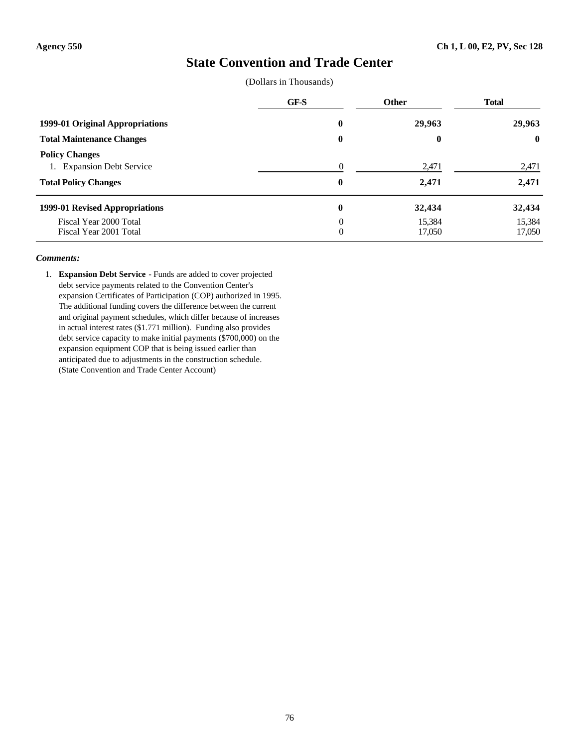## **State Convention and Trade Center**

(Dollars in Thousands)

|                                                                                   | GF-S                       | <b>Other</b>     | <b>Total</b>     |  |
|-----------------------------------------------------------------------------------|----------------------------|------------------|------------------|--|
| 1999-01 Original Appropriations                                                   | $\bf{0}$                   | 29,963           | 29,963           |  |
| <b>Total Maintenance Changes</b>                                                  | $\bf{0}$                   | $\boldsymbol{0}$ | $\bf{0}$         |  |
| <b>Policy Changes</b><br>1. Expansion Debt Service<br><b>Total Policy Changes</b> | $\Omega$<br>$\bf{0}$       | 2,471<br>2,471   | 2,471<br>2,471   |  |
| 1999-01 Revised Appropriations                                                    | $\mathbf{0}$               | 32,434           | 32,434           |  |
| Fiscal Year 2000 Total<br>Fiscal Year 2001 Total                                  | $\Omega$<br>$\overline{0}$ | 15,384<br>17,050 | 15,384<br>17,050 |  |

#### *Comments:*

1. **Expansion Debt Service** - Funds are added to cover projected debt service payments related to the Convention Center's expansion Certificates of Participation (COP) authorized in 1995. The additional funding covers the difference between the current and original payment schedules, which differ because of increases in actual interest rates (\$1.771 million). Funding also provides debt service capacity to make initial payments (\$700,000) on the expansion equipment COP that is being issued earlier than anticipated due to adjustments in the construction schedule. (State Convention and Trade Center Account)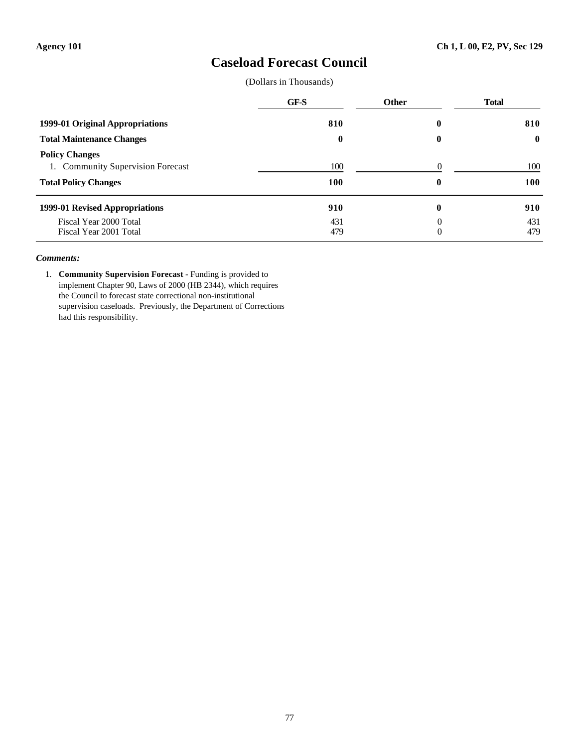## **Caseload Forecast Council**

(Dollars in Thousands)

|                                                                                           | GF-S         | <b>Other</b>         | <b>Total</b>      |
|-------------------------------------------------------------------------------------------|--------------|----------------------|-------------------|
| 1999-01 Original Appropriations                                                           | 810          | 0                    | 810               |
| <b>Total Maintenance Changes</b>                                                          | $\mathbf{0}$ | $\bf{0}$             | $\mathbf{0}$      |
| <b>Policy Changes</b><br>1. Community Supervision Forecast<br><b>Total Policy Changes</b> | 100<br>100   | $\Omega$<br>$\bf{0}$ | 100<br><b>100</b> |
| 1999-01 Revised Appropriations                                                            | 910          | $\bf{0}$             | 910               |
| Fiscal Year 2000 Total<br>Fiscal Year 2001 Total                                          | 431<br>479   | 0<br>0               | 431<br>479        |

#### *Comments:*

1. **Community Supervision Forecast** - Funding is provided to implement Chapter 90, Laws of 2000 (HB 2344), which requires the Council to forecast state correctional non-institutional supervision caseloads. Previously, the Department of Corrections had this responsibility.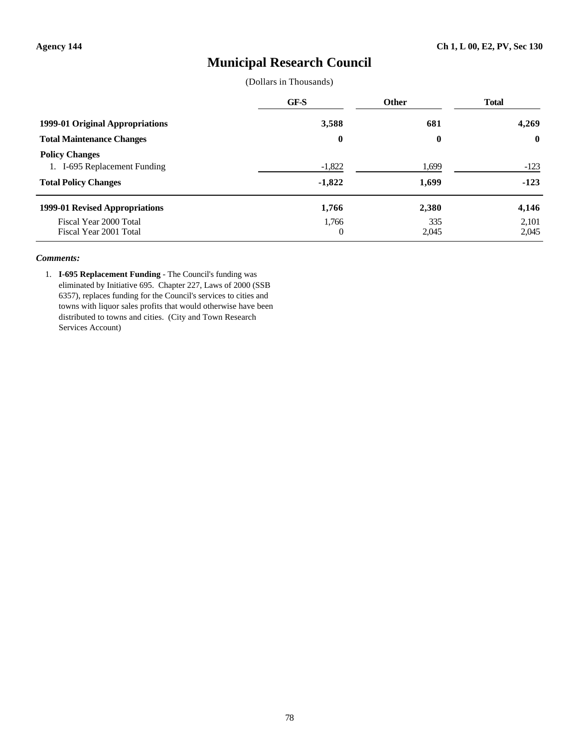## **Municipal Research Council**

(Dollars in Thousands)

|                                                                                      | GF-S                 | <b>Other</b>   | <b>Total</b>     |
|--------------------------------------------------------------------------------------|----------------------|----------------|------------------|
| 1999-01 Original Appropriations                                                      | 3,588                | 681            | 4,269            |
| <b>Total Maintenance Changes</b>                                                     | $\boldsymbol{0}$     | 0              | $\mathbf{0}$     |
| <b>Policy Changes</b><br>1. I-695 Replacement Funding<br><b>Total Policy Changes</b> | $-1,822$<br>$-1,822$ | 1,699<br>1,699 | $-123$<br>$-123$ |
| 1999-01 Revised Appropriations                                                       | 1,766                | 2,380          | 4,146            |
| Fiscal Year 2000 Total<br>Fiscal Year 2001 Total                                     | 1,766<br>0           | 335<br>2,045   | 2,101<br>2,045   |

#### *Comments:*

1. **I-695 Replacement Funding** - The Council's funding was eliminated by Initiative 695. Chapter 227, Laws of 2000 (SSB 6357), replaces funding for the Council's services to cities and towns with liquor sales profits that would otherwise have been distributed to towns and cities. (City and Town Research Services Account)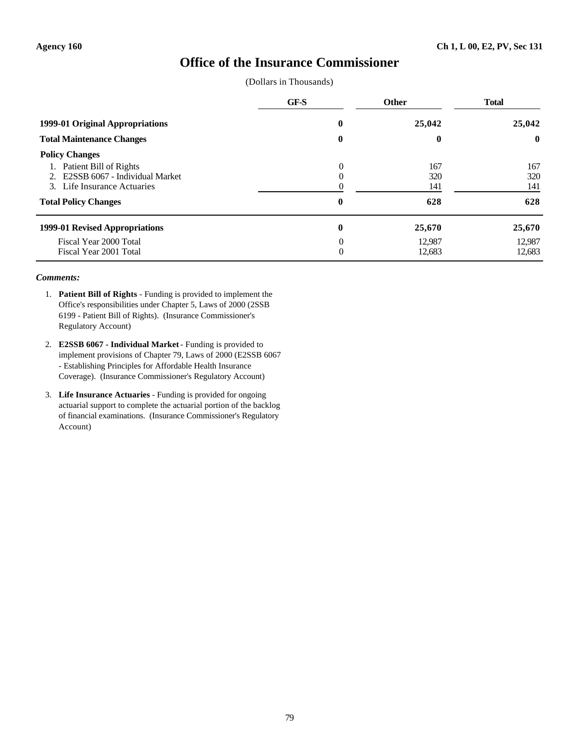## **Office of the Insurance Commissioner**

(Dollars in Thousands)

|                                  | GF-S | Other  | <b>Total</b> |
|----------------------------------|------|--------|--------------|
| 1999-01 Original Appropriations  | 0    | 25,042 | 25,042       |
| <b>Total Maintenance Changes</b> | 0    | 0      | $\bf{0}$     |
| <b>Policy Changes</b>            |      |        |              |
| Patient Bill of Rights           | 0    | 167    | 167          |
| E2SSB 6067 - Individual Market   |      | 320    | 320          |
| 3. Life Insurance Actuaries      |      | 141    | 141          |
| <b>Total Policy Changes</b>      | 0    | 628    | 628          |
| 1999-01 Revised Appropriations   | 0    | 25,670 | 25,670       |
| Fiscal Year 2000 Total           | 0    | 12.987 | 12,987       |
| Fiscal Year 2001 Total           | 0    | 12,683 | 12,683       |

- 1. **Patient Bill of Rights** Funding is provided to implement the Office's responsibilities under Chapter 5, Laws of 2000 (2SSB 6199 - Patient Bill of Rights). (Insurance Commissioner's Regulatory Account)
- 2. **E2SSB 6067 Individual Market** Funding is provided to implement provisions of Chapter 79, Laws of 2000 (E2SSB 6067 - Establishing Principles for Affordable Health Insurance Coverage). (Insurance Commissioner's Regulatory Account)
- 3. **Life Insurance Actuaries** Funding is provided for ongoing actuarial support to complete the actuarial portion of the backlog of financial examinations. (Insurance Commissioner's Regulatory Account)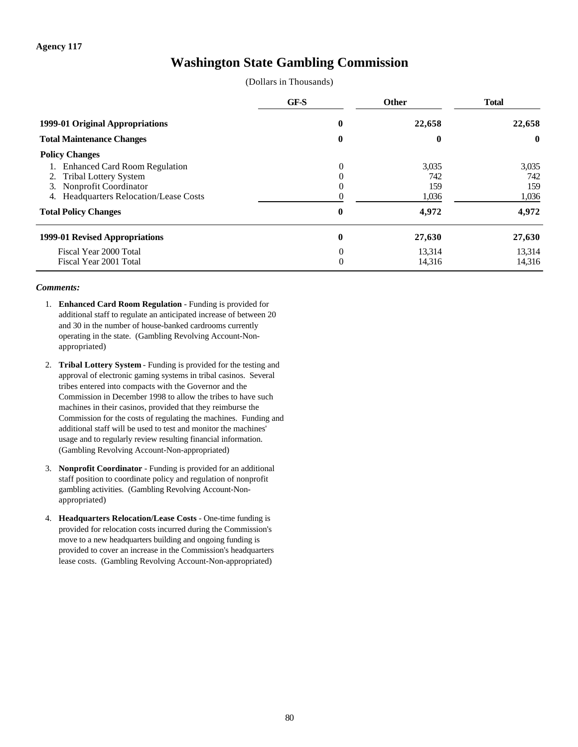## **Washington State Gambling Commission**

|  | (Dollars in Thousands) |
|--|------------------------|
|--|------------------------|

|                                                  | GF-S     | <b>Other</b> | <b>Total</b> |
|--------------------------------------------------|----------|--------------|--------------|
| 1999-01 Original Appropriations                  |          | 22,658       | 22,658       |
| <b>Total Maintenance Changes</b>                 |          | 0            | $\mathbf{0}$ |
| <b>Policy Changes</b>                            |          |              |              |
| <b>Enhanced Card Room Regulation</b>             | $\Omega$ | 3,035        | 3,035        |
| <b>Tribal Lottery System</b><br>2.               |          | 742          | 742          |
| Nonprofit Coordinator<br>3.                      |          | 159          | 159          |
| <b>Headquarters Relocation/Lease Costs</b><br>4. |          | 1,036        | 1,036        |
| <b>Total Policy Changes</b>                      | $\bf{0}$ | 4,972        | 4,972        |
| 1999-01 Revised Appropriations                   | $\bf{0}$ | 27,630       | 27,630       |
| Fiscal Year 2000 Total                           | $\Omega$ | 13,314       | 13,314       |
| Fiscal Year 2001 Total                           | 0        | 14,316       | 14,316       |

- 1. **Enhanced Card Room Regulation** Funding is provided for additional staff to regulate an anticipated increase of between 20 and 30 in the number of house-banked cardrooms currently operating in the state. (Gambling Revolving Account-Nonappropriated)
- 2. **Tribal Lottery System** Funding is provided for the testing and approval of electronic gaming systems in tribal casinos. Several tribes entered into compacts with the Governor and the Commission in December 1998 to allow the tribes to have such machines in their casinos, provided that they reimburse the Commission for the costs of regulating the machines. Funding and additional staff will be used to test and monitor the machines' usage and to regularly review resulting financial information. (Gambling Revolving Account-Non-appropriated)
- 3. **Nonprofit Coordinator** Funding is provided for an additional staff position to coordinate policy and regulation of nonprofit gambling activities. (Gambling Revolving Account-Nonappropriated)
- 4. **Headquarters Relocation/Lease Costs** One-time funding is provided for relocation costs incurred during the Commission's move to a new headquarters building and ongoing funding is provided to cover an increase in the Commission's headquarters lease costs. (Gambling Revolving Account-Non-appropriated)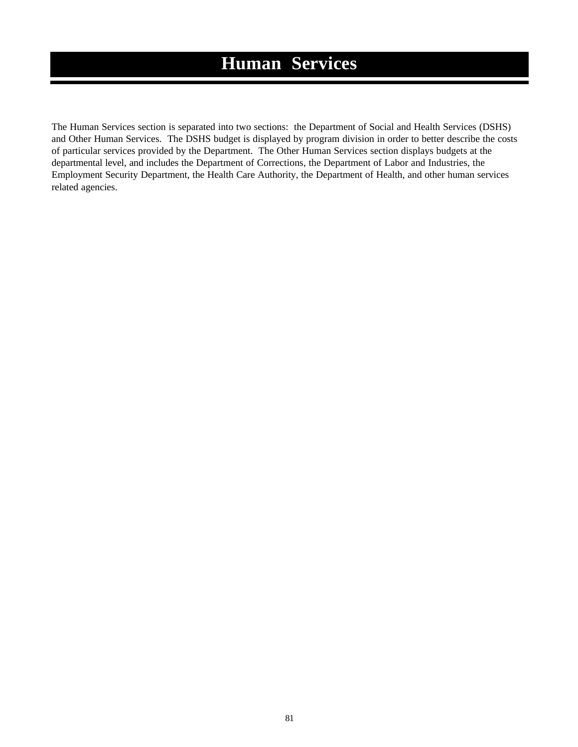# **Human Services**

The Human Services section is separated into two sections: the Department of Social and Health Services (DSHS) and Other Human Services. The DSHS budget is displayed by program division in order to better describe the costs of particular services provided by the Department. The Other Human Services section displays budgets at the departmental level, and includes the Department of Corrections, the Department of Labor and Industries, the Employment Security Department, the Health Care Authority, the Department of Health, and other human services related agencies.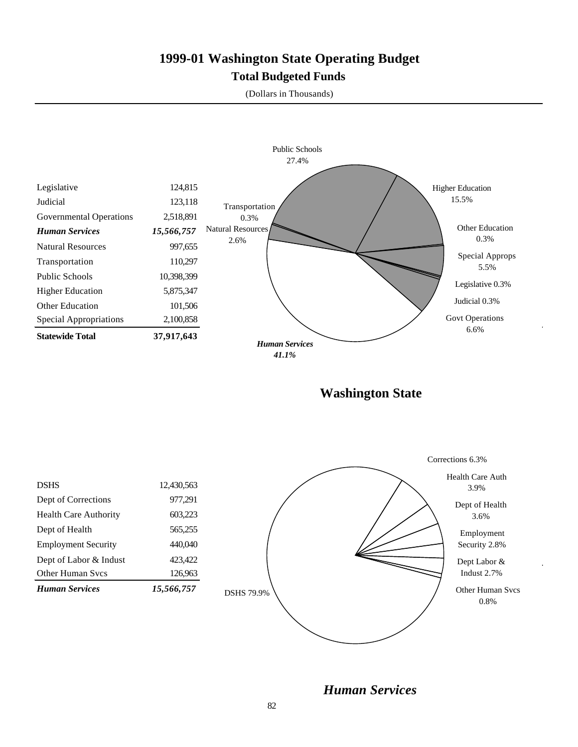## **1999-01 Washington State Operating Budget Total Budgeted Funds**

(Dollars in Thousands)



*Human Services*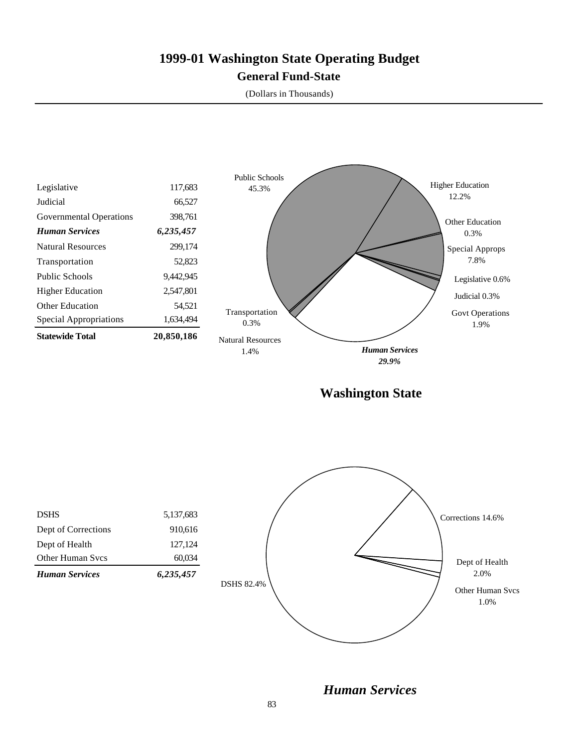## **1999-01 Washington State Operating Budget General Fund-State**

(Dollars in Thousands)



*Human Services*

83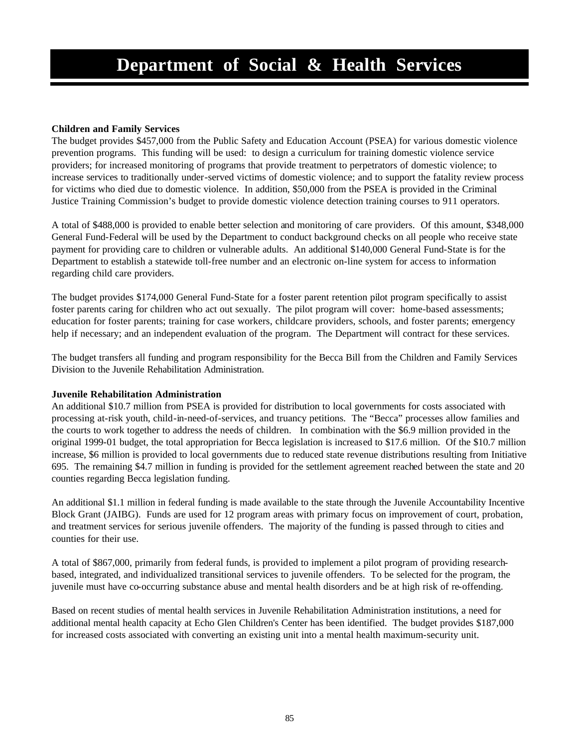### **Children and Family Services**

The budget provides \$457,000 from the Public Safety and Education Account (PSEA) for various domestic violence prevention programs. This funding will be used: to design a curriculum for training domestic violence service providers; for increased monitoring of programs that provide treatment to perpetrators of domestic violence; to increase services to traditionally under-served victims of domestic violence; and to support the fatality review process for victims who died due to domestic violence. In addition, \$50,000 from the PSEA is provided in the Criminal Justice Training Commission's budget to provide domestic violence detection training courses to 911 operators.

A total of \$488,000 is provided to enable better selection and monitoring of care providers. Of this amount, \$348,000 General Fund-Federal will be used by the Department to conduct background checks on all people who receive state payment for providing care to children or vulnerable adults. An additional \$140,000 General Fund-State is for the Department to establish a statewide toll-free number and an electronic on-line system for access to information regarding child care providers.

The budget provides \$174,000 General Fund-State for a foster parent retention pilot program specifically to assist foster parents caring for children who act out sexually. The pilot program will cover: home-based assessments; education for foster parents; training for case workers, childcare providers, schools, and foster parents; emergency help if necessary; and an independent evaluation of the program. The Department will contract for these services.

The budget transfers all funding and program responsibility for the Becca Bill from the Children and Family Services Division to the Juvenile Rehabilitation Administration.

### **Juvenile Rehabilitation Administration**

An additional \$10.7 million from PSEA is provided for distribution to local governments for costs associated with processing at-risk youth, child-in-need-of-services, and truancy petitions. The "Becca" processes allow families and the courts to work together to address the needs of children. In combination with the \$6.9 million provided in the original 1999-01 budget, the total appropriation for Becca legislation is increased to \$17.6 million. Of the \$10.7 million increase, \$6 million is provided to local governments due to reduced state revenue distributions resulting from Initiative 695. The remaining \$4.7 million in funding is provided for the settlement agreement reached between the state and 20 counties regarding Becca legislation funding.

An additional \$1.1 million in federal funding is made available to the state through the Juvenile Accountability Incentive Block Grant (JAIBG). Funds are used for 12 program areas with primary focus on improvement of court, probation, and treatment services for serious juvenile offenders. The majority of the funding is passed through to cities and counties for their use.

A total of \$867,000, primarily from federal funds, is provided to implement a pilot program of providing researchbased, integrated, and individualized transitional services to juvenile offenders. To be selected for the program, the juvenile must have co-occurring substance abuse and mental health disorders and be at high risk of re-offending.

Based on recent studies of mental health services in Juvenile Rehabilitation Administration institutions, a need for additional mental health capacity at Echo Glen Children's Center has been identified. The budget provides \$187,000 for increased costs associated with converting an existing unit into a mental health maximum-security unit.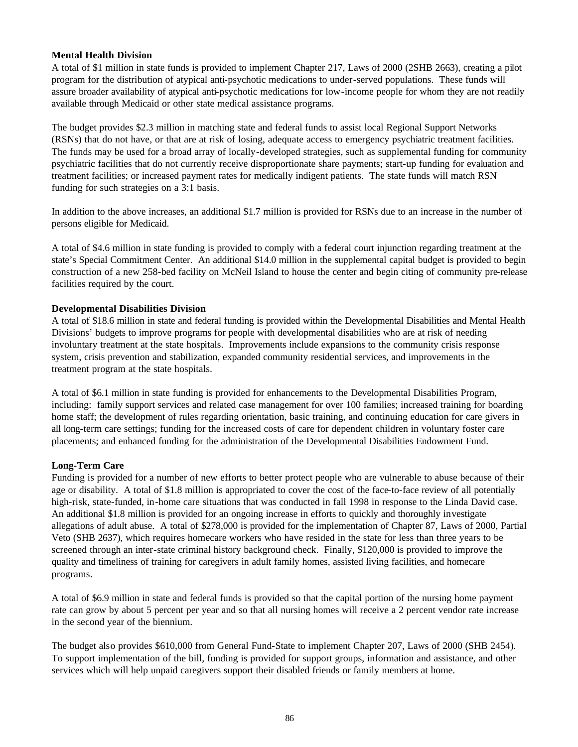### **Mental Health Division**

A total of \$1 million in state funds is provided to implement Chapter 217, Laws of 2000 (2SHB 2663), creating a pilot program for the distribution of atypical anti-psychotic medications to under-served populations. These funds will assure broader availability of atypical anti-psychotic medications for low-income people for whom they are not readily available through Medicaid or other state medical assistance programs.

The budget provides \$2.3 million in matching state and federal funds to assist local Regional Support Networks (RSNs) that do not have, or that are at risk of losing, adequate access to emergency psychiatric treatment facilities. The funds may be used for a broad array of locally-developed strategies, such as supplemental funding for community psychiatric facilities that do not currently receive disproportionate share payments; start-up funding for evaluation and treatment facilities; or increased payment rates for medically indigent patients. The state funds will match RSN funding for such strategies on a 3:1 basis.

In addition to the above increases, an additional \$1.7 million is provided for RSNs due to an increase in the number of persons eligible for Medicaid.

A total of \$4.6 million in state funding is provided to comply with a federal court injunction regarding treatment at the state's Special Commitment Center. An additional \$14.0 million in the supplemental capital budget is provided to begin construction of a new 258-bed facility on McNeil Island to house the center and begin citing of community pre-release facilities required by the court.

### **Developmental Disabilities Division**

A total of \$18.6 million in state and federal funding is provided within the Developmental Disabilities and Mental Health Divisions' budgets to improve programs for people with developmental disabilities who are at risk of needing involuntary treatment at the state hospitals. Improvements include expansions to the community crisis response system, crisis prevention and stabilization, expanded community residential services, and improvements in the treatment program at the state hospitals.

A total of \$6.1 million in state funding is provided for enhancements to the Developmental Disabilities Program, including: family support services and related case management for over 100 families; increased training for boarding home staff; the development of rules regarding orientation, basic training, and continuing education for care givers in all long-term care settings; funding for the increased costs of care for dependent children in voluntary foster care placements; and enhanced funding for the administration of the Developmental Disabilities Endowment Fund.

### **Long-Term Care**

Funding is provided for a number of new efforts to better protect people who are vulnerable to abuse because of their age or disability. A total of \$1.8 million is appropriated to cover the cost of the face-to-face review of all potentially high-risk, state-funded, in-home care situations that was conducted in fall 1998 in response to the Linda David case. An additional \$1.8 million is provided for an ongoing increase in efforts to quickly and thoroughly investigate allegations of adult abuse. A total of \$278,000 is provided for the implementation of Chapter 87, Laws of 2000, Partial Veto (SHB 2637), which requires homecare workers who have resided in the state for less than three years to be screened through an inter-state criminal history background check. Finally, \$120,000 is provided to improve the quality and timeliness of training for caregivers in adult family homes, assisted living facilities, and homecare programs.

A total of \$6.9 million in state and federal funds is provided so that the capital portion of the nursing home payment rate can grow by about 5 percent per year and so that all nursing homes will receive a 2 percent vendor rate increase in the second year of the biennium.

The budget also provides \$610,000 from General Fund-State to implement Chapter 207, Laws of 2000 (SHB 2454). To support implementation of the bill, funding is provided for support groups, information and assistance, and other services which will help unpaid caregivers support their disabled friends or family members at home.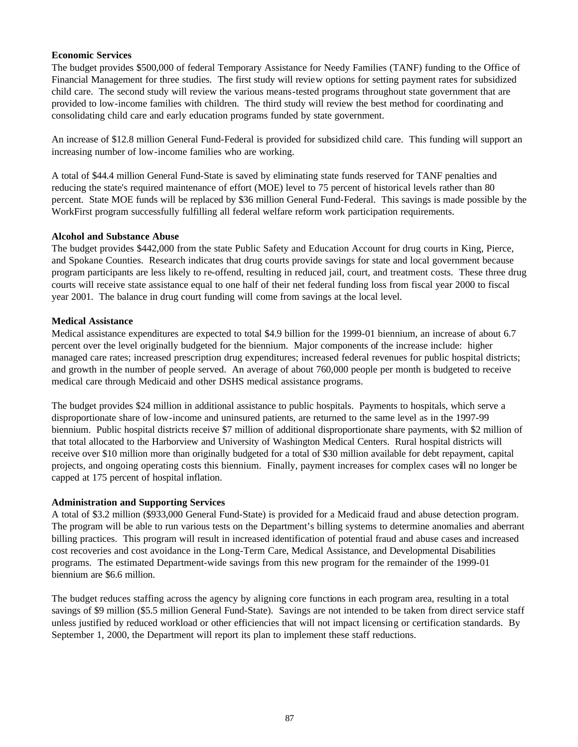### **Economic Services**

The budget provides \$500,000 of federal Temporary Assistance for Needy Families (TANF) funding to the Office of Financial Management for three studies. The first study will review options for setting payment rates for subsidized child care. The second study will review the various means-tested programs throughout state government that are provided to low-income families with children. The third study will review the best method for coordinating and consolidating child care and early education programs funded by state government.

An increase of \$12.8 million General Fund-Federal is provided for subsidized child care. This funding will support an increasing number of low-income families who are working.

A total of \$44.4 million General Fund-State is saved by eliminating state funds reserved for TANF penalties and reducing the state's required maintenance of effort (MOE) level to 75 percent of historical levels rather than 80 percent. State MOE funds will be replaced by \$36 million General Fund-Federal. This savings is made possible by the WorkFirst program successfully fulfilling all federal welfare reform work participation requirements.

### **Alcohol and Substance Abuse**

The budget provides \$442,000 from the state Public Safety and Education Account for drug courts in King, Pierce, and Spokane Counties. Research indicates that drug courts provide savings for state and local government because program participants are less likely to re-offend, resulting in reduced jail, court, and treatment costs. These three drug courts will receive state assistance equal to one half of their net federal funding loss from fiscal year 2000 to fiscal year 2001. The balance in drug court funding will come from savings at the local level.

### **Medical Assistance**

Medical assistance expenditures are expected to total \$4.9 billion for the 1999-01 biennium, an increase of about 6.7 percent over the level originally budgeted for the biennium. Major components of the increase include: higher managed care rates; increased prescription drug expenditures; increased federal revenues for public hospital districts; and growth in the number of people served. An average of about 760,000 people per month is budgeted to receive medical care through Medicaid and other DSHS medical assistance programs.

The budget provides \$24 million in additional assistance to public hospitals. Payments to hospitals, which serve a disproportionate share of low-income and uninsured patients, are returned to the same level as in the 1997-99 biennium. Public hospital districts receive \$7 million of additional disproportionate share payments, with \$2 million of that total allocated to the Harborview and University of Washington Medical Centers. Rural hospital districts will receive over \$10 million more than originally budgeted for a total of \$30 million available for debt repayment, capital projects, and ongoing operating costs this biennium. Finally, payment increases for complex cases will no longer be capped at 175 percent of hospital inflation.

### **Administration and Supporting Services**

A total of \$3.2 million (\$933,000 General Fund-State) is provided for a Medicaid fraud and abuse detection program. The program will be able to run various tests on the Department's billing systems to determine anomalies and aberrant billing practices. This program will result in increased identification of potential fraud and abuse cases and increased cost recoveries and cost avoidance in the Long-Term Care, Medical Assistance, and Developmental Disabilities programs. The estimated Department-wide savings from this new program for the remainder of the 1999-01 biennium are \$6.6 million.

The budget reduces staffing across the agency by aligning core functions in each program area, resulting in a total savings of \$9 million (\$5.5 million General Fund-State). Savings are not intended to be taken from direct service staff unless justified by reduced workload or other efficiencies that will not impact licensing or certification standards. By September 1, 2000, the Department will report its plan to implement these staff reductions.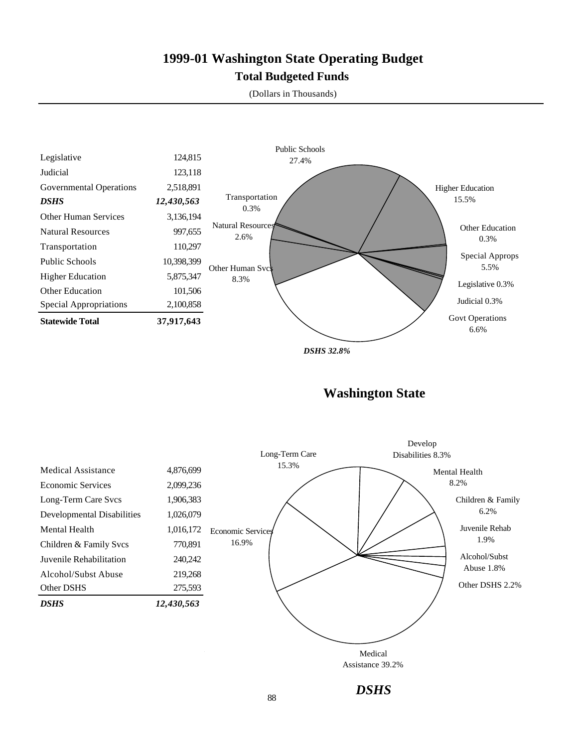## **1999-01 Washington State Operating Budget Total Budgeted Funds**

(Dollars in Thousands)



*DSHS 32.8%*

**Washington State**

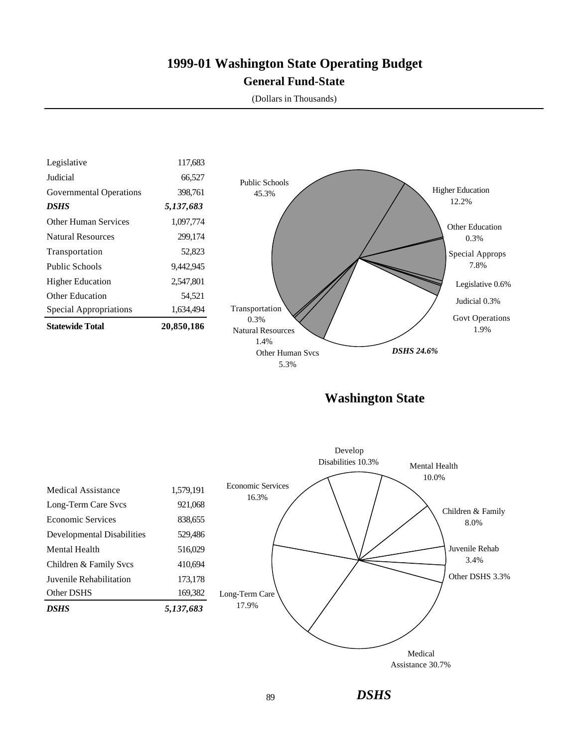## **1999-01 Washington State Operating Budget General Fund-State**

(Dollars in Thousands)



**Washington State**

*DSHS*

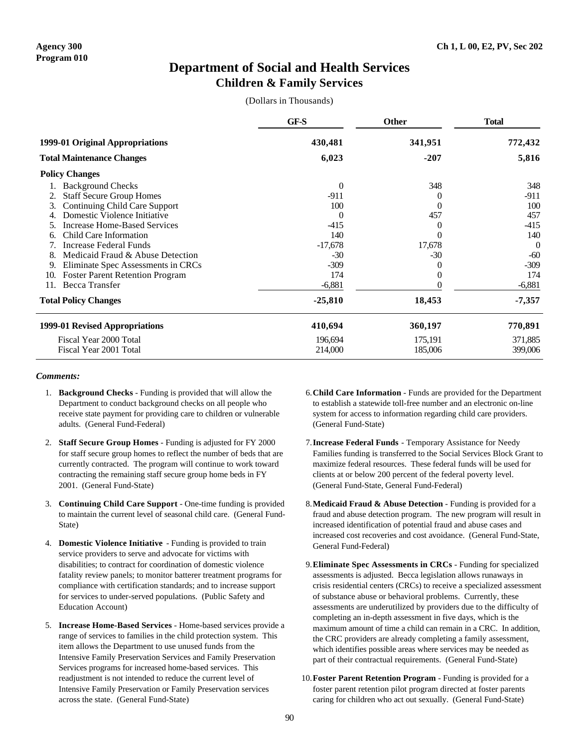## **Department of Social and Health Services Children & Family Services**

(Dollars in Thousands)

|                                               | GF-S           | <b>Other</b>  | <b>Total</b> |  |
|-----------------------------------------------|----------------|---------------|--------------|--|
| 1999-01 Original Appropriations               | 430,481        | 341,951       | 772,432      |  |
| <b>Total Maintenance Changes</b>              | 6,023          | $-207$        | 5,816        |  |
| <b>Policy Changes</b>                         |                |               |              |  |
| <b>Background Checks</b>                      | $\overline{0}$ | 348           | 348          |  |
| <b>Staff Secure Group Homes</b>               | $-911$         | $\mathcal{L}$ | $-911$       |  |
| 3.<br><b>Continuing Child Care Support</b>    | 100            | $_{0}$        | 100          |  |
| Domestic Violence Initiative                  | $\Omega$       | 457           | 457          |  |
| Increase Home-Based Services                  | $-415$         | $\theta$      | -415         |  |
| Child Care Information<br>6.                  | 140            | 0             | 140          |  |
| Increase Federal Funds                        | $-17,678$      | 17,678        | $\Omega$     |  |
| Medicaid Fraud & Abuse Detection<br>8.        | $-30$          | $-30$         | $-60$        |  |
| Eliminate Spec Assessments in CRCs<br>9.      | $-309$         | $_{0}$        | $-309$       |  |
| <b>Foster Parent Retention Program</b><br>10. | 174            | 0             | 174          |  |
| Becca Transfer<br>11.                         | $-6,881$       | 0             | $-6,881$     |  |
| <b>Total Policy Changes</b>                   | $-25,810$      | 18,453        | $-7,357$     |  |
| 1999-01 Revised Appropriations                | 410,694        | 360,197       | 770,891      |  |
| Fiscal Year 2000 Total                        | 196,694        | 175,191       | 371,885      |  |
| Fiscal Year 2001 Total                        | 214,000        | 185,006       | 399,006      |  |

- 1. **Background Checks** Funding is provided that will allow the Department to conduct background checks on all people who receive state payment for providing care to children or vulnerable adults. (General Fund-Federal)
- 2. **Staff Secure Group Homes** Funding is adjusted for FY 2000 for staff secure group homes to reflect the number of beds that are currently contracted. The program will continue to work toward contracting the remaining staff secure group home beds in FY 2001. (General Fund-State)
- 3. **Continuing Child Care Support** One-time funding is provided to maintain the current level of seasonal child care. (General Fund-State)
- 4. **Domestic Violence Initiative** Funding is provided to train service providers to serve and advocate for victims with disabilities; to contract for coordination of domestic violence fatality review panels; to monitor batterer treatment programs for compliance with certification standards; and to increase support for services to under-served populations. (Public Safety and Education Account)
- 5. **Increase Home-Based Services** Home-based services provide a range of services to families in the child protection system. This item allows the Department to use unused funds from the Intensive Family Preservation Services and Family Preservation Services programs for increased home-based services. This readjustment is not intended to reduce the current level of Intensive Family Preservation or Family Preservation services across the state. (General Fund-State)
- 6.**Child Care Information** Funds are provided for the Department to establish a statewide toll-free number and an electronic on-line system for access to information regarding child care providers. (General Fund-State)
- 7.**Increase Federal Funds** Temporary Assistance for Needy Families funding is transferred to the Social Services Block Grant to maximize federal resources. These federal funds will be used for clients at or below 200 percent of the federal poverty level. (General Fund-State, General Fund-Federal)
- 8.**Medicaid Fraud & Abuse Detection** Funding is provided for a fraud and abuse detection program. The new program will result in increased identification of potential fraud and abuse cases and increased cost recoveries and cost avoidance. (General Fund-State, General Fund-Federal)
- 9.**Eliminate Spec Assessments in CRCs** Funding for specialized assessments is adjusted. Becca legislation allows runaways in crisis residential centers (CRCs) to receive a specialized assessment of substance abuse or behavioral problems. Currently, these assessments are underutilized by providers due to the difficulty of completing an in-depth assessment in five days, which is the maximum amount of time a child can remain in a CRC. In addition, the CRC providers are already completing a family assessment, which identifies possible areas where services may be needed as part of their contractual requirements. (General Fund-State)
- 10.**Foster Parent Retention Program** Funding is provided for a foster parent retention pilot program directed at foster parents caring for children who act out sexually. (General Fund-State)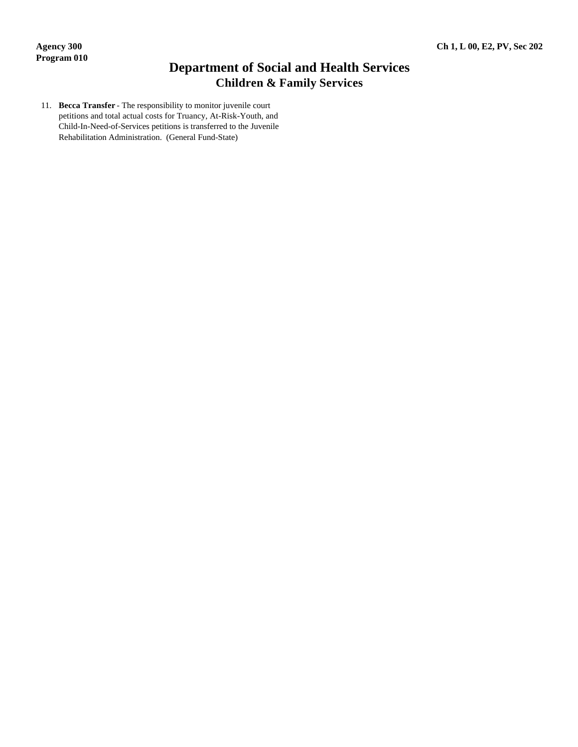## **Department of Social and Health Services Children & Family Services**

11. **Becca Transfer** - The responsibility to monitor juvenile court petitions and total actual costs for Truancy, At-Risk-Youth, and Child-In-Need-of-Services petitions is transferred to the Juvenile Rehabilitation Administration. (General Fund-State)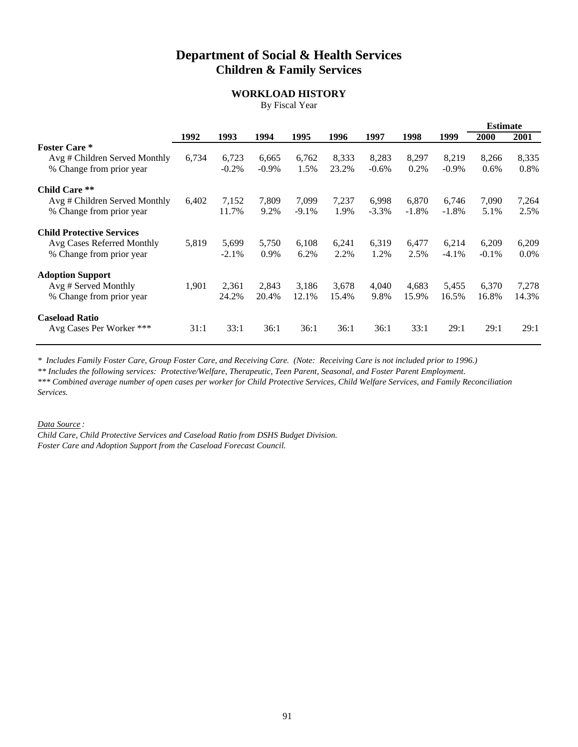## **Department of Social & Health Services Children & Family Services**

### **WORKLOAD HISTORY**

By Fiscal Year

|                                  |       |         |          |          |       | <b>Estimate</b> |         |          |         |         |
|----------------------------------|-------|---------|----------|----------|-------|-----------------|---------|----------|---------|---------|
|                                  | 1992  | 1993    | 1994     | 1995     | 1996  | 1997            | 1998    | 1999     | 2000    | 2001    |
| <b>Foster Care</b> *             |       |         |          |          |       |                 |         |          |         |         |
| Avg # Children Served Monthly    | 6,734 | 6,723   | 6,665    | 6,762    | 8,333 | 8,283           | 8,297   | 8,219    | 8,266   | 8,335   |
| % Change from prior year         |       | $-0.2%$ | $-0.9\%$ | 1.5%     | 23.2% | $-0.6%$         | 0.2%    | $-0.9\%$ | 0.6%    | 0.8%    |
| <b>Child Care **</b>             |       |         |          |          |       |                 |         |          |         |         |
| Avg # Children Served Monthly    | 6,402 | 7,152   | 7,809    | 7,099    | 7,237 | 6,998           | 6,870   | 6,746    | 7,090   | 7,264   |
| % Change from prior year         |       | 11.7%   | 9.2%     | $-9.1\%$ | 1.9%  | $-3.3\%$        | $-1.8%$ | $-1.8%$  | 5.1%    | 2.5%    |
| <b>Child Protective Services</b> |       |         |          |          |       |                 |         |          |         |         |
| Avg Cases Referred Monthly       | 5,819 | 5,699   | 5,750    | 6,108    | 6,241 | 6,319           | 6,477   | 6,214    | 6,209   | 6,209   |
| % Change from prior year         |       | $-2.1%$ | 0.9%     | 6.2%     | 2.2%  | 1.2%            | 2.5%    | $-4.1\%$ | $-0.1%$ | $0.0\%$ |
| <b>Adoption Support</b>          |       |         |          |          |       |                 |         |          |         |         |
| Avg # Served Monthly             | 1,901 | 2,361   | 2.843    | 3,186    | 3,678 | 4,040           | 4,683   | 5,455    | 6,370   | 7,278   |
| % Change from prior year         |       | 24.2%   | 20.4%    | 12.1%    | 15.4% | 9.8%            | 15.9%   | 16.5%    | 16.8%   | 14.3%   |
| <b>Caseload Ratio</b>            |       |         |          |          |       |                 |         |          |         |         |
| Avg Cases Per Worker ***         | 31:1  | 33:1    | 36:1     | 36:1     | 36:1  | 36:1            | 33:1    | 29:1     | 29:1    | 29:1    |

*\* Includes Family Foster Care, Group Foster Care, and Receiving Care. (Note: Receiving Care is not included prior to 1996.)*

*\*\* Includes the following services: Protective/Welfare, Therapeutic, Teen Parent, Seasonal, and Foster Parent Employment.*

*\*\*\* Combined average number of open cases per worker for Child Protective Services, Child Welfare Services, and Family Reconciliation Services.*

*Data Source :*

*Child Care, Child Protective Services and Caseload Ratio from DSHS Budget Division. Foster Care and Adoption Support from the Caseload Forecast Council.*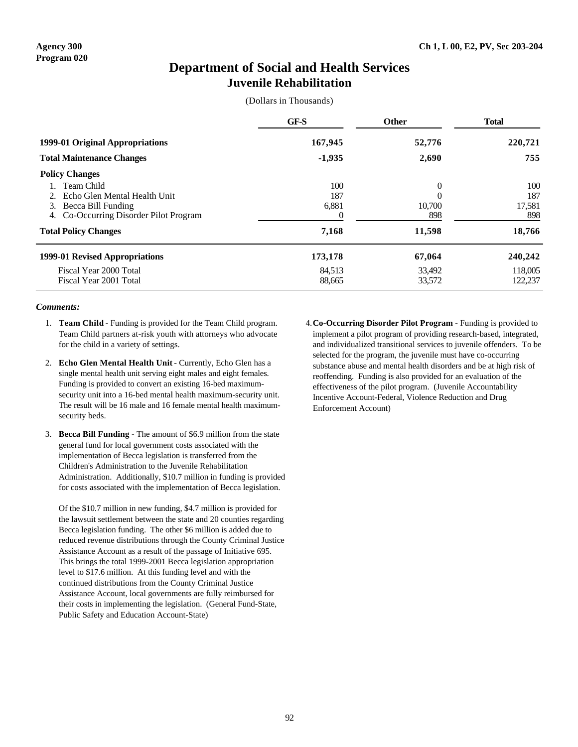### **Department of Social and Health Services Juvenile Rehabilitation**

(Dollars in Thousands)

|                                                                                                                     | GF-S                     | <b>Other</b>            | <b>Total</b>                |
|---------------------------------------------------------------------------------------------------------------------|--------------------------|-------------------------|-----------------------------|
| 1999-01 Original Appropriations                                                                                     | 167,945                  | 52,776                  | 220,721                     |
| <b>Total Maintenance Changes</b>                                                                                    | $-1,935$                 | 2,690                   | 755                         |
| <b>Policy Changes</b>                                                                                               |                          |                         |                             |
| Team Child<br>Echo Glen Mental Health Unit<br>Becca Bill Funding<br>3.<br>Co-Occurring Disorder Pilot Program<br>4. | 100<br>187<br>6,881<br>0 | 0<br>0<br>10.700<br>898 | 100<br>187<br>17,581<br>898 |
| <b>Total Policy Changes</b>                                                                                         | 7,168                    | 11,598                  | 18,766                      |
| 1999-01 Revised Appropriations                                                                                      | 173,178                  | 67,064                  | 240,242                     |
| Fiscal Year 2000 Total<br>Fiscal Year 2001 Total                                                                    | 84,513<br>88,665         | 33,492<br>33,572        | 118,005<br>122,237          |

#### *Comments:*

- 1. **Team Child** Funding is provided for the Team Child program. Team Child partners at-risk youth with attorneys who advocate for the child in a variety of settings.
- 2. **Echo Glen Mental Health Unit** Currently, Echo Glen has a single mental health unit serving eight males and eight females. Funding is provided to convert an existing 16-bed maximumsecurity unit into a 16-bed mental health maximum-security unit. The result will be 16 male and 16 female mental health maximumsecurity beds.
- 3. **Becca Bill Funding** The amount of \$6.9 million from the state general fund for local government costs associated with the implementation of Becca legislation is transferred from the Children's Administration to the Juvenile Rehabilitation Administration. Additionally, \$10.7 million in funding is provided for costs associated with the implementation of Becca legislation.

Of the \$10.7 million in new funding, \$4.7 million is provided for the lawsuit settlement between the state and 20 counties regarding Becca legislation funding. The other \$6 million is added due to reduced revenue distributions through the County Criminal Justice Assistance Account as a result of the passage of Initiative 695. This brings the total 1999-2001 Becca legislation appropriation level to \$17.6 million. At this funding level and with the continued distributions from the County Criminal Justice Assistance Account, local governments are fully reimbursed for their costs in implementing the legislation. (General Fund-State, Public Safety and Education Account-State)

4.**Co-Occurring Disorder Pilot Program** - Funding is provided to implement a pilot program of providing research-based, integrated, and individualized transitional services to juvenile offenders. To be selected for the program, the juvenile must have co-occurring substance abuse and mental health disorders and be at high risk of reoffending. Funding is also provided for an evaluation of the effectiveness of the pilot program. (Juvenile Accountability Incentive Account-Federal, Violence Reduction and Drug Enforcement Account)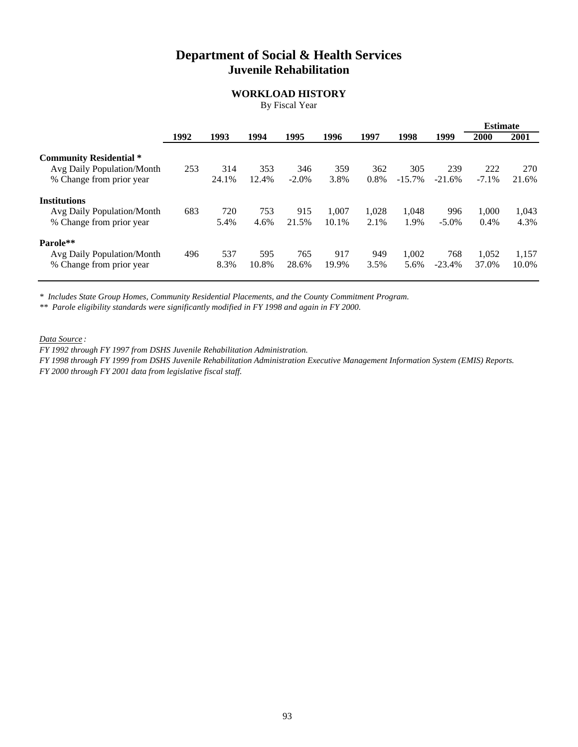## **Department of Social & Health Services Juvenile Rehabilitation**

### **WORKLOAD HISTORY**

By Fiscal Year

|                                |      |       |       |          |       |       |          |          | <b>Estimate</b> |       |
|--------------------------------|------|-------|-------|----------|-------|-------|----------|----------|-----------------|-------|
|                                | 1992 | 1993  | 1994  | 1995     | 1996  | 1997  | 1998     | 1999     | 2000            | 2001  |
| <b>Community Residential *</b> |      |       |       |          |       |       |          |          |                 |       |
| Avg Daily Population/Month     | 253  | 314   | 353   | 346      | 359   | 362   | 305      | 239      | 222             | 270   |
| % Change from prior year       |      | 24.1% | 12.4% | $-2.0\%$ | 3.8%  | 0.8%  | $-15.7%$ | $-21.6%$ | $-7.1\%$        | 21.6% |
| <b>Institutions</b>            |      |       |       |          |       |       |          |          |                 |       |
| Avg Daily Population/Month     | 683  | 720   | 753   | 915      | 1.007 | 1.028 | 1.048    | 996      | 1,000           | 1,043 |
| % Change from prior year       |      | 5.4%  | 4.6%  | 21.5%    | 10.1% | 2.1%  | 1.9%     | $-5.0\%$ | 0.4%            | 4.3%  |
| Parole**                       |      |       |       |          |       |       |          |          |                 |       |
| Avg Daily Population/Month     | 496  | 537   | 595   | 765      | 917   | 949   | 1.002    | 768      | 1,052           | 1,157 |
| % Change from prior year       |      | 8.3%  | 10.8% | 28.6%    | 19.9% | 3.5%  | 5.6%     | $-23.4%$ | 37.0%           | 10.0% |

*\* Includes State Group Homes, Community Residential Placements, and the County Commitment Program.*

*\*\* Parole eligibility standards were significantly modified in FY 1998 and again in FY 2000.*

*Data Source :*

*FY 1992 through FY 1997 from DSHS Juvenile Rehabilitation Administration.*

*FY 1998 through FY 1999 from DSHS Juvenile Rehabilitation Administration Executive Management Information System (EMIS) Reports.*

*FY 2000 through FY 2001 data from legislative fiscal staff.*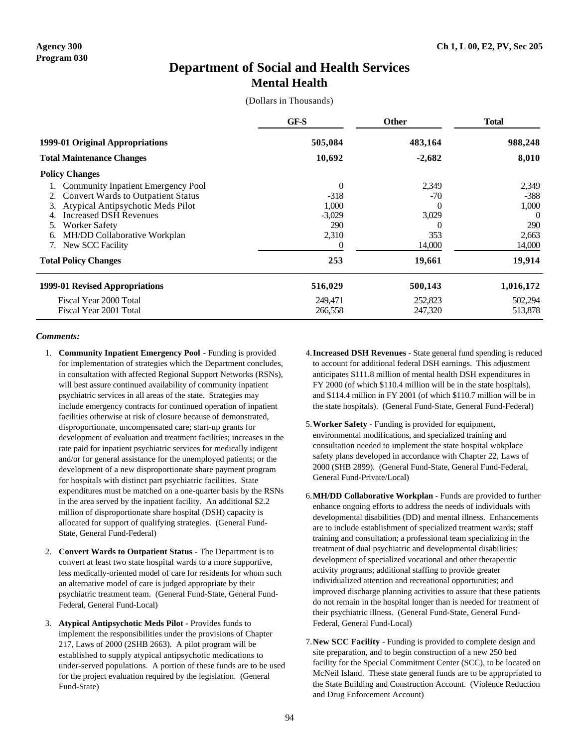## **Department of Social and Health Services Mental Health**

(Dollars in Thousands)

|                                                                                                                                                                                                                                       | GF-S                                                          | <b>Other</b>                                         | <b>Total</b>                                         |
|---------------------------------------------------------------------------------------------------------------------------------------------------------------------------------------------------------------------------------------|---------------------------------------------------------------|------------------------------------------------------|------------------------------------------------------|
| 1999-01 Original Appropriations                                                                                                                                                                                                       | 505,084                                                       | 483,164                                              | 988,248                                              |
| <b>Total Maintenance Changes</b>                                                                                                                                                                                                      | 10,692                                                        | $-2,682$                                             | 8,010                                                |
| <b>Policy Changes</b>                                                                                                                                                                                                                 |                                                               |                                                      |                                                      |
| <b>Community Inpatient Emergency Pool</b><br><b>Convert Wards to Outpatient Status</b><br>2.<br>Atypical Antipsychotic Meds Pilot<br>3.<br><b>Increased DSH Revenues</b><br>Worker Safety<br>5.<br>MH/DD Collaborative Workplan<br>6. | $\overline{0}$<br>$-318$<br>1,000<br>$-3,029$<br>290<br>2,310 | 2,349<br>$-70$<br>0<br>3,029<br>$\mathcal{L}$<br>353 | 2,349<br>$-388$<br>1,000<br>$\Omega$<br>290<br>2,663 |
| New SCC Facility                                                                                                                                                                                                                      | $\theta$                                                      | 14,000                                               | 14,000                                               |
| <b>Total Policy Changes</b>                                                                                                                                                                                                           | 253                                                           | 19,661                                               | 19,914                                               |
| 1999-01 Revised Appropriations                                                                                                                                                                                                        | 516,029                                                       | 500,143                                              | 1,016,172                                            |
| Fiscal Year 2000 Total<br>Fiscal Year 2001 Total                                                                                                                                                                                      | 249,471<br>266,558                                            | 252,823<br>247,320                                   | 502,294<br>513,878                                   |

- 1. **Community Inpatient Emergency Pool** Funding is provided for implementation of strategies which the Department concludes, in consultation with affected Regional Support Networks (RSNs), will best assure continued availability of community inpatient psychiatric services in all areas of the state. Strategies may include emergency contracts for continued operation of inpatient facilities otherwise at risk of closure because of demonstrated, disproportionate, uncompensated care; start-up grants for development of evaluation and treatment facilities; increases in the rate paid for inpatient psychiatric services for medically indigent and/or for general assistance for the unemployed patients; or the development of a new disproportionate share payment program for hospitals with distinct part psychiatric facilities. State expenditures must be matched on a one-quarter basis by the RSNs in the area served by the inpatient facility. An additional \$2.2 million of disproportionate share hospital (DSH) capacity is allocated for support of qualifying strategies. (General Fund-State, General Fund-Federal)
- 2. **Convert Wards to Outpatient Status** The Department is to convert at least two state hospital wards to a more supportive, less medically-oriented model of care for residents for whom such an alternative model of care is judged appropriate by their psychiatric treatment team. (General Fund-State, General Fund-Federal, General Fund-Local)
- 3. **Atypical Antipsychotic Meds Pilot** Provides funds to implement the responsibilities under the provisions of Chapter 217, Laws of 2000 (2SHB 2663). A pilot program will be established to supply atypical antipsychotic medications to under-served populations. A portion of these funds are to be used for the project evaluation required by the legislation. (General Fund-State)
- 4.**Increased DSH Revenues** State general fund spending is reduced to account for additional federal DSH earnings. This adjustment anticipates \$111.8 million of mental health DSH expenditures in FY 2000 (of which \$110.4 million will be in the state hospitals), and \$114.4 million in FY 2001 (of which \$110.7 million will be in the state hospitals). (General Fund-State, General Fund-Federal)
- 5.**Worker Safety** Funding is provided for equipment, environmental modifications, and specialized training and consultation needed to implement the state hospital wokplace safety plans developed in accordance with Chapter 22, Laws of 2000 (SHB 2899). (General Fund-State, General Fund-Federal, General Fund-Private/Local)
- 6.**MH/DD Collaborative Workplan** Funds are provided to further enhance ongoing efforts to address the needs of individuals with developmental disabilities (DD) and mental illness. Enhancements are to include establishment of specialized treatment wards; staff training and consultation; a professional team specializing in the treatment of dual psychiatric and developmental disabilities; development of specialized vocational and other therapeutic activity programs; additional staffing to provide greater individualized attention and recreational opportunities; and improved discharge planning activities to assure that these patients do not remain in the hospital longer than is needed for treatment of their psychiatric illness. (General Fund-State, General Fund-Federal, General Fund-Local)
- 7.**New SCC Facility** Funding is provided to complete design and site preparation, and to begin construction of a new 250 bed facility for the Special Commitment Center (SCC), to be located on McNeil Island. These state general funds are to be appropriated to the State Building and Construction Account. (Violence Reduction and Drug Enforcement Account)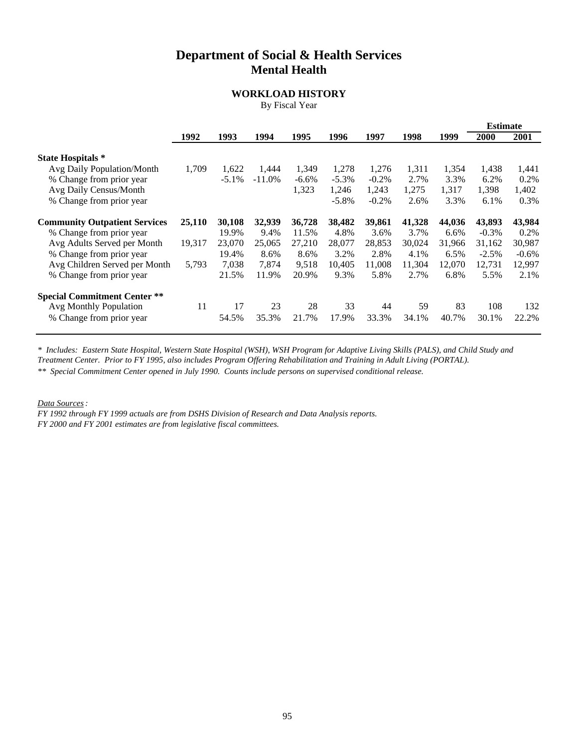## **Department of Social & Health Services Mental Health**

### **WORKLOAD HISTORY**

By Fiscal Year

|                                                                                           |        |                 |                |                  |                    |                   |                |                | <b>Estimate</b>    |                    |
|-------------------------------------------------------------------------------------------|--------|-----------------|----------------|------------------|--------------------|-------------------|----------------|----------------|--------------------|--------------------|
|                                                                                           | 1992   | 1993            | 1994           | 1995             | 1996               | 1997              | 1998           | 1999           | 2000               | 2001               |
| <b>State Hospitals</b> *<br>Avg Daily Population/Month                                    | 1,709  | 1,622           | 1,444          | 1,349            | 1,278              | 1,276             | 1,311          | 1,354          | 1,438              | 1,441              |
| % Change from prior year<br>Avg Daily Census/Month                                        |        | $-5.1\%$        | $-11.0\%$      | $-6.6%$<br>1,323 | $-5.3\%$<br>1,246  | $-0.2\%$<br>1,243 | 2.7%<br>1.275  | 3.3%<br>1,317  | 6.2%<br>1,398      | 0.2%<br>1,402      |
| % Change from prior year<br><b>Community Outpatient Services</b>                          | 25,110 | 30,108          | 32,939         | 36,728           | $-5.8\%$<br>38,482 | $-0.2%$<br>39,861 | 2.6%<br>41,328 | 3.3%<br>44,036 | 6.1%<br>43,893     | 0.3%<br>43,984     |
| % Change from prior year<br>Avg Adults Served per Month                                   | 19,317 | 19.9%<br>23,070 | 9.4%<br>25,065 | 11.5%<br>27,210  | 4.8%<br>28,077     | 3.6%<br>28,853    | 3.7%<br>30,024 | 6.6%<br>31,966 | $-0.3\%$<br>31,162 | $0.2\%$<br>30,987  |
| % Change from prior year<br>Avg Children Served per Month                                 | 5,793  | 19.4%<br>7,038  | 8.6%<br>7,874  | 8.6%<br>9,518    | 3.2%<br>10,405     | 2.8%<br>11,008    | 4.1%<br>11,304 | 6.5%<br>12,070 | $-2.5%$<br>12,731  | $-0.6\%$<br>12,997 |
| % Change from prior year                                                                  |        | 21.5%           | 11.9%          | 20.9%            | 9.3%               | 5.8%              | 2.7%           | 6.8%           | 5.5%               | 2.1%               |
| <b>Special Commitment Center **</b><br>Avg Monthly Population<br>% Change from prior year | 11     | 17<br>54.5%     | 23<br>35.3%    | 28<br>21.7%      | 33<br>17.9%        | 44<br>33.3%       | 59<br>34.1%    | 83<br>40.7%    | 108<br>30.1%       | 132<br>22.2%       |
|                                                                                           |        |                 |                |                  |                    |                   |                |                |                    |                    |

*\* Includes: Eastern State Hospital, Western State Hospital (WSH), WSH Program for Adaptive Living Skills (PALS), and Child Study and*

*Treatment Center. Prior to FY 1995, also includes Program Offering Rehabilitation and Training in Adult Living (PORTAL).*

*\*\* Special Commitment Center opened in July 1990. Counts include persons on supervised conditional release.*

*Data Sources:*

*FY 1992 through FY 1999 actuals are from DSHS Division of Research and Data Analysis reports. FY 2000 and FY 2001 estimates are from legislative fiscal committees.*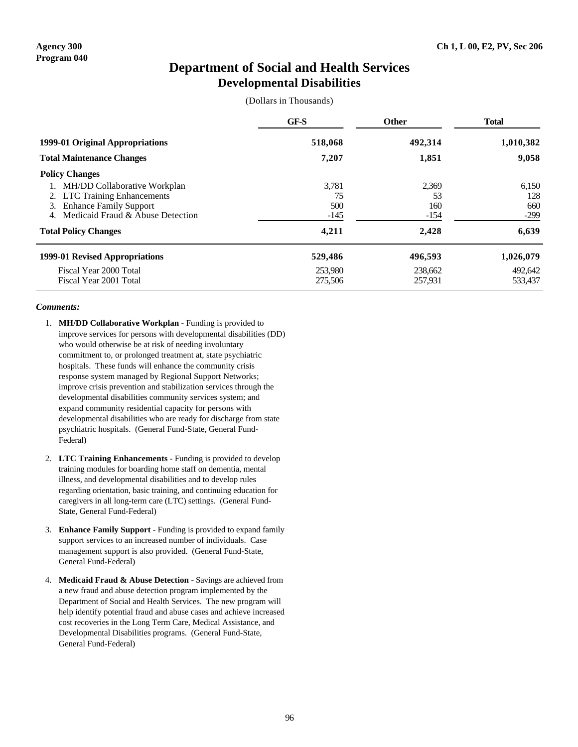## **Department of Social and Health Services Developmental Disabilities**

(Dollars in Thousands)

|                                                                                                                                             | <b>GF-S</b>                  | <b>Other</b>                 | <b>Total</b>                  |
|---------------------------------------------------------------------------------------------------------------------------------------------|------------------------------|------------------------------|-------------------------------|
| 1999-01 Original Appropriations                                                                                                             | 518,068                      | 492,314                      | 1,010,382                     |
| <b>Total Maintenance Changes</b>                                                                                                            | 7,207                        | 1,851                        | 9,058                         |
| <b>Policy Changes</b>                                                                                                                       |                              |                              |                               |
| MH/DD Collaborative Workplan<br><b>LTC Training Enhancements</b><br><b>Enhance Family Support</b><br>3.<br>Medicaid Fraud & Abuse Detection | 3,781<br>75<br>500<br>$-145$ | 2,369<br>53<br>160<br>$-154$ | 6,150<br>128<br>660<br>$-299$ |
| <b>Total Policy Changes</b>                                                                                                                 | 4,211                        | 2,428                        | 6,639                         |
| 1999-01 Revised Appropriations                                                                                                              | 529,486                      | 496,593                      | 1,026,079                     |
| Fiscal Year 2000 Total<br>Fiscal Year 2001 Total                                                                                            | 253,980<br>275,506           | 238,662<br>257,931           | 492,642<br>533,437            |

- 1. **MH/DD Collaborative Workplan** Funding is provided to improve services for persons with developmental disabilities (DD) who would otherwise be at risk of needing involuntary commitment to, or prolonged treatment at, state psychiatric hospitals. These funds will enhance the community crisis response system managed by Regional Support Networks; improve crisis prevention and stabilization services through the developmental disabilities community services system; and expand community residential capacity for persons with developmental disabilities who are ready for discharge from state psychiatric hospitals. (General Fund-State, General Fund-Federal)
- 2. **LTC Training Enhancements** Funding is provided to develop training modules for boarding home staff on dementia, mental illness, and developmental disabilities and to develop rules regarding orientation, basic training, and continuing education for caregivers in all long-term care (LTC) settings. (General Fund-State, General Fund-Federal)
- 3. **Enhance Family Support** Funding is provided to expand family support services to an increased number of individuals. Case management support is also provided. (General Fund-State, General Fund-Federal)
- 4. **Medicaid Fraud & Abuse Detection** Savings are achieved from a new fraud and abuse detection program implemented by the Department of Social and Health Services. The new program will help identify potential fraud and abuse cases and achieve increased cost recoveries in the Long Term Care, Medical Assistance, and Developmental Disabilities programs. (General Fund-State, General Fund-Federal)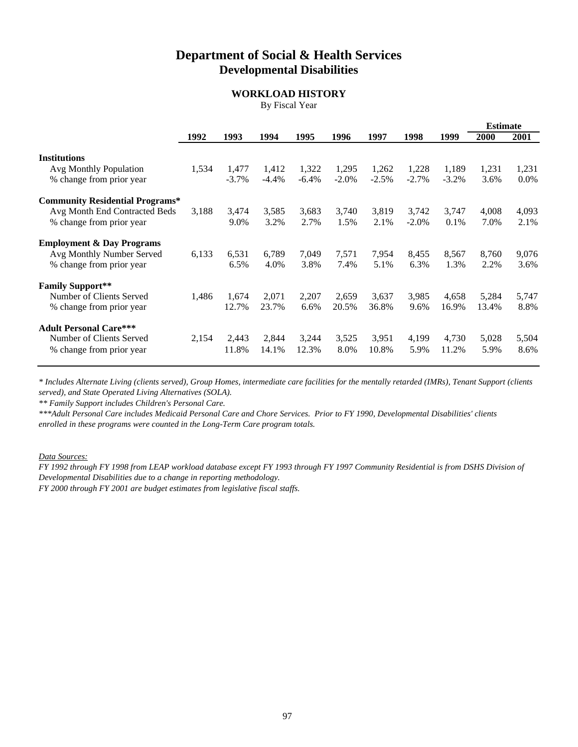## **Department of Social & Health Services Developmental Disabilities**

### **WORKLOAD HISTORY**

By Fiscal Year

|                                                           |       |                   |                  |                  |                   |                  |                   |                   | <b>Estimate</b> |               |
|-----------------------------------------------------------|-------|-------------------|------------------|------------------|-------------------|------------------|-------------------|-------------------|-----------------|---------------|
|                                                           | 1992  | 1993              | 1994             | 1995             | 1996              | 1997             | 1998              | 1999              | 2000            | 2001          |
| <b>Institutions</b>                                       |       |                   |                  |                  |                   |                  |                   |                   |                 |               |
| Avg Monthly Population<br>% change from prior year        | 1,534 | 1,477<br>$-3.7\%$ | 1,412<br>$-4.4%$ | 1,322<br>$-6.4%$ | 1,295<br>$-2.0\%$ | 1,262<br>$-2.5%$ | 1,228<br>$-2.7%$  | 1,189<br>$-3.2\%$ | 1,231<br>3.6%   | 1,231<br>0.0% |
| <b>Community Residential Programs*</b>                    |       |                   |                  |                  |                   |                  |                   |                   |                 |               |
| Avg Month End Contracted Beds<br>% change from prior year | 3,188 | 3,474<br>9.0%     | 3,585<br>3.2%    | 3,683<br>2.7%    | 3,740<br>1.5%     | 3,819<br>2.1%    | 3,742<br>$-2.0\%$ | 3,747<br>0.1%     | 4,008<br>7.0%   | 4,093<br>2.1% |
| <b>Employment &amp; Day Programs</b>                      |       |                   |                  |                  |                   |                  |                   |                   |                 |               |
| Avg Monthly Number Served<br>% change from prior year     | 6,133 | 6,531<br>6.5%     | 6,789<br>4.0%    | 7,049<br>3.8%    | 7,571<br>7.4%     | 7,954<br>5.1%    | 8,455<br>6.3%     | 8,567<br>1.3%     | 8,760<br>2.2%   | 9,076<br>3.6% |
| <b>Family Support**</b>                                   |       |                   |                  |                  |                   |                  |                   |                   |                 |               |
| Number of Clients Served<br>% change from prior year      | 1,486 | 1,674<br>12.7%    | 2,071<br>23.7%   | 2,207<br>6.6%    | 2,659<br>20.5%    | 3,637<br>36.8%   | 3,985<br>9.6%     | 4,658<br>16.9%    | 5,284<br>13.4%  | 5,747<br>8.8% |
| <b>Adult Personal Care***</b><br>Number of Clients Served | 2,154 | 2,443             | 2,844            | 3,244            | 3,525             | 3,951            | 4,199             | 4,730             | 5,028           | 5,504         |
| % change from prior year                                  |       | 11.8%             | 14.1%            | 12.3%            | 8.0%              | 10.8%            | 5.9%              | 11.2%             | 5.9%            | 8.6%          |

*\* Includes Alternate Living (clients served), Group Homes, intermediate care facilities for the mentally retarded (IMRs), Tenant Support (clients served), and State Operated Living Alternatives (SOLA).*

*\*\* Family Support includes Children's Personal Care.*

*\*\*\*Adult Personal Care includes Medicaid Personal Care and Chore Services. Prior to FY 1990, Developmental Disabilities' clients enrolled in these programs were counted in the Long-Term Care program totals.* 

*Data Sources:*

*FY 1992 through FY 1998 from LEAP workload database except FY 1993 through FY 1997 Community Residential is from DSHS Division of Developmental Disabilities due to a change in reporting methodology.* 

*FY 2000 through FY 2001 are budget estimates from legislative fiscal staffs.*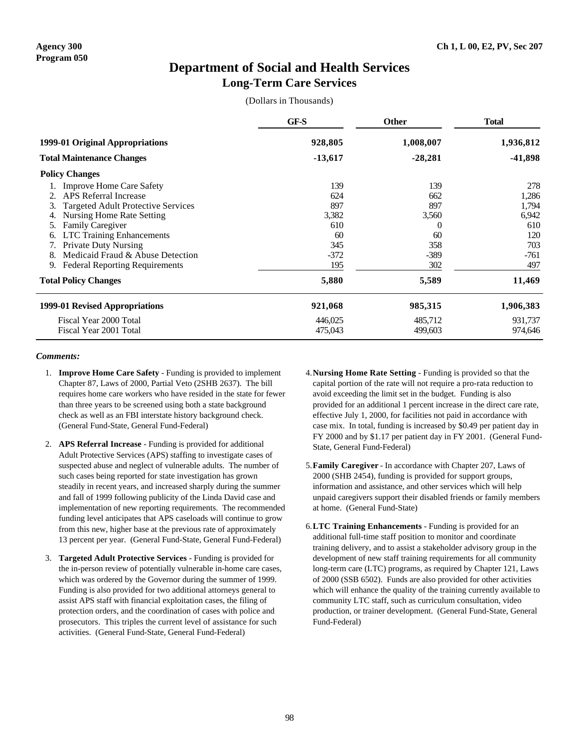## **Department of Social and Health Services Long-Term Care Services**

(Dollars in Thousands)

|                                                                                                                                                                                                                                                                                                                                              | GF-S                                                            | <b>Other</b>                                                         | <b>Total</b>                                                         |  |
|----------------------------------------------------------------------------------------------------------------------------------------------------------------------------------------------------------------------------------------------------------------------------------------------------------------------------------------------|-----------------------------------------------------------------|----------------------------------------------------------------------|----------------------------------------------------------------------|--|
| 1999-01 Original Appropriations                                                                                                                                                                                                                                                                                                              | 928,805                                                         | 1,008,007                                                            | 1,936,812                                                            |  |
| <b>Total Maintenance Changes</b>                                                                                                                                                                                                                                                                                                             | $-13,617$                                                       | $-28,281$                                                            | -41,898                                                              |  |
| <b>Policy Changes</b>                                                                                                                                                                                                                                                                                                                        |                                                                 |                                                                      |                                                                      |  |
| <b>Improve Home Care Safety</b><br><b>APS</b> Referral Increase<br><b>Targeted Adult Protective Services</b><br>Nursing Home Rate Setting<br><b>Family Caregiver</b><br>5.<br><b>LTC</b> Training Enhancements<br>6.<br><b>Private Duty Nursing</b><br>Medicaid Fraud & Abuse Detection<br>8.<br><b>Federal Reporting Requirements</b><br>9. | 139<br>624<br>897<br>3,382<br>610<br>60<br>345<br>$-372$<br>195 | 139<br>662<br>897<br>3,560<br>$\Omega$<br>60<br>358<br>$-389$<br>302 | 278<br>1,286<br>1,794<br>6,942<br>610<br>120<br>703<br>$-761$<br>497 |  |
| <b>Total Policy Changes</b>                                                                                                                                                                                                                                                                                                                  | 5,880                                                           | 5,589                                                                | 11,469                                                               |  |
| 1999-01 Revised Appropriations                                                                                                                                                                                                                                                                                                               | 921,068                                                         | 985,315                                                              | 1,906,383                                                            |  |
| Fiscal Year 2000 Total<br>Fiscal Year 2001 Total                                                                                                                                                                                                                                                                                             | 446,025<br>475,043                                              | 485,712<br>499,603                                                   | 931,737<br>974,646                                                   |  |

- 1. **Improve Home Care Safety** Funding is provided to implement Chapter 87, Laws of 2000, Partial Veto (2SHB 2637). The bill requires home care workers who have resided in the state for fewer than three years to be screened using both a state background check as well as an FBI interstate history background check. (General Fund-State, General Fund-Federal)
- 2. **APS Referral Increase** Funding is provided for additional Adult Protective Services (APS) staffing to investigate cases of suspected abuse and neglect of vulnerable adults. The number of such cases being reported for state investigation has grown steadily in recent years, and increased sharply during the summer and fall of 1999 following publicity of the Linda David case and implementation of new reporting requirements. The recommended funding level anticipates that APS caseloads will continue to grow from this new, higher base at the previous rate of approximately 13 percent per year. (General Fund-State, General Fund-Federal)
- 3. **Targeted Adult Protective Services** Funding is provided for the in-person review of potentially vulnerable in-home care cases, which was ordered by the Governor during the summer of 1999. Funding is also provided for two additional attorneys general to assist APS staff with financial exploitation cases, the filing of protection orders, and the coordination of cases with police and prosecutors. This triples the current level of assistance for such activities. (General Fund-State, General Fund-Federal)
- 4.**Nursing Home Rate Setting** Funding is provided so that the capital portion of the rate will not require a pro-rata reduction to avoid exceeding the limit set in the budget. Funding is also provided for an additional 1 percent increase in the direct care rate, effective July 1, 2000, for facilities not paid in accordance with case mix. In total, funding is increased by \$0.49 per patient day in FY 2000 and by \$1.17 per patient day in FY 2001. (General Fund-State, General Fund-Federal)
- 5.**Family Caregiver** In accordance with Chapter 207, Laws of 2000 (SHB 2454), funding is provided for support groups, information and assistance, and other services which will help unpaid caregivers support their disabled friends or family members at home. (General Fund-State)
- 6.**LTC Training Enhancements** Funding is provided for an additional full-time staff position to monitor and coordinate training delivery, and to assist a stakeholder advisory group in the development of new staff training requirements for all community long-term care (LTC) programs, as required by Chapter 121, Laws of 2000 (SSB 6502). Funds are also provided for other activities which will enhance the quality of the training currently available to community LTC staff, such as curriculum consultation, video production, or trainer development. (General Fund-State, General Fund-Federal)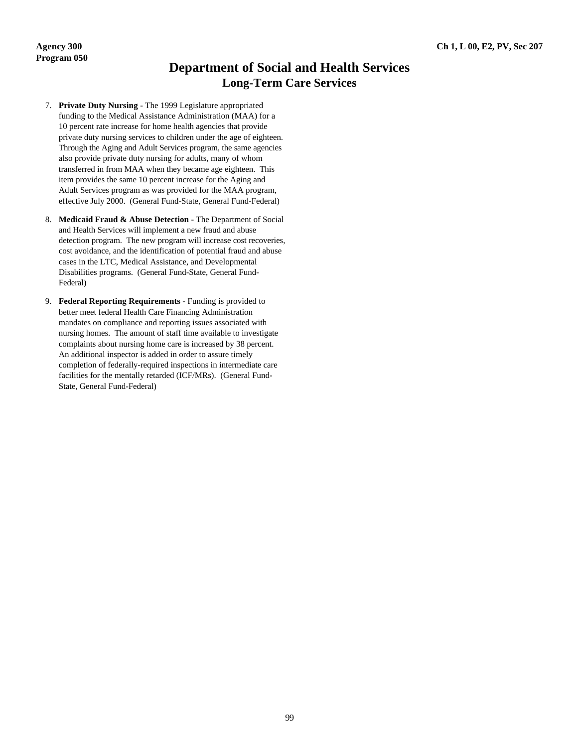## **Department of Social and Health Services Long-Term Care Services**

- 7. **Private Duty Nursing** The 1999 Legislature appropriated funding to the Medical Assistance Administration (MAA) for a 10 percent rate increase for home health agencies that provide private duty nursing services to children under the age of eighteen. Through the Aging and Adult Services program, the same agencies also provide private duty nursing for adults, many of whom transferred in from MAA when they became age eighteen. This item provides the same 10 percent increase for the Aging and Adult Services program as was provided for the MAA program, effective July 2000. (General Fund-State, General Fund-Federal)
- 8. **Medicaid Fraud & Abuse Detection** The Department of Social and Health Services will implement a new fraud and abuse detection program. The new program will increase cost recoveries, cost avoidance, and the identification of potential fraud and abuse cases in the LTC, Medical Assistance, and Developmental Disabilities programs. (General Fund-State, General Fund-Federal)
- 9. **Federal Reporting Requirements** Funding is provided to better meet federal Health Care Financing Administration mandates on compliance and reporting issues associated with nursing homes. The amount of staff time available to investigate complaints about nursing home care is increased by 38 percent. An additional inspector is added in order to assure timely completion of federally-required inspections in intermediate care facilities for the mentally retarded (ICF/MRs). (General Fund-State, General Fund-Federal)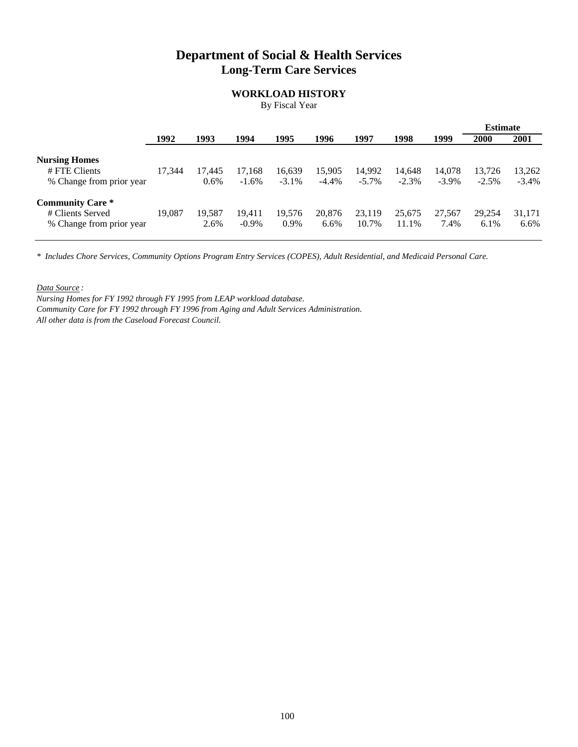## **Department of Social & Health Services Long-Term Care Services**

### **WORKLOAD HISTORY**

By Fiscal Year

|                          |        |         |          |          |          |          |          |          | <b>Estimate</b> |          |
|--------------------------|--------|---------|----------|----------|----------|----------|----------|----------|-----------------|----------|
|                          | 1992   | 1993    | 1994     | 1995     | 1996     | 1997     | 1998     | 1999     | 2000            | 2001     |
| <b>Nursing Homes</b>     |        |         |          |          |          |          |          |          |                 |          |
| # FTE Clients            | 17,344 | 17.445  | 17,168   | 16,639   | 15,905   | 14,992   | 14,648   | 14,078   | 13.726          | 13,262   |
| % Change from prior year |        | $0.6\%$ | $-1.6\%$ | $-3.1\%$ | $-4.4\%$ | $-5.7\%$ | $-2.3\%$ | $-3.9\%$ | $-2.5%$         | $-3.4\%$ |
| <b>Community Care *</b>  |        |         |          |          |          |          |          |          |                 |          |
| # Clients Served         | 19.087 | 19.587  | 19.411   | 19.576   | 20,876   | 23,119   | 25,675   | 27.567   | 29.254          | 31,171   |
| % Change from prior year |        | 2.6%    | $-0.9\%$ | 0.9%     | 6.6%     | 10.7%    | 11.1%    | 7.4%     | 6.1%            | 6.6%     |
|                          |        |         |          |          |          |          |          |          |                 |          |

*\* Includes Chore Services, Community Options Program Entry Services (COPES), Adult Residential, and Medicaid Personal Care.*

*Data Source :*

*Nursing Homes for FY 1992 through FY 1995 from LEAP workload database. Community Care for FY 1992 through FY 1996 from Aging and Adult Services Administration. All other data is from the Caseload Forecast Council.*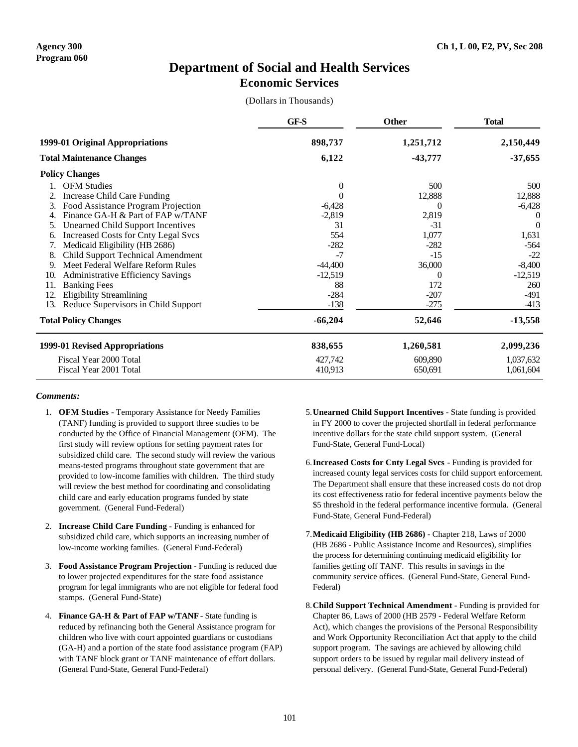### **Department of Social and Health Services Economic Services**

(Dollars in Thousands)

|     |                                            | GF-S           | <b>Other</b> | <b>Total</b> |
|-----|--------------------------------------------|----------------|--------------|--------------|
|     | 1999-01 Original Appropriations            | 898,737        | 1,251,712    | 2,150,449    |
|     | <b>Total Maintenance Changes</b>           | 6,122          | $-43,777$    | $-37,655$    |
|     | <b>Policy Changes</b>                      |                |              |              |
|     | <b>OFM</b> Studies                         | $\overline{0}$ | 500          | 500          |
|     | Increase Child Care Funding                | $\Omega$       | 12,888       | 12,888       |
| 3.  | Food Assistance Program Projection         | $-6,428$       | $\theta$     | $-6,428$     |
|     | Finance GA-H & Part of FAP w/TANF          | $-2,819$       | 2,819        | 0            |
| 5.  | <b>Unearned Child Support Incentives</b>   | 31             | $-31$        | $\theta$     |
| 6.  | <b>Increased Costs for Cnty Legal Svcs</b> | 554            | 1,077        | 1,631        |
|     | Medicaid Eligibility (HB 2686)             | $-282$         | $-282$       | $-564$       |
| 8.  | <b>Child Support Technical Amendment</b>   | $-7$           | $-15$        | $-22$        |
| 9.  | Meet Federal Welfare Reform Rules          | $-44,400$      | 36,000       | $-8,400$     |
| 10. | <b>Administrative Efficiency Savings</b>   | $-12,519$      | $\theta$     | $-12,519$    |
| 11. | <b>Banking Fees</b>                        | 88             | 172          | 260          |
| 12. | <b>Eligibility Streamlining</b>            | $-284$         | $-207$       | $-491$       |
| 13. | Reduce Supervisors in Child Support        | $-138$         | $-275$       | $-413$       |
|     | <b>Total Policy Changes</b>                | $-66,204$      | 52,646       | $-13,558$    |
|     | 1999-01 Revised Appropriations             | 838,655        | 1,260,581    | 2,099,236    |
|     | Fiscal Year 2000 Total                     | 427,742        | 609,890      | 1,037,632    |
|     | Fiscal Year 2001 Total                     | 410,913        | 650,691      | 1,061,604    |

- 1. **OFM Studies** Temporary Assistance for Needy Families (TANF) funding is provided to support three studies to be conducted by the Office of Financial Management (OFM). The first study will review options for setting payment rates for subsidized child care. The second study will review the various means-tested programs throughout state government that are provided to low-income families with children. The third study will review the best method for coordinating and consolidating child care and early education programs funded by state government. (General Fund-Federal)
- 2. **Increase Child Care Funding** Funding is enhanced for subsidized child care, which supports an increasing number of low-income working families. (General Fund-Federal)
- 3. **Food Assistance Program Projection** Funding is reduced due to lower projected expenditures for the state food assistance program for legal immigrants who are not eligible for federal food stamps. (General Fund-State)
- 4. **Finance GA-H & Part of FAP w/TANF** State funding is reduced by refinancing both the General Assistance program for children who live with court appointed guardians or custodians (GA-H) and a portion of the state food assistance program (FAP) with TANF block grant or TANF maintenance of effort dollars. (General Fund-State, General Fund-Federal)
- 5.**Unearned Child Support Incentives** State funding is provided in FY 2000 to cover the projected shortfall in federal performance incentive dollars for the state child support system. (General Fund-State, General Fund-Local)
- 6.**Increased Costs for Cnty Legal Svcs** Funding is provided for increased county legal services costs for child support enforcement. The Department shall ensure that these increased costs do not drop its cost effectiveness ratio for federal incentive payments below the \$5 threshold in the federal performance incentive formula. (General Fund-State, General Fund-Federal)
- 7.**Medicaid Eligibility (HB 2686)** Chapter 218, Laws of 2000 (HB 2686 - Public Assistance Income and Resources), simplifies the process for determining continuing medicaid eligibility for families getting off TANF. This results in savings in the community service offices. (General Fund-State, General Fund-Federal)
- 8.**Child Support Technical Amendment** Funding is provided for Chapter 86, Laws of 2000 (HB 2579 - Federal Welfare Reform Act), which changes the provisions of the Personal Responsibility and Work Opportunity Reconciliation Act that apply to the child support program. The savings are achieved by allowing child support orders to be issued by regular mail delivery instead of personal delivery. (General Fund-State, General Fund-Federal)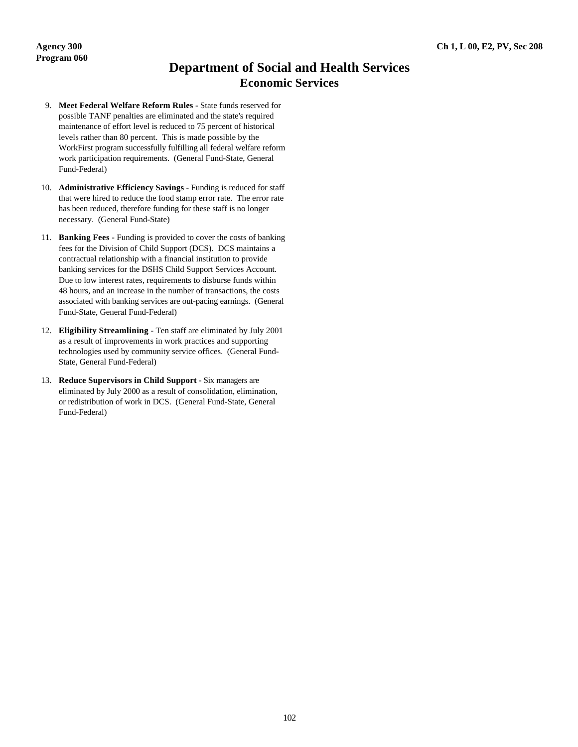## **Department of Social and Health Services Economic Services**

- 9. **Meet Federal Welfare Reform Rules** State funds reserved for possible TANF penalties are eliminated and the state's required maintenance of effort level is reduced to 75 percent of historical levels rather than 80 percent. This is made possible by the WorkFirst program successfully fulfilling all federal welfare reform work participation requirements. (General Fund-State, General Fund-Federal)
- 10. **Administrative Efficiency Savings** Funding is reduced for staff that were hired to reduce the food stamp error rate. The error rate has been reduced, therefore funding for these staff is no longer necessary. (General Fund-State)
- 11. **Banking Fees** Funding is provided to cover the costs of banking fees for the Division of Child Support (DCS). DCS maintains a contractual relationship with a financial institution to provide banking services for the DSHS Child Support Services Account. Due to low interest rates, requirements to disburse funds within 48 hours, and an increase in the number of transactions, the costs associated with banking services are out-pacing earnings. (General Fund-State, General Fund-Federal)
- 12. **Eligibility Streamlining** Ten staff are eliminated by July 2001 as a result of improvements in work practices and supporting technologies used by community service offices. (General Fund-State, General Fund-Federal)
- 13. **Reduce Supervisors in Child Support** Six managers are eliminated by July 2000 as a result of consolidation, elimination, or redistribution of work in DCS. (General Fund-State, General Fund-Federal)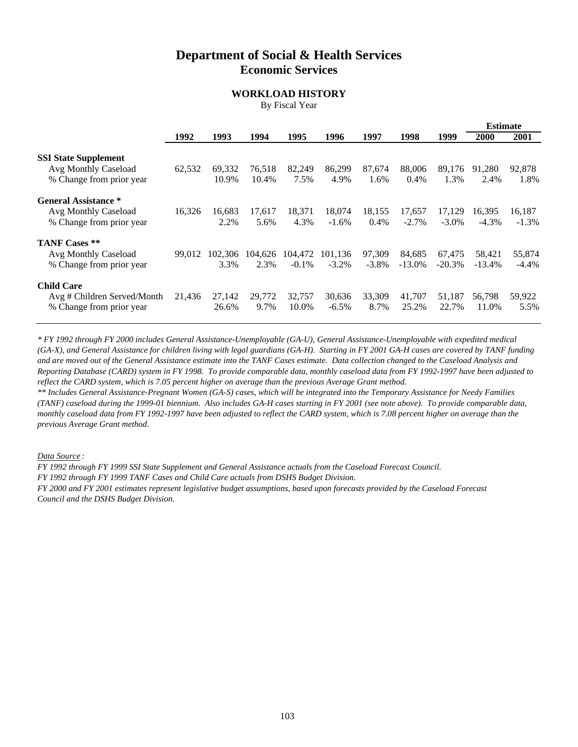## **Department of Social & Health Services Economic Services**

### **WORKLOAD HISTORY**

By Fiscal Year

**Estimate**

|                                                                                 |        |                 |                 |                     |                     |                    |                    |                    | <b>Estimate</b>    |                    |
|---------------------------------------------------------------------------------|--------|-----------------|-----------------|---------------------|---------------------|--------------------|--------------------|--------------------|--------------------|--------------------|
|                                                                                 | 1992   | 1993            | 1994            | 1995                | 1996                | 1997               | 1998               | 1999               | 2000               | 2001               |
| <b>SSI State Supplement</b><br>Avg Monthly Caseload<br>% Change from prior year | 62,532 | 69,332<br>10.9% | 76,518<br>10.4% | 82,249<br>7.5%      | 86,299<br>4.9%      | 87,674<br>1.6%     | 88,006<br>0.4%     | 89.176<br>1.3%     | 91,280<br>2.4%     | 92,878<br>1.8%     |
| <b>General Assistance *</b><br>Avg Monthly Caseload<br>% Change from prior year | 16,326 | 16,683<br>2.2%  | 17.617<br>5.6%  | 18,371<br>4.3%      | 18,074<br>$-1.6\%$  | 18,155<br>0.4%     | 17,657<br>$-2.7\%$ | 17.129<br>$-3.0\%$ | 16,395<br>$-4.3\%$ | 16,187<br>$-1.3\%$ |
| <b>TANF Cases **</b><br>Avg Monthly Caseload<br>% Change from prior year        | 99.012 | 102.306<br>3.3% | 104.626<br>2.3% | 104.472<br>$-0.1\%$ | 101.136<br>$-3.2\%$ | 97,309<br>$-3.8\%$ | 84.685<br>$-13.0%$ | 67.475<br>$-20.3%$ | 58.421<br>$-13.4%$ | 55,874<br>$-4.4\%$ |
| <b>Child Care</b><br>Avg # Children Served/Month<br>% Change from prior year    | 21,436 | 27,142<br>26.6% | 29,772<br>9.7%  | 32,757<br>10.0%     | 30,636<br>$-6.5\%$  | 33,309<br>8.7%     | 41,707<br>25.2%    | 51,187<br>22.7%    | 56,798<br>11.0%    | 59,922<br>5.5%     |

*\* FY 1992 through FY 2000 includes General Assistance-Unemployable (GA-U), General Assistance-Unemployable with expedited medical (GA-X), and General Assistance for children living with legal guardians (GA-H). Starting in FY 2001 GA-H cases are covered by TANF funding and are moved out of the General Assistance estimate into the TANF Cases estimate. Data collection changed to the Caseload Analysis and Reporting Database (CARD) system in FY 1998. To provide comparable data, monthly caseload data from FY 1992-1997 have been adjusted to reflect the CARD system, which is 7.05 percent higher on average than the previous Average Grant method.*

*\*\* Includes General Assistance-Pregnant Women (GA-S) cases, which will be integrated into the Temporary Assistance for Needy Families (TANF) caseload during the 1999-01 biennium. Also includes GA-H cases starting in FY 2001 (see note above). To provide comparable data, monthly caseload data from FY 1992-1997 have been adjusted to reflect the CARD system, which is 7.08 percent higher on average than the previous Average Grant method.*

*Data Source :*

*FY 1992 through FY 1999 SSI State Supplement and General Assistance actuals from the Caseload Forecast Council.*

*FY 1992 through FY 1999 TANF Cases and Child Care actuals from DSHS Budget Division.*

*FY 2000 and FY 2001 estimates represent legislative budget assumptions, based upon forecasts provided by the Caseload Forecast Council and the DSHS Budget Division.*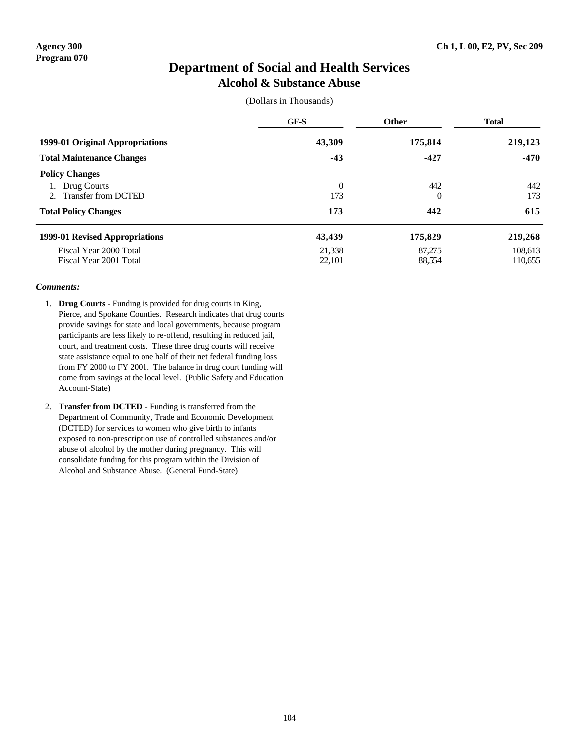### **Department of Social and Health Services Alcohol & Substance Abuse**

(Dollars in Thousands)

|                                                                                            | GF-S                       | <b>Other</b>                 | <b>Total</b><br>219,123       |  |
|--------------------------------------------------------------------------------------------|----------------------------|------------------------------|-------------------------------|--|
| 1999-01 Original Appropriations                                                            | 43,309                     | 175,814                      |                               |  |
| <b>Total Maintenance Changes</b>                                                           | $-43$                      | $-427$                       | $-470$                        |  |
| <b>Policy Changes</b><br>Drug Courts<br>Transfer from DCTED<br><b>Total Policy Changes</b> | $\theta$<br>173<br>173     | 442<br>$\overline{0}$<br>442 | 442<br>173<br>615             |  |
| 1999-01 Revised Appropriations<br>Fiscal Year 2000 Total<br>Fiscal Year 2001 Total         | 43,439<br>21.338<br>22,101 | 175,829<br>87,275<br>88,554  | 219,268<br>108.613<br>110,655 |  |

- 1. **Drug Courts** Funding is provided for drug courts in King, Pierce, and Spokane Counties. Research indicates that drug courts provide savings for state and local governments, because program participants are less likely to re-offend, resulting in reduced jail, court, and treatment costs. These three drug courts will receive state assistance equal to one half of their net federal funding loss from FY 2000 to FY 2001. The balance in drug court funding will come from savings at the local level. (Public Safety and Education Account-State)
- 2. **Transfer from DCTED** Funding is transferred from the Department of Community, Trade and Economic Development (DCTED) for services to women who give birth to infants exposed to non-prescription use of controlled substances and/or abuse of alcohol by the mother during pregnancy. This will consolidate funding for this program within the Division of Alcohol and Substance Abuse. (General Fund-State)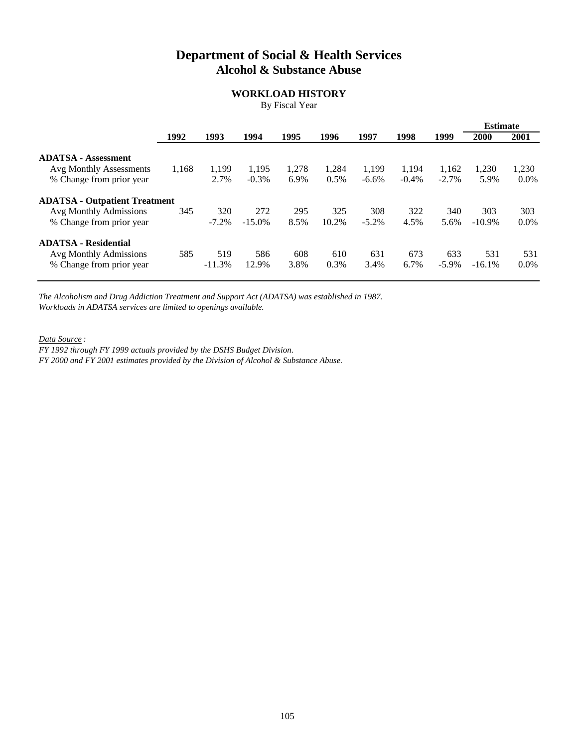## **Department of Social & Health Services Alcohol & Substance Abuse**

### **WORKLOAD HISTORY**

By Fiscal Year

|                                                            |       |                 |                   |               |               |                   |                   |                   | <b>Estimate</b> |                  |
|------------------------------------------------------------|-------|-----------------|-------------------|---------------|---------------|-------------------|-------------------|-------------------|-----------------|------------------|
|                                                            | 1992  | 1993            | 1994              | 1995          | 1996          | 1997              | 1998              | 1999              | 2000            | 2001             |
| <b>ADATSA - Assessment</b>                                 |       |                 |                   |               |               |                   |                   |                   |                 |                  |
| <b>Avg Monthly Assessments</b><br>% Change from prior year | 1,168 | 1,199<br>2.7%   | 1,195<br>$-0.3\%$ | 1,278<br>6.9% | 1,284<br>0.5% | 1,199<br>$-6.6\%$ | 1,194<br>$-0.4\%$ | 1,162<br>$-2.7\%$ | 1,230<br>5.9%   | 1,230<br>$0.0\%$ |
| <b>ADATSA - Outpatient Treatment</b>                       |       |                 |                   |               |               |                   |                   |                   |                 |                  |
| Avg Monthly Admissions<br>% Change from prior year         | 345   | 320<br>$-7.2%$  | 272<br>$-15.0\%$  | 295<br>8.5%   | 325<br>10.2%  | 308<br>$-5.2\%$   | 322<br>4.5%       | 340<br>5.6%       | 303<br>$-10.9%$ | 303<br>$0.0\%$   |
| <b>ADATSA - Residential</b>                                |       |                 |                   |               |               |                   |                   |                   |                 |                  |
| Avg Monthly Admissions<br>% Change from prior year         | 585   | 519<br>$-11.3%$ | 586<br>12.9%      | 608<br>3.8%   | 610<br>0.3%   | 631<br>3.4%       | 673<br>6.7%       | 633<br>$-5.9\%$   | 531<br>$-16.1%$ | 531<br>$0.0\%$   |

*The Alcoholism and Drug Addiction Treatment and Support Act (ADATSA) was established in 1987. Workloads in ADATSA services are limited to openings available.*

*Data Source :*

*FY 1992 through FY 1999 actuals provided by the DSHS Budget Division.* 

*FY 2000 and FY 2001 estimates provided by the Division of Alcohol & Substance Abuse.*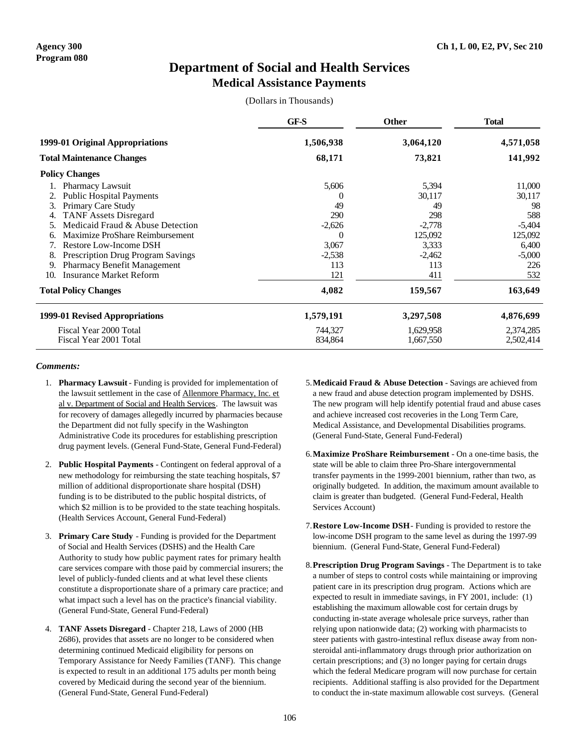## **Department of Social and Health Services Medical Assistance Payments**

(Dollars in Thousands)

|                                                | GF-S      | <b>Other</b> | <b>Total</b> |  |
|------------------------------------------------|-----------|--------------|--------------|--|
| 1999-01 Original Appropriations                | 1,506,938 | 3,064,120    | 4,571,058    |  |
| <b>Total Maintenance Changes</b>               | 68,171    | 73,821       | 141,992      |  |
| <b>Policy Changes</b>                          |           |              |              |  |
| Pharmacy Lawsuit                               | 5,606     | 5,394        | 11,000       |  |
| <b>Public Hospital Payments</b>                |           | 30,117       | 30,117       |  |
| Primary Care Study<br>3.                       | 49        | 49           | 98           |  |
| <b>TANF Assets Disregard</b>                   | 290       | 298          | 588          |  |
| Medicaid Fraud & Abuse Detection               | $-2,626$  | $-2,778$     | $-5,404$     |  |
| Maximize ProShare Reimbursement                | $\Omega$  | 125,092      | 125,092      |  |
| Restore Low-Income DSH                         | 3,067     | 3,333        | 6,400        |  |
| <b>Prescription Drug Program Savings</b><br>8. | $-2,538$  | $-2,462$     | $-5,000$     |  |
| Pharmacy Benefit Management<br>9.              | 113       | 113          | 226          |  |
| <b>Insurance Market Reform</b><br>10.          | 121       | 411          | 532          |  |
| <b>Total Policy Changes</b>                    | 4,082     | 159,567      | 163,649      |  |
| 1999-01 Revised Appropriations                 | 1,579,191 | 3,297,508    | 4,876,699    |  |
| Fiscal Year 2000 Total                         | 744,327   | 1,629,958    | 2,374,285    |  |
| Fiscal Year 2001 Total                         | 834,864   | 1,667,550    | 2,502,414    |  |

- 1. **Pharmacy Lawsuit** Funding is provided for implementation of the lawsuit settlement in the case of Allenmore Pharmacy, Inc. et al v. Department of Social and Health Services. The lawsuit was for recovery of damages allegedly incurred by pharmacies because the Department did not fully specify in the Washington Administrative Code its procedures for establishing prescription drug payment levels. (General Fund-State, General Fund-Federal)
- 2. **Public Hospital Payments** Contingent on federal approval of a new methodology for reimbursing the state teaching hospitals, \$7 million of additional disproportionate share hospital (DSH) funding is to be distributed to the public hospital districts, of which \$2 million is to be provided to the state teaching hospitals. (Health Services Account, General Fund-Federal)
- 3. **Primary Care Study** Funding is provided for the Department of Social and Health Services (DSHS) and the Health Care Authority to study how public payment rates for primary health care services compare with those paid by commercial insurers; the level of publicly-funded clients and at what level these clients constitute a disproportionate share of a primary care practice; and what impact such a level has on the practice's financial viability. (General Fund-State, General Fund-Federal)
- 4. **TANF Assets Disregard** Chapter 218, Laws of 2000 (HB 2686), provides that assets are no longer to be considered when determining continued Medicaid eligibility for persons on Temporary Assistance for Needy Families (TANF). This change is expected to result in an additional 175 adults per month being covered by Medicaid during the second year of the biennium. (General Fund-State, General Fund-Federal)
- 5.**Medicaid Fraud & Abuse Detection** Savings are achieved from a new fraud and abuse detection program implemented by DSHS. The new program will help identify potential fraud and abuse cases and achieve increased cost recoveries in the Long Term Care, Medical Assistance, and Developmental Disabilities programs. (General Fund-State, General Fund-Federal)
- 6.**Maximize ProShare Reimbursement** On a one-time basis, the state will be able to claim three Pro-Share intergovernmental transfer payments in the 1999-2001 biennium, rather than two, as originally budgeted. In addition, the maximum amount available to claim is greater than budgeted. (General Fund-Federal, Health Services Account)
- 7.**Restore Low-Income DSH** Funding is provided to restore the low-income DSH program to the same level as during the 1997-99 biennium. (General Fund-State, General Fund-Federal)
- 8.**Prescription Drug Program Savings** The Department is to take a number of steps to control costs while maintaining or improving patient care in its prescription drug program. Actions which are expected to result in immediate savings, in FY 2001, include: (1) establishing the maximum allowable cost for certain drugs by conducting in-state average wholesale price surveys, rather than relying upon nationwide data; (2) working with pharmacists to steer patients with gastro-intestinal reflux disease away from nonsteroidal anti-inflammatory drugs through prior authorization on certain prescriptions; and (3) no longer paying for certain drugs which the federal Medicare program will now purchase for certain recipients. Additional staffing is also provided for the Department to conduct the in-state maximum allowable cost surveys. (General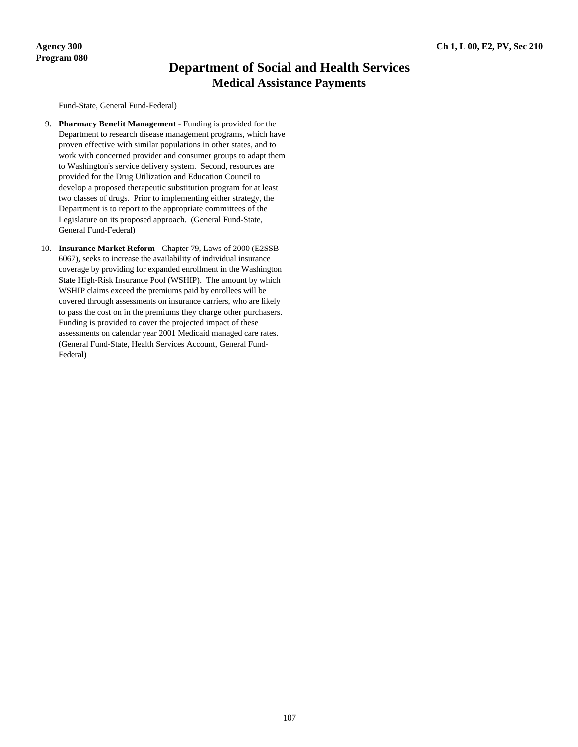## **Department of Social and Health Services Medical Assistance Payments**

Fund-State, General Fund-Federal)

- 9. **Pharmacy Benefit Management** Funding is provided for the Department to research disease management programs, which have proven effective with similar populations in other states, and to work with concerned provider and consumer groups to adapt them to Washington's service delivery system. Second, resources are provided for the Drug Utilization and Education Council to develop a proposed therapeutic substitution program for at least two classes of drugs. Prior to implementing either strategy, the Department is to report to the appropriate committees of the Legislature on its proposed approach. (General Fund-State, General Fund-Federal)
- 10. **Insurance Market Reform** Chapter 79, Laws of 2000 (E2SSB 6067), seeks to increase the availability of individual insurance coverage by providing for expanded enrollment in the Washington State High-Risk Insurance Pool (WSHIP). The amount by which WSHIP claims exceed the premiums paid by enrollees will be covered through assessments on insurance carriers, who are likely to pass the cost on in the premiums they charge other purchasers. Funding is provided to cover the projected impact of these assessments on calendar year 2001 Medicaid managed care rates. (General Fund-State, Health Services Account, General Fund-Federal)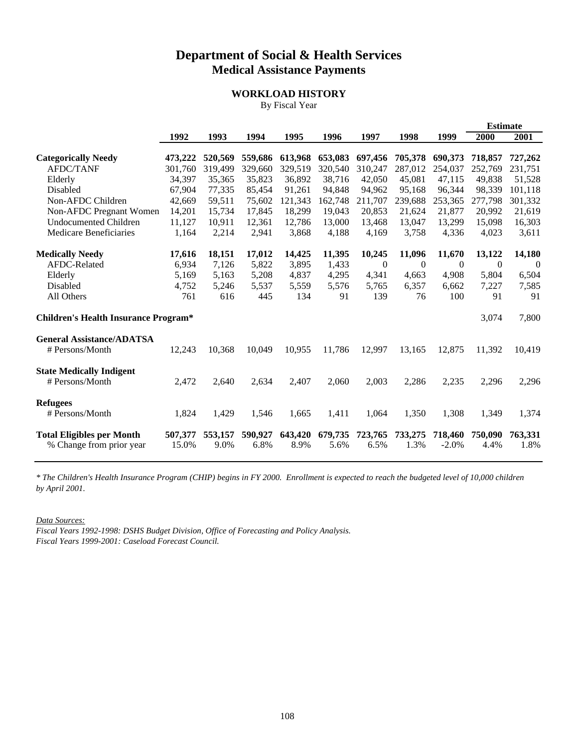## **Department of Social & Health Services Medical Assistance Payments**

### **WORKLOAD HISTORY**

By Fiscal Year

|                                                              |                  |                 |                 |                 |                 |                 |                 |                    | <b>Estimate</b> |                 |
|--------------------------------------------------------------|------------------|-----------------|-----------------|-----------------|-----------------|-----------------|-----------------|--------------------|-----------------|-----------------|
|                                                              | 1992             | 1993            | 1994            | 1995            | 1996            | 1997            | 1998            | 1999               | 2000            | 2001            |
| <b>Categorically Needy</b>                                   | 473,222          | 520,569         | 559,686         | 613,968         | 653,083         | 697,456         | 705,378         | 690,373            | 718,857         | 727,262         |
| <b>AFDC/TANF</b>                                             | 301,760          | 319,499         | 329,660         | 329,519         | 320,540         | 310,247         | 287,012         | 254,037            | 252,769         | 231,751         |
| Elderly                                                      | 34,397           | 35,365          | 35,823          | 36,892          | 38,716          | 42,050          | 45,081          | 47,115             | 49,838          | 51,528          |
| Disabled                                                     | 67,904           | 77,335          | 85,454          | 91,261          | 94,848          | 94,962          | 95,168          | 96,344             | 98,339          | 101,118         |
| Non-AFDC Children                                            | 42,669           | 59,511          | 75,602          | 121,343         | 162,748         | 211,707         | 239,688         | 253,365            | 277,798         | 301,332         |
| Non-AFDC Pregnant Women                                      | 14,201           | 15,734          | 17,845          | 18,299          | 19,043          | 20,853          | 21,624          | 21,877             | 20,992          | 21,619          |
| <b>Undocumented Children</b>                                 | 11,127           | 10,911          | 12,361          | 12,786          | 13,000          | 13,468          | 13,047          | 13,299             | 15,098          | 16,303          |
| <b>Medicare Beneficiaries</b>                                | 1,164            | 2,214           | 2,941           | 3,868           | 4,188           | 4,169           | 3,758           | 4,336              | 4,023           | 3,611           |
| <b>Medically Needy</b>                                       | 17,616           | 18,151          | 17,012          | 14,425          | 11,395          | 10,245          | 11,096          | 11,670             | 13,122          | 14,180          |
| AFDC-Related                                                 | 6,934            | 7,126           | 5,822           | 3,895           | 1,433           | $\theta$        | $\theta$        | $\theta$           | $\theta$        | $\Omega$        |
| Elderly                                                      | 5,169            | 5,163           | 5,208           | 4,837           | 4,295           | 4,341           | 4,663           | 4,908              | 5,804           | 6,504           |
| Disabled                                                     | 4,752            | 5,246           | 5,537           | 5,559           | 5,576           | 5,765           | 6,357           | 6,662              | 7,227           | 7,585           |
| All Others                                                   | 761              | 616             | 445             | 134             | 91              | 139             | 76              | 100                | 91              | 91              |
| <b>Children's Health Insurance Program*</b>                  |                  |                 |                 |                 |                 |                 |                 |                    | 3,074           | 7,800           |
| <b>General Assistance/ADATSA</b>                             |                  |                 |                 |                 |                 |                 |                 |                    |                 |                 |
| # Persons/Month                                              | 12,243           | 10,368          | 10,049          | 10,955          | 11,786          | 12,997          | 13,165          | 12,875             | 11,392          | 10,419          |
| <b>State Medically Indigent</b>                              |                  |                 |                 |                 |                 |                 |                 |                    |                 |                 |
| # Persons/Month                                              | 2,472            | 2,640           | 2,634           | 2,407           | 2,060           | 2,003           | 2,286           | 2,235              | 2,296           | 2,296           |
| <b>Refugees</b>                                              |                  |                 |                 |                 |                 |                 |                 |                    |                 |                 |
| # Persons/Month                                              | 1,824            | 1,429           | 1,546           | 1,665           | 1,411           | 1,064           | 1,350           | 1,308              | 1,349           | 1,374           |
| <b>Total Eligibles per Month</b><br>% Change from prior year | 507,377<br>15.0% | 553,157<br>9.0% | 590,927<br>6.8% | 643,420<br>8.9% | 679,735<br>5.6% | 723,765<br>6.5% | 733,275<br>1.3% | 718,460<br>$-2.0%$ | 750,090<br>4.4% | 763,331<br>1.8% |

*\* The Children's Health Insurance Program (CHIP) begins in FY 2000. Enrollment is expected to reach the budgeted level of 10,000 children by April 2001.*

*Data Sources:*

*Fiscal Years 1992-1998: DSHS Budget Division, Office of Forecasting and Policy Analysis. Fiscal Years 1999-2001: Caseload Forecast Council.*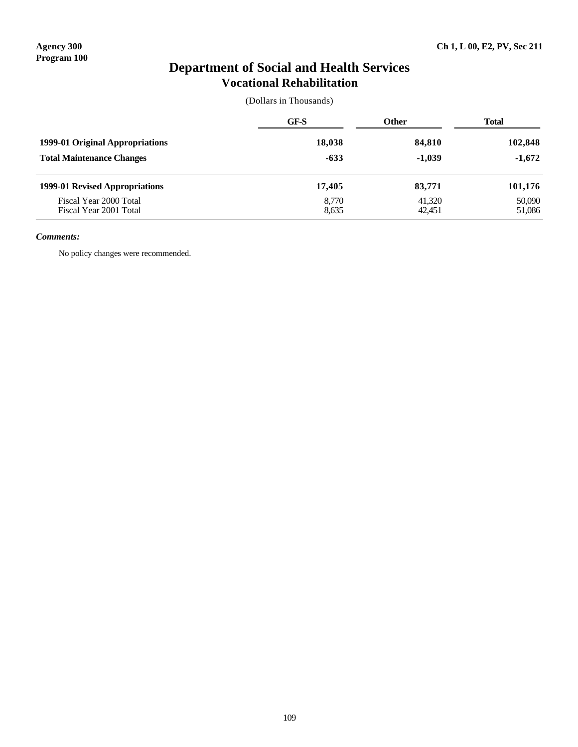## **Department of Social and Health Services Vocational Rehabilitation**

(Dollars in Thousands)

|                                                  | <b>GF-S</b>    | <b>Other</b>     | <b>Total</b>     |  |
|--------------------------------------------------|----------------|------------------|------------------|--|
| 1999-01 Original Appropriations                  | 18,038         | 84,810           | 102,848          |  |
| <b>Total Maintenance Changes</b>                 | $-633$         | $-1,039$         | $-1,672$         |  |
| 1999-01 Revised Appropriations                   | 17,405         | 83,771           | 101,176          |  |
| Fiscal Year 2000 Total<br>Fiscal Year 2001 Total | 8,770<br>8,635 | 41,320<br>42,451 | 50,090<br>51,086 |  |

#### *Comments:*

No policy changes were recommended.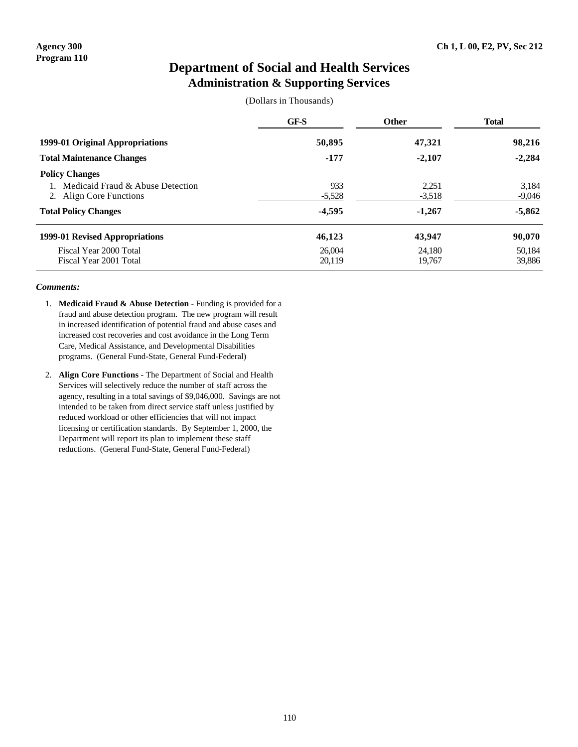## **Department of Social and Health Services Administration & Supporting Services**

(Dollars in Thousands)

|                                                                                                                     | GF-S                        | <b>Other</b>                  | <b>Total</b>                  |  |
|---------------------------------------------------------------------------------------------------------------------|-----------------------------|-------------------------------|-------------------------------|--|
| 1999-01 Original Appropriations                                                                                     | 50,895                      | 47,321                        | 98,216                        |  |
| <b>Total Maintenance Changes</b>                                                                                    | $-177$                      | $-2,107$                      | $-2,284$                      |  |
| <b>Policy Changes</b><br>Medicaid Fraud & Abuse Detection<br>2. Align Core Functions<br><b>Total Policy Changes</b> | 933<br>$-5,528$<br>$-4,595$ | 2,251<br>$-3,518$<br>$-1,267$ | 3.184<br>$-9,046$<br>$-5,862$ |  |
| 1999-01 Revised Appropriations<br>Fiscal Year 2000 Total<br>Fiscal Year 2001 Total                                  | 46,123<br>26,004<br>20,119  | 43,947<br>24.180<br>19,767    | 90,070<br>50,184<br>39,886    |  |

- 1. **Medicaid Fraud & Abuse Detection** Funding is provided for a fraud and abuse detection program. The new program will result in increased identification of potential fraud and abuse cases and increased cost recoveries and cost avoidance in the Long Term Care, Medical Assistance, and Developmental Disabilities programs. (General Fund-State, General Fund-Federal)
- 2. **Align Core Functions** The Department of Social and Health Services will selectively reduce the number of staff across the agency, resulting in a total savings of \$9,046,000. Savings are not intended to be taken from direct service staff unless justified by reduced workload or other efficiencies that will not impact licensing or certification standards. By September 1, 2000, the Department will report its plan to implement these staff reductions. (General Fund-State, General Fund-Federal)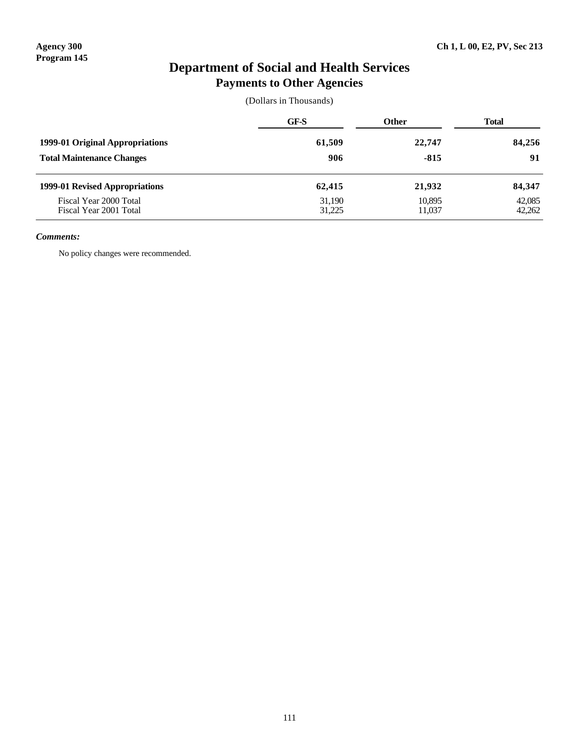## **Department of Social and Health Services Payments to Other Agencies**

(Dollars in Thousands)

|                                                  | GF-S             | <b>Other</b>     | <b>Total</b>     |
|--------------------------------------------------|------------------|------------------|------------------|
| 1999-01 Original Appropriations                  | 61,509           | 22,747           | 84,256           |
| <b>Total Maintenance Changes</b>                 | 906              | $-815$           | 91               |
| 1999-01 Revised Appropriations                   | 62,415           | 21,932           | 84,347           |
| Fiscal Year 2000 Total<br>Fiscal Year 2001 Total | 31,190<br>31,225 | 10,895<br>11,037 | 42,085<br>42,262 |

#### *Comments:*

No policy changes were recommended.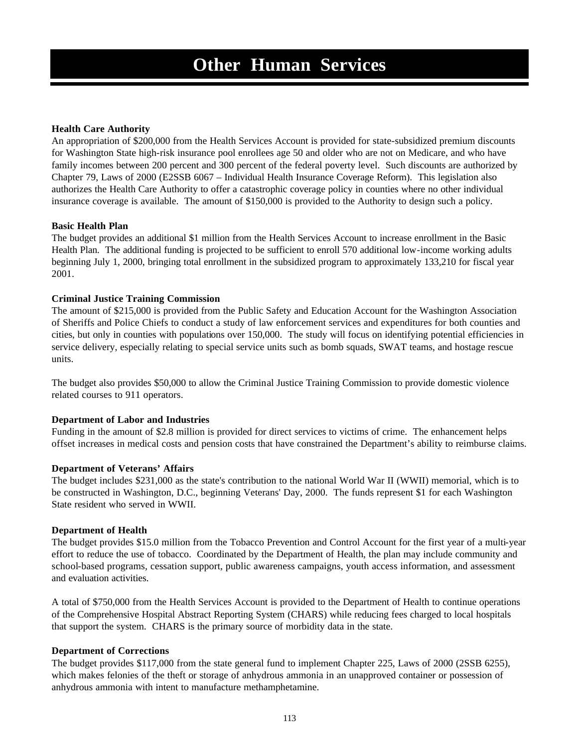## **Health Care Authority**

An appropriation of \$200,000 from the Health Services Account is provided for state-subsidized premium discounts for Washington State high-risk insurance pool enrollees age 50 and older who are not on Medicare, and who have family incomes between 200 percent and 300 percent of the federal poverty level. Such discounts are authorized by Chapter 79, Laws of 2000 (E2SSB 6067 – Individual Health Insurance Coverage Reform). This legislation also authorizes the Health Care Authority to offer a catastrophic coverage policy in counties where no other individual insurance coverage is available. The amount of \$150,000 is provided to the Authority to design such a policy.

## **Basic Health Plan**

The budget provides an additional \$1 million from the Health Services Account to increase enrollment in the Basic Health Plan. The additional funding is projected to be sufficient to enroll 570 additional low-income working adults beginning July 1, 2000, bringing total enrollment in the subsidized program to approximately 133,210 for fiscal year 2001.

## **Criminal Justice Training Commission**

The amount of \$215,000 is provided from the Public Safety and Education Account for the Washington Association of Sheriffs and Police Chiefs to conduct a study of law enforcement services and expenditures for both counties and cities, but only in counties with populations over 150,000. The study will focus on identifying potential efficiencies in service delivery, especially relating to special service units such as bomb squads, SWAT teams, and hostage rescue units.

The budget also provides \$50,000 to allow the Criminal Justice Training Commission to provide domestic violence related courses to 911 operators.

### **Department of Labor and Industries**

Funding in the amount of \$2.8 million is provided for direct services to victims of crime. The enhancement helps offset increases in medical costs and pension costs that have constrained the Department's ability to reimburse claims.

### **Department of Veterans' Affairs**

The budget includes \$231,000 as the state's contribution to the national World War II (WWII) memorial, which is to be constructed in Washington, D.C., beginning Veterans' Day, 2000. The funds represent \$1 for each Washington State resident who served in WWII.

### **Department of Health**

The budget provides \$15.0 million from the Tobacco Prevention and Control Account for the first year of a multi-year effort to reduce the use of tobacco. Coordinated by the Department of Health, the plan may include community and school-based programs, cessation support, public awareness campaigns, youth access information, and assessment and evaluation activities.

A total of \$750,000 from the Health Services Account is provided to the Department of Health to continue operations of the Comprehensive Hospital Abstract Reporting System (CHARS) while reducing fees charged to local hospitals that support the system. CHARS is the primary source of morbidity data in the state.

### **Department of Corrections**

The budget provides \$117,000 from the state general fund to implement Chapter 225, Laws of 2000 (2SSB 6255), which makes felonies of the theft or storage of anhydrous ammonia in an unapproved container or possession of anhydrous ammonia with intent to manufacture methamphetamine.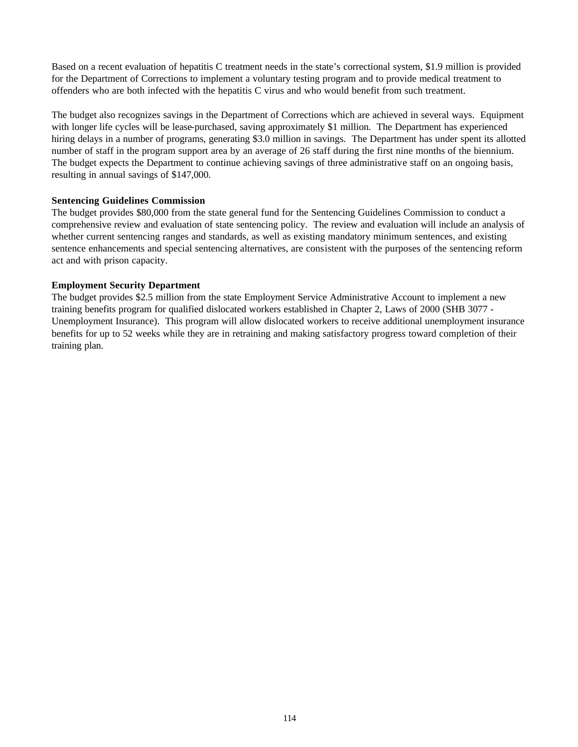Based on a recent evaluation of hepatitis C treatment needs in the state's correctional system, \$1.9 million is provided for the Department of Corrections to implement a voluntary testing program and to provide medical treatment to offenders who are both infected with the hepatitis C virus and who would benefit from such treatment.

The budget also recognizes savings in the Department of Corrections which are achieved in several ways. Equipment with longer life cycles will be lease-purchased, saving approximately \$1 million. The Department has experienced hiring delays in a number of programs, generating \$3.0 million in savings. The Department has under spent its allotted number of staff in the program support area by an average of 26 staff during the first nine months of the biennium. The budget expects the Department to continue achieving savings of three administrative staff on an ongoing basis, resulting in annual savings of \$147,000.

## **Sentencing Guidelines Commission**

The budget provides \$80,000 from the state general fund for the Sentencing Guidelines Commission to conduct a comprehensive review and evaluation of state sentencing policy. The review and evaluation will include an analysis of whether current sentencing ranges and standards, as well as existing mandatory minimum sentences, and existing sentence enhancements and special sentencing alternatives, are consistent with the purposes of the sentencing reform act and with prison capacity.

## **Employment Security Department**

The budget provides \$2.5 million from the state Employment Service Administrative Account to implement a new training benefits program for qualified dislocated workers established in Chapter 2, Laws of 2000 (SHB 3077 - Unemployment Insurance). This program will allow dislocated workers to receive additional unemployment insurance benefits for up to 52 weeks while they are in retraining and making satisfactory progress toward completion of their training plan.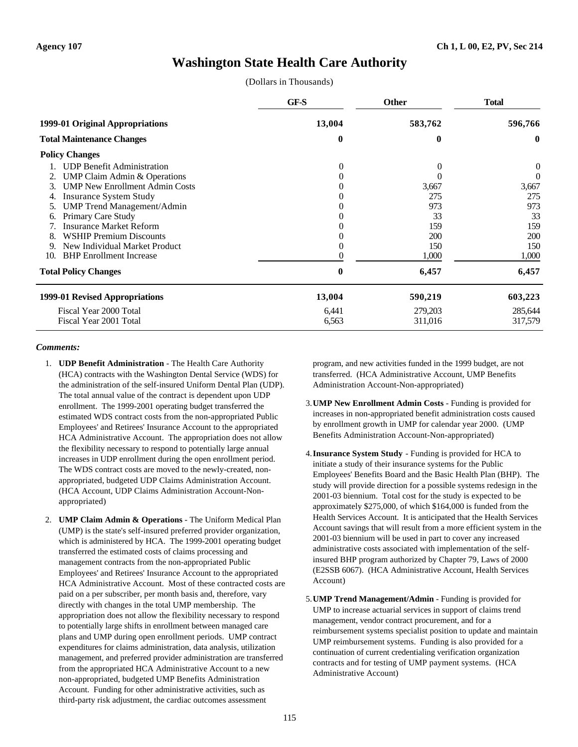# **Washington State Health Care Authority**

(Dollars in Thousands)

|                                             | GF-S     | Other    | <b>Total</b> |
|---------------------------------------------|----------|----------|--------------|
| 1999-01 Original Appropriations             | 13,004   | 583,762  | 596,766      |
| <b>Total Maintenance Changes</b>            | $\bf{0}$ | 0        | $\mathbf{0}$ |
| <b>Policy Changes</b>                       |          |          |              |
| <b>UDP Benefit Administration</b>           | $\Omega$ | $\Omega$ | $\theta$     |
| <b>UMP Claim Admin &amp; Operations</b>     |          |          | $\theta$     |
| <b>UMP New Enrollment Admin Costs</b><br>3. |          | 3,667    | 3,667        |
| <b>Insurance System Study</b><br>4.         |          | 275      | 275          |
| <b>UMP Trend Management/Admin</b><br>5.     |          | 973      | 973          |
| Primary Care Study<br>6.                    |          | 33       | 33           |
| <b>Insurance Market Reform</b>              |          | 159      | 159          |
| <b>WSHIP Premium Discounts</b><br>8.        |          | 200      | 200          |
| New Individual Market Product<br>9.         |          | 150      | 150          |
| <b>BHP</b> Enrollment Increase<br>10.       |          | 1,000    | 1,000        |
| <b>Total Policy Changes</b>                 | $\bf{0}$ | 6,457    | 6,457        |
| 1999-01 Revised Appropriations              | 13,004   | 590,219  | 603,223      |
| Fiscal Year 2000 Total                      | 6,441    | 279,203  | 285,644      |
| Fiscal Year 2001 Total                      | 6,563    | 311,016  | 317,579      |

## *Comments:*

- 1. **UDP Benefit Administration** The Health Care Authority (HCA) contracts with the Washington Dental Service (WDS) for the administration of the self-insured Uniform Dental Plan (UDP). The total annual value of the contract is dependent upon UDP enrollment. The 1999-2001 operating budget transferred the estimated WDS contract costs from the non-appropriated Public Employees' and Retirees' Insurance Account to the appropriated HCA Administrative Account. The appropriation does not allow the flexibility necessary to respond to potentially large annual increases in UDP enrollment during the open enrollment period. The WDS contract costs are moved to the newly-created, nonappropriated, budgeted UDP Claims Administration Account. (HCA Account, UDP Claims Administration Account-Nonappropriated)
- 2. **UMP Claim Admin & Operations** The Uniform Medical Plan (UMP) is the state's self-insured preferred provider organization, which is administered by HCA. The 1999-2001 operating budget transferred the estimated costs of claims processing and management contracts from the non-appropriated Public Employees' and Retirees' Insurance Account to the appropriated HCA Administrative Account. Most of these contracted costs are paid on a per subscriber, per month basis and, therefore, vary directly with changes in the total UMP membership. The appropriation does not allow the flexibility necessary to respond to potentially large shifts in enrollment between managed care plans and UMP during open enrollment periods. UMP contract expenditures for claims administration, data analysis, utilization management, and preferred provider administration are transferred from the appropriated HCA Administrative Account to a new non-appropriated, budgeted UMP Benefits Administration Account. Funding for other administrative activities, such as third-party risk adjustment, the cardiac outcomes assessment

program, and new activities funded in the 1999 budget, are not transferred. (HCA Administrative Account, UMP Benefits Administration Account-Non-appropriated)

- 3.**UMP New Enrollment Admin Costs** Funding is provided for increases in non-appropriated benefit administration costs caused by enrollment growth in UMP for calendar year 2000. (UMP Benefits Administration Account-Non-appropriated)
- 4.**Insurance System Study** Funding is provided for HCA to initiate a study of their insurance systems for the Public Employees' Benefits Board and the Basic Health Plan (BHP). The study will provide direction for a possible systems redesign in the 2001-03 biennium. Total cost for the study is expected to be approximately \$275,000, of which \$164,000 is funded from the Health Services Account. It is anticipated that the Health Services Account savings that will result from a more efficient system in the 2001-03 biennium will be used in part to cover any increased administrative costs associated with implementation of the selfinsured BHP program authorized by Chapter 79, Laws of 2000 (E2SSB 6067). (HCA Administrative Account, Health Services Account)
- 5.**UMP Trend Management/Admin** Funding is provided for UMP to increase actuarial services in support of claims trend management, vendor contract procurement, and for a reimbursement systems specialist position to update and maintain UMP reimbursement systems. Funding is also provided for a continuation of current credentialing verification organization contracts and for testing of UMP payment systems. (HCA Administrative Account)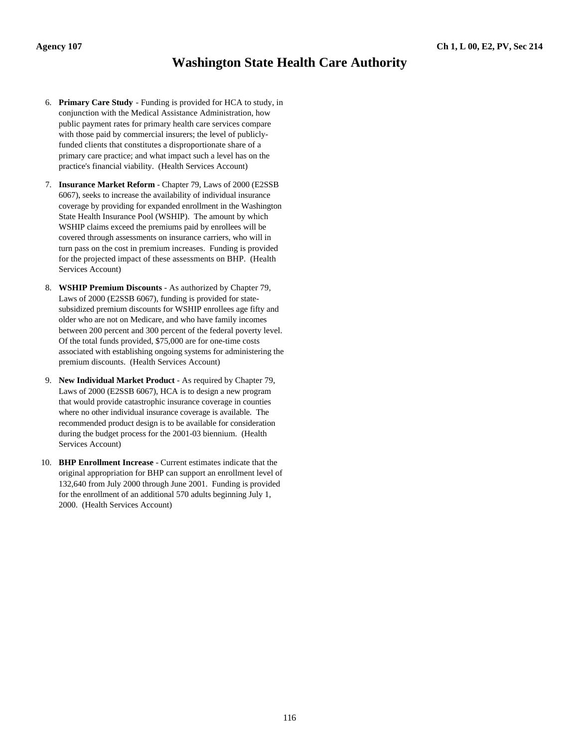# **Washington State Health Care Authority**

- 6. **Primary Care Study** Funding is provided for HCA to study, in conjunction with the Medical Assistance Administration, how public payment rates for primary health care services compare with those paid by commercial insurers; the level of publiclyfunded clients that constitutes a disproportionate share of a primary care practice; and what impact such a level has on the practice's financial viability. (Health Services Account)
- 7. **Insurance Market Reform** Chapter 79, Laws of 2000 (E2SSB 6067), seeks to increase the availability of individual insurance coverage by providing for expanded enrollment in the Washington State Health Insurance Pool (WSHIP). The amount by which WSHIP claims exceed the premiums paid by enrollees will be covered through assessments on insurance carriers, who will in turn pass on the cost in premium increases. Funding is provided for the projected impact of these assessments on BHP. (Health Services Account)
- 8. **WSHIP Premium Discounts** As authorized by Chapter 79, Laws of 2000 (E2SSB 6067), funding is provided for statesubsidized premium discounts for WSHIP enrollees age fifty and older who are not on Medicare, and who have family incomes between 200 percent and 300 percent of the federal poverty level. Of the total funds provided, \$75,000 are for one-time costs associated with establishing ongoing systems for administering the premium discounts. (Health Services Account)
- 9. **New Individual Market Product** As required by Chapter 79, Laws of 2000 (E2SSB 6067), HCA is to design a new program that would provide catastrophic insurance coverage in counties where no other individual insurance coverage is available. The recommended product design is to be available for consideration during the budget process for the 2001-03 biennium. (Health Services Account)
- 10. **BHP Enrollment Increase** Current estimates indicate that the original appropriation for BHP can support an enrollment level of 132,640 from July 2000 through June 2001. Funding is provided for the enrollment of an additional 570 adults beginning July 1, 2000. (Health Services Account)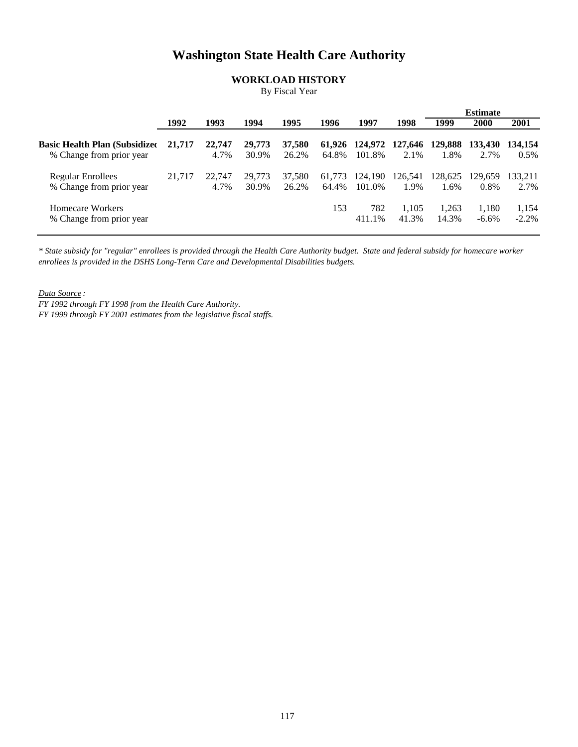# **Washington State Health Care Authority**

# **WORKLOAD HISTORY**

By Fiscal Year

|                                       |        |        |        |        |        |                |         |         | Estimate |          |
|---------------------------------------|--------|--------|--------|--------|--------|----------------|---------|---------|----------|----------|
|                                       | 1992   | 1993   | 1994   | 1995   | 1996   | 1997           | 1998    | 1999    | 2000     | 2001     |
| <b>Basic Health Plan (Subsidized)</b> | 21,717 | 22,747 | 29,773 | 37,580 |        | 61,926 124,972 | 127,646 | 129,888 | 133.430  | 134,154  |
| % Change from prior year              |        | 4.7%   | 30.9%  | 26.2%  | 64.8%  | 101.8%         | 2.1%    | 1.8%    | 2.7%     | 0.5%     |
| <b>Regular Enrollees</b>              | 21,717 | 22,747 | 29.773 | 37.580 | 61.773 | 124,190        | 126,541 | 128,625 | 129.659  | 133.211  |
| % Change from prior year              |        | 4.7%   | 30.9%  | 26.2%  | 64.4%  | 101.0%         | 1.9%    | 1.6%    | 0.8%     | 2.7%     |
| Homecare Workers                      |        |        |        |        | 153    | 782            | 1.105   | 1.263   | 1,180    | 1,154    |
| % Change from prior year              |        |        |        |        |        | 411.1%         | 41.3%   | 14.3%   | $-6.6\%$ | $-2.2\%$ |

*\* State subsidy for "regular" enrollees is provided through the Health Care Authority budget. State and federal subsidy for homecare worker enrollees is provided in the DSHS Long-Term Care and Developmental Disabilities budgets.*

*Data Source :*

*FY 1992 through FY 1998 from the Health Care Authority. FY 1999 through FY 2001 estimates from the legislative fiscal staffs.*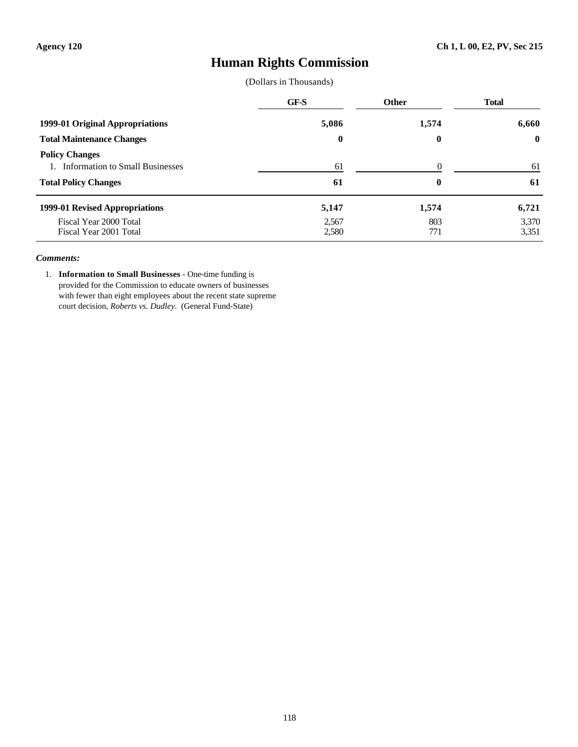# **Human Rights Commission**

(Dollars in Thousands)

|                                                             | GF-S           | Other      | <b>Total</b>   |
|-------------------------------------------------------------|----------------|------------|----------------|
| 1999-01 Original Appropriations                             | 5,086          | 1,574      | 6,660          |
| <b>Total Maintenance Changes</b>                            | $\bf{0}$       | $\bf{0}$   | $\bf{0}$       |
| <b>Policy Changes</b><br>1. Information to Small Businesses | 61             | $\Omega$   | 61             |
| <b>Total Policy Changes</b>                                 | 61             | $\bf{0}$   | 61             |
| 1999-01 Revised Appropriations                              | 5,147          | 1,574      | 6,721          |
| Fiscal Year 2000 Total<br>Fiscal Year 2001 Total            | 2,567<br>2,580 | 803<br>771 | 3,370<br>3,351 |

#### *Comments:*

1. **Information to Small Businesses** - One-time funding is provided for the Commission to educate owners of businesses with fewer than eight employees about the recent state supreme court decision, *Roberts vs. Dudley*. (General Fund-State)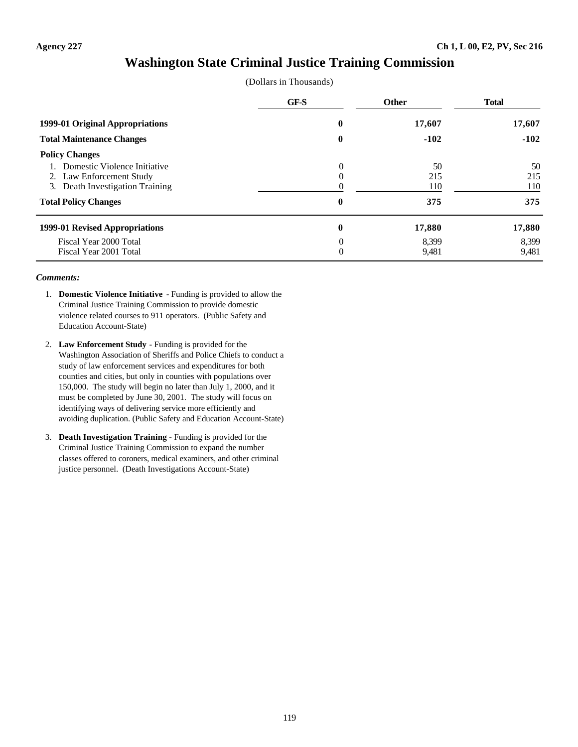# **Washington State Criminal Justice Training Commission**

|  | (Dollars in Thousands) |
|--|------------------------|
|--|------------------------|

|                                  | GF-S         | <b>Other</b> | <b>Total</b> |
|----------------------------------|--------------|--------------|--------------|
| 1999-01 Original Appropriations  | 17,607<br>0  |              | 17,607       |
| <b>Total Maintenance Changes</b> | 0            | $-102$       | $-102$       |
| <b>Policy Changes</b>            |              |              |              |
| Domestic Violence Initiative     | $\theta$     | 50           | 50           |
| 2. Law Enforcement Study         | $\theta$     | 215          | 215          |
| 3. Death Investigation Training  |              | 110          | 110          |
| <b>Total Policy Changes</b>      | $\mathbf{0}$ | 375          | 375          |
| 1999-01 Revised Appropriations   | $\bf{0}$     | 17,880       | 17,880       |
| Fiscal Year 2000 Total           | $\Omega$     | 8.399        | 8.399        |
| Fiscal Year 2001 Total           | $\theta$     | 9,481        | 9,481        |

- 1. **Domestic Violence Initiative** Funding is provided to allow the Criminal Justice Training Commission to provide domestic violence related courses to 911 operators. (Public Safety and Education Account-State)
- 2. **Law Enforcement Study** Funding is provided for the Washington Association of Sheriffs and Police Chiefs to conduct a study of law enforcement services and expenditures for both counties and cities, but only in counties with populations over 150,000. The study will begin no later than July 1, 2000, and it must be completed by June 30, 2001. The study will focus on identifying ways of delivering service more efficiently and avoiding duplication. (Public Safety and Education Account-State)
- 3. **Death Investigation Training** Funding is provided for the Criminal Justice Training Commission to expand the number classes offered to coroners, medical examiners, and other criminal justice personnel. (Death Investigations Account-State)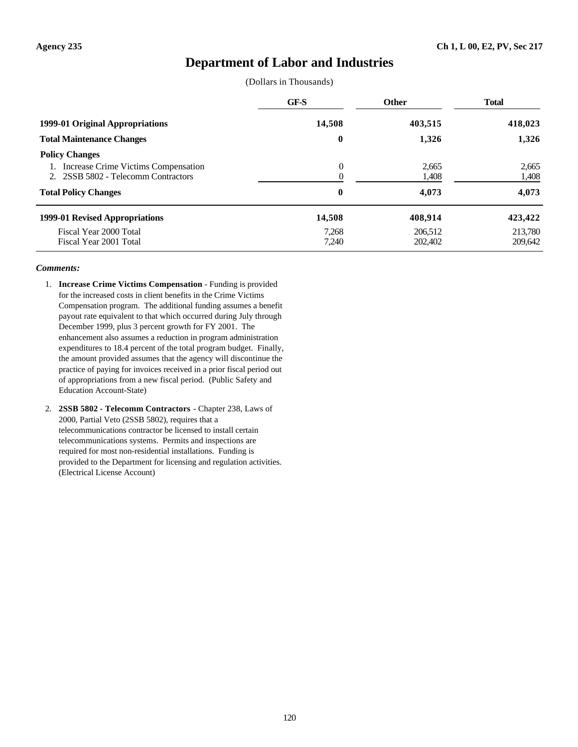# **Department of Labor and Industries**

(Dollars in Thousands)

|                                                                                                                                 | GF-S                 | <b>Other</b>            | <b>Total</b>            |
|---------------------------------------------------------------------------------------------------------------------------------|----------------------|-------------------------|-------------------------|
| 1999-01 Original Appropriations                                                                                                 | 14,508               | 403,515                 | 418,023                 |
| <b>Total Maintenance Changes</b>                                                                                                | $\bf{0}$             | 1,326                   | 1,326                   |
| <b>Policy Changes</b><br>Increase Crime Victims Compensation<br>2SSB 5802 - Telecomm Contractors<br><b>Total Policy Changes</b> | $\theta$<br>$\bf{0}$ | 2,665<br>1,408<br>4,073 | 2.665<br>1,408<br>4,073 |
| 1999-01 Revised Appropriations                                                                                                  | 14,508               | 408,914                 | 423,422                 |
| Fiscal Year 2000 Total<br>Fiscal Year 2001 Total                                                                                | 7,268<br>7,240       | 206,512<br>202,402      | 213,780<br>209,642      |

- 1. **Increase Crime Victims Compensation** Funding is provided for the increased costs in client benefits in the Crime Victims Compensation program. The additional funding assumes a benefit payout rate equivalent to that which occurred during July through December 1999, plus 3 percent growth for FY 2001. The enhancement also assumes a reduction in program administration expenditures to 18.4 percent of the total program budget. Finally, the amount provided assumes that the agency will discontinue the practice of paying for invoices received in a prior fiscal period out of appropriations from a new fiscal period. (Public Safety and Education Account-State)
- 2. **2SSB 5802 Telecomm Contractors** Chapter 238, Laws of 2000, Partial Veto (2SSB 5802), requires that a telecommunications contractor be licensed to install certain telecommunications systems. Permits and inspections are required for most non-residential installations. Funding is provided to the Department for licensing and regulation activities. (Electrical License Account)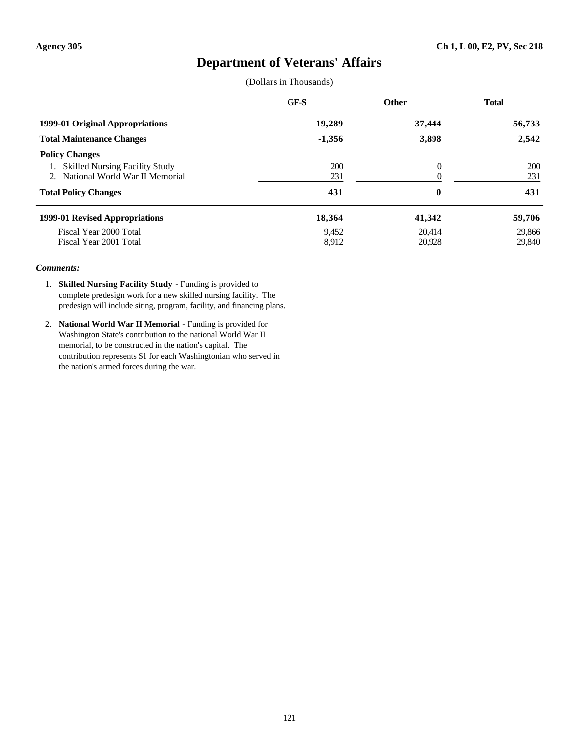# **Department of Veterans' Affairs**

(Dollars in Thousands)

|                                                                                                                                 | <b>GF-S</b>       | Other            | <b>Total</b>      |  |  |
|---------------------------------------------------------------------------------------------------------------------------------|-------------------|------------------|-------------------|--|--|
| 1999-01 Original Appropriations                                                                                                 | 19,289            | 37,444           |                   |  |  |
| <b>Total Maintenance Changes</b>                                                                                                | $-1,356$          | 3,898            | 2,542             |  |  |
| <b>Policy Changes</b><br><b>Skilled Nursing Facility Study</b><br>National World War II Memorial<br>$\mathcal{D}_{\mathcal{L}}$ | <b>200</b><br>231 | $\theta$         | <b>200</b><br>231 |  |  |
| <b>Total Policy Changes</b>                                                                                                     | 431               | $\boldsymbol{0}$ | 431               |  |  |
| 1999-01 Revised Appropriations                                                                                                  | 18,364            | 41,342           | 59,706            |  |  |
| Fiscal Year 2000 Total<br>Fiscal Year 2001 Total                                                                                | 9,452<br>8,912    | 20.414<br>20.928 | 29,866<br>29,840  |  |  |

- 1. **Skilled Nursing Facility Study** Funding is provided to complete predesign work for a new skilled nursing facility. The predesign will include siting, program, facility, and financing plans.
- 2. **National World War II Memorial** Funding is provided for Washington State's contribution to the national World War II memorial, to be constructed in the nation's capital. The contribution represents \$1 for each Washingtonian who served in the nation's armed forces during the war.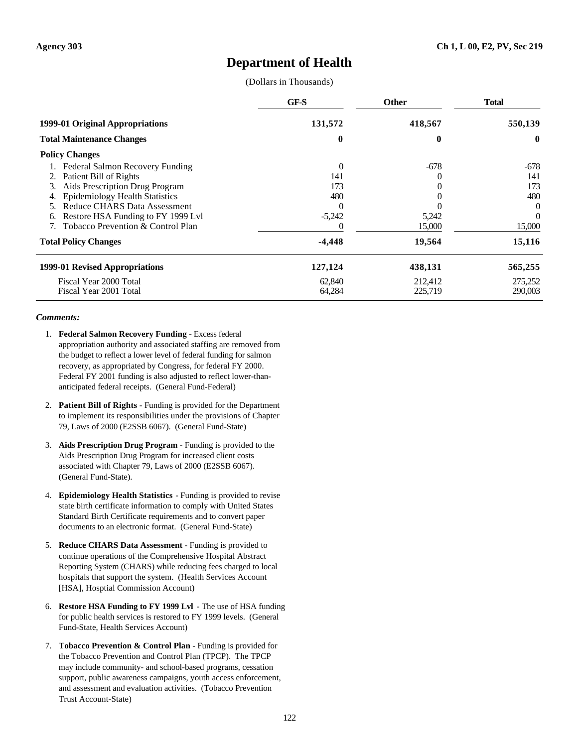# **Department of Health**

(Dollars in Thousands)

|                                       | GF-S     | <b>Other</b> | <b>Total</b> |
|---------------------------------------|----------|--------------|--------------|
| 1999-01 Original Appropriations       | 131,572  | 418,567      | 550,139      |
| <b>Total Maintenance Changes</b>      | 0        | 0            | $\mathbf{0}$ |
| <b>Policy Changes</b>                 |          |              |              |
| Federal Salmon Recovery Funding       | $\Omega$ | $-678$       | -678         |
| Patient Bill of Rights<br>2.          | 141      |              | 141          |
| Aids Prescription Drug Program<br>3.  | 173      |              | 173          |
| <b>Epidemiology Health Statistics</b> | 480      |              | 480          |
| <b>Reduce CHARS Data Assessment</b>   |          |              | $\theta$     |
| Restore HSA Funding to FY 1999 Lvl    | $-5,242$ | 5,242        | $\Omega$     |
| Tobacco Prevention & Control Plan     |          | 15,000       | 15,000       |
| <b>Total Policy Changes</b>           | $-4,448$ | 19,564       | 15,116       |
| 1999-01 Revised Appropriations        | 127,124  | 438,131      | 565,255      |
| Fiscal Year 2000 Total                | 62,840   | 212,412      | 275,252      |
| Fiscal Year 2001 Total                | 64,284   | 225,719      | 290,003      |

- 1. **Federal Salmon Recovery Funding** Excess federal appropriation authority and associated staffing are removed from the budget to reflect a lower level of federal funding for salmon recovery, as appropriated by Congress, for federal FY 2000. Federal FY 2001 funding is also adjusted to reflect lower-thananticipated federal receipts. (General Fund-Federal)
- 2. **Patient Bill of Rights** Funding is provided for the Department to implement its responsibilities under the provisions of Chapter 79, Laws of 2000 (E2SSB 6067). (General Fund-State)
- 3. **Aids Prescription Drug Program** Funding is provided to the Aids Prescription Drug Program for increased client costs associated with Chapter 79, Laws of 2000 (E2SSB 6067). (General Fund-State).
- 4. **Epidemiology Health Statistics** Funding is provided to revise state birth certificate information to comply with United States Standard Birth Certificate requirements and to convert paper documents to an electronic format. (General Fund-State)
- 5. **Reduce CHARS Data Assessment** Funding is provided to continue operations of the Comprehensive Hospital Abstract Reporting System (CHARS) while reducing fees charged to local hospitals that support the system. (Health Services Account [HSA], Hosptial Commission Account)
- 6. **Restore HSA Funding to FY 1999 Lvl** The use of HSA funding for public health services is restored to FY 1999 levels. (General Fund-State, Health Services Account)
- 7. **Tobacco Prevention & Control Plan** Funding is provided for the Tobacco Prevention and Control Plan (TPCP). The TPCP may include community- and school-based programs, cessation support, public awareness campaigns, youth access enforcement, and assessment and evaluation activities. (Tobacco Prevention Trust Account-State)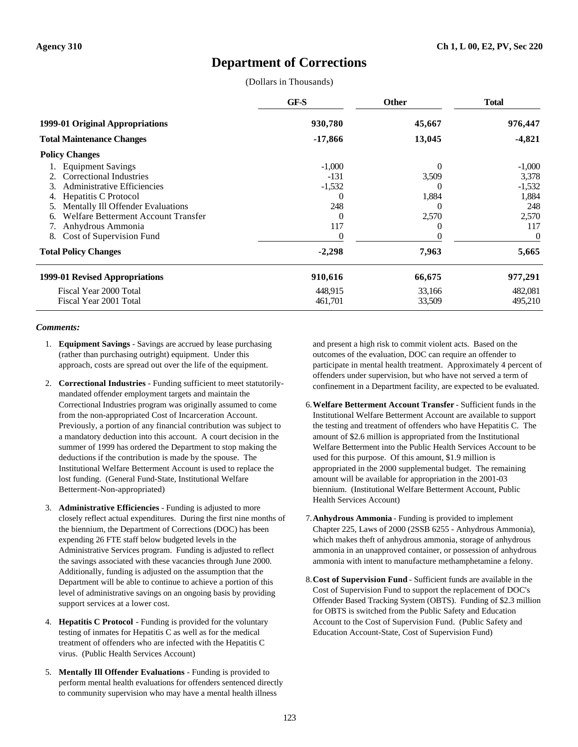# **Department of Corrections**

(Dollars in Thousands)

|                                           | GF-S      | <b>Other</b> | <b>Total</b> |
|-------------------------------------------|-----------|--------------|--------------|
| 1999-01 Original Appropriations           | 930,780   | 45,667       | 976,447      |
| <b>Total Maintenance Changes</b>          | $-17,866$ | 13,045       | $-4,821$     |
| <b>Policy Changes</b>                     |           |              |              |
| <b>Equipment Savings</b>                  | $-1,000$  | $\Omega$     | $-1,000$     |
| <b>Correctional Industries</b>            | $-131$    | 3,509        | 3,378        |
| <b>Administrative Efficiencies</b><br>3.  | $-1,532$  |              | $-1,532$     |
| Hepatitis C Protocol                      |           | 1,884        | 1,884        |
| Mentally Ill Offender Evaluations         | 248       | $\left($     | 248          |
| Welfare Betterment Account Transfer<br>6. | $\theta$  | 2,570        | 2,570        |
| Anhydrous Ammonia<br>7.                   | 117       |              | 117          |
| Cost of Supervision Fund<br>8.            |           |              | 0            |
| <b>Total Policy Changes</b>               | $-2,298$  | 7,963        | 5,665        |
| 1999-01 Revised Appropriations            | 910,616   | 66,675       | 977,291      |
| Fiscal Year 2000 Total                    | 448,915   | 33,166       | 482,081      |
| Fiscal Year 2001 Total                    | 461,701   | 33,509       | 495,210      |

### *Comments:*

- 1. **Equipment Savings** Savings are accrued by lease purchasing (rather than purchasing outright) equipment. Under this approach, costs are spread out over the life of the equipment.
- 2. **Correctional Industries** Funding sufficient to meet statutorilymandated offender employment targets and maintain the Correctional Industries program was originally assumed to come from the non-appropriated Cost of Incarceration Account. Previously, a portion of any financial contribution was subject to a mandatory deduction into this account. A court decision in the summer of 1999 has ordered the Department to stop making the deductions if the contribution is made by the spouse. The Institutional Welfare Betterment Account is used to replace the lost funding. (General Fund-State, Institutional Welfare Betterment-Non-appropriated)
- 3. **Administrative Efficiencies** Funding is adjusted to more closely reflect actual expenditures. During the first nine months of the biennium, the Department of Corrections (DOC) has been expending 26 FTE staff below budgeted levels in the Administrative Services program. Funding is adjusted to reflect the savings associated with these vacancies through June 2000. Additionally, funding is adjusted on the assumption that the Department will be able to continue to achieve a portion of this level of administrative savings on an ongoing basis by providing support services at a lower cost.
- 4. **Hepatitis C Protocol** Funding is provided for the voluntary testing of inmates for Hepatitis C as well as for the medical treatment of offenders who are infected with the Hepatitis C virus. (Public Health Services Account)
- 5. **Mentally Ill Offender Evaluations** Funding is provided to perform mental health evaluations for offenders sentenced directly to community supervision who may have a mental health illness

and present a high risk to commit violent acts. Based on the outcomes of the evaluation, DOC can require an offender to participate in mental health treatment. Approximately 4 percent of offenders under supervision, but who have not served a term of confinement in a Department facility, are expected to be evaluated.

- 6.**Welfare Betterment Account Transfer** Sufficient funds in the Institutional Welfare Betterment Account are available to support the testing and treatment of offenders who have Hepatitis C. The amount of \$2.6 million is appropriated from the Institutional Welfare Betterment into the Public Health Services Account to be used for this purpose. Of this amount, \$1.9 million is appropriated in the 2000 supplemental budget. The remaining amount will be available for appropriation in the 2001-03 biennium. (Institutional Welfare Betterment Account, Public Health Services Account)
- 7.**Anhydrous Ammonia** Funding is provided to implement Chapter 225, Laws of 2000 (2SSB 6255 - Anhydrous Ammonia), which makes theft of anhydrous ammonia, storage of anhydrous ammonia in an unapproved container, or possession of anhydrous ammonia with intent to manufacture methamphetamine a felony.
- 8.**Cost of Supervision Fund** Sufficient funds are available in the Cost of Supervision Fund to support the replacement of DOC's Offender Based Tracking System (OBTS). Funding of \$2.3 million for OBTS is switched from the Public Safety and Education Account to the Cost of Supervision Fund. (Public Safety and Education Account-State, Cost of Supervision Fund)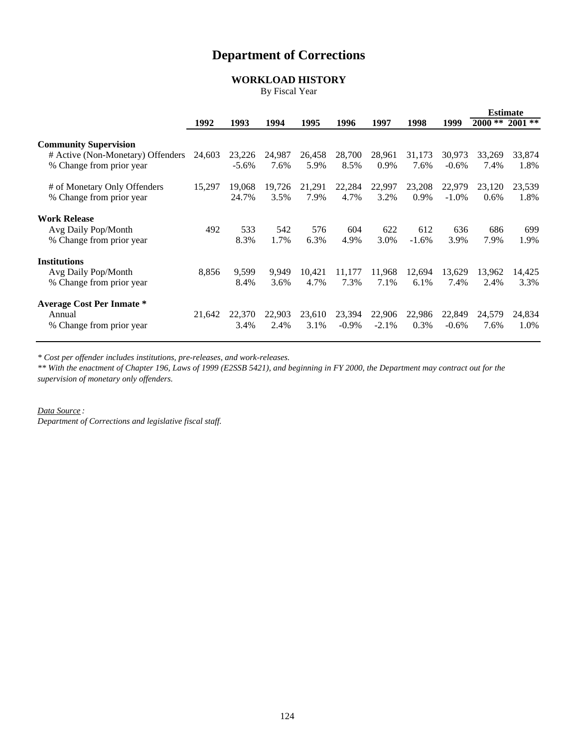# **Department of Corrections**

# **WORKLOAD HISTORY**

By Fiscal Year

|                                                                        |        |                   |                |                |                    |                    |                |                    |                | <b>Estimate</b> |
|------------------------------------------------------------------------|--------|-------------------|----------------|----------------|--------------------|--------------------|----------------|--------------------|----------------|-----------------|
|                                                                        | 1992   | 1993              | 1994           | 1995           | 1996               | 1997               | 1998           | 1999               | $2000**$       | $2001$ **       |
| <b>Community Supervision</b>                                           |        |                   |                |                |                    |                    |                |                    |                |                 |
| # Active (Non-Monetary) Offenders<br>% Change from prior year          | 24,603 | 23,226<br>$-5.6%$ | 24,987<br>7.6% | 26,458<br>5.9% | 28,700<br>8.5%     | 28,961<br>0.9%     | 31,173<br>7.6% | 30,973<br>$-0.6%$  | 33,269<br>7.4% | 33,874<br>1.8%  |
| # of Monetary Only Offenders<br>% Change from prior year               | 15,297 | 19,068<br>24.7%   | 19,726<br>3.5% | 21,291<br>7.9% | 22,284<br>4.7%     | 22,997<br>3.2%     | 23,208<br>0.9% | 22,979<br>$-1.0\%$ | 23,120<br>0.6% | 23,539<br>1.8%  |
| <b>Work Release</b>                                                    |        |                   |                |                |                    |                    |                |                    |                |                 |
| Avg Daily Pop/Month<br>% Change from prior year                        | 492    | 533<br>8.3%       | 542<br>1.7%    | 576<br>6.3%    | 604<br>4.9%        | 622<br>3.0%        | 612<br>$-1.6%$ | 636<br>3.9%        | 686<br>7.9%    | 699<br>1.9%     |
| <b>Institutions</b>                                                    |        |                   |                |                |                    |                    |                |                    |                |                 |
| Avg Daily Pop/Month<br>% Change from prior year                        | 8,856  | 9,599<br>8.4%     | 9.949<br>3.6%  | 10,421<br>4.7% | 11,177<br>7.3%     | 11,968<br>7.1%     | 12,694<br>6.1% | 13,629<br>7.4%     | 13,962<br>2.4% | 14,425<br>3.3%  |
| <b>Average Cost Per Inmate *</b><br>Annual<br>% Change from prior year | 21,642 | 22,370<br>3.4%    | 22,903<br>2.4% | 23,610<br>3.1% | 23,394<br>$-0.9\%$ | 22,906<br>$-2.1\%$ | 22,986<br>0.3% | 22,849<br>$-0.6%$  | 24,579<br>7.6% | 24,834<br>1.0%  |

*\* Cost per offender includes institutions, pre-releases, and work-releases.*

*\*\* With the enactment of Chapter 196, Laws of 1999 (E2SSB 5421), and beginning in FY 2000, the Department may contract out for the supervision of monetary only offenders.*

*Data Source :*

*Department of Corrections and legislative fiscal staff.*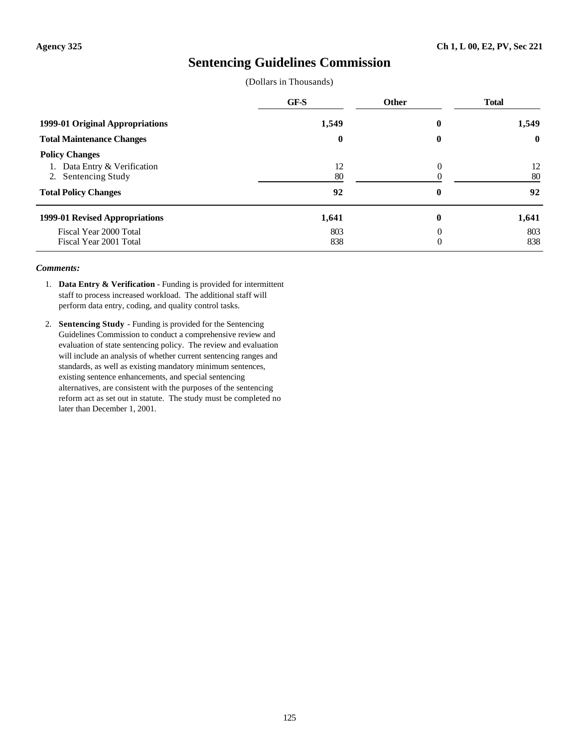# **Sentencing Guidelines Commission**

(Dollars in Thousands)

|                                                                                                          | GF-S           | <b>Other</b>     | <b>Total</b>   |
|----------------------------------------------------------------------------------------------------------|----------------|------------------|----------------|
| 1999-01 Original Appropriations                                                                          | 1,549          | 0                | 1,549          |
| <b>Total Maintenance Changes</b>                                                                         | $\bf{0}$       | $\boldsymbol{0}$ | $\bf{0}$       |
| <b>Policy Changes</b><br>Data Entry & Verification<br>2. Sentencing Study<br><b>Total Policy Changes</b> | 12<br>80<br>92 | $\Omega$<br>0    | 12<br>80<br>92 |
| 1999-01 Revised Appropriations                                                                           | 1,641          | 0                | 1,641          |
| Fiscal Year 2000 Total<br>Fiscal Year 2001 Total                                                         | 803<br>838     | 0<br>0           | 803<br>838     |

- 1. **Data Entry & Verification** Funding is provided for intermittent staff to process increased workload. The additional staff will perform data entry, coding, and quality control tasks.
- 2. **Sentencing Study** Funding is provided for the Sentencing Guidelines Commission to conduct a comprehensive review and evaluation of state sentencing policy. The review and evaluation will include an analysis of whether current sentencing ranges and standards, as well as existing mandatory minimum sentences, existing sentence enhancements, and special sentencing alternatives, are consistent with the purposes of the sentencing reform act as set out in statute. The study must be completed no later than December 1, 2001.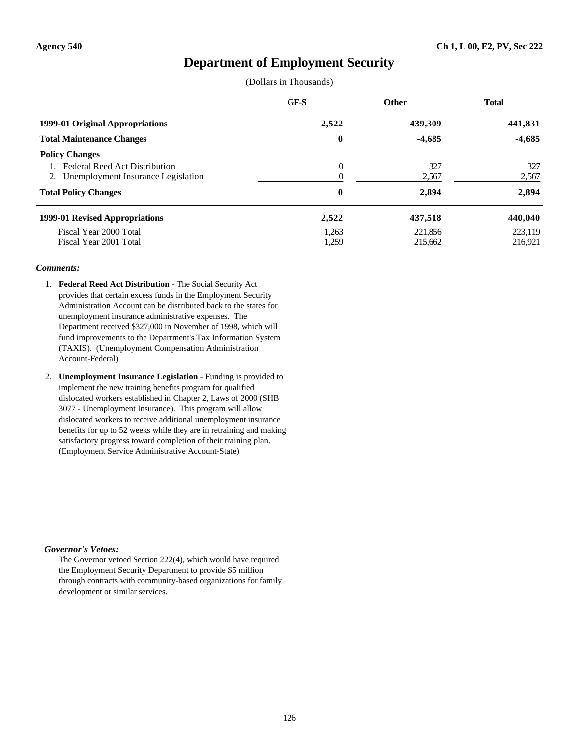# **Department of Employment Security**

(Dollars in Thousands)

|                                                                                                                                       | GF-S                 | <b>Other</b>          | <b>Total</b>          |
|---------------------------------------------------------------------------------------------------------------------------------------|----------------------|-----------------------|-----------------------|
| 1999-01 Original Appropriations                                                                                                       | 2,522                | 439,309               | 441,831               |
| <b>Total Maintenance Changes</b>                                                                                                      | $\bf{0}$             | $-4,685$              | $-4,685$              |
| <b>Policy Changes</b><br><b>Federal Reed Act Distribution</b><br>2. Unemployment Insurance Legislation<br><b>Total Policy Changes</b> | $\theta$<br>$\bf{0}$ | 327<br>2,567<br>2,894 | 327<br>2,567<br>2,894 |
| 1999-01 Revised Appropriations                                                                                                        | 2,522                | 437,518               | 440,040               |
| Fiscal Year 2000 Total<br>Fiscal Year 2001 Total                                                                                      | 1,263<br>1,259       | 221.856<br>215,662    | 223,119<br>216,921    |

### *Comments:*

- 1. **Federal Reed Act Distribution** The Social Security Act provides that certain excess funds in the Employment Security Administration Account can be distributed back to the states for unemployment insurance administrative expenses. The Department received \$327,000 in November of 1998, which will fund improvements to the Department's Tax Information System (TAXIS). (Unemployment Compensation Administration Account-Federal)
- 2. **Unemployment Insurance Legislation** Funding is provided to implement the new training benefits program for qualified dislocated workers established in Chapter 2, Laws of 2000 (SHB 3077 - Unemployment Insurance). This program will allow dislocated workers to receive additional unemployment insurance benefits for up to 52 weeks while they are in retraining and making satisfactory progress toward completion of their training plan. (Employment Service Administrative Account-State)

### *Governor's Vetoes:*

The Governor vetoed Section 222(4), which would have required the Employment Security Department to provide \$5 million through contracts with community-based organizations for family development or similar services.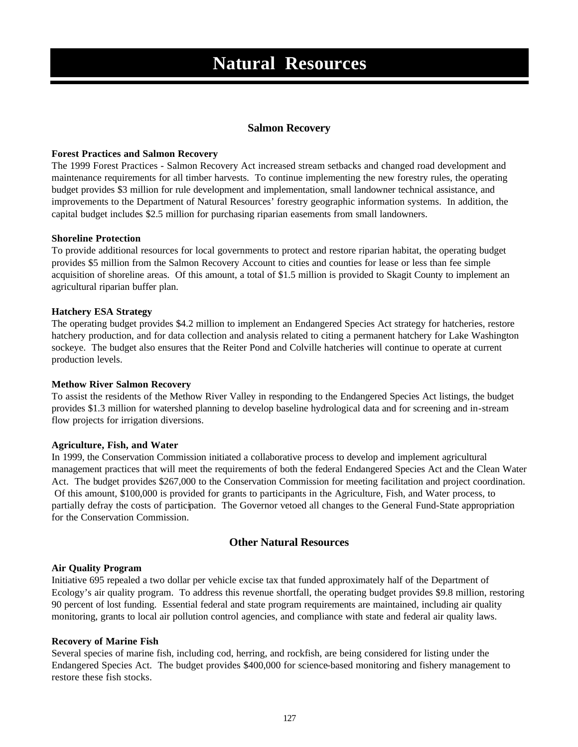# **Salmon Recovery**

### **Forest Practices and Salmon Recovery**

The 1999 Forest Practices - Salmon Recovery Act increased stream setbacks and changed road development and maintenance requirements for all timber harvests. To continue implementing the new forestry rules, the operating budget provides \$3 million for rule development and implementation, small landowner technical assistance, and improvements to the Department of Natural Resources' forestry geographic information systems. In addition, the capital budget includes \$2.5 million for purchasing riparian easements from small landowners.

### **Shoreline Protection**

To provide additional resources for local governments to protect and restore riparian habitat, the operating budget provides \$5 million from the Salmon Recovery Account to cities and counties for lease or less than fee simple acquisition of shoreline areas. Of this amount, a total of \$1.5 million is provided to Skagit County to implement an agricultural riparian buffer plan.

### **Hatchery ESA Strategy**

The operating budget provides \$4.2 million to implement an Endangered Species Act strategy for hatcheries, restore hatchery production, and for data collection and analysis related to citing a permanent hatchery for Lake Washington sockeye. The budget also ensures that the Reiter Pond and Colville hatcheries will continue to operate at current production levels.

### **Methow River Salmon Recovery**

To assist the residents of the Methow River Valley in responding to the Endangered Species Act listings, the budget provides \$1.3 million for watershed planning to develop baseline hydrological data and for screening and in-stream flow projects for irrigation diversions.

### **Agriculture, Fish, and Water**

In 1999, the Conservation Commission initiated a collaborative process to develop and implement agricultural management practices that will meet the requirements of both the federal Endangered Species Act and the Clean Water Act. The budget provides \$267,000 to the Conservation Commission for meeting facilitation and project coordination. Of this amount, \$100,000 is provided for grants to participants in the Agriculture, Fish, and Water process, to partially defray the costs of participation. The Governor vetoed all changes to the General Fund-State appropriation for the Conservation Commission.

# **Other Natural Resources**

### **Air Quality Program**

Initiative 695 repealed a two dollar per vehicle excise tax that funded approximately half of the Department of Ecology's air quality program. To address this revenue shortfall, the operating budget provides \$9.8 million, restoring 90 percent of lost funding. Essential federal and state program requirements are maintained, including air quality monitoring, grants to local air pollution control agencies, and compliance with state and federal air quality laws.

### **Recovery of Marine Fish**

Several species of marine fish, including cod, herring, and rockfish, are being considered for listing under the Endangered Species Act. The budget provides \$400,000 for science-based monitoring and fishery management to restore these fish stocks.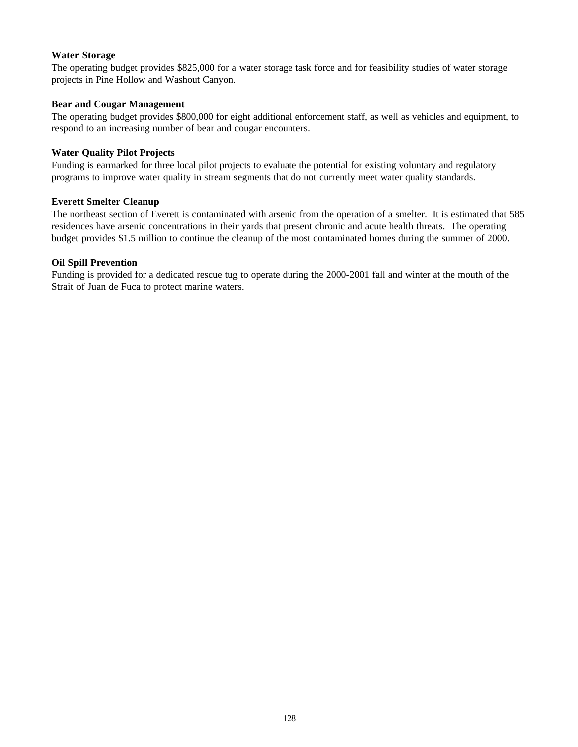## **Water Storage**

The operating budget provides \$825,000 for a water storage task force and for feasibility studies of water storage projects in Pine Hollow and Washout Canyon.

## **Bear and Cougar Management**

The operating budget provides \$800,000 for eight additional enforcement staff, as well as vehicles and equipment, to respond to an increasing number of bear and cougar encounters.

## **Water Quality Pilot Projects**

Funding is earmarked for three local pilot projects to evaluate the potential for existing voluntary and regulatory programs to improve water quality in stream segments that do not currently meet water quality standards.

## **Everett Smelter Cleanup**

The northeast section of Everett is contaminated with arsenic from the operation of a smelter. It is estimated that 585 residences have arsenic concentrations in their yards that present chronic and acute health threats. The operating budget provides \$1.5 million to continue the cleanup of the most contaminated homes during the summer of 2000.

## **Oil Spill Prevention**

Funding is provided for a dedicated rescue tug to operate during the 2000-2001 fall and winter at the mouth of the Strait of Juan de Fuca to protect marine waters.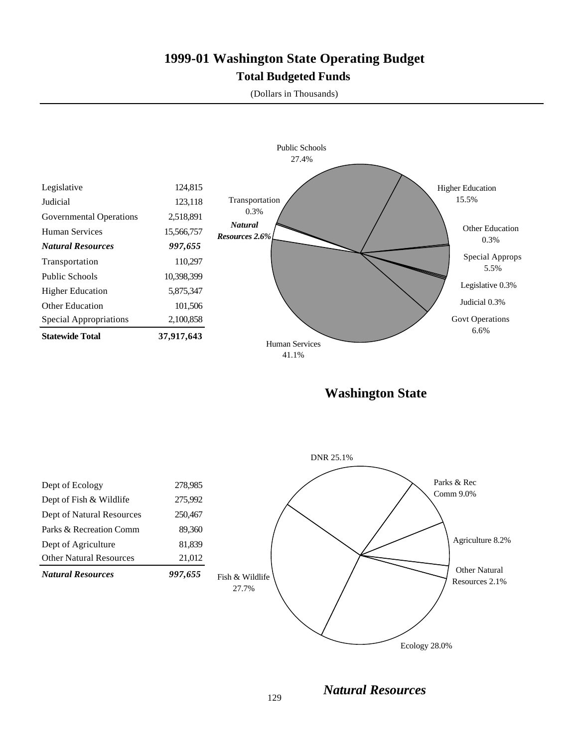# **1999-01 Washington State Operating Budget Total Budgeted Funds**

(Dollars in Thousands)



**Washington State**



*Natural Resources*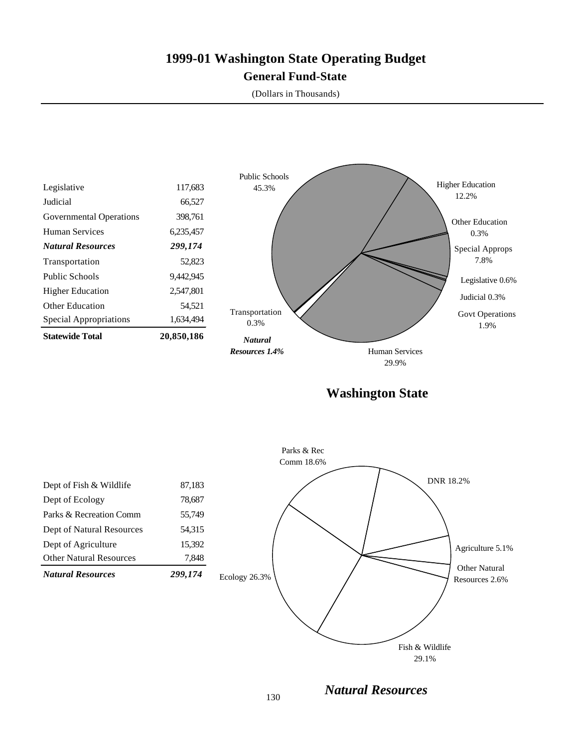# **1999-01 Washington State Operating Budget General Fund-State**

(Dollars in Thousands)



29.9%

**Washington State**



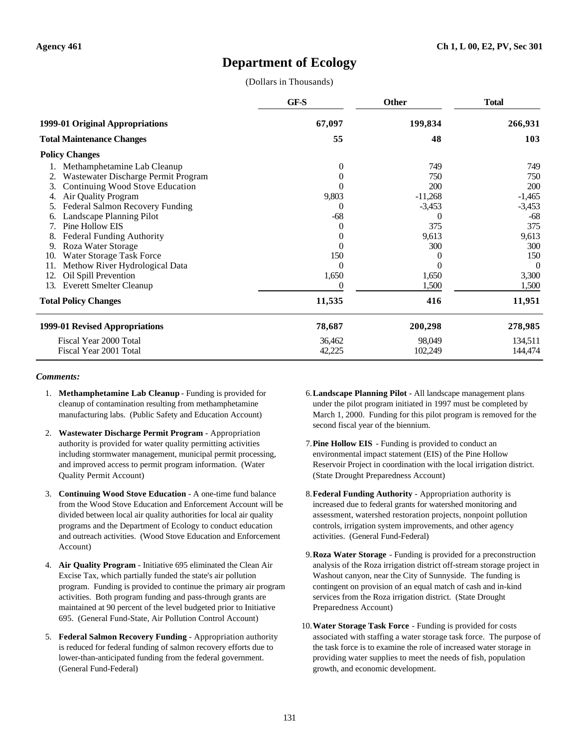# **Department of Ecology**

(Dollars in Thousands)

|     |                                     | GF-S           | <b>Other</b> | <b>Total</b> |
|-----|-------------------------------------|----------------|--------------|--------------|
|     | 1999-01 Original Appropriations     | 67,097         | 199,834      | 266,931      |
|     | <b>Total Maintenance Changes</b>    | 55             | 48           | 103          |
|     | <b>Policy Changes</b>               |                |              |              |
|     | Methamphetamine Lab Cleanup         | $\overline{0}$ | 749          | 749          |
|     | Wastewater Discharge Permit Program | 0              | 750          | 750          |
| 3.  | Continuing Wood Stove Education     | 0              | 200          | 200          |
| 4.  | Air Quality Program                 | 9,803          | $-11,268$    | $-1,465$     |
| 5.  | Federal Salmon Recovery Funding     | 0              | $-3,453$     | $-3,453$     |
|     | Landscape Planning Pilot            | $-68$          | $\theta$     | -68          |
|     | Pine Hollow EIS                     | $^{(1)}$       | 375          | 375          |
|     | <b>Federal Funding Authority</b>    | $\theta$       | 9,613        | 9,613        |
| 9.  | Roza Water Storage                  |                | 300          | 300          |
| 10. | Water Storage Task Force            | 150            |              | 150          |
| 11. | Methow River Hydrological Data      | 0              | 0            | $\theta$     |
| 12. | Oil Spill Prevention                | 1,650          | 1,650        | 3,300        |
| 13. | <b>Everett Smelter Cleanup</b>      |                | 1,500        | 1,500        |
|     | <b>Total Policy Changes</b>         | 11,535         | 416          | 11,951       |
|     | 1999-01 Revised Appropriations      | 78,687         | 200,298      | 278,985      |
|     | Fiscal Year 2000 Total              | 36,462         | 98,049       | 134,511      |
|     | Fiscal Year 2001 Total              | 42,225         | 102,249      | 144,474      |

- 1. **Methamphetamine Lab Cleanup** Funding is provided for cleanup of contamination resulting from methamphetamine manufacturing labs. (Public Safety and Education Account)
- 2. **Wastewater Discharge Permit Program** Appropriation authority is provided for water quality permitting activities including stormwater management, municipal permit processing, and improved access to permit program information. (Water Quality Permit Account)
- 3. **Continuing Wood Stove Education** A one-time fund balance from the Wood Stove Education and Enforcement Account will be divided between local air quality authorities for local air quality programs and the Department of Ecology to conduct education and outreach activities. (Wood Stove Education and Enforcement Account)
- 4. **Air Quality Program** Initiative 695 eliminated the Clean Air Excise Tax, which partially funded the state's air pollution program. Funding is provided to continue the primary air program activities. Both program funding and pass-through grants are maintained at 90 percent of the level budgeted prior to Initiative 695. (General Fund-State, Air Pollution Control Account)
- 5. **Federal Salmon Recovery Funding** Appropriation authority is reduced for federal funding of salmon recovery efforts due to lower-than-anticipated funding from the federal government. (General Fund-Federal)
- 6.**Landscape Planning Pilot** All landscape management plans under the pilot program initiated in 1997 must be completed by March 1, 2000. Funding for this pilot program is removed for the second fiscal year of the biennium.
- 7.**Pine Hollow EIS** Funding is provided to conduct an environmental impact statement (EIS) of the Pine Hollow Reservoir Project in coordination with the local irrigation district. (State Drought Preparedness Account)
- 8.**Federal Funding Authority** Appropriation authority is increased due to federal grants for watershed monitoring and assessment, watershed restoration projects, nonpoint pollution controls, irrigation system improvements, and other agency activities. (General Fund-Federal)
- 9.**Roza Water Storage** Funding is provided for a preconstruction analysis of the Roza irrigation district off-stream storage project in Washout canyon, near the City of Sunnyside. The funding is contingent on provision of an equal match of cash and in-kind services from the Roza irrigation district. (State Drought Preparedness Account)
- 10.**Water Storage Task Force** Funding is provided for costs associated with staffing a water storage task force. The purpose of the task force is to examine the role of increased water storage in providing water supplies to meet the needs of fish, population growth, and economic development.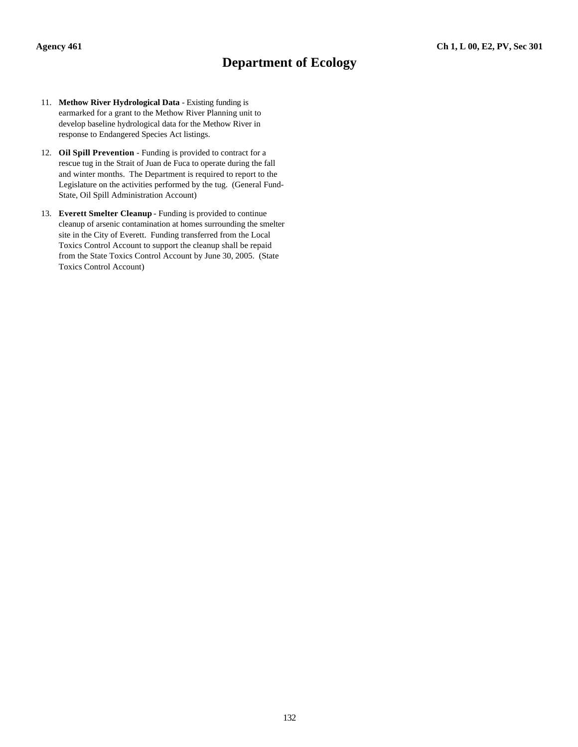# **Department of Ecology**

- 11. **Methow River Hydrological Data** Existing funding is earmarked for a grant to the Methow River Planning unit to develop baseline hydrological data for the Methow River in response to Endangered Species Act listings.
- 12. **Oil Spill Prevention** Funding is provided to contract for a rescue tug in the Strait of Juan de Fuca to operate during the fall and winter months. The Department is required to report to the Legislature on the activities performed by the tug. (General Fund-State, Oil Spill Administration Account)
- 13. **Everett Smelter Cleanup** Funding is provided to continue cleanup of arsenic contamination at homes surrounding the smelter site in the City of Everett. Funding transferred from the Local Toxics Control Account to support the cleanup shall be repaid from the State Toxics Control Account by June 30, 2005. (State Toxics Control Account)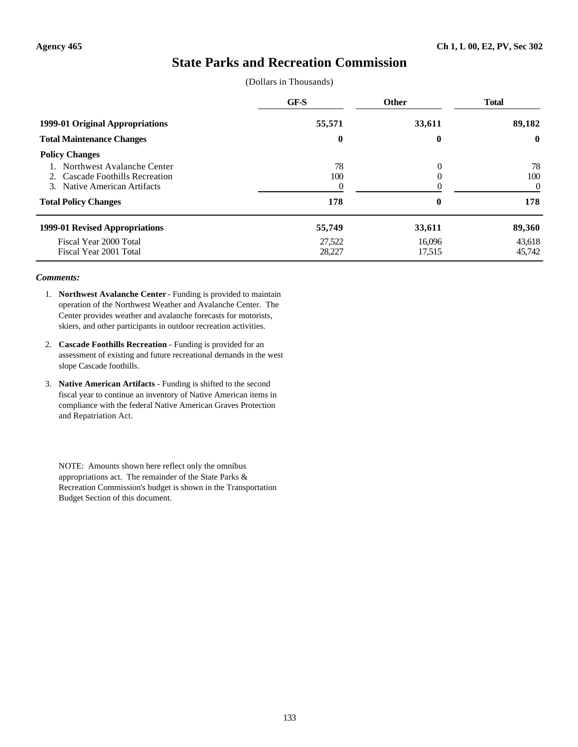# **State Parks and Recreation Commission**

(Dollars in Thousands)

| 89,182<br>$\bf{0}$ |
|--------------------|
|                    |
| 78                 |
| 100                |
| $\overline{0}$     |
| 178                |
| 89,360             |
| 43,618             |
| 45,742             |
|                    |

### *Comments:*

- 1. **Northwest Avalanche Center** Funding is provided to maintain operation of the Northwest Weather and Avalanche Center. The Center provides weather and avalanche forecasts for motorists, skiers, and other participants in outdoor recreation activities.
- 2. **Cascade Foothills Recreation** Funding is provided for an assessment of existing and future recreational demands in the west slope Cascade foothills.
- 3. **Native American Artifacts** Funding is shifted to the second fiscal year to continue an inventory of Native American items in compliance with the federal Native American Graves Protection and Repatriation Act.

NOTE: Amounts shown here reflect only the omnibus appropriations act. The remainder of the State Parks & Recreation Commission's budget is shown in the Transportation Budget Section of this document.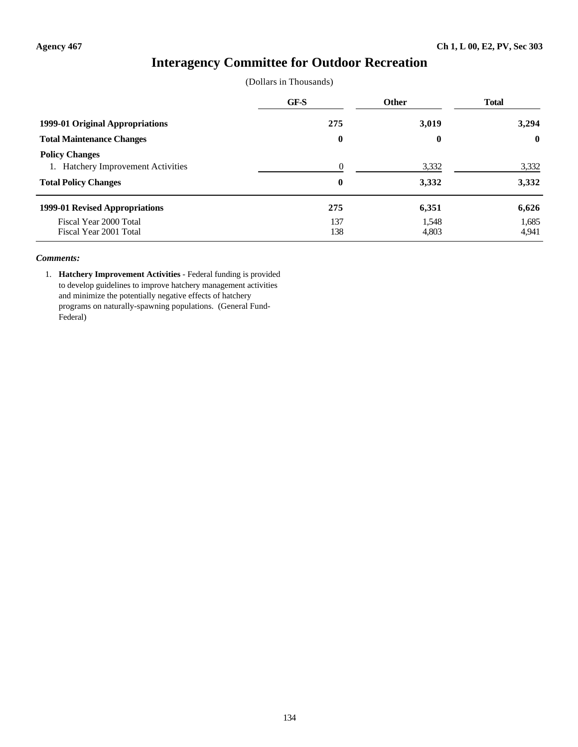# **Interagency Committee for Outdoor Recreation**

(Dollars in Thousands)

|                                                                                            | GF-S                 | <b>Other</b>   | <b>Total</b>   |
|--------------------------------------------------------------------------------------------|----------------------|----------------|----------------|
| 1999-01 Original Appropriations                                                            | 275                  | 3,019          | 3,294          |
| <b>Total Maintenance Changes</b>                                                           | $\bf{0}$             | $\bf{0}$       | $\mathbf{0}$   |
| <b>Policy Changes</b><br>1. Hatchery Improvement Activities<br><b>Total Policy Changes</b> | $\Omega$<br>$\bf{0}$ | 3,332<br>3,332 | 3,332<br>3,332 |
| 1999-01 Revised Appropriations                                                             | 275                  | 6,351          | 6,626          |
| Fiscal Year 2000 Total<br>Fiscal Year 2001 Total                                           | 137<br>138           | 1,548<br>4,803 | 1,685<br>4,941 |

### *Comments:*

1. **Hatchery Improvement Activities** - Federal funding is provided to develop guidelines to improve hatchery management activities and minimize the potentially negative effects of hatchery programs on naturally-spawning populations. (General Fund-Federal)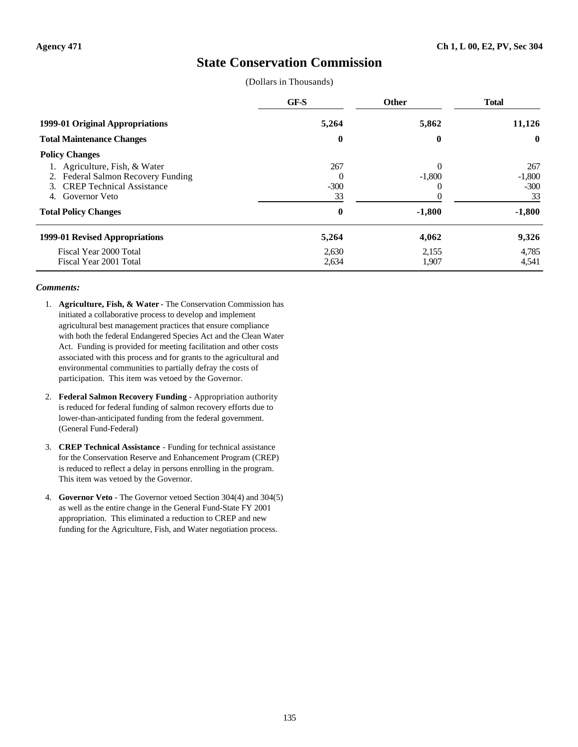# **State Conservation Commission**

(Dollars in Thousands)

|                                                                                                                                                 | GF-S                            | <b>Other</b>         | <b>Total</b>                    |
|-------------------------------------------------------------------------------------------------------------------------------------------------|---------------------------------|----------------------|---------------------------------|
| 1999-01 Original Appropriations                                                                                                                 | 5,264                           | 5,862                | 11,126                          |
| <b>Total Maintenance Changes</b>                                                                                                                | $\boldsymbol{0}$                | 0                    | $\mathbf{0}$                    |
| <b>Policy Changes</b>                                                                                                                           |                                 |                      |                                 |
| 1. Agriculture, Fish, & Water<br>2. Federal Salmon Recovery Funding<br><b>CREP</b> Technical Assistance<br>$\mathcal{F}$<br>Governor Veto<br>4. | 267<br>$\Omega$<br>$-300$<br>33 | $\Omega$<br>$-1,800$ | 267<br>$-1,800$<br>$-300$<br>33 |
| <b>Total Policy Changes</b>                                                                                                                     | $\bf{0}$                        | $-1,800$             | $-1,800$                        |
| 1999-01 Revised Appropriations                                                                                                                  | 5,264                           | 4,062                | 9,326                           |
| Fiscal Year 2000 Total<br>Fiscal Year 2001 Total                                                                                                | 2,630<br>2,634                  | 2,155<br>1,907       | 4,785<br>4,541                  |

- 1. **Agriculture, Fish, & Water** The Conservation Commission has initiated a collaborative process to develop and implement agricultural best management practices that ensure compliance with both the federal Endangered Species Act and the Clean Water Act. Funding is provided for meeting facilitation and other costs associated with this process and for grants to the agricultural and environmental communities to partially defray the costs of participation. This item was vetoed by the Governor.
- 2. **Federal Salmon Recovery Funding** Appropriation authority is reduced for federal funding of salmon recovery efforts due to lower-than-anticipated funding from the federal government. (General Fund-Federal)
- 3. **CREP Technical Assistance** Funding for technical assistance for the Conservation Reserve and Enhancement Program (CREP) is reduced to reflect a delay in persons enrolling in the program. This item was vetoed by the Governor.
- 4. **Governor Veto** The Governor vetoed Section 304(4) and 304(5) as well as the entire change in the General Fund-State FY 2001 appropriation. This eliminated a reduction to CREP and new funding for the Agriculture, Fish, and Water negotiation process.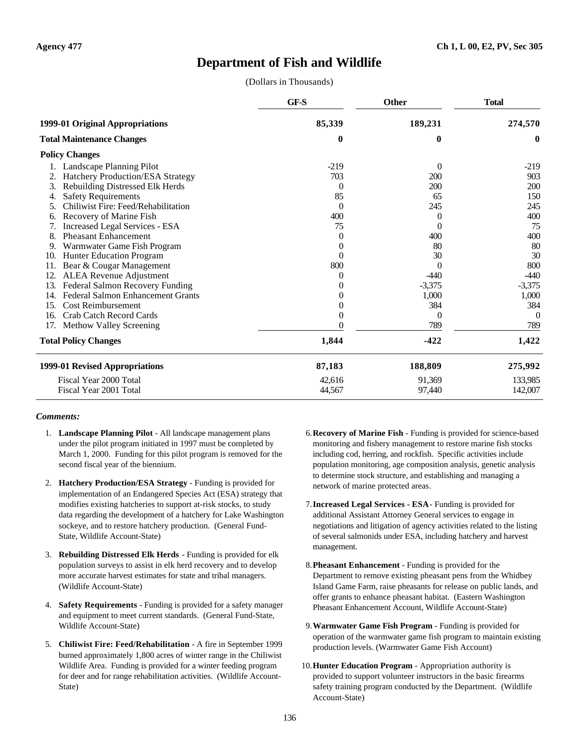# **Department of Fish and Wildlife**

(Dollars in Thousands)

|                        |                                          | GF-S     | <b>Other</b> | <b>Total</b> |
|------------------------|------------------------------------------|----------|--------------|--------------|
|                        | 1999-01 Original Appropriations          | 85,339   | 189,231      | 274,570      |
|                        | <b>Total Maintenance Changes</b>         | 0        | 0            | $\bf{0}$     |
|                        | <b>Policy Changes</b>                    |          |              |              |
|                        | Landscape Planning Pilot                 | $-219$   | $\theta$     | $-219$       |
|                        | Hatchery Production/ESA Strategy         | 703      | 200          | 903          |
| 3.                     | Rebuilding Distressed Elk Herds          | $\theta$ | 200          | 200          |
| 4.                     | <b>Safety Requirements</b>               | 85       | 65           | 150          |
| 5.                     | Chiliwist Fire: Feed/Rehabilitation      | $\Omega$ | 245          | 245          |
| 6.                     | Recovery of Marine Fish                  | 400      | $\theta$     | 400          |
|                        | Increased Legal Services - ESA           | 75       | $\theta$     | 75           |
| 8.                     | <b>Pheasant Enhancement</b>              | $\Omega$ | 400          | 400          |
|                        | Warmwater Game Fish Program              | $\theta$ | 80           | 80           |
| 10.                    | <b>Hunter Education Program</b>          | $\theta$ | 30           | 30           |
|                        | Bear & Cougar Management                 | 800      | $\theta$     | 800          |
| 12.                    | <b>ALEA Revenue Adjustment</b>           | $\theta$ | $-440$       | $-440$       |
| 13.                    | Federal Salmon Recovery Funding          | $\theta$ | $-3,375$     | $-3,375$     |
| 14.                    | <b>Federal Salmon Enhancement Grants</b> | 0        | 1,000        | 1,000        |
| 15.                    | <b>Cost Reimbursement</b>                | 0        | 384          | 384          |
| 16.                    | Crab Catch Record Cards                  | 0        | $\Omega$     | $\Omega$     |
| 17.                    | Methow Valley Screening                  |          | 789          | 789          |
|                        | <b>Total Policy Changes</b>              | 1,844    | $-422$       | 1,422        |
|                        | 1999-01 Revised Appropriations           | 87,183   | 188,809      | 275,992      |
| Fiscal Year 2000 Total |                                          | 42.616   | 91,369       | 133,985      |
| Fiscal Year 2001 Total |                                          | 44,567   | 97,440       | 142,007      |

- 1. **Landscape Planning Pilot** All landscape management plans under the pilot program initiated in 1997 must be completed by March 1, 2000. Funding for this pilot program is removed for the second fiscal year of the biennium.
- 2. **Hatchery Production/ESA Strategy** Funding is provided for implementation of an Endangered Species Act (ESA) strategy that modifies existing hatcheries to support at-risk stocks, to study data regarding the development of a hatchery for Lake Washington sockeye, and to restore hatchery production. (General Fund-State, Wildlife Account-State)
- 3. **Rebuilding Distressed Elk Herds** Funding is provided for elk population surveys to assist in elk herd recovery and to develop more accurate harvest estimates for state and tribal managers. (Wildlife Account-State)
- 4. **Safety Requirements** Funding is provided for a safety manager and equipment to meet current standards. (General Fund-State, Wildlife Account-State)
- 5. **Chiliwist Fire: Feed/Rehabilitation** A fire in September 1999 burned approximately 1,800 acres of winter range in the Chiliwist Wildlife Area. Funding is provided for a winter feeding program for deer and for range rehabilitation activities. (Wildlife Account-State)
- 6.**Recovery of Marine Fish** Funding is provided for science-based monitoring and fishery management to restore marine fish stocks including cod, herring, and rockfish. Specific activities include population monitoring, age composition analysis, genetic analysis to determine stock structure, and establishing and managing a network of marine protected areas.
- 7.**Increased Legal Services ESA** Funding is provided for additional Assistant Attorney General services to engage in negotiations and litigation of agency activities related to the listing of several salmonids under ESA, including hatchery and harvest management.
- 8.**Pheasant Enhancement** Funding is provided for the Department to remove existing pheasant pens from the Whidbey Island Game Farm, raise pheasants for release on public lands, and offer grants to enhance pheasant habitat. (Eastern Washington Pheasant Enhancement Account, Wildlife Account-State)
- 9.**Warmwater Game Fish Program** Funding is provided for operation of the warmwater game fish program to maintain existing production levels. (Warmwater Game Fish Account)
- 10.**Hunter Education Program** Appropriation authority is provided to support volunteer instructors in the basic firearms safety training program conducted by the Department. (Wildlife Account-State)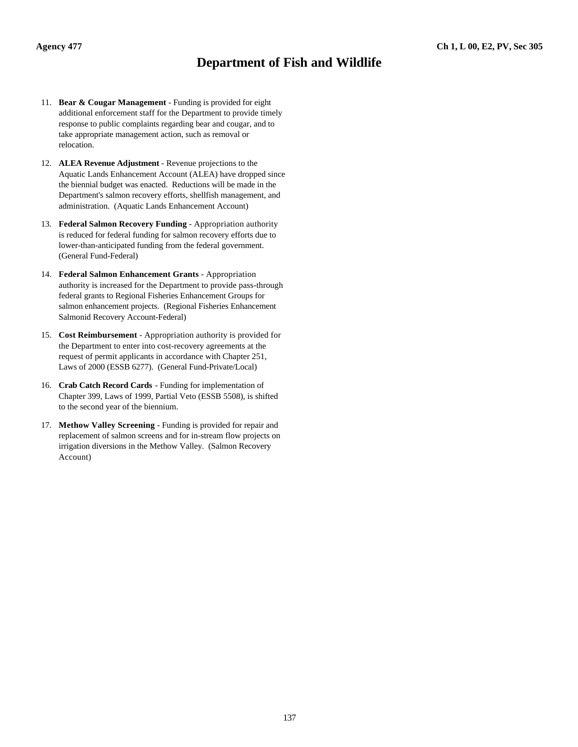# **Department of Fish and Wildlife**

- 11. **Bear & Cougar Management** Funding is provided for eight additional enforcement staff for the Department to provide timely response to public complaints regarding bear and cougar, and to take appropriate management action, such as removal or relocation.
- 12. **ALEA Revenue Adjustment** Revenue projections to the Aquatic Lands Enhancement Account (ALEA) have dropped since the biennial budget was enacted. Reductions will be made in the Department's salmon recovery efforts, shellfish management, and administration. (Aquatic Lands Enhancement Account)
- 13. **Federal Salmon Recovery Funding** Appropriation authority is reduced for federal funding for salmon recovery efforts due to lower-than-anticipated funding from the federal government. (General Fund-Federal)
- 14. **Federal Salmon Enhancement Grants** Appropriation authority is increased for the Department to provide pass-through federal grants to Regional Fisheries Enhancement Groups for salmon enhancement projects. (Regional Fisheries Enhancement Salmonid Recovery Account-Federal)
- 15. **Cost Reimbursement** Appropriation authority is provided for the Department to enter into cost-recovery agreements at the request of permit applicants in accordance with Chapter 251, Laws of 2000 (ESSB 6277). (General Fund-Private/Local)
- 16. **Crab Catch Record Cards** Funding for implementation of Chapter 399, Laws of 1999, Partial Veto (ESSB 5508), is shifted to the second year of the biennium.
- 17. **Methow Valley Screening** Funding is provided for repair and replacement of salmon screens and for in-stream flow projects on irrigation diversions in the Methow Valley. (Salmon Recovery Account)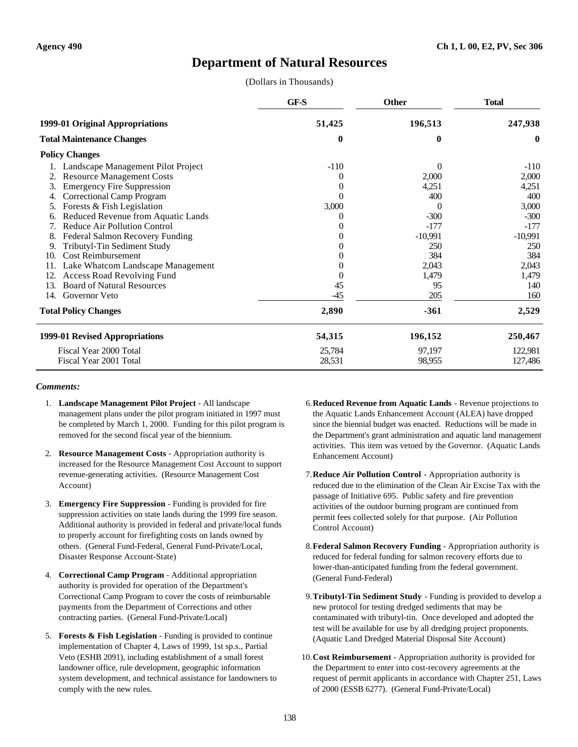# **Department of Natural Resources**

(Dollars in Thousands)

|     |                                     | GF-S     | <b>Other</b> | <b>Total</b> |
|-----|-------------------------------------|----------|--------------|--------------|
|     | 1999-01 Original Appropriations     | 51,425   | 196,513      | 247,938      |
|     | <b>Total Maintenance Changes</b>    | $\bf{0}$ | $\bf{0}$     | $\mathbf{0}$ |
|     | <b>Policy Changes</b>               |          |              |              |
|     | Landscape Management Pilot Project  | $-110$   | $\Omega$     | $-110$       |
|     | <b>Resource Management Costs</b>    | 0        | 2,000        | 2,000        |
| 3.  | <b>Emergency Fire Suppression</b>   | $_{0}$   | 4,251        | 4,251        |
| 4.  | <b>Correctional Camp Program</b>    | 0        | 400          | 400          |
|     | Forests & Fish Legislation          | 3,000    | $\Omega$     | 3,000        |
| 6.  | Reduced Revenue from Aquatic Lands  |          | $-300$       | $-300$       |
| 7.  | <b>Reduce Air Pollution Control</b> | O        | $-177$       | $-177$       |
| 8.  | Federal Salmon Recovery Funding     |          | $-10,991$    | $-10,991$    |
| 9.  | Tributyl-Tin Sediment Study         | 0        | 250          | 250          |
| 10. | <b>Cost Reimbursement</b>           |          | 384          | 384          |
| 11. | Lake Whatcom Landscape Management   |          | 2,043        | 2,043        |
| 12. | <b>Access Road Revolving Fund</b>   | $\theta$ | 1,479        | 1,479        |
| 13. | <b>Board of Natural Resources</b>   | 45       | 95           | 140          |
| 14. | Governor Veto                       | -45      | 205          | 160          |
|     | <b>Total Policy Changes</b>         | 2,890    | $-361$       | 2,529        |
|     | 1999-01 Revised Appropriations      | 54,315   | 196,152      | 250,467      |
|     | Fiscal Year 2000 Total              | 25,784   | 97,197       | 122,981      |
|     | Fiscal Year 2001 Total              | 28,531   | 98,955       | 127,486      |

- 1. **Landscape Management Pilot Project** All landscape management plans under the pilot program initiated in 1997 must be completed by March 1, 2000. Funding for this pilot program is removed for the second fiscal year of the biennium.
- 2. **Resource Management Costs** Appropriation authority is increased for the Resource Management Cost Account to support revenue-generating activities. (Resource Management Cost Account)
- 3. **Emergency Fire Suppression** Funding is provided for fire suppression activities on state lands during the 1999 fire season. Additional authority is provided in federal and private/local funds to properly account for firefighting costs on lands owned by others. (General Fund-Federal, General Fund-Private/Local, Disaster Response Account-State)
- 4. **Correctional Camp Program** Additional appropriation authority is provided for operation of the Department's Correctional Camp Program to cover the costs of reimbursable payments from the Department of Corrections and other contracting parties. (General Fund-Private/Local)
- 5. **Forests & Fish Legislation** Funding is provided to continue implementation of Chapter 4, Laws of 1999, 1st sp.s., Partial Veto (ESHB 2091), including establishment of a small forest landowner office, rule development, geographic information system development, and technical assistance for landowners to comply with the new rules.
- 6.**Reduced Revenue from Aquatic Lands** Revenue projections to the Aquatic Lands Enhancement Account (ALEA) have dropped since the biennial budget was enacted. Reductions will be made in the Department's grant administration and aquatic land management activities. This item was vetoed by the Governor. (Aquatic Lands Enhancement Account)
- 7.**Reduce Air Pollution Control** Appropriation authority is reduced due to the elimination of the Clean Air Excise Tax with the passage of Initiative 695. Public safety and fire prevention activities of the outdoor burning program are continued from permit fees collected solely for that purpose. (Air Pollution Control Account)
- 8.**Federal Salmon Recovery Funding** Appropriation authority is reduced for federal funding for salmon recovery efforts due to lower-than-anticipated funding from the federal government. (General Fund-Federal)
- 9.**Tributyl-Tin Sediment Study** Funding is provided to develop a new protocol for testing dredged sediments that may be contaminated with tributyl-tin. Once developed and adopted the test will be available for use by all dredging project proponents. (Aquatic Land Dredged Material Disposal Site Account)
- 10.**Cost Reimbursement** Appropriation authority is provided for the Department to enter into cost-recovery agreements at the request of permit applicants in accordance with Chapter 251, Laws of 2000 (ESSB 6277). (General Fund-Private/Local)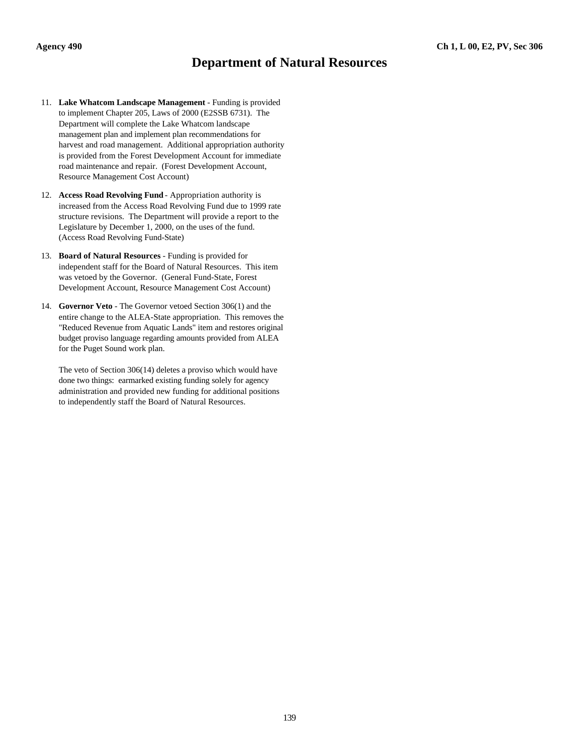# **Department of Natural Resources**

- 11. **Lake Whatcom Landscape Management** Funding is provided to implement Chapter 205, Laws of 2000 (E2SSB 6731). The Department will complete the Lake Whatcom landscape management plan and implement plan recommendations for harvest and road management. Additional appropriation authority is provided from the Forest Development Account for immediate road maintenance and repair. (Forest Development Account, Resource Management Cost Account)
- 12. **Access Road Revolving Fund** Appropriation authority is increased from the Access Road Revolving Fund due to 1999 rate structure revisions. The Department will provide a report to the Legislature by December 1, 2000, on the uses of the fund. (Access Road Revolving Fund-State)
- 13. **Board of Natural Resources** Funding is provided for independent staff for the Board of Natural Resources. This item was vetoed by the Governor. (General Fund-State, Forest Development Account, Resource Management Cost Account)
- 14. **Governor Veto** The Governor vetoed Section 306(1) and the entire change to the ALEA-State appropriation. This removes the "Reduced Revenue from Aquatic Lands" item and restores original budget proviso language regarding amounts provided from ALEA for the Puget Sound work plan.

The veto of Section 306(14) deletes a proviso which would have done two things: earmarked existing funding solely for agency administration and provided new funding for additional positions to independently staff the Board of Natural Resources.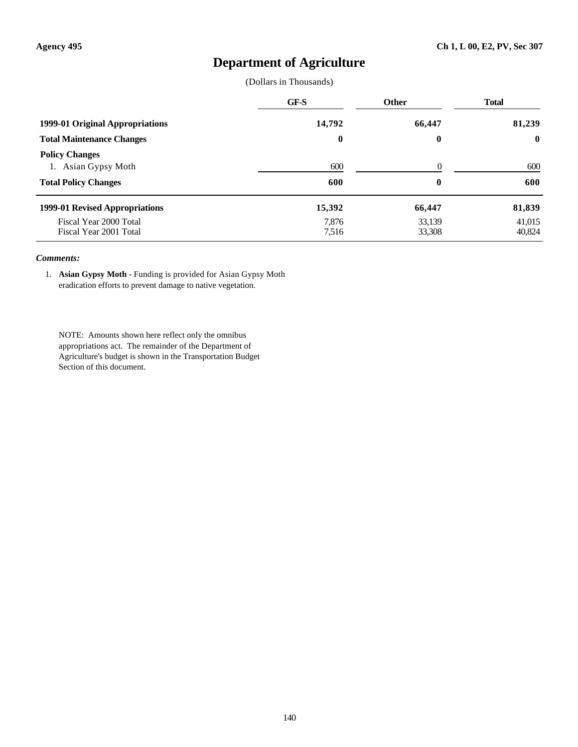# **Department of Agriculture**

(Dollars in Thousands)

|                                                  | GF-S             | <b>Other</b>     | <b>Total</b>     |
|--------------------------------------------------|------------------|------------------|------------------|
| 1999-01 Original Appropriations                  | 14,792           | 66,447           | 81,239           |
| <b>Total Maintenance Changes</b>                 | $\boldsymbol{0}$ | $\bf{0}$         | $\mathbf{0}$     |
| <b>Policy Changes</b><br>1. Asian Gypsy Moth     | 600              | $\Omega$         | 600              |
| <b>Total Policy Changes</b>                      | 600              | $\bf{0}$         | 600              |
| 1999-01 Revised Appropriations                   | 15,392           | 66,447           | 81,839           |
| Fiscal Year 2000 Total<br>Fiscal Year 2001 Total | 7,876<br>7,516   | 33,139<br>33,308 | 41,015<br>40,824 |

#### *Comments:*

1. **Asian Gypsy Moth** - Funding is provided for Asian Gypsy Moth eradication efforts to prevent damage to native vegetation.

NOTE: Amounts shown here reflect only the omnibus appropriations act. The remainder of the Department of Agriculture's budget is shown in the Transportation Budget Section of this document.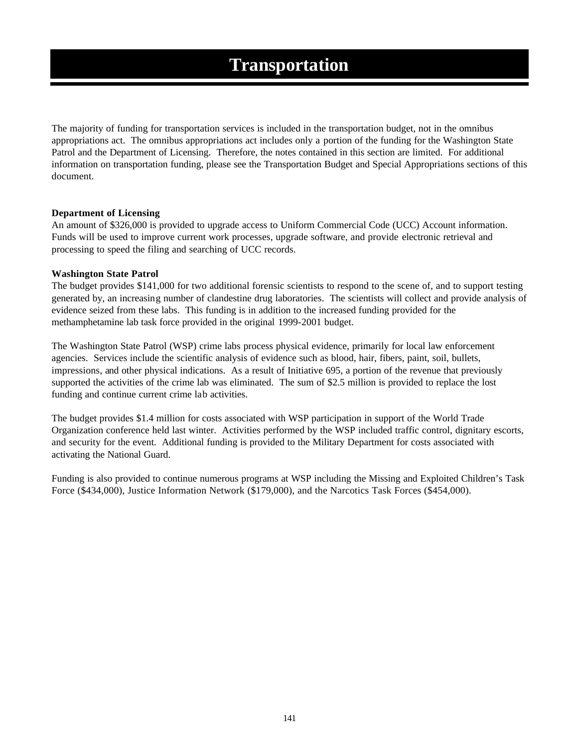The majority of funding for transportation services is included in the transportation budget, not in the omnibus appropriations act. The omnibus appropriations act includes only a portion of the funding for the Washington State Patrol and the Department of Licensing. Therefore, the notes contained in this section are limited. For additional information on transportation funding, please see the Transportation Budget and Special Appropriations sections of this document.

# **Department of Licensing**

An amount of \$326,000 is provided to upgrade access to Uniform Commercial Code (UCC) Account information. Funds will be used to improve current work processes, upgrade software, and provide electronic retrieval and processing to speed the filing and searching of UCC records.

## **Washington State Patrol**

The budget provides \$141,000 for two additional forensic scientists to respond to the scene of, and to support testing generated by, an increasing number of clandestine drug laboratories. The scientists will collect and provide analysis of evidence seized from these labs. This funding is in addition to the increased funding provided for the methamphetamine lab task force provided in the original 1999-2001 budget.

The Washington State Patrol (WSP) crime labs process physical evidence, primarily for local law enforcement agencies. Services include the scientific analysis of evidence such as blood, hair, fibers, paint, soil, bullets, impressions, and other physical indications. As a result of Initiative 695, a portion of the revenue that previously supported the activities of the crime lab was eliminated. The sum of \$2.5 million is provided to replace the lost funding and continue current crime lab activities.

The budget provides \$1.4 million for costs associated with WSP participation in support of the World Trade Organization conference held last winter. Activities performed by the WSP included traffic control, dignitary escorts, and security for the event. Additional funding is provided to the Military Department for costs associated with activating the National Guard.

Funding is also provided to continue numerous programs at WSP including the Missing and Exploited Children's Task Force (\$434,000), Justice Information Network (\$179,000), and the Narcotics Task Forces (\$454,000).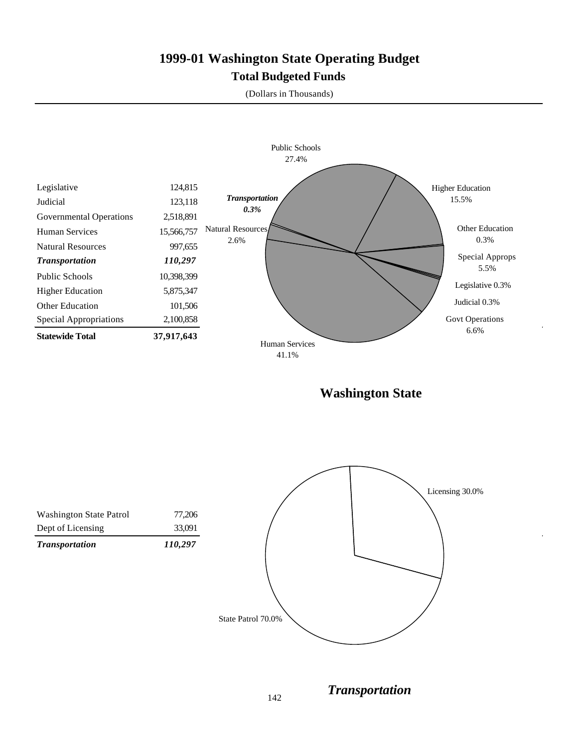# **1999-01 Washington State Operating Budget Total Budgeted Funds**

(Dollars in Thousands)



**Washington State**



142

*Transportation*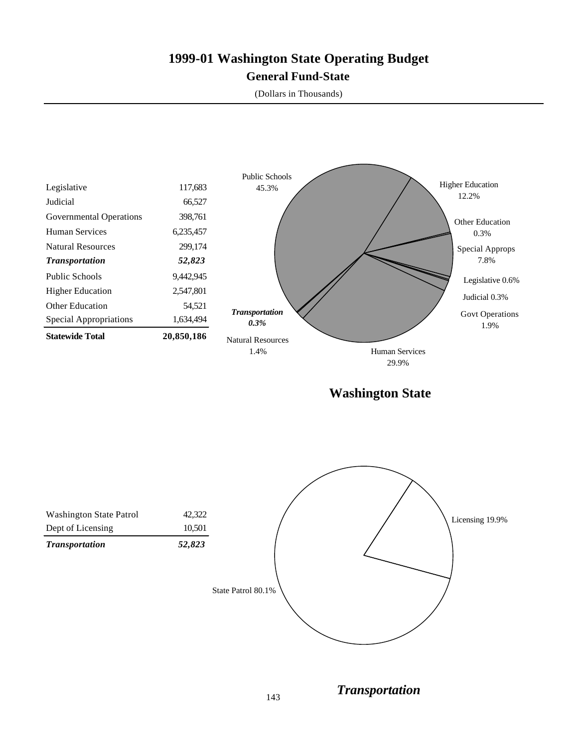# **1999-01 Washington State Operating Budget General Fund-State**

(Dollars in Thousands)



**Washington State**



*Transportation*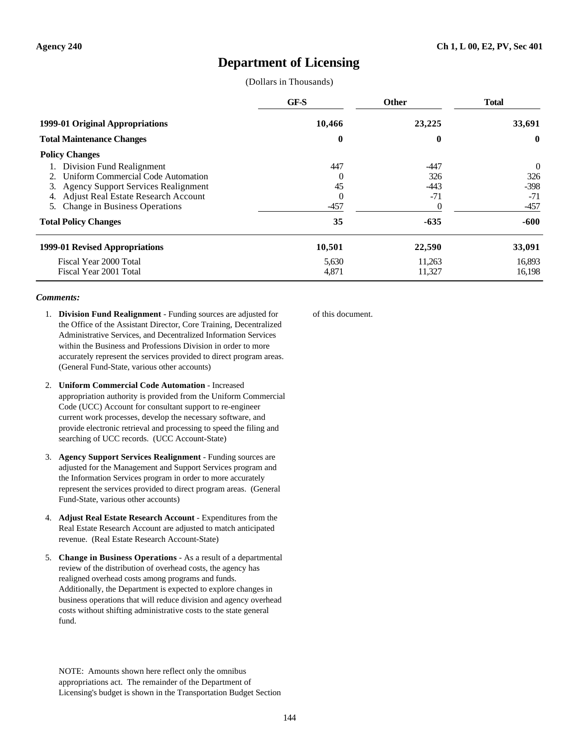# **Department of Licensing**

(Dollars in Thousands)

|                                            | GF-S     | <b>Other</b> | <b>Total</b> |
|--------------------------------------------|----------|--------------|--------------|
| 1999-01 Original Appropriations            | 10,466   | 23,225       | 33,691       |
| <b>Total Maintenance Changes</b>           | 0        | 0            | $\mathbf{0}$ |
| <b>Policy Changes</b>                      |          |              |              |
| Division Fund Realignment                  | 447      | $-447$       | 0            |
| Uniform Commercial Code Automation         | $\Omega$ | 326          | 326          |
| 3. Agency Support Services Realignment     | 45       | $-443$       | $-398$       |
| <b>Adjust Real Estate Research Account</b> | $\Omega$ | $-71$        | $-71$        |
| 5. Change in Business Operations           | $-457$   | 0            | $-457$       |
| <b>Total Policy Changes</b>                | 35       | $-635$       | $-600$       |
| 1999-01 Revised Appropriations             | 10,501   | 22,590       | 33,091       |
| Fiscal Year 2000 Total                     | 5,630    | 11,263       | 16,893       |
| Fiscal Year 2001 Total                     | 4,871    | 11,327       | 16,198       |

#### *Comments:*

- 1. **Division Fund Realignment** Funding sources are adjusted for the Office of the Assistant Director, Core Training, Decentralized Administrative Services, and Decentralized Information Services within the Business and Professions Division in order to more accurately represent the services provided to direct program areas. (General Fund-State, various other accounts)
- 2. **Uniform Commercial Code Automation** Increased appropriation authority is provided from the Uniform Commercial Code (UCC) Account for consultant support to re-engineer current work processes, develop the necessary software, and provide electronic retrieval and processing to speed the filing and searching of UCC records. (UCC Account-State)
- 3. **Agency Support Services Realignment** Funding sources are adjusted for the Management and Support Services program and the Information Services program in order to more accurately represent the services provided to direct program areas. (General Fund-State, various other accounts)
- 4. **Adjust Real Estate Research Account** Expenditures from the Real Estate Research Account are adjusted to match anticipated revenue. (Real Estate Research Account-State)
- 5. **Change in Business Operations** As a result of a departmental review of the distribution of overhead costs, the agency has realigned overhead costs among programs and funds. Additionally, the Department is expected to explore changes in business operations that will reduce division and agency overhead costs without shifting administrative costs to the state general fund.

NOTE: Amounts shown here reflect only the omnibus appropriations act. The remainder of the Department of Licensing's budget is shown in the Transportation Budget Section of this document.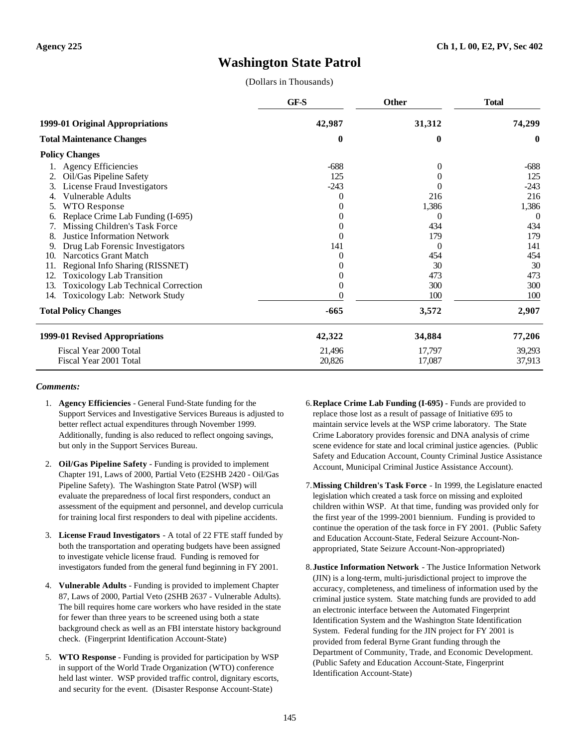# **Washington State Patrol**

(Dollars in Thousands)

|     |                                            | GF-S     | <b>Other</b>   | <b>Total</b> |
|-----|--------------------------------------------|----------|----------------|--------------|
|     | 1999-01 Original Appropriations            | 42,987   | 31,312         | 74,299       |
|     | <b>Total Maintenance Changes</b>           | $\bf{0}$ | 0              | $\bf{0}$     |
|     | <b>Policy Changes</b>                      |          |                |              |
|     | <b>Agency Efficiencies</b>                 | $-688$   | $\overline{0}$ | $-688$       |
|     | Oil/Gas Pipeline Safety                    | 125      |                | 125          |
| 3.  | License Fraud Investigators                | $-243$   |                | $-243$       |
|     | <b>Vulnerable Adults</b>                   | 0        | 216            | 216          |
| 5.  | <b>WTO Response</b>                        | 0        | 1,386          | 1,386        |
| 6.  | Replace Crime Lab Funding (I-695)          | 0        | 0              | $\Omega$     |
| 7.  | Missing Children's Task Force              | 0        | 434            | 434          |
| 8.  | <b>Justice Information Network</b>         | 0        | 179            | 179          |
| 9.  | Drug Lab Forensic Investigators            | 141      | $\Omega$       | 141          |
| 10. | <b>Narcotics Grant Match</b>               | 0        | 454            | 454          |
|     | Regional Info Sharing (RISSNET)            | 0        | 30             | 30           |
| 12. | <b>Toxicology Lab Transition</b>           | 0        | 473            | 473          |
| 13. | <b>Toxicology Lab Technical Correction</b> | 0        | 300            | 300          |
| 14. | Toxicology Lab: Network Study              |          | 100            | 100          |
|     | <b>Total Policy Changes</b>                | $-665$   | 3,572          | 2,907        |
|     | 1999-01 Revised Appropriations             | 42,322   | 34,884         | 77,206       |
|     | Fiscal Year 2000 Total                     | 21,496   | 17,797         | 39,293       |
|     | Fiscal Year 2001 Total                     | 20,826   | 17,087         | 37,913       |

- 1. **Agency Efficiencies** General Fund-State funding for the Support Services and Investigative Services Bureaus is adjusted to better reflect actual expenditures through November 1999. Additionally, funding is also reduced to reflect ongoing savings, but only in the Support Services Bureau.
- 2. **Oil/Gas Pipeline Safety** Funding is provided to implement Chapter 191, Laws of 2000, Partial Veto (E2SHB 2420 - Oil/Gas Pipeline Safety). The Washington State Patrol (WSP) will evaluate the preparedness of local first responders, conduct an assessment of the equipment and personnel, and develop curricula for training local first responders to deal with pipeline accidents.
- 3. **License Fraud Investigators** A total of 22 FTE staff funded by both the transportation and operating budgets have been assigned to investigate vehicle license fraud. Funding is removed for investigators funded from the general fund beginning in FY 2001.
- 4. **Vulnerable Adults** Funding is provided to implement Chapter 87, Laws of 2000, Partial Veto (2SHB 2637 - Vulnerable Adults). The bill requires home care workers who have resided in the state for fewer than three years to be screened using both a state background check as well as an FBI interstate history background check. (Fingerprint Identification Account-State)
- 5. **WTO Response** Funding is provided for participation by WSP in support of the World Trade Organization (WTO) conference held last winter. WSP provided traffic control, dignitary escorts, and security for the event. (Disaster Response Account-State)
- 6.**Replace Crime Lab Funding (I-695)** Funds are provided to replace those lost as a result of passage of Initiative 695 to maintain service levels at the WSP crime laboratory. The State Crime Laboratory provides forensic and DNA analysis of crime scene evidence for state and local criminal justice agencies. (Public Safety and Education Account, County Criminal Justice Assistance Account, Municipal Criminal Justice Assistance Account).
- 7.**Missing Children's Task Force** In 1999, the Legislature enacted legislation which created a task force on missing and exploited children within WSP. At that time, funding was provided only for the first year of the 1999-2001 biennium. Funding is provided to continue the operation of the task force in FY 2001. (Public Safety and Education Account-State, Federal Seizure Account-Nonappropriated, State Seizure Account-Non-appropriated)
- 8.**Justice Information Network** The Justice Information Network (JIN) is a long-term, multi-jurisdictional project to improve the accuracy, completeness, and timeliness of information used by the criminal justice system. State matching funds are provided to add an electronic interface between the Automated Fingerprint Identification System and the Washington State Identification System. Federal funding for the JIN project for FY 2001 is provided from federal Byrne Grant funding through the Department of Community, Trade, and Economic Development. (Public Safety and Education Account-State, Fingerprint Identification Account-State)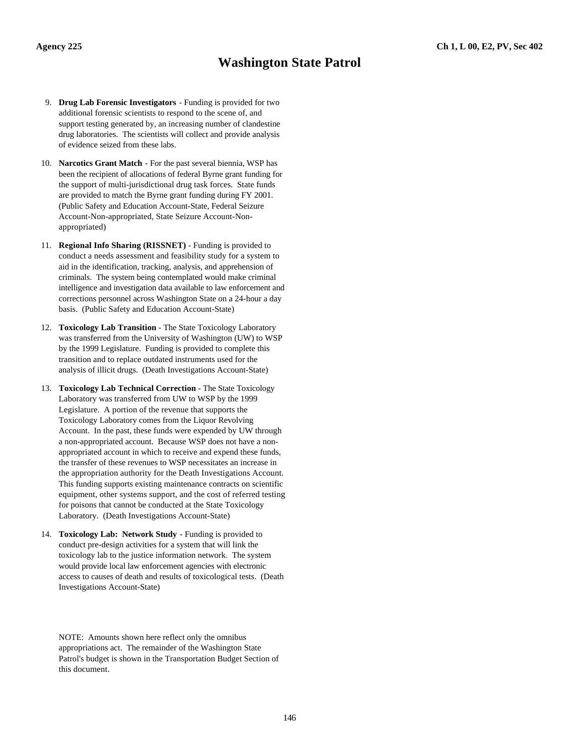# **Washington State Patrol**

- 9. **Drug Lab Forensic Investigators** Funding is provided for two additional forensic scientists to respond to the scene of, and support testing generated by, an increasing number of clandestine drug laboratories. The scientists will collect and provide analysis of evidence seized from these labs.
- 10. **Narcotics Grant Match** For the past several biennia, WSP has been the recipient of allocations of federal Byrne grant funding for the support of multi-jurisdictional drug task forces. State funds are provided to match the Byrne grant funding during FY 2001. (Public Safety and Education Account-State, Federal Seizure Account-Non-appropriated, State Seizure Account-Nonappropriated)
- 11. **Regional Info Sharing (RISSNET)** Funding is provided to conduct a needs assessment and feasibility study for a system to aid in the identification, tracking, analysis, and apprehension of criminals. The system being contemplated would make criminal intelligence and investigation data available to law enforcement and corrections personnel across Washington State on a 24-hour a day basis. (Public Safety and Education Account-State)
- 12. **Toxicology Lab Transition** The State Toxicology Laboratory was transferred from the University of Washington (UW) to WSP by the 1999 Legislature. Funding is provided to complete this transition and to replace outdated instruments used for the analysis of illicit drugs. (Death Investigations Account-State)
- 13. **Toxicology Lab Technical Correction** The State Toxicology Laboratory was transferred from UW to WSP by the 1999 Legislature. A portion of the revenue that supports the Toxicology Laboratory comes from the Liquor Revolving Account. In the past, these funds were expended by UW through a non-appropriated account. Because WSP does not have a nonappropriated account in which to receive and expend these funds, the transfer of these revenues to WSP necessitates an increase in the appropriation authority for the Death Investigations Account. This funding supports existing maintenance contracts on scientific equipment, other systems support, and the cost of referred testing for poisons that cannot be conducted at the State Toxicology Laboratory. (Death Investigations Account-State)
- 14. **Toxicology Lab: Network Study** Funding is provided to conduct pre-design activities for a system that will link the toxicology lab to the justice information network. The system would provide local law enforcement agencies with electronic access to causes of death and results of toxicological tests. (Death Investigations Account-State)

NOTE: Amounts shown here reflect only the omnibus appropriations act. The remainder of the Washington State Patrol's budget is shown in the Transportation Budget Section of this document.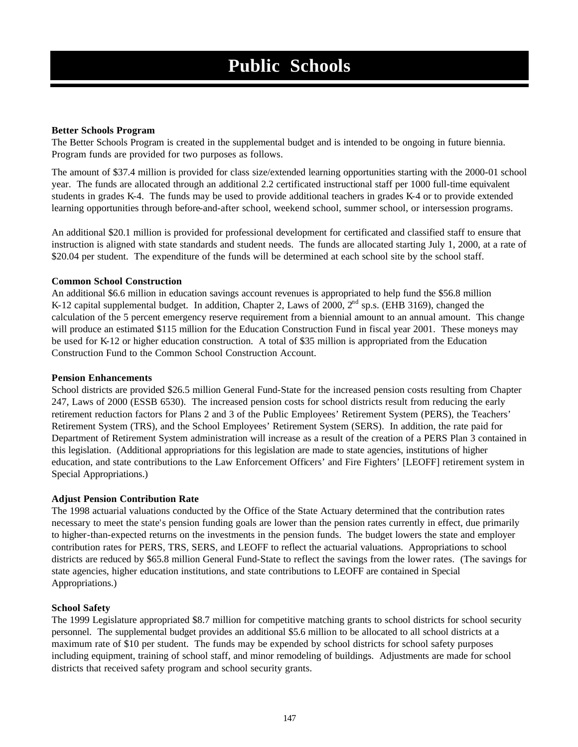## **Better Schools Program**

The Better Schools Program is created in the supplemental budget and is intended to be ongoing in future biennia. Program funds are provided for two purposes as follows.

The amount of \$37.4 million is provided for class size/extended learning opportunities starting with the 2000-01 school year. The funds are allocated through an additional 2.2 certificated instructional staff per 1000 full-time equivalent students in grades K-4. The funds may be used to provide additional teachers in grades K-4 or to provide extended learning opportunities through before-and-after school, weekend school, summer school, or intersession programs.

An additional \$20.1 million is provided for professional development for certificated and classified staff to ensure that instruction is aligned with state standards and student needs. The funds are allocated starting July 1, 2000, at a rate of \$20.04 per student. The expenditure of the funds will be determined at each school site by the school staff.

## **Common School Construction**

An additional \$6.6 million in education savings account revenues is appropriated to help fund the \$56.8 million K-12 capital supplemental budget. In addition, Chapter 2, Laws of 2000,  $2<sup>nd</sup>$  sp.s. (EHB 3169), changed the calculation of the 5 percent emergency reserve requirement from a biennial amount to an annual amount. This change will produce an estimated \$115 million for the Education Construction Fund in fiscal year 2001. These moneys may be used for K-12 or higher education construction. A total of \$35 million is appropriated from the Education Construction Fund to the Common School Construction Account.

## **Pension Enhancements**

School districts are provided \$26.5 million General Fund-State for the increased pension costs resulting from Chapter 247, Laws of 2000 (ESSB 6530). The increased pension costs for school districts result from reducing the early retirement reduction factors for Plans 2 and 3 of the Public Employees' Retirement System (PERS), the Teachers' Retirement System (TRS), and the School Employees' Retirement System (SERS). In addition, the rate paid for Department of Retirement System administration will increase as a result of the creation of a PERS Plan 3 contained in this legislation. (Additional appropriations for this legislation are made to state agencies, institutions of higher education, and state contributions to the Law Enforcement Officers' and Fire Fighters' [LEOFF] retirement system in Special Appropriations.)

# **Adjust Pension Contribution Rate**

The 1998 actuarial valuations conducted by the Office of the State Actuary determined that the contribution rates necessary to meet the state's pension funding goals are lower than the pension rates currently in effect, due primarily to higher-than-expected returns on the investments in the pension funds. The budget lowers the state and employer contribution rates for PERS, TRS, SERS, and LEOFF to reflect the actuarial valuations. Appropriations to school districts are reduced by \$65.8 million General Fund-State to reflect the savings from the lower rates. (The savings for state agencies, higher education institutions, and state contributions to LEOFF are contained in Special Appropriations.)

# **School Safety**

The 1999 Legislature appropriated \$8.7 million for competitive matching grants to school districts for school security personnel. The supplemental budget provides an additional \$5.6 million to be allocated to all school districts at a maximum rate of \$10 per student. The funds may be expended by school districts for school safety purposes including equipment, training of school staff, and minor remodeling of buildings. Adjustments are made for school districts that received safety program and school security grants.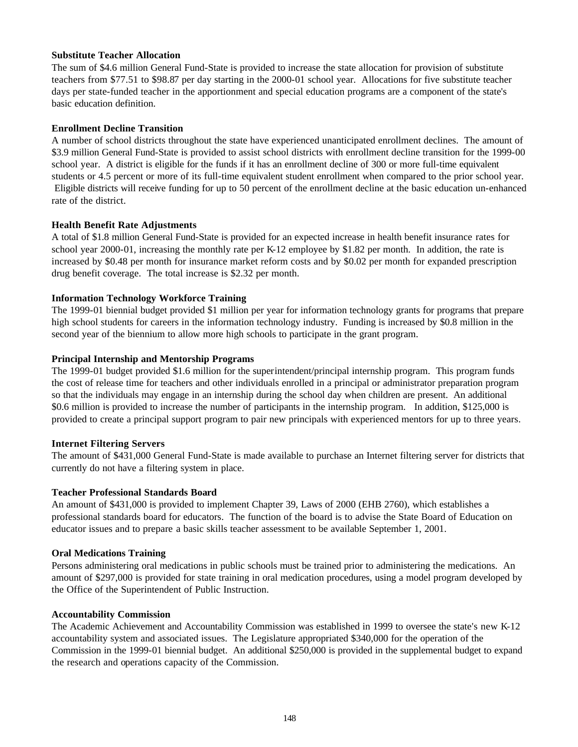## **Substitute Teacher Allocation**

The sum of \$4.6 million General Fund-State is provided to increase the state allocation for provision of substitute teachers from \$77.51 to \$98.87 per day starting in the 2000-01 school year. Allocations for five substitute teacher days per state-funded teacher in the apportionment and special education programs are a component of the state's basic education definition.

## **Enrollment Decline Transition**

A number of school districts throughout the state have experienced unanticipated enrollment declines. The amount of \$3.9 million General Fund-State is provided to assist school districts with enrollment decline transition for the 1999-00 school year. A district is eligible for the funds if it has an enrollment decline of 300 or more full-time equivalent students or 4.5 percent or more of its full-time equivalent student enrollment when compared to the prior school year. Eligible districts will receive funding for up to 50 percent of the enrollment decline at the basic education un-enhanced rate of the district.

## **Health Benefit Rate Adjustments**

A total of \$1.8 million General Fund-State is provided for an expected increase in health benefit insurance rates for school year 2000-01, increasing the monthly rate per K-12 employee by \$1.82 per month. In addition, the rate is increased by \$0.48 per month for insurance market reform costs and by \$0.02 per month for expanded prescription drug benefit coverage. The total increase is \$2.32 per month.

# **Information Technology Workforce Training**

The 1999-01 biennial budget provided \$1 million per year for information technology grants for programs that prepare high school students for careers in the information technology industry. Funding is increased by \$0.8 million in the second year of the biennium to allow more high schools to participate in the grant program.

## **Principal Internship and Mentorship Programs**

The 1999-01 budget provided \$1.6 million for the superintendent/principal internship program. This program funds the cost of release time for teachers and other individuals enrolled in a principal or administrator preparation program so that the individuals may engage in an internship during the school day when children are present. An additional \$0.6 million is provided to increase the number of participants in the internship program. In addition, \$125,000 is provided to create a principal support program to pair new principals with experienced mentors for up to three years.

### **Internet Filtering Servers**

The amount of \$431,000 General Fund-State is made available to purchase an Internet filtering server for districts that currently do not have a filtering system in place.

### **Teacher Professional Standards Board**

An amount of \$431,000 is provided to implement Chapter 39, Laws of 2000 (EHB 2760), which establishes a professional standards board for educators. The function of the board is to advise the State Board of Education on educator issues and to prepare a basic skills teacher assessment to be available September 1, 2001.

### **Oral Medications Training**

Persons administering oral medications in public schools must be trained prior to administering the medications. An amount of \$297,000 is provided for state training in oral medication procedures, using a model program developed by the Office of the Superintendent of Public Instruction.

### **Accountability Commission**

The Academic Achievement and Accountability Commission was established in 1999 to oversee the state's new K-12 accountability system and associated issues. The Legislature appropriated \$340,000 for the operation of the Commission in the 1999-01 biennial budget. An additional \$250,000 is provided in the supplemental budget to expand the research and operations capacity of the Commission.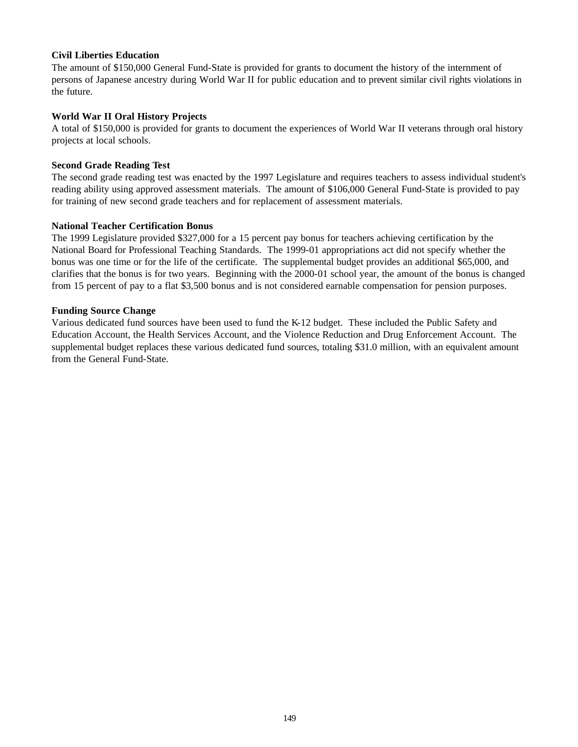### **Civil Liberties Education**

The amount of \$150,000 General Fund-State is provided for grants to document the history of the internment of persons of Japanese ancestry during World War II for public education and to prevent similar civil rights violations in the future.

### **World War II Oral History Projects**

A total of \$150,000 is provided for grants to document the experiences of World War II veterans through oral history projects at local schools.

### **Second Grade Reading Test**

The second grade reading test was enacted by the 1997 Legislature and requires teachers to assess individual student's reading ability using approved assessment materials. The amount of \$106,000 General Fund-State is provided to pay for training of new second grade teachers and for replacement of assessment materials.

### **National Teacher Certification Bonus**

The 1999 Legislature provided \$327,000 for a 15 percent pay bonus for teachers achieving certification by the National Board for Professional Teaching Standards. The 1999-01 appropriations act did not specify whether the bonus was one time or for the life of the certificate. The supplemental budget provides an additional \$65,000, and clarifies that the bonus is for two years. Beginning with the 2000-01 school year, the amount of the bonus is changed from 15 percent of pay to a flat \$3,500 bonus and is not considered earnable compensation for pension purposes.

### **Funding Source Change**

Various dedicated fund sources have been used to fund the K-12 budget. These included the Public Safety and Education Account, the Health Services Account, and the Violence Reduction and Drug Enforcement Account. The supplemental budget replaces these various dedicated fund sources, totaling \$31.0 million, with an equivalent amount from the General Fund-State.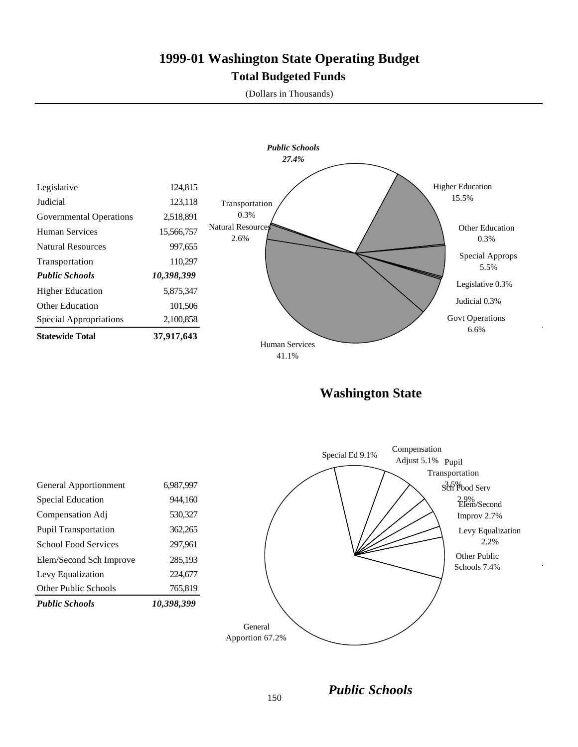# **1999-01 Washington State Operating Budget Total Budgeted Funds**

(Dollars in Thousands)



**Washington State**



*Public Schools*

| <b>Public Schools</b>       | 10,398,399 |
|-----------------------------|------------|
| <b>Other Public Schools</b> | 765,819    |
| Levy Equalization           | 224,677    |
| Elem/Second Sch Improve     | 285,193    |
| <b>School Food Services</b> | 297,961    |
| Pupil Transportation        | 362,265    |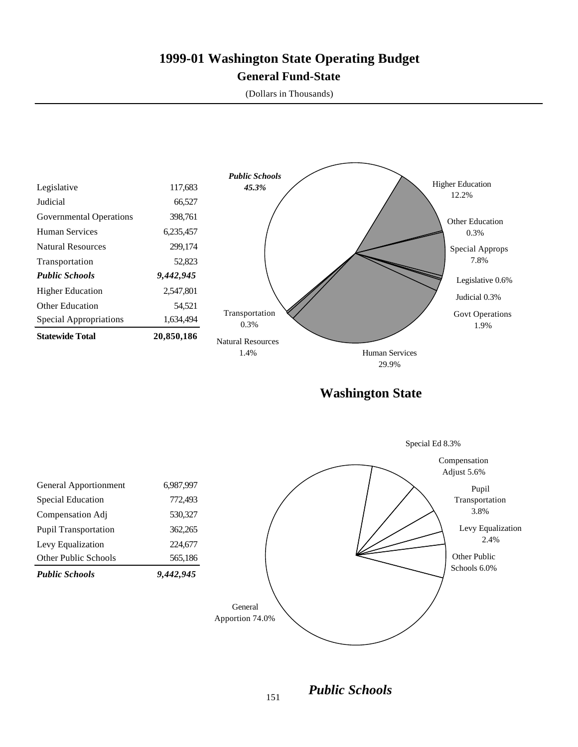# **1999-01 Washington State Operating Budget General Fund-State**

(Dollars in Thousands)



*Public Schools*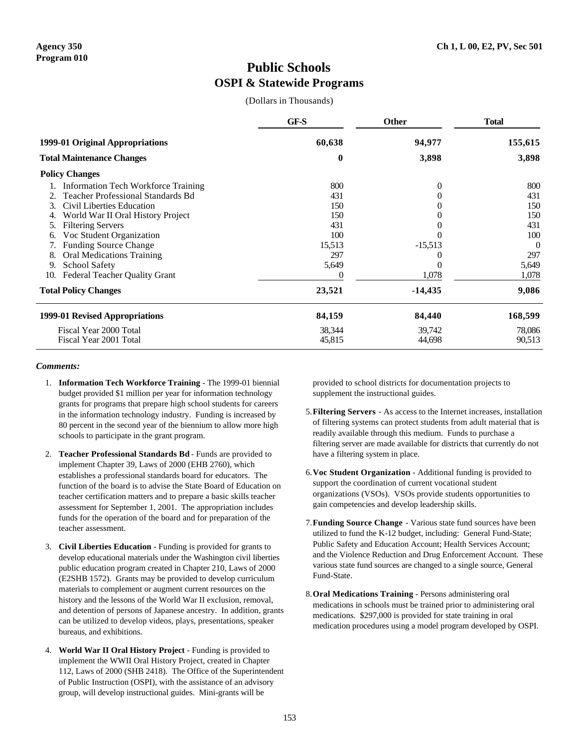# **Public Schools OSPI & Statewide Programs**

(Dollars in Thousands)

|                                             | GF-S     | Other     | <b>Total</b> |
|---------------------------------------------|----------|-----------|--------------|
| 1999-01 Original Appropriations             | 60,638   | 94,977    | 155,615      |
| <b>Total Maintenance Changes</b>            | $\bf{0}$ | 3,898     | 3,898        |
| <b>Policy Changes</b>                       |          |           |              |
| <b>Information Tech Workforce Training</b>  | 800      | $\Omega$  | 800          |
| Teacher Professional Standards Bd           | 431      |           | 431          |
| Civil Liberties Education<br>3.             | 150      |           | 150          |
| World War II Oral History Project<br>4.     | 150      |           | 150          |
| <b>Filtering Servers</b><br>5.              | 431      |           | 431          |
| Voc Student Organization<br>6.              | 100      |           | 100          |
| <b>Funding Source Change</b>                | 15,513   | $-15,513$ | $\Omega$     |
| <b>Oral Medications Training</b><br>8.      | 297      |           | 297          |
| <b>School Safety</b><br>9.                  | 5,649    |           | 5,649        |
| <b>Federal Teacher Quality Grant</b><br>10. |          | 1,078     | 1,078        |
| <b>Total Policy Changes</b>                 | 23,521   | $-14,435$ | 9,086        |
| 1999-01 Revised Appropriations              | 84,159   | 84,440    | 168,599      |
| Fiscal Year 2000 Total                      | 38,344   | 39,742    | 78,086       |
| Fiscal Year 2001 Total                      | 45,815   | 44,698    | 90,513       |

#### *Comments:*

- 1. **Information Tech Workforce Training** The 1999-01 biennial budget provided \$1 million per year for information technology grants for programs that prepare high school students for careers in the information technology industry. Funding is increased by 80 percent in the second year of the biennium to allow more high schools to participate in the grant program.
- 2. **Teacher Professional Standards Bd** Funds are provided to implement Chapter 39, Laws of 2000 (EHB 2760), which establishes a professional standards board for educators. The function of the board is to advise the State Board of Education on teacher certification matters and to prepare a basic skills teacher assessment for September 1, 2001. The appropriation includes funds for the operation of the board and for preparation of the teacher assessment.
- 3. **Civil Liberties Education** Funding is provided for grants to develop educational materials under the Washington civil liberties public education program created in Chapter 210, Laws of 2000 (E2SHB 1572). Grants may be provided to develop curriculum materials to complement or augment current resources on the history and the lessons of the World War II exclusion, removal, and detention of persons of Japanese ancestry. In addition, grants can be utilized to develop videos, plays, presentations, speaker bureaus, and exhibitions.
- 4. **World War II Oral History Project** Funding is provided to implement the WWII Oral History Project, created in Chapter 112, Laws of 2000 (SHB 2418). The Office of the Superintendent of Public Instruction (OSPI), with the assistance of an advisory group, will develop instructional guides. Mini-grants will be

provided to school districts for documentation projects to supplement the instructional guides.

- 5.**Filtering Servers** As access to the Internet increases, installation of filtering systems can protect students from adult material that is readily available through this medium. Funds to purchase a filtering server are made available for districts that currently do not have a filtering system in place.
- 6.**Voc Student Organization** Additional funding is provided to support the coordination of current vocational student organizations (VSOs). VSOs provide students opportunities to gain competencies and develop leadership skills.
- 7.**Funding Source Change** Various state fund sources have been utilized to fund the K-12 budget, including: General Fund-State; Public Safety and Education Account; Health Services Account; and the Violence Reduction and Drug Enforcement Account. These various state fund sources are changed to a single source, General Fund-State.
- 8.**Oral Medications Training** Persons administering oral medications in schools must be trained prior to administering oral medications. \$297,000 is provided for state training in oral medication procedures using a model program developed by OSPI.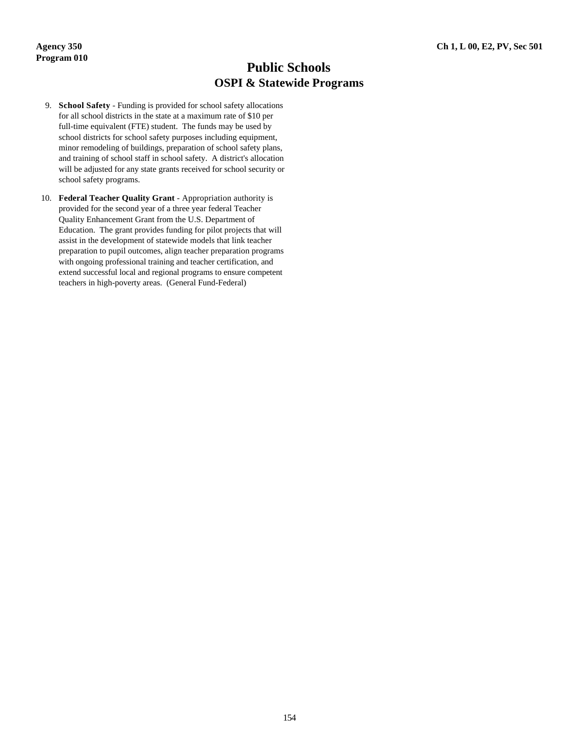# **Public Schools OSPI & Statewide Programs**

- 9. **School Safety** Funding is provided for school safety allocations for all school districts in the state at a maximum rate of \$10 per full-time equivalent (FTE) student. The funds may be used by school districts for school safety purposes including equipment, minor remodeling of buildings, preparation of school safety plans, and training of school staff in school safety. A district's allocation will be adjusted for any state grants received for school security or school safety programs.
- 10. **Federal Teacher Quality Grant** Appropriation authority is provided for the second year of a three year federal Teacher Quality Enhancement Grant from the U.S. Department of Education. The grant provides funding for pilot projects that will assist in the development of statewide models that link teacher preparation to pupil outcomes, align teacher preparation programs with ongoing professional training and teacher certification, and extend successful local and regional programs to ensure competent teachers in high-poverty areas. (General Fund-Federal)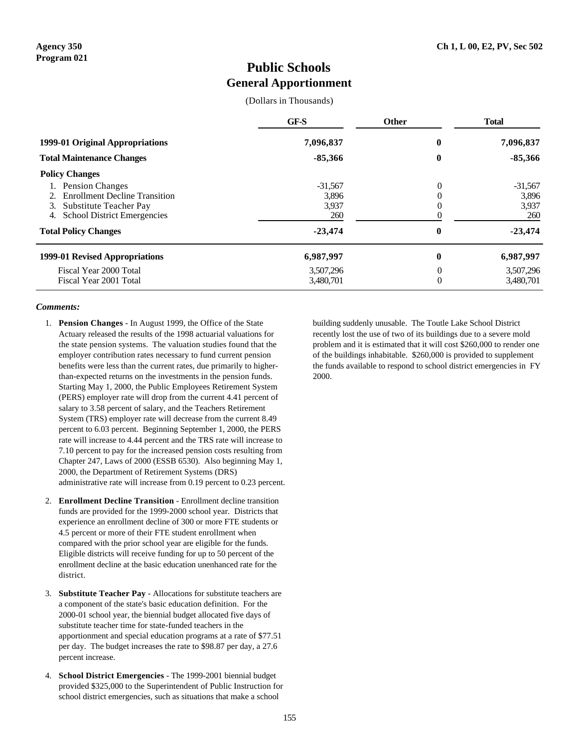### **Public Schools General Apportionment**

(Dollars in Thousands)

|                                                                                                                                            | GF-S                               | <b>Other</b> | <b>Total</b>                       |
|--------------------------------------------------------------------------------------------------------------------------------------------|------------------------------------|--------------|------------------------------------|
| 1999-01 Original Appropriations                                                                                                            | 7,096,837                          | $\bf{0}$     | 7,096,837                          |
| <b>Total Maintenance Changes</b>                                                                                                           | $-85,366$                          | 0            | $-85,366$                          |
| <b>Policy Changes</b>                                                                                                                      |                                    |              |                                    |
| <b>Pension Changes</b><br><b>Enrollment Decline Transition</b><br>Substitute Teacher Pay<br>3.<br><b>School District Emergencies</b><br>4. | $-31,567$<br>3,896<br>3,937<br>260 | 0<br>O       | $-31,567$<br>3,896<br>3.937<br>260 |
| <b>Total Policy Changes</b>                                                                                                                | $-23.474$                          | 0            | $-23,474$                          |
| 1999-01 Revised Appropriations                                                                                                             | 6,987,997                          | $\bf{0}$     | 6,987,997                          |
| Fiscal Year 2000 Total<br>Fiscal Year 2001 Total                                                                                           | 3,507,296<br>3,480,701             | 0<br>0       | 3,507,296<br>3,480,701             |

#### *Comments:*

- 1. **Pension Changes** In August 1999, the Office of the State Actuary released the results of the 1998 actuarial valuations for the state pension systems. The valuation studies found that the employer contribution rates necessary to fund current pension benefits were less than the current rates, due primarily to higherthan-expected returns on the investments in the pension funds. Starting May 1, 2000, the Public Employees Retirement System (PERS) employer rate will drop from the current 4.41 percent of salary to 3.58 percent of salary, and the Teachers Retirement System (TRS) employer rate will decrease from the current 8.49 percent to 6.03 percent. Beginning September 1, 2000, the PERS rate will increase to 4.44 percent and the TRS rate will increase to 7.10 percent to pay for the increased pension costs resulting from Chapter 247, Laws of 2000 (ESSB 6530). Also beginning May 1, 2000, the Department of Retirement Systems (DRS) administrative rate will increase from 0.19 percent to 0.23 percent.
- 2. **Enrollment Decline Transition** Enrollment decline transition funds are provided for the 1999-2000 school year. Districts that experience an enrollment decline of 300 or more FTE students or 4.5 percent or more of their FTE student enrollment when compared with the prior school year are eligible for the funds. Eligible districts will receive funding for up to 50 percent of the enrollment decline at the basic education unenhanced rate for the district.
- 3. **Substitute Teacher Pay** Allocations for substitute teachers are a component of the state's basic education definition. For the 2000-01 school year, the biennial budget allocated five days of substitute teacher time for state-funded teachers in the apportionment and special education programs at a rate of \$77.51 per day. The budget increases the rate to \$98.87 per day, a 27.6 percent increase.
- 4. **School District Emergencies** The 1999-2001 biennial budget provided \$325,000 to the Superintendent of Public Instruction for school district emergencies, such as situations that make a school

building suddenly unusable. The Toutle Lake School District recently lost the use of two of its buildings due to a severe mold problem and it is estimated that it will cost \$260,000 to render one of the buildings inhabitable. \$260,000 is provided to supplement the funds available to respond to school district emergencies in FY 2000.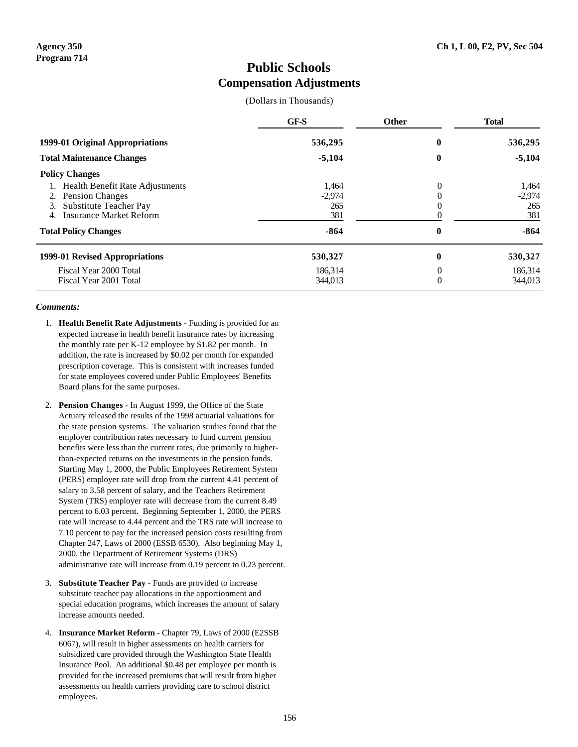### **Public Schools Compensation Adjustments**

(Dollars in Thousands)

|                                  | GF-S     | Other            | <b>Total</b> |
|----------------------------------|----------|------------------|--------------|
| 1999-01 Original Appropriations  | 536,295  | $\boldsymbol{0}$ | 536,295      |
| <b>Total Maintenance Changes</b> | $-5,104$ | $\bf{0}$         | $-5,104$     |
| <b>Policy Changes</b>            |          |                  |              |
| Health Benefit Rate Adjustments  | 1.464    | 0                | 1.464        |
| <b>Pension Changes</b><br>2.     | $-2,974$ |                  | $-2.974$     |
| Substitute Teacher Pay<br>3.     | 265      | 0                | 265          |
| Insurance Market Reform<br>4.    | 381      |                  | 381          |
| <b>Total Policy Changes</b>      | $-864$   | 0                | $-864$       |
| 1999-01 Revised Appropriations   | 530,327  | $\bf{0}$         | 530,327      |
| Fiscal Year 2000 Total           | 186.314  | 0                | 186.314      |
| Fiscal Year 2001 Total           | 344,013  | 0                | 344,013      |

### *Comments:*

- 1. **Health Benefit Rate Adjustments** Funding is provided for an expected increase in health benefit insurance rates by increasing the monthly rate per K-12 employee by \$1.82 per month. In addition, the rate is increased by \$0.02 per month for expanded prescription coverage. This is consistent with increases funded for state employees covered under Public Employees' Benefits Board plans for the same purposes.
- 2. **Pension Changes** In August 1999, the Office of the State Actuary released the results of the 1998 actuarial valuations for the state pension systems. The valuation studies found that the employer contribution rates necessary to fund current pension benefits were less than the current rates, due primarily to higherthan-expected returns on the investments in the pension funds. Starting May 1, 2000, the Public Employees Retirement System (PERS) employer rate will drop from the current 4.41 percent of salary to 3.58 percent of salary, and the Teachers Retirement System (TRS) employer rate will decrease from the current 8.49 percent to 6.03 percent. Beginning September 1, 2000, the PERS rate will increase to 4.44 percent and the TRS rate will increase to 7.10 percent to pay for the increased pension costs resulting from Chapter 247, Laws of 2000 (ESSB 6530). Also beginning May 1, 2000, the Department of Retirement Systems (DRS) administrative rate will increase from 0.19 percent to 0.23 percent.
- 3. **Substitute Teacher Pay** Funds are provided to increase substitute teacher pay allocations in the apportionment and special education programs, which increases the amount of salary increase amounts needed.
- 4. **Insurance Market Reform** Chapter 79, Laws of 2000 (E2SSB 6067), will result in higher assessments on health carriers for subsidized care provided through the Washington State Health Insurance Pool. An additional \$0.48 per employee per month is provided for the increased premiums that will result from higher assessments on health carriers providing care to school district employees.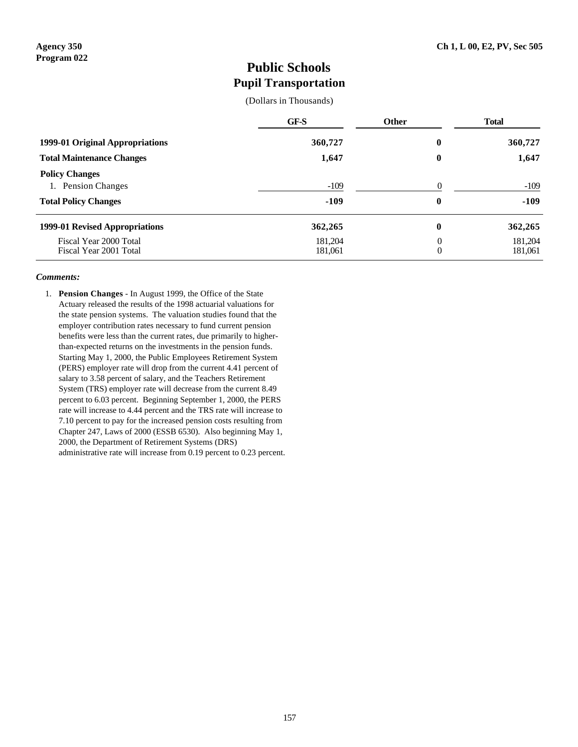### **Public Schools Pupil Transportation**

(Dollars in Thousands)

|                                                                            | GF-S               | <b>Other</b>                 | <b>Total</b>       |
|----------------------------------------------------------------------------|--------------------|------------------------------|--------------------|
| 1999-01 Original Appropriations                                            | 360,727            | 0                            | 360,727            |
| <b>Total Maintenance Changes</b>                                           | 1,647              | $\boldsymbol{0}$             | 1,647              |
| <b>Policy Changes</b><br>1. Pension Changes<br><b>Total Policy Changes</b> | $-109$<br>$-109$   | $\Omega$<br>$\boldsymbol{0}$ | $-109$<br>$-109$   |
| 1999-01 Revised Appropriations                                             | 362,265            | $\boldsymbol{0}$             | 362,265            |
| Fiscal Year 2000 Total<br>Fiscal Year 2001 Total                           | 181.204<br>181,061 | $\theta$<br>$\theta$         | 181,204<br>181,061 |

### *Comments:*

1. **Pension Changes** - In August 1999, the Office of the State Actuary released the results of the 1998 actuarial valuations for the state pension systems. The valuation studies found that the employer contribution rates necessary to fund current pension benefits were less than the current rates, due primarily to higherthan-expected returns on the investments in the pension funds. Starting May 1, 2000, the Public Employees Retirement System (PERS) employer rate will drop from the current 4.41 percent of salary to 3.58 percent of salary, and the Teachers Retirement System (TRS) employer rate will decrease from the current 8.49 percent to 6.03 percent. Beginning September 1, 2000, the PERS rate will increase to 4.44 percent and the TRS rate will increase to 7.10 percent to pay for the increased pension costs resulting from Chapter 247, Laws of 2000 (ESSB 6530). Also beginning May 1, 2000, the Department of Retirement Systems (DRS) administrative rate will increase from 0.19 percent to 0.23 percent.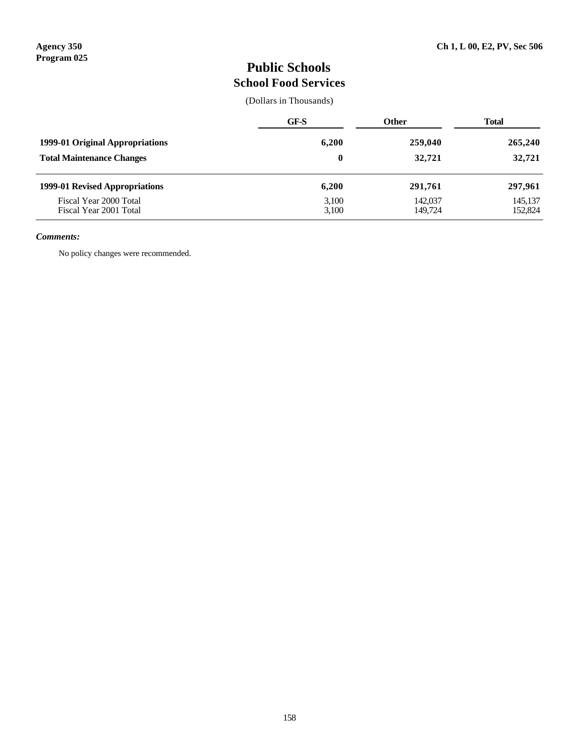# **Public Schools School Food Services**

(Dollars in Thousands)

|                                                  | GF-S           | <b>Other</b>       | Total              |
|--------------------------------------------------|----------------|--------------------|--------------------|
| 1999-01 Original Appropriations                  | 6,200          | 259,040            | 265,240            |
| <b>Total Maintenance Changes</b>                 | 0              | 32,721             | 32,721             |
| 1999-01 Revised Appropriations                   | 6,200          | 291,761            | 297,961            |
| Fiscal Year 2000 Total<br>Fiscal Year 2001 Total | 3,100<br>3,100 | 142,037<br>149.724 | 145,137<br>152,824 |

### *Comments:*

No policy changes were recommended.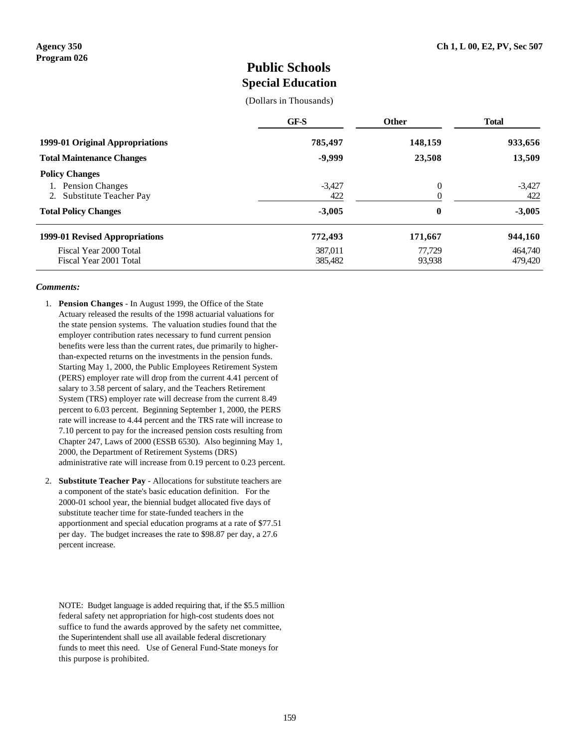### **Public Schools Special Education**

(Dollars in Thousands)

|                                                                                    | GF-S                | <b>Other</b>      | <b>Total</b>       |
|------------------------------------------------------------------------------------|---------------------|-------------------|--------------------|
| 1999-01 Original Appropriations<br><b>Total Maintenance Changes</b>                | 785,497<br>$-9,999$ | 148,159<br>23,508 | 933,656<br>13,509  |
|                                                                                    |                     |                   |                    |
| <b>Total Policy Changes</b>                                                        | 772,493             | 171,667           | 944,160            |
| 1999-01 Revised Appropriations<br>Fiscal Year 2000 Total<br>Fiscal Year 2001 Total | 387.011<br>385,482  | 77.729<br>93,938  | 464,740<br>479,420 |

#### *Comments:*

- 1. **Pension Changes** In August 1999, the Office of the State Actuary released the results of the 1998 actuarial valuations for the state pension systems. The valuation studies found that the employer contribution rates necessary to fund current pension benefits were less than the current rates, due primarily to higherthan-expected returns on the investments in the pension funds. Starting May 1, 2000, the Public Employees Retirement System (PERS) employer rate will drop from the current 4.41 percent of salary to 3.58 percent of salary, and the Teachers Retirement System (TRS) employer rate will decrease from the current 8.49 percent to 6.03 percent. Beginning September 1, 2000, the PERS rate will increase to 4.44 percent and the TRS rate will increase to 7.10 percent to pay for the increased pension costs resulting from Chapter 247, Laws of 2000 (ESSB 6530). Also beginning May 1, 2000, the Department of Retirement Systems (DRS) administrative rate will increase from 0.19 percent to 0.23 percent.
- 2. **Substitute Teacher Pay** Allocations for substitute teachers are a component of the state's basic education definition. For the 2000-01 school year, the biennial budget allocated five days of substitute teacher time for state-funded teachers in the apportionment and special education programs at a rate of \$77.51 per day. The budget increases the rate to \$98.87 per day, a 27.6 percent increase.

NOTE: Budget language is added requiring that, if the \$5.5 million federal safety net appropriation for high-cost students does not suffice to fund the awards approved by the safety net committee, the Superintendent shall use all available federal discretionary funds to meet this need. Use of General Fund-State moneys for this purpose is prohibited.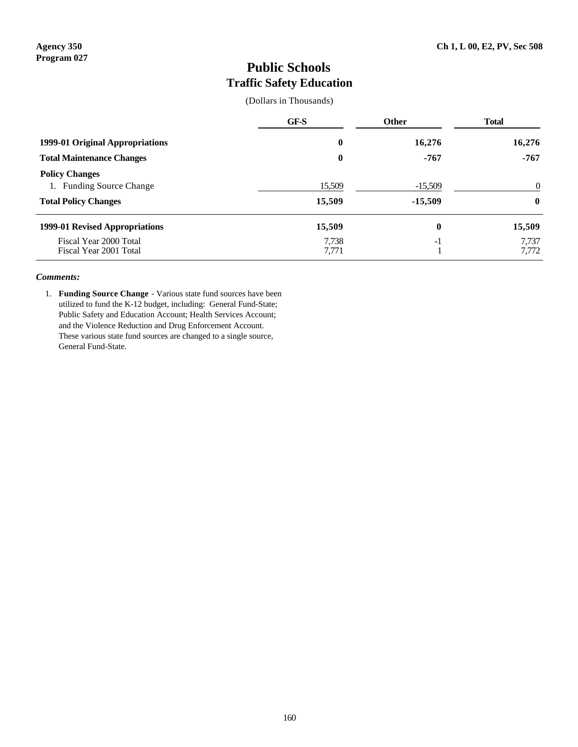# **Public Schools Traffic Safety Education**

(Dollars in Thousands)

|                                                                                  | GF-S             | Other                  | <b>Total</b>         |
|----------------------------------------------------------------------------------|------------------|------------------------|----------------------|
| 1999-01 Original Appropriations                                                  | 0                | 16,276                 | 16,276               |
| <b>Total Maintenance Changes</b>                                                 | $\bf{0}$         | $-767$                 | $-767$               |
| <b>Policy Changes</b><br>1. Funding Source Change<br><b>Total Policy Changes</b> | 15,509<br>15,509 | $-15,509$<br>$-15,509$ | $\Omega$<br>$\bf{0}$ |
| 1999-01 Revised Appropriations                                                   | 15,509           | $\boldsymbol{0}$       | 15,509               |
| Fiscal Year 2000 Total<br>Fiscal Year 2001 Total                                 | 7,738<br>7,771   | $-1$                   | 7,737<br>7,772       |

### *Comments:*

1. **Funding Source Change** - Various state fund sources have been utilized to fund the K-12 budget, including: General Fund-State; Public Safety and Education Account; Health Services Account; and the Violence Reduction and Drug Enforcement Account. These various state fund sources are changed to a single source, General Fund-State.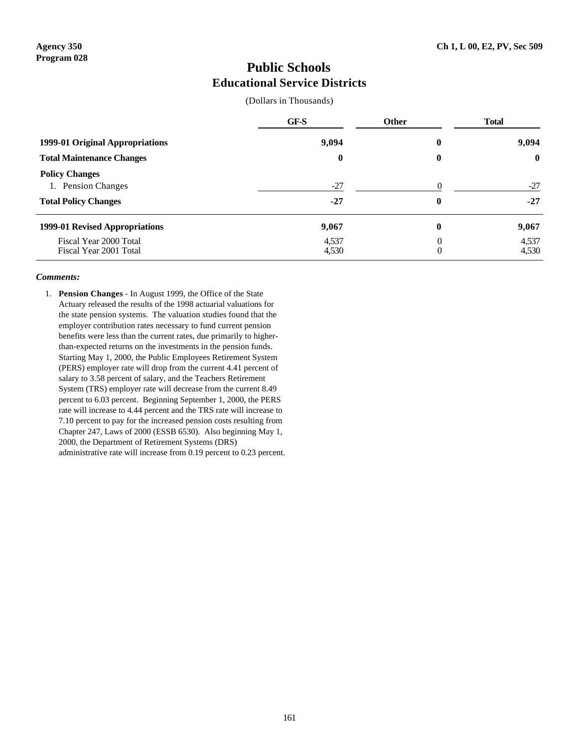### **Public Schools Educational Service Districts**

(Dollars in Thousands)

|                                                                            | GF-S           | <b>Other</b>               | <b>Total</b>   |   |  |  |  |       |
|----------------------------------------------------------------------------|----------------|----------------------------|----------------|---|--|--|--|-------|
| 1999-01 Original Appropriations                                            |                | 9,094                      |                | 0 |  |  |  | 9,094 |
| <b>Total Maintenance Changes</b>                                           | $\bf{0}$       | 0                          | $\mathbf 0$    |   |  |  |  |       |
| <b>Policy Changes</b><br>1. Pension Changes<br><b>Total Policy Changes</b> | $-27$<br>$-27$ | $\Omega$<br>0              | $-27$<br>$-27$ |   |  |  |  |       |
| 1999-01 Revised Appropriations                                             | 9,067          | 0                          | 9,067          |   |  |  |  |       |
| Fiscal Year 2000 Total<br>Fiscal Year 2001 Total                           | 4,537<br>4,530 | $\theta$<br>$\overline{0}$ | 4,537<br>4,530 |   |  |  |  |       |

### *Comments:*

1. **Pension Changes** - In August 1999, the Office of the State Actuary released the results of the 1998 actuarial valuations for the state pension systems. The valuation studies found that the employer contribution rates necessary to fund current pension benefits were less than the current rates, due primarily to higherthan-expected returns on the investments in the pension funds. Starting May 1, 2000, the Public Employees Retirement System (PERS) employer rate will drop from the current 4.41 percent of salary to 3.58 percent of salary, and the Teachers Retirement System (TRS) employer rate will decrease from the current 8.49 percent to 6.03 percent. Beginning September 1, 2000, the PERS rate will increase to 4.44 percent and the TRS rate will increase to 7.10 percent to pay for the increased pension costs resulting from Chapter 247, Laws of 2000 (ESSB 6530). Also beginning May 1, 2000, the Department of Retirement Systems (DRS) administrative rate will increase from 0.19 percent to 0.23 percent.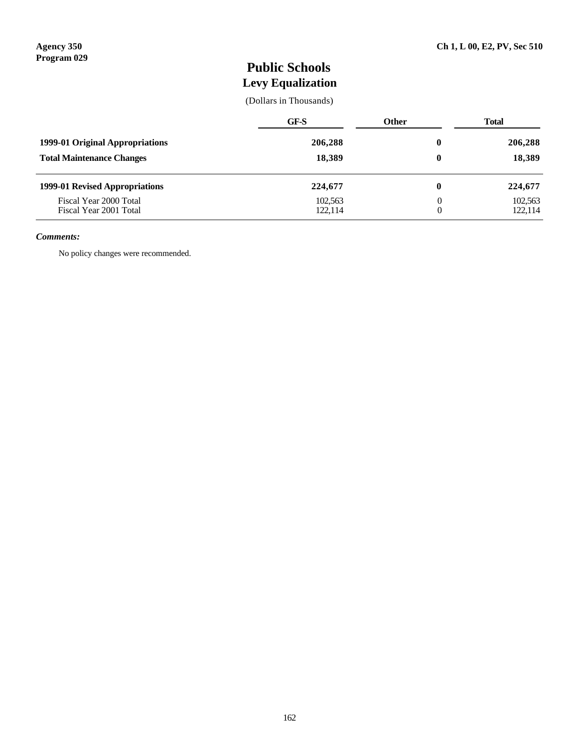# **Public Schools Levy Equalization**

(Dollars in Thousands)

| 1999-01 Original Appropriations<br><b>Total Maintenance Changes</b> | GF-S               | <b>Other</b> | <b>Total</b>       |
|---------------------------------------------------------------------|--------------------|--------------|--------------------|
|                                                                     | 206,288<br>18,389  | $\bf{0}$     | 206,288            |
|                                                                     |                    | 0            | 18,389             |
| 1999-01 Revised Appropriations                                      | 224,677            | 0            | 224,677            |
| Fiscal Year 2000 Total<br>Fiscal Year 2001 Total                    | 102,563<br>122,114 | 0<br>0       | 102,563<br>122,114 |

#### *Comments:*

No policy changes were recommended.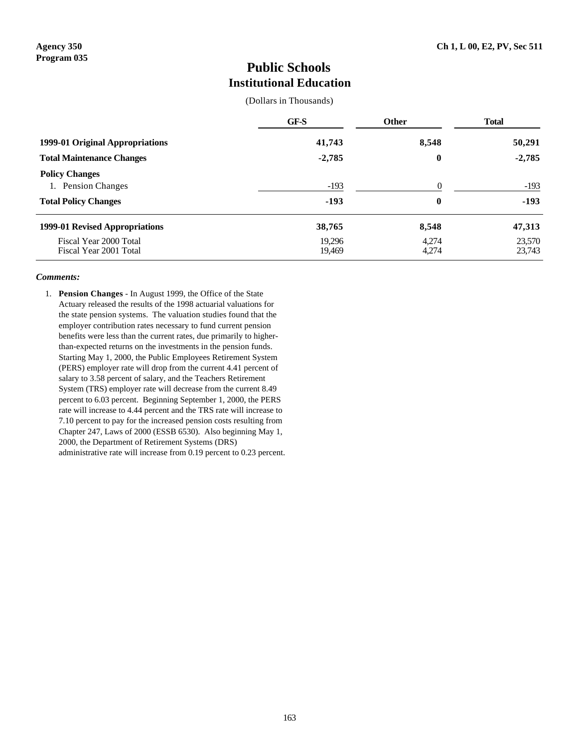### **Public Schools Institutional Education**

(Dollars in Thousands)

|                                                                                      | GF-S             | Other                        | <b>Total</b>     |
|--------------------------------------------------------------------------------------|------------------|------------------------------|------------------|
| 1999-01 Original Appropriations                                                      | 41,743           | 8,548                        | 50,291           |
| <b>Total Maintenance Changes</b>                                                     | $-2,785$         | $\boldsymbol{0}$             | $-2,785$         |
| <b>Policy Changes</b><br><b>Pension Changes</b><br>1.<br><b>Total Policy Changes</b> | $-193$<br>$-193$ | $\Omega$<br>$\boldsymbol{0}$ | $-193$<br>$-193$ |
| 1999-01 Revised Appropriations                                                       | 38,765           | 8,548                        | 47,313           |
| Fiscal Year 2000 Total<br>Fiscal Year 2001 Total                                     | 19.296<br>19,469 | 4.274<br>4,274               | 23,570<br>23,743 |

#### *Comments:*

1. **Pension Changes** - In August 1999, the Office of the State Actuary released the results of the 1998 actuarial valuations for the state pension systems. The valuation studies found that the employer contribution rates necessary to fund current pension benefits were less than the current rates, due primarily to higherthan-expected returns on the investments in the pension funds. Starting May 1, 2000, the Public Employees Retirement System (PERS) employer rate will drop from the current 4.41 percent of salary to 3.58 percent of salary, and the Teachers Retirement System (TRS) employer rate will decrease from the current 8.49 percent to 6.03 percent. Beginning September 1, 2000, the PERS rate will increase to 4.44 percent and the TRS rate will increase to 7.10 percent to pay for the increased pension costs resulting from Chapter 247, Laws of 2000 (ESSB 6530). Also beginning May 1, 2000, the Department of Retirement Systems (DRS) administrative rate will increase from 0.19 percent to 0.23 percent.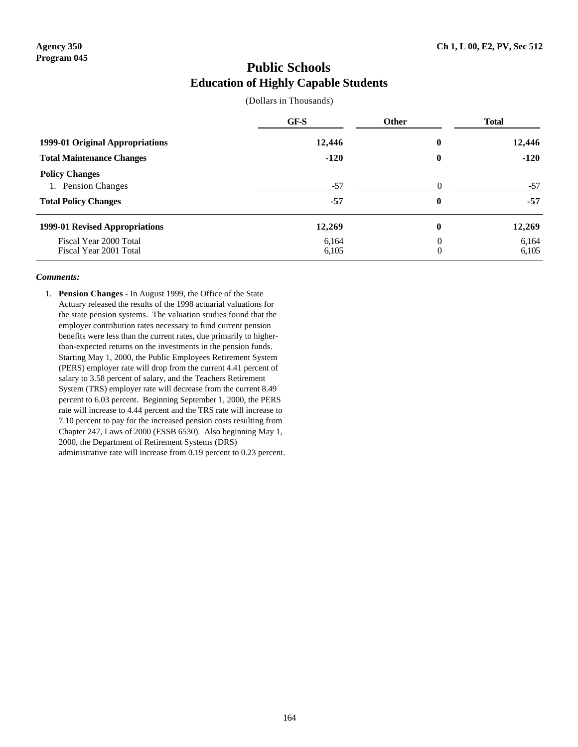## **Public Schools Education of Highly Capable Students**

(Dollars in Thousands)

|                                                                                      | GF-S           | <b>Other</b>               | <b>Total</b>   |
|--------------------------------------------------------------------------------------|----------------|----------------------------|----------------|
| 1999-01 Original Appropriations                                                      | 12,446         | 0                          | 12,446         |
| <b>Total Maintenance Changes</b>                                                     | $-120$         | 0                          | $-120$         |
| <b>Policy Changes</b><br><b>Pension Changes</b><br>1.<br><b>Total Policy Changes</b> | $-57$<br>-57   | $\Omega$<br>0              | $-57$<br>$-57$ |
| 1999-01 Revised Appropriations                                                       | 12,269         | 0                          | 12,269         |
| Fiscal Year 2000 Total<br>Fiscal Year 2001 Total                                     | 6.164<br>6,105 | $\theta$<br>$\overline{0}$ | 6,164<br>6,105 |

### *Comments:*

1. **Pension Changes** - In August 1999, the Office of the State Actuary released the results of the 1998 actuarial valuations for the state pension systems. The valuation studies found that the employer contribution rates necessary to fund current pension benefits were less than the current rates, due primarily to higherthan-expected returns on the investments in the pension funds. Starting May 1, 2000, the Public Employees Retirement System (PERS) employer rate will drop from the current 4.41 percent of salary to 3.58 percent of salary, and the Teachers Retirement System (TRS) employer rate will decrease from the current 8.49 percent to 6.03 percent. Beginning September 1, 2000, the PERS rate will increase to 4.44 percent and the TRS rate will increase to 7.10 percent to pay for the increased pension costs resulting from Chapter 247, Laws of 2000 (ESSB 6530). Also beginning May 1, 2000, the Department of Retirement Systems (DRS) administrative rate will increase from 0.19 percent to 0.23 percent.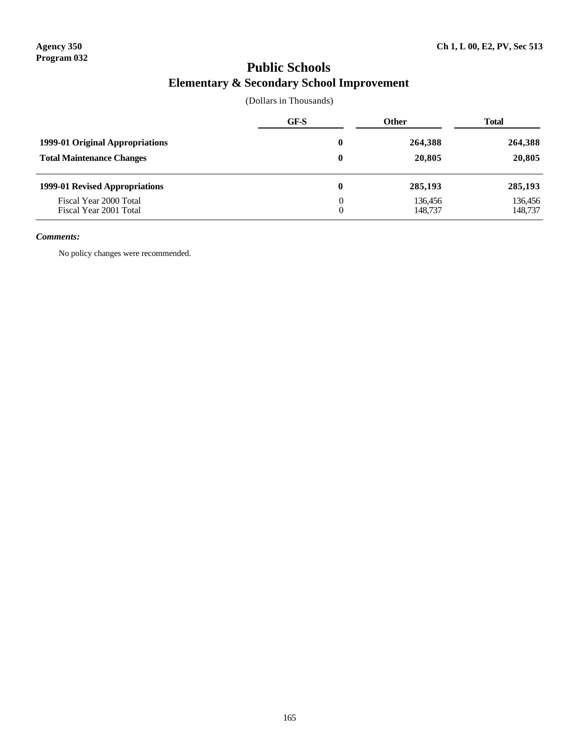# **Public Schools Elementary & Secondary School Improvement**

(Dollars in Thousands)

|                                                  | GF-S     | <b>Other</b>       | <b>Total</b>       |
|--------------------------------------------------|----------|--------------------|--------------------|
| 1999-01 Original Appropriations                  | 0        | 264,388            | 264,388            |
| <b>Total Maintenance Changes</b>                 | $\bf{0}$ | 20,805             | 20,805             |
| 1999-01 Revised Appropriations                   | 0        | 285,193            | 285,193            |
| Fiscal Year 2000 Total<br>Fiscal Year 2001 Total | 0<br>0   | 136,456<br>148,737 | 136,456<br>148,737 |

### *Comments:*

No policy changes were recommended.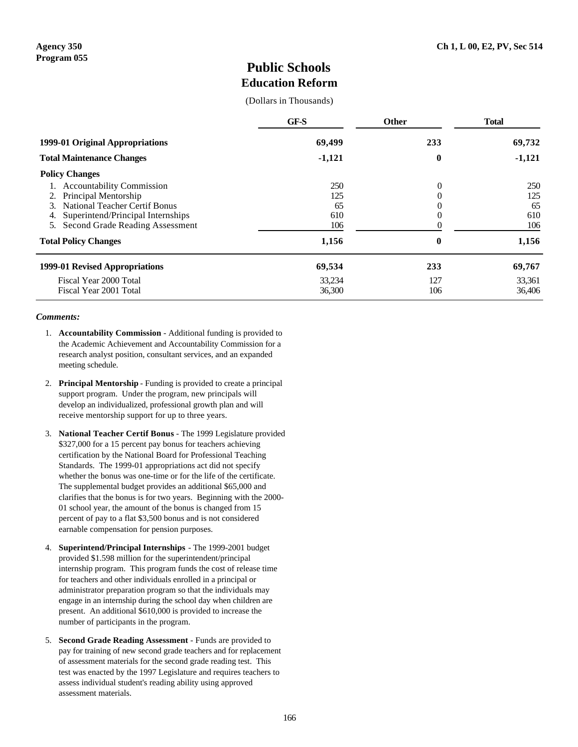### **Public Schools Education Reform**

(Dollars in Thousands)

|                                         | GF-S     | Other            | <b>Total</b> |
|-----------------------------------------|----------|------------------|--------------|
| 1999-01 Original Appropriations         | 69,499   | 233              | 69,732       |
| <b>Total Maintenance Changes</b>        | $-1,121$ | $\boldsymbol{0}$ | $-1,121$     |
| <b>Policy Changes</b>                   |          |                  |              |
| 1. Accountability Commission            | 250      | 0                | 250          |
| Principal Mentorship<br>2.              | 125      | 0                | 125          |
| National Teacher Certif Bonus<br>3      | 65       | 0                | 65           |
| Superintend/Principal Internships<br>4. | 610      | 0                | 610          |
| 5. Second Grade Reading Assessment      | 106      |                  | 106          |
| <b>Total Policy Changes</b>             | 1,156    | $\boldsymbol{0}$ | 1,156        |
| 1999-01 Revised Appropriations          | 69,534   | 233              | 69,767       |
| Fiscal Year 2000 Total                  | 33,234   | 127              | 33,361       |
| Fiscal Year 2001 Total                  | 36,300   | 106              | 36,406       |

#### *Comments:*

- 1. **Accountability Commission** Additional funding is provided to the Academic Achievement and Accountability Commission for a research analyst position, consultant services, and an expanded meeting schedule.
- 2. **Principal Mentorship** Funding is provided to create a principal support program. Under the program, new principals will develop an individualized, professional growth plan and will receive mentorship support for up to three years.
- 3. **National Teacher Certif Bonus** The 1999 Legislature provided \$327,000 for a 15 percent pay bonus for teachers achieving certification by the National Board for Professional Teaching Standards. The 1999-01 appropriations act did not specify whether the bonus was one-time or for the life of the certificate. The supplemental budget provides an additional \$65,000 and clarifies that the bonus is for two years. Beginning with the 2000- 01 school year, the amount of the bonus is changed from 15 percent of pay to a flat \$3,500 bonus and is not considered earnable compensation for pension purposes.
- 4. **Superintend/Principal Internships** The 1999-2001 budget provided \$1.598 million for the superintendent/principal internship program. This program funds the cost of release time for teachers and other individuals enrolled in a principal or administrator preparation program so that the individuals may engage in an internship during the school day when children are present. An additional \$610,000 is provided to increase the number of participants in the program.
- 5. **Second Grade Reading Assessment** Funds are provided to pay for training of new second grade teachers and for replacement of assessment materials for the second grade reading test. This test was enacted by the 1997 Legislature and requires teachers to assess individual student's reading ability using approved assessment materials.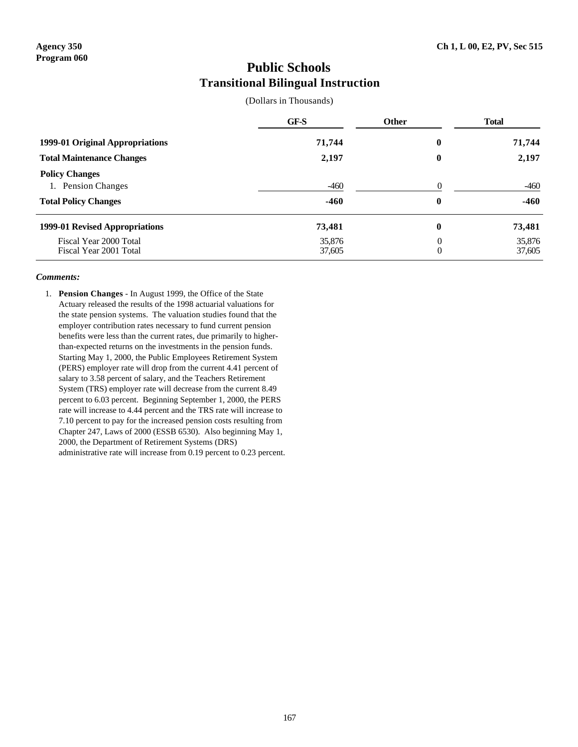### **Public Schools Transitional Bilingual Instruction**

(Dollars in Thousands)

|                                                                                      | GF-S             | <b>Other</b>                     | <b>Total</b>     |
|--------------------------------------------------------------------------------------|------------------|----------------------------------|------------------|
| 1999-01 Original Appropriations                                                      | 71,744           | 0                                | 71,744           |
| <b>Total Maintenance Changes</b>                                                     | 2,197            | 0                                | 2,197            |
| <b>Policy Changes</b><br><b>Pension Changes</b><br>1.<br><b>Total Policy Changes</b> | $-460$<br>$-460$ | $\Omega$<br>0                    | $-460$<br>$-460$ |
| 1999-01 Revised Appropriations                                                       | 73,481           | 0                                | 73,481           |
| Fiscal Year 2000 Total<br>Fiscal Year 2001 Total                                     | 35,876<br>37,605 | $\overline{0}$<br>$\overline{0}$ | 35,876<br>37,605 |

### *Comments:*

1. **Pension Changes** - In August 1999, the Office of the State Actuary released the results of the 1998 actuarial valuations for the state pension systems. The valuation studies found that the employer contribution rates necessary to fund current pension benefits were less than the current rates, due primarily to higherthan-expected returns on the investments in the pension funds. Starting May 1, 2000, the Public Employees Retirement System (PERS) employer rate will drop from the current 4.41 percent of salary to 3.58 percent of salary, and the Teachers Retirement System (TRS) employer rate will decrease from the current 8.49 percent to 6.03 percent. Beginning September 1, 2000, the PERS rate will increase to 4.44 percent and the TRS rate will increase to 7.10 percent to pay for the increased pension costs resulting from Chapter 247, Laws of 2000 (ESSB 6530). Also beginning May 1, 2000, the Department of Retirement Systems (DRS) administrative rate will increase from 0.19 percent to 0.23 percent.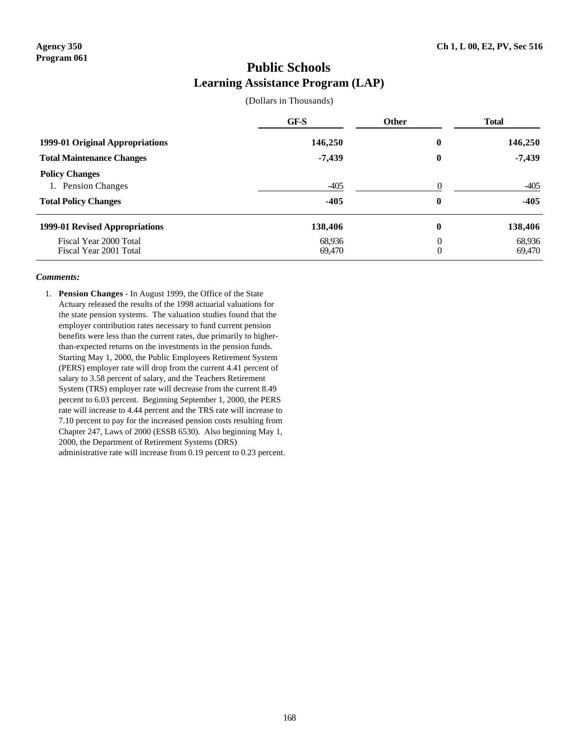### **Public Schools Learning Assistance Program (LAP)**

(Dollars in Thousands)

|                                                                            | GF-S             | <b>Other</b>         | <b>Total</b>     |
|----------------------------------------------------------------------------|------------------|----------------------|------------------|
| 1999-01 Original Appropriations                                            | 146,250          | $\boldsymbol{0}$     | 146,250          |
| <b>Total Maintenance Changes</b>                                           | $-7,439$         | $\boldsymbol{0}$     | $-7,439$         |
| <b>Policy Changes</b><br>1. Pension Changes<br><b>Total Policy Changes</b> | $-405$<br>$-405$ | $\Omega$<br>$\bf{0}$ | $-405$<br>$-405$ |
| 1999-01 Revised Appropriations                                             | 138,406          | $\bf{0}$             | 138,406          |
| Fiscal Year 2000 Total<br>Fiscal Year 2001 Total                           | 68,936<br>69.470 | $\theta$<br>$\theta$ | 68,936<br>69.470 |

### *Comments:*

1. **Pension Changes** - In August 1999, the Office of the State Actuary released the results of the 1998 actuarial valuations for the state pension systems. The valuation studies found that the employer contribution rates necessary to fund current pension benefits were less than the current rates, due primarily to higherthan-expected returns on the investments in the pension funds. Starting May 1, 2000, the Public Employees Retirement System (PERS) employer rate will drop from the current 4.41 percent of salary to 3.58 percent of salary, and the Teachers Retirement System (TRS) employer rate will decrease from the current 8.49 percent to 6.03 percent. Beginning September 1, 2000, the PERS rate will increase to 4.44 percent and the TRS rate will increase to 7.10 percent to pay for the increased pension costs resulting from Chapter 247, Laws of 2000 (ESSB 6530). Also beginning May 1, 2000, the Department of Retirement Systems (DRS) administrative rate will increase from 0.19 percent to 0.23 percent.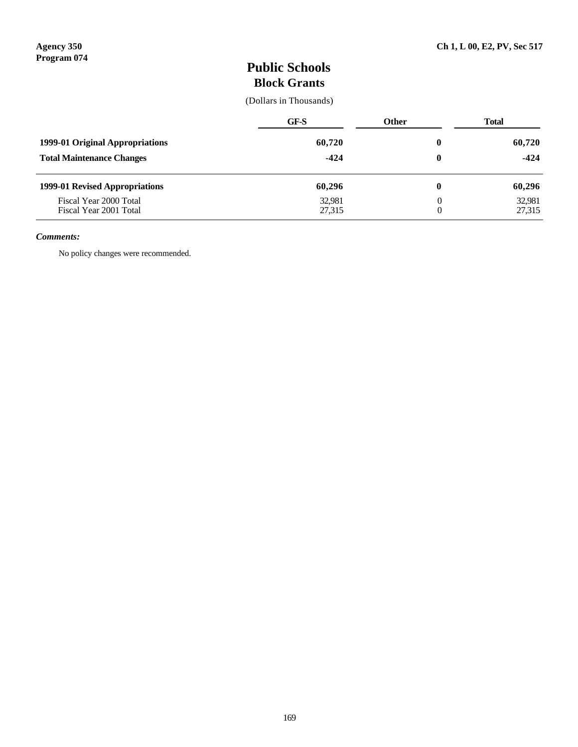# **Public Schools Block Grants**

(Dollars in Thousands)

|                                                  | GF-S             | <b>Other</b> | Total            |
|--------------------------------------------------|------------------|--------------|------------------|
| 1999-01 Original Appropriations                  | 60,720           | 0            | 60,720           |
| <b>Total Maintenance Changes</b>                 | $-424$           | 0            | $-424$           |
| 1999-01 Revised Appropriations                   | 60,296           | 0            | 60,296           |
| Fiscal Year 2000 Total<br>Fiscal Year 2001 Total | 32,981<br>27,315 | 0<br>0       | 32,981<br>27,315 |

### *Comments:*

No policy changes were recommended.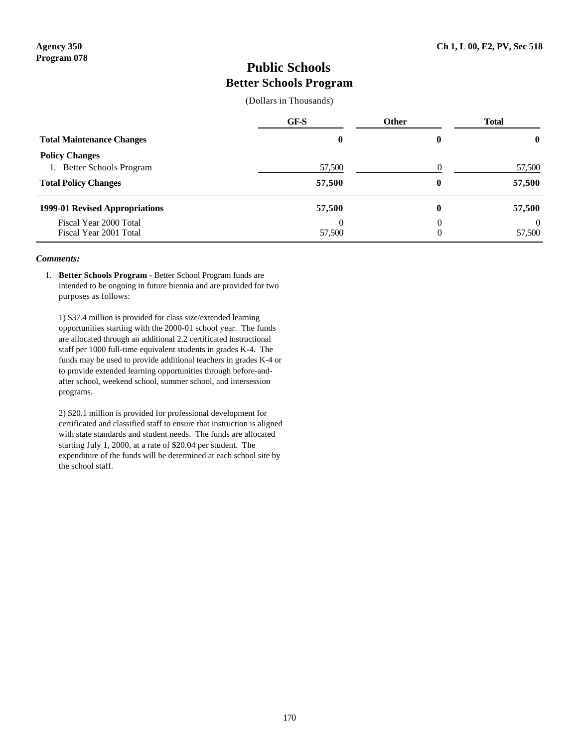### **Public Schools Better Schools Program**

(Dollars in Thousands)

|                                                              | GF-S     | <b>Other</b> | <b>Total</b>       |
|--------------------------------------------------------------|----------|--------------|--------------------|
| <b>Total Maintenance Changes</b>                             | $\bf{0}$ |              | $\bf{0}$           |
| <b>Policy Changes</b><br><b>Better Schools Program</b><br>1. | 57,500   |              | 57,500             |
| <b>Total Policy Changes</b>                                  | 57,500   | 0            | 57,500             |
| 1999-01 Revised Appropriations                               | 57,500   | 0            | 57,500             |
| Fiscal Year 2000 Total<br>Fiscal Year 2001 Total             | 57,500   | 0<br>0       | $\theta$<br>57,500 |

#### *Comments:*

1. **Better Schools Program** - Better School Program funds are intended to be ongoing in future biennia and are provided for two purposes as follows:

1) \$37.4 million is provided for class size/extended learning opportunities starting with the 2000-01 school year. The funds are allocated through an additional 2.2 certificated instructional staff per 1000 full-time equivalent students in grades K-4. The funds may be used to provide additional teachers in grades K-4 or to provide extended learning opportunities through before-andafter school, weekend school, summer school, and intersession programs.

2) \$20.1 million is provided for professional development for certificated and classified staff to ensure that instruction is aligned with state standards and student needs. The funds are allocated starting July 1, 2000, at a rate of \$20.04 per student. The expenditure of the funds will be determined at each school site by the school staff.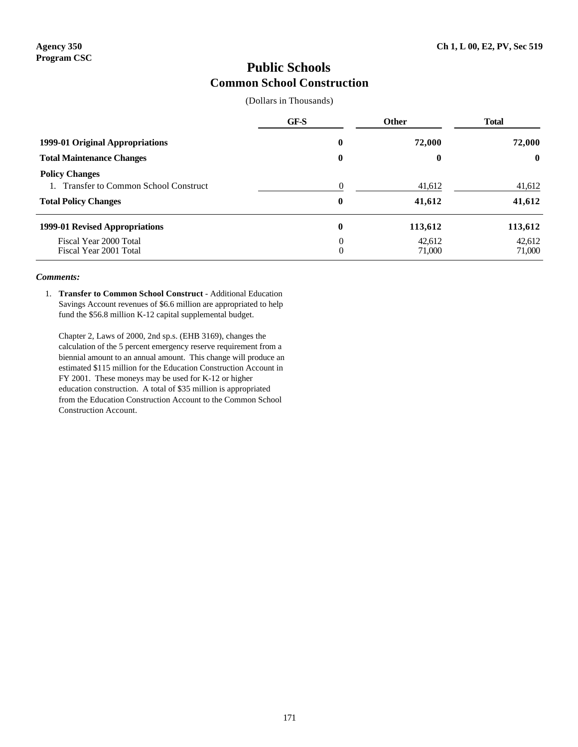### **Public Schools Common School Construction**

(Dollars in Thousands)

|                                                                                                    | GF-S     | <b>Other</b>     | <b>Total</b>     |
|----------------------------------------------------------------------------------------------------|----------|------------------|------------------|
| 1999-01 Original Appropriations                                                                    | $\bf{0}$ | 72,000           | 72,000           |
| <b>Total Maintenance Changes</b>                                                                   | $\bf{0}$ | 0                | $\mathbf{0}$     |
| <b>Policy Changes</b><br><b>Transfer to Common School Construct</b><br><b>Total Policy Changes</b> | $\bf{0}$ | 41,612<br>41,612 | 41,612<br>41,612 |
| 1999-01 Revised Appropriations                                                                     | $\bf{0}$ | 113,612          | 113,612          |
| Fiscal Year 2000 Total<br>Fiscal Year 2001 Total                                                   | 0<br>0   | 42,612<br>71,000 | 42,612<br>71,000 |

### *Comments:*

1. **Transfer to Common School Construct** - Additional Education Savings Account revenues of \$6.6 million are appropriated to help fund the \$56.8 million K-12 capital supplemental budget.

Chapter 2, Laws of 2000, 2nd sp.s. (EHB 3169), changes the calculation of the 5 percent emergency reserve requirement from a biennial amount to an annual amount. This change will produce an estimated \$115 million for the Education Construction Account in FY 2001. These moneys may be used for K-12 or higher education construction. A total of \$35 million is appropriated from the Education Construction Account to the Common School Construction Account.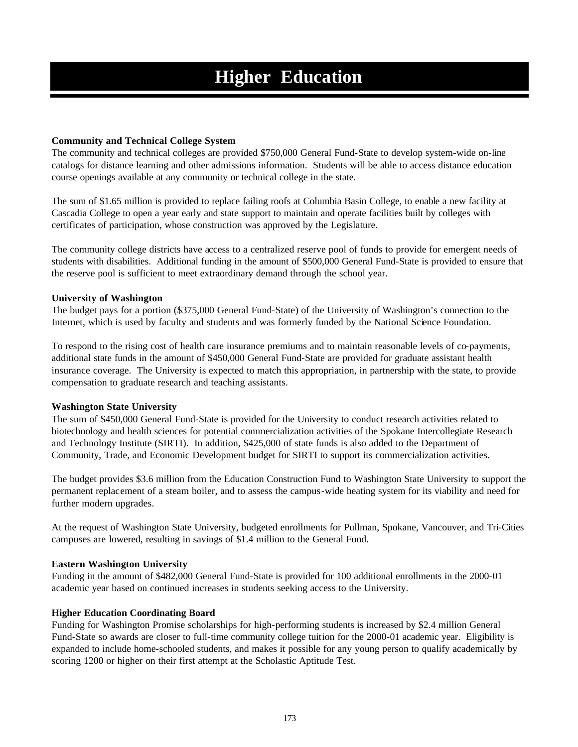### **Community and Technical College System**

The community and technical colleges are provided \$750,000 General Fund-State to develop system-wide on-line catalogs for distance learning and other admissions information. Students will be able to access distance education course openings available at any community or technical college in the state.

The sum of \$1.65 million is provided to replace failing roofs at Columbia Basin College, to enable a new facility at Cascadia College to open a year early and state support to maintain and operate facilities built by colleges with certificates of participation, whose construction was approved by the Legislature.

The community college districts have access to a centralized reserve pool of funds to provide for emergent needs of students with disabilities. Additional funding in the amount of \$500,000 General Fund-State is provided to ensure that the reserve pool is sufficient to meet extraordinary demand through the school year.

### **University of Washington**

The budget pays for a portion (\$375,000 General Fund-State) of the University of Washington's connection to the Internet, which is used by faculty and students and was formerly funded by the National Science Foundation.

To respond to the rising cost of health care insurance premiums and to maintain reasonable levels of co-payments, additional state funds in the amount of \$450,000 General Fund-State are provided for graduate assistant health insurance coverage. The University is expected to match this appropriation, in partnership with the state, to provide compensation to graduate research and teaching assistants.

### **Washington State University**

The sum of \$450,000 General Fund-State is provided for the University to conduct research activities related to biotechnology and health sciences for potential commercialization activities of the Spokane Intercollegiate Research and Technology Institute (SIRTI). In addition, \$425,000 of state funds is also added to the Department of Community, Trade, and Economic Development budget for SIRTI to support its commercialization activities.

The budget provides \$3.6 million from the Education Construction Fund to Washington State University to support the permanent replacement of a steam boiler, and to assess the campus-wide heating system for its viability and need for further modern upgrades.

At the request of Washington State University, budgeted enrollments for Pullman, Spokane, Vancouver, and Tri-Cities campuses are lowered, resulting in savings of \$1.4 million to the General Fund.

### **Eastern Washington University**

Funding in the amount of \$482,000 General Fund-State is provided for 100 additional enrollments in the 2000-01 academic year based on continued increases in students seeking access to the University.

### **Higher Education Coordinating Board**

Funding for Washington Promise scholarships for high-performing students is increased by \$2.4 million General Fund-State so awards are closer to full-time community college tuition for the 2000-01 academic year. Eligibility is expanded to include home-schooled students, and makes it possible for any young person to qualify academically by scoring 1200 or higher on their first attempt at the Scholastic Aptitude Test.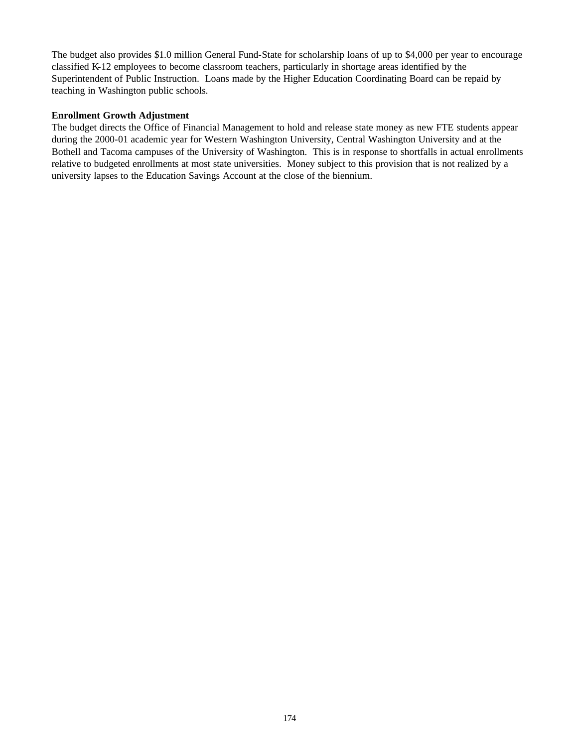The budget also provides \$1.0 million General Fund-State for scholarship loans of up to \$4,000 per year to encourage classified K-12 employees to become classroom teachers, particularly in shortage areas identified by the Superintendent of Public Instruction. Loans made by the Higher Education Coordinating Board can be repaid by teaching in Washington public schools.

### **Enrollment Growth Adjustment**

The budget directs the Office of Financial Management to hold and release state money as new FTE students appear during the 2000-01 academic year for Western Washington University, Central Washington University and at the Bothell and Tacoma campuses of the University of Washington. This is in response to shortfalls in actual enrollments relative to budgeted enrollments at most state universities. Money subject to this provision that is not realized by a university lapses to the Education Savings Account at the close of the biennium.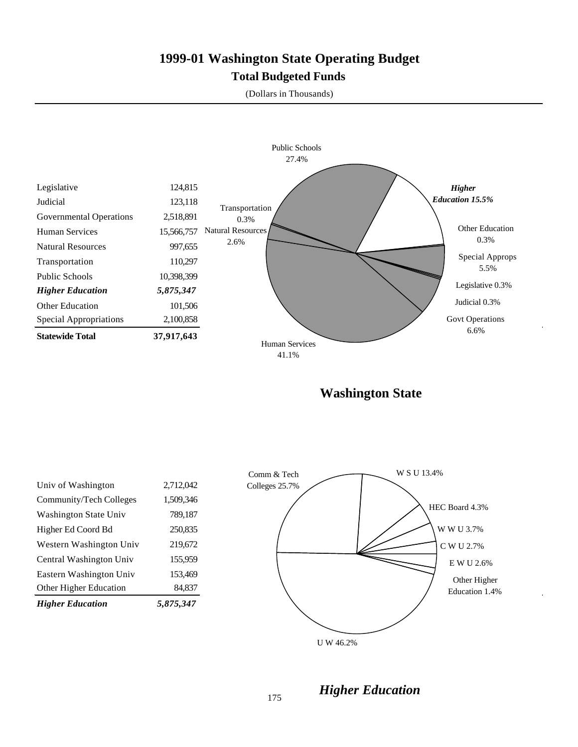# **1999-01 Washington State Operating Budget Total Budgeted Funds**

(Dollars in Thousands)



**Washington State**

| <b>Higher Education</b> | 5.875.347 |
|-------------------------|-----------|
| Other Higher Education  | 84,837    |
| Eastern Washington Univ | 153,469   |
| Central Washington Univ | 155,959   |
| Western Washington Univ | 219,672   |
| Higher Ed Coord Bd      | 250,835   |
| Washington State Univ   | 789,187   |
| Community/Tech Colleges | 1,509,346 |
| Univ of Washington      | 2,712,042 |
|                         |           |



*Higher Education*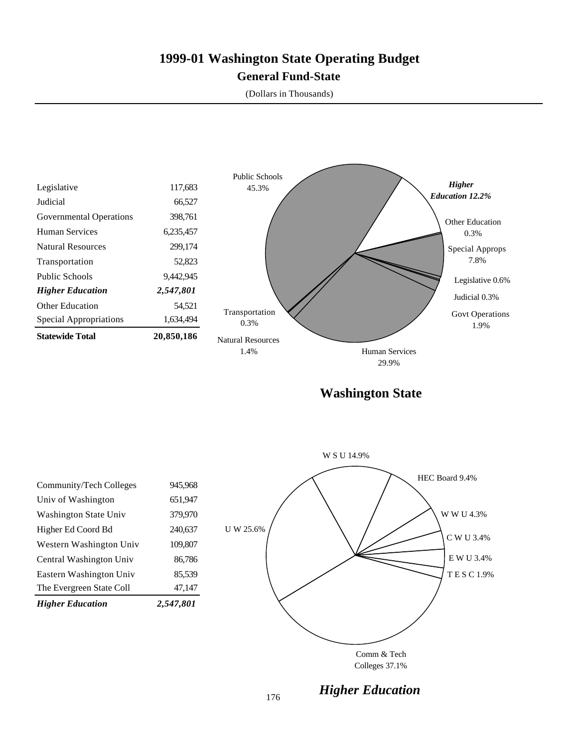# **1999-01 Washington State Operating Budget General Fund-State**

(Dollars in Thousands)



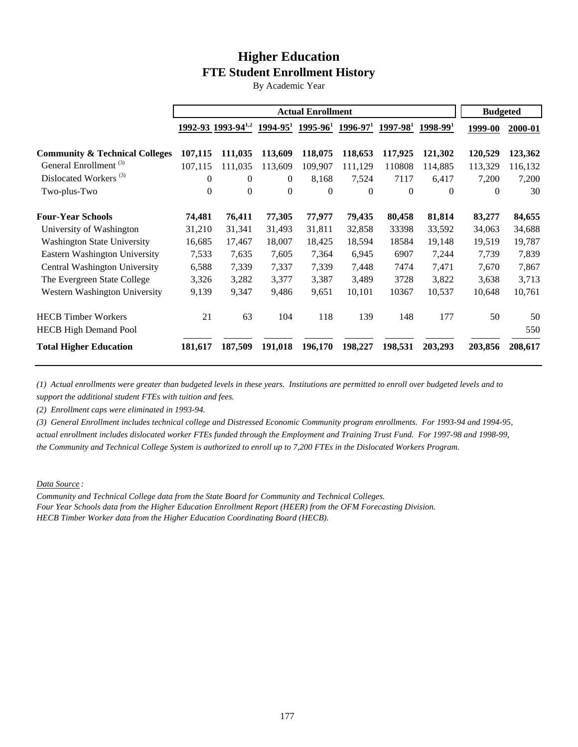# **Higher Education FTE Student Enrollment History**

By Academic Year

|                                           | <b>Actual Enrollment</b> |                                |              | <b>Budgeted</b> |                                                 |          |            |          |         |
|-------------------------------------------|--------------------------|--------------------------------|--------------|-----------------|-------------------------------------------------|----------|------------|----------|---------|
|                                           |                          | 1992-93 1993-94 <sup>1,2</sup> |              |                 | $1994-95^1$ $1995-96^1$ $1996-97^1$ $1997-98^1$ |          | $1998-991$ | 1999-00  | 2000-01 |
| <b>Community &amp; Technical Colleges</b> | 107,115                  | 111,035                        | 113,609      | 118,075         | 118,653                                         | 117,925  | 121,302    | 120,529  | 123,362 |
| General Enrollment <sup>(3)</sup>         | 107,115                  | 111.035                        | 113,609      | 109,907         | 111,129                                         | 110808   | 114,885    | 113,329  | 116,132 |
| Dislocated Workers <sup>(3)</sup>         | $\mathbf{0}$             | $\theta$                       | $\mathbf{0}$ | 8,168           | 7,524                                           | 7117     | 6,417      | 7,200    | 7,200   |
| Two-plus-Two                              | $\Omega$                 | $\theta$                       | $\theta$     | $\Omega$        | $\Omega$                                        | $\theta$ | $\Omega$   | $\theta$ | 30      |
| <b>Four-Year Schools</b>                  | 74,481                   | 76,411                         | 77,305       | 77,977          | 79,435                                          | 80,458   | 81,814     | 83,277   | 84,655  |
| University of Washington                  | 31,210                   | 31,341                         | 31,493       | 31,811          | 32,858                                          | 33398    | 33,592     | 34,063   | 34,688  |
| <b>Washington State University</b>        | 16,685                   | 17,467                         | 18,007       | 18,425          | 18,594                                          | 18584    | 19,148     | 19,519   | 19,787  |
| Eastern Washington University             | 7,533                    | 7,635                          | 7,605        | 7,364           | 6,945                                           | 6907     | 7,244      | 7,739    | 7,839   |
| Central Washington University             | 6,588                    | 7,339                          | 7,337        | 7,339           | 7,448                                           | 7474     | 7,471      | 7,670    | 7,867   |
| The Evergreen State College               | 3,326                    | 3,282                          | 3,377        | 3,387           | 3,489                                           | 3728     | 3,822      | 3,638    | 3,713   |
| Western Washington University             | 9,139                    | 9,347                          | 9,486        | 9,651           | 10,101                                          | 10367    | 10,537     | 10,648   | 10,761  |
| <b>HECB Timber Workers</b>                | 21                       | 63                             | 104          | 118             | 139                                             | 148      | 177        | 50       | 50      |
| <b>HECB High Demand Pool</b>              |                          |                                |              |                 |                                                 |          |            |          | 550     |
| <b>Total Higher Education</b>             | 181,617                  | 187,509                        | 191,018      | 196,170         | 198,227                                         | 198,531  | 203,293    | 203,856  | 208,617 |

*(1) Actual enrollments were greater than budgeted levels in these years. Institutions are permitted to enroll over budgeted levels and to support the additional student FTEs with tuition and fees.*

*(2) Enrollment caps were eliminated in 1993-94.*

*(3) General Enrollment includes technical college and Distressed Economic Community program enrollments. For 1993-94 and 1994-95, actual enrollment includes dislocated worker FTEs funded through the Employment and Training Trust Fund. For 1997-98 and 1998-99, the Community and Technical College System is authorized to enroll up to 7,200 FTEs in the Dislocated Workers Program.*

*Data Source :*

*Community and Technical College data from the State Board for Community and Technical Colleges. Four Year Schools data from the Higher Education Enrollment Report (HEER) from the OFM Forecasting Division. HECB Timber Worker data from the Higher Education Coordinating Board (HECB).*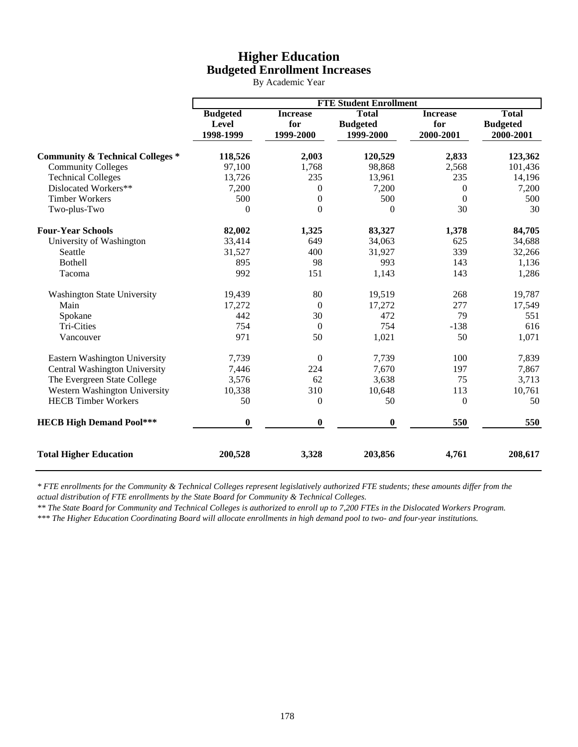## **Higher Education Budgeted Enrollment Increases**

By Academic Year

|                                             | <b>FTE Student Enrollment</b>         |                                     |                                              |                                     |                                              |  |
|---------------------------------------------|---------------------------------------|-------------------------------------|----------------------------------------------|-------------------------------------|----------------------------------------------|--|
|                                             | <b>Budgeted</b><br>Level<br>1998-1999 | <b>Increase</b><br>for<br>1999-2000 | <b>Total</b><br><b>Budgeted</b><br>1999-2000 | <b>Increase</b><br>for<br>2000-2001 | <b>Total</b><br><b>Budgeted</b><br>2000-2001 |  |
| <b>Community &amp; Technical Colleges *</b> | 118,526                               | 2,003                               | 120,529                                      | 2,833                               | 123,362                                      |  |
| <b>Community Colleges</b>                   | 97,100                                | 1,768                               | 98,868                                       | 2,568                               | 101,436                                      |  |
| <b>Technical Colleges</b>                   | 13,726                                | 235                                 | 13,961                                       | 235                                 | 14,196                                       |  |
| Dislocated Workers**                        | 7,200                                 | $\theta$                            | 7,200                                        | $\theta$                            | 7,200                                        |  |
| <b>Timber Workers</b>                       | 500                                   | $\boldsymbol{0}$                    | 500                                          | $\boldsymbol{0}$                    | 500                                          |  |
| Two-plus-Two                                | $\mathbf{0}$                          | $\boldsymbol{0}$                    | $\theta$                                     | 30                                  | 30                                           |  |
| <b>Four-Year Schools</b>                    | 82,002                                | 1,325                               | 83,327                                       | 1,378                               | 84,705                                       |  |
| University of Washington                    | 33,414                                | 649                                 | 34,063                                       | 625                                 | 34,688                                       |  |
| Seattle                                     | 31,527                                | 400                                 | 31,927                                       | 339                                 | 32,266                                       |  |
| <b>Bothell</b>                              | 895                                   | 98                                  | 993                                          | 143                                 | 1,136                                        |  |
| Tacoma                                      | 992                                   | 151                                 | 1,143                                        | 143                                 | 1,286                                        |  |
| <b>Washington State University</b>          | 19,439                                | 80                                  | 19,519                                       | 268                                 | 19,787                                       |  |
| Main                                        | 17,272                                | $\overline{0}$                      | 17,272                                       | 277                                 | 17,549                                       |  |
| Spokane                                     | 442                                   | 30                                  | 472                                          | 79                                  | 551                                          |  |
| Tri-Cities                                  | 754                                   | $\boldsymbol{0}$                    | 754                                          | $-138$                              | 616                                          |  |
| Vancouver                                   | 971                                   | 50                                  | 1,021                                        | 50                                  | 1,071                                        |  |
| Eastern Washington University               | 7,739                                 | $\boldsymbol{0}$                    | 7,739                                        | 100                                 | 7,839                                        |  |
| Central Washington University               | 7,446                                 | 224                                 | 7,670                                        | 197                                 | 7,867                                        |  |
| The Evergreen State College                 | 3,576                                 | 62                                  | 3,638                                        | 75                                  | 3,713                                        |  |
| Western Washington University               | 10,338                                | 310                                 | 10,648                                       | 113                                 | 10,761                                       |  |
| <b>HECB Timber Workers</b>                  | 50                                    | $\mathbf{0}$                        | 50                                           | $\mathbf{0}$                        | 50                                           |  |
| <b>HECB High Demand Pool***</b>             | $\boldsymbol{0}$                      | $\boldsymbol{0}$                    | $\boldsymbol{0}$                             | 550                                 | 550                                          |  |
| <b>Total Higher Education</b>               | 200,528                               | 3,328                               | 203,856                                      | 4,761                               | 208,617                                      |  |

*\* FTE enrollments for the Community & Technical Colleges represent legislatively authorized FTE students; these amounts differ from the actual distribution of FTE enrollments by the State Board for Community & Technical Colleges.*

*\*\* The State Board for Community and Technical Colleges is authorized to enroll up to 7,200 FTEs in the Dislocated Workers Program.*

*\*\*\* The Higher Education Coordinating Board will allocate enrollments in high demand pool to two- and four-year institutions.*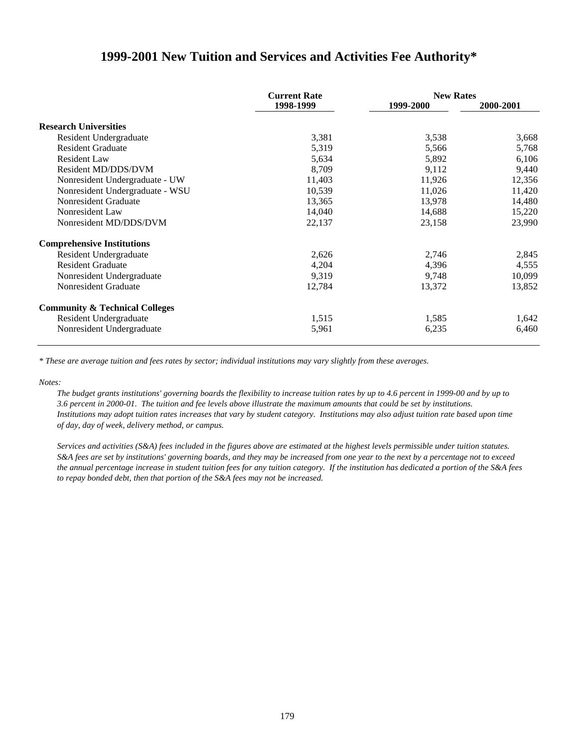### **1999-2001 New Tuition and Services and Activities Fee Authority\***

|                                           | <b>Current Rate</b> | <b>New Rates</b> |           |  |
|-------------------------------------------|---------------------|------------------|-----------|--|
|                                           | 1998-1999           | 1999-2000        | 2000-2001 |  |
| <b>Research Universities</b>              |                     |                  |           |  |
| Resident Undergraduate                    | 3,381               | 3,538            | 3,668     |  |
| <b>Resident Graduate</b>                  | 5,319               | 5,566            | 5,768     |  |
| <b>Resident Law</b>                       | 5,634               | 5,892            | 6,106     |  |
| Resident MD/DDS/DVM                       | 8,709               | 9,112            | 9,440     |  |
| Nonresident Undergraduate - UW            | 11,403              | 11,926           | 12,356    |  |
| Nonresident Undergraduate - WSU           | 10,539              | 11,026           | 11,420    |  |
| Nonresident Graduate                      | 13,365              | 13,978           | 14,480    |  |
| Nonresident Law                           | 14,040              | 14,688           | 15,220    |  |
| Nonresident MD/DDS/DVM                    | 22,137              | 23,158           | 23,990    |  |
| <b>Comprehensive Institutions</b>         |                     |                  |           |  |
| Resident Undergraduate                    | 2,626               | 2,746            | 2,845     |  |
| <b>Resident Graduate</b>                  | 4,204               | 4,396            | 4,555     |  |
| Nonresident Undergraduate                 | 9,319               | 9,748            | 10,099    |  |
| Nonresident Graduate                      | 12,784              | 13,372           | 13,852    |  |
| <b>Community &amp; Technical Colleges</b> |                     |                  |           |  |
| Resident Undergraduate                    | 1,515               | 1,585            | 1,642     |  |
| Nonresident Undergraduate                 | 5,961               | 6,235            | 6,460     |  |

*\* These are average tuition and fees rates by sector; individual institutions may vary slightly from these averages.*

*Notes:*

*The budget grants institutions' governing boards the flexibility to increase tuition rates by up to 4.6 percent in 1999-00 and by up to 3.6 percent in 2000-01. The tuition and fee levels above illustrate the maximum amounts that could be set by institutions. Institutions may adopt tuition rates increases that vary by student category. Institutions may also adjust tuition rate based upon time of day, day of week, delivery method, or campus.*

*Services and activities (S&A) fees included in the figures above are estimated at the highest levels permissible under tuition statutes. S&A fees are set by institutions' governing boards, and they may be increased from one year to the next by a percentage not to exceed the annual percentage increase in student tuition fees for any tuition category. If the institution has dedicated a portion of the S&A fees to repay bonded debt, then that portion of the S&A fees may not be increased.*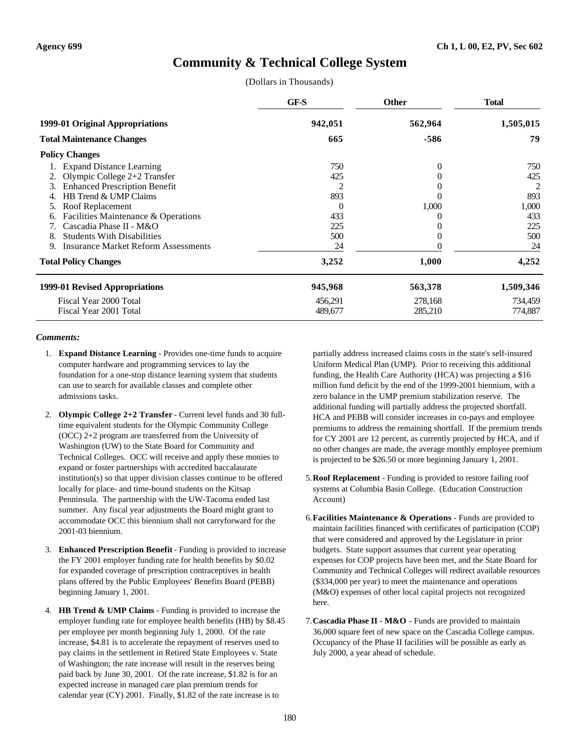## **Community & Technical College System**

(Dollars in Thousands)

|                                                  | GF-S     | Other    | <b>Total</b> |
|--------------------------------------------------|----------|----------|--------------|
| 1999-01 Original Appropriations                  | 942,051  | 562,964  | 1,505,015    |
| <b>Total Maintenance Changes</b>                 | 665      | -586     | 79           |
| <b>Policy Changes</b>                            |          |          |              |
| <b>Expand Distance Learning</b>                  | 750      | $\Omega$ | 750          |
| Olympic College $2+2$ Transfer                   | 425      |          | 425          |
| <b>Enhanced Prescription Benefit</b><br>3.       |          |          | 2            |
| HB Trend & UMP Claims                            | 893      |          | 893          |
| Roof Replacement<br>5.                           | $\theta$ | 1,000    | 1,000        |
| Facilities Maintenance & Operations<br>6.        | 433      |          | 433          |
| Cascadia Phase II - M&O                          | 225      |          | 225          |
| <b>Students With Disabilities</b><br>8.          | 500      |          | 500          |
| <b>Insurance Market Reform Assessments</b><br>9. | 24       |          | 24           |
| <b>Total Policy Changes</b>                      | 3,252    | 1,000    | 4,252        |
| 1999-01 Revised Appropriations                   | 945,968  | 563,378  | 1,509,346    |
| Fiscal Year 2000 Total                           | 456,291  | 278,168  | 734,459      |
| Fiscal Year 2001 Total                           | 489,677  | 285,210  | 774,887      |

#### *Comments:*

- 1. **Expand Distance Learning** Provides one-time funds to acquire computer hardware and programming services to lay the foundation for a one-stop distance learning system that students can use to search for available classes and complete other admissions tasks.
- 2. **Olympic College 2+2 Transfer** Current level funds and 30 fulltime equivalent students for the Olympic Community College (OCC) 2+2 program are transferred from the University of Washington (UW) to the State Board for Community and Technical Colleges. OCC will receive and apply these monies to expand or foster partnerships with accredited baccalaurate institution(s) so that upper division classes continue to be offered locally for place- and time-bound students on the Kitsap Penninsula. The partnership with the UW-Tacoma ended last summer. Any fiscal year adjustments the Board might grant to accommodate OCC this biennium shall not carryforward for the 2001-03 biennium.
- 3. **Enhanced Prescription Benefit** Funding is provided to increase the FY 2001 employer funding rate for health benefits by \$0.02 for expanded coverage of prescription contraceptives in health plans offered by the Public Employees' Benefits Board (PEBB) beginning January 1, 2001.
- 4. **HB Trend & UMP Claims** Funding is provided to increase the employer funding rate for employee health benefits (HB) by \$8.45 per employee per month beginning July 1, 2000. Of the rate increase, \$4.81 is to accelerate the repayment of reserves used to pay claims in the settlement in Retired State Employees v. State of Washington; the rate increase will result in the reserves being paid back by June 30, 2001. Of the rate increase, \$1.82 is for an expected increase in managed care plan premium trends for calendar year (CY) 2001. Finally, \$1.82 of the rate increase is to

partially address increased claims costs in the state's self-insured Uniform Medical Plan (UMP). Prior to receiving this additional funding, the Health Care Authority (HCA) was projecting a \$16 million fund deficit by the end of the 1999-2001 biennium, with a zero balance in the UMP premium stabilization reserve. The additional funding will partially address the projected shortfall. HCA and PEBB will consider increases in co-pays and employee premiums to address the remaining shortfall. If the premium trends for CY 2001 are 12 percent, as currently projected by HCA, and if no other changes are made, the average monthly employee premium is projected to be \$26.50 or more beginning January 1, 2001.

- 5.**Roof Replacement** Funding is provided to restore failing roof systems at Columbia Basin College. (Education Construction Account)
- 6.**Facilities Maintenance & Operations** Funds are provided to maintain facilities financed with certificates of participation (COP) that were considered and approved by the Legislature in prior budgets. State support assumes that current year operating expenses for COP projects have been met, and the State Board for Community and Technical Colleges will redirect available resources (\$334,000 per year) to meet the maintenance and operations (M&O) expenses of other local capital projects not recognized here.
- 7.**Cascadia Phase II M&O** Funds are provided to maintain 36,000 square feet of new space on the Cascadia College campus. Occupancy of the Phase II facilities will be possible as early as July 2000, a year ahead of schedule.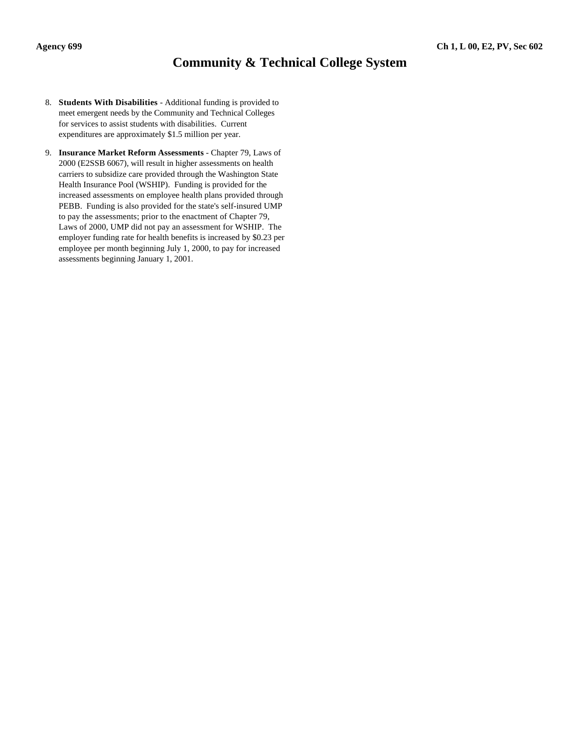# **Community & Technical College System**

- 8. **Students With Disabilities** Additional funding is provided to meet emergent needs by the Community and Technical Colleges for services to assist students with disabilities. Current expenditures are approximately \$1.5 million per year.
- 9. **Insurance Market Reform Assessments** Chapter 79, Laws of 2000 (E2SSB 6067), will result in higher assessments on health carriers to subsidize care provided through the Washington State Health Insurance Pool (WSHIP). Funding is provided for the increased assessments on employee health plans provided through PEBB. Funding is also provided for the state's self-insured UMP to pay the assessments; prior to the enactment of Chapter 79, Laws of 2000, UMP did not pay an assessment for WSHIP. The employer funding rate for health benefits is increased by \$0.23 per employee per month beginning July 1, 2000, to pay for increased assessments beginning January 1, 2001.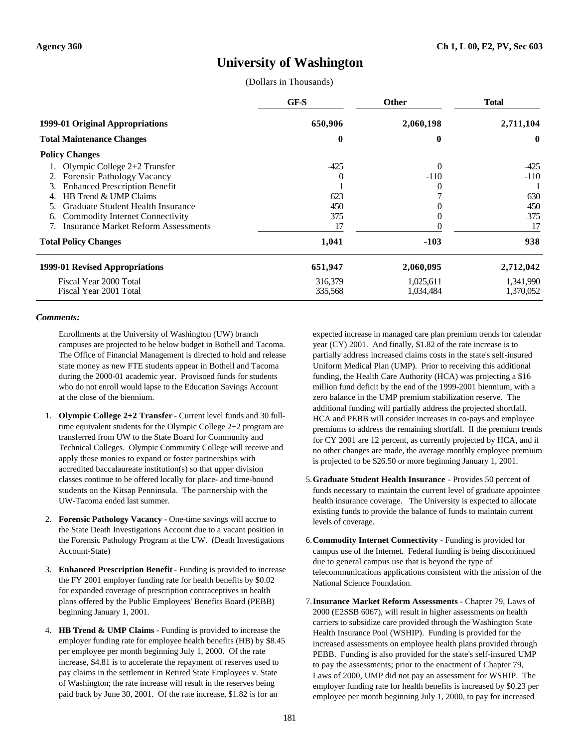## **University of Washington**

(Dollars in Thousands)

|                                              | GF-S     | <b>Other</b> | <b>Total</b> |
|----------------------------------------------|----------|--------------|--------------|
| 1999-01 Original Appropriations              | 650,906  | 2,060,198    | 2,711,104    |
| <b>Total Maintenance Changes</b>             | $\bf{0}$ | 0            | $\mathbf{0}$ |
| <b>Policy Changes</b>                        |          |              |              |
| Olympic College $2+2$ Transfer               | $-425$   | $\Omega$     | -425         |
| <b>Forensic Pathology Vacancy</b><br>2.      |          | $-110$       | -110         |
| <b>Enhanced Prescription Benefit</b><br>3.   |          |              |              |
| HB Trend & UMP Claims                        | 623      |              | 630          |
| Graduate Student Health Insurance            | 450      |              | 450          |
| <b>Commodity Internet Connectivity</b><br>6. | 375      |              | 375          |
| <b>Insurance Market Reform Assessments</b>   | 17       |              | 17           |
| <b>Total Policy Changes</b>                  | 1,041    | $-103$       | 938          |
| 1999-01 Revised Appropriations               | 651,947  | 2,060,095    | 2,712,042    |
| Fiscal Year 2000 Total                       | 316,379  | 1,025,611    | 1,341,990    |
| Fiscal Year 2001 Total                       | 335,568  | 1,034,484    | 1,370,052    |

#### *Comments:*

Enrollments at the University of Washington (UW) branch campuses are projected to be below budget in Bothell and Tacoma. The Office of Financial Management is directed to hold and release state money as new FTE students appear in Bothell and Tacoma during the 2000-01 academic year. Provisoed funds for students who do not enroll would lapse to the Education Savings Account at the close of the biennium.

- 1. **Olympic College 2+2 Transfer** Current level funds and 30 fulltime equivalent students for the Olympic College 2+2 program are transferred from UW to the State Board for Community and Technical Colleges. Olympic Community College will receive and apply these monies to expand or foster partnerships with accredited baccalaureate institution(s) so that upper division classes continue to be offered locally for place- and time-bound students on the Kitsap Penninsula. The partnership with the UW-Tacoma ended last summer.
- 2. **Forensic Pathology Vacancy** One-time savings will accrue to the State Death Investigations Account due to a vacant position in the Forensic Pathology Program at the UW. (Death Investigations Account-State)
- 3. **Enhanced Prescription Benefit** Funding is provided to increase the FY 2001 employer funding rate for health benefits by \$0.02 for expanded coverage of prescription contraceptives in health plans offered by the Public Employees' Benefits Board (PEBB) beginning January 1, 2001.
- 4. **HB Trend & UMP Claims** Funding is provided to increase the employer funding rate for employee health benefits (HB) by \$8.45 per employee per month beginning July 1, 2000. Of the rate increase, \$4.81 is to accelerate the repayment of reserves used to pay claims in the settlement in Retired State Employees v. State of Washington; the rate increase will result in the reserves being paid back by June 30, 2001. Of the rate increase, \$1.82 is for an

expected increase in managed care plan premium trends for calendar year (CY) 2001. And finally, \$1.82 of the rate increase is to partially address increased claims costs in the state's self-insured Uniform Medical Plan (UMP). Prior to receiving this additional funding, the Health Care Authority (HCA) was projecting a \$16 million fund deficit by the end of the 1999-2001 biennium, with a zero balance in the UMP premium stabilization reserve. The additional funding will partially address the projected shortfall. HCA and PEBB will consider increases in co-pays and employee premiums to address the remaining shortfall. If the premium trends for CY 2001 are 12 percent, as currently projected by HCA, and if no other changes are made, the average monthly employee premium is projected to be \$26.50 or more beginning January 1, 2001.

- 5.**Graduate Student Health Insurance** Provides 50 percent of funds necessary to maintain the current level of graduate appointee health insurance coverage. The University is expected to allocate existing funds to provide the balance of funds to maintain current levels of coverage.
- 6.**Commodity Internet Connectivity** Funding is provided for campus use of the Internet. Federal funding is being discontinued due to general campus use that is beyond the type of telecommunications applications consistent with the mission of the National Science Foundation.
- 7.**Insurance Market Reform Assessments** Chapter 79, Laws of 2000 (E2SSB 6067), will result in higher assessments on health carriers to subsidize care provided through the Washington State Health Insurance Pool (WSHIP). Funding is provided for the increased assessments on employee health plans provided through PEBB. Funding is also provided for the state's self-insured UMP to pay the assessments; prior to the enactment of Chapter 79, Laws of 2000, UMP did not pay an assessment for WSHIP. The employer funding rate for health benefits is increased by \$0.23 per employee per month beginning July 1, 2000, to pay for increased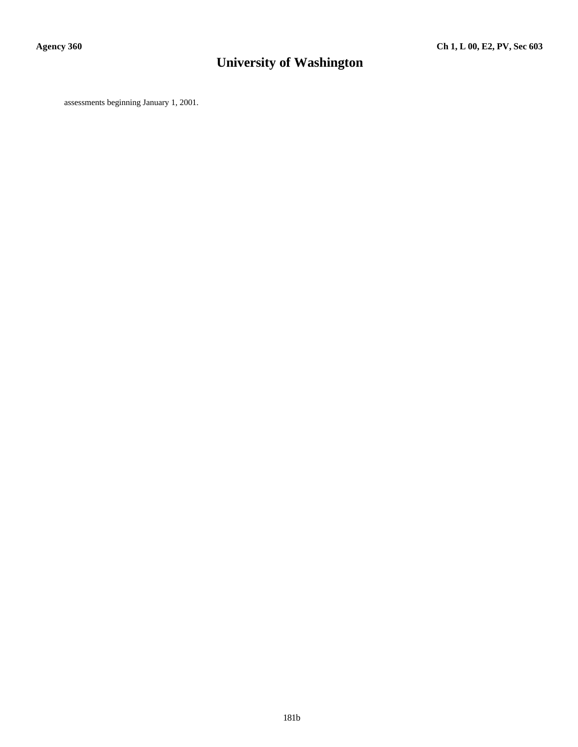# **University of Washington**

assessments beginning January 1, 2001.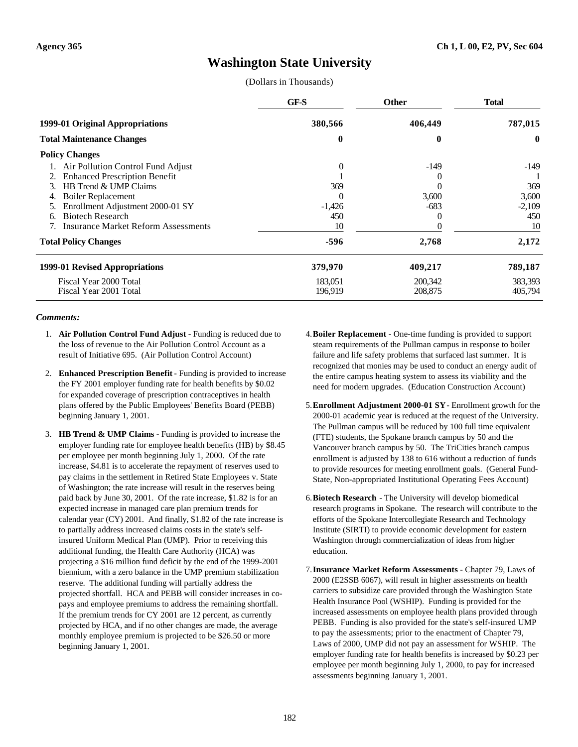# **Washington State University**

(Dollars in Thousands)

|                                            | GF-S           | <b>Other</b> | <b>Total</b> |
|--------------------------------------------|----------------|--------------|--------------|
| 1999-01 Original Appropriations            | 380,566        | 406,449      | 787,015      |
| <b>Total Maintenance Changes</b>           | 0              | 0            | $\mathbf{0}$ |
| <b>Policy Changes</b>                      |                |              |              |
| 1. Air Pollution Control Fund Adjust       | $\overline{0}$ | $-149$       | -149         |
| <b>Enhanced Prescription Benefit</b>       |                |              |              |
| HB Trend & UMP Claims<br>3.                | 369            |              | 369          |
| <b>Boiler Replacement</b>                  | $\theta$       | 3,600        | 3,600        |
| Enrollment Adjustment 2000-01 SY           | $-1,426$       | $-683$       | $-2,109$     |
| <b>Biotech Research</b><br>6.              | 450            | 0            | 450          |
| <b>Insurance Market Reform Assessments</b> | 10             |              | 10           |
| <b>Total Policy Changes</b>                | -596           | 2,768        | 2,172        |
| 1999-01 Revised Appropriations             | 379,970        | 409,217      | 789,187      |
| Fiscal Year 2000 Total                     | 183,051        | 200,342      | 383,393      |
| Fiscal Year 2001 Total                     | 196,919        | 208,875      | 405,794      |

#### *Comments:*

- 1. **Air Pollution Control Fund Adjust** Funding is reduced due to the loss of revenue to the Air Pollution Control Account as a result of Initiative 695. (Air Pollution Control Account)
- 2. **Enhanced Prescription Benefit** Funding is provided to increase the FY 2001 employer funding rate for health benefits by \$0.02 for expanded coverage of prescription contraceptives in health plans offered by the Public Employees' Benefits Board (PEBB) beginning January 1, 2001.
- 3. **HB Trend & UMP Claims** Funding is provided to increase the employer funding rate for employee health benefits (HB) by \$8.45 per employee per month beginning July 1, 2000. Of the rate increase, \$4.81 is to accelerate the repayment of reserves used to pay claims in the settlement in Retired State Employees v. State of Washington; the rate increase will result in the reserves being paid back by June 30, 2001. Of the rate increase, \$1.82 is for an expected increase in managed care plan premium trends for calendar year (CY) 2001. And finally, \$1.82 of the rate increase is to partially address increased claims costs in the state's selfinsured Uniform Medical Plan (UMP). Prior to receiving this additional funding, the Health Care Authority (HCA) was projecting a \$16 million fund deficit by the end of the 1999-2001 biennium, with a zero balance in the UMP premium stabilization reserve. The additional funding will partially address the projected shortfall. HCA and PEBB will consider increases in copays and employee premiums to address the remaining shortfall. If the premium trends for CY 2001 are 12 percent, as currently projected by HCA, and if no other changes are made, the average monthly employee premium is projected to be \$26.50 or more beginning January 1, 2001.
- 4.**Boiler Replacement** One-time funding is provided to support steam requirements of the Pullman campus in response to boiler failure and life safety problems that surfaced last summer. It is recognized that monies may be used to conduct an energy audit of the entire campus heating system to assess its viability and the need for modern upgrades. (Education Construction Account)
- 5.**Enrollment Adjustment 2000-01 SY** Enrollment growth for the 2000-01 academic year is reduced at the request of the University. The Pullman campus will be reduced by 100 full time equivalent (FTE) students, the Spokane branch campus by 50 and the Vancouver branch campus by 50. The TriCities branch campus enrollment is adjusted by 138 to 616 without a reduction of funds to provide resources for meeting enrollment goals. (General Fund-State, Non-appropriated Institutional Operating Fees Account)
- 6.**Biotech Research** The University will develop biomedical research programs in Spokane. The research will contribute to the efforts of the Spokane Intercollegiate Research and Technology Institute (SIRTI) to provide economic development for eastern Washington through commercialization of ideas from higher education.
- 7.**Insurance Market Reform Assessments** Chapter 79, Laws of 2000 (E2SSB 6067), will result in higher assessments on health carriers to subsidize care provided through the Washington State Health Insurance Pool (WSHIP). Funding is provided for the increased assessments on employee health plans provided through PEBB. Funding is also provided for the state's self-insured UMP to pay the assessments; prior to the enactment of Chapter 79, Laws of 2000, UMP did not pay an assessment for WSHIP. The employer funding rate for health benefits is increased by \$0.23 per employee per month beginning July 1, 2000, to pay for increased assessments beginning January 1, 2001.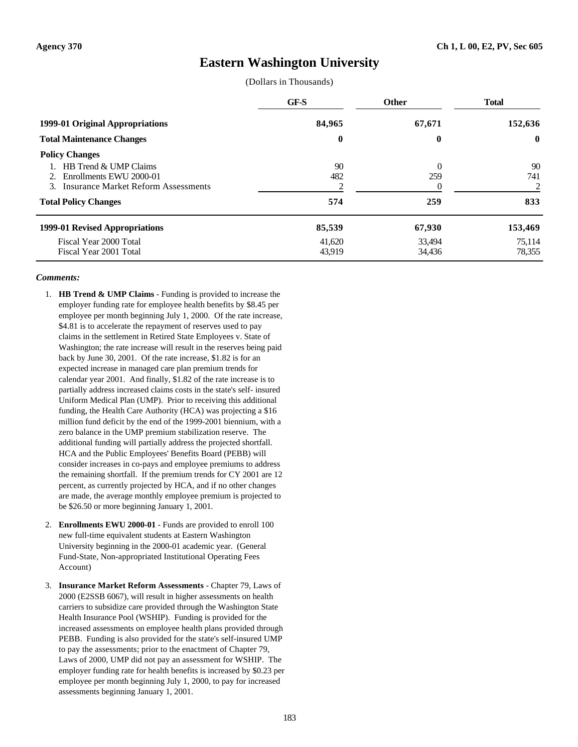### **Eastern Washington University**

(Dollars in Thousands)

|                                                                                                                                                                   | GF-S                       | <b>Other</b>               | <b>Total</b>                |
|-------------------------------------------------------------------------------------------------------------------------------------------------------------------|----------------------------|----------------------------|-----------------------------|
| 1999-01 Original Appropriations                                                                                                                                   | 84,965                     | 67,671                     | 152,636                     |
| <b>Total Maintenance Changes</b>                                                                                                                                  | $\bf{0}$                   | $\boldsymbol{0}$           | $\mathbf{0}$                |
| <b>Policy Changes</b><br>HB Trend & UMP Claims<br>Enrollments EWU 2000-01<br>$2^{\circ}$<br>3. Insurance Market Reform Assessments<br><b>Total Policy Changes</b> | 90<br>482<br>574           | $\Omega$<br>259<br>259     | 90<br>741<br>2<br>833       |
| 1999-01 Revised Appropriations<br>Fiscal Year 2000 Total<br>Fiscal Year 2001 Total                                                                                | 85,539<br>41.620<br>43,919 | 67,930<br>33.494<br>34,436 | 153,469<br>75.114<br>78,355 |

### *Comments:*

- 1. **HB Trend & UMP Claims** Funding is provided to increase the employer funding rate for employee health benefits by \$8.45 per employee per month beginning July 1, 2000. Of the rate increase, \$4.81 is to accelerate the repayment of reserves used to pay claims in the settlement in Retired State Employees v. State of Washington; the rate increase will result in the reserves being paid back by June 30, 2001. Of the rate increase, \$1.82 is for an expected increase in managed care plan premium trends for calendar year 2001. And finally, \$1.82 of the rate increase is to partially address increased claims costs in the state's self- insured Uniform Medical Plan (UMP). Prior to receiving this additional funding, the Health Care Authority (HCA) was projecting a \$16 million fund deficit by the end of the 1999-2001 biennium, with a zero balance in the UMP premium stabilization reserve. The additional funding will partially address the projected shortfall. HCA and the Public Employees' Benefits Board (PEBB) will consider increases in co-pays and employee premiums to address the remaining shortfall. If the premium trends for CY 2001 are 12 percent, as currently projected by HCA, and if no other changes are made, the average monthly employee premium is projected to be \$26.50 or more beginning January 1, 2001.
- 2. **Enrollments EWU 2000-01** Funds are provided to enroll 100 new full-time equivalent students at Eastern Washington University beginning in the 2000-01 academic year. (General Fund-State, Non-appropriated Institutional Operating Fees Account)
- 3. **Insurance Market Reform Assessments** Chapter 79, Laws of 2000 (E2SSB 6067), will result in higher assessments on health carriers to subsidize care provided through the Washington State Health Insurance Pool (WSHIP). Funding is provided for the increased assessments on employee health plans provided through PEBB. Funding is also provided for the state's self-insured UMP to pay the assessments; prior to the enactment of Chapter 79, Laws of 2000, UMP did not pay an assessment for WSHIP. The employer funding rate for health benefits is increased by \$0.23 per employee per month beginning July 1, 2000, to pay for increased assessments beginning January 1, 2001.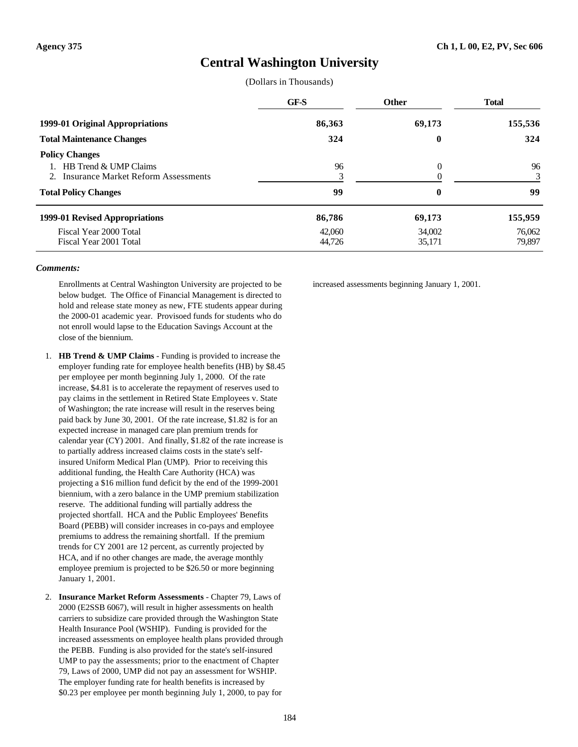### **Central Washington University**

(Dollars in Thousands)

|                                                                     | GF-S             | <b>Other</b>     | <b>Total</b>     |
|---------------------------------------------------------------------|------------------|------------------|------------------|
| 1999-01 Original Appropriations<br><b>Total Maintenance Changes</b> | 86,363<br>324    | 69,173<br>0      | 155,536<br>324   |
|                                                                     |                  |                  |                  |
| 1999-01 Revised Appropriations                                      | 86,786           | 69,173           | 155,959          |
| Fiscal Year 2000 Total<br>Fiscal Year 2001 Total                    | 42,060<br>44,726 | 34,002<br>35,171 | 76,062<br>79,897 |

#### *Comments:*

Enrollments at Central Washington University are projected to be below budget. The Office of Financial Management is directed to hold and release state money as new, FTE students appear during the 2000-01 academic year. Provisoed funds for students who do not enroll would lapse to the Education Savings Account at the close of the biennium.

- 1. **HB Trend & UMP Claims** Funding is provided to increase the employer funding rate for employee health benefits (HB) by \$8.45 per employee per month beginning July 1, 2000. Of the rate increase, \$4.81 is to accelerate the repayment of reserves used to pay claims in the settlement in Retired State Employees v. State of Washington; the rate increase will result in the reserves being paid back by June 30, 2001. Of the rate increase, \$1.82 is for an expected increase in managed care plan premium trends for calendar year (CY) 2001. And finally, \$1.82 of the rate increase is to partially address increased claims costs in the state's selfinsured Uniform Medical Plan (UMP). Prior to receiving this additional funding, the Health Care Authority (HCA) was projecting a \$16 million fund deficit by the end of the 1999-2001 biennium, with a zero balance in the UMP premium stabilization reserve. The additional funding will partially address the projected shortfall. HCA and the Public Employees' Benefits Board (PEBB) will consider increases in co-pays and employee premiums to address the remaining shortfall. If the premium trends for CY 2001 are 12 percent, as currently projected by HCA, and if no other changes are made, the average monthly employee premium is projected to be \$26.50 or more beginning January 1, 2001.
- 2. **Insurance Market Reform Assessments** Chapter 79, Laws of 2000 (E2SSB 6067), will result in higher assessments on health carriers to subsidize care provided through the Washington State Health Insurance Pool (WSHIP). Funding is provided for the increased assessments on employee health plans provided through the PEBB. Funding is also provided for the state's self-insured UMP to pay the assessments; prior to the enactment of Chapter 79, Laws of 2000, UMP did not pay an assessment for WSHIP. The employer funding rate for health benefits is increased by \$0.23 per employee per month beginning July 1, 2000, to pay for

increased assessments beginning January 1, 2001.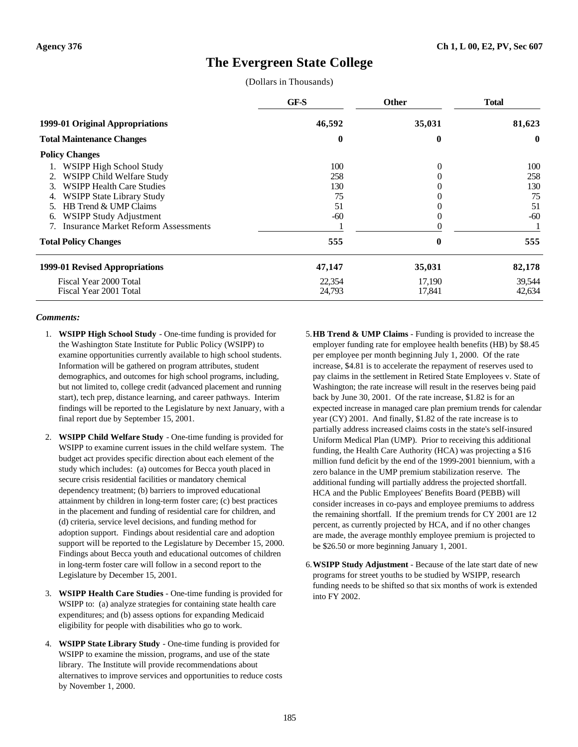### **The Evergreen State College**

(Dollars in Thousands)

|                                            | GF-S     | <b>Other</b> | <b>Total</b> |
|--------------------------------------------|----------|--------------|--------------|
| 1999-01 Original Appropriations            | 46,592   | 35,031       | 81,623       |
| <b>Total Maintenance Changes</b>           | $\bf{0}$ | 0            | $\mathbf{0}$ |
| <b>Policy Changes</b>                      |          |              |              |
| WSIPP High School Study                    | 100      | $\Omega$     | 100          |
| WSIPP Child Welfare Study<br>2.            | 258      |              | 258          |
| <b>WSIPP Health Care Studies</b><br>3.     | 130      |              | 130          |
| <b>WSIPP State Library Study</b><br>4.     | 75       |              | 75           |
| HB Trend & UMP Claims                      | 51       |              | 51           |
| WSIPP Study Adjustment<br>6.               | $-60$    | 0            | $-60$        |
| <b>Insurance Market Reform Assessments</b> |          |              |              |
| <b>Total Policy Changes</b>                | 555      | $\bf{0}$     | 555          |
| 1999-01 Revised Appropriations             | 47,147   | 35,031       | 82,178       |
| Fiscal Year 2000 Total                     | 22,354   | 17,190       | 39,544       |
| Fiscal Year 2001 Total                     | 24,793   | 17,841       | 42,634       |

#### *Comments:*

- 1. **WSIPP High School Study** One-time funding is provided for the Washington State Institute for Public Policy (WSIPP) to examine opportunities currently available to high school students. Information will be gathered on program attributes, student demographics, and outcomes for high school programs, including, but not limited to, college credit (advanced placement and running start), tech prep, distance learning, and career pathways. Interim findings will be reported to the Legislature by next January, with a final report due by September 15, 2001.
- 2. **WSIPP Child Welfare Study** One-time funding is provided for WSIPP to examine current issues in the child welfare system. The budget act provides specific direction about each element of the study which includes: (a) outcomes for Becca youth placed in secure crisis residential facilities or mandatory chemical dependency treatment; (b) barriers to improved educational attainment by children in long-term foster care; (c) best practices in the placement and funding of residential care for children, and (d) criteria, service level decisions, and funding method for adoption support. Findings about residential care and adoption support will be reported to the Legislature by December 15, 2000. Findings about Becca youth and educational outcomes of children in long-term foster care will follow in a second report to the Legislature by December 15, 2001.
- 3. **WSIPP Health Care Studies** One-time funding is provided for WSIPP to: (a) analyze strategies for containing state health care expenditures; and (b) assess options for expanding Medicaid eligibility for people with disabilities who go to work.
- 4. **WSIPP State Library Study** One-time funding is provided for WSIPP to examine the mission, programs, and use of the state library. The Institute will provide recommendations about alternatives to improve services and opportunities to reduce costs by November 1, 2000.

5.**HB Trend & UMP Claims** - Funding is provided to increase the employer funding rate for employee health benefits (HB) by \$8.45 per employee per month beginning July 1, 2000. Of the rate increase, \$4.81 is to accelerate the repayment of reserves used to pay claims in the settlement in Retired State Employees v. State of Washington; the rate increase will result in the reserves being paid back by June 30, 2001. Of the rate increase, \$1.82 is for an expected increase in managed care plan premium trends for calendar year (CY) 2001. And finally, \$1.82 of the rate increase is to partially address increased claims costs in the state's self-insured Uniform Medical Plan (UMP). Prior to receiving this additional funding, the Health Care Authority (HCA) was projecting a \$16 million fund deficit by the end of the 1999-2001 biennium, with a zero balance in the UMP premium stabilization reserve. The additional funding will partially address the projected shortfall. HCA and the Public Employees' Benefits Board (PEBB) will consider increases in co-pays and employee premiums to address the remaining shortfall. If the premium trends for CY 2001 are 12 percent, as currently projected by HCA, and if no other changes are made, the average monthly employee premium is projected to be \$26.50 or more beginning January 1, 2001.

6.**WSIPP Study Adjustment** - Because of the late start date of new programs for street youths to be studied by WSIPP, research funding needs to be shifted so that six months of work is extended into FY 2002.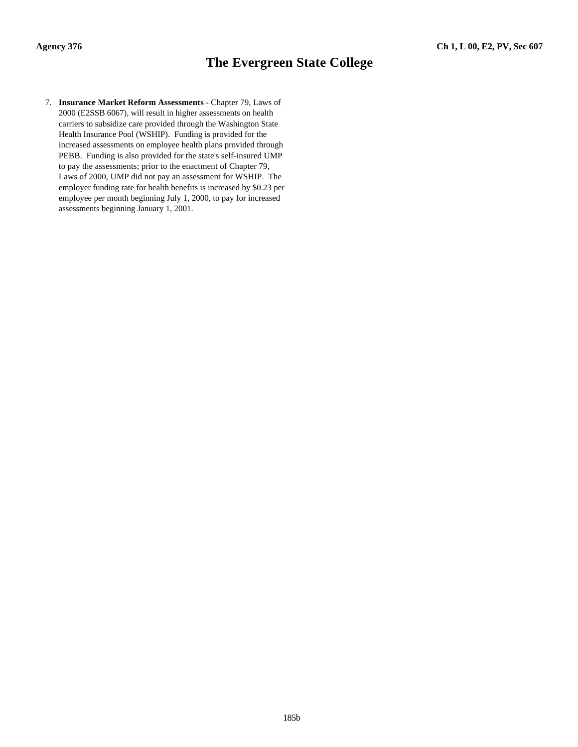### **The Evergreen State College**

7. **Insurance Market Reform Assessments** - Chapter 79, Laws of 2000 (E2SSB 6067), will result in higher assessments on health carriers to subsidize care provided through the Washington State Health Insurance Pool (WSHIP). Funding is provided for the increased assessments on employee health plans provided through PEBB. Funding is also provided for the state's self-insured UMP to pay the assessments; prior to the enactment of Chapter 79, Laws of 2000, UMP did not pay an assessment for WSHIP. The employer funding rate for health benefits is increased by \$0.23 per employee per month beginning July 1, 2000, to pay for increased assessments beginning January 1, 2001.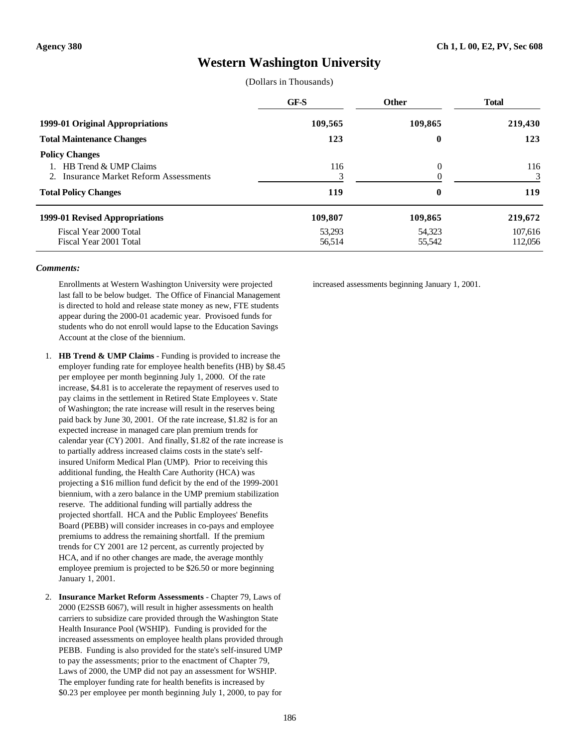### **Western Washington University**

(Dollars in Thousands)

|                                                                                                                         | GF-S             | <b>Other</b>             | <b>Total</b>       |
|-------------------------------------------------------------------------------------------------------------------------|------------------|--------------------------|--------------------|
| 1999-01 Original Appropriations                                                                                         | 109,565          | 109,865                  | 219,430            |
| <b>Total Maintenance Changes</b>                                                                                        | 123              | $\bf{0}$                 | 123                |
| <b>Policy Changes</b><br>HB Trend & UMP Claims<br>2. Insurance Market Reform Assessments<br><b>Total Policy Changes</b> | 116<br>119       | $\theta$<br>$\mathbf{0}$ | 116<br>3<br>119    |
| 1999-01 Revised Appropriations                                                                                          | 109,807          | 109,865                  | 219,672            |
| Fiscal Year 2000 Total<br>Fiscal Year 2001 Total                                                                        | 53,293<br>56,514 | 54,323<br>55,542         | 107.616<br>112,056 |

#### *Comments:*

Enrollments at Western Washington University were projected last fall to be below budget. The Office of Financial Management is directed to hold and release state money as new, FTE students appear during the 2000-01 academic year. Provisoed funds for students who do not enroll would lapse to the Education Savings Account at the close of the biennium.

- 1. **HB Trend & UMP Claims** Funding is provided to increase the employer funding rate for employee health benefits (HB) by \$8.45 per employee per month beginning July 1, 2000. Of the rate increase, \$4.81 is to accelerate the repayment of reserves used to pay claims in the settlement in Retired State Employees v. State of Washington; the rate increase will result in the reserves being paid back by June 30, 2001. Of the rate increase, \$1.82 is for an expected increase in managed care plan premium trends for calendar year (CY) 2001. And finally, \$1.82 of the rate increase is to partially address increased claims costs in the state's selfinsured Uniform Medical Plan (UMP). Prior to receiving this additional funding, the Health Care Authority (HCA) was projecting a \$16 million fund deficit by the end of the 1999-2001 biennium, with a zero balance in the UMP premium stabilization reserve. The additional funding will partially address the projected shortfall. HCA and the Public Employees' Benefits Board (PEBB) will consider increases in co-pays and employee premiums to address the remaining shortfall. If the premium trends for CY 2001 are 12 percent, as currently projected by HCA, and if no other changes are made, the average monthly employee premium is projected to be \$26.50 or more beginning January 1, 2001.
- 2. **Insurance Market Reform Assessments** Chapter 79, Laws of 2000 (E2SSB 6067), will result in higher assessments on health carriers to subsidize care provided through the Washington State Health Insurance Pool (WSHIP). Funding is provided for the increased assessments on employee health plans provided through PEBB. Funding is also provided for the state's self-insured UMP to pay the assessments; prior to the enactment of Chapter 79, Laws of 2000, the UMP did not pay an assessment for WSHIP. The employer funding rate for health benefits is increased by \$0.23 per employee per month beginning July 1, 2000, to pay for

increased assessments beginning January 1, 2001.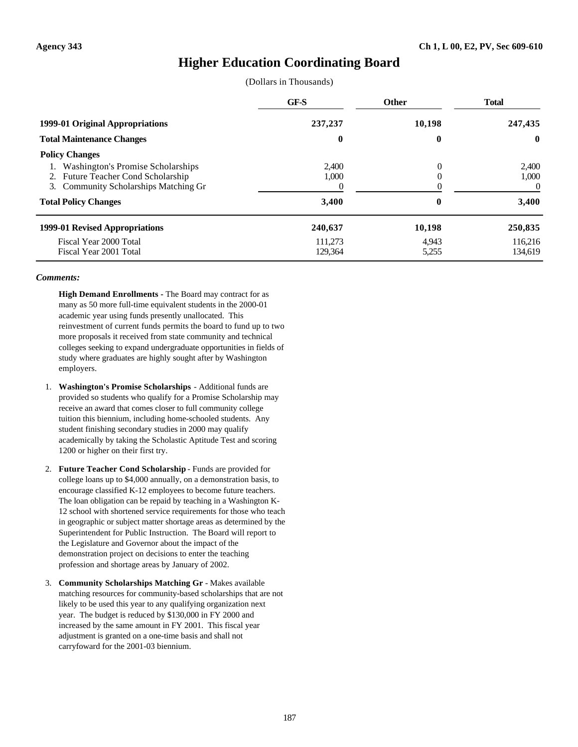### **Higher Education Coordinating Board**

(Dollars in Thousands)

|                                       | GF-S     | <b>Other</b> | <b>Total</b> |
|---------------------------------------|----------|--------------|--------------|
| 1999-01 Original Appropriations       | 237,237  |              | 247,435      |
| <b>Total Maintenance Changes</b>      | $\bf{0}$ | $\bf{0}$     | $\mathbf{0}$ |
| <b>Policy Changes</b>                 |          |              |              |
| Washington's Promise Scholarships     | 2.400    | 0            | 2.400        |
| Future Teacher Cond Scholarship<br>2. | 1.000    |              | 1,000        |
| 3. Community Scholarships Matching Gr |          |              | 0            |
| <b>Total Policy Changes</b>           | 3,400    | 0            | 3,400        |
| 1999-01 Revised Appropriations        | 240,637  | 10,198       | 250,835      |
| Fiscal Year 2000 Total                | 111.273  | 4.943        | 116.216      |
| Fiscal Year 2001 Total                | 129,364  | 5,255        | 134,619      |

#### *Comments:*

**High Demand Enrollments -** The Board may contract for as many as 50 more full-time equivalent students in the 2000-01 academic year using funds presently unallocated. This reinvestment of current funds permits the board to fund up to two more proposals it received from state community and technical colleges seeking to expand undergraduate opportunities in fields of study where graduates are highly sought after by Washington employers.

- 1. **Washington's Promise Scholarships** Additional funds are provided so students who qualify for a Promise Scholarship may receive an award that comes closer to full community college tuition this biennium, including home-schooled students. Any student finishing secondary studies in 2000 may qualify academically by taking the Scholastic Aptitude Test and scoring 1200 or higher on their first try.
- 2. **Future Teacher Cond Scholarship** Funds are provided for college loans up to \$4,000 annually, on a demonstration basis, to encourage classified K-12 employees to become future teachers. The loan obligation can be repaid by teaching in a Washington K-12 school with shortened service requirements for those who teach in geographic or subject matter shortage areas as determined by the Superintendent for Public Instruction. The Board will report to the Legislature and Governor about the impact of the demonstration project on decisions to enter the teaching profession and shortage areas by January of 2002.
- 3. **Community Scholarships Matching Gr** Makes available matching resources for community-based scholarships that are not likely to be used this year to any qualifying organization next year. The budget is reduced by \$130,000 in FY 2000 and increased by the same amount in FY 2001. This fiscal year adjustment is granted on a one-time basis and shall not carryfoward for the 2001-03 biennium.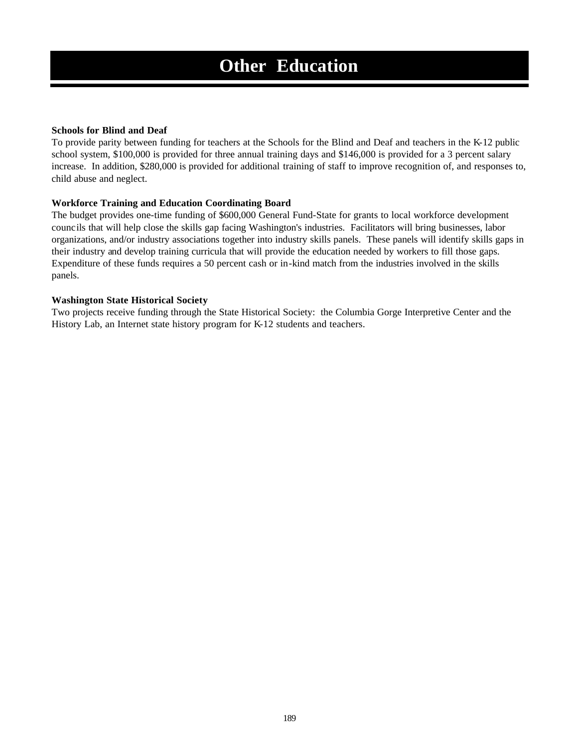#### **Schools for Blind and Deaf**

To provide parity between funding for teachers at the Schools for the Blind and Deaf and teachers in the K-12 public school system, \$100,000 is provided for three annual training days and \$146,000 is provided for a 3 percent salary increase. In addition, \$280,000 is provided for additional training of staff to improve recognition of, and responses to, child abuse and neglect.

### **Workforce Training and Education Coordinating Board**

The budget provides one-time funding of \$600,000 General Fund-State for grants to local workforce development councils that will help close the skills gap facing Washington's industries. Facilitators will bring businesses, labor organizations, and/or industry associations together into industry skills panels. These panels will identify skills gaps in their industry and develop training curricula that will provide the education needed by workers to fill those gaps. Expenditure of these funds requires a 50 percent cash or in-kind match from the industries involved in the skills panels.

### **Washington State Historical Society**

Two projects receive funding through the State Historical Society: the Columbia Gorge Interpretive Center and the History Lab, an Internet state history program for K-12 students and teachers.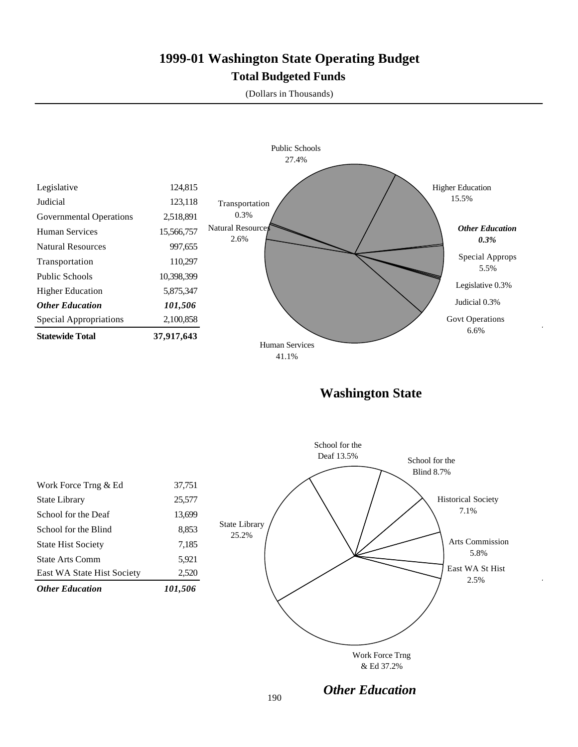### **1999-01 Washington State Operating Budget Total Budgeted Funds**

(Dollars in Thousands)



**Washington State**

|                            |         | School for the               |
|----------------------------|---------|------------------------------|
|                            |         | Deaf 13.5%<br>School for the |
|                            |         | <b>Blind 8.7%</b>            |
| Work Force Trng & Ed       | 37,751  |                              |
| State Library              | 25,577  | <b>Historical Society</b>    |
| School for the Deaf        | 13,699  | 7.1%                         |
| School for the Blind       | 8,853   | State Library<br>25.2%       |
| <b>State Hist Society</b>  | 7,185   | Arts Commission              |
| <b>State Arts Comm</b>     | 5,921   | 5.8%                         |
| East WA State Hist Society | 2,520   | East WA St Hist<br>2.5%      |
| <b>Other Education</b>     | 101,506 |                              |
|                            |         |                              |
|                            |         |                              |
|                            |         |                              |
|                            |         | Work Force Trng              |
|                            |         | & Ed 37.2%                   |

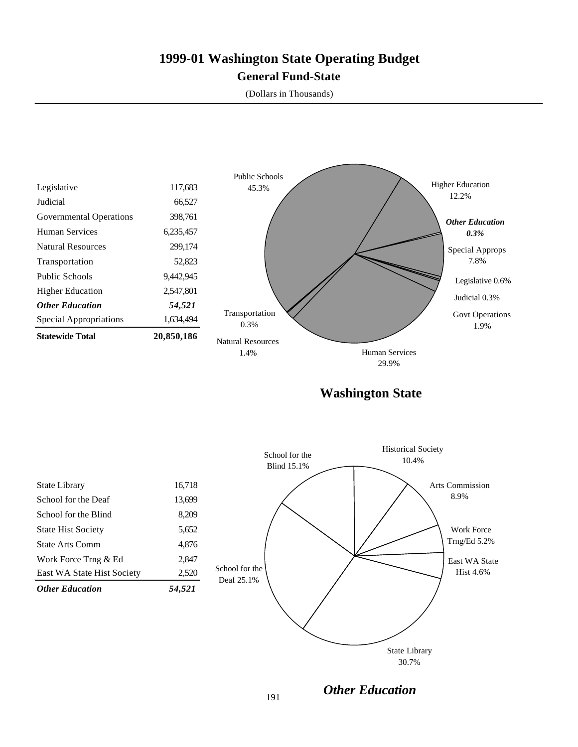### **1999-01 Washington State Operating Budget General Fund-State**

(Dollars in Thousands)



**Washington State**

| East WA State Hist Society<br><b>Other Education</b> | 2,520<br>54,521 |
|------------------------------------------------------|-----------------|
| Work Force Trng & Ed                                 | 2.847           |
| State Arts Comm                                      | 4,876           |
| <b>State Hist Society</b>                            | 5,652           |
| School for the Blind                                 | 8,209           |
| School for the Deaf                                  | 13,699          |
| <b>State Library</b>                                 | 16,718          |
|                                                      |                 |



*Other Education*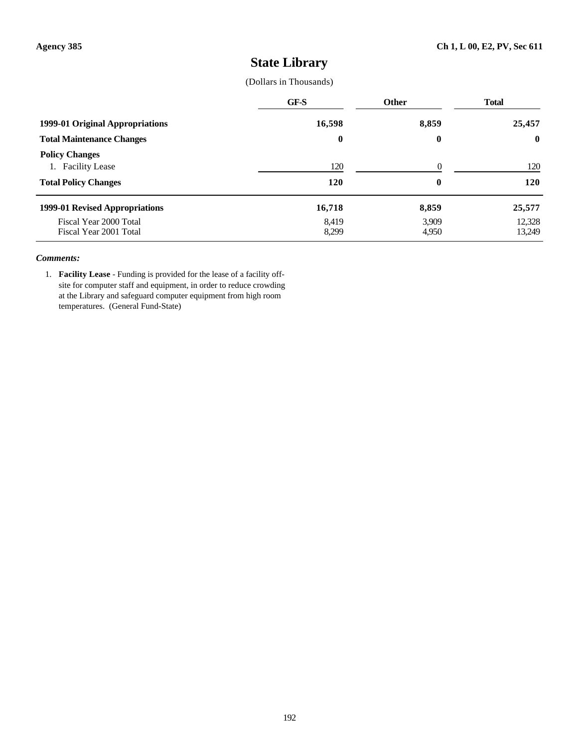### **State Library**

### (Dollars in Thousands)

|                                                  | GF-S             | <b>Other</b>   | <b>Total</b>     |
|--------------------------------------------------|------------------|----------------|------------------|
| 1999-01 Original Appropriations                  | 16,598           | 8,859          | 25,457           |
| <b>Total Maintenance Changes</b>                 | $\boldsymbol{0}$ | $\bf{0}$       | $\bf{0}$         |
| <b>Policy Changes</b><br>1. Facility Lease       | 120              | $\Omega$       | 120              |
| <b>Total Policy Changes</b>                      | 120              | $\bf{0}$       | <b>120</b>       |
| 1999-01 Revised Appropriations                   | 16,718           | 8,859          | 25,577           |
| Fiscal Year 2000 Total<br>Fiscal Year 2001 Total | 8,419<br>8,299   | 3,909<br>4,950 | 12,328<br>13,249 |

#### *Comments:*

1. **Facility Lease** - Funding is provided for the lease of a facility offsite for computer staff and equipment, in order to reduce crowding at the Library and safeguard computer equipment from high room temperatures. (General Fund-State)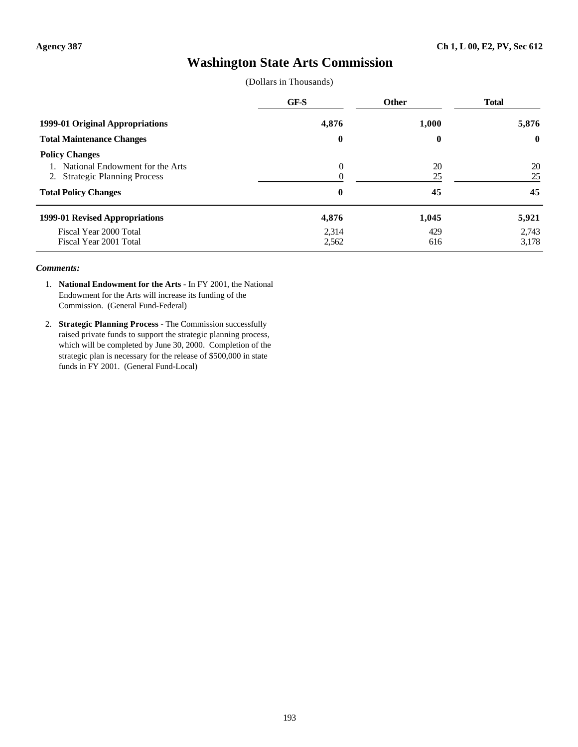### **Washington State Arts Commission**

(Dollars in Thousands)

|                                                                                              | GF-S           | Other            | <b>Total</b>   |
|----------------------------------------------------------------------------------------------|----------------|------------------|----------------|
| 1999-01 Original Appropriations                                                              | 4,876          | 1,000            | 5,876          |
| <b>Total Maintenance Changes</b>                                                             | $\bf{0}$       | $\boldsymbol{0}$ | $\mathbf 0$    |
| <b>Policy Changes</b><br>1. National Endowment for the Arts<br>2. Strategic Planning Process | $\theta$       | 20<br>25         | 20<br>25       |
| <b>Total Policy Changes</b>                                                                  | 0              | 45               | 45             |
| 1999-01 Revised Appropriations                                                               | 4,876          | 1,045            | 5,921          |
| Fiscal Year 2000 Total<br>Fiscal Year 2001 Total                                             | 2,314<br>2,562 | 429<br>616       | 2,743<br>3,178 |

- 1. **National Endowment for the Arts** In FY 2001, the National Endowment for the Arts will increase its funding of the Commission. (General Fund-Federal)
- 2. **Strategic Planning Process** The Commission successfully raised private funds to support the strategic planning process, which will be completed by June 30, 2000. Completion of the strategic plan is necessary for the release of \$500,000 in state funds in FY 2001. (General Fund-Local)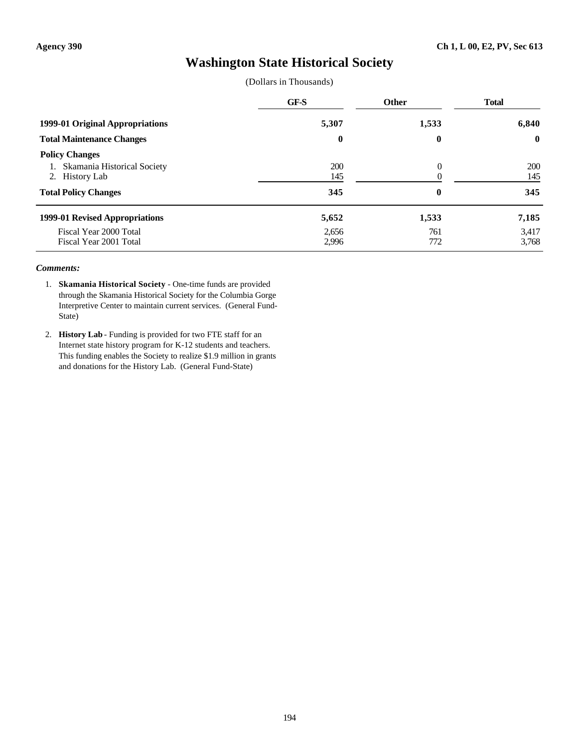### **Washington State Historical Society**

(Dollars in Thousands)

|                                                                        | GF-S           | Other      | <b>Total</b>      |
|------------------------------------------------------------------------|----------------|------------|-------------------|
| 1999-01 Original Appropriations                                        | 5,307          | 1,533      | 6,840             |
| <b>Total Maintenance Changes</b>                                       | $\bf{0}$       | $\bf{0}$   | $\bf{0}$          |
| <b>Policy Changes</b><br>Skamania Historical Society<br>2. History Lab | 200<br>145     | $\Omega$   | <b>200</b><br>145 |
| <b>Total Policy Changes</b>                                            | 345            | $\bf{0}$   | 345               |
| 1999-01 Revised Appropriations                                         | 5,652          | 1,533      | 7,185             |
| Fiscal Year 2000 Total<br>Fiscal Year 2001 Total                       | 2,656<br>2,996 | 761<br>772 | 3,417<br>3,768    |

- 1. **Skamania Historical Society** One-time funds are provided through the Skamania Historical Society for the Columbia Gorge Interpretive Center to maintain current services. (General Fund-State)
- 2. **History Lab** Funding is provided for two FTE staff for an Internet state history program for K-12 students and teachers. This funding enables the Society to realize \$1.9 million in grants and donations for the History Lab. (General Fund-State)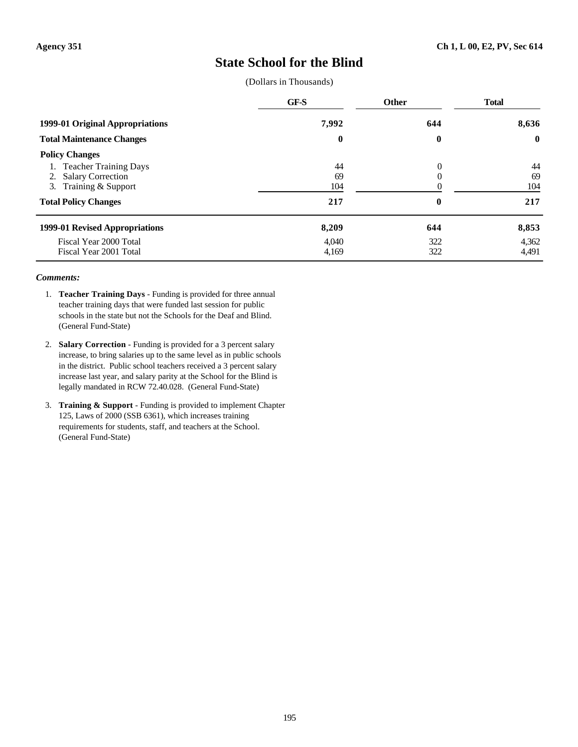### **State School for the Blind**

(Dollars in Thousands)

|                                  | GF-S     | <b>Other</b>     | <b>Total</b> |
|----------------------------------|----------|------------------|--------------|
| 1999-01 Original Appropriations  | 7,992    | 644              | 8,636        |
| <b>Total Maintenance Changes</b> | $\bf{0}$ | $\boldsymbol{0}$ | $\bf{0}$     |
| <b>Policy Changes</b>            |          |                  |              |
| <b>Teacher Training Days</b>     | 44       | $\theta$         | 44           |
| <b>Salary Correction</b><br>2.   | 69       |                  | 69           |
| 3. Training & Support            | 104      |                  | 104          |
| <b>Total Policy Changes</b>      | 217      | 0                | 217          |
| 1999-01 Revised Appropriations   | 8,209    | 644              | 8,853        |
| Fiscal Year 2000 Total           | 4.040    | 322              | 4,362        |
| Fiscal Year 2001 Total           | 4,169    | 322              | 4,491        |

- 1. **Teacher Training Days** Funding is provided for three annual teacher training days that were funded last session for public schools in the state but not the Schools for the Deaf and Blind. (General Fund-State)
- 2. **Salary Correction** Funding is provided for a 3 percent salary increase, to bring salaries up to the same level as in public schools in the district. Public school teachers received a 3 percent salary increase last year, and salary parity at the School for the Blind is legally mandated in RCW 72.40.028. (General Fund-State)
- 3. **Training & Support** Funding is provided to implement Chapter 125, Laws of 2000 (SSB 6361), which increases training requirements for students, staff, and teachers at the School. (General Fund-State)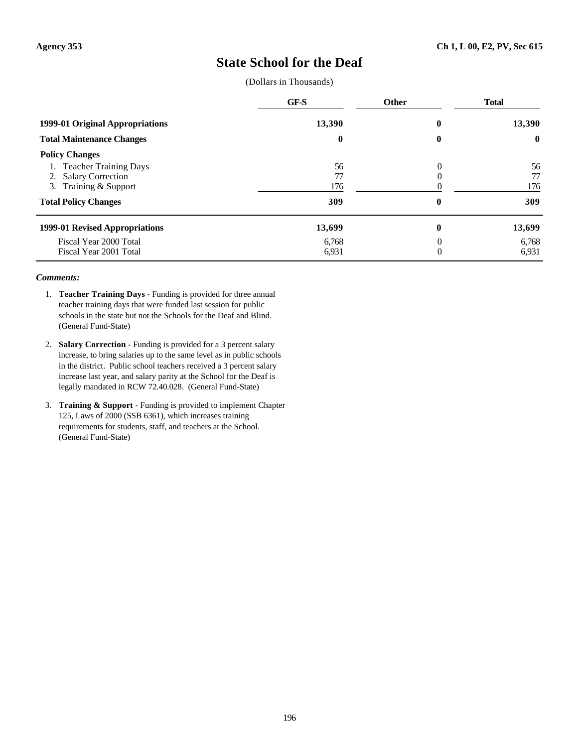### **State School for the Deaf**

(Dollars in Thousands)

|                                  | GF-S     | <b>Other</b> | <b>Total</b> |
|----------------------------------|----------|--------------|--------------|
| 1999-01 Original Appropriations  | 13,390   | 0            | 13,390       |
| <b>Total Maintenance Changes</b> | $\bf{0}$ | 0            | $\bf{0}$     |
| <b>Policy Changes</b>            |          |              |              |
| <b>Teacher Training Days</b>     | 56       | $\theta$     | 56           |
| <b>Salary Correction</b><br>2.   | 77       |              | 77           |
| 3. Training & Support            | 176      |              | 176          |
| <b>Total Policy Changes</b>      | 309      | 0            | 309          |
| 1999-01 Revised Appropriations   | 13,699   | $\bf{0}$     | 13,699       |
| Fiscal Year 2000 Total           | 6,768    | 0            | 6,768        |
| Fiscal Year 2001 Total           | 6,931    | 0            | 6,931        |

- 1. **Teacher Training Days** Funding is provided for three annual teacher training days that were funded last session for public schools in the state but not the Schools for the Deaf and Blind. (General Fund-State)
- 2. **Salary Correction** Funding is provided for a 3 percent salary increase, to bring salaries up to the same level as in public schools in the district. Public school teachers received a 3 percent salary increase last year, and salary parity at the School for the Deaf is legally mandated in RCW 72.40.028. (General Fund-State)
- 3. **Training & Support** Funding is provided to implement Chapter 125, Laws of 2000 (SSB 6361), which increases training requirements for students, staff, and teachers at the School. (General Fund-State)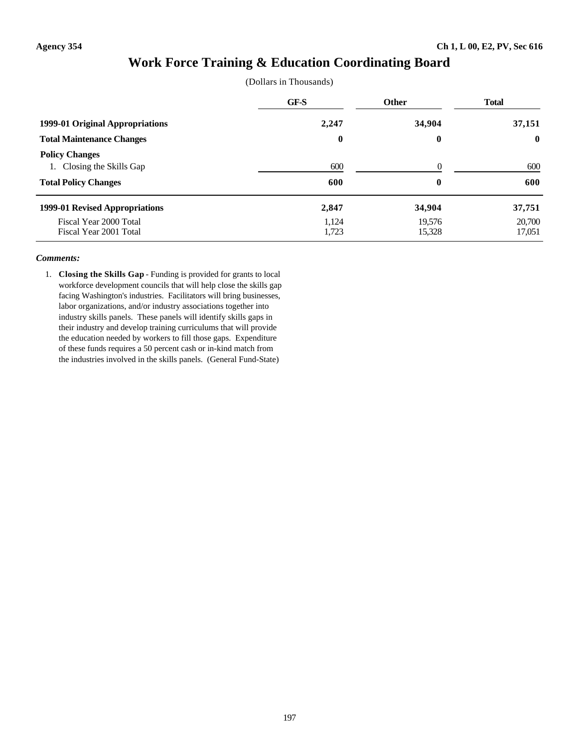### **Work Force Training & Education Coordinating Board**

|  | (Dollars in Thousands) |
|--|------------------------|
|--|------------------------|

|                                                                                   | GF-S           | <b>Other</b>         | <b>Total</b>     |
|-----------------------------------------------------------------------------------|----------------|----------------------|------------------|
| 1999-01 Original Appropriations                                                   | 2,247          | 34,904               | 37,151           |
| <b>Total Maintenance Changes</b>                                                  | $\bf{0}$       | $\bf{0}$             | $\bf{0}$         |
| <b>Policy Changes</b><br>1. Closing the Skills Gap<br><b>Total Policy Changes</b> | 600<br>600     | $\Omega$<br>$\bf{0}$ | 600<br>600       |
| 1999-01 Revised Appropriations                                                    | 2,847          | 34,904               | 37,751           |
| Fiscal Year 2000 Total<br>Fiscal Year 2001 Total                                  | 1,124<br>1,723 | 19.576<br>15,328     | 20,700<br>17,051 |

#### *Comments:*

1. **Closing the Skills Gap** - Funding is provided for grants to local workforce development councils that will help close the skills gap facing Washington's industries. Facilitators will bring businesses, labor organizations, and/or industry associations together into industry skills panels. These panels will identify skills gaps in their industry and develop training curriculums that will provide the education needed by workers to fill those gaps. Expenditure of these funds requires a 50 percent cash or in-kind match from the industries involved in the skills panels. (General Fund-State)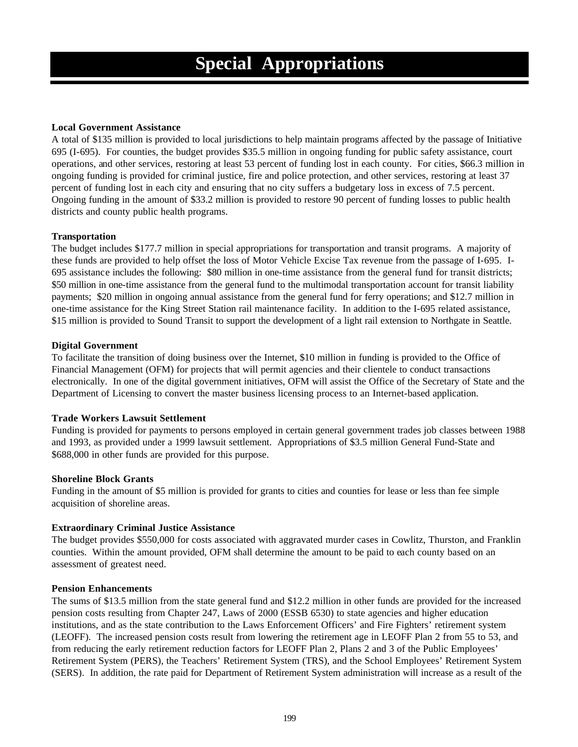### **Local Government Assistance**

A total of \$135 million is provided to local jurisdictions to help maintain programs affected by the passage of Initiative 695 (I-695). For counties, the budget provides \$35.5 million in ongoing funding for public safety assistance, court operations, and other services, restoring at least 53 percent of funding lost in each county. For cities, \$66.3 million in ongoing funding is provided for criminal justice, fire and police protection, and other services, restoring at least 37 percent of funding lost in each city and ensuring that no city suffers a budgetary loss in excess of 7.5 percent. Ongoing funding in the amount of \$33.2 million is provided to restore 90 percent of funding losses to public health districts and county public health programs.

### **Transportation**

The budget includes \$177.7 million in special appropriations for transportation and transit programs. A majority of these funds are provided to help offset the loss of Motor Vehicle Excise Tax revenue from the passage of I-695. I-695 assistance includes the following: \$80 million in one-time assistance from the general fund for transit districts; \$50 million in one-time assistance from the general fund to the multimodal transportation account for transit liability payments; \$20 million in ongoing annual assistance from the general fund for ferry operations; and \$12.7 million in one-time assistance for the King Street Station rail maintenance facility. In addition to the I-695 related assistance, \$15 million is provided to Sound Transit to support the development of a light rail extension to Northgate in Seattle.

### **Digital Government**

To facilitate the transition of doing business over the Internet, \$10 million in funding is provided to the Office of Financial Management (OFM) for projects that will permit agencies and their clientele to conduct transactions electronically. In one of the digital government initiatives, OFM will assist the Office of the Secretary of State and the Department of Licensing to convert the master business licensing process to an Internet-based application.

#### **Trade Workers Lawsuit Settlement**

Funding is provided for payments to persons employed in certain general government trades job classes between 1988 and 1993, as provided under a 1999 lawsuit settlement. Appropriations of \$3.5 million General Fund-State and \$688,000 in other funds are provided for this purpose.

#### **Shoreline Block Grants**

Funding in the amount of \$5 million is provided for grants to cities and counties for lease or less than fee simple acquisition of shoreline areas.

#### **Extraordinary Criminal Justice Assistance**

The budget provides \$550,000 for costs associated with aggravated murder cases in Cowlitz, Thurston, and Franklin counties. Within the amount provided, OFM shall determine the amount to be paid to each county based on an assessment of greatest need.

#### **Pension Enhancements**

The sums of \$13.5 million from the state general fund and \$12.2 million in other funds are provided for the increased pension costs resulting from Chapter 247, Laws of 2000 (ESSB 6530) to state agencies and higher education institutions, and as the state contribution to the Laws Enforcement Officers' and Fire Fighters' retirement system (LEOFF). The increased pension costs result from lowering the retirement age in LEOFF Plan 2 from 55 to 53, and from reducing the early retirement reduction factors for LEOFF Plan 2, Plans 2 and 3 of the Public Employees' Retirement System (PERS), the Teachers' Retirement System (TRS), and the School Employees' Retirement System (SERS). In addition, the rate paid for Department of Retirement System administration will increase as a result of the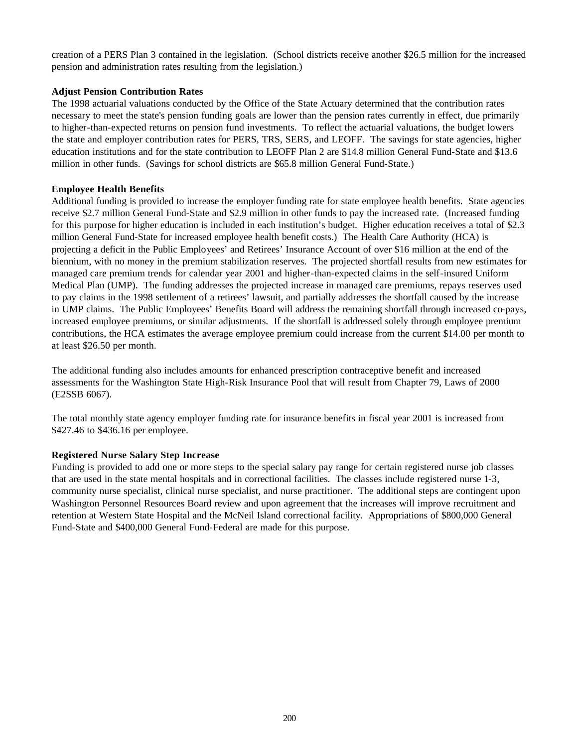creation of a PERS Plan 3 contained in the legislation. (School districts receive another \$26.5 million for the increased pension and administration rates resulting from the legislation.)

### **Adjust Pension Contribution Rates**

The 1998 actuarial valuations conducted by the Office of the State Actuary determined that the contribution rates necessary to meet the state's pension funding goals are lower than the pension rates currently in effect, due primarily to higher-than-expected returns on pension fund investments. To reflect the actuarial valuations, the budget lowers the state and employer contribution rates for PERS, TRS, SERS, and LEOFF. The savings for state agencies, higher education institutions and for the state contribution to LEOFF Plan 2 are \$14.8 million General Fund-State and \$13.6 million in other funds. (Savings for school districts are \$65.8 million General Fund-State.)

### **Employee Health Benefits**

Additional funding is provided to increase the employer funding rate for state employee health benefits. State agencies receive \$2.7 million General Fund-State and \$2.9 million in other funds to pay the increased rate. (Increased funding for this purpose for higher education is included in each institution's budget. Higher education receives a total of \$2.3 million General Fund-State for increased employee health benefit costs.) The Health Care Authority (HCA) is projecting a deficit in the Public Employees' and Retirees' Insurance Account of over \$16 million at the end of the biennium, with no money in the premium stabilization reserves. The projected shortfall results from new estimates for managed care premium trends for calendar year 2001 and higher-than-expected claims in the self-insured Uniform Medical Plan (UMP). The funding addresses the projected increase in managed care premiums, repays reserves used to pay claims in the 1998 settlement of a retirees' lawsuit, and partially addresses the shortfall caused by the increase in UMP claims. The Public Employees' Benefits Board will address the remaining shortfall through increased co-pays, increased employee premiums, or similar adjustments. If the shortfall is addressed solely through employee premium contributions, the HCA estimates the average employee premium could increase from the current \$14.00 per month to at least \$26.50 per month.

The additional funding also includes amounts for enhanced prescription contraceptive benefit and increased assessments for the Washington State High-Risk Insurance Pool that will result from Chapter 79, Laws of 2000 (E2SSB 6067).

The total monthly state agency employer funding rate for insurance benefits in fiscal year 2001 is increased from \$427.46 to \$436.16 per employee.

#### **Registered Nurse Salary Step Increase**

Funding is provided to add one or more steps to the special salary pay range for certain registered nurse job classes that are used in the state mental hospitals and in correctional facilities. The classes include registered nurse 1-3, community nurse specialist, clinical nurse specialist, and nurse practitioner. The additional steps are contingent upon Washington Personnel Resources Board review and upon agreement that the increases will improve recruitment and retention at Western State Hospital and the McNeil Island correctional facility. Appropriations of \$800,000 General Fund-State and \$400,000 General Fund-Federal are made for this purpose.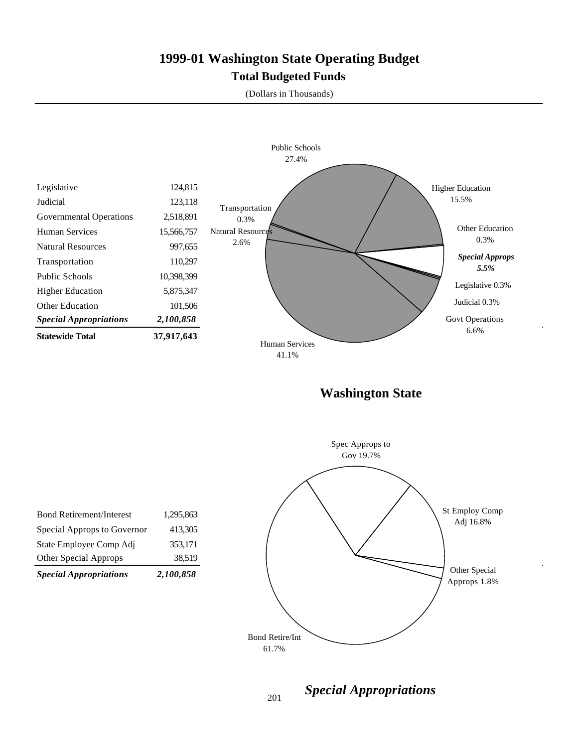### **1999-01 Washington State Operating Budget Total Budgeted Funds**

(Dollars in Thousands)



**Washington State**



| <b>Special Appropriations</b>   | 2,100,858 |
|---------------------------------|-----------|
| Other Special Approps           | 38,519    |
| State Employee Comp Adj         | 353,171   |
| Special Approps to Governor     | 413,305   |
| <b>Bond Retirement/Interest</b> | 1,295,863 |
|                                 |           |

*Special Appropriations*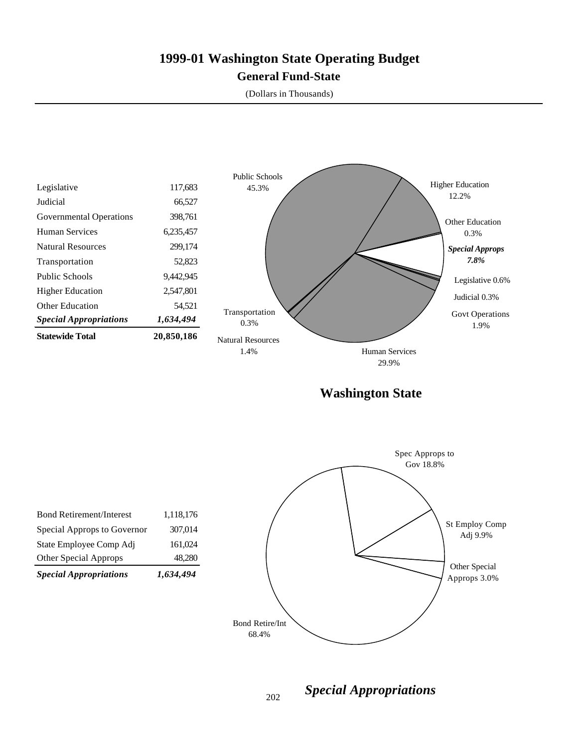### **1999-01 Washington State Operating Budget General Fund-State**

(Dollars in Thousands)



202

*Special Appropriations*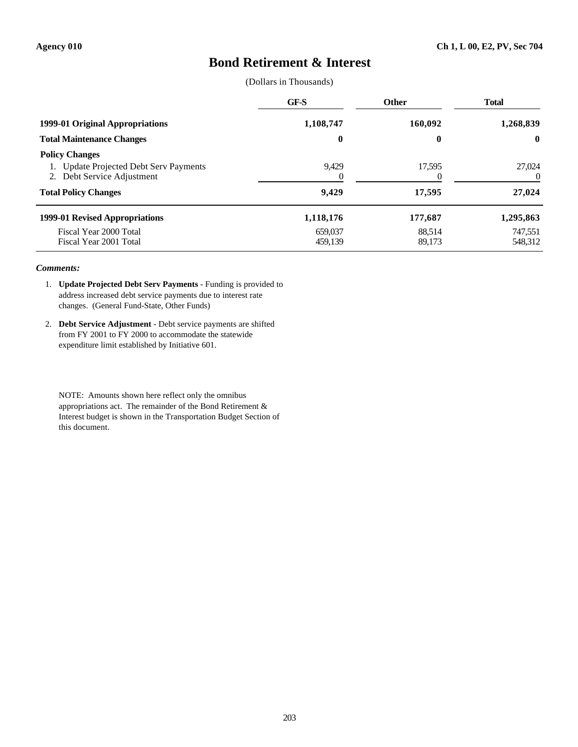### **Bond Retirement & Interest**

(Dollars in Thousands)

|                                                                                               | GF-S               | Other              | <b>Total</b>       |
|-----------------------------------------------------------------------------------------------|--------------------|--------------------|--------------------|
| 1999-01 Original Appropriations                                                               | 1,108,747          | 160,092            | 1,268,839          |
| <b>Total Maintenance Changes</b>                                                              | $\boldsymbol{0}$   | $\bf{0}$           | $\mathbf 0$        |
| <b>Policy Changes</b><br>1. Update Projected Debt Serv Payments<br>2. Debt Service Adjustment | 9,429<br>0         | 17,595<br>$\theta$ | 27,024<br>0        |
| <b>Total Policy Changes</b>                                                                   | 9,429              | 17,595             | 27,024             |
| 1999-01 Revised Appropriations                                                                | 1,118,176          | 177,687            | 1,295,863          |
| Fiscal Year 2000 Total<br>Fiscal Year 2001 Total                                              | 659,037<br>459.139 | 88,514<br>89,173   | 747,551<br>548,312 |

#### *Comments:*

- 1. **Update Projected Debt Serv Payments** Funding is provided to address increased debt service payments due to interest rate changes. (General Fund-State, Other Funds)
- 2. **Debt Service Adjustment** Debt service payments are shifted from FY 2001 to FY 2000 to accommodate the statewide expenditure limit established by Initiative 601.

NOTE: Amounts shown here reflect only the omnibus appropriations act. The remainder of the Bond Retirement & Interest budget is shown in the Transportation Budget Section of this document.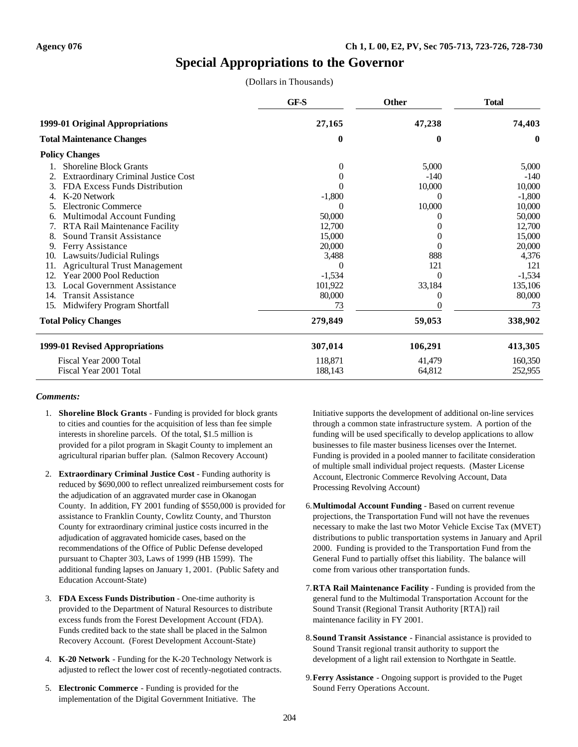# **Special Appropriations to the Governor**

(Dollars in Thousands)

|     |                                            | GF-S     | <b>Other</b> | <b>Total</b> |
|-----|--------------------------------------------|----------|--------------|--------------|
|     | 1999-01 Original Appropriations            | 27,165   | 47,238       | 74,403       |
|     | <b>Total Maintenance Changes</b>           | $\bf{0}$ | 0            | $\bf{0}$     |
|     | <b>Policy Changes</b>                      |          |              |              |
|     | <b>Shoreline Block Grants</b>              | $\theta$ | 5,000        | 5,000        |
|     | <b>Extraordinary Criminal Justice Cost</b> | $\theta$ | $-140$       | $-140$       |
| 3.  | FDA Excess Funds Distribution              | $\theta$ | 10,000       | 10,000       |
| 4.  | K-20 Network                               | $-1,800$ | $\theta$     | $-1,800$     |
|     | <b>Electronic Commerce</b>                 |          | 10,000       | 10,000       |
| 6.  | Multimodal Account Funding                 | 50,000   | $\theta$     | 50,000       |
| 7.  | RTA Rail Maintenance Facility              | 12,700   |              | 12,700       |
| 8.  | Sound Transit Assistance                   | 15,000   |              | 15,000       |
| 9.  | Ferry Assistance                           | 20,000   | $\theta$     | 20,000       |
| 10. | Lawsuits/Judicial Rulings                  | 3,488    | 888          | 4,376        |
| 11. | <b>Agricultural Trust Management</b>       | 0        | 121          | 121          |
| 12. | Year 2000 Pool Reduction                   | $-1,534$ | $\Omega$     | $-1,534$     |
| 13. | <b>Local Government Assistance</b>         | 101,922  | 33,184       | 135,106      |
| 14. | <b>Transit Assistance</b>                  | 80,000   | 0            | 80,000       |
| 15. | Midwifery Program Shortfall                | 73       |              | 73           |
|     | <b>Total Policy Changes</b>                | 279,849  | 59,053       | 338,902      |
|     | 1999-01 Revised Appropriations             | 307,014  | 106,291      | 413,305      |
|     | Fiscal Year 2000 Total                     | 118,871  | 41,479       | 160,350      |
|     | Fiscal Year 2001 Total                     | 188,143  | 64,812       | 252,955      |

#### *Comments:*

- 1. **Shoreline Block Grants** Funding is provided for block grants to cities and counties for the acquisition of less than fee simple interests in shoreline parcels. Of the total, \$1.5 million is provided for a pilot program in Skagit County to implement an agricultural riparian buffer plan. (Salmon Recovery Account)
- 2. **Extraordinary Criminal Justice Cost** Funding authority is reduced by \$690,000 to reflect unrealized reimbursement costs for the adjudication of an aggravated murder case in Okanogan County. In addition, FY 2001 funding of \$550,000 is provided for assistance to Franklin County, Cowlitz County, and Thurston County for extraordinary criminal justice costs incurred in the adjudication of aggravated homicide cases, based on the recommendations of the Office of Public Defense developed pursuant to Chapter 303, Laws of 1999 (HB 1599). The additional funding lapses on January 1, 2001. (Public Safety and Education Account-State)
- 3. **FDA Excess Funds Distribution** One-time authority is provided to the Department of Natural Resources to distribute excess funds from the Forest Development Account (FDA). Funds credited back to the state shall be placed in the Salmon Recovery Account. (Forest Development Account-State)
- 4. **K-20 Network** Funding for the K-20 Technology Network is adjusted to reflect the lower cost of recently-negotiated contracts.
- 5. **Electronic Commerce** Funding is provided for the implementation of the Digital Government Initiative. The

Initiative supports the development of additional on-line services through a common state infrastructure system. A portion of the funding will be used specifically to develop applications to allow businesses to file master business licenses over the Internet. Funding is provided in a pooled manner to facilitate consideration of multiple small individual project requests. (Master License Account, Electronic Commerce Revolving Account, Data Processing Revolving Account)

- 6.**Multimodal Account Funding** Based on current revenue projections, the Transportation Fund will not have the revenues necessary to make the last two Motor Vehicle Excise Tax (MVET) distributions to public transportation systems in January and April 2000. Funding is provided to the Transportation Fund from the General Fund to partially offset this liability. The balance will come from various other transportation funds.
- 7.**RTA Rail Maintenance Facility** Funding is provided from the general fund to the Multimodal Transportation Account for the Sound Transit (Regional Transit Authority [RTA]) rail maintenance facility in FY 2001.
- 8.**Sound Transit Assistance** Financial assistance is provided to Sound Transit regional transit authority to support the development of a light rail extension to Northgate in Seattle.
- 9.**Ferry Assistance** Ongoing support is provided to the Puget Sound Ferry Operations Account.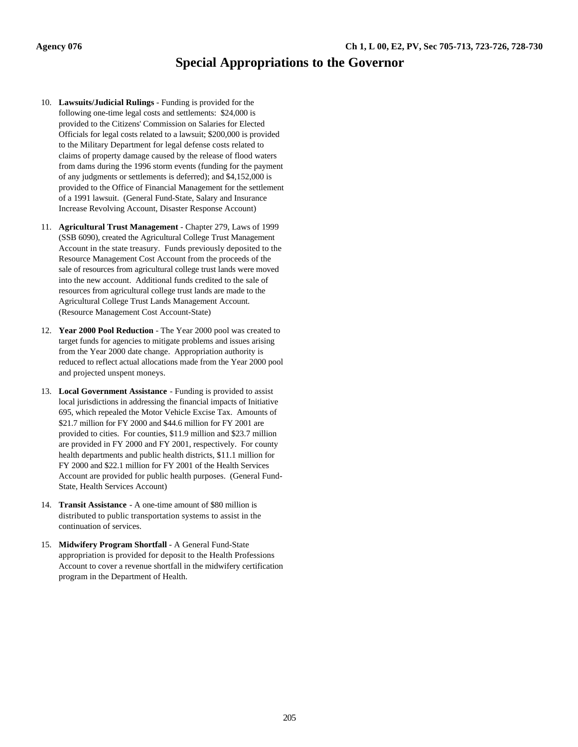## **Special Appropriations to the Governor**

- 10. **Lawsuits/Judicial Rulings** Funding is provided for the following one-time legal costs and settlements: \$24,000 is provided to the Citizens' Commission on Salaries for Elected Officials for legal costs related to a lawsuit; \$200,000 is provided to the Military Department for legal defense costs related to claims of property damage caused by the release of flood waters from dams during the 1996 storm events (funding for the payment of any judgments or settlements is deferred); and \$4,152,000 is provided to the Office of Financial Management for the settlement of a 1991 lawsuit. (General Fund-State, Salary and Insurance Increase Revolving Account, Disaster Response Account)
- 11. **Agricultural Trust Management** Chapter 279, Laws of 1999 (SSB 6090), created the Agricultural College Trust Management Account in the state treasury. Funds previously deposited to the Resource Management Cost Account from the proceeds of the sale of resources from agricultural college trust lands were moved into the new account. Additional funds credited to the sale of resources from agricultural college trust lands are made to the Agricultural College Trust Lands Management Account. (Resource Management Cost Account-State)
- 12. **Year 2000 Pool Reduction** The Year 2000 pool was created to target funds for agencies to mitigate problems and issues arising from the Year 2000 date change. Appropriation authority is reduced to reflect actual allocations made from the Year 2000 pool and projected unspent moneys.
- 13. **Local Government Assistance** Funding is provided to assist local jurisdictions in addressing the financial impacts of Initiative 695, which repealed the Motor Vehicle Excise Tax. Amounts of \$21.7 million for FY 2000 and \$44.6 million for FY 2001 are provided to cities. For counties, \$11.9 million and \$23.7 million are provided in FY 2000 and FY 2001, respectively. For county health departments and public health districts, \$11.1 million for FY 2000 and \$22.1 million for FY 2001 of the Health Services Account are provided for public health purposes. (General Fund-State, Health Services Account)
- 14. **Transit Assistance** A one-time amount of \$80 million is distributed to public transportation systems to assist in the continuation of services.
- 15. **Midwifery Program Shortfall** A General Fund-State appropriation is provided for deposit to the Health Professions Account to cover a revenue shortfall in the midwifery certification program in the Department of Health.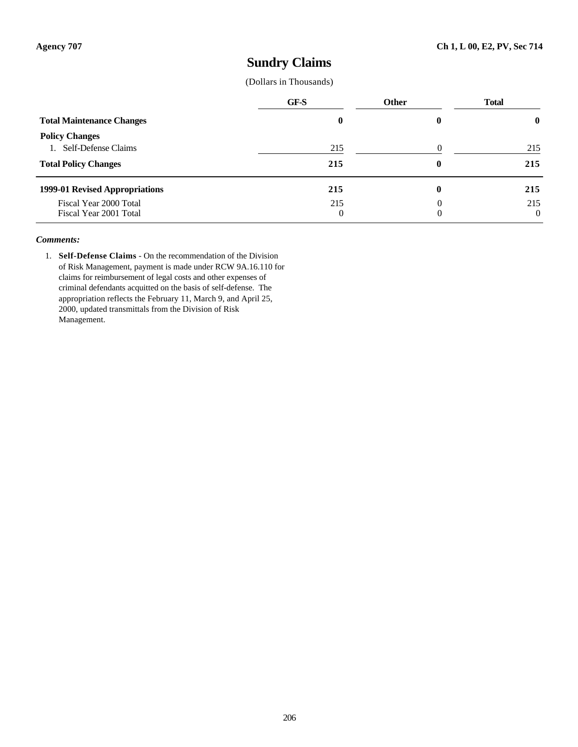### **Sundry Claims**

(Dollars in Thousands)

|                                  | GF-S     | <b>Other</b> | <b>Total</b> |
|----------------------------------|----------|--------------|--------------|
| <b>Total Maintenance Changes</b> | $\bf{0}$ |              | $\mathbf{0}$ |
| <b>Policy Changes</b>            |          |              |              |
| 1. Self-Defense Claims           | 215      |              | 215          |
| <b>Total Policy Changes</b>      | 215      | 0            | 215          |
| 1999-01 Revised Appropriations   | 215      |              | 215          |
| Fiscal Year 2000 Total           | 215      |              | 215          |
| Fiscal Year 2001 Total           | 0        | 0            | $\theta$     |

#### *Comments:*

1. **Self-Defense Claims** - On the recommendation of the Division of Risk Management, payment is made under RCW 9A.16.110 for claims for reimbursement of legal costs and other expenses of criminal defendants acquitted on the basis of self-defense. The appropriation reflects the February 11, March 9, and April 25, 2000, updated transmittals from the Division of Risk Management.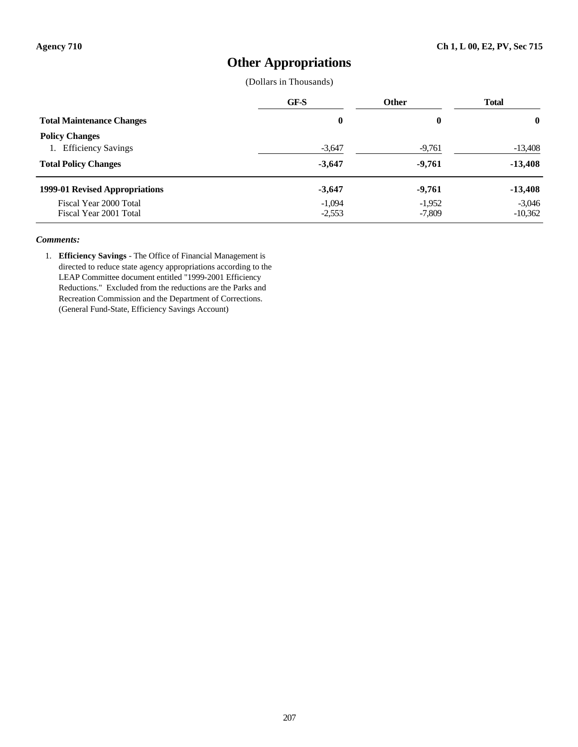### **Other Appropriations**

(Dollars in Thousands)

|                                                          | GF-S                 | <b>Other</b>         | <b>Total</b>          |
|----------------------------------------------------------|----------------------|----------------------|-----------------------|
| <b>Total Maintenance Changes</b>                         | $\bf{0}$             | 0                    | $\mathbf 0$           |
| <b>Policy Changes</b><br><b>Efficiency Savings</b><br>1. | $-3,647$             | $-9,761$             | $-13,408$             |
| <b>Total Policy Changes</b>                              | $-3,647$             | $-9,761$             | $-13,408$             |
| 1999-01 Revised Appropriations                           | $-3,647$             | $-9,761$             | $-13,408$             |
| Fiscal Year 2000 Total<br>Fiscal Year 2001 Total         | $-1,094$<br>$-2,553$ | $-1,952$<br>$-7,809$ | $-3,046$<br>$-10,362$ |

#### *Comments:*

1. **Efficiency Savings** - The Office of Financial Management is directed to reduce state agency appropriations according to the LEAP Committee document entitled "1999-2001 Efficiency Reductions." Excluded from the reductions are the Parks and Recreation Commission and the Department of Corrections. (General Fund-State, Efficiency Savings Account)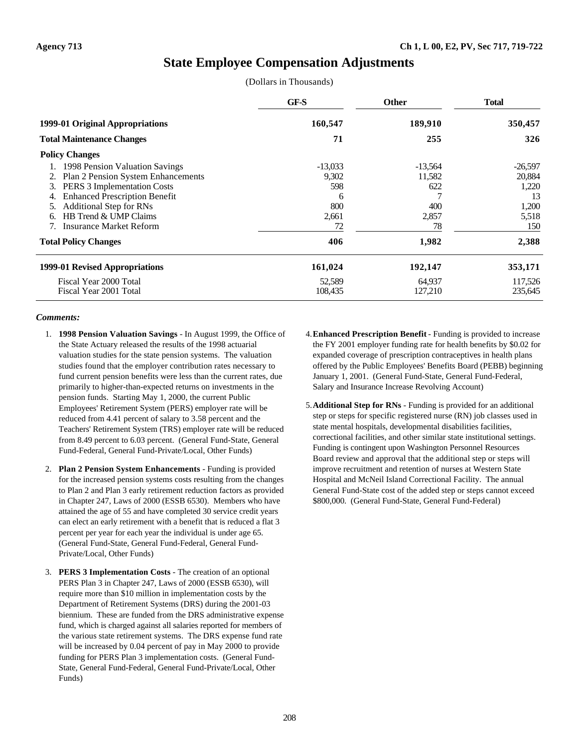### **State Employee Compensation Adjustments**

(Dollars in Thousands)

|                                            | GF-S      | <b>Other</b> | <b>Total</b> |
|--------------------------------------------|-----------|--------------|--------------|
| 1999-01 Original Appropriations            | 160,547   | 189,910      | 350,457      |
| <b>Total Maintenance Changes</b>           | 71        | 255          | 326          |
| <b>Policy Changes</b>                      |           |              |              |
| 1998 Pension Valuation Savings             | $-13,033$ | $-13,564$    | $-26,597$    |
| Plan 2 Pension System Enhancements         | 9,302     | 11,582       | 20,884       |
| PERS 3 Implementation Costs<br>3.          | 598       | 622          | 1,220        |
| <b>Enhanced Prescription Benefit</b><br>4. | 6         |              | 13           |
| <b>Additional Step for RNs</b>             | 800       | 400          | 1,200        |
| HB Trend & UMP Claims<br>6.                | 2,661     | 2,857        | 5,518        |
| <b>Insurance Market Reform</b>             | 72        | 78           | 150          |
| <b>Total Policy Changes</b>                | 406       | 1,982        | 2,388        |
| 1999-01 Revised Appropriations             | 161,024   | 192,147      | 353,171      |
| Fiscal Year 2000 Total                     | 52,589    | 64,937       | 117,526      |
| Fiscal Year 2001 Total                     | 108,435   | 127,210      | 235,645      |

- 1. **1998 Pension Valuation Savings** In August 1999, the Office of the State Actuary released the results of the 1998 actuarial valuation studies for the state pension systems. The valuation studies found that the employer contribution rates necessary to fund current pension benefits were less than the current rates, due primarily to higher-than-expected returns on investments in the pension funds. Starting May 1, 2000, the current Public Employees' Retirement System (PERS) employer rate will be reduced from 4.41 percent of salary to 3.58 percent and the Teachers' Retirement System (TRS) employer rate will be reduced from 8.49 percent to 6.03 percent. (General Fund-State, General Fund-Federal, General Fund-Private/Local, Other Funds)
- 2. **Plan 2 Pension System Enhancements** Funding is provided for the increased pension systems costs resulting from the changes to Plan 2 and Plan 3 early retirement reduction factors as provided in Chapter 247, Laws of 2000 (ESSB 6530). Members who have attained the age of 55 and have completed 30 service credit years can elect an early retirement with a benefit that is reduced a flat 3 percent per year for each year the individual is under age 65. (General Fund-State, General Fund-Federal, General Fund-Private/Local, Other Funds)
- 3. **PERS 3 Implementation Costs** The creation of an optional PERS Plan 3 in Chapter 247, Laws of 2000 (ESSB 6530), will require more than \$10 million in implementation costs by the Department of Retirement Systems (DRS) during the 2001-03 biennium. These are funded from the DRS administrative expense fund, which is charged against all salaries reported for members of the various state retirement systems. The DRS expense fund rate will be increased by 0.04 percent of pay in May 2000 to provide funding for PERS Plan 3 implementation costs. (General Fund-State, General Fund-Federal, General Fund-Private/Local, Other Funds)
- 4.**Enhanced Prescription Benefit** Funding is provided to increase the FY 2001 employer funding rate for health benefits by \$0.02 for expanded coverage of prescription contraceptives in health plans offered by the Public Employees' Benefits Board (PEBB) beginning January 1, 2001. (General Fund-State, General Fund-Federal, Salary and Insurance Increase Revolving Account)
- 5.**Additional Step for RNs** Funding is provided for an additional step or steps for specific registered nurse (RN) job classes used in state mental hospitals, developmental disabilities facilities, correctional facilities, and other similar state institutional settings. Funding is contingent upon Washington Personnel Resources Board review and approval that the additional step or steps will improve recruitment and retention of nurses at Western State Hospital and McNeil Island Correctional Facility. The annual General Fund-State cost of the added step or steps cannot exceed \$800,000. (General Fund-State, General Fund-Federal)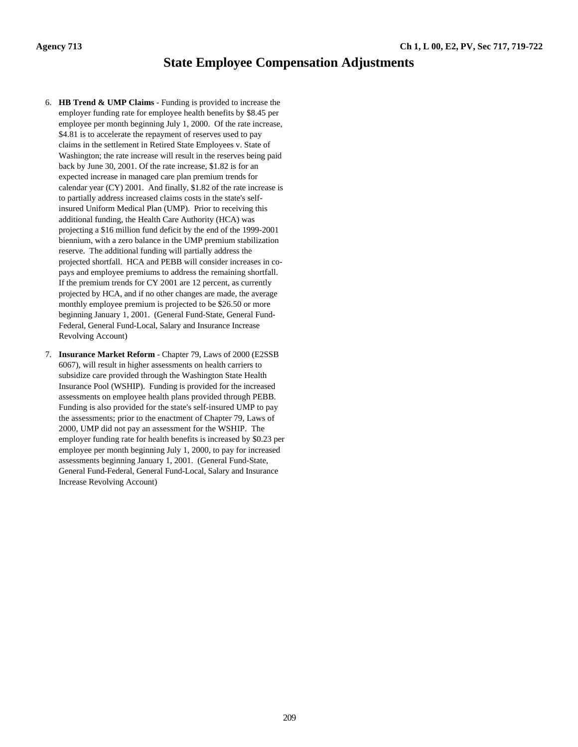### **State Employee Compensation Adjustments**

- 6. **HB Trend & UMP Claims** Funding is provided to increase the employer funding rate for employee health benefits by \$8.45 per employee per month beginning July 1, 2000. Of the rate increase, \$4.81 is to accelerate the repayment of reserves used to pay claims in the settlement in Retired State Employees v. State of Washington; the rate increase will result in the reserves being paid back by June 30, 2001. Of the rate increase, \$1.82 is for an expected increase in managed care plan premium trends for calendar year (CY) 2001. And finally, \$1.82 of the rate increase is to partially address increased claims costs in the state's selfinsured Uniform Medical Plan (UMP). Prior to receiving this additional funding, the Health Care Authority (HCA) was projecting a \$16 million fund deficit by the end of the 1999-2001 biennium, with a zero balance in the UMP premium stabilization reserve. The additional funding will partially address the projected shortfall. HCA and PEBB will consider increases in copays and employee premiums to address the remaining shortfall. If the premium trends for CY 2001 are 12 percent, as currently projected by HCA, and if no other changes are made, the average monthly employee premium is projected to be \$26.50 or more beginning January 1, 2001. (General Fund-State, General Fund-Federal, General Fund-Local, Salary and Insurance Increase Revolving Account)
- 7. **Insurance Market Reform** Chapter 79, Laws of 2000 (E2SSB 6067), will result in higher assessments on health carriers to subsidize care provided through the Washington State Health Insurance Pool (WSHIP). Funding is provided for the increased assessments on employee health plans provided through PEBB. Funding is also provided for the state's self-insured UMP to pay the assessments; prior to the enactment of Chapter 79, Laws of 2000, UMP did not pay an assessment for the WSHIP. The employer funding rate for health benefits is increased by \$0.23 per employee per month beginning July 1, 2000, to pay for increased assessments beginning January 1, 2001. (General Fund-State, General Fund-Federal, General Fund-Local, Salary and Insurance Increase Revolving Account)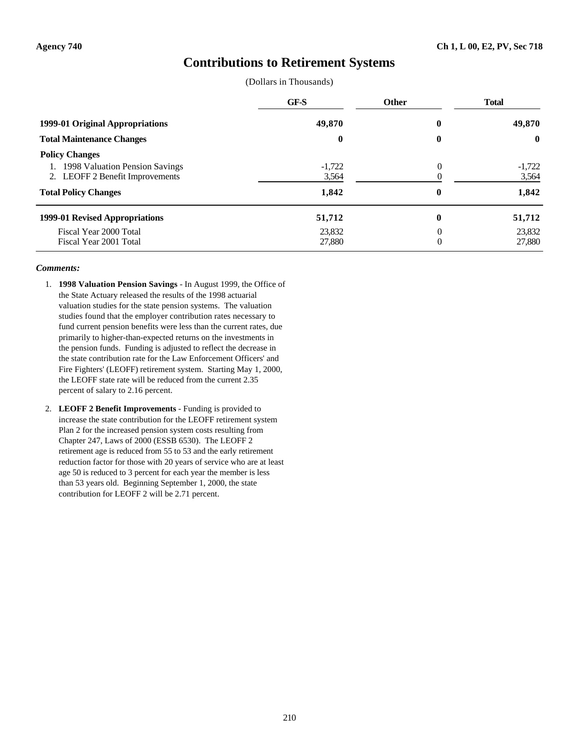### **Contributions to Retirement Systems**

(Dollars in Thousands)

|                                                                                                                                     | GF-S                       | <b>Other</b>     | <b>Total</b>               |
|-------------------------------------------------------------------------------------------------------------------------------------|----------------------------|------------------|----------------------------|
| 1999-01 Original Appropriations                                                                                                     | 49,870                     | $\bf{0}$         | 49,870                     |
| <b>Total Maintenance Changes</b>                                                                                                    | $\bf{0}$                   | $\boldsymbol{0}$ | $\bf{0}$                   |
| <b>Policy Changes</b><br>1998 Valuation Pension Savings<br><b>LEOFF 2 Benefit Improvements</b><br>2.<br><b>Total Policy Changes</b> | $-1,722$<br>3,564<br>1,842 | $\theta$<br>0    | $-1,722$<br>3,564<br>1,842 |
| 1999-01 Revised Appropriations                                                                                                      | 51,712                     | $\bf{0}$         | 51,712                     |
| Fiscal Year 2000 Total<br>Fiscal Year 2001 Total                                                                                    | 23,832<br>27,880           | 0<br>0           | 23,832<br>27,880           |

- 1. **1998 Valuation Pension Savings** In August 1999, the Office of the State Actuary released the results of the 1998 actuarial valuation studies for the state pension systems. The valuation studies found that the employer contribution rates necessary to fund current pension benefits were less than the current rates, due primarily to higher-than-expected returns on the investments in the pension funds. Funding is adjusted to reflect the decrease in the state contribution rate for the Law Enforcement Officers' and Fire Fighters' (LEOFF) retirement system. Starting May 1, 2000, the LEOFF state rate will be reduced from the current 2.35 percent of salary to 2.16 percent.
- 2. **LEOFF 2 Benefit Improvements** Funding is provided to increase the state contribution for the LEOFF retirement system Plan 2 for the increased pension system costs resulting from Chapter 247, Laws of 2000 (ESSB 6530). The LEOFF 2 retirement age is reduced from 55 to 53 and the early retirement reduction factor for those with 20 years of service who are at least age 50 is reduced to 3 percent for each year the member is less than 53 years old. Beginning September 1, 2000, the state contribution for LEOFF 2 will be 2.71 percent.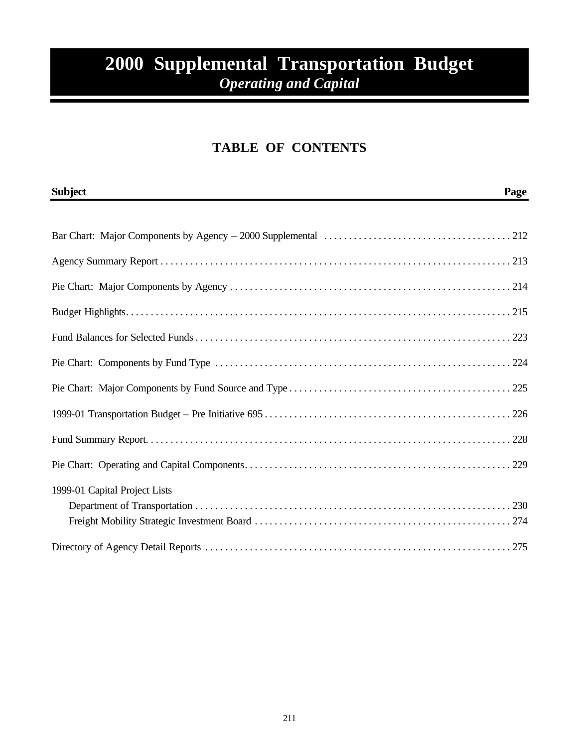# **2000 Supplemental Transportation Budget** *Operating and Capital*

### **TABLE OF CONTENTS**

| <b>Subject</b>                | Page |
|-------------------------------|------|
|                               |      |
|                               |      |
|                               |      |
|                               |      |
|                               |      |
|                               |      |
|                               |      |
|                               |      |
|                               |      |
|                               |      |
|                               |      |
| 1999-01 Capital Project Lists |      |
|                               |      |
|                               |      |
|                               |      |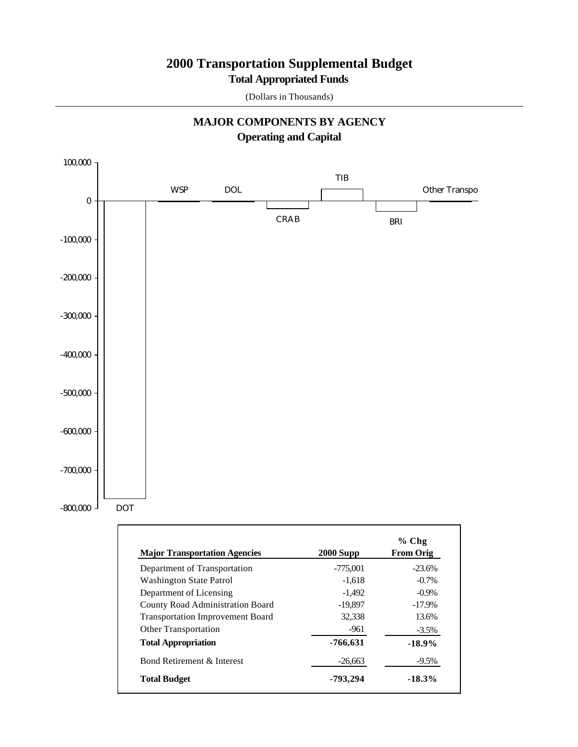### **Total Appropriated Funds 2000 Transportation Supplemental Budget**

(Dollars in Thousands)



# **MAJOR COMPONENTS BY AGENCY**

| <b>Major Transportation Agencies</b>    | $2000$ Supp | $%$ Chg<br><b>From Orig</b> |
|-----------------------------------------|-------------|-----------------------------|
| Department of Transportation            | $-775,001$  | $-23.6%$                    |
| <b>Washington State Patrol</b>          | $-1.618$    | $-0.7\%$                    |
| Department of Licensing                 | $-1.492$    | $-0.9\%$                    |
| <b>County Road Administration Board</b> | $-19,897$   | $-17.9\%$                   |
| <b>Transportation Improvement Board</b> | 32.338      | 13.6%                       |
| <b>Other Transportation</b>             | -961        | $-3.5\%$                    |
| <b>Total Appropriation</b>              | -766,631    | $-18.9%$                    |
| Bond Retirement & Interest              | $-26,663$   | $-9.5\%$                    |
| <b>Total Budget</b>                     | -793.294    | $-18.3\%$                   |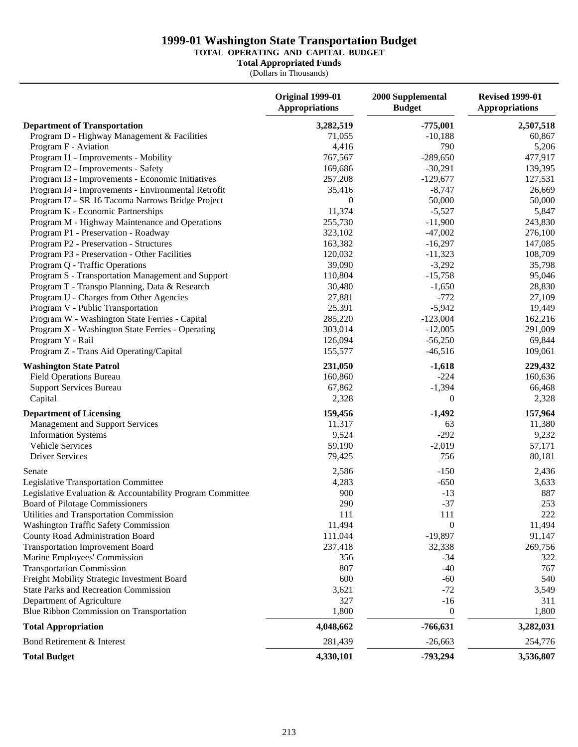### **1999-01 Washington State Transportation Budget**

#### **TOTAL OPERATING AND CAPITAL BUDGET**

**Total Appropriated Funds**

(Dollars in Thousands)

|                                                           | <b>Original 1999-01</b><br><b>Appropriations</b> | 2000 Supplemental<br><b>Budget</b> | <b>Revised 1999-01</b><br><b>Appropriations</b> |
|-----------------------------------------------------------|--------------------------------------------------|------------------------------------|-------------------------------------------------|
| <b>Department of Transportation</b>                       | 3,282,519                                        | $-775,001$                         | 2,507,518                                       |
| Program D - Highway Management & Facilities               | 71,055                                           | $-10,188$                          | 60,867                                          |
| Program F - Aviation                                      | 4,416                                            | 790                                | 5,206                                           |
| Program I1 - Improvements - Mobility                      | 767,567                                          | $-289,650$                         | 477,917                                         |
| Program I2 - Improvements - Safety                        | 169,686                                          | $-30,291$                          | 139,395                                         |
| Program I3 - Improvements - Economic Initiatives          | 257,208                                          | $-129,677$                         | 127,531                                         |
| Program I4 - Improvements - Environmental Retrofit        | 35,416                                           | $-8,747$                           | 26,669                                          |
| Program I7 - SR 16 Tacoma Narrows Bridge Project          | 0                                                | 50,000                             | 50,000                                          |
| Program K - Economic Partnerships                         | 11,374                                           | $-5,527$                           | 5,847                                           |
| Program M - Highway Maintenance and Operations            | 255,730                                          | $-11,900$                          | 243,830                                         |
| Program P1 - Preservation - Roadway                       | 323,102                                          | $-47,002$                          | 276,100                                         |
| Program P2 - Preservation - Structures                    | 163,382                                          | $-16,297$                          | 147,085                                         |
| Program P3 - Preservation - Other Facilities              | 120,032                                          | $-11,323$                          | 108,709                                         |
| Program Q - Traffic Operations                            | 39,090                                           | $-3,292$                           | 35,798                                          |
| Program S - Transportation Management and Support         | 110,804                                          | $-15,758$                          | 95,046                                          |
| Program T - Transpo Planning, Data & Research             | 30,480                                           | $-1,650$                           |                                                 |
|                                                           | 27,881                                           | $-772$                             | 28,830                                          |
| Program U - Charges from Other Agencies                   |                                                  |                                    | 27,109                                          |
| Program V - Public Transportation                         | 25,391                                           | $-5,942$                           | 19,449                                          |
| Program W - Washington State Ferries - Capital            | 285,220                                          | $-123,004$                         | 162,216                                         |
| Program X - Washington State Ferries - Operating          | 303,014                                          | $-12,005$                          | 291,009                                         |
| Program Y - Rail                                          | 126,094                                          | $-56,250$                          | 69,844                                          |
| Program Z - Trans Aid Operating/Capital                   | 155,577                                          | $-46,516$                          | 109,061                                         |
| <b>Washington State Patrol</b>                            | 231,050                                          | $-1,618$                           | 229,432                                         |
| <b>Field Operations Bureau</b>                            | 160,860                                          | $-224$                             | 160,636                                         |
| <b>Support Services Bureau</b>                            | 67,862                                           | $-1,394$                           | 66,468                                          |
| Capital                                                   | 2,328                                            | $\boldsymbol{0}$                   | 2,328                                           |
| <b>Department of Licensing</b>                            | 159,456                                          | $-1,492$                           | 157,964                                         |
| Management and Support Services                           | 11,317                                           | 63                                 | 11,380                                          |
| <b>Information Systems</b>                                | 9,524                                            | $-292$                             | 9,232                                           |
| Vehicle Services                                          | 59,190                                           | $-2,019$                           | 57,171                                          |
| <b>Driver Services</b>                                    | 79,425                                           | 756                                | 80,181                                          |
| Senate                                                    | 2,586                                            | $-150$                             | 2,436                                           |
| Legislative Transportation Committee                      | 4,283                                            | $-650$                             | 3,633                                           |
| Legislative Evaluation & Accountability Program Committee | 900                                              | $-13$                              | 887                                             |
| Board of Pilotage Commissioners                           | 290                                              | $-37$                              | 253                                             |
| Utilities and Transportation Commission                   | 111                                              | 111                                | 222                                             |
| <b>Washington Traffic Safety Commission</b>               | 11,494                                           | $\boldsymbol{0}$                   | 11,494                                          |
| County Road Administration Board                          | 111,044                                          | $-19,897$                          | 91,147                                          |
| <b>Transportation Improvement Board</b>                   | 237,418                                          | 32,338                             | 269,756                                         |
| Marine Employees' Commission                              | 356                                              | $-34$                              | 322                                             |
| <b>Transportation Commission</b>                          | 807                                              | $-40$                              | 767                                             |
| Freight Mobility Strategic Investment Board               | 600                                              | $-60$                              | 540                                             |
| <b>State Parks and Recreation Commission</b>              | 3,621                                            | $-72$                              | 3,549                                           |
| Department of Agriculture                                 | 327                                              | $-16$                              | 311                                             |
| Blue Ribbon Commission on Transportation                  | 1,800                                            | $\boldsymbol{0}$                   | 1,800                                           |
| <b>Total Appropriation</b>                                | 4,048,662                                        | $-766,631$                         | 3,282,031                                       |
| Bond Retirement & Interest                                | 281,439                                          | $-26,663$                          | 254,776                                         |
| <b>Total Budget</b>                                       | 4,330,101                                        | -793,294                           | 3,536,807                                       |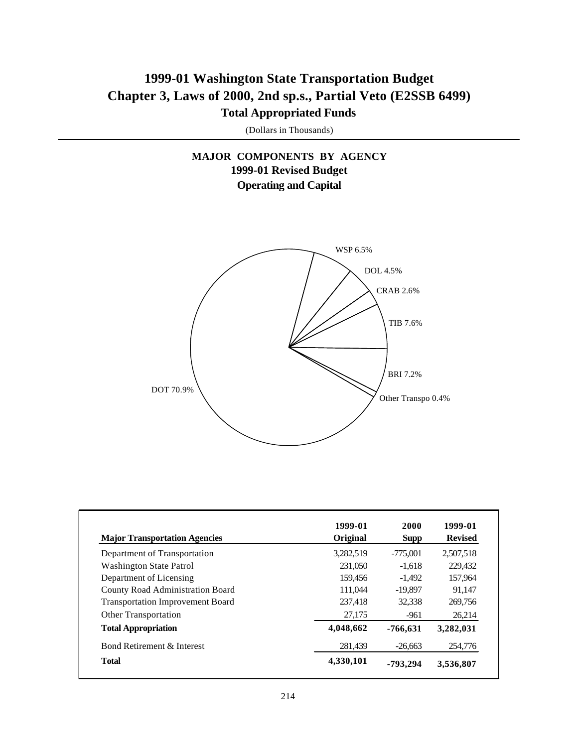### **1999-01 Washington State Transportation Budget Chapter 3, Laws of 2000, 2nd sp.s., Partial Veto (E2SSB 6499) Total Appropriated Funds**

(Dollars in Thousands)

### **MAJOR COMPONENTS BY AGENCY 1999-01 Revised Budget Operating and Capital**



| <b>Major Transportation Agencies</b>    | 1999-01<br>Original | 2000<br><b>Supp</b> | 1999-01<br><b>Revised</b> |
|-----------------------------------------|---------------------|---------------------|---------------------------|
| Department of Transportation            | 3,282,519           | $-775,001$          | 2,507,518                 |
| <b>Washington State Patrol</b>          | 231,050             | $-1.618$            | 229,432                   |
| Department of Licensing                 | 159.456             | $-1,492$            | 157,964                   |
| <b>County Road Administration Board</b> | 111,044             | $-19,897$           | 91.147                    |
| <b>Transportation Improvement Board</b> | 237,418             | 32,338              | 269,756                   |
| <b>Other Transportation</b>             | 27,175              | $-961$              | 26,214                    |
| <b>Total Appropriation</b>              | 4,048,662           | $-766,631$          | 3,282,031                 |
| Bond Retirement & Interest              | 281.439             | $-26,663$           | 254,776                   |
| <b>Total</b>                            | 4,330,101           | -793.294            | 3,536,807                 |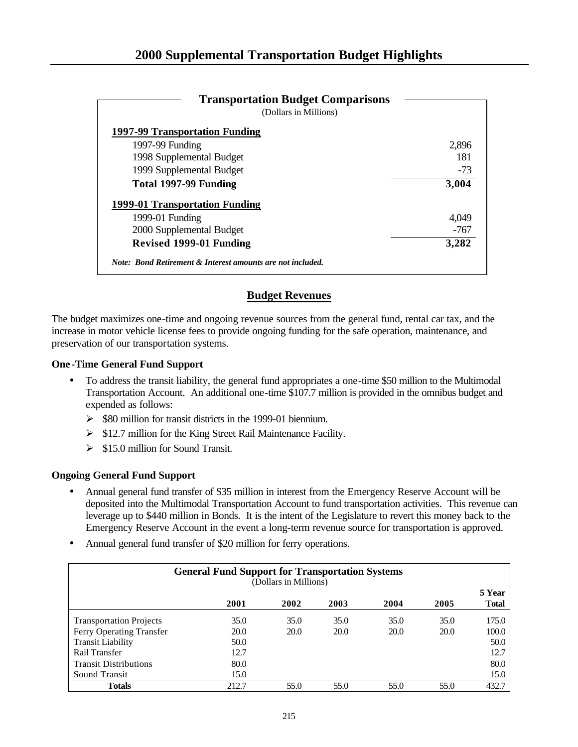| <b>Transportation Budget Comparisons</b>                   |       |
|------------------------------------------------------------|-------|
| (Dollars in Millions)                                      |       |
| 1997-99 Transportation Funding                             |       |
| 1997-99 Funding                                            | 2,896 |
| 1998 Supplemental Budget                                   | 181   |
| 1999 Supplemental Budget                                   | $-73$ |
| Total 1997-99 Funding                                      | 3,004 |
| 1999-01 Transportation Funding                             |       |
| 1999-01 Funding                                            | 4,049 |
| 2000 Supplemental Budget                                   | -767  |
| <b>Revised 1999-01 Funding</b>                             | 3,282 |
| Note: Bond Retirement & Interest amounts are not included. |       |

### **Budget Revenues**

The budget maximizes one-time and ongoing revenue sources from the general fund, rental car tax, and the increase in motor vehicle license fees to provide ongoing funding for the safe operation, maintenance, and preservation of our transportation systems.

### **One -Time General Fund Support**

- To address the transit liability, the general fund appropriates a one-time \$50 million to the Multimodal Transportation Account. An additional one-time \$107.7 million is provided in the omnibus budget and expended as follows:
	- $\geq$  \$80 million for transit districts in the 1999-01 biennium.
	- $\triangleright$  \$12.7 million for the King Street Rail Maintenance Facility.
	- $\geq$  \$15.0 million for Sound Transit.

### **Ongoing General Fund Support**

- Annual general fund transfer of \$35 million in interest from the Emergency Reserve Account will be deposited into the Multimodal Transportation Account to fund transportation activities. This revenue can leverage up to \$440 million in Bonds. It is the intent of the Legislature to revert this money back to the Emergency Reserve Account in the event a long-term revenue source for transportation is approved.
- Annual general fund transfer of \$20 million for ferry operations.

| <b>General Fund Support for Transportation Systems</b><br>(Dollars in Millions) |       |      |      |      |      |                        |
|---------------------------------------------------------------------------------|-------|------|------|------|------|------------------------|
|                                                                                 | 2001  | 2002 | 2003 | 2004 | 2005 | 5 Year<br><b>Total</b> |
| <b>Transportation Projects</b>                                                  | 35.0  | 35.0 | 35.0 | 35.0 | 35.0 | 175.0                  |
| Ferry Operating Transfer                                                        | 20.0  | 20.0 | 20.0 | 20.0 | 20.0 | 100.0                  |
| <b>Transit Liability</b>                                                        | 50.0  |      |      |      |      | 50.0                   |
| Rail Transfer                                                                   | 12.7  |      |      |      |      | 12.7                   |
| <b>Transit Distributions</b>                                                    | 80.0  |      |      |      |      | 80.0                   |
| Sound Transit                                                                   | 15.0  |      |      |      |      | 15.0                   |
| <b>Totals</b>                                                                   | 212.7 | 55.0 | 55.0 | 55.0 | 55.0 | 432.7                  |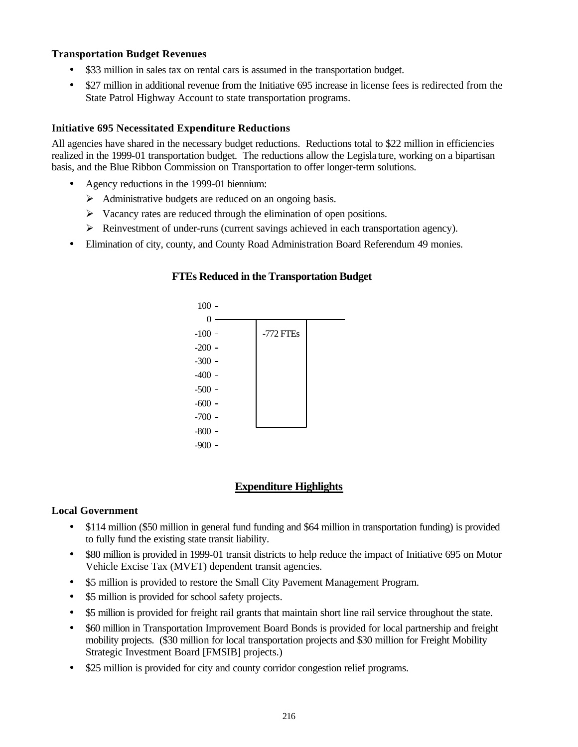### **Transportation Budget Revenues**

- \$33 million in sales tax on rental cars is assumed in the transportation budget.
- \$27 million in additional revenue from the Initiative 695 increase in license fees is redirected from the State Patrol Highway Account to state transportation programs.

### **Initiative 695 Necessitated Expenditure Reductions**

All agencies have shared in the necessary budget reductions. Reductions total to \$22 million in efficiencies realized in the 1999-01 transportation budget. The reductions allow the Legisla ture, working on a bipartisan basis, and the Blue Ribbon Commission on Transportation to offer longer-term solutions.

- Agency reductions in the 1999-01 biennium:
	- $\triangleright$  Administrative budgets are reduced on an ongoing basis.
	- $\triangleright$  Vacancy rates are reduced through the elimination of open positions.
	- ÿ Reinvestment of under-runs (current savings achieved in each transportation agency).
- Elimination of city, county, and County Road Administration Board Referendum 49 monies.



### **FTEs Reduced in the Transportation Budget**

### **Expenditure Highlights**

### **Local Government**

- \$114 million (\$50 million in general fund funding and \$64 million in transportation funding) is provided to fully fund the existing state transit liability.
- \$80 million is provided in 1999-01 transit districts to help reduce the impact of Initiative 695 on Motor Vehicle Excise Tax (MVET) dependent transit agencies.
- \$5 million is provided to restore the Small City Pavement Management Program.
- \$5 million is provided for school safety projects.
- \$5 million is provided for freight rail grants that maintain short line rail service throughout the state.
- \$60 million in Transportation Improvement Board Bonds is provided for local partnership and freight mobility projects. (\$30 million for local transportation projects and \$30 million for Freight Mobility Strategic Investment Board [FMSIB] projects.)
- \$25 million is provided for city and county corridor congestion relief programs.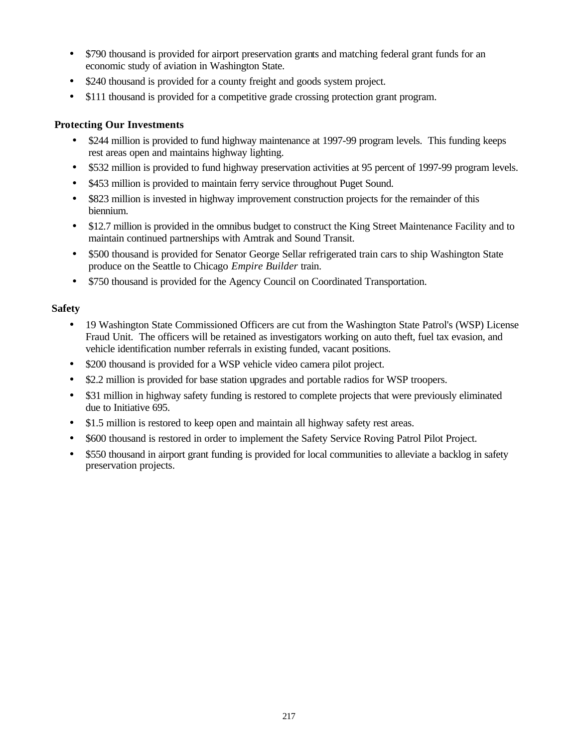- \$790 thousand is provided for airport preservation grants and matching federal grant funds for an economic study of aviation in Washington State.
- \$240 thousand is provided for a county freight and goods system project.
- \$111 thousand is provided for a competitive grade crossing protection grant program.

### **Protecting Our Investments**

- \$244 million is provided to fund highway maintenance at 1997-99 program levels. This funding keeps rest areas open and maintains highway lighting.
- \$532 million is provided to fund highway preservation activities at 95 percent of 1997-99 program levels.
- \$453 million is provided to maintain ferry service throughout Puget Sound.
- \$823 million is invested in highway improvement construction projects for the remainder of this biennium.
- \$12.7 million is provided in the omnibus budget to construct the King Street Maintenance Facility and to maintain continued partnerships with Amtrak and Sound Transit.
- \$500 thousand is provided for Senator George Sellar refrigerated train cars to ship Washington State produce on the Seattle to Chicago *Empire Builder* train.
- \$750 thousand is provided for the Agency Council on Coordinated Transportation.

### **Safety**

- 19 Washington State Commissioned Officers are cut from the Washington State Patrol's (WSP) License Fraud Unit. The officers will be retained as investigators working on auto theft, fuel tax evasion, and vehicle identification number referrals in existing funded, vacant positions.
- \$200 thousand is provided for a WSP vehicle video camera pilot project.
- \$2.2 million is provided for base station upgrades and portable radios for WSP troopers.
- \$31 million in highway safety funding is restored to complete projects that were previously eliminated due to Initiative 695.
- \$1.5 million is restored to keep open and maintain all highway safety rest areas.
- \$600 thousand is restored in order to implement the Safety Service Roving Patrol Pilot Project.
- \$550 thousand in airport grant funding is provided for local communities to alleviate a backlog in safety preservation projects.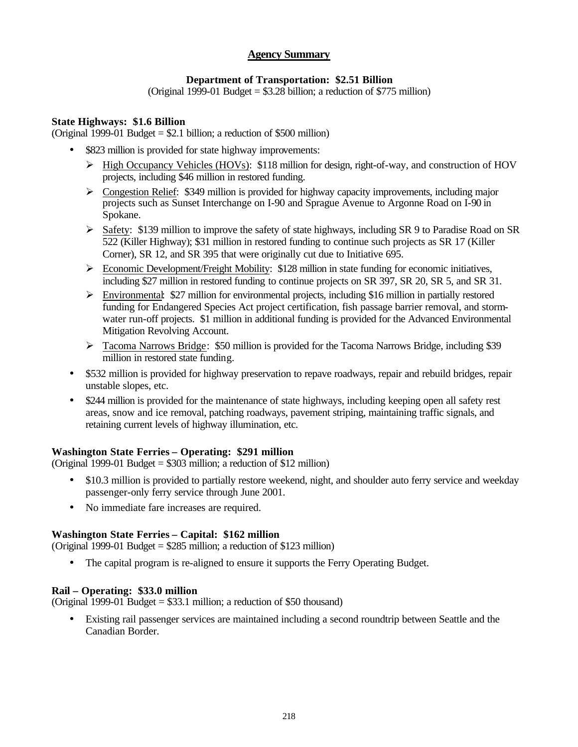### **Agency Summary**

### **Department of Transportation: \$2.51 Billion**

(Original 1999-01 Budget  $= $3.28$  billion; a reduction of \$775 million)

### **State Highways: \$1.6 Billion**

(Original 1999-01 Budget  $= $2.1$  billion; a reduction of \$500 million)

- \$823 million is provided for state highway improvements:
	- ÿ High Occupancy Vehicles (HOVs): \$118 million for design, right-of-way, and construction of HOV projects, including \$46 million in restored funding.
	- $\triangleright$  Congestion Relief: \$349 million is provided for highway capacity improvements, including major projects such as Sunset Interchange on I-90 and Sprague Avenue to Argonne Road on I-90 in Spokane.
	- $\triangleright$  Safety: \$139 million to improve the safety of state highways, including SR 9 to Paradise Road on SR 522 (Killer Highway); \$31 million in restored funding to continue such projects as SR 17 (Killer Corner), SR 12, and SR 395 that were originally cut due to Initiative 695.
	- $\triangleright$  Economic Development/Freight Mobility: \$128 million in state funding for economic initiatives, including \$27 million in restored funding to continue projects on SR 397, SR 20, SR 5, and SR 31.
	- ÿ Environmental: \$27 million for environmental projects, including \$16 million in partially restored funding for Endangered Species Act project certification, fish passage barrier removal, and stormwater run-off projects. \$1 million in additional funding is provided for the Advanced Environmental Mitigation Revolving Account.
	- $\triangleright$  Tacoma Narrows Bridge: \$50 million is provided for the Tacoma Narrows Bridge, including \$39 million in restored state funding.
- \$532 million is provided for highway preservation to repave roadways, repair and rebuild bridges, repair unstable slopes, etc.
- \$244 million is provided for the maintenance of state highways, including keeping open all safety rest areas, snow and ice removal, patching roadways, pavement striping, maintaining traffic signals, and retaining current levels of highway illumination, etc.

### **Washington State Ferries – Operating: \$291 million**

(Original 1999-01 Budget = \$303 million; a reduction of \$12 million)

- \$10.3 million is provided to partially restore weekend, night, and shoulder auto ferry service and weekday passenger-only ferry service through June 2001.
- No immediate fare increases are required.

### **Washington State Ferries – Capital: \$162 million**

(Original 1999-01 Budget = \$285 million; a reduction of \$123 million)

• The capital program is re-aligned to ensure it supports the Ferry Operating Budget.

### **Rail – Operating: \$33.0 million**

(Original 1999-01 Budget = \$33.1 million; a reduction of \$50 thousand)

• Existing rail passenger services are maintained including a second roundtrip between Seattle and the Canadian Border.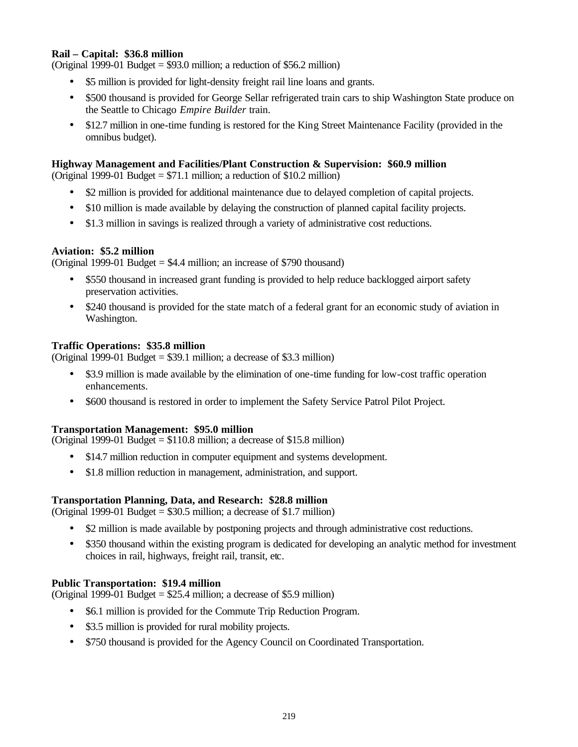### **Rail – Capital: \$36.8 million**

(Original 1999-01 Budget  $= $93.0$  million; a reduction of \$56.2 million)

- \$5 million is provided for light-density freight rail line loans and grants.
- \$500 thousand is provided for George Sellar refrigerated train cars to ship Washington State produce on the Seattle to Chicago *Empire Builder* train.
- \$12.7 million in one-time funding is restored for the King Street Maintenance Facility (provided in the omnibus budget).

### **Highway Management and Facilities/Plant Construction & Supervision: \$60.9 million**

(Original 1999-01 Budget  $= $71.1$  million; a reduction of \$10.2 million)

- \$2 million is provided for additional maintenance due to delayed completion of capital projects.
- \$10 million is made available by delaying the construction of planned capital facility projects.
- \$1.3 million in savings is realized through a variety of administrative cost reductions.

### **Aviation: \$5.2 million**

(Original 1999-01 Budget = \$4.4 million; an increase of \$790 thousand)

- \$550 thousand in increased grant funding is provided to help reduce backlogged airport safety preservation activities.
- \$240 thousand is provided for the state match of a federal grant for an economic study of aviation in Washington.

### **Traffic Operations: \$35.8 million**

(Original 1999-01 Budget = \$39.1 million; a decrease of \$3.3 million)

- \$3.9 million is made available by the elimination of one-time funding for low-cost traffic operation enhancements.
- \$600 thousand is restored in order to implement the Safety Service Patrol Pilot Project.

#### **Transportation Management: \$95.0 million**

(Original 1999-01 Budget  $= $110.8$  million; a decrease of \$15.8 million)

- \$14.7 million reduction in computer equipment and systems development.
- \$1.8 million reduction in management, administration, and support.

#### **Transportation Planning, Data, and Research: \$28.8 million**

(Original 1999-01 Budget = \$30.5 million; a decrease of \$1.7 million)

- \$2 million is made available by postponing projects and through administrative cost reductions.
- \$350 thousand within the existing program is dedicated for developing an analytic method for investment choices in rail, highways, freight rail, transit, etc.

#### **Public Transportation: \$19.4 million**

(Original 1999-01 Budget  $= $25.4$  million; a decrease of \$5.9 million)

- \$6.1 million is provided for the Commute Trip Reduction Program.
- \$3.5 million is provided for rural mobility projects.
- \$750 thousand is provided for the Agency Council on Coordinated Transportation.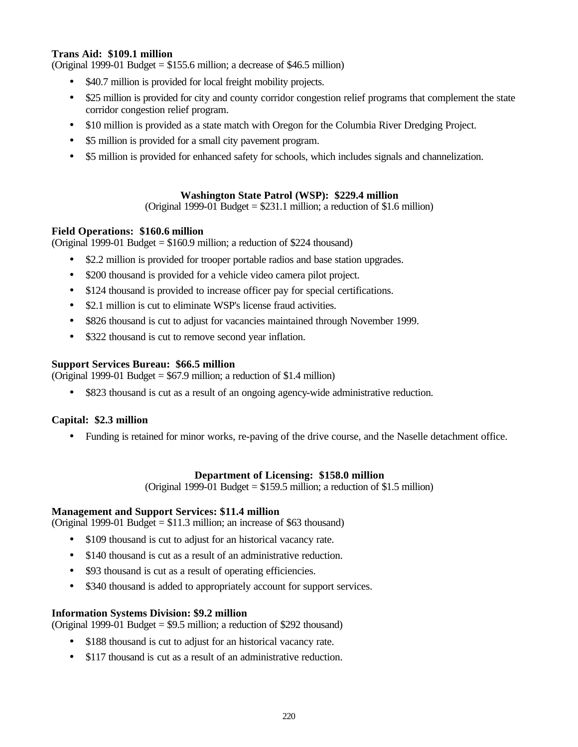### **Trans Aid: \$109.1 million**

(Original 1999-01 Budget =  $$155.6$  million; a decrease of  $$46.5$  million)

- \$40.7 million is provided for local freight mobility projects.
- \$25 million is provided for city and county corridor congestion relief programs that complement the state corridor congestion relief program.
- \$10 million is provided as a state match with Oregon for the Columbia River Dredging Project.
- \$5 million is provided for a small city pavement program.
- \$5 million is provided for enhanced safety for schools, which includes signals and channelization.

### **Washington State Patrol (WSP): \$229.4 million**

(Original 1999-01 Budget  $= $231.1$  million; a reduction of \$1.6 million)

### **Field Operations: \$160.6 million**

(Original 1999-01 Budget = \$160.9 million; a reduction of \$224 thousand)

- \$2.2 million is provided for trooper portable radios and base station upgrades.
- \$200 thousand is provided for a vehicle video camera pilot project.
- \$124 thousand is provided to increase officer pay for special certifications.
- \$2.1 million is cut to eliminate WSP's license fraud activities.
- \$826 thousand is cut to adjust for vacancies maintained through November 1999.
- \$322 thousand is cut to remove second year inflation.

### **Support Services Bureau: \$66.5 million**

(Original 1999-01 Budget  $= $67.9$  million; a reduction of \$1.4 million)

• \$823 thousand is cut as a result of an ongoing agency-wide administrative reduction.

### **Capital: \$2.3 million**

• Funding is retained for minor works, re-paving of the drive course, and the Naselle detachment office.

### **Department of Licensing: \$158.0 million**

(Original 1999-01 Budget  $= $159.5$  million; a reduction of \$1.5 million)

### **Management and Support Services: \$11.4 million**

(Original 1999-01 Budget = \$11.3 million; an increase of \$63 thousand)

- \$109 thousand is cut to adjust for an historical vacancy rate.
- \$140 thousand is cut as a result of an administrative reduction.
- \$93 thousand is cut as a result of operating efficiencies.
- \$340 thousand is added to appropriately account for support services.

### **Information Systems Division: \$9.2 million**

(Original 1999-01 Budget = \$9.5 million; a reduction of \$292 thousand)

- \$188 thousand is cut to adjust for an historical vacancy rate.
- \$117 thousand is cut as a result of an administrative reduction.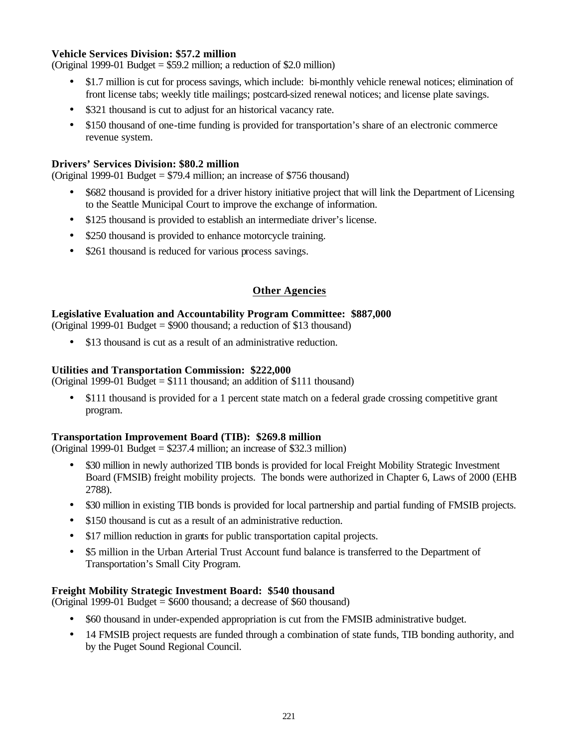### **Vehicle Services Division: \$57.2 million**

(Original 1999-01 Budget = \$59.2 million; a reduction of \$2.0 million)

- \$1.7 million is cut for process savings, which include: bi-monthly vehicle renewal notices; elimination of front license tabs; weekly title mailings; postcard-sized renewal notices; and license plate savings.
- \$321 thousand is cut to adjust for an historical vacancy rate.
- \$150 thousand of one-time funding is provided for transportation's share of an electronic commerce revenue system.

### **Drivers' Services Division: \$80.2 million**

(Original 1999-01 Budget  $= $79.4$  million; an increase of \$756 thousand)

- \$682 thousand is provided for a driver history initiative project that will link the Department of Licensing to the Seattle Municipal Court to improve the exchange of information.
- \$125 thousand is provided to establish an intermediate driver's license.
- \$250 thousand is provided to enhance motorcycle training.
- \$261 thousand is reduced for various process savings.

### **Other Agencies**

### **Legislative Evaluation and Accountability Program Committee: \$887,000**

(Original 1999-01 Budget = \$900 thousand; a reduction of \$13 thousand)

• \$13 thousand is cut as a result of an administrative reduction.

### **Utilities and Transportation Commission: \$222,000**

(Original 1999-01 Budget  $= $111$  thousand; an addition of \$111 thousand)

• \$111 thousand is provided for a 1 percent state match on a federal grade crossing competitive grant program.

### **Transportation Improvement Board (TIB): \$269.8 million**

(Original 1999-01 Budget  $= $237.4$  million; an increase of \$32.3 million)

- \$30 million in newly authorized TIB bonds is provided for local Freight Mobility Strategic Investment Board (FMSIB) freight mobility projects. The bonds were authorized in Chapter 6, Laws of 2000 (EHB 2788).
- \$30 million in existing TIB bonds is provided for local partnership and partial funding of FMSIB projects.
- \$150 thousand is cut as a result of an administrative reduction.
- \$17 million reduction in grants for public transportation capital projects.
- \$5 million in the Urban Arterial Trust Account fund balance is transferred to the Department of Transportation's Small City Program.

### **Freight Mobility Strategic Investment Board: \$540 thousand**

(Original 1999-01 Budget = \$600 thousand; a decrease of \$60 thousand)

- \$60 thousand in under-expended appropriation is cut from the FMSIB administrative budget.
- 14 FMSIB project requests are funded through a combination of state funds, TIB bonding authority, and by the Puget Sound Regional Council.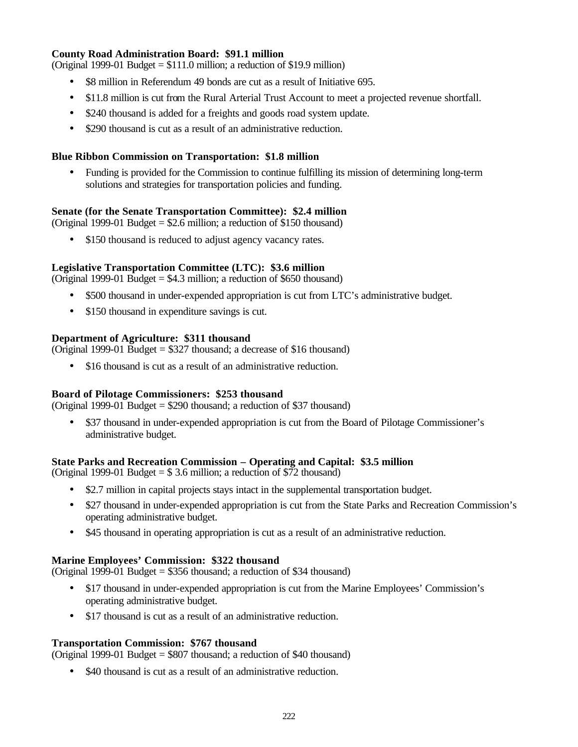## **County Road Administration Board: \$91.1 million**

(Original 1999-01 Budget = \$111.0 million; a reduction of \$19.9 million)

- \$8 million in Referendum 49 bonds are cut as a result of Initiative 695.
- \$11.8 million is cut from the Rural Arterial Trust Account to meet a projected revenue shortfall.
- \$240 thousand is added for a freights and goods road system update.
- \$290 thousand is cut as a result of an administrative reduction.

## **Blue Ribbon Commission on Transportation: \$1.8 million**

• Funding is provided for the Commission to continue fulfilling its mission of determining long-term solutions and strategies for transportation policies and funding.

## **Senate (for the Senate Transportation Committee): \$2.4 million**

(Original 1999-01 Budget = \$2.6 million; a reduction of \$150 thousand)

• \$150 thousand is reduced to adjust agency vacancy rates.

## **Legislative Transportation Committee (LTC): \$3.6 million**

(Original 1999-01 Budget  $= $4.3$  million; a reduction of \$650 thousand)

- \$500 thousand in under-expended appropriation is cut from LTC's administrative budget.
- \$150 thousand in expenditure savings is cut.

## **Department of Agriculture: \$311 thousand**

(Original 1999-01 Budget = \$327 thousand; a decrease of \$16 thousand)

\$16 thousand is cut as a result of an administrative reduction.

## **Board of Pilotage Commissioners: \$253 thousand**

(Original 1999-01 Budget = \$290 thousand; a reduction of \$37 thousand)

• \$37 thousand in under-expended appropriation is cut from the Board of Pilotage Commissioner's administrative budget.

## **State Parks and Recreation Commission – Operating and Capital: \$3.5 million**

(Original 1999-01 Budget  $= $3.6$  million; a reduction of \$72 thousand)

- \$2.7 million in capital projects stays intact in the supplemental transportation budget.
- \$27 thousand in under-expended appropriation is cut from the State Parks and Recreation Commission's operating administrative budget.
- \$45 thousand in operating appropriation is cut as a result of an administrative reduction.

## **Marine Employees' Commission: \$322 thousand**

(Original 1999-01 Budget = \$356 thousand; a reduction of \$34 thousand)

- \$17 thousand in under-expended appropriation is cut from the Marine Employees' Commission's operating administrative budget.
- \$17 thousand is cut as a result of an administrative reduction.

## **Transportation Commission: \$767 thousand**

(Original 1999-01 Budget = \$807 thousand; a reduction of \$40 thousand)

• \$40 thousand is cut as a result of an administrative reduction.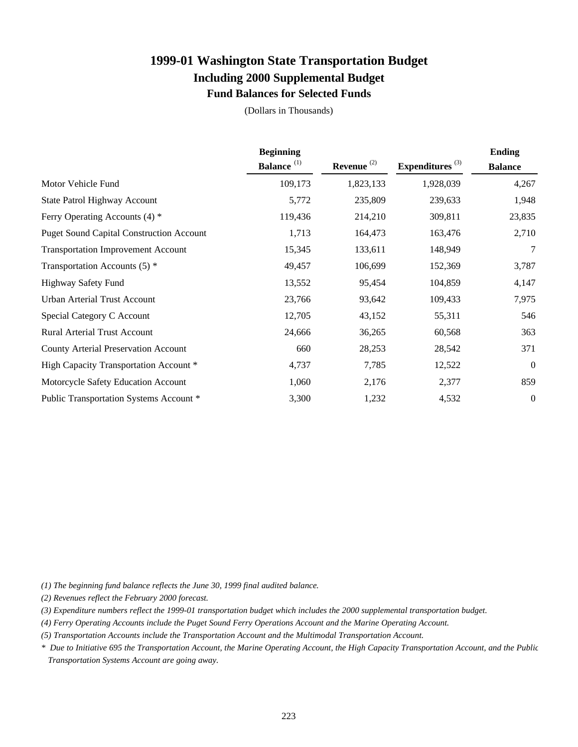## **1999-01 Washington State Transportation Budget Including 2000 Supplemental Budget Fund Balances for Selected Funds**

(Dollars in Thousands)

|                                                 | <b>Beginning</b>       |               |                    | <b>Ending</b>  |
|-------------------------------------------------|------------------------|---------------|--------------------|----------------|
|                                                 | Balance <sup>(1)</sup> | Revenue $(2)$ | Expenditures $(3)$ | <b>Balance</b> |
| Motor Vehicle Fund                              | 109,173                | 1,823,133     | 1,928,039          | 4,267          |
| State Patrol Highway Account                    | 5,772                  | 235,809       | 239,633            | 1,948          |
| Ferry Operating Accounts (4) *                  | 119,436                | 214,210       | 309,811            | 23,835         |
| <b>Puget Sound Capital Construction Account</b> | 1,713                  | 164,473       | 163,476            | 2,710          |
| <b>Transportation Improvement Account</b>       | 15,345                 | 133,611       | 148,949            | 7              |
| Transportation Accounts $(5)$ *                 | 49,457                 | 106,699       | 152,369            | 3,787          |
| Highway Safety Fund                             | 13,552                 | 95,454        | 104,859            | 4,147          |
| Urban Arterial Trust Account                    | 23,766                 | 93,642        | 109,433            | 7,975          |
| Special Category C Account                      | 12,705                 | 43,152        | 55,311             | 546            |
| <b>Rural Arterial Trust Account</b>             | 24,666                 | 36,265        | 60,568             | 363            |
| <b>County Arterial Preservation Account</b>     | 660                    | 28,253        | 28,542             | 371            |
| High Capacity Transportation Account *          | 4,737                  | 7,785         | 12,522             | $\overline{0}$ |
| Motorcycle Safety Education Account             | 1,060                  | 2,176         | 2,377              | 859            |
| Public Transportation Systems Account *         | 3,300                  | 1,232         | 4,532              | $\overline{0}$ |

*(1) The beginning fund balance reflects the June 30, 1999 final audited balance.*

*(2) Revenues reflect the February 2000 forecast.*

*(3) Expenditure numbers reflect the 1999-01 transportation budget which includes the 2000 supplemental transportation budget.*

*(4) Ferry Operating Accounts include the Puget Sound Ferry Operations Account and the Marine Operating Account.*

*(5) Transportation Accounts include the Transportation Account and the Multimodal Transportation Account.*

*\* Due to Initiative 695 the Transportation Account, the Marine Operating Account, the High Capacity Transportation Account, and the Public Transportation Systems Account are going away.*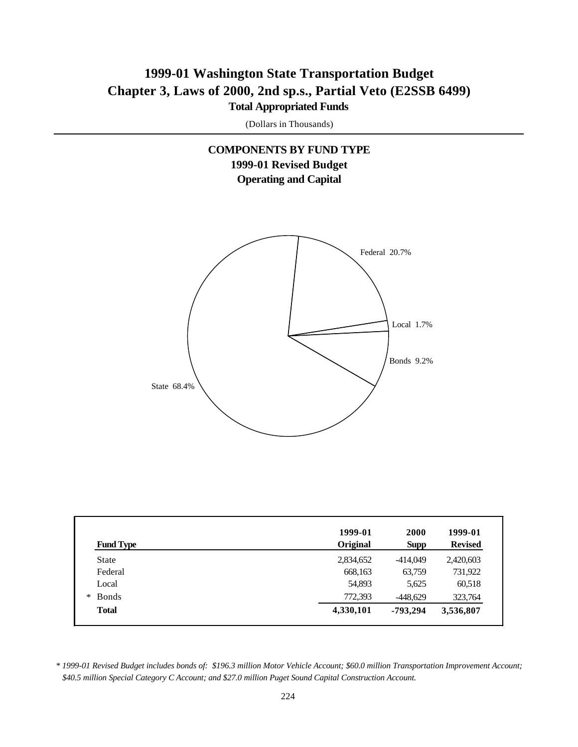## **1999-01 Washington State Transportation Budget Chapter 3, Laws of 2000, 2nd sp.s., Partial Veto (E2SSB 6499) Total Appropriated Funds**

(Dollars in Thousands)

## **COMPONENTS BY FUND TYPE 1999-01 Revised Budget Operating and Capital**



| <b>Fund Type</b> | 1999-01<br>Original | 2000<br><b>Supp</b> | 1999-01<br><b>Revised</b> |
|------------------|---------------------|---------------------|---------------------------|
| State            | 2,834,652           | -414,049            | 2,420,603                 |
| Federal          | 668,163             | 63,759              | 731,922                   |
| Local            | 54,893              | 5,625               | 60,518                    |
| <b>Bonds</b>     | 772,393             | $-448,629$          | 323,764                   |
| <b>Total</b>     | 4,330,101           | -793,294            | 3,536,807                 |

*<sup>\* 1999-01</sup> Revised Budget includes bonds of: \$196.3 million Motor Vehicle Account; \$60.0 million Transportation Improvement Account; \$40.5 million Special Category C Account; and \$27.0 million Puget Sound Capital Construction Account.*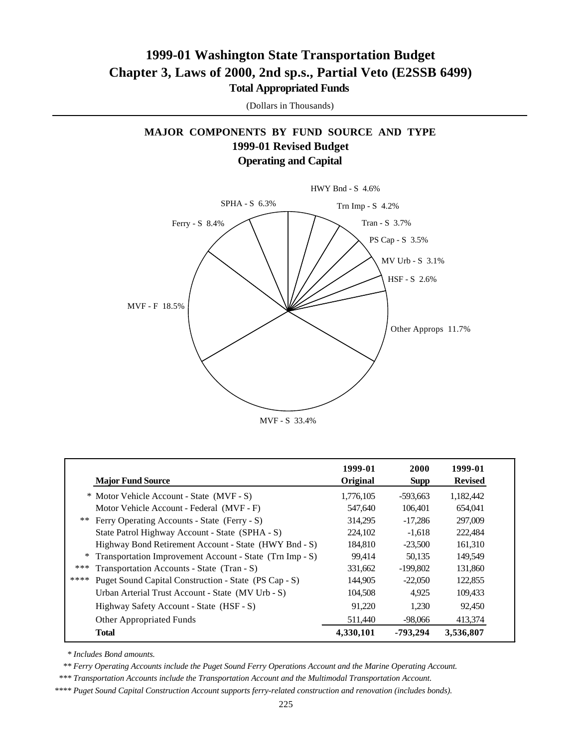## **1999-01 Washington State Transportation Budget Chapter 3, Laws of 2000, 2nd sp.s., Partial Veto (E2SSB 6499) Total Appropriated Funds**

(Dollars in Thousands)

## **MAJOR COMPONENTS BY FUND SOURCE AND TYPE 1999-01 Revised Budget Operating and Capital**



| <b>Major Fund Source</b>                                      | 1999-01<br>Original | 2000<br><b>Supp</b> | 1999-01<br><b>Revised</b> |
|---------------------------------------------------------------|---------------------|---------------------|---------------------------|
| * Motor Vehicle Account - State (MVF - S)                     | 1.776.105           | -593.663            | 1,182,442                 |
| Motor Vehicle Account - Federal (MVF - F)                     | 547,640             | 106,401             | 654,041                   |
| ** Ferry Operating Accounts - State (Ferry - S)               | 314.295             | $-17.286$           | 297,009                   |
| State Patrol Highway Account - State (SPHA - S)               | 224,102             | $-1.618$            | 222,484                   |
| Highway Bond Retirement Account - State (HWY Bnd - S)         | 184,810             | $-23,500$           | 161,310                   |
| Transportation Improvement Account - State (Trn Imp - S)<br>∗ | 99.414              | 50.135              | 149,549                   |
| ***<br>Transportation Accounts - State (Tran - S)             | 331,662             | $-199,802$          | 131,860                   |
| ****<br>Puget Sound Capital Construction - State (PS Cap - S) | 144.905             | $-22.050$           | 122,855                   |
| Urban Arterial Trust Account - State (MV Urb - S)             | 104,508             | 4.925               | 109,433                   |
| Highway Safety Account - State (HSF - S)                      | 91,220              | 1,230               | 92,450                    |
| Other Appropriated Funds                                      | 511,440             | -98,066             | 413,374                   |
| <b>Total</b>                                                  | 4,330,101           | -793.294            | 3,536,807                 |

 *\* Includes Bond amounts.*

 *\*\* Ferry Operating Accounts include the Puget Sound Ferry Operations Account and the Marine Operating Account.*

 *\*\*\* Transportation Accounts include the Transportation Account and the Multimodal Transportation Account.*

*\*\*\*\* Puget Sound Capital Construction Account supports ferry-related construction and renovation (includes bonds).*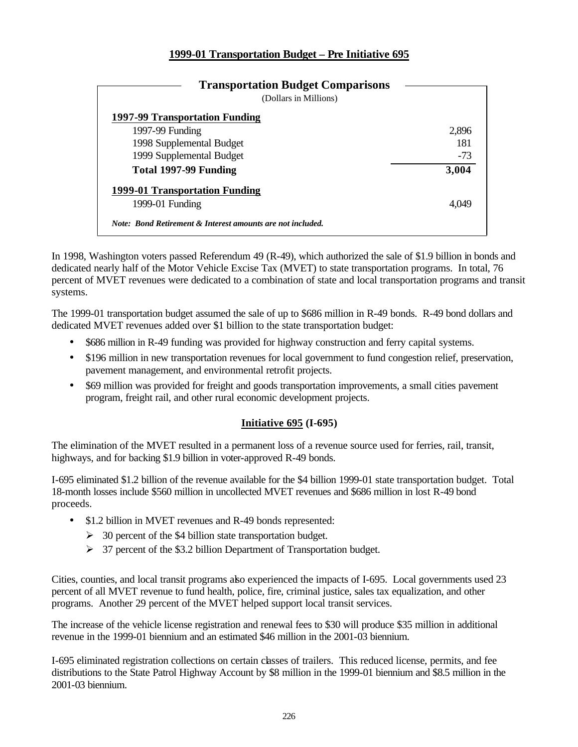## **1999-01 Transportation Budget – Pre Initiative 695**

| <b>Transportation Budget Comparisons</b><br>(Dollars in Millions) |       |
|-------------------------------------------------------------------|-------|
| 1997-99 Transportation Funding                                    |       |
| 1997-99 Funding                                                   | 2,896 |
| 1998 Supplemental Budget                                          | 181   |
| 1999 Supplemental Budget                                          | $-73$ |
| Total 1997-99 Funding                                             | 3,004 |
| 1999-01 Transportation Funding                                    |       |
| 1999-01 Funding                                                   | 4 OAS |

In 1998, Washington voters passed Referendum 49 (R-49), which authorized the sale of \$1.9 billion in bonds and dedicated nearly half of the Motor Vehicle Excise Tax (MVET) to state transportation programs. In total, 76 percent of MVET revenues were dedicated to a combination of state and local transportation programs and transit systems.

The 1999-01 transportation budget assumed the sale of up to \$686 million in R-49 bonds. R-49 bond dollars and dedicated MVET revenues added over \$1 billion to the state transportation budget:

- \$686 million in R-49 funding was provided for highway construction and ferry capital systems.
- \$196 million in new transportation revenues for local government to fund congestion relief, preservation, pavement management, and environmental retrofit projects.
- \$69 million was provided for freight and goods transportation improvements, a small cities pavement program, freight rail, and other rural economic development projects.

## **Initiative 695 (I-695)**

The elimination of the MVET resulted in a permanent loss of a revenue source used for ferries, rail, transit, highways, and for backing \$1.9 billion in voter-approved R-49 bonds.

I-695 eliminated \$1.2 billion of the revenue available for the \$4 billion 1999-01 state transportation budget. Total 18-month losses include \$560 million in uncollected MVET revenues and \$686 million in lost R-49 bond proceeds.

- \$1.2 billion in MVET revenues and R-49 bonds represented:
	- $\geq$  30 percent of the \$4 billion state transportation budget.
	- $\geq$  37 percent of the \$3.2 billion Department of Transportation budget.

Cities, counties, and local transit programs also experienced the impacts of I-695. Local governments used 23 percent of all MVET revenue to fund health, police, fire, criminal justice, sales tax equalization, and other programs. Another 29 percent of the MVET helped support local transit services.

The increase of the vehicle license registration and renewal fees to \$30 will produce \$35 million in additional revenue in the 1999-01 biennium and an estimated \$46 million in the 2001-03 biennium.

I-695 eliminated registration collections on certain classes of trailers. This reduced license, permits, and fee distributions to the State Patrol Highway Account by \$8 million in the 1999-01 biennium and \$8.5 million in the 2001-03 biennium.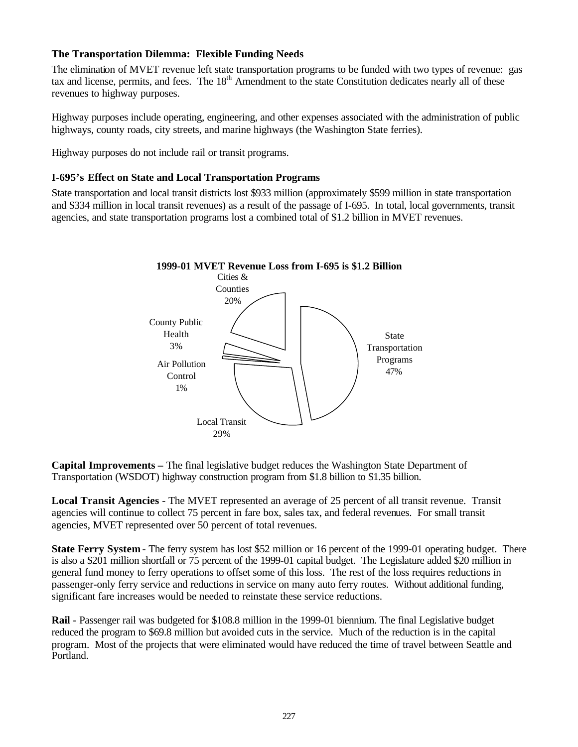## **The Transportation Dilemma: Flexible Funding Needs**

The elimination of MVET revenue left state transportation programs to be funded with two types of revenue: gas tax and license, permits, and fees. The 18<sup>th</sup> Amendment to the state Constitution dedicates nearly all of these revenues to highway purposes.

Highway purposes include operating, engineering, and other expenses associated with the administration of public highways, county roads, city streets, and marine highways (the Washington State ferries).

Highway purposes do not include rail or transit programs.

## **I-695's Effect on State and Local Transportation Programs**

State transportation and local transit districts lost \$933 million (approximately \$599 million in state transportation and \$334 million in local transit revenues) as a result of the passage of I-695. In total, local governments, transit agencies, and state transportation programs lost a combined total of \$1.2 billion in MVET revenues.



**Capital Improvements –** The final legislative budget reduces the Washington State Department of Transportation (WSDOT) highway construction program from \$1.8 billion to \$1.35 billion.

**Local Transit Agencies** - The MVET represented an average of 25 percent of all transit revenue. Transit agencies will continue to collect 75 percent in fare box, sales tax, and federal revenues. For small transit agencies, MVET represented over 50 percent of total revenues.

**State Ferry System** - The ferry system has lost \$52 million or 16 percent of the 1999-01 operating budget. There is also a \$201 million shortfall or 75 percent of the 1999-01 capital budget. The Legislature added \$20 million in general fund money to ferry operations to offset some of this loss. The rest of the loss requires reductions in passenger-only ferry service and reductions in service on many auto ferry routes. Without additional funding, significant fare increases would be needed to reinstate these service reductions.

**Rail** - Passenger rail was budgeted for \$108.8 million in the 1999-01 biennium. The final Legislative budget reduced the program to \$69.8 million but avoided cuts in the service. Much of the reduction is in the capital program. Most of the projects that were eliminated would have reduced the time of travel between Seattle and Portland.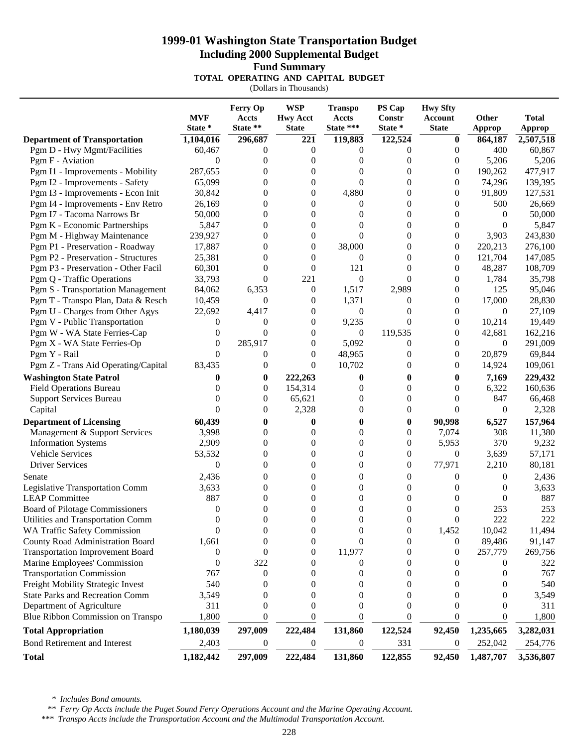## **1999-01 Washington State Transportation Budget Including 2000 Supplemental Budget Fund Summary**

**TOTAL OPERATING AND CAPITAL BUDGET**

(Dollars in Thousands)

| State **<br>State ***<br>State *<br>State *<br><b>State</b><br><b>State</b><br>Approp<br>Approp<br>221<br>119,883<br>122,524<br><b>Department of Transportation</b><br>1,104,016<br>296,687<br>864,187<br>$\bf{0}$<br>Pgm D - Hwy Mgmt/Facilities<br>60,467<br>$\boldsymbol{0}$<br>400<br>0<br>$\theta$<br>0<br>$\theta$<br>Pgm F - Aviation<br>$\theta$<br>5,206<br>0<br>$\theta$<br>$\theta$<br>0<br>$\boldsymbol{0}$<br>Pgm I1 - Improvements - Mobility<br>287,655<br>190,262<br>0<br>0<br>0<br>0<br>0<br>$\overline{0}$<br>Pgm I2 - Improvements - Safety<br>65,099<br>0<br>$\theta$<br>74,296<br>0<br>0<br>$\overline{0}$<br>$\overline{0}$<br>Pgm I3 - Improvements - Econ Init<br>30,842<br>4,880<br>91,809<br>0<br>$\theta$<br>$\overline{0}$<br>$\overline{0}$<br>Pgm I4 - Improvements - Env Retro<br>26,169<br>500<br>$\theta$<br>$\Omega$<br>0<br>Pgm I7 - Tacoma Narrows Br<br>50,000<br>0<br>$\theta$<br>$\theta$<br>$\theta$<br>$\Omega$<br>0<br>Pgm K - Economic Partnerships<br>5,847<br>0<br>$\theta$<br>$\theta$<br>$\theta$<br>0<br>0<br>Pgm M - Highway Maintenance<br>239,927<br>0<br>$\Omega$<br>$\theta$<br>3,903<br>$\Omega$<br>0<br>38,000<br>Pgm P1 - Preservation - Roadway<br>17,887<br>0<br>$\theta$<br>220,213<br>$\Omega$<br>$\overline{0}$<br>Pgm P2 - Preservation - Structures<br>25,381<br>0<br>$\theta$<br>$\theta$<br>121,704<br>0<br>$\Omega$<br>Pgm P3 - Preservation - Other Facil<br>60,301<br>0<br>121<br>$\boldsymbol{0}$<br>48,287<br>$\theta$<br>0<br>Pgm Q - Traffic Operations<br>$\overline{0}$<br>$\overline{0}$<br>33,793<br>221<br>$\theta$<br>1,784<br>0<br><b>Pgm S - Transportation Management</b><br>84,062<br>6,353<br>$\mathbf{0}$<br>1,517<br>2,989<br>125<br>0<br>1,371<br>17,000<br>Pgm T - Transpo Plan, Data & Resch<br>$\boldsymbol{0}$<br>$\theta$<br>10,459<br>$\boldsymbol{0}$<br>0<br>Pgm U - Charges from Other Agys<br>22,692<br>4,417<br>$\theta$<br>$\theta$<br>$\theta$<br>$\theta$<br>0 |                               | <b>MVF</b> | Ferry Op<br><b>Accts</b> | <b>WSP</b><br><b>Hwy Acct</b> | <b>Transpo</b><br>Accts | PS Cap<br>Constr | <b>Hwy Sfty</b><br>Account | Other  | <b>Total</b> |
|--------------------------------------------------------------------------------------------------------------------------------------------------------------------------------------------------------------------------------------------------------------------------------------------------------------------------------------------------------------------------------------------------------------------------------------------------------------------------------------------------------------------------------------------------------------------------------------------------------------------------------------------------------------------------------------------------------------------------------------------------------------------------------------------------------------------------------------------------------------------------------------------------------------------------------------------------------------------------------------------------------------------------------------------------------------------------------------------------------------------------------------------------------------------------------------------------------------------------------------------------------------------------------------------------------------------------------------------------------------------------------------------------------------------------------------------------------------------------------------------------------------------------------------------------------------------------------------------------------------------------------------------------------------------------------------------------------------------------------------------------------------------------------------------------------------------------------------------------------------------------------------------------------------------------------------------------------------------|-------------------------------|------------|--------------------------|-------------------------------|-------------------------|------------------|----------------------------|--------|--------------|
|                                                                                                                                                                                                                                                                                                                                                                                                                                                                                                                                                                                                                                                                                                                                                                                                                                                                                                                                                                                                                                                                                                                                                                                                                                                                                                                                                                                                                                                                                                                                                                                                                                                                                                                                                                                                                                                                                                                                                                    |                               |            |                          |                               |                         |                  |                            |        |              |
|                                                                                                                                                                                                                                                                                                                                                                                                                                                                                                                                                                                                                                                                                                                                                                                                                                                                                                                                                                                                                                                                                                                                                                                                                                                                                                                                                                                                                                                                                                                                                                                                                                                                                                                                                                                                                                                                                                                                                                    |                               |            |                          |                               |                         |                  |                            |        | 2,507,518    |
|                                                                                                                                                                                                                                                                                                                                                                                                                                                                                                                                                                                                                                                                                                                                                                                                                                                                                                                                                                                                                                                                                                                                                                                                                                                                                                                                                                                                                                                                                                                                                                                                                                                                                                                                                                                                                                                                                                                                                                    |                               |            |                          |                               |                         |                  |                            |        | 60,867       |
|                                                                                                                                                                                                                                                                                                                                                                                                                                                                                                                                                                                                                                                                                                                                                                                                                                                                                                                                                                                                                                                                                                                                                                                                                                                                                                                                                                                                                                                                                                                                                                                                                                                                                                                                                                                                                                                                                                                                                                    |                               |            |                          |                               |                         |                  |                            |        | 5,206        |
|                                                                                                                                                                                                                                                                                                                                                                                                                                                                                                                                                                                                                                                                                                                                                                                                                                                                                                                                                                                                                                                                                                                                                                                                                                                                                                                                                                                                                                                                                                                                                                                                                                                                                                                                                                                                                                                                                                                                                                    |                               |            |                          |                               |                         |                  |                            |        | 477,917      |
|                                                                                                                                                                                                                                                                                                                                                                                                                                                                                                                                                                                                                                                                                                                                                                                                                                                                                                                                                                                                                                                                                                                                                                                                                                                                                                                                                                                                                                                                                                                                                                                                                                                                                                                                                                                                                                                                                                                                                                    |                               |            |                          |                               |                         |                  |                            |        | 139,395      |
|                                                                                                                                                                                                                                                                                                                                                                                                                                                                                                                                                                                                                                                                                                                                                                                                                                                                                                                                                                                                                                                                                                                                                                                                                                                                                                                                                                                                                                                                                                                                                                                                                                                                                                                                                                                                                                                                                                                                                                    |                               |            |                          |                               |                         |                  |                            |        | 127,531      |
|                                                                                                                                                                                                                                                                                                                                                                                                                                                                                                                                                                                                                                                                                                                                                                                                                                                                                                                                                                                                                                                                                                                                                                                                                                                                                                                                                                                                                                                                                                                                                                                                                                                                                                                                                                                                                                                                                                                                                                    |                               |            |                          |                               |                         |                  |                            |        | 26,669       |
|                                                                                                                                                                                                                                                                                                                                                                                                                                                                                                                                                                                                                                                                                                                                                                                                                                                                                                                                                                                                                                                                                                                                                                                                                                                                                                                                                                                                                                                                                                                                                                                                                                                                                                                                                                                                                                                                                                                                                                    |                               |            |                          |                               |                         |                  |                            |        | 50,000       |
|                                                                                                                                                                                                                                                                                                                                                                                                                                                                                                                                                                                                                                                                                                                                                                                                                                                                                                                                                                                                                                                                                                                                                                                                                                                                                                                                                                                                                                                                                                                                                                                                                                                                                                                                                                                                                                                                                                                                                                    |                               |            |                          |                               |                         |                  |                            |        | 5,847        |
|                                                                                                                                                                                                                                                                                                                                                                                                                                                                                                                                                                                                                                                                                                                                                                                                                                                                                                                                                                                                                                                                                                                                                                                                                                                                                                                                                                                                                                                                                                                                                                                                                                                                                                                                                                                                                                                                                                                                                                    |                               |            |                          |                               |                         |                  |                            |        | 243,830      |
|                                                                                                                                                                                                                                                                                                                                                                                                                                                                                                                                                                                                                                                                                                                                                                                                                                                                                                                                                                                                                                                                                                                                                                                                                                                                                                                                                                                                                                                                                                                                                                                                                                                                                                                                                                                                                                                                                                                                                                    |                               |            |                          |                               |                         |                  |                            |        | 276,100      |
|                                                                                                                                                                                                                                                                                                                                                                                                                                                                                                                                                                                                                                                                                                                                                                                                                                                                                                                                                                                                                                                                                                                                                                                                                                                                                                                                                                                                                                                                                                                                                                                                                                                                                                                                                                                                                                                                                                                                                                    |                               |            |                          |                               |                         |                  |                            |        | 147,085      |
|                                                                                                                                                                                                                                                                                                                                                                                                                                                                                                                                                                                                                                                                                                                                                                                                                                                                                                                                                                                                                                                                                                                                                                                                                                                                                                                                                                                                                                                                                                                                                                                                                                                                                                                                                                                                                                                                                                                                                                    |                               |            |                          |                               |                         |                  |                            |        | 108,709      |
|                                                                                                                                                                                                                                                                                                                                                                                                                                                                                                                                                                                                                                                                                                                                                                                                                                                                                                                                                                                                                                                                                                                                                                                                                                                                                                                                                                                                                                                                                                                                                                                                                                                                                                                                                                                                                                                                                                                                                                    |                               |            |                          |                               |                         |                  |                            |        | 35,798       |
|                                                                                                                                                                                                                                                                                                                                                                                                                                                                                                                                                                                                                                                                                                                                                                                                                                                                                                                                                                                                                                                                                                                                                                                                                                                                                                                                                                                                                                                                                                                                                                                                                                                                                                                                                                                                                                                                                                                                                                    |                               |            |                          |                               |                         |                  |                            |        | 95,046       |
|                                                                                                                                                                                                                                                                                                                                                                                                                                                                                                                                                                                                                                                                                                                                                                                                                                                                                                                                                                                                                                                                                                                                                                                                                                                                                                                                                                                                                                                                                                                                                                                                                                                                                                                                                                                                                                                                                                                                                                    |                               |            |                          |                               |                         |                  |                            |        | 28,830       |
|                                                                                                                                                                                                                                                                                                                                                                                                                                                                                                                                                                                                                                                                                                                                                                                                                                                                                                                                                                                                                                                                                                                                                                                                                                                                                                                                                                                                                                                                                                                                                                                                                                                                                                                                                                                                                                                                                                                                                                    |                               |            |                          |                               |                         |                  |                            |        | 27,109       |
| $\theta$<br>$\boldsymbol{0}$<br>$\boldsymbol{0}$<br>$\overline{0}$<br>$\theta$                                                                                                                                                                                                                                                                                                                                                                                                                                                                                                                                                                                                                                                                                                                                                                                                                                                                                                                                                                                                                                                                                                                                                                                                                                                                                                                                                                                                                                                                                                                                                                                                                                                                                                                                                                                                                                                                                     | Pgm V - Public Transportation |            |                          |                               | 9,235                   |                  |                            | 10,214 | 19,449       |
| 119,535<br>Pgm W - WA State Ferries-Cap<br>$\theta$<br>0<br>$\mathbf{0}$<br>42,681<br>$\overline{0}$<br>0                                                                                                                                                                                                                                                                                                                                                                                                                                                                                                                                                                                                                                                                                                                                                                                                                                                                                                                                                                                                                                                                                                                                                                                                                                                                                                                                                                                                                                                                                                                                                                                                                                                                                                                                                                                                                                                          |                               |            |                          |                               |                         |                  |                            |        | 162,216      |
| 285,917<br>Pgm X - WA State Ferries-Op<br>$\theta$<br>5,092<br>$\overline{0}$<br>0<br>0<br>$\theta$                                                                                                                                                                                                                                                                                                                                                                                                                                                                                                                                                                                                                                                                                                                                                                                                                                                                                                                                                                                                                                                                                                                                                                                                                                                                                                                                                                                                                                                                                                                                                                                                                                                                                                                                                                                                                                                                |                               |            |                          |                               |                         |                  |                            |        | 291,009      |
| 20,879<br>$\Omega$<br>48,965<br>$\theta$<br>Pgm Y - Rail<br>0<br>$\theta$<br>$\Omega$                                                                                                                                                                                                                                                                                                                                                                                                                                                                                                                                                                                                                                                                                                                                                                                                                                                                                                                                                                                                                                                                                                                                                                                                                                                                                                                                                                                                                                                                                                                                                                                                                                                                                                                                                                                                                                                                              |                               |            |                          |                               |                         |                  |                            |        | 69,844       |
| Pgm Z - Trans Aid Operating/Capital<br>83,435<br>$\Omega$<br>10,702<br>14,924<br>0<br>0<br>$\Omega$                                                                                                                                                                                                                                                                                                                                                                                                                                                                                                                                                                                                                                                                                                                                                                                                                                                                                                                                                                                                                                                                                                                                                                                                                                                                                                                                                                                                                                                                                                                                                                                                                                                                                                                                                                                                                                                                |                               |            |                          |                               |                         |                  |                            |        | 109,061      |
| <b>Washington State Patrol</b><br>0<br>222,263<br>7,169<br>0<br>$\bf{0}$<br>$\bf{0}$<br>0                                                                                                                                                                                                                                                                                                                                                                                                                                                                                                                                                                                                                                                                                                                                                                                                                                                                                                                                                                                                                                                                                                                                                                                                                                                                                                                                                                                                                                                                                                                                                                                                                                                                                                                                                                                                                                                                          |                               |            |                          |                               |                         |                  |                            |        | 229,432      |
| <b>Field Operations Bureau</b><br>0<br>154,314<br>$\theta$<br>6,322<br>$\Omega$<br>$\theta$<br>$\Omega$                                                                                                                                                                                                                                                                                                                                                                                                                                                                                                                                                                                                                                                                                                                                                                                                                                                                                                                                                                                                                                                                                                                                                                                                                                                                                                                                                                                                                                                                                                                                                                                                                                                                                                                                                                                                                                                            |                               |            |                          |                               |                         |                  |                            |        | 160,636      |
| <b>Support Services Bureau</b><br>65,621<br>$\boldsymbol{0}$<br>847<br>$\Omega$<br>$\boldsymbol{0}$<br>$\theta$<br>0                                                                                                                                                                                                                                                                                                                                                                                                                                                                                                                                                                                                                                                                                                                                                                                                                                                                                                                                                                                                                                                                                                                                                                                                                                                                                                                                                                                                                                                                                                                                                                                                                                                                                                                                                                                                                                               |                               |            |                          |                               |                         |                  |                            |        | 66,468       |
| $\Omega$<br>2,328<br>$\boldsymbol{0}$<br>$\mathbf{0}$<br>Capital<br>0<br>0<br>$\Omega$                                                                                                                                                                                                                                                                                                                                                                                                                                                                                                                                                                                                                                                                                                                                                                                                                                                                                                                                                                                                                                                                                                                                                                                                                                                                                                                                                                                                                                                                                                                                                                                                                                                                                                                                                                                                                                                                             |                               |            |                          |                               |                         |                  |                            |        | 2,328        |
| 90,998<br>6,527<br><b>Department of Licensing</b><br>60,439<br>0<br>0<br>0<br>0                                                                                                                                                                                                                                                                                                                                                                                                                                                                                                                                                                                                                                                                                                                                                                                                                                                                                                                                                                                                                                                                                                                                                                                                                                                                                                                                                                                                                                                                                                                                                                                                                                                                                                                                                                                                                                                                                    |                               |            |                          |                               |                         |                  |                            |        | 157,964      |
| Management & Support Services<br>3,998<br>$\boldsymbol{0}$<br>7,074<br>308<br>0<br>$\overline{0}$<br>0                                                                                                                                                                                                                                                                                                                                                                                                                                                                                                                                                                                                                                                                                                                                                                                                                                                                                                                                                                                                                                                                                                                                                                                                                                                                                                                                                                                                                                                                                                                                                                                                                                                                                                                                                                                                                                                             |                               |            |                          |                               |                         |                  |                            |        | 11,380       |
| 5,953<br>370<br><b>Information Systems</b><br>2,909<br>0<br>$\overline{0}$<br>$\boldsymbol{0}$<br>$\theta$                                                                                                                                                                                                                                                                                                                                                                                                                                                                                                                                                                                                                                                                                                                                                                                                                                                                                                                                                                                                                                                                                                                                                                                                                                                                                                                                                                                                                                                                                                                                                                                                                                                                                                                                                                                                                                                         |                               |            |                          |                               |                         |                  |                            |        | 9,232        |
| Vehicle Services<br>0<br>53,532<br>$\boldsymbol{0}$<br>$\boldsymbol{0}$<br>$\mathbf{0}$<br>3,639<br>0                                                                                                                                                                                                                                                                                                                                                                                                                                                                                                                                                                                                                                                                                                                                                                                                                                                                                                                                                                                                                                                                                                                                                                                                                                                                                                                                                                                                                                                                                                                                                                                                                                                                                                                                                                                                                                                              |                               |            |                          |                               |                         |                  |                            |        | 57,171       |
| $\overline{0}$<br>77,971<br><b>Driver Services</b><br>$\theta$<br>$\overline{0}$<br>$\boldsymbol{0}$<br>2,210<br>0                                                                                                                                                                                                                                                                                                                                                                                                                                                                                                                                                                                                                                                                                                                                                                                                                                                                                                                                                                                                                                                                                                                                                                                                                                                                                                                                                                                                                                                                                                                                                                                                                                                                                                                                                                                                                                                 |                               |            |                          |                               |                         |                  |                            |        | 80,181       |
| 2,436<br>0<br>$\boldsymbol{0}$<br>$\mathbf{0}$<br>0<br>0<br>Senate<br>0                                                                                                                                                                                                                                                                                                                                                                                                                                                                                                                                                                                                                                                                                                                                                                                                                                                                                                                                                                                                                                                                                                                                                                                                                                                                                                                                                                                                                                                                                                                                                                                                                                                                                                                                                                                                                                                                                            |                               |            |                          |                               |                         |                  |                            |        | 2,436        |
| 0<br><b>Legislative Transportation Comm</b><br>3,633<br>$\overline{0}$<br>$\theta$<br>0<br>$\boldsymbol{0}$<br>0                                                                                                                                                                                                                                                                                                                                                                                                                                                                                                                                                                                                                                                                                                                                                                                                                                                                                                                                                                                                                                                                                                                                                                                                                                                                                                                                                                                                                                                                                                                                                                                                                                                                                                                                                                                                                                                   |                               |            |                          |                               |                         |                  |                            |        | 3,633        |
| 887<br>$\overline{0}$<br><b>LEAP Committee</b><br>$\overline{0}$<br>$\Omega$<br>$\boldsymbol{0}$<br>0<br>0                                                                                                                                                                                                                                                                                                                                                                                                                                                                                                                                                                                                                                                                                                                                                                                                                                                                                                                                                                                                                                                                                                                                                                                                                                                                                                                                                                                                                                                                                                                                                                                                                                                                                                                                                                                                                                                         |                               |            |                          |                               |                         |                  |                            |        | 887          |
| 253<br>Board of Pilotage Commissioners<br>$\boldsymbol{0}$<br>0<br>$\overline{0}$<br>0<br>0<br>0                                                                                                                                                                                                                                                                                                                                                                                                                                                                                                                                                                                                                                                                                                                                                                                                                                                                                                                                                                                                                                                                                                                                                                                                                                                                                                                                                                                                                                                                                                                                                                                                                                                                                                                                                                                                                                                                   |                               |            |                          |                               |                         |                  |                            |        | 253          |
| 222<br>$\Omega$<br>$\overline{0}$<br>Utilities and Transportation Comm<br>$\Omega$<br>$\boldsymbol{0}$<br>0                                                                                                                                                                                                                                                                                                                                                                                                                                                                                                                                                                                                                                                                                                                                                                                                                                                                                                                                                                                                                                                                                                                                                                                                                                                                                                                                                                                                                                                                                                                                                                                                                                                                                                                                                                                                                                                        |                               |            |                          |                               |                         |                  |                            |        | 222          |
| $\boldsymbol{0}$<br>$\boldsymbol{0}$<br>1,452<br>10,042<br>WA Traffic Safety Commission<br>0<br>$\boldsymbol{0}$<br>$\boldsymbol{0}$                                                                                                                                                                                                                                                                                                                                                                                                                                                                                                                                                                                                                                                                                                                                                                                                                                                                                                                                                                                                                                                                                                                                                                                                                                                                                                                                                                                                                                                                                                                                                                                                                                                                                                                                                                                                                               |                               |            |                          |                               |                         |                  |                            |        | 11,494       |
| 89,486<br>County Road Administration Board<br>1,661<br>$\theta$<br>0<br>$\overline{0}$<br>0<br>0                                                                                                                                                                                                                                                                                                                                                                                                                                                                                                                                                                                                                                                                                                                                                                                                                                                                                                                                                                                                                                                                                                                                                                                                                                                                                                                                                                                                                                                                                                                                                                                                                                                                                                                                                                                                                                                                   |                               |            |                          |                               |                         |                  |                            |        | 91,147       |
| <b>Transportation Improvement Board</b><br>11,977<br>$\boldsymbol{0}$<br>257,779<br>0<br>$\Omega$<br>$\Omega$<br>$\theta$                                                                                                                                                                                                                                                                                                                                                                                                                                                                                                                                                                                                                                                                                                                                                                                                                                                                                                                                                                                                                                                                                                                                                                                                                                                                                                                                                                                                                                                                                                                                                                                                                                                                                                                                                                                                                                          |                               |            |                          |                               |                         |                  |                            |        | 269,756      |
| Marine Employees' Commission<br>322<br>$\overline{0}$<br>$\theta$<br>0<br>$\theta$<br>$\theta$<br>$\theta$                                                                                                                                                                                                                                                                                                                                                                                                                                                                                                                                                                                                                                                                                                                                                                                                                                                                                                                                                                                                                                                                                                                                                                                                                                                                                                                                                                                                                                                                                                                                                                                                                                                                                                                                                                                                                                                         |                               |            |                          |                               |                         |                  |                            |        | 322          |
| <b>Transportation Commission</b><br>767<br>$\boldsymbol{0}$<br>0<br>0<br>0<br>0<br>0                                                                                                                                                                                                                                                                                                                                                                                                                                                                                                                                                                                                                                                                                                                                                                                                                                                                                                                                                                                                                                                                                                                                                                                                                                                                                                                                                                                                                                                                                                                                                                                                                                                                                                                                                                                                                                                                               |                               |            |                          |                               |                         |                  |                            |        | 767          |
| Freight Mobility Strategic Invest<br>540<br>0<br>0<br>0<br>0<br>0<br>0                                                                                                                                                                                                                                                                                                                                                                                                                                                                                                                                                                                                                                                                                                                                                                                                                                                                                                                                                                                                                                                                                                                                                                                                                                                                                                                                                                                                                                                                                                                                                                                                                                                                                                                                                                                                                                                                                             |                               |            |                          |                               |                         |                  |                            |        | 540          |
| <b>State Parks and Recreation Comm</b><br>3,549<br>$\theta$<br>0<br>0<br>$\overline{0}$<br>0<br>0                                                                                                                                                                                                                                                                                                                                                                                                                                                                                                                                                                                                                                                                                                                                                                                                                                                                                                                                                                                                                                                                                                                                                                                                                                                                                                                                                                                                                                                                                                                                                                                                                                                                                                                                                                                                                                                                  |                               |            |                          |                               |                         |                  |                            |        | 3,549        |
| Department of Agriculture<br>0<br>$\theta$<br>311<br>0<br>$\overline{0}$<br>$\Omega$<br>0                                                                                                                                                                                                                                                                                                                                                                                                                                                                                                                                                                                                                                                                                                                                                                                                                                                                                                                                                                                                                                                                                                                                                                                                                                                                                                                                                                                                                                                                                                                                                                                                                                                                                                                                                                                                                                                                          |                               |            |                          |                               |                         |                  |                            |        | 311          |
| Blue Ribbon Commission on Transpo<br>1,800<br>0<br>$\theta$<br>$\theta$<br>$\overline{0}$<br>$\Omega$<br>$\theta$                                                                                                                                                                                                                                                                                                                                                                                                                                                                                                                                                                                                                                                                                                                                                                                                                                                                                                                                                                                                                                                                                                                                                                                                                                                                                                                                                                                                                                                                                                                                                                                                                                                                                                                                                                                                                                                  |                               |            |                          |                               |                         |                  |                            |        | 1,800        |
| 297,009<br>131,860<br>122,524<br><b>Total Appropriation</b><br>1,180,039<br>222,484<br>92,450<br>1,235,665                                                                                                                                                                                                                                                                                                                                                                                                                                                                                                                                                                                                                                                                                                                                                                                                                                                                                                                                                                                                                                                                                                                                                                                                                                                                                                                                                                                                                                                                                                                                                                                                                                                                                                                                                                                                                                                         |                               |            |                          |                               |                         |                  |                            |        | 3,282,031    |
| Bond Retirement and Interest<br>2,403<br>331<br>252,042<br>$\Omega$<br>0<br>0<br>0                                                                                                                                                                                                                                                                                                                                                                                                                                                                                                                                                                                                                                                                                                                                                                                                                                                                                                                                                                                                                                                                                                                                                                                                                                                                                                                                                                                                                                                                                                                                                                                                                                                                                                                                                                                                                                                                                 |                               |            |                          |                               |                         |                  |                            |        | 254,776      |
| 1,182,442<br>297,009<br>222,484<br>131,860<br>122,855<br><b>Total</b><br>92,450<br>1,487,707                                                                                                                                                                                                                                                                                                                                                                                                                                                                                                                                                                                                                                                                                                                                                                                                                                                                                                                                                                                                                                                                                                                                                                                                                                                                                                                                                                                                                                                                                                                                                                                                                                                                                                                                                                                                                                                                       |                               |            |                          |                               |                         |                  |                            |        | 3,536,807    |

 *\* Includes Bond amounts.*

 *\*\* Ferry Op Accts include the Puget Sound Ferry Operations Account and the Marine Operating Account.*

*\*\*\* Transpo Accts include the Transportation Account and the Multimodal Transportation Account.*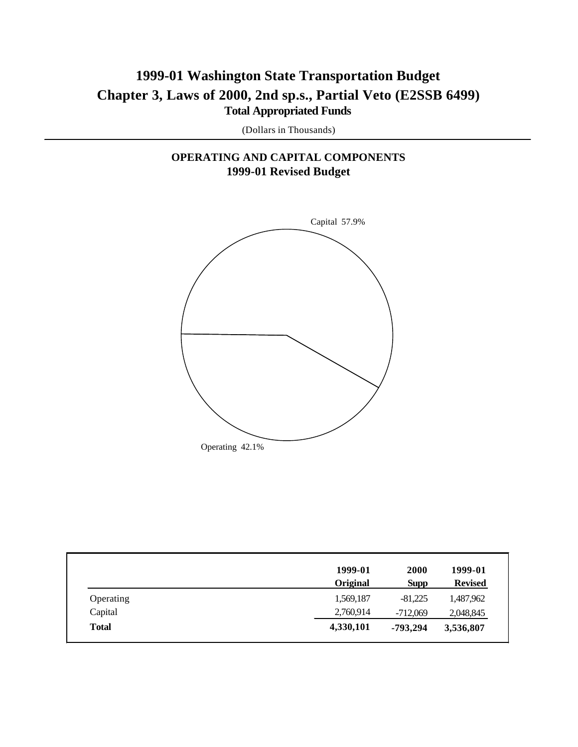# **1999-01 Washington State Transportation Budget Chapter 3, Laws of 2000, 2nd sp.s., Partial Veto (E2SSB 6499) Total Appropriated Funds**

(Dollars in Thousands)

## **OPERATING AND CAPITAL COMPONENTS 1999-01 Revised Budget**



|              | 1999-01         | 2000        | 1999-01        |
|--------------|-----------------|-------------|----------------|
|              | <b>Original</b> | <b>Supp</b> | <b>Revised</b> |
| Operating    | 1,569,187       | $-81.225$   | 1,487,962      |
| Capital      | 2,760,914       | $-712,069$  | 2,048,845      |
| <b>Total</b> | 4,330,101       | -793,294    | 3,536,807      |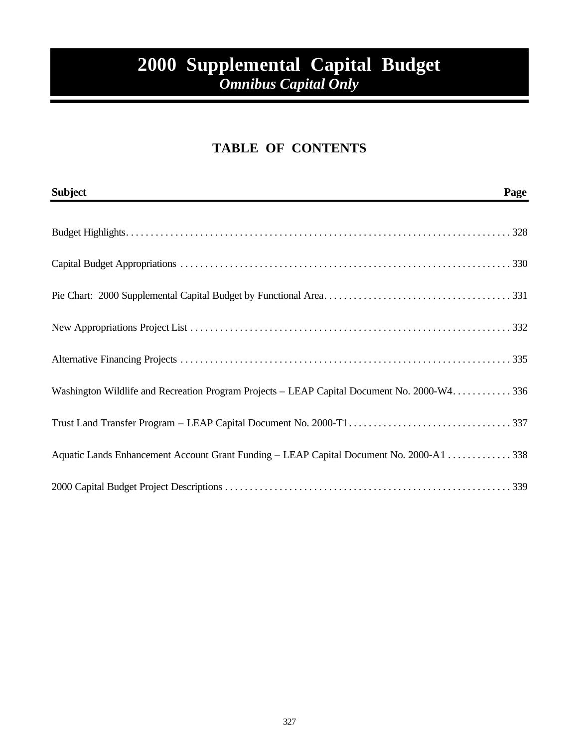# **2000 Supplemental Capital Budget**  *Omnibus Capital Only*

# **TABLE OF CONTENTS**

| <b>Subject</b>                                                                               | Page |
|----------------------------------------------------------------------------------------------|------|
|                                                                                              |      |
|                                                                                              |      |
|                                                                                              |      |
|                                                                                              |      |
|                                                                                              |      |
| Washington Wildlife and Recreation Program Projects - LEAP Capital Document No. 2000-W4. 336 |      |
|                                                                                              |      |
| Aquatic Lands Enhancement Account Grant Funding - LEAP Capital Document No. 2000-A1  338     |      |
|                                                                                              |      |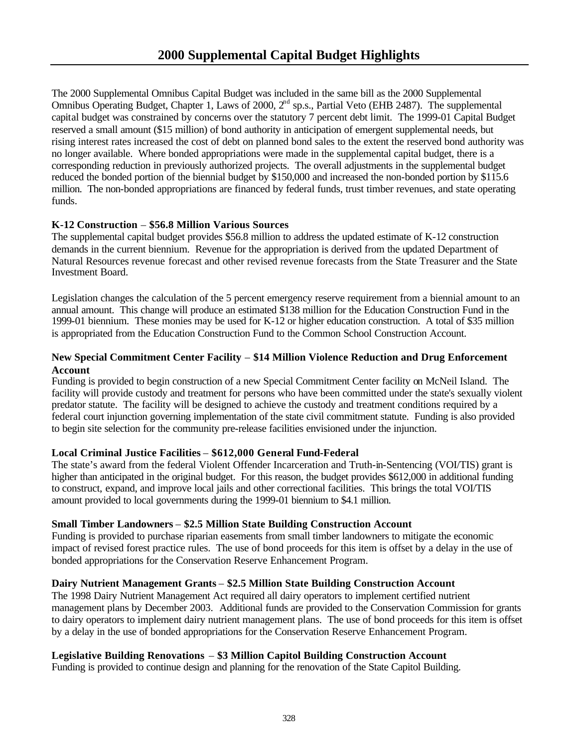The 2000 Supplemental Omnibus Capital Budget was included in the same bill as the 2000 Supplemental Omnibus Operating Budget, Chapter 1, Laws of 2000, 2<sup>nd</sup> sp.s., Partial Veto (EHB 2487). The supplemental capital budget was constrained by concerns over the statutory 7 percent debt limit. The 1999-01 Capital Budget reserved a small amount (\$15 million) of bond authority in anticipation of emergent supplemental needs, but rising interest rates increased the cost of debt on planned bond sales to the extent the reserved bond authority was no longer available. Where bonded appropriations were made in the supplemental capital budget, there is a corresponding reduction in previously authorized projects. The overall adjustments in the supplemental budget reduced the bonded portion of the biennial budget by \$150,000 and increased the non-bonded portion by \$115.6 million. The non-bonded appropriations are financed by federal funds, trust timber revenues, and state operating funds.

## **K-12 Construction** – **\$56.8 Million Various Sources**

The supplemental capital budget provides \$56.8 million to address the updated estimate of K-12 construction demands in the current biennium. Revenue for the appropriation is derived from the updated Department of Natural Resources revenue forecast and other revised revenue forecasts from the State Treasurer and the State Investment Board.

Legislation changes the calculation of the 5 percent emergency reserve requirement from a biennial amount to an annual amount. This change will produce an estimated \$138 million for the Education Construction Fund in the 1999-01 biennium. These monies may be used for K-12 or higher education construction. A total of \$35 million is appropriated from the Education Construction Fund to the Common School Construction Account.

## **New Special Commitment Center Facility** – **\$14 Million Violence Reduction and Drug Enforcement Account**

Funding is provided to begin construction of a new Special Commitment Center facility on McNeil Island. The facility will provide custody and treatment for persons who have been committed under the state's sexually violent predator statute. The facility will be designed to achieve the custody and treatment conditions required by a federal court injunction governing implementation of the state civil commitment statute. Funding is also provided to begin site selection for the community pre-release facilities envisioned under the injunction.

## **Local Criminal Justice Facilities** – **\$612,000 General Fund-Federal**

The state's award from the federal Violent Offender Incarceration and Truth-in-Sentencing (VOI/TIS) grant is higher than anticipated in the original budget. For this reason, the budget provides \$612,000 in additional funding to construct, expand, and improve local jails and other correctional facilities. This brings the total VOI/TIS amount provided to local governments during the 1999-01 biennium to \$4.1 million.

## **Small Timber Landowners** – **\$2.5 Million State Building Construction Account**

Funding is provided to purchase riparian easements from small timber landowners to mitigate the economic impact of revised forest practice rules. The use of bond proceeds for this item is offset by a delay in the use of bonded appropriations for the Conservation Reserve Enhancement Program.

## **Dairy Nutrient Management Grants** – **\$2.5 Million State Building Construction Account**

The 1998 Dairy Nutrient Management Act required all dairy operators to implement certified nutrient management plans by December 2003. Additional funds are provided to the Conservation Commission for grants to dairy operators to implement dairy nutrient management plans. The use of bond proceeds for this item is offset by a delay in the use of bonded appropriations for the Conservation Reserve Enhancement Program.

## **Legislative Building Renovations** – **\$3 Million Capitol Building Construction Account**

Funding is provided to continue design and planning for the renovation of the State Capitol Building.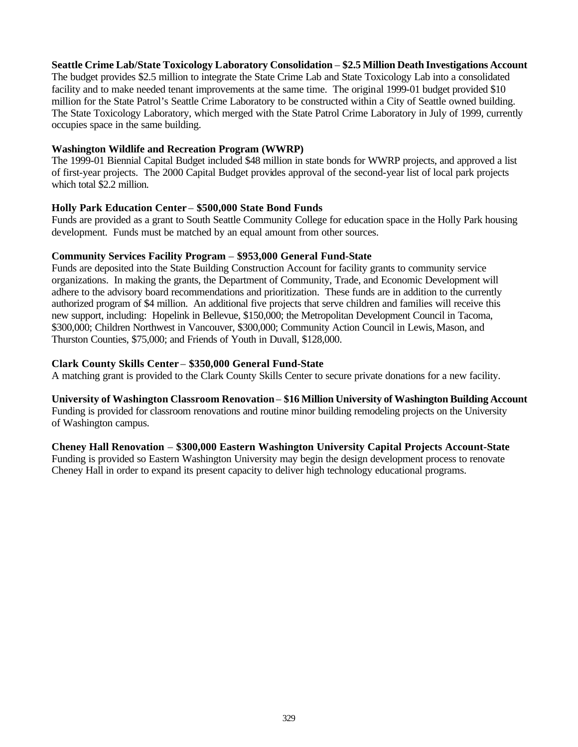## **Seattle Crime Lab/State Toxicology Laboratory Consolidation** – **\$2.5 Million Death Investigations Account**

The budget provides \$2.5 million to integrate the State Crime Lab and State Toxicology Lab into a consolidated facility and to make needed tenant improvements at the same time. The original 1999-01 budget provided \$10 million for the State Patrol's Seattle Crime Laboratory to be constructed within a City of Seattle owned building. The State Toxicology Laboratory, which merged with the State Patrol Crime Laboratory in July of 1999, currently occupies space in the same building.

## **Washington Wildlife and Recreation Program (WWRP)**

The 1999-01 Biennial Capital Budget included \$48 million in state bonds for WWRP projects, and approved a list of first-year projects. The 2000 Capital Budget provides approval of the second-year list of local park projects which total \$2.2 million.

## **Holly Park Education Center** – **\$500,000 State Bond Funds**

Funds are provided as a grant to South Seattle Community College for education space in the Holly Park housing development. Funds must be matched by an equal amount from other sources.

## **Community Services Facility Program** – **\$953,000 General Fund-State**

Funds are deposited into the State Building Construction Account for facility grants to community service organizations. In making the grants, the Department of Community, Trade, and Economic Development will adhere to the advisory board recommendations and prioritization. These funds are in addition to the currently authorized program of \$4 million. An additional five projects that serve children and families will receive this new support, including: Hopelink in Bellevue, \$150,000; the Metropolitan Development Council in Tacoma, \$300,000; Children Northwest in Vancouver, \$300,000; Community Action Council in Lewis, Mason, and Thurston Counties, \$75,000; and Friends of Youth in Duvall, \$128,000.

## **Clark County Skills Center** – **\$350,000 General Fund-State**

A matching grant is provided to the Clark County Skills Center to secure private donations for a new facility.

## **University of Washington Classroom Renovation** – **\$16 Million University of Washington Building Account** Funding is provided for classroom renovations and routine minor building remodeling projects on the University

of Washington campus.

## **Cheney Hall Renovation** – **\$300,000 Eastern Washington University Capital Projects Account-State**

Funding is provided so Eastern Washington University may begin the design development process to renovate Cheney Hall in order to expand its present capacity to deliver high technology educational programs.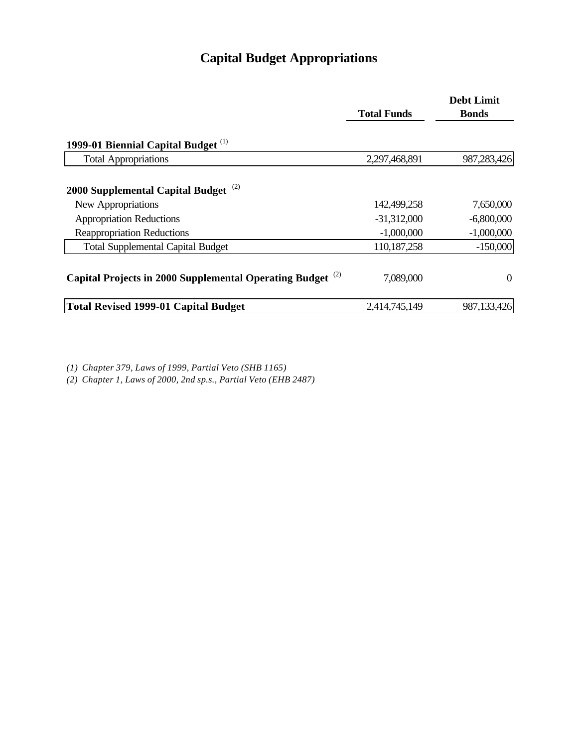# **Capital Budget Appropriations**

|                                                                       |                    | <b>Debt Limit</b> |
|-----------------------------------------------------------------------|--------------------|-------------------|
|                                                                       | <b>Total Funds</b> | <b>Bonds</b>      |
| 1999-01 Biennial Capital Budget <sup>(1)</sup>                        |                    |                   |
| <b>Total Appropriations</b>                                           | 2,297,468,891      | 987,283,426       |
| 2000 Supplemental Capital Budget <sup>(2)</sup>                       |                    |                   |
| New Appropriations                                                    | 142,499,258        | 7,650,000         |
| <b>Appropriation Reductions</b>                                       | $-31,312,000$      | $-6,800,000$      |
| <b>Reappropriation Reductions</b>                                     | $-1,000,000$       | $-1,000,000$      |
| <b>Total Supplemental Capital Budget</b>                              | 110,187,258        | $-150,000$        |
| Capital Projects in 2000 Supplemental Operating Budget <sup>(2)</sup> | 7,089,000          | $\theta$          |
| Total Revised 1999-01 Capital Budget                                  | 2,414,745,149      | 987,133,426       |

*(1) Chapter 379, Laws of 1999, Partial Veto (SHB 1165)*

*(2) Chapter 1, Laws of 2000, 2nd sp.s., Partial Veto (EHB 2487)*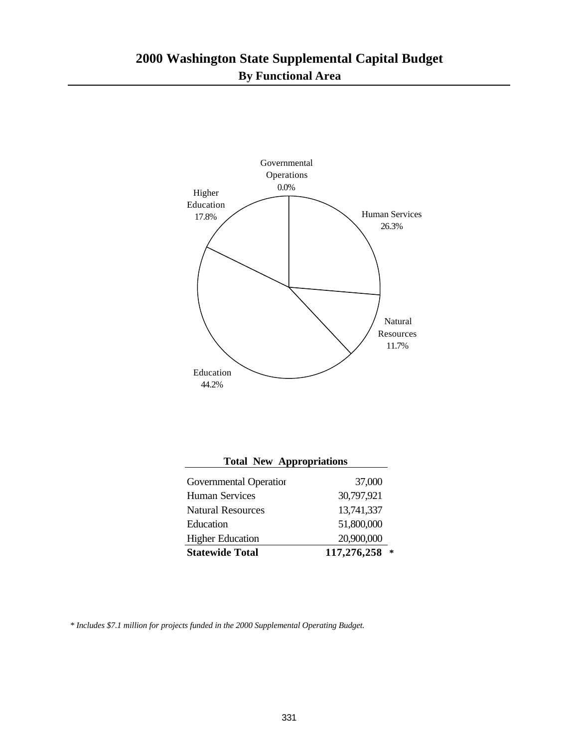

| <b>Total New Appropriations</b> |                  |  |  |  |  |  |
|---------------------------------|------------------|--|--|--|--|--|
| Governmental Operation          | 37,000           |  |  |  |  |  |
| <b>Human Services</b>           | 30,797,921       |  |  |  |  |  |
| <b>Natural Resources</b>        | 13,741,337       |  |  |  |  |  |
| Education                       | 51,800,000       |  |  |  |  |  |
| <b>Higher Education</b>         | 20,900,000       |  |  |  |  |  |
| <b>Statewide Total</b>          | 117,276,258<br>* |  |  |  |  |  |

*\* Includes \$7.1 million for projects funded in the 2000 Supplemental Operating Budget.*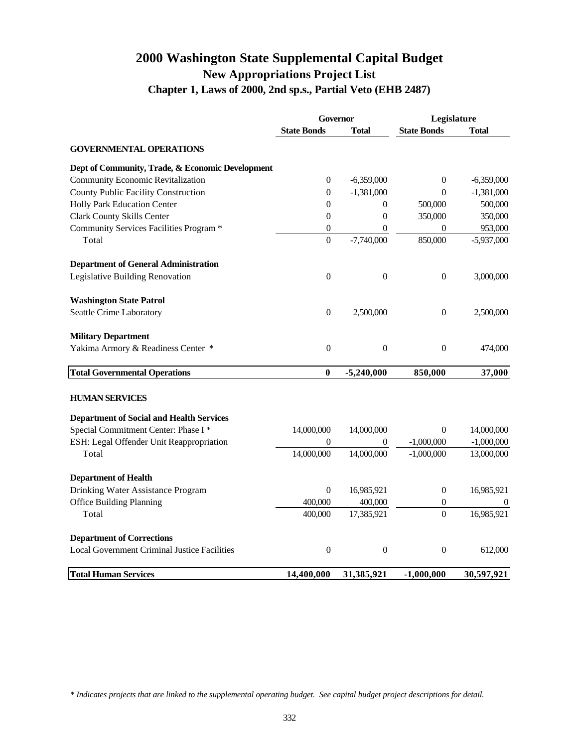## **2000 Washington State Supplemental Capital Budget New Appropriations Project List Chapter 1, Laws of 2000, 2nd sp.s., Partial Veto (EHB 2487)**

|                                                     | <b>Governor</b>    |                  | Legislature        |              |
|-----------------------------------------------------|--------------------|------------------|--------------------|--------------|
|                                                     | <b>State Bonds</b> | <b>Total</b>     | <b>State Bonds</b> | <b>Total</b> |
| <b>GOVERNMENTAL OPERATIONS</b>                      |                    |                  |                    |              |
| Dept of Community, Trade, & Economic Development    |                    |                  |                    |              |
| <b>Community Economic Revitalization</b>            | $\boldsymbol{0}$   | $-6,359,000$     | $\mathbf{0}$       | $-6,359,000$ |
| <b>County Public Facility Construction</b>          | $\boldsymbol{0}$   | $-1,381,000$     | $\overline{0}$     | $-1,381,000$ |
| Holly Park Education Center                         | $\boldsymbol{0}$   | $\boldsymbol{0}$ | 500,000            | 500,000      |
| <b>Clark County Skills Center</b>                   | $\mathbf{0}$       | $\overline{0}$   | 350,000            | 350,000      |
| Community Services Facilities Program *             | $\boldsymbol{0}$   | $\boldsymbol{0}$ | $\theta$           | 953,000      |
| Total                                               | $\boldsymbol{0}$   | $-7,740,000$     | 850,000            | $-5,937,000$ |
| <b>Department of General Administration</b>         |                    |                  |                    |              |
| Legislative Building Renovation                     | $\boldsymbol{0}$   | $\boldsymbol{0}$ | $\boldsymbol{0}$   | 3,000,000    |
| <b>Washington State Patrol</b>                      |                    |                  |                    |              |
| Seattle Crime Laboratory                            | $\boldsymbol{0}$   | 2,500,000        | $\boldsymbol{0}$   | 2,500,000    |
| <b>Military Department</b>                          |                    |                  |                    |              |
| Yakima Armory & Readiness Center *                  | $\boldsymbol{0}$   | $\boldsymbol{0}$ | $\boldsymbol{0}$   | 474,000      |
| <b>Total Governmental Operations</b>                | $\bf{0}$           | $-5,240,000$     | 850,000            | 37,000       |
| <b>HUMAN SERVICES</b>                               |                    |                  |                    |              |
| <b>Department of Social and Health Services</b>     |                    |                  |                    |              |
| Special Commitment Center: Phase I *                | 14,000,000         | 14,000,000       | $\overline{0}$     | 14,000,000   |
| ESH: Legal Offender Unit Reappropriation            | $\theta$           | $\boldsymbol{0}$ | $-1,000,000$       | $-1,000,000$ |
| Total                                               | 14,000,000         | 14,000,000       | $-1,000,000$       | 13,000,000   |
| <b>Department of Health</b>                         |                    |                  |                    |              |
| Drinking Water Assistance Program                   | $\theta$           | 16,985,921       | $\boldsymbol{0}$   | 16,985,921   |
| <b>Office Building Planning</b>                     | 400,000            | 400,000          | $\boldsymbol{0}$   |              |
| Total                                               | 400,000            | 17,385,921       | $\theta$           | 16,985,921   |
| <b>Department of Corrections</b>                    |                    |                  |                    |              |
| <b>Local Government Criminal Justice Facilities</b> | $\boldsymbol{0}$   | $\boldsymbol{0}$ | $\boldsymbol{0}$   | 612,000      |
| <b>Total Human Services</b>                         | 14,400,000         | 31,385,921       | $-1,000,000$       | 30,597,921   |

*\* Indicates projects that are linked to the supplemental operating budget. See capital budget project descriptions for detail.*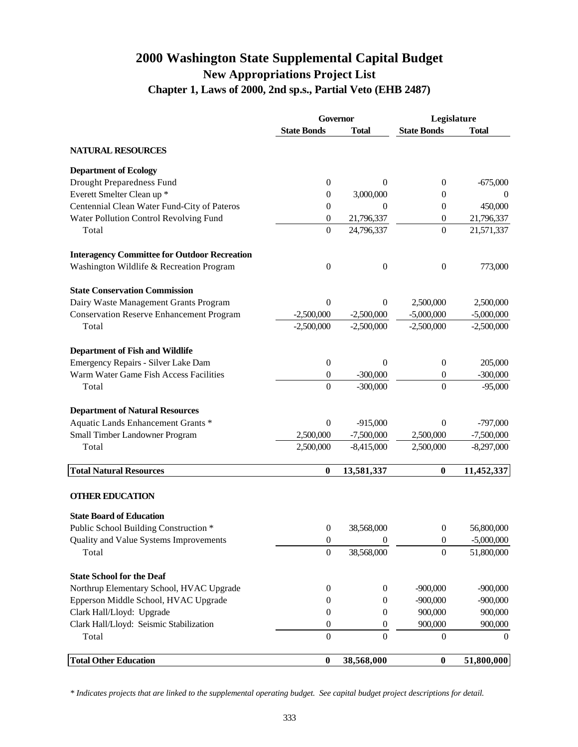## **2000 Washington State Supplemental Capital Budget New Appropriations Project List Chapter 1, Laws of 2000, 2nd sp.s., Partial Veto (EHB 2487)**

|                                                     | Governor           |                  | Legislature        |              |
|-----------------------------------------------------|--------------------|------------------|--------------------|--------------|
|                                                     | <b>State Bonds</b> | <b>Total</b>     | <b>State Bonds</b> | <b>Total</b> |
| <b>NATURAL RESOURCES</b>                            |                    |                  |                    |              |
| <b>Department of Ecology</b>                        |                    |                  |                    |              |
| Drought Preparedness Fund                           | $\mathbf{0}$       | $\theta$         | $\overline{0}$     | $-675,000$   |
| Everett Smelter Clean up *                          | 0                  | 3,000,000        | $\theta$           | $\theta$     |
| Centennial Clean Water Fund-City of Pateros         | 0                  | $\theta$         | $\boldsymbol{0}$   | 450,000      |
| Water Pollution Control Revolving Fund              | $\boldsymbol{0}$   | 21,796,337       | $\boldsymbol{0}$   | 21,796,337   |
| Total                                               | $\boldsymbol{0}$   | 24,796,337       | $\overline{0}$     | 21,571,337   |
| <b>Interagency Committee for Outdoor Recreation</b> |                    |                  |                    |              |
| Washington Wildlife & Recreation Program            | $\overline{0}$     | $\overline{0}$   | $\boldsymbol{0}$   | 773,000      |
| <b>State Conservation Commission</b>                |                    |                  |                    |              |
| Dairy Waste Management Grants Program               | 0                  | $\theta$         | 2,500,000          | 2,500,000    |
| <b>Conservation Reserve Enhancement Program</b>     | $-2,500,000$       | $-2,500,000$     | $-5,000,000$       | $-5,000,000$ |
| Total                                               | $-2,500,000$       | $-2,500,000$     | $-2,500,000$       | $-2,500,000$ |
| <b>Department of Fish and Wildlife</b>              |                    |                  |                    |              |
| Emergency Repairs - Silver Lake Dam                 | $\boldsymbol{0}$   | $\boldsymbol{0}$ | $\boldsymbol{0}$   | 205,000      |
| Warm Water Game Fish Access Facilities              | $\boldsymbol{0}$   | $-300,000$       | $\mathbf{0}$       | $-300,000$   |
| Total                                               | $\boldsymbol{0}$   | $-300,000$       | $\overline{0}$     | $-95,000$    |
| <b>Department of Natural Resources</b>              |                    |                  |                    |              |
| Aquatic Lands Enhancement Grants *                  | $\boldsymbol{0}$   | $-915,000$       | $\overline{0}$     | $-797,000$   |
| Small Timber Landowner Program                      | 2,500,000          | $-7,500,000$     | 2,500,000          | $-7,500,000$ |
| Total                                               | 2,500,000          | $-8,415,000$     | 2,500,000          | $-8,297,000$ |
| <b>Total Natural Resources</b>                      | $\boldsymbol{0}$   | 13,581,337       | $\boldsymbol{0}$   | 11,452,337   |
| <b>OTHER EDUCATION</b>                              |                    |                  |                    |              |
| <b>State Board of Education</b>                     |                    |                  |                    |              |
| Public School Building Construction *               | $\mathbf{0}$       | 38,568,000       | $\mathbf{0}$       | 56,800,000   |
| Quality and Value Systems Improvements              | $\boldsymbol{0}$   | $\boldsymbol{0}$ | $\boldsymbol{0}$   | $-5,000,000$ |
| Total                                               | $\boldsymbol{0}$   | 38,568,000       | $\theta$           | 51,800,000   |
| <b>State School for the Deaf</b>                    |                    |                  |                    |              |
| Northrup Elementary School, HVAC Upgrade            | $\boldsymbol{0}$   | $\boldsymbol{0}$ | $-900,000$         | $-900,000$   |
| Epperson Middle School, HVAC Upgrade                | 0                  | $\theta$         | $-900,000$         | $-900,000$   |
| Clark Hall/Lloyd: Upgrade                           | $\mathbf{0}$       | $\mathbf{0}$     | 900,000            | 900,000      |
| Clark Hall/Lloyd: Seismic Stabilization             | $\mathbf{0}$       | $\boldsymbol{0}$ | 900,000            | 900,000      |
| Total                                               | $\overline{0}$     | $\overline{0}$   | $\overline{0}$     | $\Omega$     |
| <b>Total Other Education</b>                        | $\boldsymbol{0}$   | 38,568,000       | $\boldsymbol{0}$   | 51,800,000   |

*\* Indicates projects that are linked to the supplemental operating budget. See capital budget project descriptions for detail.*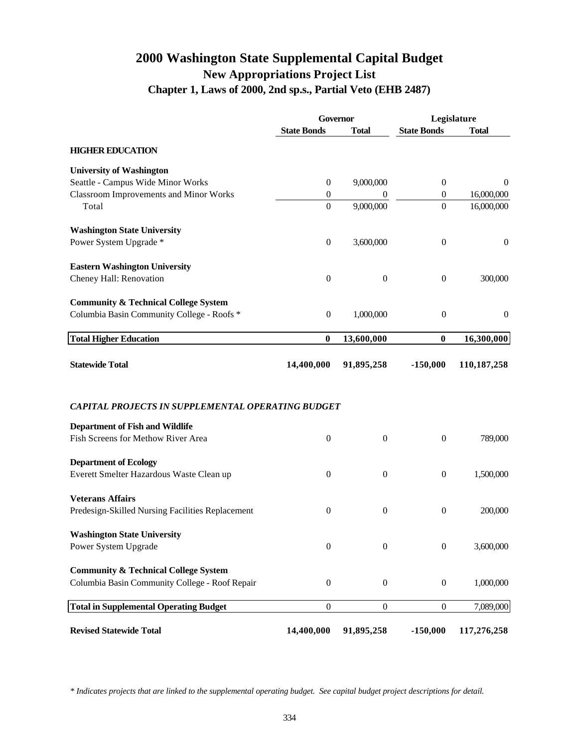## **2000 Washington State Supplemental Capital Budget New Appropriations Project List Chapter 1, Laws of 2000, 2nd sp.s., Partial Veto (EHB 2487)**

|                                                          | Governor           |                  |                    | Legislature  |
|----------------------------------------------------------|--------------------|------------------|--------------------|--------------|
|                                                          | <b>State Bonds</b> | <b>Total</b>     | <b>State Bonds</b> | <b>Total</b> |
| <b>HIGHER EDUCATION</b>                                  |                    |                  |                    |              |
| <b>University of Washington</b>                          |                    |                  |                    |              |
| Seattle - Campus Wide Minor Works                        | $\mathbf{0}$       | 9,000,000        | $\boldsymbol{0}$   | $\theta$     |
| <b>Classroom Improvements and Minor Works</b>            | $\mathbf{0}$       | 0                | $\mathbf{0}$       | 16,000,000   |
| Total                                                    | $\boldsymbol{0}$   | 9,000,000        | $\boldsymbol{0}$   | 16,000,000   |
| <b>Washington State University</b>                       |                    |                  |                    |              |
| Power System Upgrade *                                   | $\boldsymbol{0}$   | 3,600,000        | $\boldsymbol{0}$   | $\mathbf{0}$ |
| <b>Eastern Washington University</b>                     |                    |                  |                    |              |
| Cheney Hall: Renovation                                  | $\overline{0}$     | $\boldsymbol{0}$ | $\boldsymbol{0}$   | 300,000      |
| <b>Community &amp; Technical College System</b>          |                    |                  |                    |              |
| Columbia Basin Community College - Roofs *               | $\boldsymbol{0}$   | 1,000,000        | $\boldsymbol{0}$   | $\theta$     |
| <b>Total Higher Education</b>                            | $\bf{0}$           | 13,600,000       | $\bf{0}$           | 16,300,000   |
| <b>Statewide Total</b>                                   | 14,400,000         | 91,895,258       | $-150,000$         | 110,187,258  |
| <b>CAPITAL PROJECTS IN SUPPLEMENTAL OPERATING BUDGET</b> |                    |                  |                    |              |
| <b>Department of Fish and Wildlife</b>                   |                    |                  |                    |              |
| Fish Screens for Methow River Area                       | $\boldsymbol{0}$   | $\boldsymbol{0}$ | $\boldsymbol{0}$   | 789,000      |
| <b>Department of Ecology</b>                             |                    |                  |                    |              |
| Everett Smelter Hazardous Waste Clean up                 | $\overline{0}$     | $\boldsymbol{0}$ | $\boldsymbol{0}$   | 1,500,000    |
| <b>Veterans Affairs</b>                                  |                    |                  |                    |              |
| Predesign-Skilled Nursing Facilities Replacement         | $\boldsymbol{0}$   | $\boldsymbol{0}$ | $\boldsymbol{0}$   | 200,000      |
| <b>Washington State University</b>                       |                    |                  |                    |              |
| Power System Upgrade                                     | $\boldsymbol{0}$   | $\boldsymbol{0}$ | $\boldsymbol{0}$   | 3,600,000    |
| <b>Community &amp; Technical College System</b>          |                    |                  |                    |              |
| Columbia Basin Community College - Roof Repair           | $\boldsymbol{0}$   | $\boldsymbol{0}$ | $\boldsymbol{0}$   | 1,000,000    |
| <b>Total in Supplemental Operating Budget</b>            | $\boldsymbol{0}$   | $\boldsymbol{0}$ | $\boldsymbol{0}$   | 7,089,000    |
| <b>Revised Statewide Total</b>                           | 14,400,000         | 91,895,258       | $-150,000$         | 117,276,258  |

*\* Indicates projects that are linked to the supplemental operating budget. See capital budget project descriptions for detail.*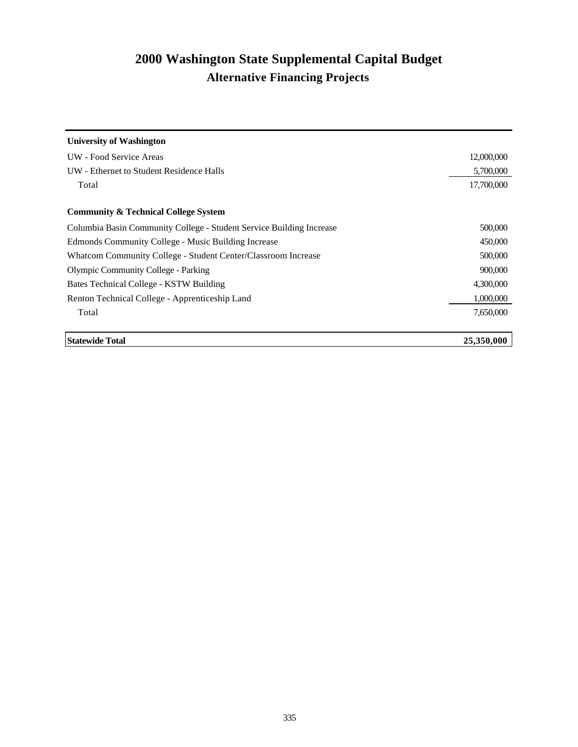# **2000 Washington State Supplemental Capital Budget Alternative Financing Projects**

| <b>University of Washington</b>                                      |            |
|----------------------------------------------------------------------|------------|
| UW - Food Service Areas                                              | 12,000,000 |
| UW - Ethernet to Student Residence Halls                             | 5,700,000  |
| Total                                                                | 17,700,000 |
| <b>Community &amp; Technical College System</b>                      |            |
| Columbia Basin Community College - Student Service Building Increase | 500,000    |
| Edmonds Community College - Music Building Increase                  | 450,000    |
| Whatcom Community College - Student Center/Classroom Increase        | 500,000    |
| <b>Olympic Community College - Parking</b>                           | 900,000    |
| Bates Technical College - KSTW Building                              | 4,300,000  |
| Renton Technical College - Apprenticeship Land                       | 1,000,000  |
| Total                                                                | 7,650,000  |
| <b>Statewide Total</b>                                               | 25,350,000 |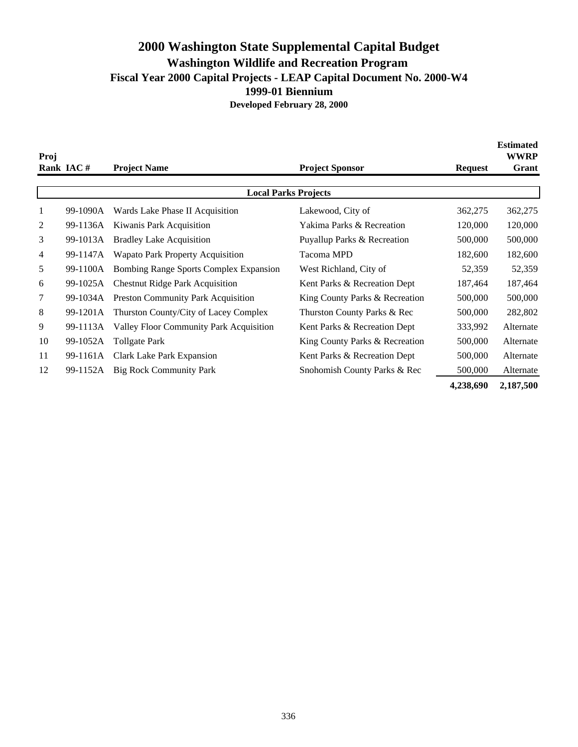## **2000 Washington State Supplemental Capital Budget Washington Wildlife and Recreation Program Fiscal Year 2000 Capital Projects - LEAP Capital Document No. 2000-W4 1999-01 Biennium Developed February 28, 2000**

| Proj |           |                                               |                                        |                | <b>Estimated</b><br><b>WWRP</b> |
|------|-----------|-----------------------------------------------|----------------------------------------|----------------|---------------------------------|
|      | Rank IAC# | <b>Project Name</b>                           | <b>Project Sponsor</b>                 | <b>Request</b> | Grant                           |
|      |           |                                               | <b>Local Parks Projects</b>            |                |                                 |
| 1    | 99-1090A  | Wards Lake Phase II Acquisition               | Lakewood, City of                      | 362,275        | 362,275                         |
| 2    | 99-1136A  | Kiwanis Park Acquisition                      | Yakima Parks & Recreation              | 120,000        | 120,000                         |
| 3    | 99-1013A  | <b>Bradley Lake Acquisition</b>               | <b>Puyallup Parks &amp; Recreation</b> | 500,000        | 500,000                         |
| 4    | 99-1147A  | <b>Wapato Park Property Acquisition</b>       | Tacoma MPD                             | 182,600        | 182,600                         |
| 5    | 99-1100A  | <b>Bombing Range Sports Complex Expansion</b> | West Richland, City of                 | 52,359         | 52,359                          |
| 6    | 99-1025A  | <b>Chestnut Ridge Park Acquisition</b>        | Kent Parks & Recreation Dept           | 187,464        | 187,464                         |
| 7    | 99-1034A  | <b>Preston Community Park Acquisition</b>     | King County Parks & Recreation         | 500,000        | 500,000                         |
| 8    | 99-1201A  | Thurston County/City of Lacey Complex         | Thurston County Parks & Rec            | 500,000        | 282,802                         |
| 9    | 99-1113A  | Valley Floor Community Park Acquisition       | Kent Parks & Recreation Dept           | 333,992        | Alternate                       |
| 10   | 99-1052A  | <b>Tollgate Park</b>                          | King County Parks & Recreation         | 500,000        | Alternate                       |
| 11   | 99-1161A  | Clark Lake Park Expansion                     | Kent Parks & Recreation Dept           | 500,000        | Alternate                       |
| 12   | 99-1152A  | <b>Big Rock Community Park</b>                | Snohomish County Parks & Rec           | 500,000        | Alternate                       |
|      |           |                                               |                                        | 4,238,690      | 2,187,500                       |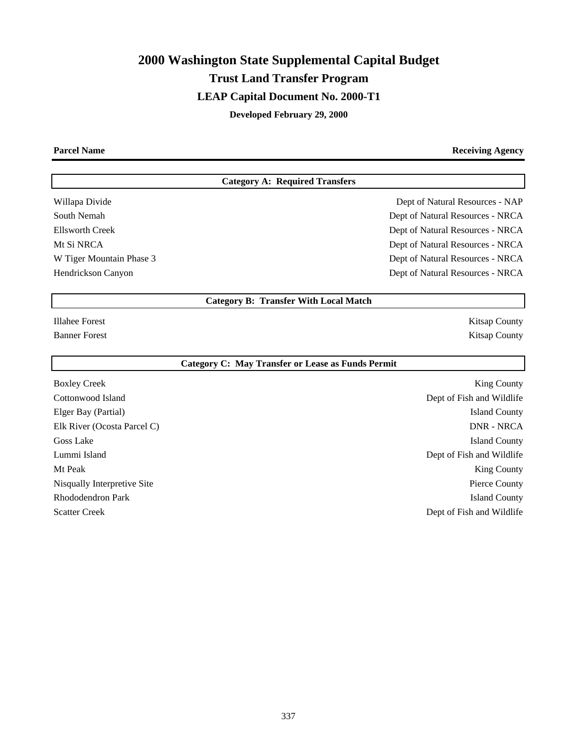# **2000 Washington State Supplemental Capital Budget Trust Land Transfer Program LEAP Capital Document No. 2000-T1 Developed February 29, 2000**

**Parcel Name Receiving Agency** 

## **Category A: Required Transfers**

Willapa Divide **Dept of Natural Resources - NAP** South Nemah Dept of Natural Resources - NRCA Ellsworth Creek Dept of Natural Resources - NRCA Mt Si NRCA Dept of Natural Resources - NRCA W Tiger Mountain Phase 3 Dept of Natural Resources - NRCA Hendrickson Canyon Dept of Natural Resources - NRCA

## **Category B: Transfer With Local Match**

Illahee Forest Kitsap County Banner Forest Kitsap County

#### **Category C: May Transfer or Lease as Funds Permit**

Boxley Creek King County Cottonwood Island Dept of Fish and Wildlife Elger Bay (Partial) Island County Elk River (Ocosta Parcel C) DNR - NRCA Goss Lake Island County Lummi Island Dept of Fish and Wildlife Mt Peak King County Nisqually Interpretive Site **Pierce County** Pierce County Rhododendron Park Island County Scatter Creek Dept of Fish and Wildlife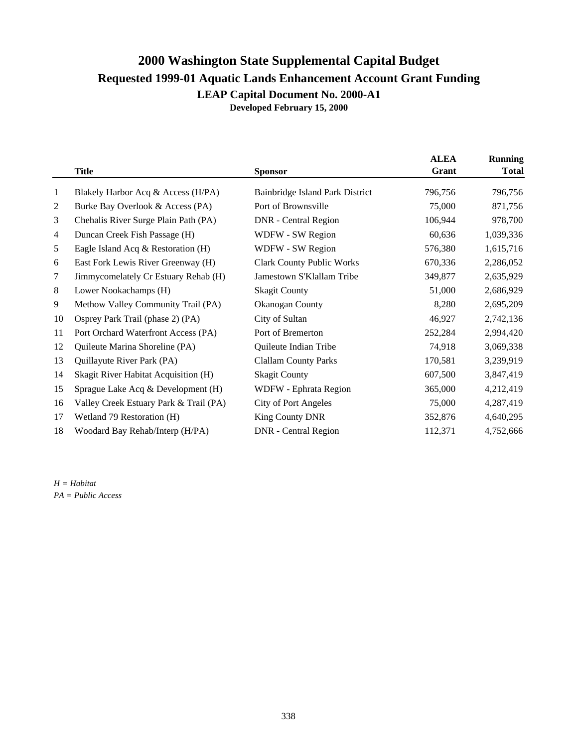## **2000 Washington State Supplemental Capital Budget Requested 1999-01 Aquatic Lands Enhancement Account Grant Funding LEAP Capital Document No. 2000-A1 Developed February 15, 2000**

|                |                                        |                                  | <b>ALEA</b> | <b>Running</b> |
|----------------|----------------------------------------|----------------------------------|-------------|----------------|
|                | <b>Title</b>                           | <b>Sponsor</b>                   | Grant       | <b>Total</b>   |
| $\mathbf{1}$   | Blakely Harbor Acq & Access (H/PA)     | Bainbridge Island Park District  | 796,756     | 796,756        |
| $\overline{c}$ | Burke Bay Overlook & Access (PA)       | Port of Brownsville              | 75,000      | 871,756        |
| 3              | Chehalis River Surge Plain Path (PA)   | <b>DNR</b> - Central Region      | 106,944     | 978,700        |
| 4              | Duncan Creek Fish Passage (H)          | WDFW - SW Region                 | 60,636      | 1,039,336      |
| 5              | Eagle Island Acq & Restoration (H)     | WDFW - SW Region                 | 576,380     | 1,615,716      |
| 6              | East Fork Lewis River Greenway (H)     | <b>Clark County Public Works</b> | 670,336     | 2,286,052      |
| 7              | Jimmycomelately Cr Estuary Rehab (H)   | Jamestown S'Klallam Tribe        | 349,877     | 2,635,929      |
| 8              | Lower Nookachamps (H)                  | <b>Skagit County</b>             | 51,000      | 2,686,929      |
| 9              | Methow Valley Community Trail (PA)     | Okanogan County                  | 8,280       | 2,695,209      |
| 10             | Osprey Park Trail (phase 2) (PA)       | City of Sultan                   | 46,927      | 2,742,136      |
| 11             | Port Orchard Waterfront Access (PA)    | Port of Bremerton                | 252,284     | 2,994,420      |
| 12             | Quileute Marina Shoreline (PA)         | Quileute Indian Tribe            | 74,918      | 3,069,338      |
| 13             | Quillayute River Park (PA)             | <b>Clallam County Parks</b>      | 170,581     | 3,239,919      |
| 14             | Skagit River Habitat Acquisition (H)   | <b>Skagit County</b>             | 607,500     | 3,847,419      |
| 15             | Sprague Lake Acq & Development (H)     | WDFW - Ephrata Region            | 365,000     | 4,212,419      |
| 16             | Valley Creek Estuary Park & Trail (PA) | <b>City of Port Angeles</b>      | 75,000      | 4,287,419      |
| 17             | Wetland 79 Restoration (H)             | King County DNR                  | 352,876     | 4,640,295      |
| 18             | Woodard Bay Rehab/Interp (H/PA)        | <b>DNR</b> - Central Region      | 112,371     | 4,752,666      |
|                |                                        |                                  |             |                |

*H = Habitat PA = Public Access*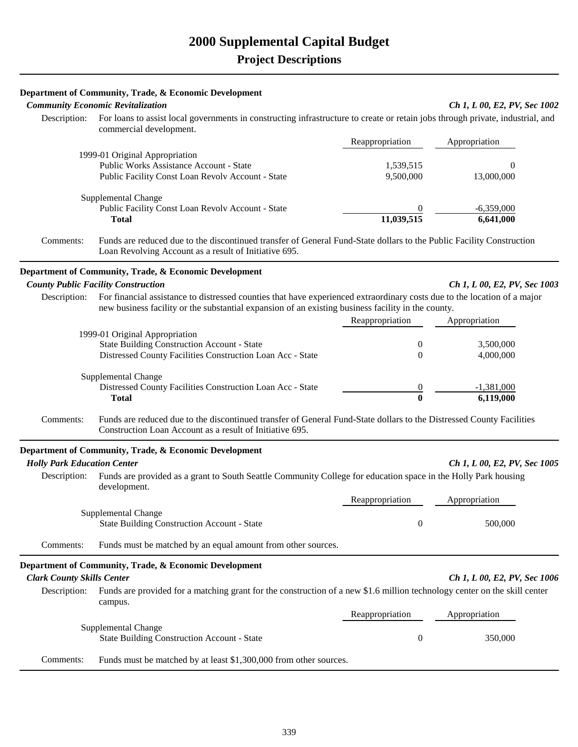|                                    | Department of Community, Trade, & Economic Development                                                                                                                        |                         |                              |
|------------------------------------|-------------------------------------------------------------------------------------------------------------------------------------------------------------------------------|-------------------------|------------------------------|
|                                    | <b>Community Economic Revitalization</b>                                                                                                                                      |                         | Ch 1, L 00, E2, PV, Sec 1002 |
| Description:                       | For loans to assist local governments in constructing infrastructure to create or retain jobs through private, industrial, and<br>commercial development.                     |                         |                              |
|                                    |                                                                                                                                                                               | Reappropriation         | Appropriation                |
|                                    | 1999-01 Original Appropriation                                                                                                                                                |                         |                              |
|                                    | Public Works Assistance Account - State                                                                                                                                       | 1,539,515<br>9,500,000  | $\theta$<br>13,000,000       |
|                                    | Public Facility Const Loan Revolv Account - State                                                                                                                             |                         |                              |
|                                    | Supplemental Change                                                                                                                                                           |                         |                              |
|                                    | Public Facility Const Loan Revolv Account - State                                                                                                                             |                         | $-6,359,000$                 |
|                                    | <b>Total</b>                                                                                                                                                                  | 11,039,515              | 6,641,000                    |
| Comments:                          | Funds are reduced due to the discontinued transfer of General Fund-State dollars to the Public Facility Construction<br>Loan Revolving Account as a result of Initiative 695. |                         |                              |
|                                    | Department of Community, Trade, & Economic Development                                                                                                                        |                         |                              |
|                                    | <b>County Public Facility Construction</b>                                                                                                                                    |                         | Ch 1, L 00, E2, PV, Sec 1003 |
|                                    | Description: For financial assistance to distressed counties that have experienced extraordinary costs due to the location of a major                                         |                         |                              |
|                                    | new business facility or the substantial expansion of an existing business facility in the county.                                                                            | Reappropriation         | Appropriation                |
|                                    | 1999-01 Original Appropriation                                                                                                                                                |                         |                              |
|                                    | <b>State Building Construction Account - State</b>                                                                                                                            | 0                       | 3,500,000                    |
|                                    | Distressed County Facilities Construction Loan Acc - State                                                                                                                    | $\Omega$                | 4,000,000                    |
|                                    | Supplemental Change                                                                                                                                                           |                         |                              |
|                                    | Distressed County Facilities Construction Loan Acc - State                                                                                                                    |                         | $-1,381,000$                 |
|                                    | <b>Total</b>                                                                                                                                                                  | $\overline{\mathbf{0}}$ | 6,119,000                    |
| Comments:                          | Funds are reduced due to the discontinued transfer of General Fund-State dollars to the Distressed County Facilities                                                          |                         |                              |
|                                    | Construction Loan Account as a result of Initiative 695.                                                                                                                      |                         |                              |
|                                    | Department of Community, Trade, & Economic Development                                                                                                                        |                         |                              |
| <b>Holly Park Education Center</b> |                                                                                                                                                                               |                         | Ch 1, L 00, E2, PV, Sec 1005 |
| Description:                       | Funds are provided as a grant to South Seattle Community College for education space in the Holly Park housing<br>development.                                                |                         |                              |
|                                    |                                                                                                                                                                               | Reappropriation         | Appropriation                |
|                                    | Supplemental Change<br><b>State Building Construction Account - State</b>                                                                                                     | $\boldsymbol{0}$        | 500,000                      |
| Comments:                          | Funds must be matched by an equal amount from other sources.                                                                                                                  |                         |                              |
|                                    |                                                                                                                                                                               |                         |                              |
|                                    | Department of Community, Trade, & Economic Development                                                                                                                        |                         |                              |
| <b>Clark County Skills Center</b>  |                                                                                                                                                                               |                         | Ch 1, L 00, E2, PV, Sec 1006 |
| Description:                       | Funds are provided for a matching grant for the construction of a new \$1.6 million technology center on the skill center<br>campus.                                          |                         |                              |
|                                    |                                                                                                                                                                               | Reappropriation         | Appropriation                |
|                                    | Supplemental Change                                                                                                                                                           |                         |                              |
|                                    | <b>State Building Construction Account - State</b>                                                                                                                            | $\boldsymbol{0}$        | 350,000                      |
| Comments:                          | Funds must be matched by at least \$1,300,000 from other sources.                                                                                                             |                         |                              |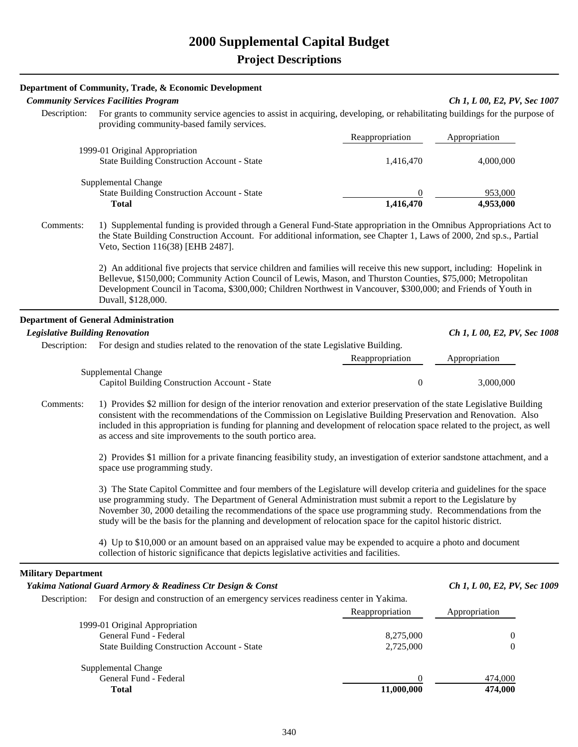|                                        | Department of Community, Trade, & Economic Development                                                                                                                                                                                                                                                                                                                                                                                                                 |                       |                              |
|----------------------------------------|------------------------------------------------------------------------------------------------------------------------------------------------------------------------------------------------------------------------------------------------------------------------------------------------------------------------------------------------------------------------------------------------------------------------------------------------------------------------|-----------------------|------------------------------|
|                                        | <b>Community Services Facilities Program</b>                                                                                                                                                                                                                                                                                                                                                                                                                           |                       | Ch 1, L 00, E2, PV, Sec 1007 |
| Description:                           | For grants to community service agencies to assist in acquiring, developing, or rehabilitating buildings for the purpose of<br>providing community-based family services.                                                                                                                                                                                                                                                                                              |                       |                              |
|                                        |                                                                                                                                                                                                                                                                                                                                                                                                                                                                        | Reappropriation       | Appropriation                |
|                                        | 1999-01 Original Appropriation                                                                                                                                                                                                                                                                                                                                                                                                                                         |                       |                              |
|                                        | <b>State Building Construction Account - State</b>                                                                                                                                                                                                                                                                                                                                                                                                                     | 1,416,470             | 4,000,000                    |
|                                        | Supplemental Change                                                                                                                                                                                                                                                                                                                                                                                                                                                    |                       |                              |
|                                        | <b>State Building Construction Account - State</b>                                                                                                                                                                                                                                                                                                                                                                                                                     |                       | 953,000                      |
|                                        | <b>Total</b>                                                                                                                                                                                                                                                                                                                                                                                                                                                           | $\frac{0}{1,416,470}$ | 4,953,000                    |
| Comments:                              | 1) Supplemental funding is provided through a General Fund-State appropriation in the Omnibus Appropriations Act to<br>the State Building Construction Account. For additional information, see Chapter 1, Laws of 2000, 2nd sp.s., Partial<br>Veto, Section 116(38) [EHB 2487].                                                                                                                                                                                       |                       |                              |
|                                        | 2) An additional five projects that service children and families will receive this new support, including: Hopelink in<br>Bellevue, \$150,000; Community Action Council of Lewis, Mason, and Thurston Counties, \$75,000; Metropolitan<br>Development Council in Tacoma, \$300,000; Children Northwest in Vancouver, \$300,000; and Friends of Youth in<br>Duvall, \$128,000.                                                                                         |                       |                              |
|                                        | <b>Department of General Administration</b>                                                                                                                                                                                                                                                                                                                                                                                                                            |                       |                              |
| <b>Legislative Building Renovation</b> |                                                                                                                                                                                                                                                                                                                                                                                                                                                                        |                       | Ch 1, L 00, E2, PV, Sec 1008 |
| Description:                           | For design and studies related to the renovation of the state Legislative Building.                                                                                                                                                                                                                                                                                                                                                                                    |                       |                              |
|                                        |                                                                                                                                                                                                                                                                                                                                                                                                                                                                        | Reappropriation       | Appropriation                |
|                                        | Supplemental Change                                                                                                                                                                                                                                                                                                                                                                                                                                                    |                       |                              |
|                                        | Capitol Building Construction Account - State                                                                                                                                                                                                                                                                                                                                                                                                                          | $\theta$              | 3,000,000                    |
| Comments:                              | 1) Provides \$2 million for design of the interior renovation and exterior preservation of the state Legislative Building<br>consistent with the recommendations of the Commission on Legislative Building Preservation and Renovation. Also<br>included in this appropriation is funding for planning and development of relocation space related to the project, as well<br>as access and site improvements to the south portico area.                               |                       |                              |
|                                        | 2) Provides \$1 million for a private financing feasibility study, an investigation of exterior sandstone attachment, and a<br>space use programming study.                                                                                                                                                                                                                                                                                                            |                       |                              |
|                                        | 3) The State Capitol Committee and four members of the Legislature will develop criteria and guidelines for the space<br>use programming study. The Department of General Administration must submit a report to the Legislature by<br>November 30, 2000 detailing the recommendations of the space use programming study. Recommendations from the<br>study will be the basis for the planning and development of relocation space for the capitol historic district. |                       |                              |

4) Up to \$10,000 or an amount based on an appraised value may be expended to acquire a photo and document collection of historic significance that depicts legislative activities and facilities.

#### **Military Department**

| Yakima National Guard Armory & Readiness Ctr Design & Const                                      |                                                    |                 | Ch 1, L 00, E2, PV, Sec 1009 |  |
|--------------------------------------------------------------------------------------------------|----------------------------------------------------|-----------------|------------------------------|--|
| For design and construction of an emergency services readiness center in Yakima.<br>Description: |                                                    |                 |                              |  |
|                                                                                                  |                                                    | Reappropriation | Appropriation                |  |
|                                                                                                  | 1999-01 Original Appropriation                     |                 |                              |  |
|                                                                                                  | General Fund - Federal                             | 8.275,000       | 0                            |  |
|                                                                                                  | <b>State Building Construction Account - State</b> | 2.725,000       |                              |  |
|                                                                                                  | Supplemental Change                                |                 |                              |  |
|                                                                                                  | General Fund - Federal                             |                 | 474,000                      |  |
|                                                                                                  | Total                                              | 11,000,000      | 474,000                      |  |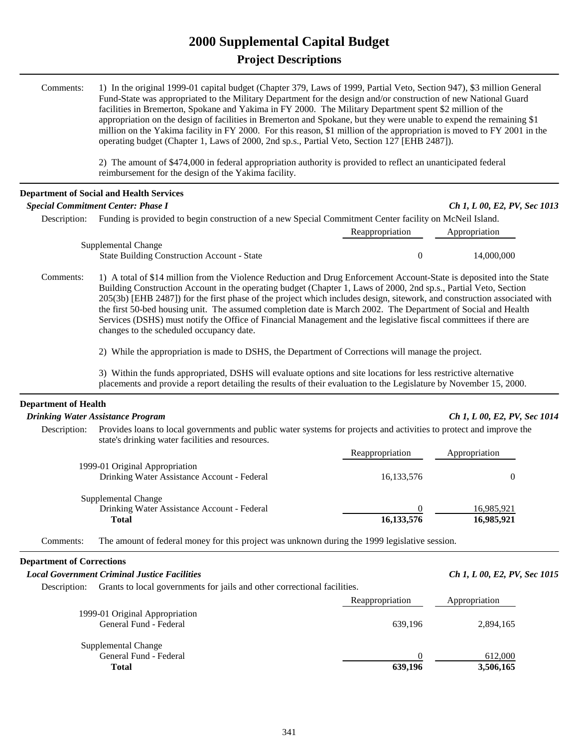# **2000 Supplemental Capital Budget Project Descriptions**

| Comments:                   | 1) In the original 1999-01 capital budget (Chapter 379, Laws of 1999, Partial Veto, Section 947), \$3 million General<br>Fund-State was appropriated to the Military Department for the design and/or construction of new National Guard<br>facilities in Bremerton, Spokane and Yakima in FY 2000. The Military Department spent \$2 million of the<br>appropriation on the design of facilities in Bremerton and Spokane, but they were unable to expend the remaining \$1<br>million on the Yakima facility in FY 2000. For this reason, \$1 million of the appropriation is moved to FY 2001 in the<br>operating budget (Chapter 1, Laws of 2000, 2nd sp.s., Partial Veto, Section 127 [EHB 2487]).                                                       |                  |                              |  |
|-----------------------------|---------------------------------------------------------------------------------------------------------------------------------------------------------------------------------------------------------------------------------------------------------------------------------------------------------------------------------------------------------------------------------------------------------------------------------------------------------------------------------------------------------------------------------------------------------------------------------------------------------------------------------------------------------------------------------------------------------------------------------------------------------------|------------------|------------------------------|--|
|                             | 2) The amount of \$474,000 in federal appropriation authority is provided to reflect an unanticipated federal<br>reimbursement for the design of the Yakima facility.                                                                                                                                                                                                                                                                                                                                                                                                                                                                                                                                                                                         |                  |                              |  |
|                             | <b>Department of Social and Health Services</b>                                                                                                                                                                                                                                                                                                                                                                                                                                                                                                                                                                                                                                                                                                               |                  |                              |  |
|                             | <b>Special Commitment Center: Phase I</b>                                                                                                                                                                                                                                                                                                                                                                                                                                                                                                                                                                                                                                                                                                                     |                  | Ch 1, L 00, E2, PV, Sec 1013 |  |
| Description:                | Funding is provided to begin construction of a new Special Commitment Center facility on McNeil Island.                                                                                                                                                                                                                                                                                                                                                                                                                                                                                                                                                                                                                                                       | Reappropriation  | Appropriation                |  |
|                             | Supplemental Change<br><b>State Building Construction Account - State</b>                                                                                                                                                                                                                                                                                                                                                                                                                                                                                                                                                                                                                                                                                     | $\boldsymbol{0}$ | 14,000,000                   |  |
| Comments:                   | 1) A total of \$14 million from the Violence Reduction and Drug Enforcement Account-State is deposited into the State<br>Building Construction Account in the operating budget (Chapter 1, Laws of 2000, 2nd sp.s., Partial Veto, Section<br>205(3b) [EHB 2487]) for the first phase of the project which includes design, sitework, and construction associated with<br>the first 50-bed housing unit. The assumed completion date is March 2002. The Department of Social and Health<br>Services (DSHS) must notify the Office of Financial Management and the legislative fiscal committees if there are<br>changes to the scheduled occupancy date.<br>2) While the appropriation is made to DSHS, the Department of Corrections will manage the project. |                  |                              |  |
|                             | 3) Within the funds appropriated, DSHS will evaluate options and site locations for less restrictive alternative<br>placements and provide a report detailing the results of their evaluation to the Legislature by November 15, 2000.                                                                                                                                                                                                                                                                                                                                                                                                                                                                                                                        |                  |                              |  |
| <b>Department of Health</b> |                                                                                                                                                                                                                                                                                                                                                                                                                                                                                                                                                                                                                                                                                                                                                               |                  |                              |  |
|                             | <b>Drinking Water Assistance Program</b>                                                                                                                                                                                                                                                                                                                                                                                                                                                                                                                                                                                                                                                                                                                      |                  | Ch 1, L 00, E2, PV, Sec 1014 |  |
| Description:                | Provides loans to local governments and public water systems for projects and activities to protect and improve the<br>state's drinking water facilities and resources.                                                                                                                                                                                                                                                                                                                                                                                                                                                                                                                                                                                       |                  |                              |  |
|                             |                                                                                                                                                                                                                                                                                                                                                                                                                                                                                                                                                                                                                                                                                                                                                               | Reappropriation  | Appropriation                |  |
|                             | 1999-01 Original Appropriation<br>Drinking Water Assistance Account - Federal                                                                                                                                                                                                                                                                                                                                                                                                                                                                                                                                                                                                                                                                                 | 16,133,576       | $\boldsymbol{0}$             |  |
|                             | Supplemental Change                                                                                                                                                                                                                                                                                                                                                                                                                                                                                                                                                                                                                                                                                                                                           | 0                |                              |  |
|                             | Drinking Water Assistance Account - Federal<br><b>Total</b>                                                                                                                                                                                                                                                                                                                                                                                                                                                                                                                                                                                                                                                                                                   | 16,133,576       | 16,985,921<br>16,985,921     |  |
| Comments:                   | The amount of federal money for this project was unknown during the 1999 legislative session.                                                                                                                                                                                                                                                                                                                                                                                                                                                                                                                                                                                                                                                                 |                  |                              |  |

## **Department of Corrections**

## *Local Government Criminal Justice Facilities*  $\overline{Ch}$  1,  $L$  00,  $E$ 2,  $PV$ ,  $\overline{Sc}$  1015

Description: Grants to local governments for jails and other correctional facilities.

|                                                               | Reappropriation | Appropriation        |
|---------------------------------------------------------------|-----------------|----------------------|
| 1999-01 Original Appropriation<br>General Fund - Federal      | 639.196         | 2,894,165            |
| Supplemental Change<br>General Fund - Federal<br><b>Total</b> | 639,196         | 612,000<br>3,506,165 |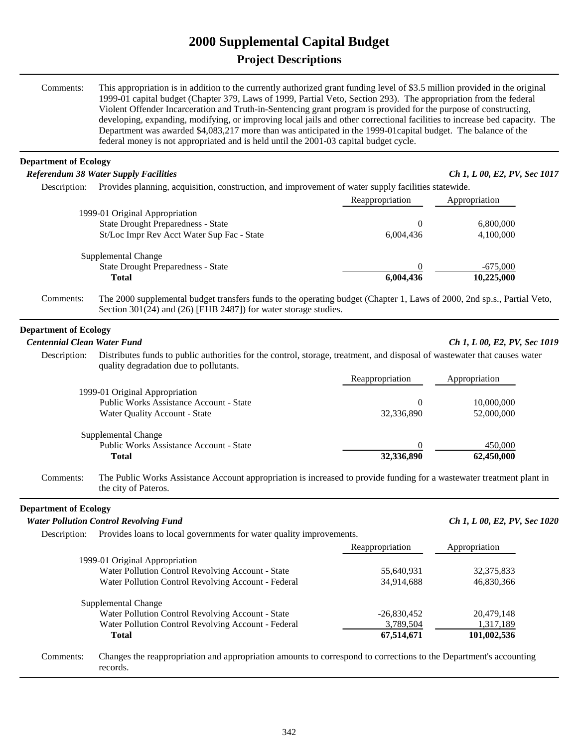# **2000 Supplemental Capital Budget Project Descriptions**

| Comments:                          | This appropriation is in addition to the currently authorized grant funding level of \$3.5 million provided in the original<br>1999-01 capital budget (Chapter 379, Laws of 1999, Partial Veto, Section 293). The appropriation from the federal<br>Violent Offender Incarceration and Truth-in-Sentencing grant program is provided for the purpose of constructing,<br>developing, expanding, modifying, or improving local jails and other correctional facilities to increase bed capacity. The<br>Department was awarded \$4,083,217 more than was anticipated in the 1999-01 capital budget. The balance of the<br>federal money is not appropriated and is held until the 2001-03 capital budget cycle. |                 |                              |
|------------------------------------|----------------------------------------------------------------------------------------------------------------------------------------------------------------------------------------------------------------------------------------------------------------------------------------------------------------------------------------------------------------------------------------------------------------------------------------------------------------------------------------------------------------------------------------------------------------------------------------------------------------------------------------------------------------------------------------------------------------|-----------------|------------------------------|
| <b>Department of Ecology</b>       |                                                                                                                                                                                                                                                                                                                                                                                                                                                                                                                                                                                                                                                                                                                |                 |                              |
|                                    | <b>Referendum 38 Water Supply Facilities</b>                                                                                                                                                                                                                                                                                                                                                                                                                                                                                                                                                                                                                                                                   |                 | Ch 1, L 00, E2, PV, Sec 1017 |
|                                    | Description: Provides planning, acquisition, construction, and improvement of water supply facilities statewide.                                                                                                                                                                                                                                                                                                                                                                                                                                                                                                                                                                                               |                 |                              |
|                                    |                                                                                                                                                                                                                                                                                                                                                                                                                                                                                                                                                                                                                                                                                                                | Reappropriation | Appropriation                |
|                                    | 1999-01 Original Appropriation                                                                                                                                                                                                                                                                                                                                                                                                                                                                                                                                                                                                                                                                                 |                 |                              |
|                                    | <b>State Drought Preparedness - State</b>                                                                                                                                                                                                                                                                                                                                                                                                                                                                                                                                                                                                                                                                      | $\theta$        | 6,800,000                    |
|                                    | St/Loc Impr Rev Acct Water Sup Fac - State                                                                                                                                                                                                                                                                                                                                                                                                                                                                                                                                                                                                                                                                     | 6,004,436       | 4,100,000                    |
|                                    | Supplemental Change                                                                                                                                                                                                                                                                                                                                                                                                                                                                                                                                                                                                                                                                                            |                 |                              |
|                                    | <b>State Drought Preparedness - State</b>                                                                                                                                                                                                                                                                                                                                                                                                                                                                                                                                                                                                                                                                      |                 | $-675,000$                   |
|                                    | <b>Total</b>                                                                                                                                                                                                                                                                                                                                                                                                                                                                                                                                                                                                                                                                                                   | 6,004,436       | 10,225,000                   |
| Comments:                          | The 2000 supplemental budget transfers funds to the operating budget (Chapter 1, Laws of 2000, 2nd sp.s., Partial Veto,<br>Section 301(24) and (26) [EHB 2487]) for water storage studies.                                                                                                                                                                                                                                                                                                                                                                                                                                                                                                                     |                 |                              |
| <b>Department of Ecology</b>       |                                                                                                                                                                                                                                                                                                                                                                                                                                                                                                                                                                                                                                                                                                                |                 |                              |
| <b>Centennial Clean Water Fund</b> |                                                                                                                                                                                                                                                                                                                                                                                                                                                                                                                                                                                                                                                                                                                |                 | Ch 1, L 00, E2, PV, Sec 1019 |
| Description:                       | Distributes funds to public authorities for the control, storage, treatment, and disposal of wastewater that causes water<br>quality degradation due to pollutants.                                                                                                                                                                                                                                                                                                                                                                                                                                                                                                                                            |                 |                              |
|                                    |                                                                                                                                                                                                                                                                                                                                                                                                                                                                                                                                                                                                                                                                                                                | Reappropriation | Appropriation                |
|                                    | 1999-01 Original Appropriation                                                                                                                                                                                                                                                                                                                                                                                                                                                                                                                                                                                                                                                                                 |                 |                              |
|                                    | Public Works Assistance Account - State                                                                                                                                                                                                                                                                                                                                                                                                                                                                                                                                                                                                                                                                        | $\overline{0}$  | 10,000,000                   |
|                                    | Water Quality Account - State                                                                                                                                                                                                                                                                                                                                                                                                                                                                                                                                                                                                                                                                                  | 32,336,890      | 52,000,000                   |
|                                    | Supplemental Change                                                                                                                                                                                                                                                                                                                                                                                                                                                                                                                                                                                                                                                                                            |                 |                              |
|                                    | Public Works Assistance Account - State                                                                                                                                                                                                                                                                                                                                                                                                                                                                                                                                                                                                                                                                        |                 | 450,000                      |
|                                    | <b>Total</b>                                                                                                                                                                                                                                                                                                                                                                                                                                                                                                                                                                                                                                                                                                   | 32,336,890      | 62,450,000                   |
| Comments:                          | The Public Works Assistance Account appropriation is increased to provide funding for a wastewater treatment plant in<br>the city of Pateros.                                                                                                                                                                                                                                                                                                                                                                                                                                                                                                                                                                  |                 |                              |
| <b>Department of Ecology</b>       |                                                                                                                                                                                                                                                                                                                                                                                                                                                                                                                                                                                                                                                                                                                |                 |                              |
|                                    | <b>Water Pollution Control Revolving Fund</b>                                                                                                                                                                                                                                                                                                                                                                                                                                                                                                                                                                                                                                                                  |                 | Ch 1, L 00, E2, PV, Sec 1020 |
| Description:                       | Provides loans to local governments for water quality improvements.                                                                                                                                                                                                                                                                                                                                                                                                                                                                                                                                                                                                                                            |                 |                              |
|                                    |                                                                                                                                                                                                                                                                                                                                                                                                                                                                                                                                                                                                                                                                                                                | Reappropriation | Appropriation                |
|                                    | 1999-01 Original Appropriation                                                                                                                                                                                                                                                                                                                                                                                                                                                                                                                                                                                                                                                                                 |                 |                              |
|                                    | Water Pollution Control Revolving Account - State                                                                                                                                                                                                                                                                                                                                                                                                                                                                                                                                                                                                                                                              | 55,640,931      | 32,375,833                   |
|                                    | Water Pollution Control Revolving Account - Federal                                                                                                                                                                                                                                                                                                                                                                                                                                                                                                                                                                                                                                                            | 34,914,688      | 46,830,366                   |
|                                    |                                                                                                                                                                                                                                                                                                                                                                                                                                                                                                                                                                                                                                                                                                                |                 |                              |
|                                    | Supplemental Change<br>Water Pollution Control Revolving Account - State                                                                                                                                                                                                                                                                                                                                                                                                                                                                                                                                                                                                                                       | $-26,830,452$   | 20,479,148                   |
|                                    | Water Pollution Control Revolving Account - Federal                                                                                                                                                                                                                                                                                                                                                                                                                                                                                                                                                                                                                                                            | 3,789,504       | 1,317,189                    |
|                                    | <b>Total</b>                                                                                                                                                                                                                                                                                                                                                                                                                                                                                                                                                                                                                                                                                                   | 67,514,671      | 101,002,536                  |
|                                    |                                                                                                                                                                                                                                                                                                                                                                                                                                                                                                                                                                                                                                                                                                                |                 |                              |
| Comments:                          | Changes the reappropriation and appropriation amounts to correspond to corrections to the Department's accounting<br>records.                                                                                                                                                                                                                                                                                                                                                                                                                                                                                                                                                                                  |                 |                              |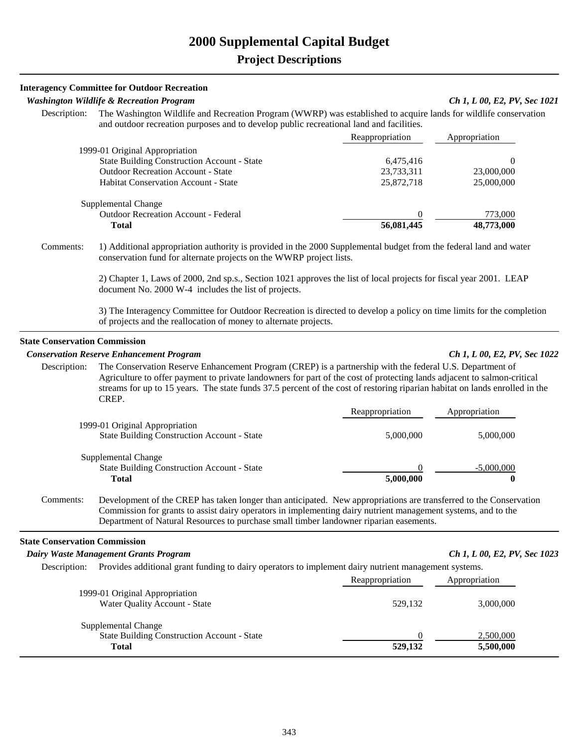#### **Interagency Committee for Outdoor Recreation**

#### *Washington Wildlife & Recreation Program Ch 1, L 00, E2, PV, Sec 1021*

 Description: The Washington Wildlife and Recreation Program (WWRP) was established to acquire lands for wildlife conservation and outdoor recreation purposes and to develop public recreational land and facilities.

|                                                    | Reappropriation | Appropriation |
|----------------------------------------------------|-----------------|---------------|
| 1999-01 Original Appropriation                     |                 |               |
| <b>State Building Construction Account - State</b> | 6,475,416       |               |
| <b>Outdoor Recreation Account - State</b>          | 23,733,311      | 23,000,000    |
| <b>Habitat Conservation Account - State</b>        | 25,872,718      | 25,000,000    |
| Supplemental Change                                |                 |               |
| <b>Outdoor Recreation Account - Federal</b>        |                 | 773,000       |
| Total                                              | 56,081,445      | 48,773,000    |

 Comments: 1) Additional appropriation authority is provided in the 2000 Supplemental budget from the federal land and water conservation fund for alternate projects on the WWRP project lists.

> 2) Chapter 1, Laws of 2000, 2nd sp.s., Section 1021 approves the list of local projects for fiscal year 2001. LEAP document No. 2000 W-4 includes the list of projects.

3) The Interagency Committee for Outdoor Recreation is directed to develop a policy on time limits for the completion of projects and the reallocation of money to alternate projects.

## **State Conservation Commission**

#### *Conservation Reserve Enhancement Program Ch 1, L 00, E2, PV, Sec 1022*

 Description: The Conservation Reserve Enhancement Program (CREP) is a partnership with the federal U.S. Department of Agriculture to offer payment to private landowners for part of the cost of protecting lands adjacent to salmon-critical streams for up to 15 years. The state funds 37.5 percent of the cost of restoring riparian habitat on lands enrolled in the CREP.

|                                                                                      | Reappropriation | Appropriation |
|--------------------------------------------------------------------------------------|-----------------|---------------|
| 1999-01 Original Appropriation<br><b>State Building Construction Account - State</b> | 5,000,000       | 5,000,000     |
| Supplemental Change                                                                  |                 |               |
| <b>State Building Construction Account - State</b>                                   |                 | $-5,000,000$  |
| <b>Total</b>                                                                         | 5,000,000       |               |

 Comments: Development of the CREP has taken longer than anticipated. New appropriations are transferred to the Conservation Commission for grants to assist dairy operators in implementing dairy nutrient management systems, and to the Department of Natural Resources to purchase small timber landowner riparian easements.

#### **State Conservation Commission**

 *Dairy Waste Management Grants Program Ch 1, L 00, E2, PV, Sec 1023* Description: Provides additional grant funding to dairy operators to implement dairy nutrient management systems. Reappropriation Appropriation 1999-01 Original Appropriation Water Quality Account - State 529,132 3,000,000 Supplemental Change State Building Construction Account - State 0 2,500,000  **Total 529,132 5,500,000**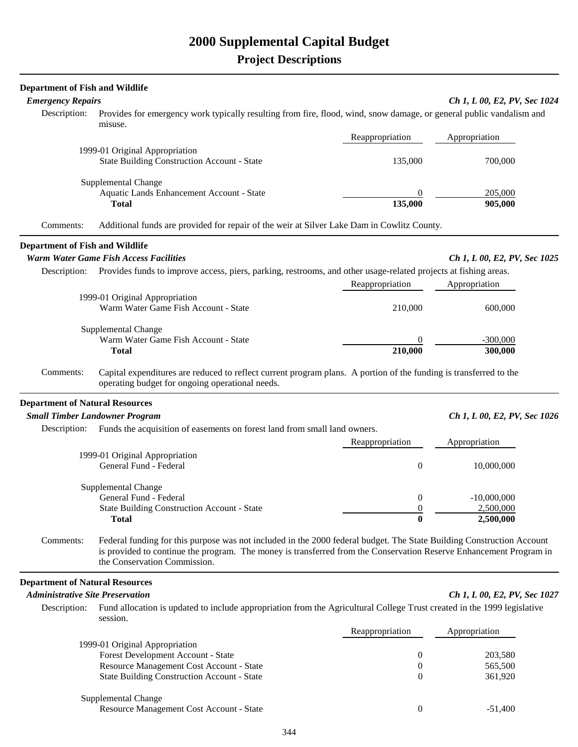# **2000 Supplemental Capital Budget**

| <b>Department of Fish and Wildlife</b>  |                                                                                                                                                                                                                                                                             |                       |                              |
|-----------------------------------------|-----------------------------------------------------------------------------------------------------------------------------------------------------------------------------------------------------------------------------------------------------------------------------|-----------------------|------------------------------|
| <b>Emergency Repairs</b>                |                                                                                                                                                                                                                                                                             |                       | Ch 1, L 00, E2, PV, Sec 1024 |
| Description:                            | Provides for emergency work typically resulting from fire, flood, wind, snow damage, or general public vandalism and<br>misuse.                                                                                                                                             |                       |                              |
|                                         |                                                                                                                                                                                                                                                                             | Reappropriation       | Appropriation                |
|                                         | 1999-01 Original Appropriation                                                                                                                                                                                                                                              |                       |                              |
|                                         | <b>State Building Construction Account - State</b>                                                                                                                                                                                                                          | 135,000               | 700,000                      |
|                                         | Supplemental Change                                                                                                                                                                                                                                                         |                       |                              |
|                                         | Aquatic Lands Enhancement Account - State<br><b>Total</b>                                                                                                                                                                                                                   | $\theta$<br>135,000   | 205,000<br>905,000           |
| Comments:                               | Additional funds are provided for repair of the weir at Silver Lake Dam in Cowlitz County.                                                                                                                                                                                  |                       |                              |
| <b>Department of Fish and Wildlife</b>  |                                                                                                                                                                                                                                                                             |                       |                              |
|                                         | <b>Warm Water Game Fish Access Facilities</b>                                                                                                                                                                                                                               |                       | Ch 1, L 00, E2, PV, Sec 1025 |
| Description:                            | Provides funds to improve access, piers, parking, restrooms, and other usage-related projects at fishing areas.                                                                                                                                                             | Reappropriation       | Appropriation                |
|                                         | 1999-01 Original Appropriation                                                                                                                                                                                                                                              |                       |                              |
|                                         | Warm Water Game Fish Account - State                                                                                                                                                                                                                                        | 210,000               | 600,000                      |
|                                         | Supplemental Change                                                                                                                                                                                                                                                         |                       |                              |
|                                         | Warm Water Game Fish Account - State                                                                                                                                                                                                                                        | $\theta$              | $-300,000$                   |
|                                         | <b>Total</b>                                                                                                                                                                                                                                                                | 210,000               | 300,000                      |
| Comments:                               | Capital expenditures are reduced to reflect current program plans. A portion of the funding is transferred to the<br>operating budget for ongoing operational needs.                                                                                                        |                       |                              |
| <b>Department of Natural Resources</b>  |                                                                                                                                                                                                                                                                             |                       |                              |
|                                         | <b>Small Timber Landowner Program</b>                                                                                                                                                                                                                                       |                       | Ch 1, L 00, E2, PV, Sec 1026 |
| Description:                            | Funds the acquisition of easements on forest land from small land owners.                                                                                                                                                                                                   | Reappropriation       | Appropriation                |
|                                         | 1999-01 Original Appropriation                                                                                                                                                                                                                                              |                       |                              |
|                                         | General Fund - Federal                                                                                                                                                                                                                                                      | $\boldsymbol{0}$      | 10,000,000                   |
|                                         | Supplemental Change                                                                                                                                                                                                                                                         |                       |                              |
|                                         | General Fund - Federal                                                                                                                                                                                                                                                      | 0                     | $-10,000,000$                |
|                                         | <b>State Building Construction Account - State</b><br><b>Total</b>                                                                                                                                                                                                          |                       | 2,500,000<br>2,500,000       |
| Comments:                               | Federal funding for this purpose was not included in the 2000 federal budget. The State Building Construction Account<br>is provided to continue the program. The money is transferred from the Conservation Reserve Enhancement Program in<br>the Conservation Commission. |                       |                              |
| <b>Department of Natural Resources</b>  |                                                                                                                                                                                                                                                                             |                       |                              |
| <b>Administrative Site Preservation</b> |                                                                                                                                                                                                                                                                             |                       | Ch 1, L 00, E2, PV, Sec 1027 |
| Description:                            | Fund allocation is updated to include appropriation from the Agricultural College Trust created in the 1999 legislative<br>session.                                                                                                                                         |                       |                              |
|                                         |                                                                                                                                                                                                                                                                             | Reappropriation       | Appropriation                |
|                                         | 1999-01 Original Appropriation                                                                                                                                                                                                                                              |                       |                              |
|                                         | Forest Development Account - State                                                                                                                                                                                                                                          | 0                     | 203,580                      |
|                                         | Resource Management Cost Account - State<br><b>State Building Construction Account - State</b>                                                                                                                                                                              | 0<br>$\boldsymbol{0}$ | 565,500<br>361,920           |
|                                         |                                                                                                                                                                                                                                                                             |                       |                              |

| Supplemental Change                      |           |
|------------------------------------------|-----------|
| Resource Management Cost Account - State | $-51,400$ |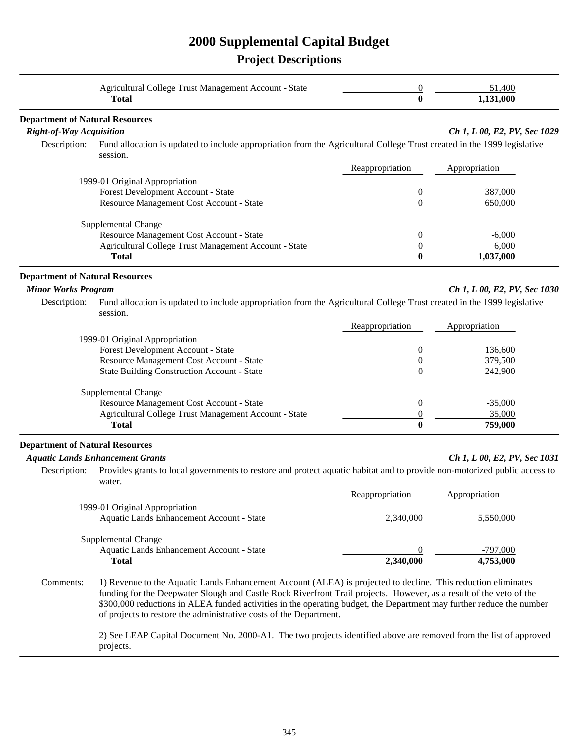# **2000 Supplemental Capital Budget**

|                                                                                      | Agricultural College Trust Management Account - State<br><b>Total</b>                                                                                                                                                                                                                                                                                                                                                              | 0<br>$\bf{0}$                                  | 51,400<br>1,131,000            |
|--------------------------------------------------------------------------------------|------------------------------------------------------------------------------------------------------------------------------------------------------------------------------------------------------------------------------------------------------------------------------------------------------------------------------------------------------------------------------------------------------------------------------------|------------------------------------------------|--------------------------------|
| <b>Department of Natural Resources</b>                                               |                                                                                                                                                                                                                                                                                                                                                                                                                                    |                                                |                                |
| <b>Right-of-Way Acquisition</b><br>Description:                                      | Fund allocation is updated to include appropriation from the Agricultural College Trust created in the 1999 legislative<br>session.                                                                                                                                                                                                                                                                                                |                                                | Ch 1, L 00, E2, PV, Sec 1029   |
|                                                                                      |                                                                                                                                                                                                                                                                                                                                                                                                                                    | Reappropriation                                | Appropriation                  |
|                                                                                      | 1999-01 Original Appropriation<br>Forest Development Account - State<br>Resource Management Cost Account - State                                                                                                                                                                                                                                                                                                                   | $\overline{0}$<br>$\overline{0}$               | 387,000<br>650,000             |
|                                                                                      | Supplemental Change<br>Resource Management Cost Account - State<br>Agricultural College Trust Management Account - State<br><b>Total</b>                                                                                                                                                                                                                                                                                           | $\mathbf{0}$<br>0<br>$\bf{0}$                  | $-6,000$<br>6,000<br>1,037,000 |
| <b>Department of Natural Resources</b><br><b>Minor Works Program</b><br>Description: | Fund allocation is updated to include appropriation from the Agricultural College Trust created in the 1999 legislative<br>session.                                                                                                                                                                                                                                                                                                |                                                | Ch 1, L 00, E2, PV, Sec 1030   |
|                                                                                      |                                                                                                                                                                                                                                                                                                                                                                                                                                    | Reappropriation                                | Appropriation                  |
|                                                                                      | 1999-01 Original Appropriation<br>Forest Development Account - State<br>Resource Management Cost Account - State<br><b>State Building Construction Account - State</b>                                                                                                                                                                                                                                                             | $\overline{0}$<br>$\boldsymbol{0}$<br>$\theta$ | 136,600<br>379,500<br>242,900  |
|                                                                                      | Supplemental Change<br>Resource Management Cost Account - State<br>Agricultural College Trust Management Account - State<br><b>Total</b>                                                                                                                                                                                                                                                                                           | $\mathbf{0}$<br>$\boldsymbol{0}$<br>$\bf{0}$   | $-35,000$<br>35,000<br>759,000 |
| <b>Department of Natural Resources</b>                                               |                                                                                                                                                                                                                                                                                                                                                                                                                                    |                                                |                                |
| Description:                                                                         | <b>Aquatic Lands Enhancement Grants</b><br>Provides grants to local governments to restore and protect aquatic habitat and to provide non-motorized public access to<br>water.                                                                                                                                                                                                                                                     |                                                | Ch 1, L 00, E2, PV, Sec 1031   |
|                                                                                      |                                                                                                                                                                                                                                                                                                                                                                                                                                    | Reappropriation                                | Appropriation                  |
|                                                                                      | 1999-01 Original Appropriation<br>Aquatic Lands Enhancement Account - State                                                                                                                                                                                                                                                                                                                                                        | 2,340,000                                      | 5,550,000                      |
|                                                                                      | Supplemental Change<br>Aquatic Lands Enhancement Account - State<br><b>Total</b>                                                                                                                                                                                                                                                                                                                                                   | $\Omega$<br>2,340,000                          | $-797,000$<br>4,753,000        |
| Comments:                                                                            | 1) Revenue to the Aquatic Lands Enhancement Account (ALEA) is projected to decline. This reduction eliminates<br>funding for the Deepwater Slough and Castle Rock Riverfront Trail projects. However, as a result of the veto of the<br>\$300,000 reductions in ALEA funded activities in the operating budget, the Department may further reduce the number<br>of projects to restore the administrative costs of the Department. |                                                |                                |
|                                                                                      | 2) See LEAP Capital Document No. 2000-A1. The two projects identified above are removed from the list of approved<br>projects.                                                                                                                                                                                                                                                                                                     |                                                |                                |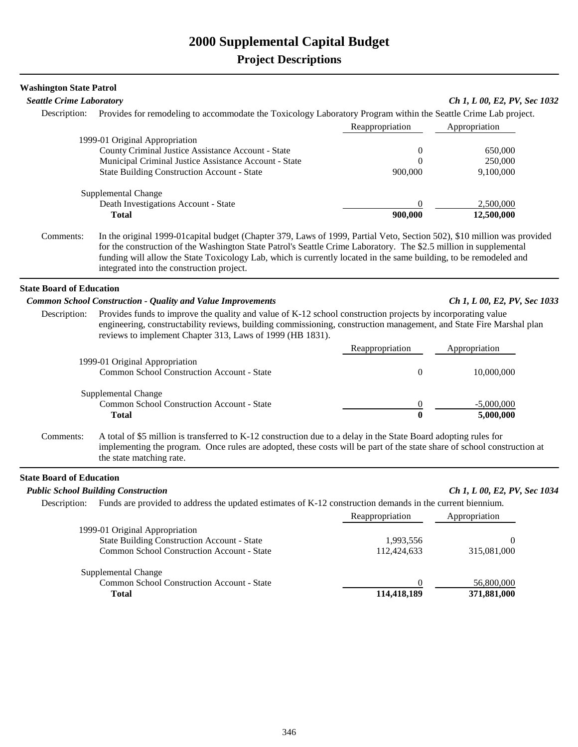| <b>Washington State Patrol</b>  |                                                                                                                                                                                                                                                                                                                                                                                                                 |                                         |                                 |
|---------------------------------|-----------------------------------------------------------------------------------------------------------------------------------------------------------------------------------------------------------------------------------------------------------------------------------------------------------------------------------------------------------------------------------------------------------------|-----------------------------------------|---------------------------------|
| <b>Seattle Crime Laboratory</b> |                                                                                                                                                                                                                                                                                                                                                                                                                 |                                         | Ch 1, L 00, E2, PV, Sec 1032    |
|                                 | Description: Provides for remodeling to accommodate the Toxicology Laboratory Program within the Seattle Crime Lab project.                                                                                                                                                                                                                                                                                     |                                         |                                 |
|                                 |                                                                                                                                                                                                                                                                                                                                                                                                                 | Reappropriation                         | Appropriation                   |
|                                 | 1999-01 Original Appropriation<br>County Criminal Justice Assistance Account - State<br>Municipal Criminal Justice Assistance Account - State<br><b>State Building Construction Account - State</b>                                                                                                                                                                                                             | $\boldsymbol{0}$<br>$\theta$<br>900,000 | 650,000<br>250,000<br>9,100,000 |
|                                 | Supplemental Change<br>Death Investigations Account - State<br><b>Total</b>                                                                                                                                                                                                                                                                                                                                     | $\theta$<br>900,000                     | 2,500,000<br>12,500,000         |
| Comments:                       | In the original 1999-01 capital budget (Chapter 379, Laws of 1999, Partial Veto, Section 502), \$10 million was provided<br>for the construction of the Washington State Patrol's Seattle Crime Laboratory. The \$2.5 million in supplemental<br>funding will allow the State Toxicology Lab, which is currently located in the same building, to be remodeled and<br>integrated into the construction project. |                                         |                                 |
| <b>State Board of Education</b> |                                                                                                                                                                                                                                                                                                                                                                                                                 |                                         |                                 |
|                                 | <b>Common School Construction - Quality and Value Improvements</b>                                                                                                                                                                                                                                                                                                                                              |                                         | Ch 1, L 00, E2, PV, Sec 1033    |
| Description:                    | Provides funds to improve the quality and value of K-12 school construction projects by incorporating value<br>engineering, constructability reviews, building commissioning, construction management, and State Fire Marshal plan<br>reviews to implement Chapter 313, Laws of 1999 (HB 1831).                                                                                                                 |                                         |                                 |
|                                 |                                                                                                                                                                                                                                                                                                                                                                                                                 | Reappropriation                         | Appropriation                   |
|                                 | 1999-01 Original Appropriation<br>Common School Construction Account - State                                                                                                                                                                                                                                                                                                                                    | $\mathbf{0}$                            | 10,000,000                      |
|                                 | Supplemental Change                                                                                                                                                                                                                                                                                                                                                                                             |                                         |                                 |
|                                 | Common School Construction Account - State                                                                                                                                                                                                                                                                                                                                                                      | $\overline{0}$                          | $-5,000,000$                    |
|                                 | <b>Total</b>                                                                                                                                                                                                                                                                                                                                                                                                    | $\bf{0}$                                | 5,000,000                       |
| Comments:                       | A total of \$5 million is transferred to K-12 construction due to a delay in the State Board adopting rules for<br>implementing the program. Once rules are adopted, these costs will be part of the state share of school construction at<br>the state matching rate.                                                                                                                                          |                                         |                                 |
| <b>State Board of Education</b> |                                                                                                                                                                                                                                                                                                                                                                                                                 |                                         |                                 |
|                                 | <b>Public School Building Construction</b>                                                                                                                                                                                                                                                                                                                                                                      |                                         | Ch 1, L 00, E2, PV, Sec 1034    |
|                                 | Description: Funds are provided to address the updated estimates of K-12 construction demands in the current biennium.                                                                                                                                                                                                                                                                                          | Reappropriation                         | Appropriation                   |
|                                 | 1999-01 Original Appropriation                                                                                                                                                                                                                                                                                                                                                                                  |                                         |                                 |
|                                 | <b>State Building Construction Account - State</b>                                                                                                                                                                                                                                                                                                                                                              | 1,993,556                               | $\boldsymbol{0}$                |
|                                 | Common School Construction Account - State                                                                                                                                                                                                                                                                                                                                                                      | 112,424,633                             | 315,081,000                     |
|                                 | Supplemental Change                                                                                                                                                                                                                                                                                                                                                                                             |                                         |                                 |
|                                 | Common School Construction Account - State                                                                                                                                                                                                                                                                                                                                                                      | $\boldsymbol{0}$                        | 56,800,000                      |
|                                 | <b>Total</b>                                                                                                                                                                                                                                                                                                                                                                                                    | 114,418,189                             | 371,881,000                     |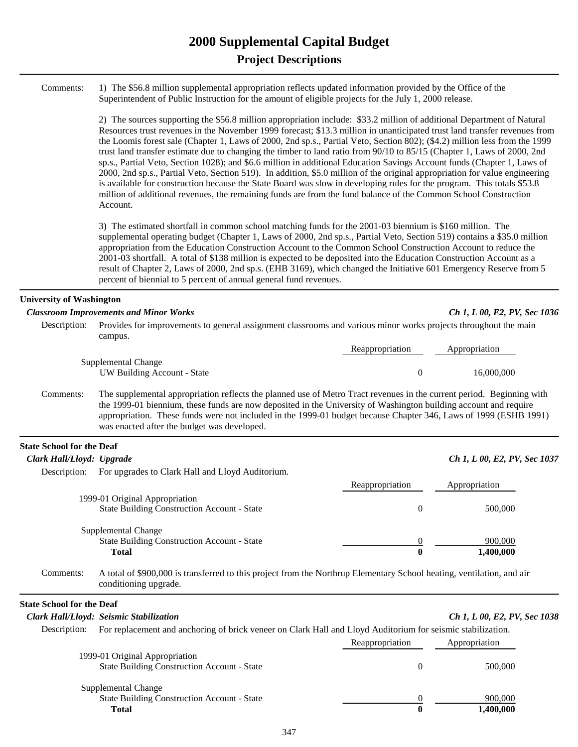## **2000 Supplemental Capital Budget Project Descriptions**

| Comments: 1) The \$56.8 million supplemental appropriation reflects updated information provided by the Office of the |
|-----------------------------------------------------------------------------------------------------------------------|
| Superintendent of Public Instruction for the amount of eligible projects for the July 1, 2000 release.                |

2) The sources supporting the \$56.8 million appropriation include: \$33.2 million of additional Department of Natural Resources trust revenues in the November 1999 forecast; \$13.3 million in unanticipated trust land transfer revenues from the Loomis forest sale (Chapter 1, Laws of 2000, 2nd sp.s., Partial Veto, Section 802); (\$4.2) million less from the 1999 trust land transfer estimate due to changing the timber to land ratio from 90/10 to 85/15 (Chapter 1, Laws of 2000, 2nd sp.s., Partial Veto, Section 1028); and \$6.6 million in additional Education Savings Account funds (Chapter 1, Laws of 2000, 2nd sp.s., Partial Veto, Section 519). In addition, \$5.0 million of the original appropriation for value engineering is available for construction because the State Board was slow in developing rules for the program. This totals \$53.8 million of additional revenues, the remaining funds are from the fund balance of the Common School Construction Account.

3) The estimated shortfall in common school matching funds for the 2001-03 biennium is \$160 million. The supplemental operating budget (Chapter 1, Laws of 2000, 2nd sp.s., Partial Veto, Section 519) contains a \$35.0 million appropriation from the Education Construction Account to the Common School Construction Account to reduce the 2001-03 shortfall. A total of \$138 million is expected to be deposited into the Education Construction Account as a result of Chapter 2, Laws of 2000, 2nd sp.s. (EHB 3169), which changed the Initiative 601 Emergency Reserve from 5 percent of biennial to 5 percent of annual general fund revenues.

#### **University of Washington**

#### *Classroom Improvements and Minor Works Ch 1, L 00, E2, PV, Sec 1036*

| Description: Provides for improvements to general assignment classrooms and various minor works projects throughout the main |                 |               |
|------------------------------------------------------------------------------------------------------------------------------|-----------------|---------------|
| campus.                                                                                                                      |                 |               |
|                                                                                                                              | Reappropriation | Appropriation |

| Reappropriation | Appropriation |
|-----------------|---------------|
|                 | 16,000,000    |
|                 |               |

 Comments: The supplemental appropriation reflects the planned use of Metro Tract revenues in the current period. Beginning with the 1999-01 biennium, these funds are now deposited in the University of Washington building account and require appropriation. These funds were not included in the 1999-01 budget because Chapter 346, Laws of 1999 (ESHB 1991) was enacted after the budget was developed.

#### **State School for the Deaf**

| Clark Hall/Lloyd: Upgrade |                                                    |                 | Ch 1, L 00, E2, PV, Sec 1037 |  |
|---------------------------|----------------------------------------------------|-----------------|------------------------------|--|
| Description:              | For upgrades to Clark Hall and Lloyd Auditorium.   |                 |                              |  |
|                           |                                                    | Reappropriation | Appropriation                |  |
|                           | 1999-01 Original Appropriation                     |                 |                              |  |
|                           | <b>State Building Construction Account - State</b> | 0               | 500,000                      |  |
|                           | Supplemental Change                                |                 |                              |  |
|                           | <b>State Building Construction Account - State</b> |                 | 900,000                      |  |
|                           | <b>Total</b>                                       | 0               | 1,400,000                    |  |
|                           |                                                    |                 |                              |  |

 Comments: A total of \$900,000 is transferred to this project from the Northrup Elementary School heating, ventilation, and air conditioning upgrade.

#### **State School for the Deaf**

## *Clark Hall/Lloyd: Seismic Stabilization Ch 1, L 00, E2, PV, Sec 1038* Description: For replacement and anchoring of brick veneer on Clark Hall and Lloyd Auditorium for seismic stabilization. Reappropriation Appropriation 1999-01 Original Appropriation State Building Construction Account - State 0 500,000 Supplemental Change State Building Construction Account - State 1990, 000 900, 000 900, 000 900, 000 900, 000 900, 000 900, 000 900, 000 900, 000 900, 000 900, 000 900, 000 900, 000 900, 000 900, 000 900, 000 900, 000 900, 000 900, 000 900, 0  **Total 0 1,400,000**